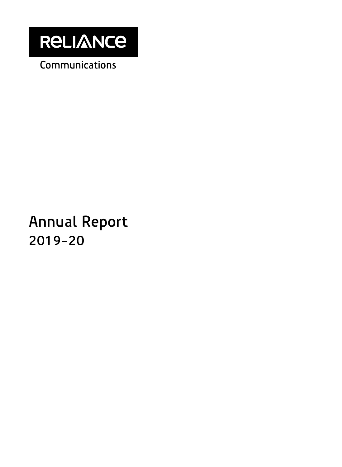

**Communications**

# **Annual Report 2019-20**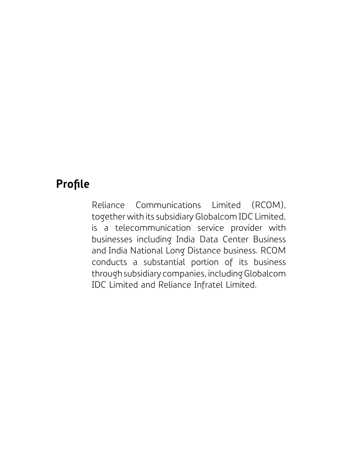## **Profile**

Reliance Communications Limited (RCOM), together with its subsidiary Globalcom IDC Limited, is a telecommunication service provider with businesses including India Data Center Business and India National Long Distance business. RCOM conducts a substantial portion of its business through subsidiary companies, including Globalcom IDC Limited and Reliance Infratel Limited.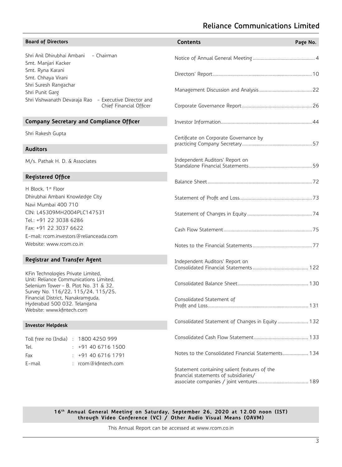## **Reliance Communications Limited**

| <b>Board of Directors</b>                                                                         | <b>Contents</b>                                                                       | Page No. |
|---------------------------------------------------------------------------------------------------|---------------------------------------------------------------------------------------|----------|
| - Chairman<br>Shri Anil Dhirubhai Ambani<br>Smt. Manjari Kacker                                   |                                                                                       |          |
| Smt. Ryna Karani<br>Smt. Chhaya Virani                                                            |                                                                                       |          |
| Shri Suresh Rangachar<br>Shri Punit Garg<br>Shri Vishwanath Devaraja Rao - Executive Director and |                                                                                       |          |
| Chief Financial Officer                                                                           |                                                                                       |          |
| <b>Company Secretary and Compliance Officer</b>                                                   |                                                                                       |          |
| Shri Rakesh Gupta                                                                                 | Certificate on Corporate Governance by                                                |          |
| <b>Auditors</b>                                                                                   |                                                                                       |          |
| M/s. Pathak H. D. & Associates                                                                    | Independent Auditors' Report on                                                       |          |
| <b>Registered Office</b>                                                                          |                                                                                       |          |
| H Block, 1st Floor                                                                                |                                                                                       |          |
| Dhirubhai Ambani Knowledge City                                                                   |                                                                                       |          |
| Navi Mumbai 400 710<br>CIN: L45309MH2004PLC147531                                                 |                                                                                       |          |
| Tel.: +91 22 3038 6286                                                                            |                                                                                       |          |
| Fax: +91 22 3037 6622                                                                             |                                                                                       |          |
| E-mail: rcom.investors@relianceada.com                                                            |                                                                                       |          |
| Website: www.rcom.co.in                                                                           |                                                                                       |          |
| Registrar and Transfer Agent                                                                      | Independent Auditors' Report on                                                       |          |
| KFin Technologies Private Limited,                                                                |                                                                                       |          |
| Unit: Reliance Communications Limited,<br>Selenium Tower - B, Plot No. 31 & 32,                   |                                                                                       |          |
| Survey No. 116/22, 115/24, 115/25,                                                                |                                                                                       |          |
| Financial District, Nanakramguda,<br>Hyderabad 500 032. Telangana                                 | Consolidated Statement of                                                             |          |
| Website: www.kfintech.com                                                                         |                                                                                       |          |
| <b>Investor Helpdesk</b>                                                                          | Consolidated Statement of Changes in Equity 132                                       |          |
| Toll free no (India) : 1800 4250 999                                                              |                                                                                       |          |
| $: +914067161500$<br>Tel.                                                                         |                                                                                       |          |
| $: +914067161791$<br>Fax                                                                          | Notes to the Consolidated Financial Statements 134                                    |          |
| : rcom@kfintech.com<br>E-mail                                                                     | Statement containing salient features of the<br>financial statements of subsidiaries/ |          |
|                                                                                                   |                                                                                       |          |

**16th Annual General Meeting on Saturday, September 26, 2020 at 12.00 noon (IST) through Video Conference (VC) / Other Audio Visual Means (OAVM)**

This Annual Report can be accessed at www.rcom.co.in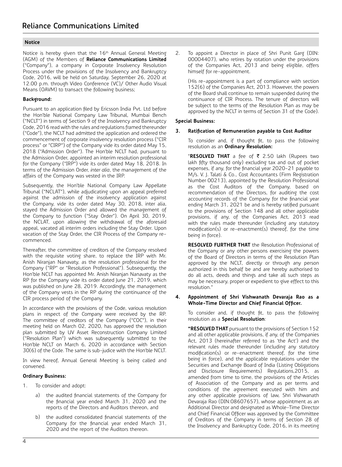Notice is hereby given that the 16<sup>th</sup> Annual General Meeting (AGM) of the Members of **Reliance Communications Limited**  ("Company"), a company in Corporate Insolvency Resolution Process under the provisions of the Insolvency and Bankruptcy Code, 2016, will be held on Saturday, September 26, 2020 at 12.00 p.m. through Video Conference (VC)/ Other Audio Visual Means (OAVM) to transact the following business;

## **Background:**

Pursuant to an application filed by Ericsson India Pvt. Ltd before the Hon'ble National Company Law Tribunal, Mumbai Bench ("NCLT") in terms of Section 9 of the Insolvency and Bankruptcy Code, 2016 read with the rules and regulations framed thereunder ("Code"), the NCLT had admitted the application and ordered the commencement of corporate insolvency resolution process ("CIR process" or "CIRP") of the Company vide its order dated May 15, 2018 ("Admission Order"). The Hon'ble NCLT had, pursuant to the Admission Order, appointed an interim resolution professional for the Company ("IRP") vide its order dated May 18, 2018. In terms of the Admission Order, *inter alia*, the management of the affairs of the Company was vested in the IRP.

Subsequently, the Hon'ble National Company Law Appellate Tribunal ("NCLAT"), while adjudicating upon an appeal preferred against the admission of the insolvency application against the Company, vide its order dated May 30, 2018, inter alia, stayed the Admission Order and allowed the management of the Company to function ("Stay Order"). On April 30, 2019, the NCLAT, upon allowing the withdrawal of the aforesaid appeal, vacated all interim orders including the Stay Order. Upon vacation of the Stay Order, the CIR Process of the Company recommenced.

Thereafter, the committee of creditors of the Company resolved with the requisite voting share, to replace the IRP with Mr. Anish Niranjan Nanavaty, as the resolution professional for the Company ("RP" or "Resolution Professional"). Subsequently, the Hon'ble NCLT has appointed Mr. Anish Niranjan Nanavaty as the RP for the Company vide its order dated June 21, 2019, which was published on June 28, 2019. Accordingly, the management of the Company vests in the RP during the continuance of the CIR process period of the Company.

In accordance with the provisions of the Code, various resolution plans in respect of the Company were received by the RP. The committee of creditors of the Company ("COC"), in their meeting held on March 02, 2020, has approved the resolution plan submitted by UV Asset Reconstruction Company Limited ("Resolution Plan") which was subsequently submitted to the Hon'ble NCLT on March 6, 2020 in accordance with Section 30(6) of the Code. The same is sub-judice with the Hon'ble NCLT.

In view hereof, Annual General Meeting is being called and convened.

## **Ordinary Business:**

- 1. To consider and adopt:
	- a) the audited financial statements of the Company for the financial year ended March 31, 2020 and the reports of the Directors and Auditors thereon, and
	- b) the audited consolidated financial statements of the Company for the financial year ended March 31, 2020 and the report of the Auditors thereon.

2. To appoint a Director in place of Shri Punit Garg (DIN: 00004407), who retires by rotation under the provisions of the Companies Act, 2013 and being eligible, offers himself for re-appointment.

(His re-appointment is a part of compliance with section 152(6) of the Companies Act, 2013. However, the powers of the Board shall continue to remain suspended during the continuance of CIR Process. The tenure of directors will be subject to the terms of the Resolution Plan as may be approved by the NCLT in terms of Section 31 of the Code).

## **Special Business:**

## **3. Ratification of Remuneration payable to Cost Auditor**

To consider and, if thought fit, to pass the following resolution as an **Ordinary Resolution:**

"RESOLVED THAT a fee of ₹ 2.50 lakh (Rupees two lakh fifty thousand only) excluding tax and out of pocket expenses, if any, for the financial year 2020-21 payable to M/s. V. J. Talati & Co., Cost Accountants (Firm Registration Number 00213), appointed by the Resolution Professional as the Cost Auditors of the Company, based on recommendation of the Directors, for auditing the cost accounting records of the Company for the financial year ending March 31, 2021 be and is hereby ratified pursuant to the provisions of Section 148 and all other applicable provisions, if any, of the Companies Act, 2013 read with the rules made thereunder (including any statutory modification(s) or re-enactment(s) thereof, for the time being in force).

**RESOLVED FURTHER THAT** the Resolution Professional of the Company or any other persons exercising the powers of the Board of Directors in terms of the Resolution Plan approved by the NCLT, directly or through any person authorized in this behalf be and are hereby authorised to do all acts, deeds and things and take all such steps as may be necessary, proper or expedient to give effect to this resolution."

## **4. Appointment of Shri Vishwanath Devaraja Rao as a Whole-Time Director and Chief Financial Officer.**

To consider and, if thought fit, to pass the following resolution as a **Special Resolution**:

**"RESOLVED THAT** pursuant to the provisions of Section 152 and all other applicable provisions, if any, of the Companies Act, 2013 (hereinafter referred to as 'the Act') and the relevant rules made thereunder (including any statutory modification(s) or re-enactment thereof, for the time being in force), and the applicable regulations under the Securities and Exchange Board of India (Listing Obligations and Disclosure Requirements) Regulations,2015, as amended from time to time, the provisions of the Articles of Association of the Company and as per terms and conditions of the agreement executed with him and any other applicable provisions of law, Shri Vishwanath Devaraja Rao (DIN:08607657), whose appointment as an Additional Director and designated as Whole-Time Director and Chief Financial Officer was approved by the Committee of Creditors of the Company in terms of Section 28 of the Insolvency and Bankruptcy Code, 2016, in its meeting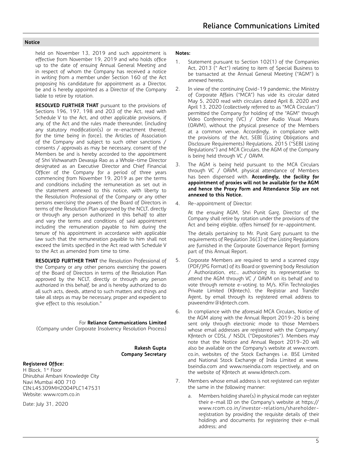held on November 13, 2019 and such appointment is effective from November 19, 2019 and who holds office up to the date of ensuing Annual General Meeting and in respect of whom the Company has received a notice in writing from a member under Section 160 of the Act proposing his candidature for appointment as a Director, be and is hereby appointed as a Director of the Company liable to retire by rotation.

**RESOLVED FURTHER THAT** pursuant to the provisions of Sections 196, 197, 198 and 203 of the Act, read with Schedule V to the Act, and other applicable provisions, if any, of the Act and the rules made thereunder, (including any statutory modification(s) or re-enactment thereof, for the time being in force), the Articles of Association of the Company and subject to such other sanctions / consents / approvals as may be necessary, consent of the Members be and is hereby accorded to the appointment of Shri Vishwanath Devaraja Rao as a Whole-time Director designated as an Executive Director and Chief Financial Officer of the Company for a period of three years commencing from November 19, 2019 as per the terms and conditions including the remuneration as set out in the statement annexed to this notice, with liberty to the Resolution Professional of the Company or any other persons exercising the powers of the Board of Directors in terms of the Resolution Plan approved by the NCLT, directly or through any person authorized in this behalf to alter and vary the terms and conditions of said appointment including the remuneration payable to him during the tenure of his appointment in accordance with applicable law such that the remuneration payable to him shall not exceed the limits specified in the Act read with Schedule V to the Act as amended from time to time.

**RESOLVED FURTHER THAT** the Resolution Professional of the Company or any other persons exercising the powers of the Board of Directors in terms of the Resolution Plan approved by the NCLT, directly or through any person authorized in this behalf, be and is hereby authorized to do all such acts, deeds, attend to such matters and things and take all steps as may be necessary, proper and expedient to give effect to this resolution."

For **Reliance Communications Limited**

(Company under Corporate Insolvency Resolution Process)

**Rakesh Gupta Company Secretary**

## **Registered Office:**

H Block, 1st Floor Dhirubhai Ambani Knowledge City Navi Mumbai 400 710 CIN:L45309MH2004PLC147531 Website: www.rcom.co.in

Date: July 31, 2020

## **Notes:**

- 1. Statement pursuant to Section 102(1) of the Companies Act, 2013 (" Act") relating to item of Special Business to be transacted at the Annual General Meeting ("AGM") is annexed hereto.
- 2. In view of the continuing Covid-19 pandemic, the Ministry of Corporate Affairs ("MCA") has vide its circular dated May 5, 2020 read with circulars dated April 8, 2020 and April 13, 2020 (collectively referred to as "MCA Circulars") permitted the Company for holding of the "AGM" through Video Conferencing (VC) / Other Audio Visual Means (OAVM), without the physical presence of the Members at a common venue. Accordingly, in compliance with the provisions of the Act, SEBI (Listing Obligations and Disclosure Requirements) Regulations, 2015 ("SEBI Listing Regulations") and MCA Circulars, the AGM of the Company is being held through VC / OAVM.
- 3. The AGM is being held pursuant to the MCA Circulars through VC / OAVM, physical attendance of Members has been dispensed with. **Accordingly, the facility for appointment of proxies will not be available for the AGM and hence the Proxy Form and Attendance Slip are not annexed to this Notice.**
- 4. Re-appointment of Director:

At the ensuing AGM, Shri Punit Garg, Director of the Company shall retire by rotation under the provisions of the Act and being eligible, offers himself for re-appointment.

The details pertaining to Mr. Punit Garg pursuant to the requirements of Regulation 36(3) of the Listing Regulations are furnished in the Corporate Governance Report forming part of this Annual Report.

- 5. Corporate Members are required to send a scanned copy (PDF/JPG Format) of its Board or governing body Resolution / Authorization, etc., authorizing its representative to attend the AGM through VC / OAVM on its behalf and to vote through remote e-voting, to M/s. KFin Technologies Private Limited (Kfintech), the Registrar and Transfer Agent, by email through its registered email address to praveendmr@kfintech.com.
- 6. In compliance with the aforesaid MCA Circulars, Notice of the AGM along with the Annual Report 2019-20 is being sent only through electronic mode to those Members whose email addresses are registered with the Company/ Kfintech or CDSL / NSDL ("Depositories"). Members may note that the Notice and Annual Report 2019-20 will also be available on the Company's website at www.rcom. co.in, websites of the Stock Exchanges i.e. BSE Limited and National Stock Exchange of India Limited at www. bseindia.com and www.nseindia.com respectively, and on the website of Kfintech at www.kfintech.com.
- 7. Members whose email address is not registered can register the same in the following manner:
	- a. Members holding share(s) in physical mode can register their e-mail ID on the Company's website at https:// www.rcom.co.in/investor-relations/shareholderregistration by providing the requisite details of their holdings and documents for registering their e-mail address; and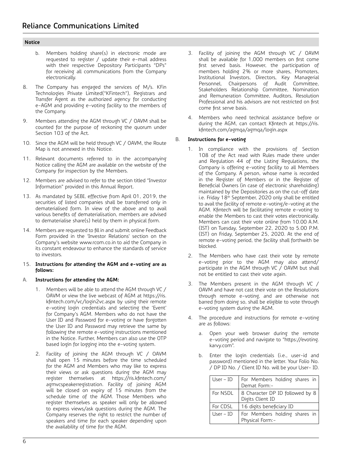- b. Members holding share(s) in electronic mode are requested to register / update their e-mail address with their respective Depository Participants "DPs" for receiving all communications from the Company electronically.
- 8. The Company has engaged the services of M/s. KFin Technologies Private Limited("KFintech"), Registrars and Transfer Agent as the authorized agency for conducting e-AGM and providing e-voting facility to the members of the Company.
- 9. Members attending the AGM through VC / OAVM shall be counted for the purpose of reckoning the quorum under Section 103 of the Act.
- 10. Since the AGM will be held through VC / OAVM, the Route Map is not annexed in this Notice.
- 11. Relevant documents referred to in the accompanying Notice calling the AGM are available on the website of the Company for inspection by the Members.
- 12. Members are advised to refer to the section titled "Investor Information" provided in this Annual Report.
- 13. As mandated by SEBI, effective from April 01, 2019, the securities of listed companies shall be transferred only in dematerialised form. In view of the above and to avail various benefits of dematerialisation, members are advised to dematerialise share(s) held by them in physical form.
- 14. Members are requested to fill in and submit online Feedback Form provided in the 'Investor Relations' section on the Company's website www.rcom.co.in to aid the Company in its constant endeavour to enhance the standards of service to investors.
- 15. **Instructions for attending the AGM and e-voting are as follows:**

## A. **Instructions for attending the AGM:**

- 1. Members will be able to attend the AGM through VC / OAVM or view the live webcast of AGM at https://ris. kfintech.com/vc/login2vc.aspx by using their remote e-voting login credentials and selecting the 'Event' for Company's AGM. Members who do not have the User ID and Password for e-voting or have forgotten the User ID and Password may retrieve the same by following the remote e-voting instructions mentioned in the Notice. Further, Members can also use the OTP based login for logging into the e-voting system.
- 2. Facility of joining the AGM through VC / OAVM shall open 15 minutes before the time scheduled for the AGM and Members who may like to express their views or ask questions during the AGM may register themselves at https://ris.kfintech.com/ agmvcspeakerregistration. Facility of joining AGM will be closed on expiry of 15 minutes from the schedule time of the AGM. Those Members who register themselves as speaker will only be allowed to express views/ask questions during the AGM. The Company reserves the right to restrict the number of speakers and time for each speaker depending upon the availability of time for the AGM.
- 3. Facility of joining the AGM through VC / OAVM shall be available for 1,000 members on first come first served basis. However, the participation of members holding 2% or more shares, Promoters, Institutional Investors, Directors, Key Managerial Personnel, Chairpersons of Audit Committee, Stakeholders Relationship Committee, Nomination and Remuneration Committee, Auditors, Resolution Professional and his advisors are not restricted on first come first serve basis.
- 4. Members who need technical assistance before or during the AGM, can contact Kfintech at https://ris. kfintech.com/agmqa/agmqa/login.aspx

## B. **Instructions for e-voting**

- 1. In compliance with the provisions of Section 108 of the Act read with Rules made there under and Regulation 44 of the Listing Regulations, the Company is offering e-voting facility to all Members of the Company. A person, whose name is recorded in the Register of Members or in the Register of Beneficial Owners (in case of electronic shareholding) maintained by the Depositories as on the cut-off date i.e. Friday 18<sup>th</sup> September, 2020 only shall be entitled to avail the facility of remote e-voting/e-voting at the AGM. Kfintech will be facilitating remote e-voting to enable the Members to cast their votes electronically. Members can cast their vote online from 10.00 A.M. (IST) on Tuesday, September 22, 2020 to 5.00 P.M. (IST) on Friday, September 25, 2020. At the end of remote e-voting period, the facility shall forthwith be blocked.
- 2. The Members who have cast their vote by remote e-voting prior to the AGM may also attend/ participate in the AGM through VC / OAVM but shall not be entitled to cast their vote again.
- 3. The Members present in the AGM through VC / OAVM and have not cast their vote on the Resolutions through remote e-voting, and are otherwise not barred from doing so, shall be eligible to vote through e-voting system during the AGM.
- 4. The procedure and instructions for remote e-voting are as follows:
	- a. Open your web browser during the remote e-voting period and navigate to "https://evoting. karvy.com".
	- b. Enter the login credentials (i.e., user-id and password) mentioned in the letter. Your Folio No. / DP ID No. / Client ID No. will be your User- ID.

| $User - ID$ | For Members holding shares in<br>Demat Form:-       |
|-------------|-----------------------------------------------------|
| For NSDL    | 8 Character DP ID followed by 8<br>Digits Client ID |
| For CDSL    | 16 digits beneficiary ID                            |
| $User - ID$ | For Members holding shares in<br>Physical Form:-    |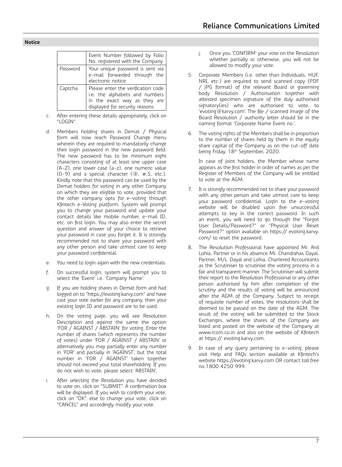|          | Event Number followed by Folio<br>No. registered with the Company                                                                      |  |  |  |  |
|----------|----------------------------------------------------------------------------------------------------------------------------------------|--|--|--|--|
| Password | Your unique password is sent via<br>e-mail forwarded through the<br>electronic notice                                                  |  |  |  |  |
| Captcha  | Please enter the verification code<br>i.e. the alphabets and numbers<br>in the exact way as they are<br>displayed for security reasons |  |  |  |  |

- c. After entering these details appropriately, click on "LOGIN".
- d. Members holding shares in Demat / Physical form will now reach Password Change menu wherein they are required to mandatorily change their login password in the new password field. The new password has to be minimum eight characters consisting of at least one upper case (A-Z), one lower case (a-z), one numeric value  $(0-9)$  and a special character  $(②, #, $, etc.).$ Kindly note that this password can be used by the Demat holders for voting in any other Company on which they are eligible to vote, provided that the other company opts for e-voting through Kfintech e-Voting platform. System will prompt you to change your password and update your contact details like mobile number, e-mail ID, etc. on first login. You may also enter the secret question and answer of your choice to retrieve your password in case you forget it. It is strongly recommended not to share your password with any other person and take utmost care to keep your password confidential.
- e. You need to login again with the new credentials.
- f. On successful login, system will prompt you to select the 'Event' i.e. 'Company Name'.
- g. If you are holding shares in Demat form and had logged on to "https://evoting.karvy.com" and have cast your vote earlier for any company, then your existing login ID and password are to be used.
- h. On the voting page, you will see Resolution Description and against the same the option 'FOR / AGAINST / ABSTAIN' for voting. Enter the number of shares (which represents the number of votes) under 'FOR / AGAINST / ABSTAIN' or alternatively you may partially enter any number in 'FOR' and partially in 'AGAINST', but the total number in 'FOR / AGAINST' taken together should not exceed your total shareholding. If you do not wish to vote, please select 'ABSTAIN'.
- i. After selecting the Resolution you have decided to vote on, click on "SUBMIT". A confirmation box will be displayed. If you wish to confirm your vote, click on "OK", else to change your vote, click on "CANCEL" and accordingly modify your vote.
- j. Once you 'CONFIRM' your vote on the Resolution whether partially or otherwise, you will not be allowed to modify your vote.
- 5. Corporate Members (i.e. other than Individuals, HUF, NRI, etc.) are required to send scanned copy (PDF / JPG format) of the relevant Board or governing body Resolution / Authorisation together with attested specimen signature of the duly authorised signatory(ies) who are authorised to vote, to 'evoting@karvy.com'. The file / scanned image of the Board Resolution / authority letter should be in the naming format 'Corporate Name Event no.'.
- 6. The voting rights of the Members shall be in proportion to the number of shares held by them in the equity share capital of the Company as on the cut-off date being Friday, 18<sup>th</sup> September, 2020.

 In case of joint holders, the Member whose name appears as the first holder in order of names as per the Register of Members of the Company will be entitled to vote at the AGM.

- 7. It is strongly recommended not to share your password with any other person and take utmost care to keep your password confidential. Login to the e-voting website will be disabled upon five unsuccessful attempts to key in the correct password. In such an event, you will need to go through the "Forgot User Details/Password?" or "Physical User Reset Password?" option available on https:// evoting.karvy. com/ to reset the password.
- 8. The Resolution Professional have appointed Mr. Anil Lohia, Partner or in his absence Mr. Chandrahas Dayal, Partner, M/s. Dayal and Lohia, Chartered Accountants as the Scrutiniser to scrutinise the voting process in a fair and transparent manner. The Scrutiniser will submit their report to the Resolution Professional or any other person authorised by him after completion of the scrutiny and the results of voting will be announced after the AGM of the Company. Subject to receipt of requisite number of votes, the resolutions shall be deemed to be passed on the date of the AGM. The result of the voting will be submitted to the Stock Exchanges, where the shares of the Company are listed and posted on the website of the Company at www.rcom.co.in and also on the website of Kfintech at https:// evoting.karvy.com.
- 9. In case of any query pertaining to e-voting, please visit Help and FAQs section available at Kfintech's website https://evoting.karvy.com OR contact toll free no.1800 4250 999.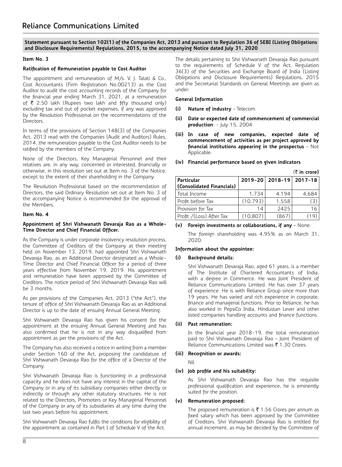## **Statement pursuant to Section 102(1) of the Companies Act, 2013 and pursuant to Regulation 36 of SEBI (Listing Obligations and Disclosure Requirements) Regulations, 2015, to the accompanying Notice dated July 31, 2020**

## **Item No. 3**

## **Ratification of Remuneration payable to Cost Auditor**

The appointment and remuneration of M/s. V. J. Talati & Co., Cost Accountants (Firm Registration No.00213) as the Cost Auditor to audit the cost accounting records of the Company for the financial year ending March 31, 2021, at a remuneration of  $\bar{\tau}$  2.50 lakh (Rupees two lakh and fifty thousand only) excluding tax and out of pocket expenses, if any was approved by the Resolution Professional on the recommendations of the Directors.

In terms of the provisions of Section 148(3) of the Companies Act, 2013 read with the Companies (Audit and Auditors) Rules, 2014, the remuneration payable to the Cost Auditor needs to be ratified by the members of the Company.

None of the Directors, Key Managerial Personnel and their relatives are, in any way, concerned or interested, financially or otherwise, in this resolution set out at Item no. 3 of the Notice, except to the extent of their shareholding in the Company.

The Resolution Professional based on the recommendation of Directors, the said Ordinary Resolution set out at Item No. 3 of the accompanying Notice is recommended for the approval of the Members.

## **Item No. 4**

## **Appointment of Shri Vishwanath Devaraja Rao as a Whole-Time Director and Chief Financial Officer.**

As the Company is under corporate insolvency resolution process, the Committee of Creditors of the Company at their meeting held on November 13, 2019, had appointed Shri Vishwanath Devaraja Rao, as an Additional Director designated as a Whole-Time Director and Chief Financial Officer for a period of three years effective from November 19, 2019. His appointment and remuneration have been approved by the Committee of Creditors. The notice period of Shri Vishwanath Devaraja Rao will be 3 months.

As per provisions of the Companies Act, 2013 ("the Act"), the tenure of office of Shri Vishwanath Devaraja Rao as an Additional Director is up to the date of ensuing Annual General Meeting.

Shri Vishwanath Devaraja Rao has given his consent for the appointment at the ensuing Annual General Meeting and has also confirmed that he is not in any way disqualified from appointment as per the provisions of the Act.

The Company has also received a notice in writing from a member under Section 160 of the Act, proposing the candidature of Shri Vishwanath Devaraja Rao for the office of a Director of the Company.

Shri Vishwanath Devaraja Rao is functioning in a professional capacity and he does not have any interest in the capital of the Company or in any of its subsidiary companies either directly or indirectly or through any other statutory structures. He is not related to the Directors, Promoters or Key Managerial Personnel of the Company or any of its subsidiaries at any time during the last two years before his appointment.

Shri Vishwanath Devaraja Rao fulfils the conditions for eligibility of the appointment as contained in Part I of Schedule V of the Act.

The details pertaining to Shri Vishwanath Devaraja Rao pursuant to the requirements of Schedule V of the Act, Regulation 36(3) of the Securities and Exchange Board of India (Listing Obligations and Disclosure Requirements) Regulations, 2015 and the Secretarial Standards on General Meetings are given as under:

## **General Information**

- **(i) Nature of industry** Telecom
- **(ii) Date or expected date of commencement of commercial production**: - July 15, 2004
- **(iii) In case of new companies, expected date of commencement of activities as per project approved by financial institutions appearing in the prospectus** – Not Applicable.

|                                         |           |                         | $(\bar{z}$ in crore) |
|-----------------------------------------|-----------|-------------------------|----------------------|
| Particular<br>(Consolidated Financials) |           | 2019-20 2018-19 2017-18 |                      |
| Total Income                            | 1.734     | 4.194                   | 4.684                |
| Profit before Tax                       | (10, 793) | 1,558                   | (3)                  |
| Provision for Tax                       | 14        | 2425                    | 16                   |
| Profit / (Loss) After Tax               | (10, 807) | (867)                   |                      |

|  |  | (iv) Financial performance based on given indicators |  |  |  |
|--|--|------------------------------------------------------|--|--|--|
|--|--|------------------------------------------------------|--|--|--|

## **(v) Foreign investments or collaborations, if any** – None.

The foreign shareholding was 4.95% as on March 31, 2020.

## **Information about the appointee:**

## **(i) Background details:**

Shri Vishwanath Devaraja Rao, aged 61 years, is a member of The Institute of Chartered Accountants of India, with a degree in Commerce. He was Joint President of Reliance Communications Limited. He has over 37 years of experience. He is with Reliance Group since more than 19 years. He has varied and rich experience in corporate, finance and managerial functions. Prior to Reliance, he has also worked in PepsiCo India, Hindustan Lever and other listed companies handling accounts and finance functions.

## **(ii) Past remuneration:**

In the financial year 2018-19, the total remuneration paid to Shri Vishwanath Devaraja Rao – Joint President of Reliance Communications Limited was  $\bar{\bar{\xi}}$  1.30 Crores.

## **(iii) Recognition or awards:**

Nil.

## **(iv) Job profile and his suitability:**

As Shri Vishwanath Devaraja Rao has the requisite professional qualification and experience, he is eminently suited for the position.

## **(v) Remuneration proposed:**

The proposed remuneration is  $\bar{\tau}$  1.56 Crores per annum as fixed salary which has been approved by the Committee of Creditors. Shri Vishwanath Devaraja Rao is entitled for annual increment, as may be decided by the Committee of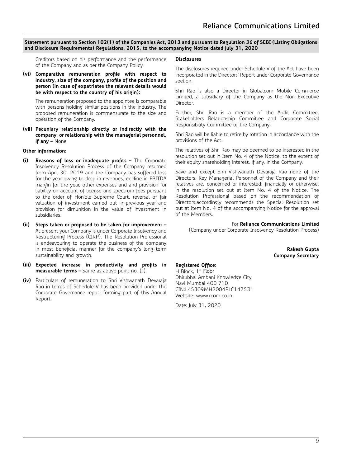#### **Statement pursuant to Section 102(1) of the Companies Act, 2013 and pursuant to Regulation 36 of SEBI (Listing Obligations and Disclosure Requirements) Regulations, 2015, to the accompanying Notice dated July 31, 2020**

Creditors based on his performance and the performance of the Company and as per the Company Policy.

#### **(vi) Comparative remuneration profile with respect to industry, size of the company, profile of the position and person (in case of expatriates the relevant details would be with respect to the country of his origin):**

The remuneration proposed to the appointee is comparable with persons holding similar positions in the industry. The proposed remuneration is commensurate to the size and operation of the Company.

**(vii) Pecuniary relationship directly or indirectly with the company, or relationship with the managerial personnel, if any** – None

#### **Other information:**

- **(i) Reasons of loss or inadequate profits** The Corporate Insolvency Resolution Process of the Company resumed from April 30, 2019 and the Company has suffered loss for the year owing to drop in revenues, decline in EBITDA margin for the year, other expenses and and provision for liability on account of license and spectrum fees pursuant to the order of Hon'ble Supreme Court, reversal of fair valuation of investment carried out in previous year and provision for dimunition in the value of investment in subsidiaries.
- **(ii) Steps taken or proposed to be taken for improvement**  At present your Company is under Corporate Insolvency and Restructuring Process (CIRP). The Resolution Professional is endeavouring to operate the business of the company in most beneficial manner for the company's long term sustainability and growth.
- **(iii) Expected increase in productivity and profits in measurable terms –** Same as above point no. (ii).
- **(iv)** Particulars of remuneration to Shri Vishwanath Devaraja Rao in terms of Schedule V has been provided under the Corporate Governance report forming part of this Annual Report.

#### **Disclosures**

The disclosures required under Schedule V of the Act have been incorporated in the Directors' Report under Corporate Governance section.

Shri Rao is also a Director in Globalcom Mobile Commerce Limited, a subsidiary of the Company as the Non Executive Director.

Further, Shri Rao is a member of the Audit Committee, Stakeholders Relationship Committee and Corporate Social Responsibility Committee of the Company.

Shri Rao will be liable to retire by rotation in accordance with the provisions of the Act.

The relatives of Shri Rao may be deemed to be interested in the resolution set out in Item No. 4 of the Notice, to the extent of their equity shareholding interest, if any, in the Company.

Save and except Shri Vishwanath Devaraja Rao none of the Directors, Key Managerial Personnel of the Company and their relatives are, concerned or interested, financially or otherwise, in the resolution set out at Item No. 4 of the Notice. The Resolution Professional based on the recommendation of Directors,accordingly recommends the Special Resolution set out at Item No. 4 of the accompanying Notice for the approval of the Members.

#### For **Reliance Communications Limited**

(Company under Corporate Insolvency Resolution Process)

**Rakesh Gupta Company Secretary**

## **Registered Office:**

H Block, 1st Floor Dhirubhai Ambani Knowledge City Navi Mumbai 400 710 CIN:L45309MH2004PLC147531 Website: www.rcom.co.in

Date: July 31, 2020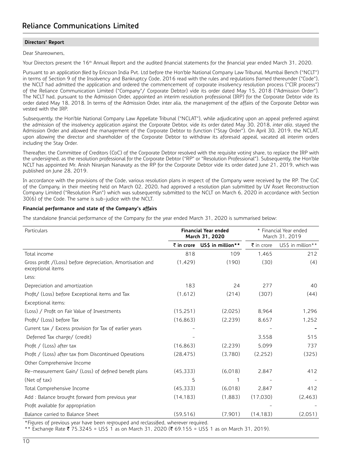Dear Shareowners,

Your Directors present the 16<sup>th</sup> Annual Report and the audited financial statements for the financial year ended March 31, 2020.

Pursuant to an application filed by Ericsson India Pvt. Ltd before the Hon'ble National Company Law Tribunal, Mumbai Bench ("NCLT") in terms of Section 9 of the Insolvency and Bankruptcy Code, 2016 read with the rules and regulations framed thereunder ("Code"), the NCLT had admitted the application and ordered the commencement of corporate insolvency resolution process ("CIR process") of the Reliance Communication Limited ("Company"/ Corporate Debtor) vide its order dated May 15, 2018 ("Admission Order"). The NCLT had, pursuant to the Admission Order, appointed an interim resolution professional (IRP) for the Corporate Debtor vide its order dated May 18, 2018. In terms of the Admission Order, inter alia, the management of the affairs of the Corporate Debtor was vested with the IRP.

Subsequently, the Hon'ble National Company Law Appellate Tribunal ("NCLAT"), while adjudicating upon an appeal preferred against the admission of the insolvency application against the Corporate Debtor, vide its order dated May 30, 2018, *inter alia*, stayed the Admission Order and allowed the management of the Corporate Debtor to function ("Stay Order"). On April 30, 2019, the NCLAT, upon allowing the director and shareholder of the Corporate Debtor to withdraw its aforesaid appeal, vacated all interim orders including the Stay Order.

Thereafter, the Committee of Creditors (CoC) of the Corporate Debtor resolved with the requisite voting share, to replace the IRP with the undersigned, as the resolution professional for the Corporate Debtor ("RP" or "Resolution Professional"). Subsequently, the Hon'ble NCLT has appointed Mr. Anish Niranjan Nanavaty as the RP for the Corporate Debtor vide its order dated June 21, 2019, which was published on June 28, 2019.

In accordance with the provisions of the Code, various resolution plans in respect of the Company were received by the RP. The CoC of the Company, in their meeting held on March 02, 2020, had approved a resolution plan submitted by UV Asset Reconstruction Company Limited ("Resolution Plan") which was subsequently submitted to the NCLT on March 6, 2020 in accordance with Section 30(6) of the Code. The same is sub-judice with the NCLT.

## **Financial performance and state of the Company's affairs**

The standalone financial performance of the Company for the year ended March 31, 2020 is summarised below:

| Particulars                                                                      |                       | <b>Financial Year ended</b><br>March 31, 2020 | * Financial Year ended<br>March 31, 2019 |                   |
|----------------------------------------------------------------------------------|-----------------------|-----------------------------------------------|------------------------------------------|-------------------|
|                                                                                  | $\bar{\tau}$ in crore | USS in million**                              | ₹ in crore                               | US\$ in million** |
| Total income                                                                     | 818                   | 109                                           | 1.465                                    | 212               |
| Gross profit / (Loss) before depreciation, Amortisation and<br>exceptional items | (1, 429)              | (190)                                         | (30)                                     | (4)               |
| Less:                                                                            |                       |                                               |                                          |                   |
| Depreciation and amortization                                                    | 183                   | 24                                            | 277                                      | 40                |
| Profit/ (Loss) before Exceptional items and Tax                                  | (1,612)               | (214)                                         | (307)                                    | (44)              |
| Exceptional items:                                                               |                       |                                               |                                          |                   |
| (Loss) / Profit on Fair Value of Investments                                     | (15, 251)             | (2,025)                                       | 8,964                                    | 1,296             |
| Profit/ (Loss) before Tax                                                        | (16, 863)             | (2,239)                                       | 8,657                                    | 1,252             |
| Current tax / Excess provision for Tax of earlier years                          |                       |                                               |                                          |                   |
| Deferred Tax charge/ (credit)                                                    |                       |                                               | 3,558                                    | 515               |
| Profit / (Loss) after tax                                                        | (16, 863)             | (2, 239)                                      | 5.099                                    | 737               |
| Profit / (Loss) after tax from Discontinued Operations                           | (28, 475)             | (3,780)                                       | (2,252)                                  | (325)             |
| Other Comprehensive Income                                                       |                       |                                               |                                          |                   |
| Re-measurement Gain/ (Loss) of defined benefit plans                             | (45, 333)             | (6,018)                                       | 2,847                                    | 412               |
| (Net of tax)                                                                     | 5                     |                                               |                                          |                   |
| Total Comprehensive Income                                                       | (45, 333)             | (6,018)                                       | 2,847                                    | 412               |
| Add: Balance brought forward from previous year                                  | (14, 183)             | (1,883)                                       | (17,030)                                 | (2, 463)          |
| Profit available for appropriation                                               |                       |                                               |                                          |                   |
| Balance carried to Balance Sheet                                                 | (59, 516)             | (7,901)                                       | (14, 183)                                | (2,051)           |

\*Figures of previous year have been regrouped and reclassified, wherever required.

\*\* Exchange Rate  $\bar{\tau}$  75.3245 = US\$ 1 as on March 31, 2020 ( $\bar{\tau}$  69.155 = US\$ 1 as on March 31, 2019).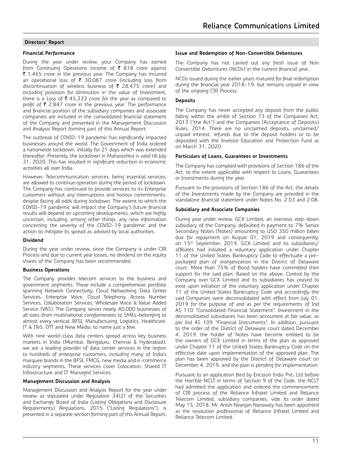## **Financial Performance**

During the year under review, your Company has earned from Continuing Operations income of  $\bar{\tau}$  818 crore against  $\bar{\tau}$  1,465 crore in the previous year. The Company has incurred an operational loss of  $\bar{\tau}$  30,087 crore (including loss from discontinuation of wireless business of  $\bar{\tau}$  28,475 crore) and including provision for diminution in the value of Investment, there is a Loss of  $\bar{\tau}$  45,333 crore for the year as compared to profit of  $\bar{\tau}$  2,847 crore in the previous year. The performance and financial position of the subsidiary companies and associate companies are included in the consolidated financial statement of the Company and presented in the Management Discussion and Analysis Report forming part of this Annual Report.

The outbreak of COVID-19 pandemic has significantly impacted businesses around the world. The Government of India ordered a nationwide lockdown, initially for 21 days which was extended thereafter. Presently, the lockdown in Maharashtra is valid till July 31, 2020. This has resulted in significant reduction in economic activities all over India.

However, Telecommunication services, being essential services, are allowed to continue operation during the period of lockdown. The Company has continued to provide services to its Enterprise customers without any interruptions and honour commitments, despite facing all odds during lockdown. The extent to which the COVID-19 pandemic will impact the Company's future financial results will depend on upcoming developments, which are highly uncertain, including, among other things, any new information concerning the severity of the COVID-19 pandemic and the action to mitigate its spread as advised by local authorities.

#### **Dividend**

During the year under review, since the Company is under CIR Process and due to current year losses, no dividend on the equity shares of the Company has been recommended.

#### **Business Operations**

The Company provides telecom services to the business and government segments. These include a comprehensive portfolio spanning Network Connectivity, Cloud Networking, Data Center Services, Enterprise Voice, Cloud Telephony, Access Number Services, Collaboration Services, Wholesale Voice & Value Added Service (VAS). The Company serves nearly 40,000 businesses of all sizes-from multinational conglomerates to SMEs-belonging to almost every vertical: BFSI, Manufacturing, Logistics, Healthcare, IT & ITeS, OTT and New Media, to name just a few.

With nine world-class data centers spread across key business markets in India (Mumbai, Bengaluru, Chennai & Hyderabad), we are a leading provider of data center services in the region to hundreds of enterprise customers, including many of India's marquee brands in the BFSI, FMCG, new media and e-commerce industry segments. These services cover Colocation, Shared IT Infrastructure and IT Managed Services.

## **Management Discussion and Analysis**

Management Discussion and Analysis Report for the year under review as stipulated under Regulation 34(2) of the Securities and Exchange Board of India (Listing Obligations and Disclosure Requirements) Regulations, 2015 ("Listing Regulations"), is presented in a separate section forming part of this Annual Report.

#### **Issue and Redemption of Non-Convertible Debentures**

The Company has not carried out any fresh issue of Non Convertible Debentures (NCDs) in the current financial year.

NCDs issued during the earlier years matured for final redemption during the financial year 2018-19, but remains unpaid in view of the ongoing CIR Process.

#### **Deposits**

The Company has never accepted any deposit from the public falling within the ambit of Section 73 of the Companies Act, 2013 ("the Act") and the Companies (Acceptance of Deposits) Rules, 2014. There are no unclaimed deposits, unclaimed/ unpaid interest, refunds due to the deposit holders or to be deposited with the Investor Education and Protection Fund as on March 31, 2020.

## **Particulars of Loans, Guarantees or Investments**

The Company has complied with provisions of Section 186 of the Act, to the extent applicable with respect to Loans, Guarantees or Investments during the year.

Pursuant to the provisions of Section 186 of the Act, the details of the Investments made by the Company are provided in the standalone financial statement under Notes No. 2.03 and 2.08.

#### **Subsidiary and Associate Companies**

During year under review, GCX Limited, an overseas step-down subsidiary of the Company, defaulted in payment to 7% Senior Secondary Notes (Notes) amounting to USD 350 million fallen due for repayment on August 01, 2019 and consequently, on 15<sup>th</sup> September, 2019, GCX Limited and its subsidiaries/ affiliates had initiated a voluntary application under Chapter 11 of the United States Bankruptcy Code to effectuate a prepackaged plan of reorganization in the District of Delaware court. More than 75% of Bond holders have committed their support for the said plan. Based on the above, Control by the Company over GCX Limited and its subsidiaries has ceased to exist upon initiation of the voluntary application under Chapter 11 of the United States Bankruptcy Code and accordingly the said Companies were deconsolidated with effect from July 01, 2019 for the purpose of and as per the requirements of Ind AS 110 "Consolidated Financial Statement". Investment in the deconsolidated subsidiaries has been accounted at fair value, as per Ind AS 109 "Financial Instruments". In addition, pursuant to the order of the District of Delaware court dated December 4, 2019, the holder of Notes have become entitled to be the owners of GCX Limited in terms of the plan as approved under Chapter 11 of the United States Bankruptcy Code on the effective date upon implementation of the approved plan. The plan has been approved by the District of Delaware court on December 4, 2019, and the plan is pending for implementation.

Pursuant to an application filed by Ericsson India Pvt. Ltd before the Hon'ble NCLT in terms of Section 9 of the Code, the NCLT had admitted the application and ordered the commencement of CIR process of the Reliance Infratel Limited and Reliance Telecom Limited, subsidiary companies, vide its order dated May 15, 2018. Mr. Anish Niranjan Nanavaty has been appointed as the resolution professional of Reliance Infratel Limited and Reliance Telecom Limited.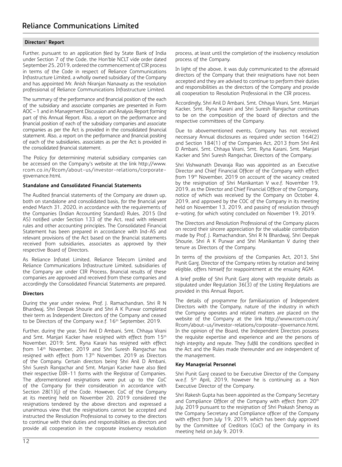Further, pursuant to an application filed by State Bank of India under Section 7 of the Code, the Hon'ble NCLT vide order dated September 25, 2019, ordered the commencement of CIR process in terms of the Code in respect of Reliance Communications Infrastructure Limited, a wholly owned subsidiary of the Company and has appointed Mr. Anish Niranjan Nanavaty as the resolution professional of Reliance Communications Infrastructure Limited.

The summary of the performance and financial position of the each of the subsidiary and associate companies are presented in Form AOC – 1 and in Management Discussion and Analysis Report forming part of this Annual Report. Also, a report on the performance and financial position of each of the subsidiary companies and associate companies as per the Act is provided in the consolidated financial statement. Also, a report on the performance and financial positing of each of the subsidiaries, associates as per the Act is provided in the consolidated financial statement.

The Policy for determining material subsidiary companies can be accessed on the Company's website at the link http://www. rcom.co.in/Rcom/about-us/investor-relations/corporategovernance.html.

## **Standalone and Consolidated Financial Statements**

The Audited financial statements of the Company are drawn up, both on standalone and consolidated basis, for the financial year ended March 31, 2020, in accordance with the requirements of the Companies (Indian Accounting Standard) Rules, 2015 (Ind AS) notified under Section 133 of the Act, read with relevant rules and other accounting principles. The Consolidated Financial Statement has been prepared in accordance with Ind-AS and relevant provisions of the Act based on the financial statements received from subsidiaries, associates as approved by their respective Board of Directors.

As Reliance Infratel Limited, Reliance Telecom Limited and Reliance Communications Infrastructure Limited, subsidiaries of the Company are under CIR Process, financial results of these companies are approved and received from these companies and accordingly the Consolidated Financial Statements are prepared.

## **Directors**

During the year under review, Prof. J. Ramachandran, Shri R N Bhardwaj, Shri Deepak Shourie and Shri A K Purwar completed their term as Independent Directors of the Company and ceased to be Directors of the Company w.e.f. 16<sup>th</sup> September, 2019.

Further, during the year, Shri Anil D Ambani, Smt. Chhaya Virani and Smt. Manjari Kacker have resigned with effect from 15<sup>th</sup> November, 2019; Smt. Ryna Karani has resigned with effect from 14th November, 2019 and Shri Suresh Rangachar has resigned with effect from 13<sup>th</sup> November, 2019 as Directors of the Company. Certain directors being Shri Anil D Ambani, Shri Suresh Rangachar and Smt. Manjari Kacker have also filed their respective DIR-11 forms with the Registrar of Companies. The aforementioned resignations were put up to the CoC of the Company for their consideration in accordance with Section 28(1)(j) of the Code. However, CoC of the Company at its meeting held on November 20, 2019 considered the resignations tendered by the above directors and expressed a unanimous view that the resignations cannot be accepted and instructed the Resolution Professional to convey to the directors to continue with their duties and responsibilities as directors and provide all cooperation in the corporate insolvency resolution

process, at least until the completion of the insolvency resolution process of the Company.

In light of the above, it was duly communicated to the aforesaid directors of the Company that their resignations have not been accepted and they are advised to continue to perform their duties and responsibilities as the directors of the Company and provide all cooperation to Resolution Professional in the CIR process.

Accordingly, Shri Anil D Ambani, Smt. Chhaya Virani, Smt. Manjari Kacker, Smt. Ryna Karani and Shri Suresh Rangachar continues to be on the composition of the board of directors and the respective committees of the Company.

Due to abovementioned events, Company has not received necessary Annual disclosures as required under section 164(2) and Section 184(1) of the Companies Act, 2013 from Shri Anil D Ambani, Smt. Chhaya Virani, Smt. Ryna Karani, Smt. Manjari Kacker and Shri Suresh Rangachar, Directors of the Company.

Shri Vishwanath Devaraja Rao was appointed as an Executive Director and Chief Financial Officer of the Company with effect from 19<sup>th</sup> November, 2019 on account of the vacancy created by the resignation of Shri Manikantan V w.e.f. November 19, 2019, as the Director and Chief Financial Officer of the Company, notice of which was received by the Company on October 4, 2019, and approved by the COC of the Company in its meeting held on November 13, 2019, and passing of resolution through e-voting, for which voting concluded on November 19, 2019.

The Directors and Resolution Professional of the Company places on record their sincere appreciation for the valuable contribution made by Prof. J. Ramachandran, Shri R N Bhardwaj, Shri Deepak Shourie, Shri A K Purwar and Shri Manikantan V during their tenure as Directors of the Company.

In terms of the provisions of the Companies Act, 2013, Shri Punit Garg, Director of the Company retires by rotation and being eligible, offers himself for reappointment at the ensuing AGM.

A brief profile of Shri Punit Garg along with requisite details as stipulated under Regulation 36(3) of the Listing Regulations are provided in this Annual Report.

The details of programme for familiarization of Independent Directors with the Company, nature of the industry in which the Company operates and related matters are placed on the website of the Company at the link http://www.rcom.co.in/ Rcom/about-us/investor-relations/corporate-governance.html. In the opinion of the Board, the Independent Directors possess the requisite expertise and experience and are the persons of high integrity and repute. They fulfill the conditions specified in the Act and the Rules made thereunder and are independent of the management.

## **Key Managerial Personnel**

Shri Punit Garg ceased to be Executive Director of the Company w.e.f. 5<sup>th</sup> April, 2019, however he is continuing as a Non Executive Director of the Company.

Shri Rakesh Gupta has been appointed as the Company Secretary and Compliance Officer of the Company with effect from 20th July, 2019 pursuant to the resignation of Shri Prakash Shenoy as the Company Secretary and Compliance officer of the Company with effect from July 19, 2019, which has been duly approved by the Committee of Creditors (CoC) of the Company in its meeting held on July 9, 2019.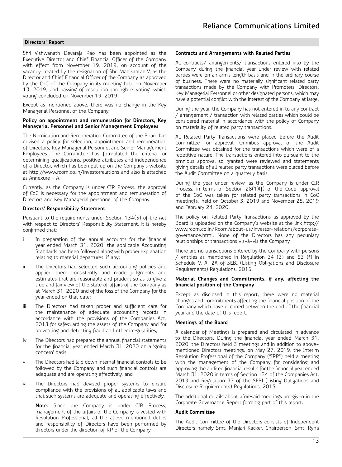Shri Vishwanath Devaraja Rao has been appointed as the Executive Director and Chief Financial Officer of the Company with effect from November 19, 2019, on account of the vacancy created by the resignation of Shri Manikantan V, as the Director and Chief Financial Officer of the Company as approved by the CoC of the Company in its meeting held on November 13, 2019, and passing of resolution through e-voting, which voting concluded on November 19, 2019.

Except as mentioned above, there was no change in the Key Managerial Personnel of the Company.

#### **Policy on appointment and remuneration for Directors, Key Managerial Personnel and Senior Management Employees**

The Nomination and Remuneration Committee of the Board has devised a policy for selection, appointment and remuneration of Directors, Key Managerial Personnel and Senior Management Employees. The Committee has formulated the criteria for determining qualifications, positive attributes and independence of a Director, which has been put up on the Company's website at http://www.rcom.co.in/investorrelations and also is attached as Annexure - A.

Currently, as the Company is under CIR Process, the approval of CoC is necessary for the appointment and remuneration of Directors and Key Managerial personnel of the Company.

#### **Directors' Responsibility Statement**

Pursuant to the requirements under Section 134(5) of the Act with respect to Directors' Responsibility Statement, it is hereby confirmed that:

- i In preparation of the annual accounts for the financial year ended March 31, 2020, the applicable Accounting Standards had been followed along with proper explanation relating to material departures, if any;
- ii The Directors had selected such accounting policies and applied them consistently and made judgments and estimates that are reasonable and prudent so as to give a true and fair view of the state of affairs of the Company as at March 31, 2020 and of the loss of the Company for the year ended on that date;
- iii The Directors had taken proper and sufficient care for the maintenance of adequate accounting records in accordance with the provisions of the Companies Act, 2013 for safeguarding the assets of the Company and for preventing and detecting fraud and other irregularities;
- iv The Directors had prepared the annual financial statements for the financial year ended March 31, 2020 on a 'going concern' basis;
- The Directors had laid down internal financial controls to be followed by the Company and such financial controls are adequate and are operating effectively, and
- vi The Directors had devised proper systems to ensure compliance with the provisions of all applicable laws and that such systems are adequate and operating effectively.

**Note:** Since the Company is under CIR Process, management of the affairs of the Company is vested with Resolution Professional, all the above mentioned duties and responsibility of Directors have been performed by directors under the direction of RP of the Company.

#### **Contracts and Arrangements with Related Parties**

All contracts/ arrangements/ transactions entered into by the Company during the financial year under review with related parties were on an arm's length basis and in the ordinary course of business. There were no materially significant related party transactions made by the Company with Promoters, Directors, Key Managerial Personnel or other designated persons, which may have a potential conflict with the interest of the Company at large.

During the year, the Company has not entered in to any contract / arrangement / transaction with related parties which could be considered material in accordance with the policy of Company on materiality of related party transactions.

All Related Party Transactions were placed before the Audit Committee for approval. Omnibus approval of the Audit Committee was obtained for the transactions which were of a repetitive nature. The transactions entered into pursuant to the omnibus approval so granted were reviewed and statements giving details of all related party transactions were placed before the Audit Committee on a quarterly basis.

During the year under review, as the Company is under CIR Process, in terms of Section 28(1)(f) of the Code, approval of the CoC was taken for related party transactions in CoC meeting(s) held on October 3, 2019 and November 25, 2019 and February 24, 2020.

The policy on Related Party Transactions as approved by the Board is uploaded on the Company's website at the link http:// www.rcom.co.in/Rcom/about-us/investor-relations/corporategovernance.html. None of the Directors has any pecuniary relationships or transactions vis-à-vis the Company.

There are no transactions entered by the Company with persons / entities as mentioned in Regulation 34 (3) and 53 (f) in Schedule V, A, 2A of SEBI (Listing Obligations and Disclosure Requirements) Regulations, 2015.

#### **Material Changes and Commitments, if any, affecting the financial position of the Company**

Except as disclosed in this report, there were no material changes and commitments affecting the financial position of the Company which have occurred between the end of the financial year and the date of this report.

## **Meetings of the Board**

A calendar of Meetings is prepared and circulated in advance to the Directors. During the financial year ended March 31, 2020, the Directors held 3 meetings and in addition to abovementioned Directors meetings, on May 27, 2019, the Interim Resolution Professional of the Company ("IRP") held a meeting with the management of the Company for considering and approving the audited financial results for the financial year ended March 31, 2020 in terms of Section 134 of the Companies Act, 2013 and Regulation 33 of the SEBI (Listing Obligations and Disclosure Requirements) Regulations, 2015.

The additional details about aforesaid meetings are given in the Corporate Governance Report forming part of this report.

#### **Audit Committee**

The Audit Committee of the Directors consists of Independent Directors namely Smt. Manjari Kacker, Chairperson, Smt. Ryna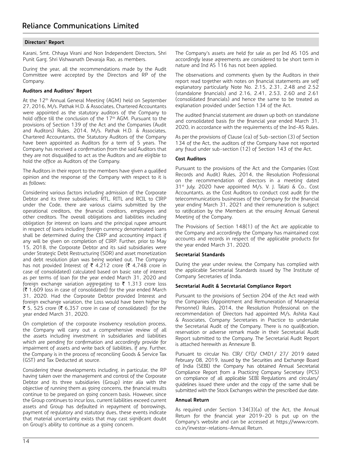Karani, Smt. Chhaya Virani and Non Independent Directors, Shri Punit Garg, Shri Vishwanath Devaraja Rao, as members.

During the year, all the recommendations made by the Audit Committee were accepted by the Directors and RP of the Company.

#### **Auditors and Auditors' Report**

At the 12<sup>th</sup> Annual General Meeting (AGM) held on September 27, 2016, M/s. Pathak H.D. & Associates, Chartered Accountants were appointed as the statutory auditors of the Company to hold office till the conclusion of the 17<sup>th</sup> AGM. Pursuant to the provisions of Section 139 of the Act and the Companies (Audit and Auditors) Rules, 2014, M/s. Pathak H.D. & Associates, Chartered Accountants, the Statutory Auditors of the Company have been appointed as Auditors for a term of 5 years. The Company has received a confirmation from the said Auditors that they are not disqualified to act as the Auditors and are eligible to hold the office as Auditors of the Company.

The Auditors in their report to the members have given a qualified opinion and the response of the Company with respect to it is as follows:

Considering various factors including admission of the Corporate Debtor and its three subsidiaries; RTL, RITL and RCIL to CIRP under the Code, there are various claims submitted by the operational creditors, the financial creditors, employees and other creditors. The overall obligations and liabilities including obligation for interest on loans and the principal rupee amount in respect of loans including foreign currency denominated loans shall be determined during the CIRP and accounting impact if any will be given on completion of CIRP. Further, prior to May 15, 2018, the Corporate Debtor and its said subsidiaries were under Strategic Debt Restructuring (SDR) and asset monetization and debt resolution plan was being worked out. The Company has not provided Interest of  $\bar{\tau}$  4,212 crore ( $\bar{\tau}$  4,748 crore in case of consolidated) calculated based on basic rate of interest as per terms of loan for the year ended March 31, 2020 and foreign exchange variation aggregating to  $\bar{\tau}$  1,313 crore loss  $(3.1,609)$  loss in case of consolidated) for the year ended March 31, 2020. Had the Corporate Debtor provided Interest and foreign exchange variation, the Loss would have been higher by ₹ 5, 525 crore (₹ 6,357 crore in case of consolidated) for the year ended March 31, 2020.

On completion of the corporate insolvency resolution process, the Company will carry out a comprehensive review of all the assets including investment in subsidiaries and liabilities which are pending for confirmation and accordingly provide for impairment of assets and write back of liabilities, if any. Further, the Company is in the process of reconciling Goods & Service Tax (GST) and Tax Deducted at source.

Considering these developments including, in particular, the RP having taken over the management and control of the Corporate Debtor and its three subsidiaries (Group) inter alia with the objective of running them as going concerns, the financial results continue to be prepared on going concern basis. However, since the Group continues to incur loss, current liabilities exceed current assets and Group has defaulted in repayment of borrowings, payment of regulatory and statutory dues, these events indicate that material uncertainty exists that may cast significant doubt on Group's ability to continue as a going concern.

The Company's assets are held for sale as per Ind AS 105 and accordingly lease agreements are considered to be short term in nature and Ind AS 116 has not been applied.

The observations and comments given by the Auditors in their report read together with notes on financial statements are self explanatory particularly Note No. 2.15, 2.31, 2.48 and 2.52 (standalone financials) and 2.16, 2.41, 2.53, 2.60 and 2.61 (consolidated financials) and hence the same to be treated as explanation provided under Section 134 of the Act.

The audited financial statement are drawn up both on standalone and consolidated basis for the financial year ended March 31, 2020, in accordance with the requirements of the Ind-AS Rules.

As per the provisions of Clause (ca) of Sub-section (3) of Section 134 of the Act, the auditors of the Company have not reported any fraud under sub-section (12) of Section 143 of the Act.

#### **Cost Auditors**

Pursuant to the provisions of the Act and the Companies (Cost Records and Audit) Rules, 2014, the Resolution Professional on the recommendation of directors in a meeting dated  $31<sup>st</sup>$  July, 2020 have appointed M/s. V. J. Talati & Co., Cost Accountants, as the Cost Auditors to conduct cost audit for the telecommunications businesses of the Company for the financial year ending March 31, 2021 and their remuneration is subject to ratification by the Members at the ensuing Annual General Meeting of the Company.

The Provisions of Section 148(1) of the Act are applicable to the Company and accordingly the Company has maintained cost accounts and records in respect of the applicable products for the year ended March 31, 2020.

## **Secretarial Standards**

During the year under review, the Company has complied with the applicable Secretarial Standards issued by The Institute of Company Secretaries of India.

#### **Secretarial Audit & Secretarial Compliance Report**

Pursuant to the provisions of Section 204 of the Act read with the Companies (Appointment and Remuneration of Managerial Personnel) Rules, 2014, the Resolution Professional on the recommendation of Directors had appointed M/s. Ashita Kaul & Associates, Company Secretaries in Practice to undertake the Secretarial Audit of the Company. There is no qualification, reservation or adverse remark made in their Secretarial Audit Report submitted to the Company. The Secretarial Audit Report is attached herewith as Annexure B.

Pursuant to circular No. CIR/ CFD/ CMD1/ 27/ 2019 dated February 08, 2019, issued by the Securities and Exchange Board of India (SEBI) the Company has obtained Annual Secretarial Compliance Report from a Practicing Company Secretary (PCS) on compliance of all applicable SEBI Regulations and circulars/ guidelines issued there under and the copy of the same shall be submitted with the Stock Exchanges within the prescribed due date.

#### **Annual Return**

As required under Section 134(3)(a) of the Act, the Annual Return for the financial year 2019-20 is put up on the Company's website and can be accessed at https://www.rcom. co.in/investor-relations-Annual Return.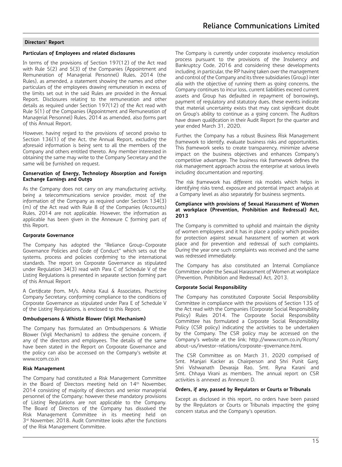#### **Particulars of Employees and related disclosures**

In terms of the provisions of Section 197(12) of the Act read with Rule 5(2) and 5(3) of the Companies (Appointment and Remuneration of Managerial Personnel) Rules, 2014 (the Rules), as amended, a statement showing the names and other particulars of the employees drawing remuneration in excess of the limits set out in the said Rules are provided in the Annual Report. Disclosures relating to the remuneration and other details as required under Section 197(12) of the Act read with Rule 5(1) of the Companies (Appointment and Remuneration of Managerial Personnel) Rules, 2014 as amended, also forms part of this Annual Report.

However, having regard to the provisions of second proviso to Section 136(1) of the Act, the Annual Report, excluding the aforesaid information is being sent to all the members of the Company and others entitled thereto. Any member interested in obtaining the same may write to the Company Secretary and the same will be furnished on request.

#### **Conservation of Energy, Technology Absorption and Foreign Exchange Earnings and Outgo**

As the Company does not carry on any manufacturing activity, being a telecommunications service provider, most of the information of the Company as required under Section 134(3) (m) of the Act read with Rule 8 of the Companies (Accounts) Rules, 2014 are not applicable. However, the information as applicable has been given in the Annexure C forming part of this Report.

#### **Corporate Governance**

The Company has adopted the "Reliance Group-Corporate Governance Policies and Code of Conduct" which sets out the systems, process and policies confirming to the international standards. The report on Corporate Governance as stipulated under Regulation 34(3) read with Para C of Schedule V of the Listing Regulations is presented in separate section forming part of this Annual Report

A Certificate from, M/s. Ashita Kaul & Associates, Practicing Company Secretary, conforming compliance to the conditions of Corporate Governance as stipulated under Para E of Schedule V of the Listing Regulations, is enclosed to this Report.

## **Ombudspersons & Whistle Blower (Vigil Mechanism)**

The Company has formulated an Ombudspersons & Whistle Blower (Vigil Mechanism) to address the genuine concern, if any of the directors and employees. The details of the same have been stated in the Report on Corporate Governance and the policy can also be accessed on the Company's website at www.rcom.co.in

#### **Risk Management**

The Company had constituted a Risk Management Committee in the Board of Directors meeting held on 14<sup>th</sup> November, 2014 consisting of majority of directors and senior managerial personnel of the Company; however these mandatory provisions of Listing Regulations are not applicable to the Company. The Board of Directors of the Company has dissolved the Risk Management Committee in its meeting held on  $3<sup>rd</sup>$  November, 2018. Audit Committee looks after the functions of the Risk Management Committee.

The Company is currently under corporate insolvency resolution process pursuant to the provisions of the Insolvency and Bankruptcy Code, 2016 and considering these developments including, in particular, the RP having taken over the management and control of the Company and its three subsidiaries (Group) inter alia with the objective of running them as going concerns, the Company continues to incur loss, current liabilities exceed current assets and Group has defaulted in repayment of borrowings, payment of regulatory and statutory dues, these events indicate that material uncertainty exists that may cast significant doubt on Group's ability to continue as a going concern. The Auditors have drawn qualification in their Audit Report for the quarter and year ended March 31, 2020.

Further, the Company has a robust Business Risk Management framework to identify, evaluate business risks and opportunities. This framework seeks to create transparency, minimize adverse impact on the business objectives and enhances Company's competitive advantage. The business risk framework defines the risk management approach across the enterprise at various levels including documentation and reporting.

The risk framework has different risk models which helps in identifying risks trend, exposure and potential impact analysis at a Company level as also separately for business segments.

#### **Compliance with provisions of Sexual Harassment of Women at workplace (Prevention, Prohibition and Redressal) Act, 2013**

The Company is committed to uphold and maintain the dignity of women employees and it has in place a policy which provides for protection against sexual harassment of women at work place and for prevention and redressal of such complaints. During the year one such complaints was received and the same was redressed immediately.

The Company has also constituted an Internal Compliance Committee under the Sexual Harassment of Women at workplace (Prevention, Prohibition and Redressal) Act, 2013.

## **Corporate Social Responsibility**

The Company has constituted Corporate Social Responsibility Committee in compliance with the provisions of Section 135 of the Act read with the Companies (Corporate Social Responsibility Policy) Rules 2014. The Corporate Social Responsibility Committee has formulated a Corporate Social Responsibility Policy (CSR policy) indicating the activities to be undertaken by the Company. The CSR policy may be accessed on the Company's website at the link; http://www.rcom.co.in/Rcom/ about-us/investor-relations/corporate-governance.html.

The CSR Committee as on March 31, 2020 comprised of Smt. Manjari Kacker as Chairperson and Shri Punit Garg, Shri Vishwanath Devaraja Rao, Smt. Ryna Karani and Smt. Chhaya Virani as members. The annual report on CSR activities is annexed as Annexure D.

## **Orders, if any, passed by Regulators or Courts or Tribunals**

Except as disclosed in this report, no orders have been passed by the Regulators or Courts or Tribunals impacting the going concern status and the Company's operation.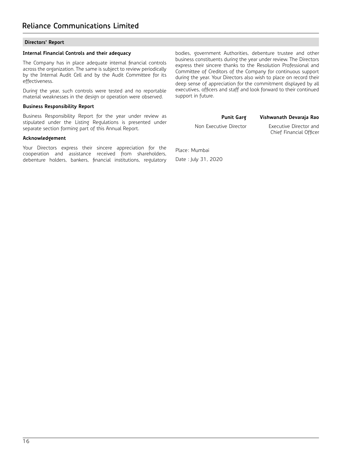## **Internal Financial Controls and their adequacy**

The Company has in place adequate internal financial controls across the organization. The same is subject to review periodically by the Internal Audit Cell and by the Audit Committee for its effectiveness.

During the year, such controls were tested and no reportable material weaknesses in the design or operation were observed.

## **Business Responsibility Report**

Business Responsibility Report for the year under review as stipulated under the Listing Regulations is presented under separate section forming part of this Annual Report.

#### **Acknowledgement**

Your Directors express their sincere appreciation for the cooperation and assistance received from shareholders, debenture holders, bankers, financial institutions, regulatory bodies, government Authorities, debenture trustee and other business constituents during the year under review. The Directors express their sincere thanks to the Resolution Professional and Committee of Creditors of the Company for continuous support during the year. Your Directors also wish to place on record their deep sense of appreciation for the commitment displayed by all executives, officers and staff and look forward to their continued support in future.

| <b>Punit Garg</b>      | Vishwanath Devaraja Rao |
|------------------------|-------------------------|
| Non Executive Director | Executive Director and  |
|                        | Chief Financial Officer |

Place: Mumbai Date : July 31, 2020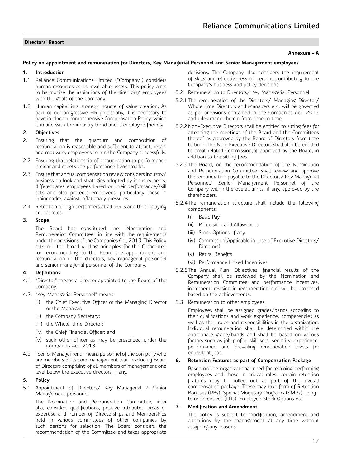## **Annexure – A**

## **Policy on appointment and remuneration for Directors, Key Managerial Personnel and Senior Management employees**

## **1. Introduction**

- 1.1 Reliance Communications Limited ("Company") considers human resources as its invaluable assets. This policy aims to harmonise the aspirations of the directors/ employees with the goals of the Company.
- 1.2 Human capital is a strategic source of value creation. As part of our progressive HR philosophy, it is necessary to have in place a comprehensive Compensation Policy, which is in line with the industry trend and is employee friendly.

## **2. Objectives**

- 2.1 Ensuring that the quantum and composition of remuneration is reasonable and sufficient to attract, retain and motivate, employees to run the Company successfully.
- 2.2 Ensuring that relationship of remuneration to performance is clear and meets the performance benchmarks.
- 2.3 Ensure that annual compensation review considers industry/ business outlook and strategies adopted by industry peers, differentiates employees based on their performance/skill sets and also protects employees, particularly those in junior cadre, against inflationary pressures;
- 2.4 Retention of high performers at all levels and those playing critical roles.

## **3. Scope**

The Board has constituted the "Nomination and Remuneration Committee" in line with the requirements under the provisions of the Companies Act, 2013. This Policy sets out the broad guiding principles for the Committee for recommending to the Board the appointment and remuneration of the directors, key managerial personnel and senior managerial personnel of the Company.

## **4. Definitions**

- 4.1. "Director" means a director appointed to the Board of the Company.
- 4.2. "Key Managerial Personnel" means
	- (i) the Chief Executive Officer or the Managing Director or the Manager;
	- (ii) the Company Secretary;
	- (iii) the Whole-time Director;
	- (iv) the Chief Financial Officer; and
	- (v) such other officer as may be prescribed under the Companies Act, 2013.
- 4.3. ''Senior Management'' means personnel of the company who are members of its core management team excluding Board of Directors comprising of all members of management one level below the executive directors, if any.

## **5. Policy**

5.1 Appointment of Directors/ Key Managerial / Senior Management personnel

The Nomination and Remuneration Committee, inter alia, considers qualifications, positive attributes, areas of expertise and number of Directorships and Memberships held in various committees of other companies by such persons for selection. The Board considers the recommendation of the Committee and takes appropriate

decisions. The Company also considers the requirement of skills and effectiveness of persons contributing to the Company's business and policy decisions.

- 5.2 Remuneration to Directors/ Key Managerial Personnel
- 5.2.1The remuneration of the Directors/ Managing Director/ Whole time Directors and Managers etc. will be governed as per provisions contained in the Companies Act, 2013 and rules made therein from time to time.
- 5.2.2 Non-Executive Directors shall be entitled to sitting fees for attending the meetings of the Board and the Committees thereof as approved by the Board of Directors from time to time. The Non-Executive Directors shall also be entitled to profit related Commission, if approved by the Board, in addition to the sitting fees.
- 5.2.3 The Board, on the recommendation of the Nomination and Remuneration Committee, shall review and approve the remuneration payable to the Directors/ Key Managerial Personnel/ Senior Management Personnel of the Company within the overall limits, if any, approved by the shareholders.
- 5.2.4The remuneration structure shall include the following components:
	- (i) Basic Pay
	- (ii) Perquisites and Allowances
	- (iii) Stock Options, if any.
	- (iv) Commission(Applicable in case of Executive Directors/ Directors)
	- (v) Retiral Benefits
	- (vi) Performance Linked Incentives
- 5.2.5The Annual Plan, Objectives, financial results of the Company shall be reviewed by the Nomination and Remuneration Committee and performance incentives, increment, revision in remuneration etc. will be proposed based on the achievements.
- 5.3 Remuneration to other employees

Employees shall be assigned grades/bands according to their qualifications and work experience, competencies as well as their roles and responsibilities in the organization. Individual remuneration shall be determined within the appropriate grade/bands and shall be based on various factors such as job profile, skill sets, seniority, experience, performance and prevailing remuneration levels for equivalent jobs.

## **6. Retention Features as part of Compensation Package**

Based on the organizational need for retaining performing employees and those in critical roles, certain retention features may be rolled out as part of the overall compensation package. These may take form of Retention Bonuses (RBs); Special Monetary Programs (SMPs), Longterm Incentives (LTIs), Employee Stock Options etc.

## **7. Modification and Amendment**

The policy is subject to modification, amendment and alterations by the management at any time without assigning any reasons.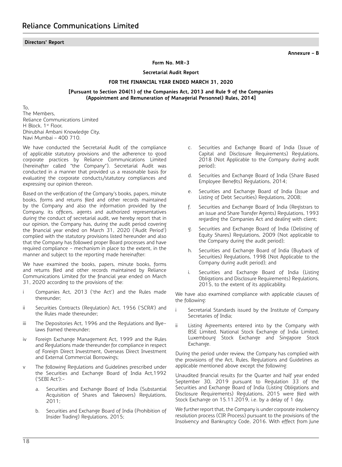**Annexure – B**

#### **Form No. MR-3**

#### **Secretarial Audit Report**

#### **FOR THE FINANCIAL YEAR ENDED MARCH 31, 2020**

#### **[Pursuant to Section 204(1) of the Companies Act, 2013 and Rule 9 of the Companies (Appointment and Remuneration of Managerial Personnel) Rules, 2014]**

To, The Members, Reliance Communications Limited H Block, 1st Floor, Dhirubhai Ambani Knowledge City, Navi Mumbai – 400 710.

We have conducted the Secretarial Audit of the compliance of applicable statutory provisions and the adherence to good corporate practices by Reliance Communications Limited (hereinafter called "the Company"). Secretarial Audit was conducted in a manner that provided us a reasonable basis for evaluating the corporate conducts/statutory compliances and expressing our opinion thereon.

Based on the verification of the Company's books, papers, minute books, forms and returns filed and other records maintained by the Company and also the information provided by the Company, its officers, agents and authorized representatives during the conduct of secretarial audit, we hereby report that in our opinion, the Company has, during the audit period covering the financial year ended on March 31, 2020 ('Audit Period') complied with the statutory provisions listed hereunder and also that the Company has followed proper Board processes and have required compliance - mechanism in place to the extent, in the manner and subject to the reporting made hereinafter:

We have examined the books, papers, minute books, forms and returns filed and other records maintained by Reliance Communications Limited for the financial year ended on March 31, 2020 according to the provisions of the:

- i Companies Act, 2013 ('the Act') and the Rules made thereunder;
- ii Securities Contracts (Regulation) Act, 1956 ('SCRA') and the Rules made thereunder;
- iii The Depositories Act, 1996 and the Regulations and Byelaws framed thereunder;
- iv Foreign Exchange Management Act, 1999 and the Rules and Regulations made thereunder for compliance in respect of Foreign Direct Investment, Overseas Direct Investment and External Commercial Borrowings;
- The following Regulations and Guidelines prescribed under the Securities and Exchange Board of India Act,1992 ('SEBI Act'):
	- a. Securities and Exchange Board of India (Substantial Acquisition of Shares and Takeovers) Regulations, 2011;
	- b. Securities and Exchange Board of India (Prohibition of Insider Trading) Regulations, 2015;
- c. Securities and Exchange Board of India (Issue of Capital and Disclosure Requirements) Regulations, 2018 (Not Applicable to the Company during audit period);
- d. Securities and Exchange Board of India (Share Based Employee Benefits) Regulations, 2014;
- e. Securities and Exchange Board of India (Issue and Listing of Debt Securities) Regulations, 2008;
- f. Securities and Exchange Board of India (Registrars to an issue and Share Transfer Agents) Regulations, 1993 regarding the Companies Act and dealing with client;
- g. Securities and Exchange Board of India (Delisting of Equity Shares) Regulations, 2009 (Not applicable to the Company during the audit period);
- h. Securities and Exchange Board of India (Buyback of Securities) Regulations, 1998 (Not Applicable to the Company during audit period); and
- i. Securities and Exchange Board of India (Listing Obligations and Disclosure Requirements) Regulations, 2015, to the extent of its applicability.

We have also examined compliance with applicable clauses of the following:

- Secretarial Standards issued by the Institute of Company Secretaries of India;
- ii Listing Agreements entered into by the Company with BSE Limited, National Stock Exchange of India Limited, Luxembourg Stock Exchange and Singapore Stock Exchange.

During the period under review, the Company has complied with the provisions of the Act, Rules, Regulations and Guidelines as applicable mentioned above except the following:

Unaudited financial results for the Quarter and half year ended September 30, 2019 pursuant to Regulation 33 of the Securities and Exchange Board of India (Listing Obligations and Disclosure Requirements) Regulations, 2015 were filed with Stock Exchange on 15.11.2019, i.e. by a delay of 1 day.

We further report that, the Company is under corporate insolvency resolution process (CIR Process) pursuant to the provisions of the Insolvency and Bankruptcy Code, 2016. With effect from June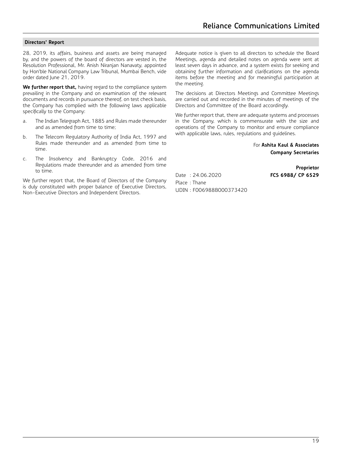28, 2019, its affairs, business and assets are being managed by, and the powers of the board of directors are vested in, the Resolution Professional, Mr. Anish Niranjan Nanavaty, appointed by Hon'ble National Company Law Tribunal, Mumbai Bench, vide order dated June 21, 2019.

**We further report that,** having regard to the compliance system prevailing in the Company and on examination of the relevant documents and records in pursuance thereof, on test check basis, the Company has complied with the following laws applicable specifically to the Company:

- a. The Indian Telegraph Act, 1885 and Rules made thereunder and as amended from time to time;
- b. The Telecom Regulatory Authority of India Act, 1997 and Rules made thereunder and as amended from time to time.
- c. The Insolvency and Bankruptcy Code, 2016 and Regulations made thereunder and as amended from time to time.

We further report that, the Board of Directors of the Company is duly constituted with proper balance of Executive Directors, Non-Executive Directors and Independent Directors.

Adequate notice is given to all directors to schedule the Board Meetings, agenda and detailed notes on agenda were sent at least seven days in advance, and a system exists for seeking and obtaining further information and clarifications on the agenda items before the meeting and for meaningful participation at the meeting.

The decisions at Directors Meetings and Committee Meetings are carried out and recorded in the minutes of meetings of the Directors and Committee of the Board accordingly.

We further report that, there are adequate systems and processes in the Company, which is commensurate with the size and operations of the Company to monitor and ensure compliance with applicable laws, rules, regulations and guidelines.

> For **Ashita Kaul & Associates Company Secretaries**

> > **Proprietor**

Date : 24.06.2020 **FCS 6988/ CP 6529** Place : Thane UDIN : F006988B000373420

19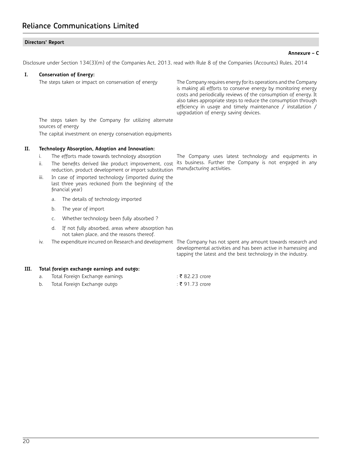#### **Annexure – C**

Disclosure under Section 134(3)(m) of the Companies Act, 2013, read with Rule 8 of the Companies (Accounts) Rules, 2014

#### **I. Conservation of Energy:**

The steps taken or impact on conservation of energy The Company requires energy for its operations and the Company is making all efforts to conserve energy by monitoring energy costs and periodically reviews of the consumption of energy. It also takes appropriate steps to reduce the consumption through efficiency in usage and timely maintenance / installation / upgradation of energy saving devices.

its business. Further the Company is not engaged in any

manufacturing activities.

The steps taken by the Company for utilizing alternate sources of energy

The capital investment on energy conservation equipments

## **II. Technology Absorption, Adoption and Innovation:**

- i. The efforts made towards technology absorption The Company uses latest technology and equipments in
- ii. The benefits derived like product improvement, cost reduction, product development or import substitution
- iii. In case of imported technology (imported during the last three years reckoned from the beginning of the financial year)
	- a. The details of technology imported
	- b. The year of import
	- c. Whether technology been fully absorbed ?
	- d. If not fully absorbed, areas where absorption has not taken place, and the reasons thereof.
- iv. The expenditure incurred on Research and development The Company has not spent any amount towards research and

developmental activities and has been active in harnessing and tapping the latest and the best technology in the industry.

#### **III. Total foreign exchange earnings and outgo:**

| Total Foreign Exchange earnings | ∶ ₹ 82.23 crore |
|---------------------------------|-----------------|
| Total Foreign Exchange outgo    | ∴₹ 91.73 crore  |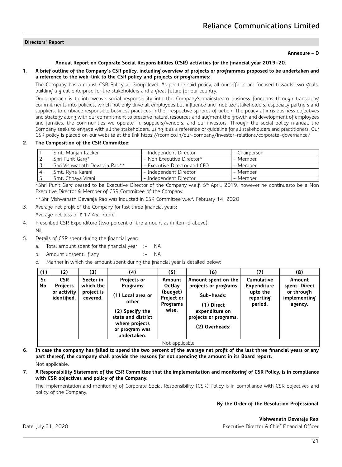#### **Annexure – D**

#### **Annual Report on Corporate Social Responsibilities (CSR) activities for the financial year 2019-20.**

**1. A brief outline of the Company's CSR policy, including overview of projects or programmes proposed to be undertaken and a reference to the web-link to the CSR policy and projects or programmes:**

 The Company has a robust CSR Policy at Group level. As per the said policy, all our efforts are focused towards two goals: building a great enterprise for the stakeholders and a great future for our country.

 Our approach is to interweave social responsibility into the Company's mainstream business functions through translating commitments into policies, which not only drive all employees but influence and mobilize stakeholders, especially partners and suppliers, to embrace responsible business practices in their respective spheres of action. The policy affirms business objectives and strategy along with our commitment to preserve natural resources and augment the growth and development of employees and families, the communities we operate in, suppliers/vendors, and our investors. Through the social policy manual, the Company seeks to engage with all the stakeholders, using it as a reference or guideline for all stakeholders and practitioners. Our CSR policy is placed on our website at the link https://rcom.co.in/our-company/investor-relations/corporate-governance/

#### **2. The Composition of the CSR Committee:**

|   | Smt. Manjari Kacker            | - Independent Director       | - Chairperson |
|---|--------------------------------|------------------------------|---------------|
|   | Shri Punit Garg*               | - Non Executive Director*    | - Member      |
| ັ | Shri Vishwanath Devaraja Rao** | - Executive Director and CFO | - Member      |
|   | Smt. Ryna Karani               | - Independent Director       | - Member      |
|   | Smt. Chhava Virani             | - Independent Director       | - Member      |

 \*Shri Punit Garg ceased to be Executive Director of the Company w.e.f. 5th April, 2019, however he continuesto be a Non Executive Director & Member of CSR Committee of the Company.

\*\*Shri Vishwanath Devaraja Rao was inducted in CSR Committee w.e.f. February 14, 2020

3. Average net profit of the Company for last three financial years:

Average net loss of  $\bar{\tau}$  17,451 Crore.

- 4. Prescribed CSR Expenditure (two percent of the amount as in item 3 above): Nil.
- 5. Details of CSR spent during the financial year:
	- a. Total amount spent for the financial year :- NA
	- b. Amount unspent, if any  $\qquad \qquad :$  NA

c. Manner in which the amount spent during the financial year is detailed below:

| (1)        | (2)                                                         | (3)                                              | (4)                                                                                                                                               | (5)                                                             | (6)                                                                                                                                  | (7)                                                                  | (8)                                                              |  |
|------------|-------------------------------------------------------------|--------------------------------------------------|---------------------------------------------------------------------------------------------------------------------------------------------------|-----------------------------------------------------------------|--------------------------------------------------------------------------------------------------------------------------------------|----------------------------------------------------------------------|------------------------------------------------------------------|--|
| Sr.<br>No. | <b>CSR</b><br><b>Projects</b><br>or activity<br>identified. | Sector in<br>which the<br>project is<br>covered. | Projects or<br>Programs<br>(1) Local area or<br>other<br>(2) Specify the<br>state and district<br>where projects<br>or program was<br>undertaken. | Amount<br>Outlay<br>(budget)<br>Project or<br>Programs<br>wise. | Amount spent on the<br>projects or programs<br>Sub-heads:<br>(1) Direct<br>expenditure on<br>projects or programs.<br>(2) Overheads: | Cumulative<br><b>Expenditure</b><br>upto the<br>reporting<br>period. | Amount<br>spent: Direct<br>or through<br>implementing<br>agency. |  |
|            | Not applicable                                              |                                                  |                                                                                                                                                   |                                                                 |                                                                                                                                      |                                                                      |                                                                  |  |

- **6. In case the company has failed to spend the two percent of the average net profit of the last three financial years or any part thereof, the company shall provide the reasons for not spending the amount in its Board report.** Not applicable.
- **7. A Responsibility Statement of the CSR Committee that the implementation and monitoring of CSR Policy, is in compliance with CSR objectives and policy of the Company.**

 The implementation and monitoring of Corporate Social Responsibility (CSR) Policy is in compliance with CSR objectives and policy of the Company.

#### **By the Order of the Resolution Professional**

## **Vishwanath Devaraja Rao**

Date: July 31, 2020 Executive Director & Chief Financial Officer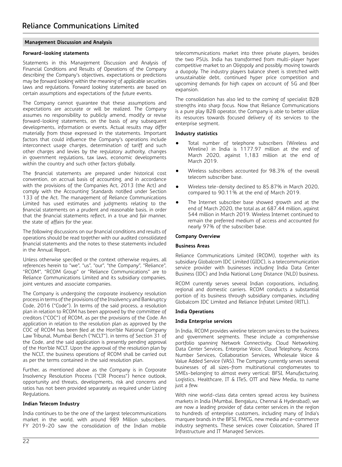## **Forward-looking statements**

Statements in this Management Discussion and Analysis of Financial Conditions and Results of Operations of the Company describing the Company's objectives, expectations or predictions may be forward looking within the meaning of applicable securities laws and regulations. Forward looking statements are based on certain assumptions and expectations of the future events.

The Company cannot guarantee that these assumptions and expectations are accurate or will be realized. The Company assumes no responsibility to publicly amend, modify or revise forward-looking statements, on the basis of any subsequent developments, information or events. Actual results may differ materially from those expressed in the statements. Important factors that could influence the Company's operations include interconnect usage charges, determination of tariff and such other charges and levies by the regulatory authority, changes in government regulations, tax laws, economic developments within the country and such other factors globally.

The financial statements are prepared under historical cost convention, on accrual basis of accounting, and in accordance with the provisions of the Companies Act, 2013 (the Act) and comply with the Accounting Standards notified under Section 133 of the Act. The management of Reliance Communications Limited has used estimates and judgments relating to the financial statements on a prudent and reasonable basis, in order that the financial statements reflect, in a true and fair manner, the state of affairs for the year.

The following discussions on our financial conditions and results of operations should be read together with our audited consolidated financial statements and the notes to these statements included in the Annual Report.

Unless otherwise specified or the context otherwise requires, all references herein to "we", "us", "our", "the Company", "Reliance", "RCOM", "RCOM Group" or "Reliance Communications" are to Reliance Communications Limited and its subsidiary companies, joint ventures and associate companies.

The Company is undergoing the corporate insolvency resolution process in terms of the provisions of the Insolvency and Bankruptcy Code, 2016 ("Code"). In terms of the said process, a resolution plan in relation to RCOM has been approved by the committee of creditors ("COC") of RCOM, as per the provisions of the Code. An application in relation to the resolution plan as approved by the COC of RCOM has been filed at the Hon'ble National Company Law Tribunal, Mumbai Bench ("NCLT"), in terms of Section 31 of the Code, and the said application is presently pending approval of the Hon'ble NCLT. Upon the approval of the resolution plan by the NCLT, the business operations of RCOM shall be carried out as per the terms contained in the said resolution plan.

Further, as mentioned above as the Company is in Corporate Insolvency Resolution Process ("CIR Process") hence outlook, opportunity and threats, developments, risk and concerns and ratios has not been provided separately as required under Listing Regulations.

## **Indian Telecom Industry**

India continues to be the one of the largest telecommunications market in the world, with around 989 Million subscribers. FY 2019-20 saw the consolidation of the Indian mobile

telecommunications market into three private players, besides the two PSUs. India has transformed from multi-player hyper competitive market to an Oligopoly and possibly moving towards a duopoly. The industry players balance sheet is stretched with unsustainable debt, continued hyper price competition and upcoming demands for high capex on account of 5G and fiber expansion.

The consolidation has also led to the coming of specialist B2B strengths into sharp focus. Now that Reliance Communications is a pure play B2B operator, the Company is able to better utilize its resources towards focused delivery of its services to the enterprise segment.

## **Industry statistics**

- Total number of telephone subscribers (Wireless and Wireline) in India is 1177.97 million at the end of March 2020, against 1,183 million at the end of March 2019.
- Wireless subscribers accounted for 98.3% of the overall telecom subscriber base.
- Wireless tele-density declined to 85.87% in March 2020, compared to 90.11% at the end of March 2019.
- The Internet subscriber base showed growth and at the end of March 2020, the total as at 687.44 million, against 544 million in March 2019. Wireless Internet continued to remain the preferred medium of access and accounted for nearly 97% of the subscriber base.

## **Company Overview**

## **Business Areas**

Reliance Communications Limited (RCOM), together with its subsidiary Globalcom IDC Limited (GIDC), is a telecommunication service provider with businesses including India Data Center Business (IDC) and India National Long Distance (NLD) business.

RCOM currently serves several Indian corporations, including, regional and domestic carriers. RCOM conducts a substantial portion of its business through subsidiary companies, including Globalcom IDC Limited and Reliance Infratel Limited (RITL).

## **India Operations**

## **India Enterprise services**

In India, RCOM provides wireline telecom services to the business and government segments. These include a comprehensive portfolio spanning Network Connectivity, Cloud Networking, Data Center Services, Enterprise Voice, Cloud Telephony, Access Number Services, Collaboration Services, Wholesale Voice & Value Added Service (VAS). The Company currently serves several businesses of all sizes-from multinational conglomerates to SMEs-belonging to almost every vertical: BFSI, Manufacturing, Logistics, Healthcare, IT & ITeS, OTT and New Media, to name just a few.

With nine world-class data centers spread across key business markets in India (Mumbai, Bengaluru, Chennai & Hyderabad), we are now a leading provider of data center services in the region to hundreds of enterprise customers, including many of India's marquee brands in the BFSI, FMCG, new media and e-commerce industry segments. These services cover Colocation, Shared IT Infrastructure and IT Managed Services.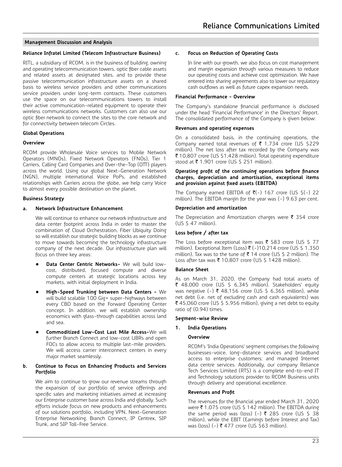#### **Reliance Infratel Limited (Telecom Infrastructure Business)**

RITL, a subsidiary of RCOM, is in the business of building, owning and operating telecommunication towers, optic fiber cable assets and related assets at designated sites, and to provide these passive telecommunication infrastructure assets on a shared basis to wireless service providers and other communications service providers under long-term contracts. These customers use the space on our telecommunications towers to install their active communication-related equipment to operate their wireless communications networks. Customers can also use our optic fiber network to connect the sites to the core network and for connectivity between telecom Circles.

#### **Global Operations**

#### **Overview**

RCOM provide Wholesale Voice services to Mobile Network Operators (MNOs), Fixed Network Operators (FNOs), Tier 1 Carriers, Calling Card Companies and Over-the-Top (OTT) players across the world. Using our global Next-Generation Network (NGN), multiple international Voice PoPs, and established relationships with Carriers across the globe, we help carry Voice to almost every possible destination on the planet.

## **Business Strategy**

#### **a. Network Infrastructure Enhancement**

We will continue to enhance our network infrastructure and data center footprint across India in order to master the combination of Cloud Orchestration, Fiber Ubiquity Doing so will establish our strategic building blocks as we continue to move towards becoming the technology infrastructure company of the next decade. Our infrastructure plan will focus on three key areas:

- **Data Center Centric Networks-** We will build lowcost, distributed, focused compute and diverse compute centers at strategic locations across key markets, with initial deployment in India.
- **High-Speed Trunking between Data Centers** We will build scalable 100 Gig+ super-highways between every CBD based on the Forward Operating Center concept. In addition, we will establish ownership economics with glass-through capabilities across land and sea.
- **Commoditized Low-Cost Last Mile Access-**We will further Branch Connect and low-cost UBRs and open FOCs to allow access to multiple last-mile providers. We will access carrier interconnect centers in every major market seamlessly.

## **b. Continue to Focus on Enhancing Products and Services Portfolio**

We aim to continue to grow our revenue streams through the expansion of our portfolio of service offerings and specific sales and marketing initiatives aimed at increasing our Enterprise customer base across India and globally. Such efforts include focus on new products and enhancements of our solutions portfolio, including VPN, Next-Generation Enterprise Networking, Branch Connect, IP Centrex, SIP Trunk, and SIP Toll-Free Service.

## **c. Focus on Reduction of Operating Costs**

In line with our growth, we also focus on cost management and margin expansion through various measures to reduce our operating costs and achieve cost optimization. We have entered into sharing agreements also to lower our regulatory cash outflows as well as future capex expansion needs.

#### **Financial Performance - Overview**

The Company's standalone financial performance is disclosed under the head 'Financial Performance' in the Directors' Report. The consolidated performance of the Company is given below:

#### **Revenues and operating expenses**

On a consolidated basis, in the continuing operations, the Company earned total revenues of  $\bar{\tau}$  1,734 crore (US \$229 million). The net loss after tax recorded by the Company was ₹ 10,807 crore (US \$1,428 million). Total operating expenditure stood at  $\bar{\tau}$  1,901 crore (US \$ 251 million).

#### **Operating profit of the continuing operations before finance charges, depreciation and amortisation, exceptional items and provision against fixed assets (EBITDA)**

The Company earned EBITDA of  $\bar{\tau}$ (-) 167 crore (US \$(-) 22 million). The EBITDA margin for the year was (-) 9.63 per cent.

#### **Depreciation and amortization**

The Depreciation and Amortization charges were  $\bar{\tau}$  354 crore (US \$ 47 million).

## **Loss before / after tax**

The Loss before exceptional item was  $\bar{\tau}$  583 crore (US \$ 77 million). Exceptional Item (Loss) ₹ (-)10,214 crore (US \$ 1,350 million), Tax was to the tune of ₹14 crore (US \$ 2 million). The Loss after tax was  $\bar{\tau}$  10,807 crore (US \$ 1428 million).

## **Balance Sheet**

As on March 31, 2020, the Company had total assets of ₹ 48,000 crore (US \$ 6,345 million). Stakeholders' equity was negative (-)  $\bar{\tau}$  48,156 crore (US \$ 6,365 million), while net debt (i.e. net of excluding cash and cash equivalents) was ₹ 45,060 crore (US \$ 5,956 million), giving a net debt to equity ratio of (0.94) times.

#### **Segment-wise Review**

**1. India Operations**

## **Overview**

RCOM's 'India Operations' segment comprises the following businesses-voice, long-distance services and broadband access to enterprise customers; and managed Internet data centre services. Additionally, our company Reliance Tech Services Limited (RTS) is a complete end-to-end IT and Technology solutions provider to RCOM Business units through delivery and operational excellence.

## **Revenues and Profit**

The revenues for the financial year ended March 31, 2020 were  $\bar{\tau}$  1,075 crore (US \$ 142 million). The EBITDA during the same period was (loss) (-)  $\bar{\tau}$  285 crore (US \$ 38 million), while the EBIT (Earnings before Interest and Tax) was (loss) (-)  $\bar{\tau}$  477 crore (US \$63 million).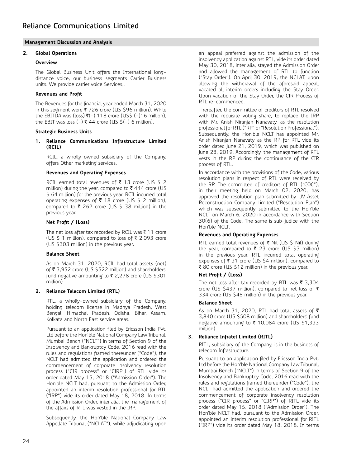## **2. Global Operations**

## **Overview**

The Global Business Unit offers the International longdistance voice, our business segments Carrier Business units. We provide carrier voice Services,.

## **Revenues and Profit**

The Revenues for the financial year ended March 31, 2020 in this segment were  $\bar{\tau}$  726 crore (US \$96 million). While the EBITDA was (loss)  $\bar{\tau}(-)$  118 crore (US\$ (-)16 million), the EBIT was loss (-)  $\bar{\tau}$  44 crore (US \$(-) 6 million).

## **Strategic Business Units**

## **1. Reliance Communications Infrastructure Limited (RCIL)**

 RCIL, a wholly-owned subsidiary of the Company, offers Other marketing services.

## **Revenues and Operating Expenses**

RCIL earned total revenues of  $\bar{\tau}$  13 crore (US \$ 2 million) during the year, compared to  $\bar{\tau}$  444 crore (US \$ 64 million) for the previous year. RCIL incurred total operating expenses of  $\bar{\tau}$  18 crore (US \$ 2 million), compared to  $\bar{\tau}$  262 crore (US \$ 38 million) in the previous year.

## **Net Profit / (Loss)**

The net loss after tax recorded by RCIL was  $\bar{\tau}$  11 crore (US \$ 1 million), compared to loss of  $\bar{\tau}$  2,093 crore (US \$303 million) in the previous year.

## **Balance Sheet**

 As on March 31, 2020, RCIL had total assets (net) of ₹ 3,952 crore (US \$522 million) and shareholders' fund negative amounting to  $\bar{\tau}$  2,278 crore (US \$301 million).

## **2. Reliance Telecom Limited (RTL)**

 RTL, a wholly-owned subsidiary of the Company, holding telecom license in Madhya Pradesh, West Bengal, Himachal Pradesh, Odisha, Bihar, Assam, Kolkata and North East service areas.

 Pursuant to an application filed by Ericsson India Pvt. Ltd before the Hon'ble National Company Law Tribunal, Mumbai Bench ("NCLT") in terms of Section 9 of the Insolvency and Bankruptcy Code, 2016 read with the rules and regulations framed thereunder ("Code"), the NCLT had admitted the application and ordered the commencement of corporate insolvency resolution process ("CIR process" or "CIRP") of RTL vide its order dated May 15, 2018 ("Admission Order"). The Hon'ble NCLT had, pursuant to the Admission Order, appointed an interim resolution professional for RTL ("IRP") vide its order dated May 18, 2018. In terms of the Admission Order, inter alia, the management of the affairs of RTL was vested in the IRP.

 Subsequently, the Hon'ble National Company Law Appellate Tribunal ("NCLAT"), while adjudicating upon

an appeal preferred against the admission of the insolvency application against RTL, vide its order dated May 30, 2018, inter alia, stayed the Admission Order and allowed the management of RTL to function ("Stay Order"). On April 30, 2019, the NCLAT, upon allowing the withdrawal of the aforesaid appeal, vacated all interim orders including the Stay Order. Upon vacation of the Stay Order, the CIR Process of RTL re-commenced.

 Thereafter, the committee of creditors of RTL resolved with the requisite voting share, to replace the IRP with Mr. Anish Niranjan Nanavaty, as the resolution professional for RTL ("RP" or "Resolution Professional"). Subsequently, the Hon'ble NCLT has appointed Mr. Anish Niranjan Nanavaty as the RP for RTL vide its order dated June 21, 2019, which was published on June 28, 2019. Accordingly, the management of RTL vests in the RP during the continuance of the CIR process of RTL.

 In accordance with the provisions of the Code, various resolution plans in respect of RTL were received by the RP. The committee of creditors of RTL ("COC"), in their meeting held on March 02, 2020, has approved the resolution plan submitted by UV Asset Reconstruction Company Limited ("Resolution Plan") which was subsequently submitted to the Hon'ble NCLT on March 6, 2020 in accordance with Section 30(6) of the Code. The same is sub-judice with the Hon'ble NCLT.

## **Revenues and Operating Expenses**

RTL earned total revenues of  $\bar{\tau}$  Nil (US \$ Nil) during the year, compared to  $\bar{\tau}$  23 crore (US \$3 million) in the previous year. RTL incurred total operating expenses of  $\bar{\tau}$  31 crore (US \$4 million), compared to ₹ 80 crore (US \$12 million) in the previous year.

## **Net Profit / (Loss)**

The net loss after tax recorded by RTL was  $\bar{\tau}$  3,304 crore (US \$437 million), compared to net loss of  $\bar{\tau}$ 334 crore (US \$48 million) in the previous year.

## **Balance Sheet**

As on March 31, 2020, RTL had total assets of  $\bar{\tau}$ 3,840 crore (US \$508 million) and shareholders' fund negative amounting to  $\bar{\tau}$  10,084 crore (US \$1,333 million).

## **3. Reliance Infratel Limited (RITL)**

 RITL, subsidiary of the Company, is in the business of telecom Infrastructure.

 Pursuant to an application filed by Ericsson India Pvt. Ltd before the Hon'ble National Company Law Tribunal, Mumbai Bench ("NCLT") in terms of Section 9 of the Insolvency and Bankruptcy Code, 2016 read with the rules and regulations framed thereunder ("Code"), the NCLT had admitted the application and ordered the commencement of corporate insolvency resolution process ("CIR process" or "CIRP") of RITL vide its order dated May 15, 2018 ("Admission Order"). The Hon'ble NCLT had, pursuant to the Admission Order, appointed an interim resolution professional for RITL ("IRP") vide its order dated May 18, 2018. In terms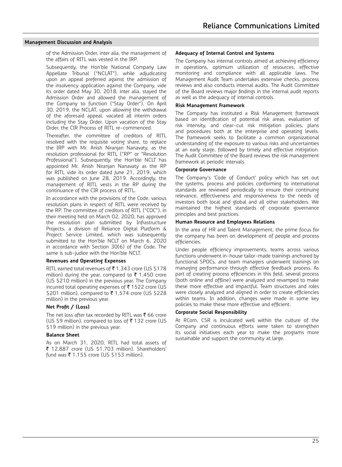of the Admission Order, inter alia, the management of the affairs of RITL was vested in the IRP.

 Subsequently, the Hon'ble National Company Law Appellate Tribunal ("NCLAT"), while adjudicating upon an appeal preferred against the admission of the insolvency application against the Company, vide its order dated May 30, 2018, inter alia, stayed the Admission Order and allowed the management of the Company to function ("Stay Order"). On April 30, 2019, the NCLAT, upon allowing the withdrawal of the aforesaid appeal, vacated all interim orders including the Stay Order. Upon vacation of the Stay Order, the CIR Process of RITL re-commenced.

 Thereafter, the committee of creditors of RITL resolved with the requisite voting share, to replace the IRP with Mr. Anish Niranjan Nanavaty, as the resolution professional for RITL ("RP" or "Resolution Professional"). Subsequently, the Hon'ble NCLT has appointed Mr. Anish Niranjan Nanavaty as the RP for RITL vide its order dated June 21, 2019, which was published on June 28, 2019. Accordingly, the management of RITL vests in the RP during the continuance of the CIR process of RITL.

 In accordance with the provisions of the Code, various resolution plans in respect of RITL were received by the RP. The committee of creditors of RITL ("COC"), in their meeting held on March 02, 2020, has approved the resolution plan submitted by Infrastructure Projects, a division of Reliance Digital Platform & Project Service Limited, which was subsequently submitted to the Hon'ble NCLT on March 6, 2020 in accordance with Section 30(6) of the Code. The same is sub-judice with the Hon'ble NCLT.

## **Revenues and Operating Expenses**

RITL earned total revenues of ₹1,343 crore (US \$178 million) during the year, compared to  $\bar{\tau}$  1,450 crore (US \$210 million) in the previous year. The Company incurred total operating expenses of  $\bar{\tau}$  1522 crore (US \$201 million), compared to ₹1,574 crore (US \$228 million) in the previous year.

#### **Net Profit / (Loss)**

The net loss after tax recorded by RITL was  $\bar{\tau}$  66 crore (US \$9 million), compared to loss of  $\bar{\tau}$  132 crore (US \$19 million) in the previous year.

#### **Balance Sheet**

 As on March 31, 2020, RITL had total assets of ` 12,887 crore (US \$1,703 million). Shareholders' fund was  $\bar{\tau}$  1,155 crore (US \$153 million).

#### **Adequacy of Internal Control and Systems**

The Company has internal controls aimed at achieving efficiency in operations, optimum utilization of resources, effective monitoring and compliance with all applicable laws. The Management Audit Team undertakes extensive checks, process reviews and also conducts internal audits. The Audit Committee of the Board reviews major findings in the internal audit reports as well as the adequacy of internal controls.

#### **Risk Management Framework**

The Company has instituted a Risk Management framework based on identification of potential risk areas, evaluation of risk intensity, and clear-cut risk mitigation policies, plans and procedures both at the enterprise and operating levels. The framework seeks to facilitate a common organizational understanding of the exposure to various risks and uncertainties at an early stage, followed by timely and effective mitigation. The Audit Committee of the Board reviews the risk management framework at periodic intervals.

#### **Corporate Governance**

The Company's 'Code of Conduct' policy which has set out the systems, process and policies conforming to international standards are reviewed periodically to ensure their continuing relevance, effectiveness and responsiveness to the needs of investors both local and global and all other stakeholders. We maintained the highest standards of corporate governance principles and best practices.

#### **Human Resource and Employees Relations**

In the area of HR and Talent Management, the prime focus for the company has been on development of people and process efficiencies.

Under people efficiency improvements, teams across various functions underwent in-house tailor-made trainings anchored by functional SPOCs, and team managers underwent trainings on managing performance through effective feedback process. As part of creating process efficiencies in this field, several process (both online and offline) were analyzed and revamped to make these more effective and impactful. Team structures and roles were closely analyzed and aligned in order to create efficiencies within teams. In addition, changes were made in some key policies to make these more effective and efficient.

#### **Corporate Social Responsibility**

At RCom, CSR is inculcated well within the culture of the Company and continuous efforts were taken to strengthen its social initiatives each year to make the programs more sustainable and support the community at large.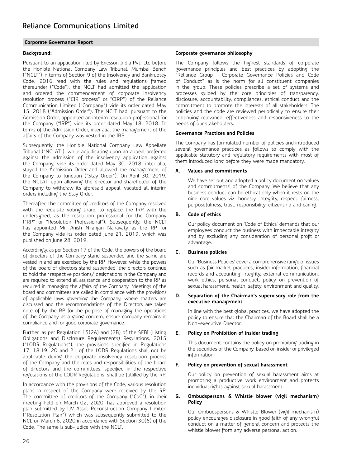## **Background:**

Pursuant to an application filed by Ericsson India Pvt. Ltd before the Hon'ble National Company Law Tribunal, Mumbai Bench ("NCLT") in terms of Section 9 of the Insolvency and Bankruptcy Code, 2016 read with the rules and regulations framed thereunder ("Code"), the NCLT had admitted the application and ordered the commencement of corporate insolvency resolution process ("CIR process" or "CIRP") of the Reliance Communication Limited ("Company") vide its order dated May 15, 2018 ("Admission Order"). The NCLT had, pursuant to the Admission Order, appointed an interim resolution professional for the Company ("IRP") vide its order dated May 18, 2018. In terms of the Admission Order, inter alia, the management of the affairs of the Company was vested in the IRP.

Subsequently, the Hon'ble National Company Law Appellate Tribunal ("NCLAT"), while adjudicating upon an appeal preferred against the admission of the insolvency application against the Company, vide its order dated May 30, 2018, inter alia, stayed the Admission Order and allowed the management of the Company to function ("Stay Order"). On April 30, 2019, the NCLAT, upon allowing the director and shareholder of the Company to withdraw its aforesaid appeal, vacated all interim orders including the Stay Order.

Thereafter, the committee of creditors of the Company resolved with the requisite voting share, to replace the IRP with the undersigned, as the resolution professional for the Company ("RP" or "Resolution Professional"). Subsequently, the NCLT has appointed Mr. Anish Niranjan Nanavaty as the RP for the Company vide its order dated June 21, 2019, which was published on June 28, 2019.

Accordingly, as per Section 17 of the Code, the powers of the board of directors of the Company stand suspended and the same are vested in and are exercised by the RP. However, while the powers of the board of directors stand suspended, the directors continue to hold their respective positions/ designations in the Company and are required to extend all assistance and cooperation to the RP as required in managing the affairs of the Company. Meetings of the board and committees are called in compliance with the provisions of applicable laws governing the Company, where matters are discussed and the recommendations of the Directors are taken note of by the RP for the purpose of managing the operations of the Company as a going concern, ensure company remains in compliance and for good corporate governance.

Further, as per Regulation 15(2A) and (2B) of the SEBI (Listing Obligations and Disclosure Requirements) Regulations, 2015 ("LODR Regulations"), the provisions specified in Regulations 17, 18,19, 20 and 21 of the LODR Regulations shall not be applicable during the corporate insolvency resolution process of the Company and the roles and responsibilities of the board of directors and the committees, specified in the respective regulations of the LODR Regulations, shall be fulfilled by the RP.

In accordance with the provisions of the Code, various resolution plans in respect of the Company were received by the RP. The committee of creditors of the Company ("CoC"), in their meeting held on March 02, 2020, has approved a resolution plan submitted by UV Asset Reconstruction Company Limited ("Resolution Plan") which was subsequently submitted to the NCLTon March 6, 2020 in accordance with Section 30(6) of the Code. The same is sub-judice with the NCLT.

## **Corporate governance philosophy**

The Company follows the highest standards of corporate governance principles and best practices by adopting the "Reliance Group – Corporate Governance Policies and Code of Conduct" as is the norm for all constituent companies in the group. These policies prescribe a set of systems and processes guided by the core principles of transparency, disclosure, accountability, compliances, ethical conduct and the commitment to promote the interests of all stakeholders. The policies and the code are reviewed periodically to ensure their continuing relevance, effectiveness and responsiveness to the needs of our stakeholders.

## **Governance Practices and Policies**

The Company has formulated number of policies and introduced several governance practices as follows to comply with the applicable statutory and regulatory requirements with most of them introduced long before they were made mandatory.

## **A. Values and commitments**

We have set out and adopted a policy document on 'values and commitments' of the Company. We believe that any business conduct can be ethical only when it rests on the nine core values viz. honesty, integrity, respect, fairness, purposefulness, trust, responsibility, citizenship and caring.

## **B. Code of ethics**

Our policy document on 'Code of Ethics' demands that our employees conduct the business with impeccable integrity and by excluding any consideration of personal profit or advantage.

## **C. Business policies**

Our 'Business Policies' cover a comprehensive range of issues such as fair market practices, insider information, financial records and accounting integrity, external communication, work ethics, personal conduct, policy on prevention of sexual harassment, health, safety, environment and quality.

## **D. Separation of the Chairman's supervisory role from the executive management**

In line with the best global practices, we have adopted the policy to ensure that the Chairman of the Board shall be a Non-executive Director.

## **E. Policy on Prohibition of insider trading**

This document contains the policy on prohibiting trading in the securities of the Company, based on insider or privileged information.

## **F. Policy on prevention of sexual harassment**

Our policy on prevention of sexual harassment aims at promoting a productive work environment and protects individual rights against sexual harassment.

## **G. Ombudspersons & Whistle blower (vigil mechanism) Policy**

Our Ombudspersons & Whistle Blower (vigil mechanism) policy encourages disclosure in good faith of any wrongful conduct on a matter of general concern and protects the whistle blower from any adverse personal action.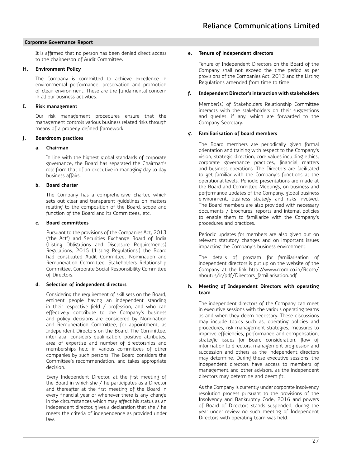It is affirmed that no person has been denied direct access to the chairperson of Audit Committee.

## **H. Environment Policy**

The Company is committed to achieve excellence in environmental performance, preservation and promotion of clean environment. These are the fundamental concern in all our business activities.

## **I. Risk management**

Our risk management procedures ensure that the management controls various business related risks through means of a properly defined framework.

## **J. Boardroom practices**

## **a. Chairman**

 In line with the highest global standards of corporate governance, the Board has separated the Chairman's role from that of an executive in managing day to day business affairs.

## **b. Board charter**

 The Company has a comprehensive charter, which sets out clear and transparent guidelines on matters relating to the composition of the Board, scope and function of the Board and its Committees, etc.

## **c. Board committees**

 Pursuant to the provisions of the Companies Act, 2013 ('the Act') and Securities Exchange Board of India (Listing Obligations and Disclosure Requirements) Regulations, 2015 ('Listing Regulations') the Board had constituted Audit Committee, Nomination and Remuneration Committee, Stakeholders Relationship Committee, Corporate Social Responsibility Committee of Directors.

## **d. Selection of independent directors**

Considering the requirement of skill sets on the Board, eminent people having an independent standing in their respective field / profession, and who can effectively contribute to the Company's business and policy decisions are considered by Nomination and Remuneration Committee, for appointment, as Independent Directors on the Board. The Committee, inter alia, considers qualification, positive attributes, area of expertise and number of directorships and memberships held in various committees of other companies by such persons. The Board considers the Committee's recommendation, and takes appropriate decision.

 Every Independent Director, at the first meeting of the Board in which she / he participates as a Director and thereafter at the first meeting of the Board in every financial year or whenever there is any change in the circumstances which may affect his status as an independent director, gives a declaration that she / he meets the criteria of independence as provided under law.

## **e. Tenure of independent directors**

Tenure of Independent Directors on the Board of the Company shall not exceed the time period as per provisions of the Companies Act, 2013 and the Listing Regulations amended from time to time.

## **f. Independent Director's interaction with stakeholders**

Member(s) of Stakeholders Relationship Committee interacts with the stakeholders on their suggestions and queries, if any, which are forwarded to the Company Secretary.

## **g. Familiarisation of board members**

The Board members are periodically given formal orientation and training with respect to the Company's vision, strategic direction, core values including ethics, corporate governance practices, financial matters and business operations. The Directors are facilitated to get familiar with the Company's functions at the operational levels. Periodic presentations are made at the Board and Committee Meetings, on business and performance updates of the Company, global business environment, business strategy and risks involved. The Board members are also provided with necessary documents / brochures, reports and internal policies to enable them to familiarize with the Company's procedures and practices.

 Periodic updates for members are also given out on relevant statutory changes and on important issues impacting the Company's business environment.

 The details of program for familiarisation of independent directors is put up on the website of the Company at the link http://www.rcom.co.in/Rcom/ aboutus/ir/pdf/Directors\_familiarisation.pdf

#### **h. Meeting of Independent Directors with operating team**

The independent directors of the Company can meet in executive sessions with the various operating teams as and when they deem necessary. These discussions may include topics such as, operating policies and procedures, risk management strategies, measures to improve efficiencies, performance and compensation, strategic issues for Board consideration, flow of information to directors, management progression and succession and others as the independent directors may determine. During these executive sessions, the independent directors have access to members of management and other advisors, as the independent directors may determine and deem fit.

 As the Company is currently under corporate insolvency resolution process pursuant to the provisions of the Insolvency and Bankruptcy Code, 2016 and powers of Board of Directors stands suspended, during the year under review no such meeting of Independent Directors with operating team was held.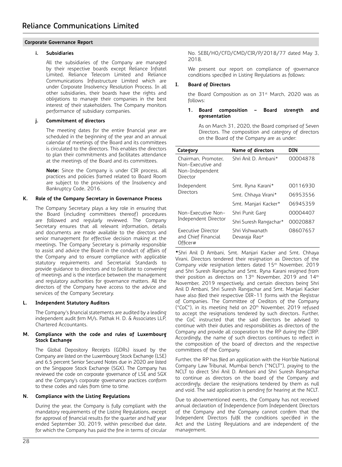## **i. Subsidiaries**

All the subsidiaries of the Company are managed by their respective boards except Reliance Infratel Limited, Reliance Telecom Limited and Reliance Communications Infrastructure Limited which are under Corporate Insolvency Resolution Process. In all other subsidiaries, their boards have the rights and obligations to manage their companies in the best interest of their stakeholders. The Company monitors performance of subsidiary companies.

## **j. Commitment of directors**

The meeting dates for the entire financial year are scheduled in the beginning of the year and an annual calendar of meetings of the Board and its committees is circulated to the directors. This enables the directors to plan their commitments and facilitates attendance at the meetings of the Board and its committees.

 **Note:** Since the Company is under CIR process, all practices and policies framed related to Board Room are subject to the provisions of the Insolvency and Bankruptcy Code, 2016.

## **K. Role of the Company Secretary in Governance Process**

The Company Secretary plays a key role in ensuring that the Board (including committees thereof) procedures are followed and regularly reviewed. The Company Secretary ensures that all relevant information, details and documents are made available to the directors and senior management for effective decision making at the meetings. The Company Secretary is primarily responsible to assist and advice the Board in the conduct of affairs of the Company and to ensure compliance with applicable statutory requirements and Secretarial Standards to provide guidance to directors and to facilitate to convening of meetings and is the interface between the management and regulatory authorities for governance matters. All the directors of the Company have access to the advice and services of the Company Secretary.

## **L. Independent Statutory Auditors**

The Company's financial statements are audited by a leading independent audit firm M/s. Pathak H. D. & Associates LLP, Chartered Accountants.

## **M. Compliance with the code and rules of Luxembourg Stock Exchange**

The Global Depository Receipts (GDRs) issued by the Company are listed on the Luxembourg Stock Exchange (LSE) and 6.5 percent Senior Secured Notes due in 2020 are listed on the Singapore Stock Exchange (SGX). The Company has reviewed the code on corporate governance of LSE and SGX and the Company's corporate governance practices conform to these codes and rules from time to time.

## **N. Compliance with the Listing Regulations**

During the year, the Company is fully compliant with the mandatory requirements of the Listing Regulations, except for approval of financial results for the quarter and half year ended September 30, 2019, within prescribed due date, for which the Company has paid the fine in terms of circular No. SEBI/HO/CFD/CMD/CIR/P/2018/77 dated May 3, 2018.

We present our report on compliance of governance conditions specified in Listing Regulations as follows:

## **I. Board of Directors**

the Board Composition as on 31<sup>st</sup> March, 2020 was as follows:

## **1. Board composition – Board strength and epresentation**

 As on March 31, 2020, the Board comprised of Seven Directors. The composition and category of directors on the Board of the Company are as under:

| Category                                                                | Name of directors                            | DIN      |
|-------------------------------------------------------------------------|----------------------------------------------|----------|
| Chairman, Promoter,<br>Non-Executive and<br>Non-Independent<br>Director | Shri Anil D. Ambani*                         | 00004878 |
| Independent                                                             | Smt. Ryna Karani*                            | 00116930 |
| Directors                                                               | Smt. Chhaya Virani*                          | 06953556 |
|                                                                         | Smt. Manjari Kacker*                         | 06945359 |
| Non-Executive Non-                                                      | Shri Punit Garg                              | 00004407 |
| Independent Director                                                    | Shri Suresh Rangachar*                       | 00020887 |
| <b>Executive Director</b><br>and Chief Financial<br>Officer#            | Shri Vishwanath<br>Devaraja Rao <sup>#</sup> | 08607657 |

**\***Shri Anil D Ambani, Smt. Manjari Kacker and Smt. Chhaya Virani, Directors tendered their resignation as Directors of the Company *vide* resignation letters dated 15th November, 2019 and Shri Suresh Rangachar and Smt. Ryna Karani resigned from their position as directors on 13<sup>th</sup> November, 2019 and 14<sup>th</sup> November, 2019 respectively, and certain directors being Shri Anil D Ambani, Shri Suresh Rangachar and Smt. Manjari Kacker have also filed their respective DIR-11 forms with the Registrar of Companies. The Committee of Creditors of the Company ("CoC"), in its meeting held on 20<sup>th</sup> November, 2019 refused to accept the resignations tendered by such directors. Further, the CoC instructed that the said directors be advised to continue with their duties and responsibilities as directors of the Company and provide all cooperation to the RP during the CIRP. Accordingly, the name of such directors continues to reflect in the composition of the board of directors and the respective committees of the Company.

Further, the RP has filed an application with the Hon'ble National Company Law Tribunal, Mumbai bench ("NCLT"), praying to the NCLT to direct Shri Anil D. Ambani and Shri Suresh Rangachar to continue as directors on the board of the Company and accordingly, declare the resignations tendered by them as null and void. The said application is pending for hearing at the NCLT.

Due to abovementioned events, the Company has not received annual declaration of Independence from Independent Directors of the Company and the Company cannot confirm that the Independent Directors fulfil the conditions specified in the Act and the Listing Regulations and are independent of the management.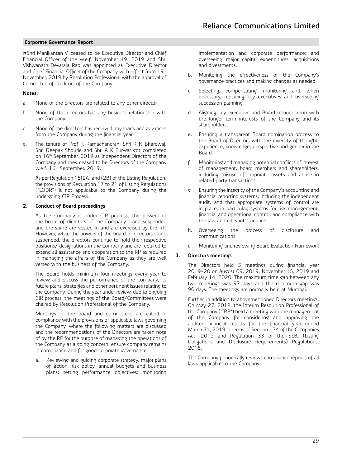**#**Shri Manikantan V, ceased to be Executive Director and Chief Financial Officer of the w.e.f. November 19, 2019 and Shri Vishwanath Devaraja Rao was appointed as Executive Director and Chief Financial Officer of the Company with effect from 19th November, 2019 by Resolution Professional with the approval of Committee of Creditors of the Company.

## **Notes:**

- a. None of the directors are related to any other director.
- b. None of the directors has any business relationship with the Company.
- c. None of the directors has received any loans and advances from the Company during the financial year.
- d. The tenure of Prof. J. Ramachandran, Shri R N Bhardwaj, Shri Deepak Shourie and Shri A K Purwar got completed on 16th September, 2019 as Independent Directors of the Company and they ceased to be Directors of the Company w.e.f. 16th September, 2019.

As per Regulation 15(2A) and (2B) of the Listing Regulation, the provisions of Regulation 17 to 21 of Listing Regulations ("LODR") is not applicable to the Company during the undergoing CIR Process.

## **2. Conduct of Board proceedings**

As the Company is under CIR process, the powers of the board of directors of the Company stand suspended and the same are vested in and are exercised by the RP. However, while the powers of the board of directors stand suspended, the directors continue to hold their respective positions/ designations in the Company and are required to extend all assistance and cooperation to the RP as required in managing the affairs of the Company as they are well versed with the business of the Company.

The Board holds minimum four meetings every year to review and discuss the performance of the Company, its future plans, strategies and other pertinent issues relating to the Company. During the year under review, due to ongoing CIR process, the meetings of the Board/Committees were chaired by Resolution Professional of the Company.

Meetings of the board and committees are called in compliance with the provisions of applicable laws governing the Company, where the following matters are discussed and the recommendations of the Directors are taken note of by the RP for the purpose of managing the operations of the Company as a going concern, ensure company remains in compliance and for good corporate governance.

a. Reviewing and guiding corporate strategy, major plans of action, risk policy, annual budgets and business plans; setting performance objectives; monitoring

implementation and corporate performance; and overseeing major capital expenditures, acquisitions and divestments.

- b. Monitoring the effectiveness of the Company's governance practices and making changes as needed.
- c. Selecting, compensating, monitoring and, when necessary, replacing key executives and overseeing succession planning.
- d. Aligning key executive and Board remuneration with the longer term interests of the Company and its shareholders.
- e. Ensuring a transparent Board nomination process to the Board of Directors with the diversity of thought, experience, knowledge, perspective and gender in the Board.
- f. Monitoring and managing potential conflicts of interest of management, board members and shareholders, including misuse of corporate assets and abuse in related party transactions.
- g. Ensuring the integrity of the Company's accounting and financial reporting systems, including the independent audit, and that appropriate systems of control are in place, in particular, systems for risk management, financial and operational control, and compliance with the law and relevant standards.
- h. Overseeing the process of disclosure and communications.
- i. Monitoring and reviewing Board Evaluation Framework

## **3. Directors meetings**

The Directors held 3 meetings during financial year 2019-20 on August 09, 2019, November 15, 2019 and February 14, 2020. The maximum time gap between any two meetings was 97 days and the minimum gap was 90 days. The meetings are normally held at Mumbai.

Further, in addition to abovementioned Directors meetings, On May 27, 2019, the Interim Resolution Professional of the Company ("IRP") held a meeting with the management of the Company for considering and approving the audited financial results for the financial year ended March 31, 2019 in terms of Section 134 of the Companies Act, 2013 and Regulation 33 of the SEBI (Listing Obligations and Disclosure Requirements) Regulations, 2015.

The Company periodically reviews compliance reports of all laws applicable to the Company.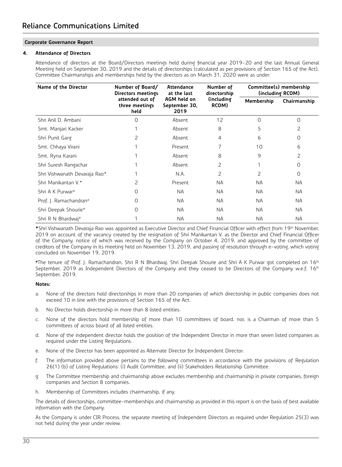## **4. Attendance of Directors**

Attendance of directors at the Board/Directors meetings held during financial year 2019-20 and the last Annual General Meeting held on September 30, 2019 and the details of directorships (calculated as per provisions of Section 165 of the Act), Committee Chairmanships and memberships held by the directors as on March 31, 2020 were as under:

| Name of the Director           | Number of Board/<br>Directors meetings    | Attendance<br>at the last            | Number of<br>directorship | Committee(s) membership<br>(including RCOM) |              |
|--------------------------------|-------------------------------------------|--------------------------------------|---------------------------|---------------------------------------------|--------------|
|                                | attended out of<br>three meetings<br>held | AGM held on<br>September 30,<br>2019 | (including<br>RCOM)       | Membership                                  | Chairmanship |
| Shri Anil D. Ambani            | 0                                         | Absent                               | 12                        | 0                                           | 0            |
| Smt. Manjari Kacker            |                                           | Absent                               | 8                         | 5                                           | 2            |
| Shri Punit Garg                | 2                                         | Absent                               | 4                         | 6                                           | 0            |
| Smt. Chhaya Virani             |                                           | Present                              | 7                         | 10                                          | 6            |
| Smt. Ryna Karani               |                                           | Absent                               | 8                         | 9                                           | 2            |
| Shri Suresh Rangachar          |                                           | Absent                               | $\overline{c}$            |                                             | $\Omega$     |
| Shri Vishwanath Devaraja Rao*  |                                           | N.A.                                 | 2                         | 2                                           | O            |
| Shri Manikantan V.*            | 2                                         | Present                              | <b>NA</b>                 | <b>NA</b>                                   | <b>NA</b>    |
| Shri A K Purwar <sup>#</sup>   | Ω                                         | <b>NA</b>                            | <b>NA</b>                 | <b>NA</b>                                   | <b>NA</b>    |
| Prof. J. Ramachandran#         | Ω                                         | <b>NA</b>                            | <b>NA</b>                 | <b>NA</b>                                   | <b>NA</b>    |
| Shri Deepak Shourie#           | 0                                         | <b>NA</b>                            | <b>NA</b>                 | <b>NA</b>                                   | <b>NA</b>    |
| Shri R N Bhardwaj <sup>#</sup> |                                           | <b>NA</b>                            | <b>NA</b>                 | <b>NA</b>                                   | <b>NA</b>    |

 **\***Shri Vishwanath Devaraja Rao was appointed as Executive Director and Chief Financial Officer with effect from 19th November, 2019 on account of the vacancy created by the resignation of Shri Manikantan V, as the Director and Chief Financial Officer of the Company, notice of which was received by the Company on October 4, 2019, and approved by the committee of creditors of the Company in its meeting held on November 13, 2019, and passing of resolution through e-voting, which voting concluded on November 19, 2019.

 **#**The tenure of Prof. J. Ramachandran, Shri R N Bhardwaj, Shri Deepak Shourie and Shri A K Purwar got completed on 16th September, 2019 as Independent Directors of the Company and they ceased to be Directors of the Company w.e.f. 16<sup>th</sup> September, 2019.

## **Notes:**

- a. None of the directors hold directorships in more than 20 companies of which directorship in public companies does not exceed 10 in line with the provisions of Section 165 of the Act.
- b. No Director holds directorship in more than 8 listed entities.
- c. None of the directors hold membership of more than 10 committees of board, nor, is a Chairman of more than 5 committees of across board of all listed entities.
- d. None of the independent director holds the position of the Independent Director in more than seven listed companies as required under the Listing Regulations.
- e. None of the Director has been appointed as Alternate Director for Independent Director.
- f. The information provided above pertains to the following committees in accordance with the provisions of Regulation 26(1) (b) of Listing Regulations: (i) Audit Committee, and (ii) Stakeholders Relationship Committee.
- g. The Committee membership and chairmanship above excludes membership and chairmanship in private companies, foreign companies and Section 8 companies.
- h. Membership of Committees includes chairmanship, if any.

The details of directorships, committee-memberships and chairmanship as provided in this report is on the basis of best available information with the Company.

As the Company is under CIR Process, the separate meeting of Independent Directors as required under Regulation 25(3) was not held during the year under review.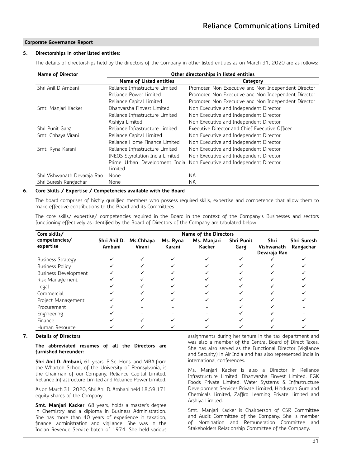#### **5. Directorships in other listed entities:**

The details of directorships held by the directors of the Company in other listed entities as on March 31, 2020 are as follows:

| Name of Director                                    | Other directorships in listed entities |                                                      |  |  |
|-----------------------------------------------------|----------------------------------------|------------------------------------------------------|--|--|
|                                                     | Name of Listed entities                | Category                                             |  |  |
| Shri Anil D Ambani                                  | Reliance Infrastructure Limited        | Promoter, Non Executive and Non Independent Director |  |  |
|                                                     | Reliance Power Limited                 | Promoter, Non Executive and Non Independent Director |  |  |
|                                                     | Reliance Capital Limited               | Promoter, Non Executive and Non Independent Director |  |  |
| Smt. Manjari Kacker                                 | Dhanvarsha Finvest Limited             | Non Executive and Independent Director               |  |  |
|                                                     | Reliance Infrastructure Limited        | Non Executive and Independent Director               |  |  |
|                                                     | Arshiya Limited                        | Non Executive and Independent Director               |  |  |
| Shri Punit Garg                                     | Reliance Infrastructure Limited        | Executive Director and Chief Executive Officer       |  |  |
| Smt. Chhaya Virani                                  | Reliance Capital Limited               | Non Executive and Independent Director               |  |  |
|                                                     | Reliance Home Finance Limited          | Non Executive and Independent Director               |  |  |
| Smt. Ryna Karani<br>Reliance Infrastructure Limited |                                        | Non Executive and Independent Director               |  |  |
|                                                     | <b>INEOS Styrolution India Limited</b> | Non Executive and Independent Director               |  |  |
|                                                     | Prime Urban Development India          | Non Executive and Independent Director               |  |  |
|                                                     | Limited                                |                                                      |  |  |
| Shri Vishwanath Devaraja Rao                        | None                                   | <b>NA</b>                                            |  |  |
| Shri Suresh Rangachar                               | None                                   | <b>NA</b>                                            |  |  |

#### **6. Core Skills / Expertise / Competencies available with the Board**

The board comprises of highly qualified members who possess required skills, expertise and competence that allow them to make effective contributions to the Board and its Committees.

The core skills/ expertise/ competencies required in the Board in the context of the Company's Businesses and sectors functioning effectively as identified by the Board of Directors of the Company are tabulated below:

| Core skills/                | Name of the Directors  |                     |                    |                              |                           |                                           |                          |
|-----------------------------|------------------------|---------------------|--------------------|------------------------------|---------------------------|-------------------------------------------|--------------------------|
| competencies/<br>expertise  | Shri Anil D.<br>Ambani | Ms.Chhaya<br>Virani | Ms. Ryna<br>Karani | Ms. Manjari<br><b>Kacker</b> | <b>Shri Punit</b><br>Garg | <b>Shri</b><br>Vishwanath<br>Devaraja Rao | Shri Suresh<br>Rangachar |
| Business Strategy           |                        |                     |                    |                              |                           |                                           |                          |
| <b>Business Policy</b>      |                        |                     |                    |                              |                           |                                           |                          |
| <b>Business Development</b> |                        |                     |                    |                              |                           |                                           |                          |
| Risk Management             |                        |                     |                    |                              |                           |                                           |                          |
| Legal                       |                        |                     |                    |                              |                           |                                           |                          |
| Commercial                  |                        |                     |                    |                              |                           |                                           |                          |
| Project Management          |                        |                     |                    |                              |                           |                                           |                          |
| Procurement                 |                        |                     |                    |                              |                           |                                           |                          |
| Engineering                 |                        |                     |                    |                              |                           |                                           |                          |
| Finance                     |                        |                     |                    |                              |                           |                                           |                          |
| Human Resource              |                        |                     |                    |                              |                           |                                           |                          |

## **7. Details of Directors**

**The abbreviated resumes of all the Directors are furnished hereunder:**

**Shri Anil D. Ambani,** 61 years, B.Sc. Hons. and MBA from the Wharton School of the University of Pennsylvania, is the Chairman of our Company, Reliance Capital Limited, Reliance Infrastructure Limited and Reliance Power Limited.

As on March 31, 2020, Shri Anil D. Ambani held 18,59,171 equity shares of the Company.

**Smt. Manjari Kacker**, 68 years, holds a master's degree in Chemistry and a diploma in Business Administration. She has more than 40 years of experience in taxation, finance, administration and vigilance. She was in the Indian Revenue Service batch of 1974. She held various

assignments during her tenure in the tax department and was also a member of the Central Board of Direct Taxes. She has also served as the Functional Director (Vigilance and Security) in Air India and has also represented India in international conferences.

Ms. Manjari Kacker is also a Director in Reliance Infrastructure Limited, Dhanvarsha Finvest Limited, EGK Foods Private Limited, Water Systems & Infrastructure Development Services Private Limited, Hindustan Gum and Chemicals Limited, Zaffiro Learning Private Limited and Arshiya Limited.

Smt. Manjari Kacker is Chairperson of CSR Committee and Audit Committee of the Company. She is member of Nomination and Remuneration Committee and Stakeholders Relationship Committee of the Company.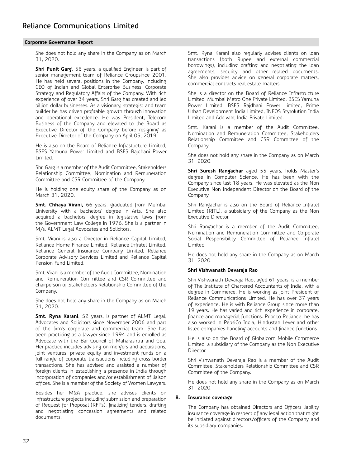She does not hold any share in the Company as on March 31, 2020.

**Shri Punit Garg**, 56 years, a qualified Engineer, is part of senior management team of Reliance Groupsince 2001. He has held several positions in the Company, including CEO of Indian and Global Enterprise Business, Corporate Strategy and Regulatory Affairs of the Company. With rich experience of over 34 years, Shri Garg has created and led billion dollar businesses. As a visionary, strategist and team builder he has driven profitable growth through innovation and operational excellence. He was President, Telecom Business of the Company and elevated to the Board as Executive Director of the Company before resigning as Executive Director of the Company on April 05, 2019.

He is also on the Board of Reliance Infrastucture Limited, BSES Yamuna Power Limited and BSES Rajdhani Power Limited.

Shri Garg is a member of the Audit Committee, Stakeholders Relationship Committee, Nomination and Remuneration Committee and CSR Committee of the Company.

He is holding one equity share of the Company as on March 31, 2020.

**Smt. Chhaya Virani,** 66 years, graduated from Mumbai University with a bachelors' degree in Arts. She also acquired a bachelors' degree in legislative laws from the Government Law College in 1976. She is a partner in M/s. ALMT Legal Advocates and Solicitors.

Smt. Virani is also a Director in Reliance Capital Limited, Reliance Home Finance Limited, Reliance Infratel Limited, Reliance General Insurance Company Limited, Reliance Corporate Advisory Services Limited and Reliance Capital Pension Fund Limited.

Smt. Virani is a member of the Audit Committee, Nomination and Remuneration Committee and CSR Committee and chairperson of Stakeholders Relationship Committee of the Company.

She does not hold any share in the Company as on March 31, 2020.

**Smt. Ryna Karani**, 52 years, is partner of ALMT Legal, Advocates and Solicitors since November 2006 and part of the firm's corporate and commercial team. She has been practicing as a lawyer since 1994 and is enrolled as Advocate with the Bar Council of Maharashtra and Goa. Her practice includes advising on mergers and acquisitions, joint ventures, private equity and investment funds on a full range of corporate transactions including cross border transactions. She has advised and assisted a number of foreign clients in establishing a presence in India through incorporation of companies and/or establishment of liaison offices. She is a member of the Society of Women Lawyers.

Besides her M&A practice, she advises clients on infrastructure projects including submission and preparation of Request for Proposal (RFPs), finalizing tenders, drafting and negotiating concession agreements and related documents.

Smt. Ryna Karani also regularly advises clients on loan transactions (both Rupee and external commercial borrowings), including drafting and negotiating the loan agreements, security and other related documents. She also provides advice on general corporate matters, commercial contracts real estate matters.

She is a director on the Board of Reliance Infrastructure Limited, Mumbai Metro One Private Limited, BSES Yamuna Power Limited, BSES Rajdhani Power Limited, Prime Urban Development India Limited, INEOS Styrolution India Limited and Addivant India Private Limited.

Smt. Karani is a member of the Audit Committee, Nomination and Remuneration Committee, Stakeholders Relationship Committee and CSR Committee of the Company.

She does not hold any share in the Company as on March 31, 2020.

**Shri Suresh Rangachar** aged 55 years, holds Master's degree in Computer Science. He has been with the Company since last 18 years. He was elevated as the Non Executive Non Independent Director on the Board of the Company.

Shri Rangachar is also on the Board of Reliance Infratel Limited (RITL), a subsidiary of the Company as the Non Executive Director.

Shri Rangachar is a member of the Audit Committee, Nomination and Remuneration Committee and Corporate Social Responsibility Committee of Reliance Infratel Limited.

He does not hold any share in the Company as on March 31, 2020.

## **Shri Vishwanath Devaraja Rao**

Shri Vishwanath Devaraja Rao, aged 61 years, is a member of The Institute of Chartered Accountants of India, with a degree in Commerce. He is working as Joint President of Reliance Communications Limited. He has over 37 years of experience. He is with Reliance Group since more than 19 years. He has varied and rich experience in corporate, finance and managerial functions. Prior to Reliance, he has also worked in PepsiCo India, Hindustan Lever and other listed companies handling accounts and finance functions.

He is also on the Board of Globalcom Mobile Commerce Limited, a subsidiary of the Company as the Non Executive Director.

Shri Vishwanath Devaraja Rao is a member of the Audit Committee, Stakeholders Relationship Committee and CSR Committee of the Company.

He does not hold any share in the Company as on March 31, 2020.

#### **8. Insurance coverage**

The Company has obtained Directors and Officers liability insurance coverage in respect of any legal action that might be initiated against directors/officers of the Company and its subsidiary companies.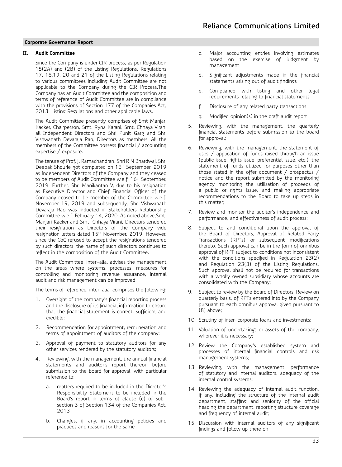## **II. Audit Committee**

Since the Company is under CIR process, as per Regulation 15(2A) and (2B) of the Listing Regulations, Regulations 17, 18,19, 20 and 21 of the Listing Regulations relating to various committees including Audit Committee are not applicable to the Company during the CIR Process.The Company has an Audit Committee and the composition and terms of reference of Audit Committee are in compliance with the provisions of Section 177 of the Companies Act, 2013, Listing Regulations and other applicable laws.

The Audit Committee presently comprises of Smt Manjari Kacker, Chairperson, Smt. Ryna Karani, Smt. Chhaya Virani all Independent Directors and Shri Punit Garg and Shri Vishwanath Devaraja Rao, Directors as members. All the members of the Committee possess financial / accounting expertise / exposure.

The tenure of Prof. J. Ramachandran, Shri R N Bhardwaj, Shri Deepak Shourie got completed on 16<sup>th</sup> September, 2019 as Independent Directors of the Company and they ceased to be members of Audit Committee w.e.f. 16<sup>th</sup> September, 2019. Further, Shri Manikantan V, due to his resignation as Executive Director and Chief Financial Officer of the Company ceased to be member of the Committee w.e.f. November 19, 2019 and subsequently, Shri Vishwanath Devaraja Rao was inducted in Stakeholders Relationship Committee w.e.f. February 14, 2020. As noted above,Smt. Manjari Kacker and Smt. Chhaya Virani, Directors tendered their resignation as Directors of the Company vide resignation letters dated 15<sup>th</sup> November, 2019. However, since the CoC refused to accept the resignations tendered by such directors, the name of such directors continues to reflect in the composition of the Audit Committee.

The Audit Committee, inter-alia, advises the management on the areas where systems, processes, measures for controlling and monitoring revenue assurance, internal audit and risk management can be improved.

The terms of reference, inter-alia, comprises the following:

- 1. Oversight of the company's financial reporting process and the disclosure of its financial information to ensure that the financial statement is correct, sufficient and credible;
- 2. Recommendation for appointment, remuneration and terms of appointment of auditors of the company;
- 3. Approval of payment to statutory auditors for any other services rendered by the statutory auditors;
- 4. Reviewing, with the management, the annual financial statements and auditor's report thereon before submission to the board for approval, with particular reference to:
	- a. matters required to be included in the Director's Responsibility Statement to be included in the Board's report in terms of clause (c) of subsection 3 of Section 134 of the Companies Act, 2013
	- b. Changes, if any, in accounting policies and practices and reasons for the same
- c. Major accounting entries involving estimates based on the exercise of judgment by management
- d. Significant adjustments made in the financial statements arising out of audit findings
- e. Compliance with listing and other legal requirements relating to financial statements
- f. Disclosure of any related party transactions
- g. Modified opinion(s) in the draft audit report
- 5. Reviewing, with the management, the quarterly financial statements before submission to the board for approval;
- 6. Reviewing, with the management, the statement of uses / application of funds raised through an issue (public issue, rights issue, preferential issue, etc.), the statement of funds utilized for purposes other than those stated in the offer document / prospectus / notice and the report submitted by the monitoring agency monitoring the utilisation of proceeds of a public or rights issue, and making appropriate recommendations to the Board to take up steps in this matter;
- 7. Review and monitor the auditor's independence and performance, and effectiveness of audit process;
- 8. Subject to and conditional upon the approval of the Board of Directors, Approval of Related Party Transactions (RPTs) or subsequent modifications thereto. Such approval can be in the form of omnibus approval of RPT subject to conditions not inconsistent with the conditions specified in Regulation 23(2) and Regulation 23(3) of the Listing Regulations. Such approval shall not be required for transactions with a wholly owned subsidiary whose accounts are consolidated with the Company;
- 9. Subject to review by the Board of Directors, Review on quarterly basis, of RPTs entered into by the Company pursuant to each omnibus approval given pursuant to (8) above;
- 10. Scrutiny of inter-corporate loans and investments;
- 11. Valuation of undertakings or assets of the company, wherever it is necessary;
- 12. Review the Company's established system and processes of internal financial controls and risk management systems;
- 13. Reviewing, with the management, performance of statutory and internal auditors, adequacy of the internal control systems;
- 14. Reviewing the adequacy of internal audit function, if any, including the structure of the internal audit department, staffing and seniority of the official heading the department, reporting structure coverage and frequency of internal audit;
- 15. Discussion with internal auditors of any significant findings and follow up there on;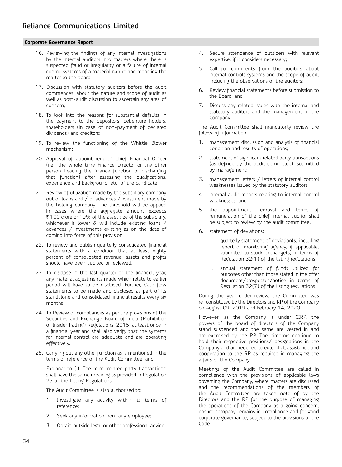- 16. Reviewing the findings of any internal investigations by the internal auditors into matters where there is suspected fraud or irregularity or a failure of internal control systems of a material nature and reporting the matter to the board;
- 17. Discussion with statutory auditors before the audit commences, about the nature and scope of audit as well as post-audit discussion to ascertain any area of concern;
- 18. To look into the reasons for substantial defaults in the payment to the depositors, debenture holders, shareholders (in case of non-payment of declared dividends) and creditors;
- 19. To review the functioning of the Whistle Blower mechanism;
- 20. Approval of appointment of Chief Financial Officer (i.e., the whole-time Finance Director or any other person heading the finance function or discharging that function) after assessing the qualifications, experience and background, etc. of the candidate;
- 21. Review of utilization made by the subsidiary company out of loans and / or advances /investment made by the holding company. The threshold will be applied in cases where the aggregate amount exceeds ₹ 100 crore or 10% of the asset size of the subsidiary, whichever is lower & will include existing loans / advances / investments existing as on the date of coming into force of this provision.
- 22. To review and publish quarterly consolidated financial statements with a condition that at least eighty percent of consolidated revenue, assets and profits should have been audited or reviewed.
- 23. To disclose in the last quarter of the financial year, any material adjustments made which relate to earlier period will have to be disclosed. Further, Cash flow statements to be made and disclosed as part of its standalone and consolidated financial results every six months.
- 24. To Review of compliances as per the provisions of the Securities and Exchange Board of India (Prohibition of Insider Trading) Regulations, 2015, at least once in a financial year and shall also verify that the systems for internal control are adequate and are operating effectively.
- 25. Carrying out any other function as is mentioned in the terms of reference of the Audit Committee; and

 Explanation (i): The term 'related party transactions' shall have the same meaning as provided in Regulation 23 of the Listing Regulations.

The Audit Committee is also authorised to:

- 1. Investigate any activity within its terms of reference;
- 2. Seek any information from any employee;
- 3. Obtain outside legal or other professional advice;
- 4. Secure attendance of outsiders with relevant expertise, if it considers necessary;
- 5. Call for comments from the auditors about internal controls systems and the scope of audit, including the observations of the auditors;
- 6. Review financial statements before submission to the Board; and
- 7. Discuss any related issues with the internal and statutory auditors and the management of the Company.

 The Audit Committee shall mandatorily review the following information:

- 1. management discussion and analysis of financial condition and results of operations;
- 2. statement of significant related party transactions (as defined by the audit committee), submitted by management;
- 3. management letters / letters of internal control weaknesses issued by the statutory auditors;
- 4. internal audit reports relating to internal control weaknesses; and
- 5. the appointment, removal and terms of remuneration of the chief internal auditor shall be subject to review by the audit committee.
- 6. statement of deviations:
	- i. quarterly statement of deviation(s) including report of monitoring agency, if applicable, submitted to stock exchange(s) in terms of Regulation 32(1) of the listing regulations.
	- ii. annual statement of funds utilized for purposes other than those stated in the offer document/prospectus/notice in terms of Regulation 32(7) of the listing regulations.

During the year under review, the Committee was re-constituted by the Directors and RP of the Company on August 09, 2019 and February 14, 2020.

 However, as the Company is under CIRP, the powers of the board of directors of the Company stand suspended and the same are vested in and are exercised by the RP. The directors continue to hold their respective positions/ designations in the Company and are required to extend all assistance and cooperation to the RP as required in managing the affairs of the Company.

 Meetings of the Audit Committee are called in compliance with the provisions of applicable laws governing the Company, where matters are discussed and the recommendations of the members of the Audit Committee are taken note of by the Directors and the RP for the purpose of managing the operations of the Company as a going concern, ensure company remains in compliance and for good corporate governance, subject to the provisions of the Code.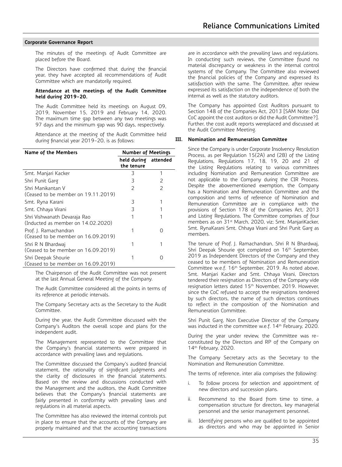The minutes of the meetings of Audit Committee are placed before the Board.

The Directors have confirmed that during the financial year, they have accepted all recommendations of Audit Committee which are mandatorily required.

#### **Attendance at the meetings of the Audit Committee held during 2019-20.**

The Audit Committee held its meetings on August 09, 2019, November 15, 2019 and February 14, 2020. The maximum time gap between any two meetings was 97 days and the minimum gap was 90 days, respectively.

Attendance at the meeting of the Audit Committee held during financial year 2019-20, is as follows:

| Name of the Members                                                | <b>Number of Meetings</b>          |   |  |
|--------------------------------------------------------------------|------------------------------------|---|--|
|                                                                    | held during attended<br>the tenure |   |  |
| Smt. Manjari Kacker                                                | 3                                  | 1 |  |
| Shri Punit Garg                                                    | 3                                  | 2 |  |
| Shri Manikantan V<br>(Ceased to be member on 19.11.2019)           | $\mathcal{P}$                      | 2 |  |
| Smt. Ryna Karani                                                   | 3                                  |   |  |
| Smt. Chhaya Virani                                                 | 3                                  |   |  |
| Shri Vishwanath Devaraja Rao<br>(Inducted as member on 14.02.2020) | 1                                  |   |  |
| Prof. J. Ramachandran<br>(Ceased to be member on 16.09.2019)       |                                    | Ω |  |
| Shri R N Bhardwaj<br>(Ceased to be member on 16.09.2019)           |                                    | 1 |  |
| Shri Deepak Shourie<br>(Ceased to be member on 16.09.2019)         |                                    |   |  |

The Chairperson of the Audit Committee was not present at the last Annual General Meeting of the Company.

The Audit Committee considered all the points in terms of its reference at periodic intervals.

The Company Secretary acts as the Secretary to the Audit Committee.

During the year, the Audit Committee discussed with the Company's Auditors the overall scope and plans for the independent audit.

The Management represented to the Committee that the Company's financial statements were prepared in accordance with prevailing laws and regulations.

The Committee discussed the Company's audited financial statement, the rationality of significant judgments and the clarity of disclosures in the financial statements. Based on the review and discussions conducted with the Management and the auditors, the Audit Committee believes that the Company's financial statements are fairly presented in conformity with prevailing laws and regulations in all material aspects.

The Committee has also reviewed the internal controls put in place to ensure that the accounts of the Company are properly maintained and that the accounting transactions

are in accordance with the prevailing laws and regulations. In conducting such reviews, the Committee found no material discrepancy or weakness in the internal control systems of the Company. The Committee also reviewed the financial policies of the Company and expressed its satisfaction with the same. The Committee, after review expressed its satisfaction on the independence of both the internal as well as the statutory auditors.

The Company has appointed Cost Auditors pursuant to Section 148 of the Companies Act, 2013 [SAM Note: Did CoC appoint the cost auditors or did the Audit Committee?]. Further, the cost audit reports wereplaced and discussed at the Audit Committee Meeting.

#### **III. Nomination and Remuneration Committee**

Since the Company is under Corporate Insolvency Resolution Process, as per Regulation 15(2A) and (2B) of the Listing Regulations, Regulations 17, 18, 19, 20 and 21 of the Listing Regulations relating to various committees including Nomination and Remuneration Committee are not applicable to the Company during the CIR Process. Despite the abovementioned exemption, the Company has a Nomination and Remuneration Committee and the composition and terms of reference of Nomination and Remuneration Committee are in compliance with the provisions of Section 178 of the Companies Act, 2013 and Listing Regulations. The Committee comprises of four members as on 31<sup>st</sup> March, 2020, viz; Smt. ManjariKacker, Smt. RynaKarani Smt. Chhaya Virani and Shri Punit Garg as members.

The tenure of Prof. J. Ramachandran, Shri R N Bhardwaj, Shri Deepak Shourie got completed on 16<sup>th</sup> September, 2019 as Independent Directors of the Company and they ceased to be members of Nomination and Remuneration Committee w.e.f. 16<sup>th</sup> September, 2019. As noted above, Smt. Manjari Kacker and Smt. Chhaya Virani, Directors tendered their resignation as Directors of the Company vide resignation letters dated 15<sup>th</sup> November, 2019. However, since the CoC refused to accept the resignations tendered by such directors, the name of such directors continues to reflect in the composition of the Nomination and Remuneration Committee.

Shri Punit Garg, Non Executive Director of the Company was inducted in the committee w.e.f. 14th February, 2020.

During the year under review, the Committee was reconstituted by the Directors and RP of the Company on 14th February, 2020.

The Company Secretary acts as the Secretary to the Nomination and Remuneration Committee.

The terms of reference, inter alia comprises the following:

- i. To follow process for selection and appointment of new directors and succession plans.
- ii. Recommend to the Board from time to time, a compensation structure for directors, key managerial personnel and the senior management personnel.
- iii. Identifying persons who are qualified to be appointed as directors and who may be appointed in Senior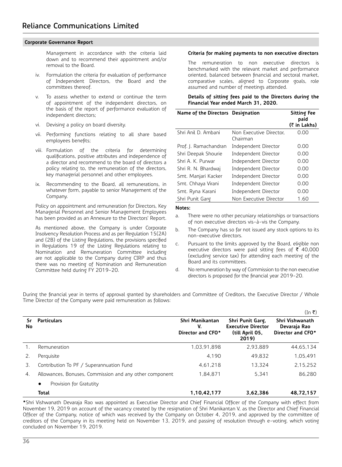Management in accordance with the criteria laid down and to recommend their appointment and/or removal to the Board.

- iv. Formulation the criteria for evaluation of performance of Independent Directors, the Board and the committees thereof.
- v. To assess whether to extend or continue the term of appointment of the independent directors, on the basis of the report of performance evaluation of independent directors;
- vi. Devising a policy on board diversity.
- vii. Performing functions relating to all share based employees benefits;
- viii. Formulation of the criteria for determining qualifications, positive attributes and independence of a director and recommend to the board of directors a policy relating to, the remuneration of the directors, key managerial personnel and other employees.
- ix. Recommending to the Board, all remunerations, in whatever form, payable to senior Management of the Company.

Policy on appointment and remuneration for Directors, Key Managerial Personnel and Senior Management Employees has been provided as an Annexure to the Directors' Report.

As mentioned above, the Company is under Corporate Insolvency Resolution Process and as per Regulation 15(2A) and (2B) of the Listing Regulations, the provisions specified in Regulations 19 of the Listing Regulations relating to Nomination and Remuneration Committee including are not applicable to the Company during CIRP and thus there was no meeting of Nomination and Remuneration Committee held during FY 2019-20.

#### **Criteria for making payments to non executive directors**

The remuneration to non executive directors is benchmarked with the relevant market and performance oriented, balanced between financial and sectoral market, comparative scales, aligned to Corporate goals, role assumed and number of meetings attended.

**Details of sitting fees paid to the Directors during the Financial Year ended March 31, 2020.**

| Name of the Directors Designation |                                     | <b>Sitting Fee</b><br>paid<br>(₹ in Lakhs) |
|-----------------------------------|-------------------------------------|--------------------------------------------|
| Shri Anil D. Ambani               | Non Executive Director.<br>Chairman | 0.00                                       |
| Prof. J. Ramachandran             | Independent Director                | 0.00                                       |
| Shri Deepak Shourie               | Independent Director                | 0.00                                       |
| Shri A. K. Purwar                 | Independent Director                | 0.00                                       |
| Shri R. N. Bhardwai               | Independent Director                | 0.00                                       |
| Smt. Manjari Kacker               | Independent Director                | 0.00                                       |
| Smt. Chhaya Virani                | Independent Director                | 0.00                                       |
| Smt. Ryna Karani                  | Independent Director                | 0.00                                       |
| Shri Punit Garg                   | Non Executive Director              | 1.60                                       |

#### **Notes:**

- a. There were no other pecuniary relationships or transactions of non executive directors vis-à-vis the Company.
- b. The Company has so far not issued any stock options to its non-executive directors.
- c. Pursuant to the limits approved by the Board, eligible non executive directors were paid sitting fees of  $\overline{\mathfrak{k}}$  40,000 (excluding service tax) for attending each meeting of the Board and its committees.
- d. No remuneration by way of Commission to the non executive directors is proposed for the financial year 2019-20.

 $(1 - \infty)$ 

During the financial year in terms of approval granted by shareholders and Committee of Creditors, the Executive Director / Whole Time Director of the Company were paid remuneration as follows:

|          |                                                         |                                            |                                                                           | $(111)$ $\zeta$ )                                    |
|----------|---------------------------------------------------------|--------------------------------------------|---------------------------------------------------------------------------|------------------------------------------------------|
| Sr<br>No | <b>Particulars</b>                                      | Shri Manikantan<br>V.<br>Director and CFO* | Shri Punit Garg,<br><b>Executive Director</b><br>(till April 05,<br>2019) | Shri Vishwanath<br>Devaraja Rao<br>Director and CFO* |
|          | Remuneration                                            | 1,03,91,898                                | 2.93.889                                                                  | 44,65,134                                            |
| 2.       | Perguisite                                              | 4.190                                      | 49.832                                                                    | 1,05,491                                             |
| 3.       | Contribution To PF / Superannuation Fund                | 4.61.218                                   | 13.324                                                                    | 2,15,252                                             |
| 4.       | Allowances, Bonuses, Commission and any other component | 1.84.871                                   | 5.341                                                                     | 86,280                                               |
|          | Provision for Gratutity<br>٠                            |                                            |                                                                           |                                                      |
|          | <b>Total</b>                                            | 1,10,42,177                                | 3,62,386                                                                  | 48,72,157                                            |

**\***Shri Vishwanath Devaraja Rao was appointed as Executive Director and Chief Financial Officer of the Company with effect from November 19, 2019 on account of the vacancy created by the resignation of Shri Manikantan V, as the Director and Chief Financial Officer of the Company, notice of which was received by the Company on October 4, 2019, and approved by the committee of creditors of the Company in its meeting held on November 13, 2019, and passing of resolution through e-voting, which voting concluded on November 19, 2019.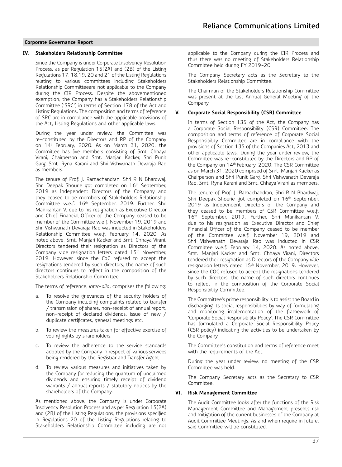## **IV. Stakeholders Relationship Committee**

Since the Company is under Corporate Insolvency Resolution Process, as per Regulation 15(2A) and (2B) of the Listing Regulations 17, 18,19, 20 and 21 of the Listing Regulations relating to various committees including Stakeholders Relationship Committeeare not applicable to the Company during the CIR Process. Despite the abovementioned exemption, the Company has a Stakeholders Relationship Committee ('SRC') in terms of Section 178 of the Act and Listing Regulations. The composition and terms of reference of SRC are in compliance with the applicable provisions of the Act, Listing Regulations and other applicable laws.

During the year under review, the Committee was re-constituted by the Directors and RP of the Company on 14th February, 2020. As on March 31, 2020, the Committee has five members consisting of Smt. Chhaya Virani, Chairperson and Smt. Manjari Kacker, Shri Punit Garg, Smt. Ryna Karani and Shri Vishwanath Devaraja Rao as members.

The tenure of Prof. J. Ramachandran, Shri R N Bhardwaj, Shri Deepak Shourie got completed on 16<sup>th</sup> September, 2019 as Independent Directors of the Company and they ceased to be members of Stakeholders Relationship Committee w.e.f. 16th September, 2019. Further, Shri Manikantan V, due to his resignation as Executive Director and Chief Financial Officer of the Company ceased to be member of the Committee w.e.f. November 19, 2019 and Shri Vishwanath Devaraja Rao was inducted in Stakeholders Relationship Committee w.e.f. February 14, 2020. As noted above, Smt. Manjari Kacker and Smt. Chhaya Virani, Directors tendered their resignation as Directors of the Company vide resignation letters dated 15<sup>th</sup> November, 2019. However, since the CoC refused to accept the resignations tendered by such directors, the name of such directors continues to reflect in the composition of the Stakeholders Relationship Committee.

The terms of reference, *inter-alia*, comprises the following:

- a. To resolve the grievances of the security holders of the Company including complaints related to transfer / transmission of shares, non-receipt of annual report, non-receipt of declared dividends, issue of new / duplicate certificates, general meetings etc.
- b. To review the measures taken for effective exercise of voting rights by shareholders.
- c. To review the adherence to the service standards adopted by the Company in respect of various services being rendered by the Registrar and Transfer Agent.
- d. To review various measures and initiatives taken by the Company for reducing the quantum of unclaimed dividends and ensuring timely receipt of dividend warrants / annual reports / statutory notices by the shareholders of the Company.

As mentioned above, the Company is under Corporate Insolvency Resolution Process and as per Regulation 15(2A) and (2B) of the Listing Regulations, the provisions specified in Regulations 20 of the Listing Regulations relating to Stakeholders Relationship Committee including are not

applicable to the Company during the CIR Process and thus there was no meeting of Stakeholders Relationship Committee held during FY 2019-20.

The Company Secretary acts as the Secretary to the Stakeholders Relationship Committee.

The Chairman of the Stakeholders Relationship Committee was present at the last Annual General Meeting of the Company.

## **V. Corporate Social Responsibility (CSR) Committee**

In terms of Section 135 of the Act, the Company has a Corporate Social Responsibility (CSR) Committee. The composition and terms of reference of Corporate Social Responsibility Committee are in compliance with the provisions of Section 135 of the Companies Act, 2013 and other applicable laws. During the year under review, the Committee was re-constituted by the Directors and RP of the Company on 14th February, 2020. The CSR Committee as on March 31, 2020 comprised of Smt. Manjari Kacker as Chairperson and Shri Punit Garg, Shri Vishwanath Devaraja Rao, Smt. Ryna Karani and Smt. Chhaya Virani as members.

The tenure of Prof. J. Ramachandran, Shri R N Bhardwaj, Shri Deepak Shourie got completed on 16<sup>th</sup> September, 2019 as Independent Directors of the Company and they ceased to be members of CSR Committee w.e.f. 16th September, 2019. Further, Shri Manikantan V, due to his resignation as Executive Director and Chief Financial Officer of the Company ceased to be member of the Committee w.e.f. November 19, 2019 and Shri Vishwanath Devaraja Rao was inducted in CSR Committee w.e.f. February 14, 2020. As noted above, Smt. Manjari Kacker and Smt. Chhaya Virani, Directors tendered their resignation as Directors of the Company *vide* resignation letters dated 15th November, 2019. However, since the COC refused to accept the resignations tendered by such directors, the name of such directors continues to reflect in the composition of the Corporate Social Responsibility Committee.

The Committee's prime responsibility is to assist the Board in discharging its social responsibilities by way of formulating and monitoring implementation of the framework of 'Corporate Social Responsibility Policy'. The CSR Committee has formulated a Corporate Social Responsibility Policy (CSR policy) indicating the activities to be undertaken by the Company.

The Committee's constitution and terms of reference meet with the requirements of the Act.

During the year under review, no meeting of the CSR Committee was held.

The Company Secretary acts as the Secretary to CSR Committee.

#### **VI. Risk Management Committee**

The Audit Committee looks after the functions of the Risk Management Committee and Management presents risk and mitigation of the current businesses of the Company at Audit Committee Meetings. As and when require in future, said Committee will be constituted.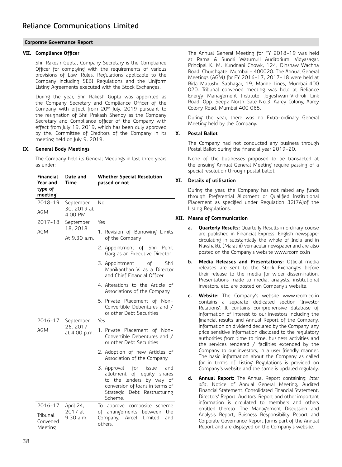## **VII. Compliance Officer**

Shri Rakesh Gupta, Company Secretary is the Compliance Officer for complying with the requirements of various provisions of Law, Rules, Regulations applicable to the Company including SEBI Regulations and the Uniform Listing Agreements executed with the Stock Exchanges.

During the year, Shri Rakesh Gupta was appointed as the Company Secretary and Compliance Officer of the Company with effect from 20<sup>th</sup> July, 2019 pursuant to the resignation of Shri Prakash Shenoy as the Company Secretary and Compliance officer of the Company with effect from July 19, 2019, which has been duly approved by the, Committee of Creditors of the Company in its meeting held on July 9, 2019.

# **IX. General Body Meetings**

The Company held its General Meetings in last three years as under:

| <b>Financial</b><br>Year and<br>type of<br>meeting | Date and<br>Time         | <b>Whether Special Resolution</b><br>passed or not                                                                                                                         |
|----------------------------------------------------|--------------------------|----------------------------------------------------------------------------------------------------------------------------------------------------------------------------|
| 2018-19                                            | September                | No                                                                                                                                                                         |
| <b>AGM</b>                                         | 30, 2019 at<br>4.00 PM   |                                                                                                                                                                            |
| $2017 - 18$                                        | September                | Yes                                                                                                                                                                        |
| <b>AGM</b>                                         | 18, 2018<br>At 9.30 a.m. | 1. Revision of Borrowing Limits<br>of the Company                                                                                                                          |
|                                                    |                          | 2. Appointment of Shri Punit<br>Garg as an Executive Director                                                                                                              |
|                                                    |                          | of<br>Shri<br>3. Appointment<br>Manikanthan V, as a Director<br>and Chief Financial Officer                                                                                |
|                                                    |                          | 4. Alterations to the Article of<br>Associations of the Company                                                                                                            |
|                                                    |                          | 5. Private Placement of Non-<br>Convertible Debentures and /<br>or other Debt Securities                                                                                   |
| 2016-17                                            | September                | Yes                                                                                                                                                                        |
| <b>AGM</b>                                         | 26, 2017<br>at 4.00 p.m. | 1. Private Placement of Non-<br>Convertible Debentures and /<br>or other Debt Securities                                                                                   |
|                                                    |                          | 2. Adoption of new Articles of<br>Association of the Company.                                                                                                              |
|                                                    |                          | 3. Approval for<br>issue<br>and<br>allotment of equity shares<br>the lenders by way of<br>to<br>conversion of loans in terms of<br>Strategic Debt Restructuring<br>Scheme. |
| 2016-17                                            | April 24,                | approve composite<br>To<br>scheme                                                                                                                                          |
| Tribunal<br>Convened<br>Meeting                    | 2017 at<br>9.30 a.m.     | of arrangements<br>between<br>the<br>Company,<br>Aircel<br>Limited<br>and<br>others.                                                                                       |

The Annual General Meeting for FY 2018-19 was held at Rama & Sundri Watumull Auditorium, Vidyasagar, Principal K. M. Kundnani Chowk, 124, Dinshaw Wachha Road, Churchgate, Mumbai – 400020. The Annual General Meetings (AGM) for FY 2016-17, 2017-18 were held at Birla Matushri Sabhagar, 19, Marine Lines, Mumbai 400 020. Tribunal convened meeting was held at Reliance Energy Management Institute, Jogeshwari-Vikhroli Link Road, Opp. Seepz North Gate No.3, Aarey Colony, Aarey Colony Road, Mumbai 400 065.

During the year, there was no Extra-ordinary General Meeting held by the Company.

## **X. Postal Ballot**

The Company had not conducted any business through Postal Ballot during the financial year 2019-20.

None of the businesses proposed to be transacted at the ensuing Annual General Meeting require passing of a special resolution through postal ballot.

# **XI. Details of utilisation**

During the year, the Company has not raised any funds through Preferential Allotment or Qualified Institutional Placement as specified under Regulation 32(7A)of the Listing Regulations.

## **XII. Means of Communication**

- **a. Quarterly Results:** Quarterly Results in ordinary course are published in Financial Express, English newspaper circulating in substantially the whole of India and in Navshakti, (Marathi) vernacular newspaper and are also posted on the Company's website www.rcom.co.in
- **b. Media Releases and Presentations:** Official media releases are sent to the Stock Exchanges before their release to the media for wider dissemination. Presentations made to media, analysts, institutional investors, etc. are posted on Company's website.
- **c. Website:** The Company's website www.rcom.co.in contains a separate dedicated section 'Investor Relations'. It contains comprehensive database of information of interest to our investors including the financial results and Annual Report of the Company, information on dividend declared by the Company, any price sensitive information disclosed to the regulatory authorities from time to time, business activities and the services rendered / facilities extended by the Company to our investors, in a user friendly manner. The basic information about the Company as called for in terms of Listing Regulations is provided on Company's website and the same is updated regularly.
- **d. Annual Report:** The Annual Report containing*, inter alia*, Notice of Annual General Meeting, Audited Financial Statement, Consolidated Financial Statement, Directors' Report, Auditors' Report and other important information is circulated to members and others entitled thereto. The Management Discussion and Analysis Report, Buisness Responsibility Report and Corporate Governance Report forms part of the Annual Report and are displayed on the Company's website.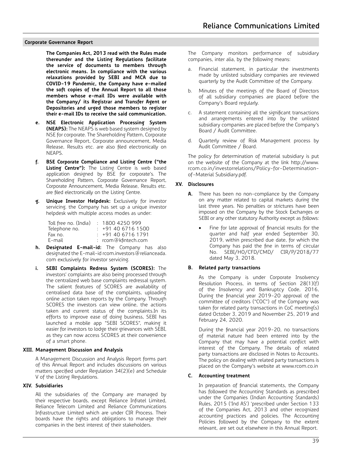**The Companies Act, 2013 read with the Rules made thereunder and the Listing Regulations facilitate the service of documents to members through electronic means. In compliance with the various relaxations provided by SEBI and MCA due to COVID-19 Pandemic, the Company have e-mailed the soft copies of the Annual Report to all those members whose e-mail IDs were available with the Company/ its Registrar and Transfer Agent or Depositories and urged those members to register their e-mail IDs to receive the said communication.**

- **e. NSE Electronic Application Processing System (NEAPS):** The NEAPS is web based system designed by NSE for corporate. The Shareholding Pattern, Corporate Governance Report, Corporate announcement, Media Release, Results etc. are also filed electronically on NEAPS.
- **f. BSE Corporate Compliance and Listing Centre ("the Listing Centre"):** The Listing Centre is web based application designed by BSE for corporate's. The Shareholding Pattern, Corporate Governance Report, Corporate Announcement, Media Release, Results etc. are filed electronically on the Listing Centre.
- **g. Unique Investor Helpdesk:** Exclusively for investor servicing, the Company has set up a unique investor helpdesk with multiple access modes as under:

| Toll free no. (India) | : 18004250999         |
|-----------------------|-----------------------|
| Telephone no.         | : 914067161500        |
| Fax no.               | $: +914067161791$     |
| E-mail                | $:$ rcom@kfintech.com |

- **h. Designated E-mail-id:** The Company has also designated the E-mail-id rcom.investors@relianceada. com exclusively for investor servicing.
- **i. SEBI Complaints Redress System (SCORES):** The investors' complaints are also being processed through the centralized web base complaints redressal system. The salient features of SCORES are availability of centralised data base of the complaints, uploading online action taken reports by the Company. Through SCORES the investors can view online, the actions taken and current status of the complaints.In its efforts to improve ease of doing business, SEBI has launched a mobile app "SEBI SCORES", making it easier for investors to lodge their grievances with SEBI, as they can now access SCORES at their convenience of a smart phone.

#### **XIII. Management Discussion and Analysis**

A Management Discussion and Analysis Report forms part of this Annual Report and includes discussions on various matters specified under Regulation 34(2)(e) and Schedule V of the Listing Regulations.

#### **XIV. Subsidiaries**

All the subsidiaries of the Company are managed by their respective boards, except Reliance Infratel Limited, Reliance Telecom Limited and Reliance Communications Infrastructure Limited which are under CIR Process. Their boards have the rights and obligations to manage their companies in the best interest of their stakeholders.

The Company monitors performance of subsidiary companies, inter alia, by the following means:

- a. Financial statement, in particular the investments made by unlisted subsidiary companies are reviewed quarterly by the Audit Committee of the Company.
- b. Minutes of the meetings of the Board of Directors of all subsidiary companies are placed before the Company's Board regularly.
- c. A statement containing all the significant transactions and arrangements entered into by the unlisted subsidiary companies are placed before the Company's Board / Audit Committee.
- d. Quarterly review of Risk Management process by Audit Committee / Board.

The policy for determination of material subsidiary is put on the website of the Company at the link http://www. rcom.co.in/investorrelations/Policy-for-Determinationof-Material Subsidiary.pdf.

# **XV. Disclosures**

- **A.** There has been no non-compliance by the Company on any matter related to capital markets during the last three years. No penalties or strictures have been imposed on the Company by the Stock Exchanges or SEBI or any other statutory Authority except as follows:
	- Fine for late approval of financial results for the quarter and half year ended September 30, 2019, within prescribed due date, for which the Company has paid the fine in terms of circular No. SEBI/HO/CFD/CMD/ CIR/P/2018/77 dated May 3, 2018.

#### **B. Related party transactions**

 As the Company is under Corporate Insolvency Resolution Process, in terms of Section 28(1)(f) of the Insolvency and Bankruptcy Code, 2016, During the financial year 2019-20 approval of the committee of creditors ("COC") of the Company was taken for related party transactions in CoC meeting(s) dated October 3, 2019 and November 25, 2019 and February 24, 2020.

 During the financial year 2019-20, no transactions of material nature had been entered into by the Company that may have a potential conflict with interest of the Company. The details of related party transactions are disclosed in Notes to Accounts. The policy on dealing with related party transactions is placed on the Company's website at www.rcom.co.in

## **C. Accounting treatment**

 In preparation of financial statements, the Company has followed the Accounting Standards as prescribed under the Companies (Indian Accounting Standards) Rules, 2015 ('Ind AS') 'prescribed under Section 133 of the Companies Act, 2013 and other recognized accounting practices and policies. The Accounting Policies followed by the Company to the extent relevant, are set out elsewhere in this Annual Report.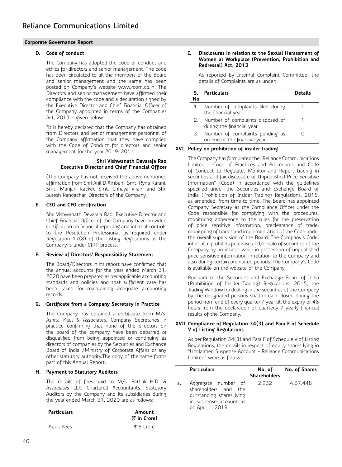# **D. Code of conduct**

 The Company has adopted the code of conduct and ethics for directors and senior management. The code has been circulated to all the members of the Board and senior management and the same has been posted on Company's website www.rcom.co.in. The Directors and senior management have affirmed their compliance with the code and a declaration signed by the Executive Director and Chief Financial Officer of the Company appointed in terms of the Companies Act, 2013 is given below:

 "It is hereby declared that the Company has obtained from Directors and senior management personnel of the Company affirmation that they have complied with the Code of Conduct for directors and senior management for the year 2019-20".

## **Shri Vishwanath Devaraja Rao Executive Director and Chief Financial Officer**

(The Company has not received the abovementioned affirmation from Shri Anil D Ambani, Smt. Ryna Karani, Smt. Manjari Kacker, Smt. Chhaya Virani and Shri Suresh Rangachar, Directors of the Company.)

# **E. CEO and CFO certification**

 Shri Vishwanath Devaraja Rao, Executive Director and Chief Financial Officer of the Company have provided certification on financial reporting and internal controls to the Resolution Professional as required under Regulation 17(8) of the Listing Regulations as the Company is under CIRP process.

# **F. Review of Directors' Responsibility Statement**

 The Board/Directors in its report have confirmed that the annual accounts for the year ended March 31, 2020 have been prepared as per applicable accounting standards and policies and that sufficient care has been taken for maintaining adequate accounting records.

## **G. Certificate from a Company Secretary in Practice**

The Company has obtained a certificate from M/s. Ashita Kaul & Associates, Company Secretaries in practice confirming that none of the directors on the board of the company have been debarred or disqualified from being appointed or continuing as directors of companies by the Securities and Exchange Board of India /Ministry of Corporate Affairs or any other statutory authority.The copy of the same forms part of this Annual Report.

# **H. Payment to Statutory Auditors**

The details of fees paid to M/s. Pathak H.D. & Associates LLP, Chartered Accountants, Statutory Auditors by the Company and its subsidiaries during the year ended March 31, 2020 are as follows:

| <b>Particulars</b> | Amount<br>(₹ in Crore) |
|--------------------|------------------------|
| Audit Fees         | ₹ 5 Crore              |
|                    |                        |

#### **I. Disclosures in relation to the Sexual Harassment of Women at Workplace (Prevention, Prohibition and Redressal) Act, 2013**

 As reported by Internal Complaint Committee, the details of Complaints are as under:

| No | <b>Particulars</b>                                              | Details |
|----|-----------------------------------------------------------------|---------|
| 1. | Number of complaints filed during<br>the financial year         |         |
| 2. | Number of complaints disposed of<br>during the financial year   |         |
| 3. | Number of complaints pending as<br>on end of the financial year |         |

## **XVI. Policy on prohibition of insider trading**

The Company has formulated the "Reliance Communications Limited - Code of Practices and Procedures and Code of Conduct to Regulate, Monitor and Report trading in securities and fair disclosure of Unpublished Price Sensitive Information" (Code) in accordance with the guidelines specified under the Securities and Exchange Board of India (Prohibition of Insider Trading) Regulations, 2015, as amended, from time to time. The Board has appointed Company Secretary as the Compliance Officer under the Code responsible for complying with the procedures, monitoring adherence to the rules for the preservation of price sensitive information, preclearance of trade, monitoring of trades and implementation of the Code under the overall supervision of the Board. The Company's Code, inter-alia, prohibits purchase and/or sale of securities of the Company by an insider, while in possession of unpublished price sensitive information in relation to the Company and also during certain prohibited periods. The Company's Code is available on the website of the Company.

Pursuant to the Securities and Exchange Board of India (Prohibition of Insider Trading) Regulations, 2015, the Trading Window for dealing in the securities of the Company by the designated persons shall remain closed during the period from end of every quarter / year till the expiry of 48 hours from the declaration of quarterly / yearly financial results of the Company.

## **XVII.Compliance of Regulation 34(3) and Para F of Schedule V of Listing Regulations**

As per Regulation 34(3) and Para F of Schedule V of Listing Regulations, the details in respect of equity shares lying in "Unclaimed Suspense Account – Reliance Communications Limited" were as follows:

|    | <b>Particulars</b>                                                                                                    | No. of<br><b>Shareholders</b> | No. of Shares |
|----|-----------------------------------------------------------------------------------------------------------------------|-------------------------------|---------------|
| a. | Aggregate number of<br>shareholders and the<br>outstanding shares lying<br>in suspense account as<br>on April 1, 2019 | 2.932                         | 4.67.448      |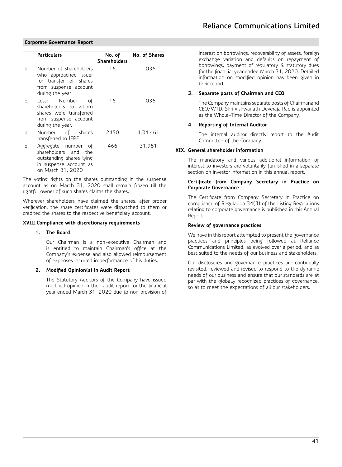|                | <b>Particulars</b>                                                                                                     | Shareholders | No. of No. of Shares |
|----------------|------------------------------------------------------------------------------------------------------------------------|--------------|----------------------|
| b.             | Number of shareholders<br>who approached issuer<br>for transfer of shares<br>from suspense account<br>during the year  | 16           | 1.036                |
| $\mathsf{C}$ . | Less: Number of<br>shareholders to whom<br>shares were transferred<br>from suspense account<br>during the year.        | 16           | 1.036                |
| d.             | Number of shares<br>transferred to IEPF                                                                                | 2450         | 4.34.461             |
| е.             | Aggregate number of<br>shareholders and the<br>outstanding shares lying<br>in suspense account as<br>on March 31. 2020 | 466          | 31.951               |

The voting rights on the shares outstanding in the suspense account as on March 31, 2020 shall remain frozen till the rightful owner of such shares claims the shares.

Wherever shareholders have claimed the shares, after proper verification, the share certificates were dispatched to them or credited the shares to the respective beneficiary account.

#### **XVIII.Compliance with discretionary requirements**

# **1. The Board**

 Our Chairman is a non-executive Chairman and is entitled to maintain Chairman's office at the Company's expense and also allowed reimbursement of expenses incurred in performance of his duties.

#### **2. Modified Opinion(s) in Audit Report**

 The Statutory Auditors of the Company have issued modified opinion in their audit report for the financial year ended March 31, 2020 due to non provision of

interest on borrowings, recoverability of assets, foreign exchange variation and defaults on repayment of borrowings, payment of regulatory & statutory dues for the financial year ended March 31, 2020. Detailed information on modified opinion has been given in their report.

#### **3. Separate posts of Chairman and CEO**

 The Company maintains separate posts of Chairmanand CEO/WTD. Shri Vishwanath Deveraja Rao is appointed as the Whole-Time Director of the Company.

#### **4. Reporting of Internal Auditor**

 The internal auditor directly report to the Audit Committee of the Company.

#### **XIX. General shareholder information**

The mandatory and various additional information of interest to investors are voluntarily furnished in a separate section on investor information in this annual report.

#### **Certificate from Company Secretary in Practice on Corporate Governance**

The Certificate from Company Secretary in Practice on compliance of Regulation 34(3) of the Listing Regulations relating to corporate governance is published in this Annual Report.

#### **Review of governance practices**

We have in this report attempted to present the governance practices and principles being followed at Reliance Communications Limited, as evolved over a period, and as best suited to the needs of our business and stakeholders.

Our disclosures and governance practices are continually revisited, reviewed and revised to respond to the dynamic needs of our business and ensure that our standards are at par with the globally recognized practices of governance, so as to meet the expectations of all our stakeholders.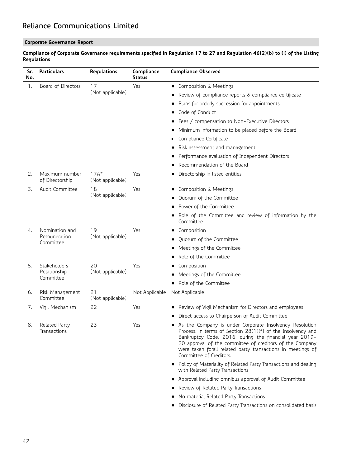$\overline{a}$ 

**Compliance of Corporate Governance requirements specified in Regulation 17 to 27 and Regulation 46(2)(b) to (i) of the Listing Regulations**

| Sr.<br>No. | <b>Particulars</b>                | Regulations                | Compliance<br>Status | <b>Compliance Observed</b>                                                                                                                                                                                                                                                                                                             |
|------------|-----------------------------------|----------------------------|----------------------|----------------------------------------------------------------------------------------------------------------------------------------------------------------------------------------------------------------------------------------------------------------------------------------------------------------------------------------|
| 1.         | Board of Directors                | 17                         | Yes                  | Composition & Meetings<br>$\bullet$                                                                                                                                                                                                                                                                                                    |
|            |                                   | (Not applicable)           |                      | Review of compliance reports & compliance certificate                                                                                                                                                                                                                                                                                  |
|            |                                   |                            |                      | Plans for orderly succession for appointments                                                                                                                                                                                                                                                                                          |
|            |                                   |                            |                      | Code of Conduct                                                                                                                                                                                                                                                                                                                        |
|            |                                   |                            |                      | Fees / compensation to Non-Executive Directors                                                                                                                                                                                                                                                                                         |
|            |                                   |                            |                      | Minimum information to be placed before the Board                                                                                                                                                                                                                                                                                      |
|            |                                   |                            |                      | Compliance Certificate<br>٠                                                                                                                                                                                                                                                                                                            |
|            |                                   |                            |                      | Risk assessment and management<br>$\bullet$                                                                                                                                                                                                                                                                                            |
|            |                                   |                            |                      | Performance evaluation of Independent Directors                                                                                                                                                                                                                                                                                        |
|            |                                   |                            |                      | Recommendation of the Board                                                                                                                                                                                                                                                                                                            |
| 2.         | Maximum number<br>of Directorship | $17A*$<br>(Not applicable) | Yes                  | Directorship in listed entities                                                                                                                                                                                                                                                                                                        |
| 3.         | Audit Committee                   | 18                         | Yes                  | Composition & Meetings                                                                                                                                                                                                                                                                                                                 |
|            |                                   | (Not applicable)           |                      | Ouorum of the Committee                                                                                                                                                                                                                                                                                                                |
|            |                                   |                            |                      | Power of the Committee                                                                                                                                                                                                                                                                                                                 |
|            |                                   |                            |                      | Role of the Committee and review of information by the<br>Committee                                                                                                                                                                                                                                                                    |
| 4.         | Nomination and                    | 19                         | Yes                  | Composition                                                                                                                                                                                                                                                                                                                            |
|            | Remuneration<br>Committee         | (Not applicable)           |                      | Quorum of the Committee                                                                                                                                                                                                                                                                                                                |
|            |                                   |                            |                      | Meetings of the Committee                                                                                                                                                                                                                                                                                                              |
|            |                                   |                            |                      | Role of the Committee                                                                                                                                                                                                                                                                                                                  |
| 5.         | Stakeholders                      | 20                         | Yes                  | Composition                                                                                                                                                                                                                                                                                                                            |
|            | Relationship<br>Committee         | (Not applicable)           |                      | Meetings of the Committee                                                                                                                                                                                                                                                                                                              |
|            |                                   |                            |                      | Role of the Committee                                                                                                                                                                                                                                                                                                                  |
| 6.         | Risk Management<br>Committee      | 21<br>(Not applicable)     | Not Applicable       | Not Applicable                                                                                                                                                                                                                                                                                                                         |
| 7.         | Vigil Mechanism                   | 22                         | Yes                  | Review of Vigil Mechanism for Directors and employees                                                                                                                                                                                                                                                                                  |
|            |                                   |                            |                      | Direct access to Chairperson of Audit Committee                                                                                                                                                                                                                                                                                        |
| 8.         | Related Party<br>Transactions     | 23                         | Yes                  | As the Company is under Corporate Insolvency Resolution<br>Process, in terms of Section 28(1)(f) of the Insolvency and<br>Bankruptcy Code, 2016, during the financial year 2019-<br>20 approval of the committee of creditors of the Company<br>were taken forall related party transactions in meetings of<br>Committee of Creditors. |
|            |                                   |                            |                      | Policy of Materiality of Related Party Transactions and dealing<br>٠<br>with Related Party Transactions                                                                                                                                                                                                                                |
|            |                                   |                            |                      | Approval including omnibus approval of Audit Committee<br>٠                                                                                                                                                                                                                                                                            |
|            |                                   |                            |                      | Review of Related Party Transactions                                                                                                                                                                                                                                                                                                   |
|            |                                   |                            |                      | No material Related Party Transactions                                                                                                                                                                                                                                                                                                 |
|            |                                   |                            |                      | Disclosure of Related Party Transactions on consolidated basis                                                                                                                                                                                                                                                                         |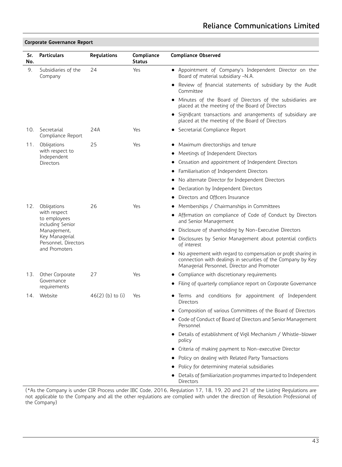| Sr.<br>No. | <b>Particulars</b>                     | Regulations        | Compliance<br>Status | <b>Compliance Observed</b>                                                                                                                                                   |
|------------|----------------------------------------|--------------------|----------------------|------------------------------------------------------------------------------------------------------------------------------------------------------------------------------|
| 9.         | Subsidiaries of the<br>Company         | 24                 | Yes                  | • Appointment of Company's Independent Director on the<br>Board of material subsidiary -N.A.                                                                                 |
|            |                                        |                    |                      | Review of financial statements of subsidiary by the Audit<br>$\bullet$<br>Committee                                                                                          |
|            |                                        |                    |                      | • Minutes of the Board of Directors of the subsidiaries are<br>placed at the meeting of the Board of Directors                                                               |
|            |                                        |                    |                      | • Significant transactions and arrangements of subsidiary are<br>placed at the meeting of the Board of Directors                                                             |
| 10.        | Secretarial<br>Compliance Report       | 24A                | Yes                  | Secretarial Compliance Report<br>٠                                                                                                                                           |
| 11.        | Obligations                            | 25                 | Yes                  | Maximum directorships and tenure                                                                                                                                             |
|            | with respect to                        |                    |                      | Meetings of Independent Directors                                                                                                                                            |
|            | Independent<br><b>Directors</b>        |                    |                      | Cessation and appointment of Independent Directors<br>٠                                                                                                                      |
|            |                                        |                    |                      | Familiarisation of Independent Directors                                                                                                                                     |
|            |                                        |                    |                      | No alternate Director for Independent Directors                                                                                                                              |
|            |                                        |                    |                      | Declaration by Independent Directors<br>٠                                                                                                                                    |
|            |                                        |                    |                      | Directors and Officers Insurance                                                                                                                                             |
| 12.        | Obligations                            | 26                 | Yes                  | Memberships / Chairmanships in Committees                                                                                                                                    |
|            | with respect<br>to employees           |                    |                      | Affirmation on compliance of Code of Conduct by Directors<br>and Senior Management                                                                                           |
|            | including Senior<br>Management,        |                    |                      | Disclosure of shareholding by Non-Executive Directors<br>٠                                                                                                                   |
|            | Key Managerial<br>Personnel, Directors |                    |                      | Disclosures by Senior Management about potential conflicts<br>of interest                                                                                                    |
|            | and Promoters                          |                    |                      | No agreement with regard to compensation or profit sharing in<br>connection with dealings in securities of the Company by Key<br>Managerial Personnel, Director and Promoter |
| 13.        | Other Corporate                        | 27                 | Yes                  | Compliance with discretionary requirements                                                                                                                                   |
|            | Governance<br>requirements             |                    |                      | Filing of quarterly compliance report on Corporate Governance                                                                                                                |
| 14.        | Website                                | $46(2)$ (b) to (i) | Yes                  | Terms and conditions for appointment of Independent<br>Directors                                                                                                             |
|            |                                        |                    |                      | Composition of various Committees of the Board of Directors                                                                                                                  |
|            |                                        |                    |                      | Code of Conduct of Board of Directors and Senior Management<br>Personnel                                                                                                     |
|            |                                        |                    |                      | Details of establishment of Vigil Mechanism / Whistle-blower<br>policy                                                                                                       |
|            |                                        |                    |                      | Criteria of making payment to Non-executive Director                                                                                                                         |
|            |                                        |                    |                      | Policy on dealing with Related Party Transactions                                                                                                                            |
|            |                                        |                    |                      | Policy for determining material subsidiaries                                                                                                                                 |
|            |                                        |                    |                      | Details of familiarization programmes imparted to Independent<br>Directors                                                                                                   |

(\*As the Company is under CIR Process under IBC Code, 2016, Regulation 17, 18, 19, 20 and 21 of the Listing Regulations are not applicable to the Company and all the other regulations are complied with under the direction of Resolution Professional of the Company)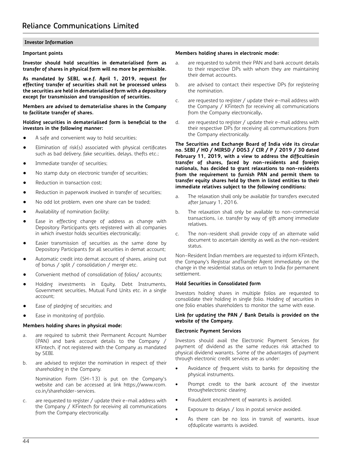#### **Important points**

**Investor should hold securities in dematerialised form as transfer of shares in physical form will no more be permissible.**

**As mandated by SEBI, w.e.f. April 1, 2019, request for effecting transfer of securities shall not be processed unless the securities are held in dematerialised form with a depository except for transmission and transposition of securities.**

**Members are advised to dematerialise shares in the Company to facilitate transfer of shares.**

#### **Holding securities in dematerialised form is beneficial to the investors in the following manner:**

- A safe and convenient way to hold securities;
- Elimination of risk(s) associated with physical certificates such as bad delivery, fake securities, delays, thefts etc.;
- Immediate transfer of securities;
- No stamp duty on electronic transfer of securities;
- Reduction in transaction cost;
- Reduction in paperwork involved in transfer of securities;
- No odd lot problem, even one share can be traded;
- Availability of nomination facility;
- Ease in effecting change of address as change with Depository Participants gets registered with all companies in which investor holds securities electronically;
- Easier transmission of securities as the same done by Depository Participants for all securities in demat account;
- Automatic credit into demat account of shares, arising out of bonus / split / consolidation / merger etc.
- Convenient method of consolidation of folios/ accounts;
- Holding investments in Equity, Debt Instruments, Government securities, Mutual Fund Units etc. in a single account;
- Ease of pledging of securities; and
- Ease in monitoring of portfolio.

## **Members holding shares in physical mode:**

- a. are required to submit their Permanent Account Number (PAN) and bank account details to the Company / KFintech, if not registered with the Company as mandated by SEBI.
- b. are advised to register the nomination in respect of their shareholding in the Company.

Nomination Form (SH-13) is put on the Company's website and can be accessed at link https://www.rcom. co.in/shareholder-services.

c. are requested to register / update their e-mail address with the Company / KFintech for receiving all communications from the Company electronically.

#### **Members holding shares in electronic mode:**

- a. are requested to submit their PAN and bank account details to their respective DPs with whom they are maintaining their demat accounts.
- b. are advised to contact their respective DPs for registering the nomination.
- c. are requested to register / update their e-mail address with the Company / KFintech for receiving all communications from the Company electronically**.**
- d. are requested to register / update their e-mail address with their respective DPs for receiving all communications from the Company electronically.

**The Securities and Exchange Board of India vide its circular no. SEBI / HO / MIRSD / DOS3 / CIR / P / 2019 / 30 dated February 11, 2019, with a view to address the difficultiesin transfer of shares, faced by non-residents and foreign nationals, has decided to grant relaxations to non-residents from the requirement to furnish PAN and permit them to transfer equity shares held by them in listed entities to their immediate relatives subject to the following conditions:**

- a. The relaxation shall only be available for transfers executed after January 1, 2016.
- b. The relaxation shall only be available to non-commercial transactions, i.e. transfer by way of gift among immediate relatives.
- c. The non-resident shall provide copy of an alternate valid document to ascertain identity as well as the non-resident status.

Non-Resident Indian members are requested to inform KFintech, the Company's Registrar andTransfer Agent immediately on the change in the residential status on return to India for permanent settlement.

#### **Hold Securities in Consolidated form**

Investors holding shares in multiple folios are requested to consolidate their holding in single folio. Holding of securities in one folio enables shareholders to monitor the same with ease.

#### **Link for updating the PAN / Bank Details is provided on the website of the Company.**

#### **Electronic Payment Services**

Investors should avail the Electronic Payment Services for payment of dividend as the same reduces risk attached to physical dividend warrants. Some of the advantages of payment through electronic credit services are as under:

- Avoidance of frequent visits to banks for depositing the physical instruments.
- Prompt credit to the bank account of the investor throughelectronic clearing.
- Fraudulent encashment of warrants is avoided.
- • Exposure to delays / loss in postal service avoided.
- As there can be no loss in transit of warrants, issue ofduplicate warrants is avoided.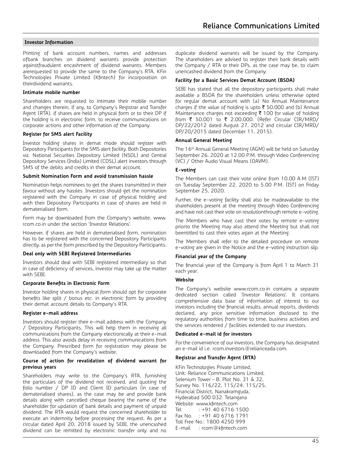Printing of bank account numbers, names and addresses ofbank branches on dividend warrants provide protection againstfraudulent encashment of dividend warrants. Members arerequested to provide the same to the Company's RTA, KFin Technologies Private Limited (Kfintech) for incorporation on theirdividend warrants.

#### **Intimate mobile number**

Shareholders are requested to intimate their mobile number and changes therein, if any, to Company's Registrar and Transfer Agent (RTA), if shares are held in physical form or to their DP if the holding is in electronic form, to receive communications on corporate actions and other information of the Company.

## **Register for SMS alert Facility**

Investor holding shares in demat mode should register with Depository Participants for the SMS alert facility. Both Depositories viz. National Securities Depository Limited (NSDL) and Central Depository Services (India) Limited (CDSL) alert investors through SMS of the debits and credits in their demat account.

## **Submit Nomination Form and avoid transmission hassle**

Nomination helps nominees to get the shares transmitted in their favour without any hassles. Investors should get the nomination registered with the Company in case of physical holding and with their Depository Participants in case of shares are held in dematerialised form.

Form may be downloaded from the Company's website, www. rcom.co.in under the section 'Investor Relations'.

However, if shares are held in dematerialised form, nomination has to be registered with the concerned Depository Participants directly, as per the form prescribed by the Depository Participants.

#### **Deal only with SEBI Registered Intermediaries**

Investors should deal with SEBI registered intermediary so that in case of deficiency of services, investor may take up the matter with SEBI.

## **Corporate Benefits in Electronic Form**

Investor holding shares in physical form should opt for corporate benefits like split / bonus etc. in electronic form by providing their demat account details to Company's RTA.

#### **Register e-mail address**

Investors should register their e-mail address with the Company / Depository Participants. This will help them in receiving all communications from the Company electronically at their e-mail address. This also avoids delay in receiving communications from the Company. Prescribed form for registration may please be downloaded from the Company's website.

#### **Course of action for revalidation of dividend warrant for previous years**

Shareholders may write to the Company's RTA, furnishing the particulars of the dividend not received, and quoting the folio number / DP ID and Client ID particulars (in case of dematerialised shares), as the case may be and provide bank details along with cancelled cheque bearing the name of the shareholder for updation of bank details and payment of unpaid dividend. The RTA would request the concerned shareholder to execute an indemnity before processing the request. As per a circular dated April 20, 2018 issued by SEBI, the unencashed dividend can be remitted by electronic transfer only and no duplicate dividend warrants will be issued by the Company. The shareholders are advised to register their bank details with the Company / RTA or their DPs, as the case may be, to claim unencashed dividend from the Company.

#### **Facility for a Basic Services Demat Account (BSDA)**

SEBI has stated that all the depository participants shall make available a BSDA for the shareholders unless otherwise opted for regular demat account with (a) No Annual Maintenance charges if the value of holding is upto  $\bar{\tau}$  50,000 and (b) Annual Maintenance charges not exceeding  $\bar{\tau}$  100 for value of holding from  $\bar{\tau}$  50,001 to  $\bar{\tau}$  2,00,000. (Refer Circular CIR/MRD/ DP/22/2012 dated August 27, 2012 and circular CIR/MRD/ DP/20/2015 dated December 11, 2015).

#### **Annual General Meeting**

The 16th Annual General Meeting (AGM) will be held on Saturday September 26, 2020 at 12.00 P.M. through Video Conferencing (VC) / Other Audio Visual Means (OAVM).

#### **E-voting**

The Members can cast their vote online from 10.00 A.M (IST) on Tuesday September 22, 2020 to 5.00 P.M. (IST) on Friday September 25, 2020.

Further, the e-voting facility shall also be madeavailable to the shareholders present at the meeting through Video Conferencing and have not cast their vote on resolutionthrough remote e-voting.

The Members who have cast their votes by remote e-voting priorto the Meeting may also attend the Meeting but shall not beentitled to cast their votes again at the Meeting.

The Members shall refer to the detailed procedure on remote e-voting are given in the Notice and the e-voting instruction slip.

## **Financial year of the Company**

The financial year of the Company is from April 1 to March 31 each year.

## **Website**

The Company's website www.rcom.co.in contains a separate dedicated section called 'Investor Relations'. It contains comprehensive data base of information of interest to our investors including the financial results, annual reports, dividends declared, any price sensitive information disclosed to the regulatory authorities from time to time, business activities and the services rendered / facilities extended to our investors.

#### **Dedicated e-mail id for investors**

For the convenience of our investors, the Company has designated an e-mail id i.e. rcom.investors@relianceada.com.

#### **Registrar and Transfer Agent (RTA)**

KFin Technologies Private Limited, Unit: Reliance Communications Limited, Selenium Tower – B, Plot No. 31 & 32, Survey No. 116/22, 115/24, 115/25, Financial District, Nanakramguda, Hyderabad 500 032. Telangana Website: www.kfintech.com Tel : +91 40 6716 1500 Fax No. : +91 40 6716 1791 Toll Free No.: 1800 4250 999 E-mail : rcom@kfintech.com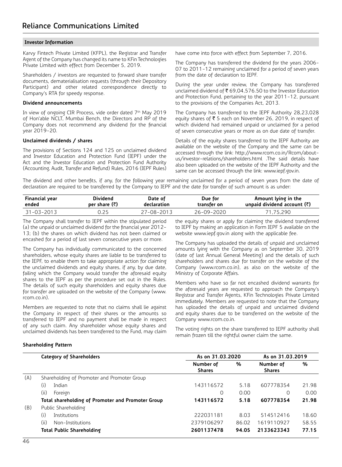Karvy Fintech Private Limited (KFPL), the Registrar and Transfer Agent of the Company has changed its name to KFin Technologies Private Limited with effect from December 5, 2019.

Shareholders / investors are requested to forward share transfer documents, dematerialisation requests (through their Depository Participant) and other related correspondence directly to Company's RTA for speedy response.

#### **Dividend announcements**

In view of ongoing CIR Process, vide order dated 7<sup>th</sup> May 2019 of Hon'able NCLT, Mumbai Bench, the Directors and RP of the Company does not recommend any dividend for the financial year 2019-20.

#### **Unclaimed dividends / shares**

The provisions of Sections 124 and 125 on unclaimed dividend and Investor Education and Protection Fund (IEPF) under the Act and the Investor Education and Protection Fund Authority (Accounting, Audit, Transfer and Refund) Rules, 2016 (IEPF Rules) have come into force with effect from September 7, 2016.

The Company has transferred the dividend for the years 2006- 07 to 2011-12 remaining unclaimed for a period of seven years from the date of declaration to IEPF.

During the year under review, the Company has transferred unclaimed dividend of  $\bar{\bar{\tau}}$  69,04,576.50 to the Investor Education and Protection Fund, pertaining to the year 2011-12, pursuant to the provisions of the Companies Act, 2013.

The Company has transferred to the IEPF Authority 28,23,028 equity shares of  $\bar{\tau}$  5 each on November 26, 2019, in respect of which dividend had remained unpaid or unclaimed for a period of seven consecutive years or more as on due date of transfer.

Details of the equity shares transferred to the IEPF Authority are available on the website of the Company and the same can be accessed through the link: http://www.rcom.co.in/Rcom/aboutus/investor-relations/shareholders.html .The said details have also been uploaded on the website of the IEPF Authority and the same can be accessed through the link: www.iepf.gov.in.

The dividend and other benefits, if any, for the following year remaining unclaimed for a period of seven years from the date of declaration are required to be transferred by the Company to IEPF and the date for transfer of such amount is as under:

| Financial year | Dividend        | Date of          | Due for     | Amount lying in the                 |
|----------------|-----------------|------------------|-------------|-------------------------------------|
| ended          | per share $(3)$ | declaration      | transfer on | unpaid dividend account $(\bar{z})$ |
| 31-03-2013     | 0.25            | $27 - 08 - 2013$ | 26-09-2020  | 71.75.290                           |

The Company shall transfer to IEPF within the stipulated period (a) the unpaid or unclaimed dividend for the financial year 2012- 13; (b) the shares on which dividend has not been claimed or encashed for a period of last seven consecutive years or more.

The Company has individually communicated to the concerned shareholders, whose equity shares are liable to be transferred to the IEPF, to enable them to take appropriate action for claiming the unclaimed dividends and equity shares, if any, by due date, failing which the Company would transfer the aforesaid equity shares to the IEPF as per the procedure set out in the Rules. The details of such equity shareholders and equity shares due for transfer are uploaded on the website of the Company (www. rcom.co.in).

Members are requested to note that no claims shall lie against the Company in respect of their shares or the amounts so transferred to IEPF and no payment shall be made in respect of any such claim. Any shareholder whose equity shares and unclaimed dividends has been transferred to the Fund, may claim the equity shares or apply for claiming the dividend transferred to IEPF by making an application in Form IEPF 5 available on the website www.iepf.gov.in along with the applicable fee.

The Company has uploaded the details of unpaid and unclaimed amounts lying with the Company as on September 30, 2019 (date of last Annual General Meeting) and the details of such shareholders and shares due for transfer on the website of the Company (www.rcom.co.in), as also on the website of the Ministry of Corporate Affairs.

Members who have so far not encashed dividend warrants for the aforesaid years are requested to approach the Company's Registrar and Transfer Agents, KFin Technologies Private Limited immediately. Members are requested to note that the Company has uploaded the details of unpaid and unclaimed dividend and equity shares due to be transferred on the website of the Company www.rcom.co.in.

The voting rights on the share transferred to IEPF authority shall remain frozen till the rightful owner claim the same.

## **Shareholding Pattern**

|     | Category of Shareholders                          | As on 31.03.2020           |       | As on 31.03.2019           |       |
|-----|---------------------------------------------------|----------------------------|-------|----------------------------|-------|
|     |                                                   | Number of<br><b>Shares</b> | %     | Number of<br><b>Shares</b> | %     |
| (A) | Shareholding of Promoter and Promoter Group       |                            |       |                            |       |
|     | (i)<br>Indian                                     | 143116572                  | 5.18  | 607778354                  | 21.98 |
|     | (ii)<br>Foreign                                   | O                          | 0.00  | O                          | 0.00  |
|     | Total shareholding of Promoter and Promoter Group | 143116572                  | 5.18  | 607778354                  | 21.98 |
| (B) | Public Shareholding                               |                            |       |                            |       |
|     | Institutions<br>(i)                               | 222031181                  | 8.03  | 514512416                  | 18.60 |
|     | (ii)<br>Non-Institutions                          | 2379106297                 | 86.02 | 1619110927                 | 58.55 |
|     | <b>Total Public Shareholding</b>                  | 2601137478                 | 94.05 | 2133623343                 | 77.15 |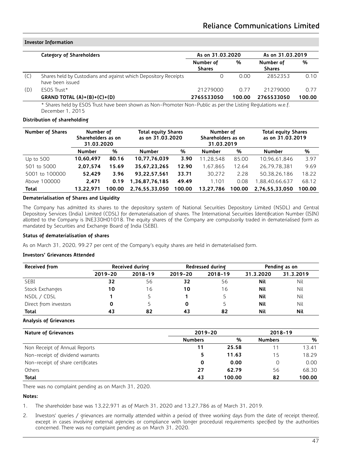|     | <b>Category of Shareholders</b>                                                     | As on 31.03.2020           |        | As on 31.03.2019           |        |
|-----|-------------------------------------------------------------------------------------|----------------------------|--------|----------------------------|--------|
|     |                                                                                     | Number of<br><b>Shares</b> | %      | Number of<br><b>Shares</b> | %      |
| (C) | Shares held by Custodians and against which Depository Receipts<br>have been issued | 0                          | 0.00   | 2852353                    | 0.10   |
| (D) | ESOS Trust*                                                                         | 21279000                   | 0.77   | 21279000                   | 0.77   |
|     | GRAND TOTAL $(A)+(B)+(C)+(D)$                                                       | 2765533050                 | 100.00 | 2765533050                 | 100.00 |

\* Shares held by ESOS Trust have been shown as Non-Promoter Non-Public as per the Listing Regulations w.e.f. December 1, 2015

# **Distribution of shareholding**

| <b>Number of Shares</b> | Number of<br>Shareholders as on<br>31.03.2020 |        | <b>Total equity Shares</b><br>as on 31.03.2020 |        | Number of<br>Shareholders as on<br>31.03.2019 |        | <b>Total equity Shares</b><br>as on 31.03.2019 |        |
|-------------------------|-----------------------------------------------|--------|------------------------------------------------|--------|-----------------------------------------------|--------|------------------------------------------------|--------|
|                         | <b>Number</b>                                 | %      | <b>Number</b>                                  | %      | <b>Number</b>                                 | %      | <b>Number</b>                                  | %      |
| Up to 500               | 10.60.497                                     | 80.16  | 10,77,76,039                                   | 3.90   | 11.28.548                                     | 85.00  | 10.96.61.846                                   | 3.97   |
| 501 to 5000             | 2,07,574                                      | 15.69  | 35,67,23,265                                   | 12.90  | 1.67.865                                      | 12.64  | 26.79.78.381                                   | 9.69   |
| 5001 to 100000          | 52.429                                        | 3.96   | 93.22.57.561                                   | 33.71  | 30.272                                        | 2.28   | 50.38.26.186                                   | 18.22  |
| Above 100000            | 2.471                                         | 0.19   | 1,36,87,76,185                                 | 49.49  | 1.101                                         | 0.08   | 1.88.40.66.637                                 | 68.12  |
| <b>Total</b>            | 13.22.971                                     | 100.00 | 2.76.55.33.050                                 | 100.00 | 13.27.786                                     | 100.00 | 2.76.55.33.050                                 | 100.00 |

## **Dematerialisation of Shares and Liquidity**

The Company has admitted its shares to the depository system of National Securities Depository Limited (NSDL) and Central Depository Services (India) Limited (CDSL) for dematerialisation of shares. The International Securities Identification Number (ISIN) allotted to the Company is INE330H01018. The equity shares of the Company are compulsorily traded in dematerialised form as mandated by Securities and Exchange Board of India (SEBI).

## **Status of dematerialisation of shares**

As on March 31, 2020, 99.27 per cent of the Company's equity shares are held in dematerialised form.

## **Investors' Grievances Attended**

| Received from         | Received during |         |             | Redressed during |            | Pending as on |  |
|-----------------------|-----------------|---------|-------------|------------------|------------|---------------|--|
|                       | $2019 - 20$     | 2018-19 | $2019 - 20$ | 2018-19          | 31.3.2020  | 31.3.2019     |  |
| SEBI                  | 32              | 56      | 32          | 56               | <b>Nil</b> | Nil           |  |
| Stock Exchanges       | 10              | 16      | 10          | 16               | <b>Nil</b> | Nil           |  |
| NSDL / CDSL           |                 |         |             |                  | <b>Nil</b> | Nil           |  |
| Direct from investors | 0               |         |             |                  | <b>Nil</b> | Nil           |  |
| <b>Total</b>          | 43              | 82      | 43          | 82               | <b>Nil</b> | <b>Nil</b>    |  |

#### **Analysis of Grievances**

| <b>Nature of Grievances</b>       | $2019 - 20$    |        |                | 2018-19 |  |
|-----------------------------------|----------------|--------|----------------|---------|--|
|                                   | <b>Numbers</b> | %      | <b>Numbers</b> | %       |  |
| Non Receipt of Annual Reports     | 11             | 25.58  |                | 13.41   |  |
| Non-receipt of dividend warrants  |                | 11.63  | 15             | 18.29   |  |
| Non-receipt of share certificates | 0              | 0.00   |                | 0.00    |  |
| Others                            | 27             | 62.79  | 56             | 68.30   |  |
| <b>Total</b>                      | 43             | 100.00 | 82             | 100.00  |  |

There was no complaint pending as on March 31, 2020.

# **Notes:**

1. The shareholder base was 13,22,971 as of March 31, 2020 and 13,27,786 as of March 31, 2019.

2. Investors' queries / grievances are normally attended within a period of three working days from the date of receipt thereof, except in cases involving external agencies or compliance with longer procedural requirements specified by the authorities concerned. There was no complaint pending as on March 31, 2020.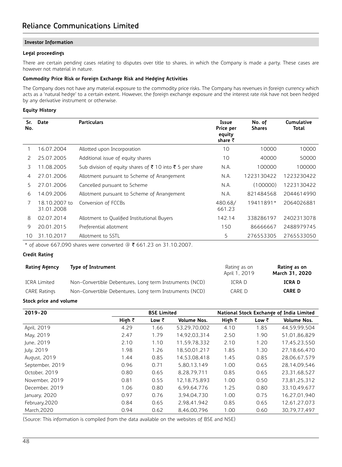# **Legal proceedings**

There are certain pending cases relating to disputes over title to shares, in which the Company is made a party. These cases are however not material in nature.

# **Commodity Price Risk or Foreign Exchange Risk and Hedging Activities**

The Company does not have any material exposure to the commodity price risks. The Company has revenues in foreign currency which acts as a 'natural hedge' to a certain extent. However, the foreign exchange exposure and the interest rate risk have not been hedged by any derivative instrument or otherwise.

# **Equity History**

| Sr.<br>No. | Date                        | <b>Particulars</b>                                     | Issue<br>Price per<br>equity<br>share $\bar{z}$ | No. of<br><b>Shares</b> | Cumulative<br>Total |
|------------|-----------------------------|--------------------------------------------------------|-------------------------------------------------|-------------------------|---------------------|
|            | 16.07.2004                  | Allotted upon Incorporation                            | 10                                              | 10000                   | 10000               |
| 2          | 25.07.2005                  | Additional issue of equity shares                      | 10                                              | 40000                   | 50000               |
| 3          | 11.08.2005                  | Sub division of equity shares of ₹10 into ₹5 per share | N.A.                                            | 100000                  | 100000              |
| 4          | 27.01.2006                  | Allotment pursuant to Scheme of Arrangement            | N.A.                                            | 1223130422              | 1223230422          |
| 5          | 27.01.2006                  | Cancelled pursuant to Scheme                           | N.A.                                            | (100000)                | 1223130422          |
| 6          | 14.09.2006                  | Allotment pursuant to Scheme of Arrangement            | N.A.                                            | 821484568               | 2044614990          |
|            | 18.10.2007 to<br>31.01.2008 | Conversion of FCCBs                                    | 480.68/<br>661.23                               | 19411891*               | 2064026881          |
| 8          | 02.07.2014                  | Allotment to Qualified Institutional Buyers            | 142.14                                          | 338286197               | 2402313078          |
| 9          | 20.01.2015                  | Preferential allotment                                 | 150                                             | 86666667                | 2488979745          |
| 10         | 31.10.2017                  | Allotment to SSTL                                      | 5                                               | 276553305               | 2765533050          |

\* of above 667,090 shares were converted @  $\bar{\tau}$  661.23 on 31.10.2007.

# **Credit Rating**

| <b>Rating Agency</b> | Type of Instrument                                      | Rating as on<br>April 1, 2019 | Rating as on<br>March 31, 2020 |
|----------------------|---------------------------------------------------------|-------------------------------|--------------------------------|
| ICRA Limited         | Non-Convertible Debentures, Long term Instruments (NCD) | ICRA D                        | ICRA D                         |
| CARE Ratings         | Non-Convertible Debentures, Long term Instruments (NCD) | CARE D                        | <b>CARE D</b>                  |

# **Stock price and volume**

| 2019-20         |        | <b>BSE Limited</b> |                    |        |       | National Stock Exchange of India Limited |
|-----------------|--------|--------------------|--------------------|--------|-------|------------------------------------------|
|                 | Hiợh ₹ | Low ₹              | <b>Volume Nos.</b> | Hiợh ₹ | Low ₹ | Volume Nos.                              |
| April, 2019     | 4.29   | 1.66               | 53.29.70.002       | 4.10   | 1.85  | 44.59.99.504                             |
| May, 2019       | 2.47   | 1.79               | 14.92.03.314       | 2.50   | 1.90  | 51.01.86.829                             |
| June, 2019      | 2.10   | 1.10               | 11.59.78.332       | 2.10   | 1.20  | 17.45.23.550                             |
| July, 2019      | 1.98   | 1.26               | 18.50.01.217       | 1.85   | 1.30  | 27.18.66.470                             |
| August, 2019    | 1.44   | 0.85               | 14.53.08.418       | 1.45   | 0.85  | 28.06.67.579                             |
| September, 2019 | 0.96   | 0.71               | 5,80,13,149        | 1.00   | 0.65  | 28.14.09.546                             |
| October, 2019   | 0.80   | 0.65               | 8.28.79.711        | 0.85   | 0.65  | 23.31.68.527                             |
| November, 2019  | 0.81   | 0.55               | 12.18.75.893       | 1.00   | 0.50  | 73,81,25,312                             |
| December, 2019  | 1.06   | 0.80               | 6.99.64.776        | 1.25   | 0.80  | 33.10.49.677                             |
| January, 2020   | 0.97   | 0.76               | 3.94.04.730        | 1.00   | 0.75  | 16,27,01,940                             |
| February, 2020  | 0.84   | 0.65               | 2.98.41.942        | 0.85   | 0.65  | 12.61.27.073                             |
| March, 2020     | 0.94   | 0.62               | 8,46,00,796        | 1.00   | 0.60  | 30,79,77,497                             |

(Source: This information is compiled from the data available on the websites of BSE and NSE)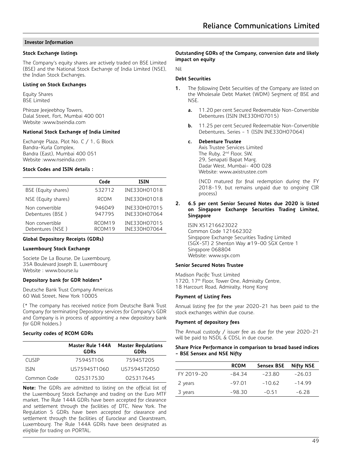#### **Stock Exchange listings**

The Company's equity shares are actively traded on BSE Limited (BSE) and the National Stock Exchange of India Limited (NSE), the Indian Stock Exchanges.

#### **Listing on Stock Exchanges**

Equity Shares BSE Limited

Phiroze Jeejeebhoy Towers, Dalal Street, Fort, Mumbai 400 001 Website :www.bseindia.com

#### **National Stock Exchange of India Limited**

Exchange Plaza, Plot No. C / 1, G Block Bandra-Kurla Complex, Bandra (East), Mumbai 400 051 Website :www.nseindia.com

# **Stock Codes and ISIN details :**

|                                     | Code                         | ISIN                         |
|-------------------------------------|------------------------------|------------------------------|
| BSE (Equity shares)                 | 532712                       | INE330H01018                 |
| NSE (Equity shares)                 | <b>RCOM</b>                  | INE330H01018                 |
| Non convertible<br>Debentures (BSE) | 946049<br>947795             | INE330H07015<br>INE330H07064 |
| Non convertible<br>Debentures (NSE) | RCOM <sub>19</sub><br>RCOM19 | INE330H07015<br>INE330H07064 |

# **Global Depository Receipts (GDRs)**

#### **Luxembourg Stock Exchange**

Societe De La Bourse, De Luxembourg, 35A Boulevard Joseph II, Luxembourg Website : www.bourse.lu

#### **Depository bank for GDR holders\***

Deutsche Bank Trust Company Americas 60 Wall Street, New York 10005

(\* The company has received notice from Deutsche Bank Trust Company for terminating Depository services for Company's GDR and Company is in process of appointing a new depository bank for GDR holders.)

## **Security codes of RCOM GDRs**

|              | Master Rule 144A<br><b>GDRs</b> | <b>Master Regulations</b><br><b>GDRs</b> |
|--------------|---------------------------------|------------------------------------------|
| <b>CUSIP</b> | 75945T106                       | 75945T205                                |
| <b>ISIN</b>  | US75945T1060                    | US75945T2050                             |
| Common Code  | 025317530                       | 025317645                                |

**Note:** The GDRs are admitted to listing on the official list of the Luxembourg Stock Exchange and trading on the Euro MTF market. The Rule 144A GDRs have been accepted for clearance and settlement through the facilities of DTC, New York. The Regulation S GDRs have been accepted for clearance and settlement through the facilities of Euroclear and Clearstream, Luxembourg. The Rule 144A GDRs have been designated as eligible for trading on PORTAL.

#### **Outstanding GDRs of the Company, conversion date and likely impact on equity**

Nil

# **Debt Securities**

- **1.** The following Debt Securities of the Company are listed on the Wholesale Debt Market (WDM) Segment of BSE and NSE.
	- **a.** 11.20 per cent Secured Redeemable Non-Convertible Debentures (ISIN INE330H07015)
	- **b.** 11.25 per cent Secured Redeemable Non-Convertible Debentures, Series - 1 (ISIN INE330H07064)

## **c. Debenture Trustee**

 Axis Trustee Services Limited The Ruby, 2<sup>nd</sup> Floor, SW, 29, Senapati Bapat Marg, Dadar West, Mumbai- 400 028 Website: www.axistrustee.com

 (NCD matured for final redemption during the FY 2018-19, but remains unpaid due to ongoing CIR process)

#### **2. 6.5 per cent Senior Secured Notes due 2020 is listed on Singapore Exchange Securities Trading Limited, Singapore**

ISIN XS1216623022 Common Code 121662302 Singapore Exchange Securities Trading Limited (SGX-ST) 2 Shenton Way #19-00 SGX Centre 1 Singapore 068804 Website: www.sgx.com

# **Senior Secured Notes Trustee**

Madison Pacific Trust Limited 1720, 17<sup>th</sup> Floor, Tower One, Admiralty Centre, 18 Harcourt Road, Admiralty, Hong Kong

## **Payment of Listing Fees**

Annual listing fee for the year 2020-21 has been paid to the stock exchanges within due course.

#### **Payment of depository fees**

The Annual custody / issuer fee as due for the year 2020-21 will be paid to NSDL & CDSL in due course.

#### **Share Price Performance in comparison to broad based indices - BSE Sensex and NSE Nifty**

|            | <b>RCOM</b> | Sensex BSE | <b>Nifty NSE</b> |
|------------|-------------|------------|------------------|
| FY 2019-20 | -84.34      | $-23.80$   | $-26.03$         |
| 2 years    | $-97.01$    | $-10.62$   | $-14.99$         |
| 3 years    | $-98.30$    | $-0.51$    | $-6.28$          |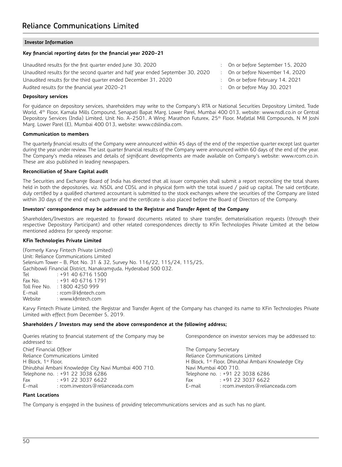## **Key financial reporting dates for the financial year 2020-21**

| Unaudited results for the first quarter ended June 30, 2020                     |
|---------------------------------------------------------------------------------|
| Unaudited results for the second quarter and half year ended September 30, 2020 |
| Unaudited results for the third quarter ended December 31, 2020                 |
| Audited results for the financial vear 2020-21                                  |

## **Depository services**

For guidance on depository services, shareholders may write to the Company's RTA or National Securities Depository Limited, Trade World, 4th Floor, Kamala Mills Compound, Senapati Bapat Marg, Lower Parel, Mumbai 400 013, website: www.nsdl.co.in or Central Depository Services (India) Limited, Unit No. A-2501, A Wing, Marathon Futurex, 25<sup>th</sup> Floor, Mafatlal Mill Compounds, N M Joshi Marg, Lower Parel (E), Mumbai 400 013, website: www.cdslindia.com.

#### **Communication to members**

The quarterly financial results of the Company were announced within 45 days of the end of the respective quarter except last quarter during the year under review. The last quarter financial results of the Company were announced within 60 days of the end of the year. The Company's media releases and details of significant developments are made available on Company's website: www.rcom.co.in. These are also published in leading newspapers.

## **Reconciliation of Share Capital audit**

The Securities and Exchange Board of India has directed that all issuer companies shall submit a report reconciling the total shares held in both the depositories, viz. NSDL and CDSL and in physical form with the total issued / paid up capital. The said certificate, duly certified by a qualified chartered accountant is submitted to the stock exchanges where the securities of the Company are listed within 30 days of the end of each quarter and the certificate is also placed before the Board of Directors of the Company.

## **Investors' correspondence may be addressed to the Registrar and Transfer Agent of the Company**

Shareholders/Investors are requested to forward documents related to share transfer, dematerialisation requests (through their respective Depository Participant) and other related correspondences directly to KFin Technologies Private Limited at the below mentioned address for speedy response:

## **KFin Technologies Private Limited**

(Formerly Karvy Fintech Private Limited) Unit: Reliance Communications Limited Selenium Tower – B, Plot No. 31 & 32, Survey No. 116/22, 115/24, 115/25, Gachibowli Financial District, Nanakramguda, Hyderabad 500 032. Tel : +91 40 6716 1500 Fax No. : +91 40 6716 1791 Toll Free No. : 1800 4250 999 E-mail : rcom@kfintech.com<br>Website : www.kfintech.com : www.kfintech.com

Karvy Fintech Private Limited, the Registrar and Transfer Agent of the Company has changed its name to KFin Technologies Private Limited with effect from December 5, 2019.

#### **Shareholders / Investors may send the above correspondence at the following address;**

| Queries relating to financial statement of the Company may be<br>addressed to: | Correspondence on investor services may be addressed to:        |
|--------------------------------------------------------------------------------|-----------------------------------------------------------------|
| Chief Financial Officer                                                        | The Company Secretary                                           |
| Reliance Communications Limited                                                | Reliance Communications Limited                                 |
| H Block, 1 <sup>st</sup> Floor,                                                | H Block, 1 <sup>st</sup> Floor, Dhirubhai Ambani Knowledge City |
| Dhirubhai Ambani Knowledge City Navi Mumbai 400 710.                           | Navi Mumbai 400 710.                                            |
| Telephone no.: +91 22 3038 6286                                                | Telephone no.: +91 22 3038 6286                                 |
| Fax : +91 22 3037 6622                                                         | $: +912330376622$<br>Fax                                        |
| E-mail<br>rcom.investors@relianceada.com :                                     | : rcom.investors@relianceada.com<br>E-mail                      |

## **Plant Locations**

The Company is engaged in the business of providing telecommunications services and as such has no plant.

- : On or before September 15, 2020
	- On or before November 14, 2020
	- On or before February 14, 2021
- : On or before May 30, 2021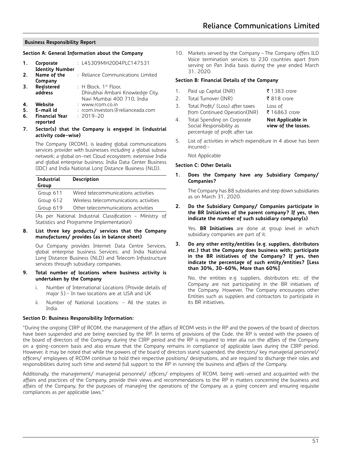#### **Section A: General Information about the Company**

| 1.             | Corporate<br><b>Identity Number</b>                       | : L45309MH2004PLC147531                                                                      |
|----------------|-----------------------------------------------------------|----------------------------------------------------------------------------------------------|
| 2.             | Name of the<br>Company                                    | : Reliance Communications Limited                                                            |
| 3.             | Registered<br>address                                     | : H Block, $1^{st}$ Floor,<br>Dhirubhai Ambani Knowledge City,<br>Navi Mumbai 400 710, India |
| 4.<br>5.<br>6. | Website<br>E-mail id<br><b>Financial Year</b><br>reported | : www.rcom.co.in<br>: rcom.investors@relianceada.com<br>$: 2019 - 20$                        |

**7. Sector(s) that the Company is engaged in (industrial activity code-wise)**

 The Company (RCOM), is leading global communications services provider with businesses including a global subsea network; a global on-net Cloud ecosystem; extensive India and global enterprise business; India Data Center Business (IDC) and India National Long Distance Business (NLD).

| <b>Industrial</b><br>Group | Description                            |
|----------------------------|----------------------------------------|
| Group 611                  | Wired telecommunications activities    |
| Group 612                  | Wireless telecommunications activities |
| Group 619                  | Other telecommunications activities    |

 (As per National Industrial Classification – Ministry of Statistics and Programme Implementation)

**8. List three key products/ services that the Company manufactures/ provides (as in balance sheet)**

 Our Company provides Internet Data Centre Services, global enterprise business Services; and India National Long Distance Business (NLD) and Telecom Infrastructure services through subsidiary companies.

- **9. Total number of locations where business activity is undertaken by the Company**
	- i. Number of International Locations (Provide details of major 5):- In two locations are at USA and UK
	- ii. Number of National Locations: All the states in India.

## **Section D: Business Responsibility Information:**

10. Markets served by the Company – The Company offers ILD Voice termination services to 230 countries apart from serving on Pan India basis during the year ended March 31, 2020.

#### **Section B: Financial Details of the Company**

- 1. Paid up Capital (INR)  $\bar{z}$  1383 crore
- 2. Total Turnover (INR)  $\bar{z}$ 818 crore
- 3. Total Profit/ (Loss) after taxes from Continued Operation(INR)
- Loss of ₹ 16863 crore

**Not Applicable in view of the losses.**

- 4. Total Spending on Corporate Social Responsibility as percentage of profit after tax
- 5. List of activities in which expenditure in 4 above has been incurred:-

Not Applicable

# **Section C: Other Details**

**1. Does the Company have any Subsidiary Company/ Companies?**

The Company has 88 subsidiaries and step down subsidiaries as on March 31, 2020.

**2. Do the Subsidiary Company/ Companies participate in the BR Initiatives of the parent company? If yes, then indicate the number of such subsidiary company(s)**

Yes, **BR Initiatives** are done at group level in which subsidiary companies are part of it.

**3. Do any other entity/entities (e.g. suppliers, distributors etc.) that the Company does business with; participate in the BR initiatives of the Company? If yes, then indicate the percentage of such entity/entities? [Less than 30%, 30-60%, More than 60%]**

 No, the entities e.g. suppliers, distributors etc. of the Company are not participating in the BR initiatives of the Company. However, The Company encourages other Entities such as suppliers and contractors to participate in its BR initiatives.

"During the ongoing CIRP of RCOM, the management of the affairs of RCOM vests in the RP and the powers of the board of directors have been suspended and are being exercised by the RP. In terms of provisions of the Code, the RP is vested with the powers of the board of directors of the Company during the CIRP period and the RP is required to inter alia run the affairs of the Company on a going-concern basis and also ensure that the Company remains in compliance of applicable laws during the CIRP period. However, it may be noted that while the powers of the board of directors stand suspended, the directors/ key managerial personnel/ officers/ employees of RCOM continue to hold their respective positions/ designations, and are required to discharge their roles and responsibilities during such time and extend full support to the RP in running the business and affairs of the Company.

Additionally, the management/ managerial personnel/ officers/ employees of RCOM, being well-versed and acquainted with the affairs and practices of the Company, provide their views and recommendations to the RP in matters concerning the business and affairs of the Company, for the purposes of managing the operations of the Company as a going concern and ensuring requisite compliances as per applicable laws."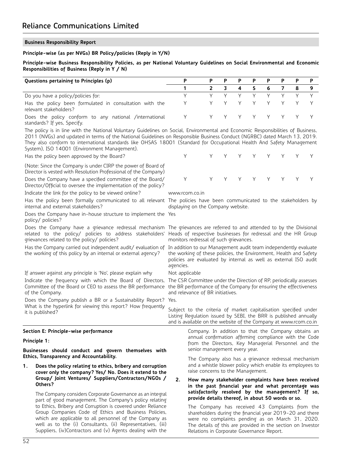## **Principle-wise (as per NVGs) BR Policy/policies (Reply in Y/N)**

**Principle-wise Business Responsibility Policies, as per National Voluntary Guidelines on Social Environmental and Economic Responsibilities of Business (Reply in Y / N)**

| Questions pertaining to Principles (p)                                                                        |              | <b>P</b> |  |  | P P P P P P P   |  |
|---------------------------------------------------------------------------------------------------------------|--------------|----------|--|--|-----------------|--|
|                                                                                                               |              |          |  |  | 2 3 4 5 6 7 8 9 |  |
| Do you have a policy/policies for:                                                                            |              |          |  |  | YYYYYYYYYY      |  |
| Has the policy been formulated in consultation with the<br>relevant stakeholders?                             | Y YYYYYYYYYY |          |  |  |                 |  |
| Does the policy conform to any national /international Y Y Y Y Y Y Y Y Y Y Y Y<br>standards? If yes, Specify. |              |          |  |  |                 |  |

The policy is in line with the National Voluntary Guidelines on Social, Environmental and Economic Responsibilities of Business, 2011 (NVGs) and updated in terms of the National Guidelines on Responsible Business Conduct (NGRBC) dated March 13, 2019. They also conform to international standards like OHSAS 18001 (Standard for Occupational Health And Safety Management System), ISO 14001 (Environment Management).

Has the policy been approved by the Board?

(Note: Since the Company is under CIRP the power of Board of Director is vested with Resolution Professional of the Company) Does the Company have a specified committee of the Board/

Director/Official to oversee the implementation of the policy? Indicate the link for the policy to be viewed online? www.rcom.co.in

internal and external stakeholders?

Does the Company have in-house structure to implement the Yes policy/ policies?

Does the Company have a grievance redressal mechanism related to the policy/ policies to address stakeholders' grievances related to the policy/ policies?

Has the Company carried out independent audit/ evaluation of the working of this policy by an internal or external agency?

If answer against any principle is 'No', please explain why Mot applicable Indicate the frequency with which the Board of Directors, Committee of the Board or CEO to assess the BR performance

of the Company. Does the Company publish a BR or a Sustainability Report? What is the hyperlink for viewing this report? How frequently it is published?

# **Section E: Principle-wise performance**

## **Principle 1:**

**Businesses should conduct and govern themselves with Ethics, Transparency and Accountability.**

**1. Does the policy relating to ethics, bribery and corruption cover only the company? Yes/ No. Does it extend to the Group/ Joint Ventures/ Suppliers/Contractors/NGOs / Others?**

The Company considers Corporate Governance as an integral part of good management. The Company's policy relating to Ethics, Bribery and Corruption is covered under Reliance Group Companies Code of Ethics and Business Policies, which are applicable to all personnel of the Company as well as to the (i) Consultants, (ii) Representatives, (iii) Suppliers, (iv)Contractors and (v) Agents dealing with the

| Y Y Y Y Y Y Y Y Y |  |  |  |  |
|-------------------|--|--|--|--|
| Y Y Y Y Y Y Y Y Y |  |  |  |  |

Has the policy been formally communicated to all relevant The policies have been communicated to the stakeholders by displaying on the Company website.

> The grievances are referred to and attended to by the Divisional Heads of respective businesses for redressal and the HR Group monitors redressal of such grievances.

> In addition to our Management audit team independently evaluate the working of these policies, the Environment, Health and Safety policies are evaluated by internal as well as external ISO audit agencies.

The CSR Committee under the Direction of RP, periodically assesses the BR performance of the Company for ensuring the effectiveness and relevance of BR initiatives.

Yes.

Subject to the criteria of market capitalisation specified under Listing Regulation issued by SEBI, the BRR is published annually and is available on the website of the Company at www.rcom.co.in

> Company. In addition to that the Company obtains an annual confirmation affirming compliance with the Code from the Directors, Key Managerial Personnel and the senior management every year.

> The Company also has a grievance redressal mechanism and a whistle blower policy which enable its employees to raise concerns to the Management.

## **2. How many stakeholder complaints have been received in the past financial year and what percentage was satisfactorily resolved by the management? If so, provide details thereof, in about 50 words or so.**

The Company has received 43 Complaints from the shareholders during the financial year 2019-20 and there were no complaints pending as on March 31, 2020. The details of this are provided in the section on Investor Relations in Corporate Governance Report.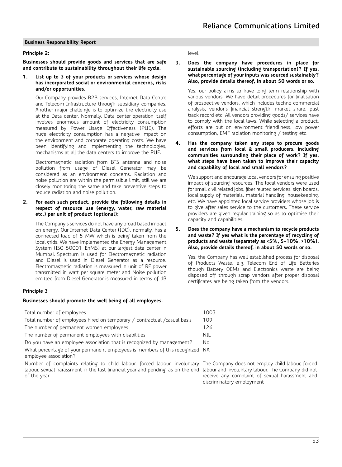# **Principle 2:**

**Businesses should provide goods and services that are safe and contribute to sustainability throughout their life cycle.**

**1. List up to 3 of your products or services whose design has incorporated social or environmental concerns, risks and/or opportunities.**

Our Company provides B2B services, Internet Data Centre and Telecom Infrastructure through subsidiary companies. Another major challenge is to optimize the electricity use at the Data center. Normally, Data center operation itself involves enormous amount of electricity consumption measured by Power Usage Effectiveness (PUE). The huge electricity consumption has a negative impact on the environment and corporate operating costs. We have been identifying and implementing the technologies, mechanisms at all the data centers to improve the PUE.

Electromagnetic radiation from BTS antenna and noise pollution from usage of Diesel Generator may be considered as an environment concerns. Radiation and noise pollution are within the permissible limit, still we are closely monitoring the same and take preventive steps to reduce radiation and noise pollution.

**2. For each such product, provide the following details in respect of resource use (energy, water, raw material etc.) per unit of product (optional):**

The Company's services do not have any broad based impact on energy. Our Internet Data Center (IDC), normally, has a connected load of 5 MW which is being taken from the local grids. We have implemented the Energy Management System (ISO 50001 EnMS) at our largest data center in Mumbai. Spectrum is used for Electromagnetic radiation and Diesel is used in Diesel Generator as a resource. Electromagnetic radiation is measured in unit of RF power transmitted in watt per square meter and Noise pollution emitted from Diesel Generator is measured in terms of dB

# **Principle 3**

## **Businesses should promote the well being of all employees.**

| Total number of employees                                                                             | 1003 |
|-------------------------------------------------------------------------------------------------------|------|
| Total number of employees hired on temporary / contractual / casual basis                             | 109  |
| The number of permanent women employees                                                               | 126  |
| The number of permanent employees with disabilities                                                   | NIL  |
| Do you have an employee association that is recognized by management?                                 | No   |
| What percentage of your permanent employees is members of this recognized NA<br>employee association? |      |
|                                                                                                       |      |

Number of complaints relating to child labour, forced labour, involuntary The Company does not employ child labour, forced labour, sexual harassment in the last financial year and pending, as on the end labour and involuntary labour. The Company did not of the year

level.

**3. Does the company have procedures in place for sustainable sourcing (including transportation)? If yes, what percentage of your inputs was sourced sustainably? Also, provide details thereof, in about 50 words or so.**

Yes, our policy aims to have long term relationship with various vendors. We have detail procedures for finalisation of prospective vendors, which includes techno commercial analysis, vendor's financial strength, market share, past track record etc. All vendors providing goods/ services have to comply with the local laws. While selecting a product, efforts are put on environment friendliness, low power consumption, EMF radiation monitoring / testing etc.

**4. Has the company taken any steps to procure goods and services from local & small producers, including communities surrounding their place of work? If yes, what steps have been taken to improve their capacity and capability of local and small vendors?**

We support and encourage local vendors for ensuing positive impact of sourcing resources. The local vendors were used for small civil related jobs, fiber related services, sign boards, local supply of materials, material handling, housekeeping, etc. We have appointed local service providers whose job is to give after sales service to the customers. These service providers are given regular training so as to optimise their capacity and capabilities.

#### **5. Does the company have a mechanism to recycle products and waste? If yes what is the percentage of recycling of products and waste (separately as <5%, 5-10%, >10%). Also, provide details thereof, in about 50 words or so.**

Yes, the Company has well established process for disposal of Products Waste, e.g. Telecom End of Life Batteries though Battery OEMs and Electronics waste are being disposed off through scrap vendors after proper disposal certificates are being taken from the vendors.

> receive any complaint of sexual harassment and discriminatory employment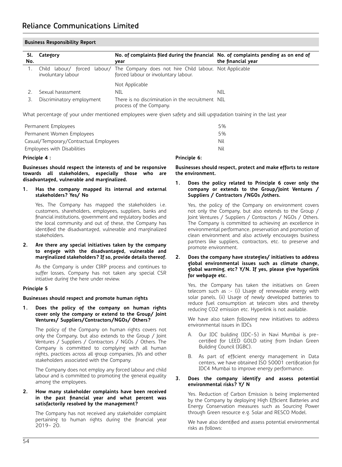| Sl.<br>No. | Category                    | No. of complaints filed during the financial No. of complaints pending as on end of<br>year                           | the financial year |
|------------|-----------------------------|-----------------------------------------------------------------------------------------------------------------------|--------------------|
|            | Child<br>involuntary labour | labour/ forced labour/ The Company does not hire Child labour, Not Applicable<br>forced labour or involuntary labour. |                    |
|            |                             | Not Applicable                                                                                                        |                    |
|            | Sexual harassment           | nil                                                                                                                   | nil                |
|            | Discriminatory employment   | There is no discrimination in the recruitment NIL<br>process of the Company.                                          |                    |

What percentage of your under mentioned employees were given safety and skill upgradation training in the last year

| Permanent Employees                    | 5%  |
|----------------------------------------|-----|
| Permanent Women Employees              | 5%  |
| Casual/Temporary/Contractual Employees | Nil |
| Employees with Disabilities            | Nil |

#### **Principle 4 :**

**Businesses should respect the interests of and be responsive towards all stakeholders, especially those who are disadvantaged, vulnerable and marginalized.**

**1. Has the company mapped its internal and external stakeholders? Yes/ No**

Yes, The Company has mapped the stakeholders i.e. customers, shareholders, employees, suppliers, banks and financial institutions, government and regulatory bodies and the local community and out of these, the Company has identified the disadvantaged, vulnerable and marginalized stakeholders.

**2. Are there any special initiatives taken by the company to engage with the disadvantaged, vulnerable and marginalized stakeholders? If so, provide details thereof.** 

As the Company is under CIRP process and continues to suffer losses, Company has not taken any special CSR intiative during the here under review.

## **Principle 5**

#### **Businesses should respect and promote human rights**

**1. Does the policy of the company on human rights cover only the company or extend to the Group/ Joint Ventures/ Suppliers/Contractors/NGOs/ Others?**

The policy of the Company on human rights covers not only the Company, but also extends to the Group / Joint Ventures / Suppliers / Contractors / NGOs / Others. The Company is committed to complying with all human rights, practices across all group companies, JVs and other stakeholders associated with the Company.

The Company does not employ any forced labour and child labour and is committed to promoting the general equality among the employees.

#### **2. How many stakeholder complaints have been received in the past financial year and what percent was satisfactorily resolved by the management?**

The Company has not received any stakeholder complaint pertaining to human rights during the financial year 2019- 20.

## **Principle 6:**

**Businesses should respect, protect and make efforts to restore the environment.**

**1. Does the policy related to Principle 6 cover only the company or extends to the Group/Joint Ventures / Suppliers / Contractors /NGOs /others.**

Yes, the policy of the Company on environment covers not only the Company, but also extends to the Group / Joint Ventures / Suppliers / Contractors / NGOs / Others. The Company is committed to achieving an excellence in environmental performance, preservation and promotion of clean environment and also actively encourages business partners like suppliers, contractors, etc. to preserve and promote environment.

**2. Does the company have strategies/ initiatives to address global environmental issues such as climate change, global warming, etc? Y/N. If yes, please give hyperlink for webpage etc.**

Yes, the Company has taken the initiatives on Green telecom such as :- (i) Usage of renewable energy with solar panels, (ii) Usage of newly developed batteries to reduce fuel consumption at telecom sites and thereby reducing CO2 emission etc. Hyperlink is not available.

We have also taken following new initiatives to address environmental issues in IDCs

- A. Our IDC building (IDC-5) in Navi Mumbai is precertified for LEED GOLD rating from Indian Green Building Council (IGBC).
- B. As part of efficient energy management in Data centers, we have obtained ISO 50001 certification for IDC4 Mumbai to improve energy performance.

#### **3. Does the company identify and assess potential environmental risks? Y/ N**

Yes. Reduction of Carbon Emission is being implemented by the Company by deploying High Efficient Batteries and Energy Conservation measures such as Sourcing Power through Green resource e.g. Solar and RESCO Model.

We have also identified and assess potential environmental risks as follows: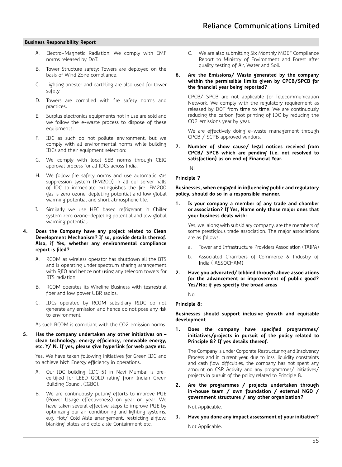- A. Electro-Magnetic Radiation: We comply with EMF norms released by DoT.
- B. Tower Structure safety: Towers are deployed on the basis of Wind Zone compliance.
- C. Lighting arrester and earthling are also used for tower safety.
- D. Towers are complied with fire safety norms and practices.
- E. Surplus electronics equipments not in use are sold and we follow the e-waste process to dispose of these equipments.
- F. IDC as such do not pollute environment, but we comply with all environmental norms while building IDCs and their equipment selection:
- G. We comply with local SEB norms through CEIG approval process for all IDCs across India.
- H. We follow fire safety norms and use automatic gas suppression system (FM200) in all our server halls of IDC to immediate extinguishes the fire. FM200 gas is zero ozone-depleting potential and low global warming potential and short atmospheric life.
- I. Similarly we use HFC based refrigerant in Chiller system zero ozone-depleting potential and low global warming potential.

#### **4. Does the Company have any project related to Clean Development Mechanism? If so, provide details thereof. Also, if Yes, whether any environmental compliance report is filed?**

- A. RCOM as wireless operator has shutdown all the BTS and is operating under spectrum sharing arrangement with RJIO and hence not using any telecom towers for BTS radiation.
- B. RCOM operates its Wireline Business with tesrrestrial fiber and low power UBR radios.
- C. IDCs operated by RCOM subsidiary RIDC do not generate any emission and hence do not pose any risk to environment.

As such RCOM is compliant with the CO2 emission norms.

## **5. Has the company undertaken any other initiatives on – clean technology, energy efficiency, renewable energy, etc. Y/ N. If yes, please give hyperlink for web page etc.**

Yes. We have taken following initiatives for Green IDC and to achieve high Energy efficiency in operations.

- A. Our IDC building (IDC-5) in Navi Mumbai is precertified for LEED GOLD rating from Indian Green Building Council (IGBC).
- B. We are continuously putting efforts to improve PUE (Power Usage effectiveness) on year on year. We have taken several effective steps to improve PUE by optimizing our air-conditioning and lighting systems, e.g. Hot/ Cold Aisle arrangement, restricting airflow, blanking plates and cold aisle Containment etc.

C. We are also submitting Six Monthly MOEF Compliance Report to Ministry of Environment and Forest after quality testing of Air, Water and Soil.

#### **6. Are the Emissions/ Waste generated by the company within the permissible limits given by CPCB/SPCB for the financial year being reported?**

CPCB/ SPCB are not applicable for Telecommunication Network. We comply with the regulatory requirement as released by DOT from time to time. We are continuously reducing the carbon foot printing of IDC by reducing the CO2 emissions year by year.

We are effectively doing e-waste management through CPCB / SCPB approved vendors.

#### **7. Number of show cause/ legal notices received from CPCB/ SPCB which are pending (i.e. not resolved to satisfaction) as on end of Financial Year.**

Nil

#### **Principle 7**

**Businesses, when engaged in influencing public and regulatory policy, should do so in a responsible manner.**

**1. Is your company a member of any trade and chamber or association? If Yes, Name only those major ones that your business deals with:**

Yes, we, along with subsidiary company, are the members of some prestigious trade association. The major associations are as follows:

- a. Tower and Infrastructure Providers Association (TAIPA)
- b. Associated Chambers of Commerce & Industry of India ( ASSOCHAM)
- **2. Have you advocated/ lobbied through above associations for the advancement or improvement of public good? Yes/No; if yes specify the broad areas**

No

#### **Principle 8:**

**Businesses should support inclusive growth and equitable development**

**1. Does the company have specified programmes/ initiatives/projects in pursuit of the policy related to Principle 8? If yes details thereof.**

The Company is under Corporate Restructuring and Insolvency Process and in current year, due to loss, liquidity constraints and cash flow difficulties, the company has not spent any amount on CSR Activity and any programmes/ initiatives/ projects in pursuit of the policy related to Principle 8.

**2. Are the programmes / projects undertaken through in-house team / own foundation / external NGO / government structures / any other organization?**

Not Applicable.

**3. Have you done any impact assessment of your initiative?** Not Applicable.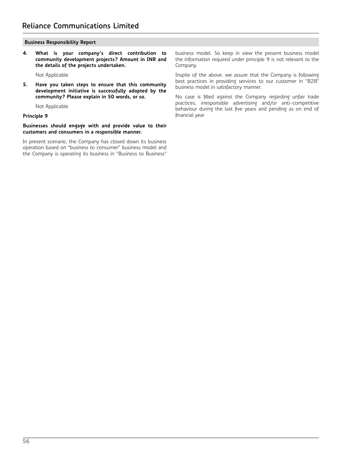**4. What is your company's direct contribution to community development projects? Amount in INR and the details of the projects undertaken.**

Not Applicable

**5. Have you taken steps to ensure that this community development initiative is successfully adopted by the community? Please explain in 50 words, or so.**

Not Applicable

# **Principle 9**

#### **Businesses should engage with and provide value to their customers and consumers in a responsible manner.**

In present scenario, the Company has closed down its business operation based on "business to consumer" business model and the Company is operating its business in "Business to Business" business model. So keep in view the present business model the information required under principle 9 is not relevant to the Company.

Inspite of the above, we assure that the Company is following best practices in providing services to our customer in "B2B" business model in satisfactory manner.

No case is filled against the Company regarding unfair trade practices, irresponsible advertising and/or anti-competitive behaviour during the last five years and pending as on end of financial year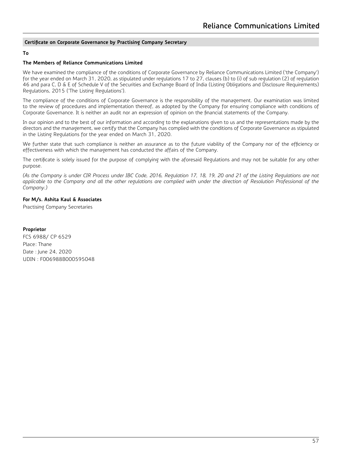# **Certificate on Corporate Governance by Practising Company Secretary**

## **To**

## **The Members of Reliance Communications Limited**

We have examined the compliance of the conditions of Corporate Governance by Reliance Communications Limited ('the Company') for the year ended on March 31, 2020, as stipulated under regulations 17 to 27, clauses (b) to (i) of sub regulation (2) of regulation 46 and para C, D & E of Schedule V of the Securities and Exchange Board of India (Listing Obligations and Disclosure Requirements) Regulations, 2015 ('The Listing Regulations').

The compliance of the conditions of Corporate Governance is the responsibility of the management. Our examination was limited to the review of procedures and implementation thereof, as adopted by the Company for ensuring compliance with conditions of Corporate Governance. It is neither an audit nor an expression of opinion on the financial statements of the Company.

In our opinion and to the best of our information and according to the explanations given to us and the representations made by the directors and the management, we certify that the Company has complied with the conditions of Corporate Governance as stipulated in the Listing Regulations for the year ended on March 31, 2020.

We further state that such compliance is neither an assurance as to the future viability of the Company nor of the efficiency or effectiveness with which the management has conducted the affairs of the Company.

The certificate is solely issued for the purpose of complying with the aforesaid Regulations and may not be suitable for any other purpose.

*(As the Company is under CIR Process under IBC Code, 2016, Regulation 17, 18, 19, 20 and 21 of the Listing Regulations are not applicable to the Company and all the other regulations are complied with under the direction of Resolution Professional of the Company.)*

# **For M/s. Ashita Kaul & Associates**

Practising Company Secretaries

# **Proprietor**

FCS 6988/ CP 6529 Place: Thane Date : June 24, 2020 UDIN : F006988B000595048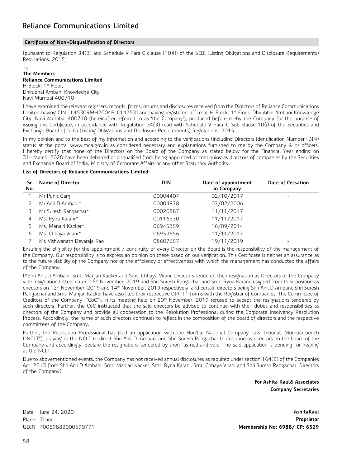# **Certificate of Non-Disqualification of Directors**

(pursuant to Regulation 34(3) and Schedule V Para C clause (10)(i) of the SEBI (Listing Obligations and Disclosure Requirements) Regulations, 2015)

# **The Members**

To,

# **Reliance Communications Limited**

H Block, 1<sup>st</sup> Floor, Dhirubhai Ambani Knowledge City, Navi Mumbai 400710

I have examined the relevant registers, records, forms, returns and disclosures received from the Directors of Reliance Communications Limited having CIN : L45309MH2004PLC147531and having registered office at H Block, 1st Floor, Dhirubhai Ambani Knowledge City, Navi Mumbai 400710 (hereinafter referred to as 'the Company'), produced before meby the Company for the purpose of issuing this Certificate, in accordance with Regulation 34(3) read with Schedule V Para-C Sub clause 10(i) of the Securities and Exchange Board of India (Listing Obligations and Disclosure Requirements) Regulations, 2015.

In my opinion and to the best of my information and according to the verifications (including Directors Identification Number (DIN) status at the portal www.mca.gov.in as considered necessary and explanations furnished to me by the Company & its officers, I hereby certify that none of the Directors on the Board of the Company as stated below for the Financial Year ending on 31<sup>st</sup> March, 2020 have been debarred or disqualified from being appointed or continuing as directors of companies by the Securities and Exchange Board of India, Ministry of Corporate Affairs or any other Statutory Authority.

#### **List of Directors of Reliance Communications Limited:**

| Sr.<br>No. | <b>Name of Director</b>     | <b>DIN</b> | Date of appointment<br>in Company | Date of Cessation |
|------------|-----------------------------|------------|-----------------------------------|-------------------|
|            | Mr Punit Garg               | 00004407   | 02/10/2017                        |                   |
|            | Mr Anil D Ambani*           | 00004878   | 07/02/2006                        |                   |
|            | Mr Suresh Rangachar*        | 00020887   | 11/11/2017                        |                   |
| 4          | Ms. Ryna Karani*            | 00116930   | 11/11/2017                        | -                 |
|            | Ms. Manajri Kacker*         | 06945359   | 16/09/2014                        |                   |
| 6          | Ms. Chhaya Virani*          | 06953556   | 11/11/2017                        | -                 |
|            | Mr. Vishwanath Devaraja Rao | 08607657   | 19/11/2019                        |                   |

Ensuring the eligibility for the appointment / continuity of every Director on the Board is the responsibility of the management of the Company. Our responsibility is to express an opinion on these based on our verification. This Certificate is neither an assurance as to the future viability of the Company nor of the efficiency or effectiveness with which the management has conducted the affairs of the Company.

(\*Shri Anil D Ambani, Smt. Manjari Kacker and Smt. Chhaya Virani, Directors tendered their resignation as Directors of the Company vide resignation letters dated 15th November, 2019 and Shri Suresh Rangachar and Smt. Ryna Karani resigned from their position as directors on 13<sup>th</sup> November, 2019 and 14<sup>th</sup> November, 2019 respectively, and certain directors being Shri Anil D Ambani, Shri Suresh Rangachar and Smt. Manjari Kacker have also filed their respective DIR-11 forms with the Registrar of Companies. The Committee of Creditors of the Company ("CoC"), in its meeting held on 20<sup>th</sup> November, 2019 refused to accept the resignations tendered by such directors. Further, the CoC instructed that the said directors be advised to continue with their duties and responsibilities as directors of the Company and provide all cooperation to the Resolution Professional during the Corporate Insolvency Resolution Process. Accordingly, the name of such directors continues to reflect in the composition of the board of directors and the respective committees of the Company.

Further, the Resolution Professional has filed an application with the Hon'ble National Company Law Tribunal, Mumbai bench ("NCLT"), praying to the NCLT to direct Shri Anil D. Ambani and Shri Suresh Rangachar to continue as directors on the board of the Company and accordingly, declare the resignations tendered by them as null and void. The said application is pending for hearing at the NCLT.

Due to abovementioned events, the Company has not received annual disclosures as required under section 164(2) of the Companies Act, 2013 from Shri Anil D Ambani, Smt. Manjari Kacker, Smt. Ryna Karani, Smt. Chhaya Virani and Shri Suresh Rangachar, Directors of the Company)

> **For Ashita Kaul& Associates Company Secretaries**

Date : June 24, 2020 **AshitaKaul** Place : Thane **Proprietor** UDIN : F006988B000590771 **Membership No: 6988/ CP: 6529**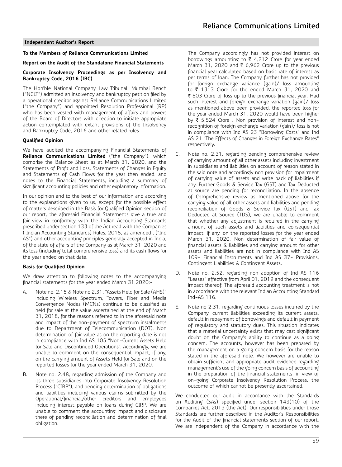## **To the Members of Reliance Communications Limited**

#### **Report on the Audit of the Standalone Financial Statements**

#### **Corporate Insolvency Proceedings as per Insolvency and Bankruptcy Code, 2016 (IBC)**

The Hon'ble National Company Law Tribunal, Mumbai Bench ("NCLT") admitted an insolvency and bankruptcy petition filed by a operational creditor against Reliance Communications Limited ("the Company") and appointed Resolution Professional (RP) who has been vested with management of affairs and powers of the Board of Directors with direction to initiate appropriate action contemplated with extant provisions of the Insolvency and Bankruptcy Code, 2016 and other related rules.

## **Qualified Opinion**

We have audited the accompanying Financial Statements of **Reliance Communications Limited** ("the Company"), which comprise the Balance Sheet as at March 31, 2020, and the Statements of Profit and Loss, Statements of Changes in Equity and Statements of Cash Flows for the year then ended, and notes to the Financial Statements, including a summary of significant accounting policies and other explanatory information.

In our opinion and to the best of our information and according to the explanations given to us, except for the possible effect of matters described in the Basis for Qualified Opinion section of our report, the aforesaid Financial Statements give a true and fair view in conformity with the Indian Accounting Standards prescribed under section 133 of the Act read with the Companies ( Indian Accounting Standards) Rules, 2015, as amended , ("Ind AS") and other accounting principles generally accepted in India, of the state of affairs of the Company as at March 31, 2020 and its loss (including total comprehensive loss) and its cash flows for the year ended on that date.

# **Basis for Qualified Opinion**

We draw attention to following notes to the accompanying financial statements for the year ended March 31,2020:-

- A. Note no. 2.15 & Note no 2.31, "Assets Held for Sale (AHS)" including Wireless Spectrum, Towers, Fiber and Media Convergence Nodes (MCNs) continue to be classified as held for sale at the value ascertained at the end of March 31, 2018, for the reasons referred to in the aforesaid note and impact of the non-payment of spectrum instalments due to Department of Telecommunication (DOT). Non determination of fair value as on the reporting date is not in compliance with Ind AS 105 "Non-Current Assets Held for Sale and Discontinued Operations". Accordingly, we are unable to comment on the consequential impact, if any, on the carrying amount of Assets Held for Sale and on the reported losses for the year ended March 31, 2020.
- B. Note no. 2.48, regarding admission of the Company and its three subsidiaries into Corporate Insolvency Resolution Process ("CIRP"), and pending determination of obligations and liabilities including various claims submitted by the Operational/financial/other creditors and employees including interest payable on loans during CIRP. We are unable to comment the accounting impact and disclosure there of pending reconciliation and determination of final obligation.

The Company accordingly has not provided interest on borrowings amounting to  $\bar{\tau}$  4,212 Crore for year ended March 31, 2020 and  $\bar{\tau}$  6,962 Crore up to the previous financial year calculated based on basic rate of interest as per terms of loan. The Company further has not provided for foreign exchange variance (gain)/ loss amounting to  $\bar{\tau}$  1313 Crore for the ended March 31, 2020 and ₹ 803 Crore of loss up to the previous financial year. Had such interest and foreign exchange variation (gain)/ loss as mentioned above been provided, the reported loss for the year ended March 31, 2020 would have been higher by  $\overline{\tau}$  5,524 Crore. Non provision of interest and nonrecognition of foreign exchange variation (gain)/ loss is not in compliance with Ind AS 23 "Borrowing Costs" and Ind AS 21 "The Effects of Changes in Foreign Exchange Rates" respectively.

- C. Note no. 2.31, regarding pending comprehensive review of carrying amount of all other assets including investment in subsidiaries and liabilities on account of reason stated in the said note and accordingly non provision for impairment of carrying value of assets and write back of liabilities if any. Further Goods & Service Tax (GST) and Tax Deducted at source are pending for reconciliation. In the absence of Comprehensive review as mentioned above for the carrying value of all other assets and liabilities and pending reconciliation of Goods & Service Tax (GST) and Tax Deducted at Source (TDS), we are unable to comment that whether any adjustment is required in the carrying amount of such assets and liabilities and consequential impact, if any, on the reported losses for the year ended March 31, 2020. Non determination of fair value of financial assets & liabilities and carrying amount for other assets and liabilities are not in compliance with Ind AS 109- Financial Instruments and Ind AS 37- Provisions, Contingent Liabilities & Contingent Assets.
- D. Note no. 2.52, regarding non adoption of Ind AS 116 "Leases" effective from April 01, 2019 and the consequent impact thereof. The aforesaid accounting treatment is not in accordance with the relevant Indian Accounting Standard Ind-AS 116.
- E. Note no 2.31, regarding continuous losses incurred by the Company, current liabilities exceeding its current assets, default in repayment of borrowings and default in payment of regulatory and statutory dues. This situation indicates that a material uncertainty exists that may cast significant doubt on the Company's ability to continue as a going concern. The accounts, however has been prepared by the management on a going concern basis for the reason stated in the aforesaid note. We however are unable to obtain sufficient and appropriate audit evidence regarding management's use of the going concern basis of accounting in the preparation of the financial statements, in view of on-going Corporate Insolvency Resolution Process, the outcome of which cannot be presently ascertained.

We conducted our audit in accordance with the Standards on Auditing (SAs) specified under section 143(10) of the Companies Act, 2013 (the Act). Our responsibilities under those Standards are further described in the Auditor's Responsibilities for the Audit of the financial statements section of our report. We are independent of the Company in accordance with the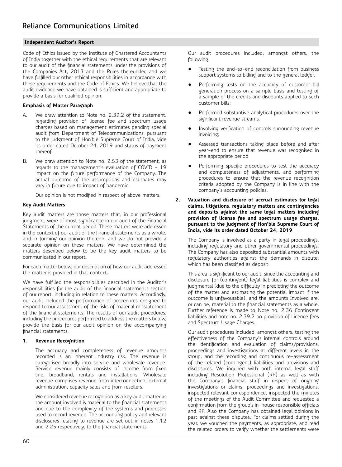Code of Ethics issued by the Institute of Chartered Accountants of India together with the ethical requirements that are relevant to our audit of the financial statements under the provisions of the Companies Act, 2013 and the Rules thereunder, and we have fulfilled our other ethical responsibilities in accordance with these requirements and the Code of Ethics. We believe that the audit evidence we have obtained is sufficient and appropriate to provide a basis for qualified opinion.

## **Emphasis of Matter Paragraph**

- A. We draw attention to Note no. 2.39.2 of the statement, regarding provision of license fee and spectrum usage charges based on management estimates pending special audit from Department of Telecommunications, pursuant to the judgment of Hon'ble Supreme Court of India, vide its order dated October 24, 2019 and status of payment thereof.
- B. We draw attention to Note no. 2.53 of the statement, as regards to the management's evaluation of COVID - 19 impact on the future performance of the Company. The actual outcome of the assumptions and estimates may vary in future due to impact of pandemic.

Our opinion is not modified in respect of above matters.

# **Key Audit Matters**

Key audit matters are those matters that, in our professional judgment, were of most significance in our audit of the Financial Statements of the current period. These matters were addressed in the context of our audit of the financial statements as a whole, and in forming our opinion thereon, and we do not provide a separate opinion on these matters. We have determined the matters described below to be the key audit matters to be communicated in our report.

For each matter below, our description of how our audit addressed the matter is provided in that context.

We have fulfilled the responsibilities described in the Auditor's responsibilities for the audit of the financial statements section of our report, including in relation to these matters. Accordingly, our audit included the performance of procedures designed to respond to our assessment of the risks of material misstatement of the financial statements. The results of our audit procedures, including the procedures performed to address the matters below, provide the basis for our audit opinion on the accompanying financial statements.

## **1. Revenue Recognition**

The accuracy and completeness of revenue amounts recorded is an inherent industry risk. The revenue is categorised broadly into service and wholesale revenue. Service revenue mainly consists of income from fixed line, broadband, rentals and installations. Wholesale revenue comprises revenue from interconnection, external administration, capacity sales and from resellers.

We considered revenue recognition as a key audit matter as the amount involved is material to the financial statements and due to the complexity of the systems and processes used to record revenue. The accounting policy and relevant disclosures relating to revenue are set out in notes 1.12 and 2.25 respectively, to the financial statements.

Our audit procedures included, amongst others, the following:

- Testing the end-to-end reconciliation from business support systems to billing and to the general ledger,
- Performing tests on the accuracy of customer bill generation process on a sample basis and testing of a sample of the credits and discounts applied to such customer bills;
- Performed substantive analytical procedures over the significant revenue streams.
- Involving verification of controls surrounding revenue invoicing;
- Assessed transactions taking place before and after year-end to ensure that revenue was recognised in the appropriate period;
- Performing specific procedures to test the accuracy and completeness of adjustments, and performing procedures to ensure that the revenue recognition criteria adopted by the Company is in line with the company's accounting policies.
- **2. Valuation and disclosure of accrual estimates for legal claims, litigations, regulatory matters and contingencies and deposits against the same legal matters including provision of license fee and spectrum usage charges, pursuant to the judgment of Hon'ble Supreme Court of India, vide its order dated October 24, 2019**

The Company is involved as a party in legal proceedings, including regulatory and other governmental proceedings. The Company has also deposited substantial amounts with regulatory authorities against the demands in dispute, which has been classified as deposit.

This area is significant to our audit, since the accounting and disclosure for (contingent) legal liabilities is complex and judgmental (due to the difficulty in predicting the outcome of the matter and estimating the potential impact if the outcome is unfavourable), and the amounts Involved are, or can be, material to the financial statements as a whole. Further reference is made to Note no. 2.36 Contingent liabilities and note no. 2.39.2 on provision of Licence fees and Spectrum Usage Charges.

Our audit procedures included, amongst others, testing the effectiveness of the Company's internal controls around the identification and evaluation of claims/provisions, proceedings and investigations at different levels in the group, and the recording and continuous re-assessment of the related (contingent) liabilities and provisions and disclosures. We inquired with both internal legal staff including Resolution Professional (RP) as well as with the Company's financial staff in respect of ongoing investigations or claims, proceedings and investigations, inspected relevant correspondence, inspected the minutes of the meetings of the Audit Committee and requested a confirmation from the group's in-house responsible officials and RP. Also the Company has obtained legal opinions in past against these disputes. For claims settled during the year, we vouched the payments, as appropriate, and read the related orders to verify whether the settlements were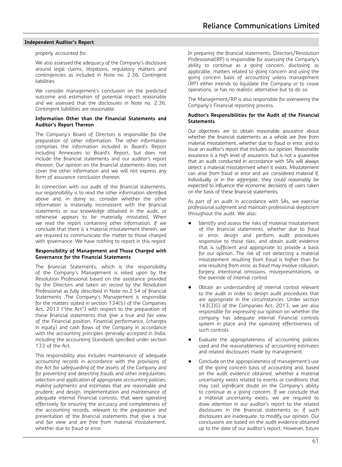#### properly accounted for.

We also assessed the adequacy of the Company's disclosure around legal claims, litigations, regulatory matters and contingencies as included in Note no. 2.36, Contingent liabilities.

We consider management's conclusion on the predicted outcome and estimation of potential impact reasonable and we assessed that the disclosures in Note no. 2.36, Contingent liabilities are reasonable.

#### **Information Other than the Financial Statements and Auditor's Report Thereon**

The Company's Board of Directors is responsible for the preparation of other information. The other information comprises the information included in Board's Report including Annexures to Board's Report, but does not include the financial statements and our auditor's report thereon. Our opinion on the financial statements does not cover the other information and we will not express any form of assurance conclusion thereon.

In connection with our audit of the financial statements, our responsibility is to read the other information identified above and, in doing so, consider whether the other information is materially inconsistent with the financial statements or our knowledge obtained in the audit, or otherwise appears to be materially misstated. When we read the report containing other information, if we conclude that there is a material misstatement therein, we are required to communicate the matter to those charged with governance. We have nothing to report in this regard

#### **Responsibility of Management and Those Charged with Governance for the Financial Statements**

The financial Statements, which is the responsibility of the Company's Management is relied upon by the Resolution Professional based on the assistance provided by the Directors and taken on record by the Resolution Professional as fully described in Note no.2.54 of financial Statements .The Company's Management is responsible for the matters stated in section 134(5) of the Companies Act, 2013 ("the Act") with respect to the preparation of these financial statements that give a true and fair view of the Financial position, Financial performance, (changes in equity) and cash flows of the Company in accordance with the accounting principles generally accepted in India, including the accounting Standards specified under section 133 of the Act.

This responsibility also includes maintenance of adequate accounting records in accordance with the provisions of the Act for safeguarding of the assets of the Company and for preventing and detecting frauds and other irregularities; selection and application of appropriate accounting policies; making judgments and estimates that are reasonable and prudent; and design, implementation and maintenance of adequate internal Financial controls, that were operating effectively for ensuring the accuracy and completeness of the accounting records, relevant to the preparation and presentation of the financial statements that give a true and fair view and are free from material misstatement, whether due to fraud or error.

In preparing the financial statements, Directors/Resolution Professional(RP) is responsible for assessing the Company's ability to continue as a going concern, disclosing, as applicable, matters related to going concern and using the going concern basis of accounting unless management (RP) either intends to liquidate the Company or to cease operations, or has no realistic alternative but to do so.

The Management/RP is also responsible for overseeing the Company's Financial reporting process.

#### **Auditor's Responsibilities for the Audit of the Financial Statements**

Our objectives are to obtain reasonable assurance about whether the financial statements as a whole are free from material misstatement, whether due to fraud or error, and to issue an auditor's report that includes our opinion. Reasonable assurance is a high level of assurance, but is not a guarantee that an audit conducted in accordance with SAs will always detect a material misstatement when it exists. Misstatement can arise from fraud or error and are considered material if, individually or in the aggregate, they could reasonably be expected to influence the economic decisions of users taken on the basis of these financial statements.

As part of an audit in accordance with SAs, we exercise professional judgment and maintain professional skepticism throughout the audit. We also:

- Identify and assess the risks of material misstatement of the financial statements, whether due to fraud or error, design and perform audit procedures responsive to those risks, and obtain audit evidence that is sufficient and appropriate to provide a basis for our opinion. The risk of not detecting a material misstatement resulting from fraud is higher than for one resulting from error, as fraud may involve collusion, forgery, intentional omissions, misrepresentations, or the override of internal control
- Obtain an understanding of internal control relevant to the audit in order to design audit procedures that are appropriate in the circumstances. Under section 143(3)(i) of the Companies Act, 2013, we are also responsible for expressing our opinion on whether the company has adequate internal Financial controls system in place and the operating effectiveness of such controls.
- Evaluate the appropriateness of accounting policies used and the reasonableness of accounting estimates and related disclosures made by management.
- Conclude on the appropriateness of management's use of the going concern basis of accounting and, based on the audit evidence obtained, whether a material uncertainty exists related to events or conditions that may cast significant doubt on the Company's ability to continue as a going concern. If we conclude that a material uncertainty exists, we are required to draw attention in our auditor's report to the related disclosures in the financial statements or, if such disclosures are inadequate, to modify our opinion. Our conclusions are based on the audit evidence obtained up to the date of our auditor's report. However, future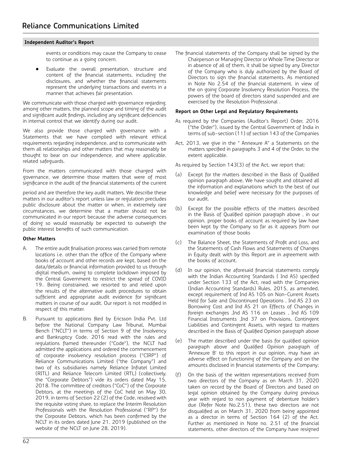events or conditions may cause the Company to cease to continue as a going concern.

Evaluate the overall presentation, structure and content of the financial statements, including the disclosures, and whether the financial statements represent the underlying transactions and events in a manner that achieves fair presentation.

We communicate with those charged with governance regarding, among other matters, the planned scope and timing of the audit and significant audit findings, including any significant deficiencies in internal control that we identify during our audit.

We also provide those charged with governance with a Statements that we have complied with relevant ethical requirements regarding independence, and to communicate with them all relationships and other matters that may reasonably be thought to bear on our independence, and where applicable, related safeguards.

From the matters communicated with those charged with governance, we determine those matters that were of most significance in the audit of the financial statements of the current

period and are therefore the key audit matters. We describe these matters in our auditor's report unless law or regulation precludes public disclosure about the matter or when, in extremely rare circumstances, we determine that a matter should not be communicated in our report because the adverse consequences of doing so would reasonably be expected to outweigh the public interest benefits of such communication.

# **Other Matters**

- A. The entire audit finalisation process was carried from remote locations i.e. other than the office of the Company where books of account and other records are kept, based on the data/details or financial information provided to us through digital medium, owing to complete lockdown imposed by the Central Government to restrict the spread of COVID 19.. Being constrained, we resorted to and relied upon the results of the alternative audit procedures to obtain sufficient and appropriate audit evidence for significant matters in course of our audit. Our report is not modified in respect of this matter.
- B. Pursuant to applications filed by Ericsson India Pvt. Ltd before the National Company Law Tribunal, Mumbai Bench ("NCLT") in terms of Section 9 of the Insolvency and Bankruptcy Code, 2016 read with the rules and regulations framed thereunder ("Code"), the NCLT had admitted the applications and ordered the commencement of corporate insolvency resolution process ("CIRP") of Reliance Communications Limited ("the Company") and two of its subsidiaries namely Reliance Infratel Limited (RITL) and Reliance Telecom Limited (RTL) (collectively, the "Corporate Debtors") vide its orders dated May 15, 2018. The committee of creditors ("CoC") of the Corporate Debtors, at the meetings of the CoC held on May 30, 2019, in terms of Section 22 (2) of the Code, resolved with the requisite voting share, to replace the Interim Resolution Professionals with the Resolution Professional ("RP") for the Corporate Debtors, which has been confirmed by the NCLT in its orders dated June 21, 2019 (published on the website of the NCLT on June 28, 2019).

The financial statements of the Company shall be signed by the Chairperson or Managing Director or Whole Time Director or in absence of all of them, it shall be signed by any Director of the Company who is duly authorized by the Board of Directors to sign the financial statements. As mentioned in Note No 2.54 of the financial statement, in view of the on going Corporate Insolvency Resolution Process, the powers of the board of directors stand suspended and are exercised by the Resolution Professional .

# **Report on Other Legal and Regulatory Requirements**

- As required by the Companies (Auditor's Report) Order, 2016 ("the Order"), issued by the Central Government of India in terms of sub-section (11) of section 143 of the Companies
- Act, 2013, we give in the " Annexure A" a Statements on the matters specified in paragraphs 3 and 4 of the Order, to the extent applicable.

As required by Section 143(3) of the Act, we report that:

- (a) Except for the matters described in the Basis of Qualified opinion paragraph above, We have sought and obtained all the information and explanations which to the best of our knowledge and belief were necessary for the purposes of our audit.
- (b) Except for the possible effects of the matters described in the Basis of Qualified opinion paragraph above , in our opinion, proper books of account as required by law have been kept by the Company so far as it appears from our examination of those books
- (c) The Balance Sheet, the Statements of Profit and Loss, and the Statements of Cash Flows and Statements of Changes in Equity dealt with by this Report are in agreement with the books of account.
- (d) In our opinion, the aforesaid financial statements comply with the Indian Accounting Standards ( Ind AS) specified under Section 133 of the Act, read with the Companies (Indian Accounting Standards) Rules, 2015, as amended, except requirement of Ind AS 105 on Non-Current Assets Held for Sale and Discontinued Operations , Ind AS 23 on Borrowing Cost and Ind AS 21 on Effects of Changes in foreign exchanges ,Ind AS 116 on Leases , Ind AS 109 Financial Instruments ,Ind 37 on Provisions, Contingent Liabilities and Contingent Assets, with regard to matters described in the Basis of Qualified Opinion paragraph above
- (e) The matter described under the basis for qualified opinion paragraph above and Qualified Opinion paragraph of 'Annexure B' to this report in our opinion, may have an adverse effect on functioning of the Company and on the amounts disclosed in financial statements of the Company;
- (f) On the basis of the written representations received from two directors of the Company as on March 31, 2020 taken on record by the Board of Directors and based on legal opinion obtained by the Company during previous year with regard to non payment of debenture holder's due (Refer Note No.2.51), these two directors are not disqualified as on March 31, 2020 from being appointed as a director in terms of Section 164 (2) of the Act. Further as mentioned in Note no. 2.51 of the financial statements, other directors of the Company have resigned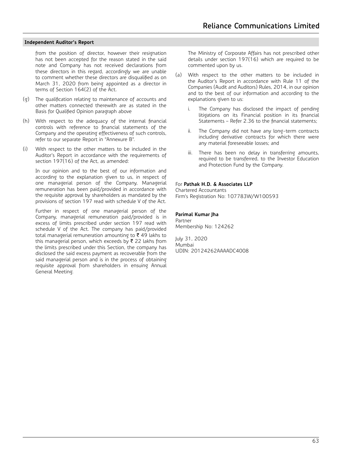from the position of director, however their resignation has not been accepted for the reason stated in the said note and Company has not received declarations from these directors in this regard, accordingly we are unable to comment whether these directors are disqualified as on March 31, 2020 from being appointed as a director in terms of Section 164(2) of the Act.

- (g) The qualification relating to maintenance of accounts and other matters connected therewith are as stated in the Basis for Qualified Opinion paragraph above
- (h) With respect to the adequacy of the internal financial controls with reference to financial statements of the Company and the operating effectiveness of such controls, refer to our separate Report in "Annexure B".
- (i) With respect to the other matters to be included in the Auditor's Report in accordance with the requirements of section 197(16) of the Act, as amended:

In our opinion and to the best of our information and according to the explanation given to us, in respect of one managerial person of the Company, Managerial remuneration has been paid/provided in accordance with the requisite approval by shareholders as mandated by the provisions of section 197 read with schedule V of the Act.

Further in respect of one managerial person of the Company, managerial remuneration paid/provided is in excess of limits prescribed under section 197 read with schedule V of the Act. The company has paid/provided total managerial remuneration amounting to  $\bar{\tau}$  49 lakhs to this managerial person, which exceeds by  $\bar{\tau}$  22 lakhs from the limits prescribed under this Section, the company has disclosed the said excess payment as recoverable from the said managerial person and is in the process of obtaining requisite approval from shareholders in ensuing Annual General Meeting.

The Ministry of Corporate Affairs has not prescribed other details under section 197(16) which are required to be commented upon by us.

- (a) With respect to the other matters to be included in the Auditor's Report in accordance with Rule 11 of the Companies (Audit and Auditors) Rules, 2014, in our opinion and to the best of our information and according to the explanations given to us:
	- i. The Company has disclosed the impact of pending litigations on its Financial position in its financial Statements – Refer 2.36 to the financial statements;
	- ii. The Company did not have any long-term contracts including derivative contracts for which there were any material foreseeable losses; and
	- iii. There has been no delay in transferring amounts, required to be transferred, to the Investor Education and Protection Fund by the Company.

## For **Pathak H.D. & Associates LLP**

Chartered Accountants Firm's Registration No: 107783W/W100593

## **Parimal Kumar Jha**

Partner Membership No: 124262

July 31, 2020 Mumbai UDIN: 20124262AAAADC4008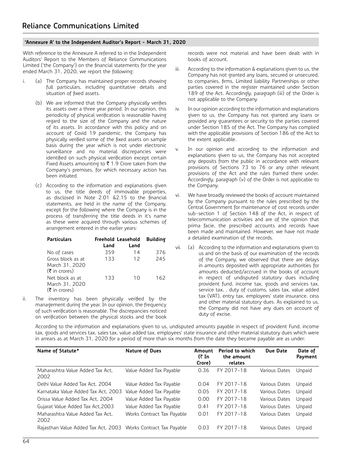With reference to the Annexure A referred to in the Independent Auditors' Report to the Members of Reliance Communications Limited ('the Company') on the financial statements for the year ended March 31, 2020, we report the following:

- i. (a) The Company has maintained proper records showing full particulars, including quantitative details and situation of fixed assets.
	- (b) We are informed that the Company physically verifies its assets over a three year period. In our opinion, this periodicity of physical verification is reasonable having regard to the size of the Company and the nature of its assets. In accordance with this policy and on account of Covid 19 pandemic, the Company has physically verified some of the fixed assets on sample basis during the year which is not under electronic surveillance and no material discrepancies were identified on such physical verification except certain Fixed Assets amounting to  $\bar{\tau}$  1.9 Crore taken from the Company's premises, for which necessary action has been initiated.
	- (c) According to the information and explanations given to us, the title deeds of immovable properties, as disclosed in Note 2.01 &2.15 to the financial statements, are held in the name of the Company, except for the following where the Company is in the process of transferring the title deeds in it's name as these were acquired through various schemes of arrangement entered in the earlier years:

| <b>Particulars</b>                                                        | Land | Freehold Leasehold<br>Land | <b>Building</b> |
|---------------------------------------------------------------------------|------|----------------------------|-----------------|
| No of cases                                                               | 359  | 14                         | 376             |
| Gross block as at<br>March 31, 2020<br>$(\bar{\tau}$ in crores)           | 133  | 12                         | 245             |
| Net block as at<br>March 31, 2020<br>$(\bar{\bar{\mathbf{z}}}$ in crores) | 133  | 10                         | 162             |

ii. The inventory has been physically verified by the management during the year. In our opinion, the frequency of such verification is reasonable. The discrepancies noticed on verification between the physical stocks and the book records were not material and have been dealt with in books of account.

- iii. According to the information & explanations given to us, the Company has not granted any loans, secured or unsecured, to companies, firms, Limited liability Partnerships or other parties covered in the register maintained under Section 189 of the Act. Accordingly, paragraph (iii) of the Order is not applicable to the Company.
- iv. In our opinion according to the information and explanations given to us, the Company has not granted any loans or provided any guarantees or security to the parties covered under Section 185 of the Act. The Company has complied with the applicable provisions of Section 186 of the Act to the extent applicable.
- In our opinion and according to the information and explanations given to us, the Company has not accepted any deposits from the public in accordance with relevant provisions of Sections 73 to 76 or any other relevant provisions of the Act and the rules framed there under. Accordingly, paragraph (v) of the Order is not applicable to the Company.
- vi. We have broadly reviewed the books of account maintained by the Company pursuant to the rules prescribed by the Central Government for maintenance of cost records under sub-section 1 of Section 148 of the Act, in respect of telecommunication activities and are of the opinion that prima facie, the prescribed accounts and records have been made and maintained. However, we have not made a detailed examination of the records.
- vii. (a) According to the information and explanations given to us and on the basis of our examination of the records of the Company, we observed that there are delays in amounts deposited with appropriate authorities for amounts deducted/accrued in the books of account in respect of undisputed statutory dues including provident fund, income tax, goods and services tax, service tax, , duty of customs, sales tax, value added tax (VAT), entry tax, employees' state insurance, cess and other material statutory dues. As explained to us, the Company did not have any dues on account of duty of excise.

According to the information and explanations given to us, undisputed amounts payable in respect of provident Fund, income tax, goods and services tax, sales tax, value added tax, employees' state insurance and other material statutory dues which were in arrears as at March 31, 2020 for a period of more than six months from the date they became payable are as under:

| Name of Statute*                                               | <b>Nature of Dues</b>      | Amount<br>(₹ In<br>Crore) | Period to which<br>the amount<br>relates | Due Date      | Date of<br>Payment |
|----------------------------------------------------------------|----------------------------|---------------------------|------------------------------------------|---------------|--------------------|
| Maharashtra Value Added Tax Act.<br>2002                       | Value Added Tax Payable    | 0.36                      | FY 2017-18                               | Various Dates | Unpaid             |
| Delhi Value Added Tax Act. 2004                                | Value Added Tax Payable    | 0.04                      | FY 2017-18                               | Various Dates | Unpaid             |
| Karnataka Value Added Tax Act, 2003                            | Value Added Tax Payable    | 0.05                      | FY 2017-18                               | Various Dates | Unpaid             |
| Orissa Value Added Tax Act, 2004                               | Value Added Tax Payable    | 0.00                      | FY 2017-18                               | Various Dates | Unpaid             |
| Gujarat Value Added Tax Act, 2003                              | Value Added Tax Payable    | 0.41                      | FY 2017-18                               | Various Dates | Unpaid             |
| Maharashtra Value Added Tax Act.<br>2002                       | Works Contract Tax Payable | 0.01                      | FY 2017-18                               | Various Dates | Unpaid             |
| Rajasthan Value Added Tax Act, 2003 Works Contract Tax Payable |                            | 0.03                      | FY 2017-18                               | Various Dates | Unpaid             |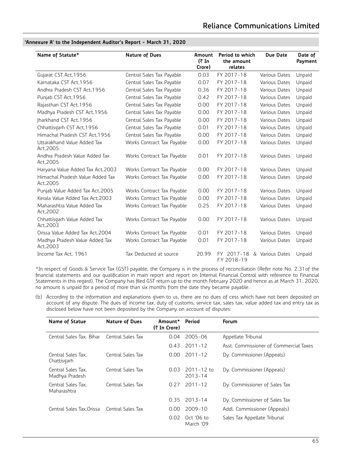| Name of Statute*                              | <b>Nature of Dues</b>      | Amount<br>(₹ In<br>Crore) | Period to which<br>the amount<br>relates | Due Date        | Date of<br>Payment |
|-----------------------------------------------|----------------------------|---------------------------|------------------------------------------|-----------------|--------------------|
| Gujarat CST Act, 1956                         | Central Sales Tax Payable  | 0.03                      | FY 2017-18                               | Various Dates   | Unpaid             |
| Karnataka CST Act, 1956                       | Central Sales Tax Payable  | 0.07                      | FY 2017-18                               | Various Dates   | Unpaid             |
| Andhra Pradesh CST Act, 1956                  | Central Sales Tax Payable  | 0.36                      | FY 2017-18                               | Various Dates   | Unpaid             |
| Punjab CST Act, 1956                          | Central Sales Tax Payable  | 0.42                      | FY 2017-18                               | Various Dates   | Unpaid             |
| Rajasthan CST Act, 1956                       | Central Sales Tax Payable  | 0.00                      | FY 2017-18                               | Various Dates   | Unpaid             |
| Madhya Pradesh CST Act, 1956                  | Central Sales Tax Payable  | 0.00                      | FY 2017-18                               | Various Dates   | Unpaid             |
| Jharkhand CST Act, 1956                       | Central Sales Tax Payable  | 0.00                      | FY 2017-18                               | Various Dates   | Unpaid             |
| Chhattisgarh CST Act, 1956                    | Central Sales Tax Payable  | 0.01                      | FY 2017-18                               | Various Dates   | Unpaid             |
| Himachal Pradesh CST Act, 1956                | Central Sales Tax Payable  | 0.00                      | FY 2017-18                               | Various Dates   | Unpaid             |
| Uttarakhand Value Added Tax<br>Act.2005       | Works Contract Tax Payable | 0.00                      | FY 2017-18                               | Various Dates   | Unpaid             |
| Andhra Pradesh Value Added Tax<br>Act, 2005   | Works Contract Tax Payable | 0.01                      | FY 2017-18                               | Various Dates   | Unpaid             |
| Haryana Value Added Tax Act, 2003             | Works Contract Tax Payable | 0.00                      | FY 2017-18                               | Various Dates   | Unpaid             |
| Himachal Pradesh Value Added Tax<br>Act, 2005 | Works Contract Tax Payable | 0.00                      | FY 2017-18                               | Various Dates   | Unpaid             |
| Punjab Value Added Tax Act, 2005              | Works Contract Tax Payable | 0.00                      | FY 2017-18                               | Various Dates   | Unpaid             |
| Kerala Value Added Tax Act.2003               | Works Contract Tax Payable | 0.00                      | FY 2017-18                               | Various Dates   | Unpaid             |
| Maharashtra Value Added Tax<br>Act, 2002      | Works Contract Tax Payable | 0.25                      | FY 2017-18                               | Various Dates   | Unpaid             |
| Chhattisgarh Value Added Tax<br>Act, 2003     | Works Contract Tax Payable | 0.00                      | FY 2017-18                               | Various Dates   | Unpaid             |
| Orissa Value Added Tax Act.2004               | Works Contract Tax Payable | 0.01                      | FY 2017-18                               | Various Dates   | Unpaid             |
| Madhya Pradesh Value Added Tax<br>Act, 2003   | Works Contract Tax Payable | 0.01                      | FY 2017-18                               | Various Dates   | Unpaid             |
| Income Tax Act. 1961                          | Tax Deducted at source     | 20.99                     | $2017 - 18$<br>FY<br>F.Y 2018-19         | & Various Dates | Unpaid             |

\*In respect of Goods & Service Tax (GST) payable, the Company is in the process of reconciliation (Refer note No. 2.31of the financial statements and our qualification in main report and report on Internal Financial Control with reference to Financial Statements in this regard). The Company has filed GST return up to the month February 2020 and hence as at March 31, 2020, no amount is unpaid for a period of more than six months from the date they became payable.

(b) According to the information and explanations given to us, there are no dues of cess which have not been deposited on account of any dispute. The dues of income tax, duty of customs, service tax, sales tax, value added tax and entry tax as disclosed below have not been deposited by the Company on account of disputes:

| Name of Statue                       | <b>Nature of Dues</b> | Amount*<br>(₹ In Crore) | Period                        | <b>Forum</b>                           |
|--------------------------------------|-----------------------|-------------------------|-------------------------------|----------------------------------------|
| Central Sales Tax. Bihar             | Central Sales Tax     | 0.04                    | $2005 - 06$                   | Appellate Tribunal                     |
|                                      |                       |                         | $0.43$ 2011-12                | Asst. Commissioner of Commercial Taxes |
| Central Sales Tax.<br>Chattisgarh    | Central Sales Tax     |                         | $0.00$ 2011-12                | Dy. Commissioner (Appeals)             |
| Central Sales Tax.<br>Madhya Pradesh | Central Sales Tax     | 0.03                    | $2011 - 12$ to<br>$2013 - 14$ | Dy. Commissioner (Appeals)             |
| Central Sales Tax.<br>Maharashtra    | Central Sales Tax     | 0.27                    | $2011 - 12$                   | Dy. Commissioner of Sales Tax          |
|                                      |                       |                         | 0.35 2013-14                  | Dy. Commissioner of Sales Tax          |
| Central Sales Tax Orissa             | Central Sales Tax     | 0.00                    | $2009 - 10$                   | Addl. Commissioner (Appeals)           |
|                                      |                       | 0.02                    | Oct '06 to<br>March '09       | Sales Tax Appellate Tribunal           |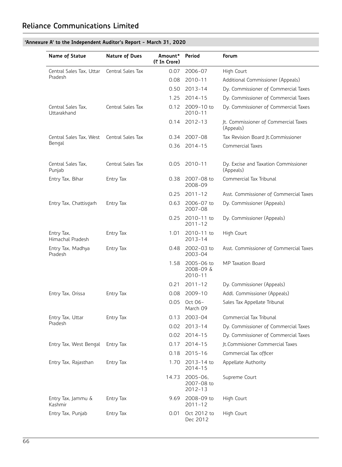| Name of Statue                    | <b>Nature of Dues</b> | Amount*<br>(₹ In Crore) | Period                                   | Forum                                             |
|-----------------------------------|-----------------------|-------------------------|------------------------------------------|---------------------------------------------------|
| Central Sales Tax, Uttar          | Central Sales Tax     | 0.07                    | 2006-07                                  | High Court                                        |
| Pradesh                           |                       | 0.08                    | 2010-11                                  | Additional Commissioner (Appeals)                 |
|                                   |                       | 0.50                    | $2013 - 14$                              | Dy. Commissioner of Commercial Taxes              |
|                                   |                       | 1.25                    | $2014 - 15$                              | Dy. Commissioner of Commercial Taxes              |
| Central Sales Tax,<br>Uttarakhand | Central Sales Tax     | 0.12                    | 2009-10 to<br>2010-11                    | Dy. Commissioner of Commercial Taxes              |
|                                   |                       | 0.14                    | $2012 - 13$                              | Jt. Commissioner of Commercial Taxes<br>(Appeals) |
| Central Sales Tax, West           | Central Sales Tax     | 0.34                    | $2007 - 08$                              | Tax Revision Board Jt.Commissioner                |
| Bengal                            |                       | 0.36                    | $2014 - 15$                              | Commercial Taxes                                  |
|                                   |                       |                         |                                          |                                                   |
| Central Sales Tax,<br>Punjab      | Central Sales Tax     | 0.05                    | 2010-11                                  | Dy. Excise and Taxation Commissioner<br>(Appeals) |
| Entry Tax, Bihar                  | Entry Tax             | 0.38                    | 2007-08 to<br>2008-09                    | Commercial Tax Tribunal                           |
|                                   |                       | 0.25                    | $2011 - 12$                              | Asst. Commissioner of Commercial Taxes            |
| Entry Tax, Chattisgarh            | Entry Tax             | 0.63                    | 2006-07 to<br>2007-08                    | Dy. Commissioner (Appeals)                        |
|                                   |                       | 0.25                    | 2010-11 to<br>2011-12                    | Dy. Commissioner (Appeals)                        |
| Entry Tax,<br>Himachal Pradesh    | Entry Tax             | 1.01                    | 2010-11 to<br>2013-14                    | High Court                                        |
| Entry Tax, Madhya<br>Pradesh      | Entry Tax             | 0.48                    | 2002-03 to<br>2003-04                    | Asst. Commissioner of Commercial Taxes            |
|                                   |                       | 1.58                    | 2005-06 to<br>2008-09 &<br>2010-11       | MP Taxation Board                                 |
|                                   |                       | 0.21                    | $2011 - 12$                              | Dy. Commissioner (Appeals)                        |
| Entry Tax, Orissa                 | Entry Tax             | 0.08                    | 2009-10                                  | Addl. Commissioner (Appeals)                      |
|                                   |                       | 0.05                    | Oct 06-<br>March 09                      | Sales Tax Appellate Tribunal                      |
| Entry Tax, Uttar                  | Entry Tax             | 0.13                    | 2003-04                                  | Commercial Tax Tribunal                           |
| Pradesh                           |                       | 0.02                    | $2013 - 14$                              | Dy. Commissioner of Commercial Taxes              |
|                                   |                       | 0.02                    | $2014 - 15$                              | Dy. Commissioner of Commercial Taxes              |
| Entry Tax, West Bengal            | Entry Tax             | 0.17                    | $2014 - 15$                              | Jt.Commisioner Commercial Taxes                   |
|                                   |                       | 0.18                    | $2015 - 16$                              | Commercial Tax officer                            |
| Entry Tax, Rajasthan              | Entry Tax             | 1.70                    | 2013-14 to<br>$2014 - 15$                | Appellate Authority                               |
|                                   |                       | 14.73                   | $2005 - 06$<br>2007-08 to<br>$2012 - 13$ | Supreme Court                                     |
| Entry Tax, Jammu &<br>Kashmir     | Entry Tax             | 9.69                    | 2008-09 to<br>$2011 - 12$                | High Court                                        |
| Entry Tax, Punjab                 | Entry Tax             | 0.01                    | Oct 2012 to<br>Dec 2012                  | High Court                                        |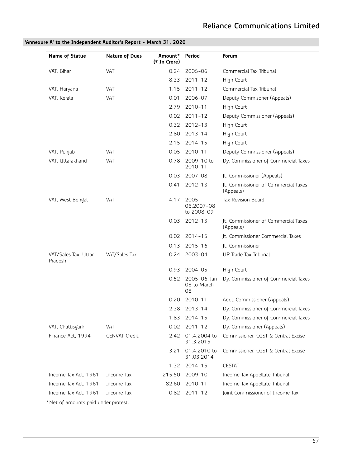# **Reliance Communications Limited**

| Name of Statue                  | Nature of Dues       | Amount*<br>(₹ In Crore) | Period                               | <b>Forum</b>                                      |
|---------------------------------|----------------------|-------------------------|--------------------------------------|---------------------------------------------------|
| VAT, Bihar                      | VAT                  | 0.24                    | $2005 - 06$                          | Commercial Tax Tribunal                           |
|                                 |                      | 8.33                    | $2011 - 12$                          | High Court                                        |
| VAT, Haryana                    | VAT                  | 1.15                    | $2011 - 12$                          | Commercial Tax Tribunal                           |
| VAT, Kerala                     | VAT                  | 0.01                    | 2006-07                              | Deputy Commisoner (Appeals)                       |
|                                 |                      | 2.79                    | 2010-11                              | High Court                                        |
|                                 |                      | 0.02                    | $2011 - 12$                          | Deputy Commissioner (Appeals)                     |
|                                 |                      | 0.32                    | 2012-13                              | High Court                                        |
|                                 |                      | 2.80                    | 2013-14                              | High Court                                        |
|                                 |                      | 2.15                    | $2014 - 15$                          | High Court                                        |
| VAT, Punjab                     | <b>VAT</b>           | 0.05                    | 2010-11                              | Deputy Commissioner (Appeals)                     |
| VAT, Uttarakhand                | VAT                  | 0.78                    | 2009-10 to<br>$2010 - 11$            | Dy. Commissioner of Commercial Taxes              |
|                                 |                      | 0.03                    | $2007 - 08$                          | Jt. Commissioner (Appeals)                        |
|                                 |                      | 0.41                    | $2012 - 13$                          | Jt. Commissioner of Commercial Taxes<br>(Appeals) |
| VAT, West Bengal                | VAT                  | 4.17                    | $2005 -$<br>06,2007-08<br>to 2008-09 | Tax Revision Board                                |
|                                 |                      | 0.03                    | $2012 - 13$                          | Jt. Commissioner of Commercial Taxes<br>(Appeals) |
|                                 |                      | 0.02                    | $2014 - 15$                          | Jt. Commissioner Commercial Taxes                 |
|                                 |                      | 0.13                    | $2015 - 16$                          | It. Commissioner                                  |
| VAT/Sales Tax, Uttar<br>Pradesh | VAT/Sales Tax        | 0.24                    | 2003-04                              | UP Trade Tax Tribunal                             |
|                                 |                      | 0.93                    | 2004-05                              | High Court                                        |
|                                 |                      | 0.52                    | 2005-06, Jan<br>08 to March<br>08    | Dy. Commissioner of Commercial Taxes              |
|                                 |                      | 0.20                    | 2010-11                              | Addl. Commissioner (Appeals)                      |
|                                 |                      | 2.38                    | $2013 - 14$                          | Dy. Commissioner of Commercial Taxes              |
|                                 |                      | 1.83                    | $2014 - 15$                          | Dy. Commissioner of Commercial Taxes              |
| VAT, Chattisgarh                | <b>VAT</b>           |                         | 0.02 2011-12                         | Dy. Commissioner (Appeals)                        |
| Finance Act, 1994               | <b>CENVAT Credit</b> |                         | 2.42 01.4.2004 to<br>31.3.2015       | Commissioner, CGST & Central Excise               |
|                                 |                      | 3.21                    | 01.4.2010 to<br>31.03.2014           | Commissioner, CGST & Central Excise               |
|                                 |                      | 1.32                    | $2014 - 15$                          | <b>CESTAT</b>                                     |
| Income Tax Act, 1961            | Income Tax           | 215.50                  | 2009-10                              | Income Tax Appellate Tribunal                     |
| Income Tax Act, 1961            | Income Tax           | 82.60                   | 2010-11                              | Income Tax Appellate Tribunal                     |
| Income Tax Act, 1961            | Income Tax           | 0.82                    | $2011 - 12$                          | Joint Commissioner of Income Tax                  |

# **'Annexure A' to the Independent Auditor's Report - March 31, 2020**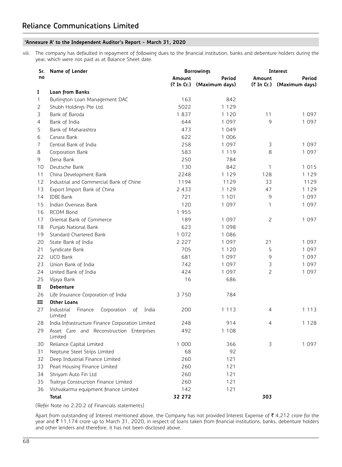viii. The company has defaulted in repayment of following dues to the financial institution, banks and debenture holders during the year, which were not paid as at Balance Sheet date.

| Sr.            | Name of Lender                                                 |         | <b>Borrowings</b>                   | Interest       |                                     |  |
|----------------|----------------------------------------------------------------|---------|-------------------------------------|----------------|-------------------------------------|--|
| no             |                                                                | Amount  | Period<br>(₹ In Cr.) (Maximum days) | Amount         | Period<br>(₹ In Cr.) (Maximum days) |  |
| 1              | Loan from Banks                                                |         |                                     |                |                                     |  |
| 1              | Burlington Loan Management DAC                                 | 163     | 842                                 |                |                                     |  |
| $\overline{c}$ | Shubh Holdings Pte Ltd.                                        | 5022    | 1 1 2 9                             |                |                                     |  |
| 3              | Bank of Baroda                                                 | 1837    | 1 1 2 0                             | 11             | 1 0 9 7                             |  |
| 4              | Bank of India                                                  | 644     | 1 0 9 7                             | 9              | 1 0 9 7                             |  |
| 5              | Bank of Maharashtra                                            | 473     | 1 0 4 9                             |                |                                     |  |
| 6              | Canara Bank                                                    | 622     | 1 006                               |                |                                     |  |
| $\overline{7}$ | Central Bank of India                                          | 258     | 1 0 9 7                             | 3              | 1 0 9 7                             |  |
| 8              | Corporation Bank                                               | 583     | 1 1 1 9                             | 8              | 1 0 9 7                             |  |
| 9              | Dena Bank                                                      | 250     | 784                                 |                |                                     |  |
| 10             | Deutsche Bank                                                  | 130     | 842                                 | 1              | 1 0 1 5                             |  |
| 11             | China Development Bank                                         | 2248    | 1 1 2 9                             | 128            | 1 1 2 9                             |  |
| 12             | Industrial and Commercial Bank of Chine                        | 1194    | 1129                                | 33             | 1129                                |  |
| 13             | Export Import Bank of China                                    | 2 4 3 3 | 1 1 2 9                             | 47             | 1 1 2 9                             |  |
| 14             | <b>IDBI Bank</b>                                               | 721     | 1 1 0 1                             | 9              | 1 0 9 7                             |  |
| 15             | Indian Overseas Bank                                           | 120     | 1 097                               | 1              | 1 0 9 7                             |  |
| 16             | RCOM Bond                                                      | 1955    |                                     |                |                                     |  |
| 17             | Oriental Bank of Commerce                                      | 189     | 1 0 9 7                             | $\overline{c}$ | 1 0 9 7                             |  |
| 18             | Punjab National Bank                                           | 623     | 1 0 9 8                             |                |                                     |  |
| 19             | Standard Chartered Bank                                        | 1 0 7 2 | 1086                                |                |                                     |  |
| 20             | State Bank of India                                            | 2 2 2 7 | 1 0 9 7                             | 21             | 1 0 9 7                             |  |
| 21             | Syndicate Bank                                                 | 705     | 1 1 2 0                             | 5              | 1 0 9 7                             |  |
| 22             | <b>UCO Bank</b>                                                | 681     | 1 0 9 7                             | 9              | 1 0 9 7                             |  |
| 23             | Union Bank of India                                            | 742     | 1 0 9 7                             | 3              | 1 0 9 7                             |  |
| 24             | United Bank of India                                           | 424     | 1 0 9 7                             | $\overline{c}$ | 1 0 9 7                             |  |
| 25             | Vijaya Bank                                                    | 16      | 686                                 |                |                                     |  |
| п              | <b>Debenture</b>                                               |         |                                     |                |                                     |  |
| 26             | Life Insurance Corporation of India                            | 3750    | 784                                 |                |                                     |  |
| III            | <b>Other Loans</b>                                             |         |                                     |                |                                     |  |
| 27             | Corporation<br>Industrial<br>Finance<br>of<br>India<br>Limited | 200     | 1 1 1 3                             | 4              | 1 1 1 3                             |  |
| 28             | India Infrastructure Finance Corporation Limited               | 248     | 914                                 | 4              | 1 1 2 8                             |  |
| 29             | Asset Care and Reconstruction Enterprises<br>Limited           | 492     | 1 1 0 8                             |                |                                     |  |
| 30             | Reliance Capital Limited                                       | 1 000   | 366                                 | 3              | 1 0 9 7                             |  |
| 31             | Neptune Steel Strips Limited                                   | 68      | 92                                  |                |                                     |  |
| 32             | Deep Industrial Finance Limited                                | 260     | 121                                 |                |                                     |  |
| 33             | Pearl Housing Finance Limited                                  | 260     | 121                                 |                |                                     |  |
| 34             | Shriyam Auto Fin Ltd                                           | 260     | 121                                 |                |                                     |  |
| 35             | Traitrya Construction Finance Limited                          | 260     | 121                                 |                |                                     |  |
| 36             | Vishvakarma equipment finance Limited                          | 142     | 121                                 |                |                                     |  |
|                | <b>Total</b>                                                   | 32 272  |                                     | 303            |                                     |  |

(Refer Note no 2.20.2 of Financials statements)

Apart from outstanding of Interest mentioned above, the Company has not provided Interest Expense of  $\bar{\tau}$  4,212 crore for the year and ₹ 11,174 crore up to March 31, 2020, in respect of loans taken from financial institutions, banks, debenture holders and other lenders and therefore, it has not been disclosed above.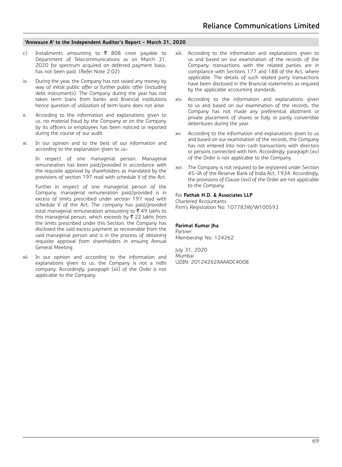- c) Installments amounting to  $\bar{\tau}$  808 crore payable to Department of Telecommunications as on March 31, 2020 for spectrum acquired on deferred payment basis, has not been paid. (Refer Note 2.02)
- ix. During the year, the Company has not raised any money by way of initial public offer or further public offer (including debt instruments). The Company during the year has not taken term loans from banks and financial institutions hence question of utilization of term loans does not arise.
- x. According to the information and explanations given to us, no material fraud by the Company or on the Company by its officers or employees has been noticed or reported during the course of our audit.
- xi. In our opinion and to the best of our information and according to the explanation given to us-

In respect of one managerial person, Managerial remuneration has been paid/provided in accordance with the requisite approval by shareholders as mandated by the provisions of section 197 read with schedule V of the Act.

Further in respect of one managerial person of the Company, managerial remuneration paid/provided is in excess of limits prescribed under section 197 read with schedule V of the Act. The company has paid/provided total managerial remuneration amounting to  $\bar{\tau}$  49 lakhs to this managerial person, which exceeds by  $\bar{\tau}$  22 lakhs from the limits prescribed under this Section, the Company has disclosed the said excess payment as recoverable from the said managerial person and is in the process of obtaining requisite approval from shareholders in ensuing Annual General Meeting.

xii. In our opinion and according to the information and explanations given to us, the Company is not a nidhi company. Accordingly, paragraph (xii) of the Order is not applicable to the Company.

- xiii. According to the information and explanations given to us and based on our examination of the records of the Company, transactions with the related parties are in compliance with Sections 177 and 188 of the Act, where applicable. The details of such related party transactions have been disclosed in the financial statements as required by the applicable accounting standards.
- xiv. According to the information and explanations given to us and based on our examination of the records, the Company has not made any preferential allotment or private placement of shares or fully or partly convertible debentures during the year.
- xv. According to the information and explanations given to us and based on our examination of the records, the Company has not entered into non-cash transactions with directors or persons connected with him. Accordingly, paragraph (xv) of the Order is not applicable to the Company.
- xvi. The Company is not required to be registered under Section 45-IA of the Reserve Bank of India Act, 1934. Accordingly, the provisions of Clause (xvi) of the Order are not applicable to the Company.

# For **Pathak H.D. & Associates LLP**

## Chartered Accountants

Firm's Registration No: 107783W/W100593

#### **Parimal Kumar Jha**

Partner Membership No: 124262

July 31, 2020 Mumbai UDIN: 20124262AAAADC4008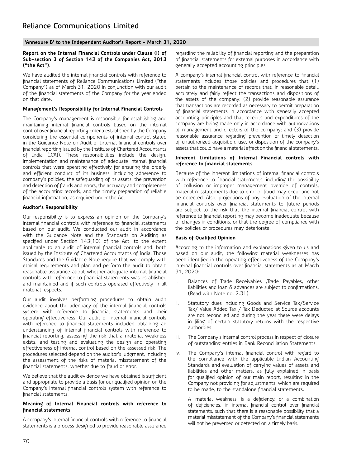#### **Report on the Internal Financial Controls under Clause (i) of Sub-section 3 of Section 143 of the Companies Act, 2013 ("the Act").**

We have audited the internal financial controls with reference to financial statements of Reliance Communications Limited ("the Company") as of March 31, 2020 in conjunction with our audit of the financial statements of the Company for the year ended on that date.

#### **Management's Responsibility for Internal Financial Controls**

The Company's management is responsible for establishing and maintaining internal financial controls based on the internal control over financial reporting criteria established by the Company considering the essential components of internal control stated in the Guidance Note on Audit of Internal financial controls over financial reporting issued by the Institute of Chartered Accountants of India (ICAI). These responsibilities include the design, implementation and maintenance of adequate internal financial controls that were operating effectively for ensuring the orderly and efficient conduct of its business, including adherence to company's policies, the safeguarding of its assets, the prevention and detection of frauds and errors, the accuracy and completeness of the accounting records, and the timely preparation of reliable financial information, as required under the Act.

#### **Auditor's Responsibility**

Our responsibility is to express an opinion on the Company's internal financial controls with reference to financial statements based on our audit. We conducted our audit in accordance with the Guidance Note and the Standards on Auditing as specified under Section 143(10) of the Act, to the extent applicable to an audit of internal financial controls and, both issued by the Institute of Chartered Accountants of India. Those Standards and the Guidance Note require that we comply with ethical requirements and plan and perform the audit to obtain reasonable assurance about whether adequate internal financial controls with reference to financial statements was established and maintained and if such controls operated effectively in all material respects.

Our audit involves performing procedures to obtain audit evidence about the adequacy of the internal financial controls system with reference to financial statements and their operating effectiveness. Our audit of internal financial controls with reference to financial statements included obtaining an understanding of internal financial controls with reference to financial reporting, assessing the risk that a material weakness exists, and testing and evaluating the design and operating effectiveness of internal control based on the assessed risk. The procedures selected depend on the auditor's judgment, including the assessment of the risks of material misstatement of the financial statements, whether due to fraud or error.

We believe that the audit evidence we have obtained is sufficient and appropriate to provide a basis for our qualified opinion on the Company's internal financial controls system with reference to financial statements.

#### **Meaning of Internal Financial controls with reference to financial statements**

A company's internal financial controls with reference to financial statements is a process designed to provide reasonable assurance

regarding the reliability of financial reporting and the preparation of financial statements for external purposes in accordance with generally accepted accounting principles.

A company's internal financial control with reference to financial statements includes those policies and procedures that (1) pertain to the maintenance of records that, in reasonable detail, accurately and fairly reflect the transactions and dispositions of the assets of the company; (2) provide reasonable assurance that transactions are recorded as necessary to permit preparation of financial statements in accordance with generally accepted accounting principles and that receipts and expenditures of the company are being made only in accordance with authorizations of management and directors of the company; and (3) provide reasonable assurance regarding prevention or timely detection of unauthorized acquisition, use, or disposition of the company's assets that could have a material effect on the financial statements.

#### **Inherent Limitations of Internal Financial controls with reference to financial statements**

Because of the inherent limitations of internal financial controls with reference to financial statements, including the possibility of collusion or improper management override of controls, material misstatements due to error or fraud may occur and not be detected. Also, projections of any evaluation of the internal financial controls over financial statements to future periods are subject to the risk that the internal financial control with reference to financial reporting may become inadequate because of changes in conditions, or that the degree of compliance with the policies or procedures may deteriorate.

## **Basis of Qualified Opinion**

According to the information and explanations given to us and based on our audit, the following material weaknesses has been identified in the operating effectiveness of the Company's internal financial controls over financial statements as at March 31, 2020:

- i. Balances of Trade Receivables ,Trade Payables, other liabilities and loan & advances are subject to confirmations. (Read with Note no. 2.31).
- ii. Statutory dues including Goods and Service Tax/Service Tax/ Value Added Tax / Tax Deducted at Source accounts are not reconciled and during the year there were delays in filing of certain statutory returns with the respective authorities.
- iii. The Company's internal control process in respect of closure of outstanding entries in Bank Reconciliation Statements.
- iv. The Company's internal financial control with regard to the compliance with the applicable Indian Accounting Standards and evaluation of carrying values of assets and liabilities and other matters, as fully explained in basis for qualified opinion of our main report, resulting in the Company not providing for adjustments, which are required to be made, to the standalone financial statements.

A 'material weakness' is a deficiency, or a combination of deficiencies, in internal financial control over financial statements, such that there is a reasonable possibility that a material misstatement of the Company's financial statements will not be prevented or detected on a timely basis.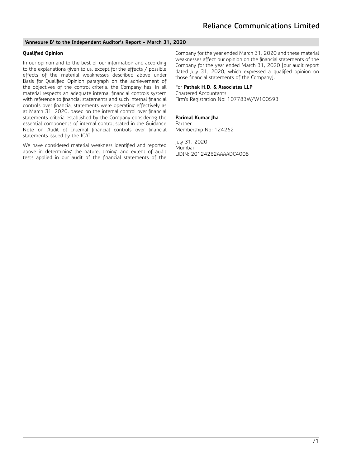# **Qualified Opinion**

In our opinion and to the best of our information and according to the explanations given to us, except for the effects / possible effects of the material weaknesses described above under Basis for Qualified Opinion paragraph on the achievement of the objectives of the control criteria, the Company has, in all material respects an adequate internal financial controls system with reference to financial statements and such internal financial controls over financial statements were operating effectively as at March 31, 2020, based on the internal control over financial statements criteria established by the Company considering the essential components of internal control stated in the Guidance Note on Audit of Internal financial controls over financial statements issued by the ICAI.

We have considered material weakness identified and reported above in determining the nature, timing, and extent of audit tests applied in our audit of the financial statements of the Company for the year ended March 31, 2020 and these material weaknesses affect our opinion on the financial statements of the Company for the year ended March 31, 2020 [our audit report dated July 31, 2020, which expressed a qualified opinion on those financial statements of the Company].

#### For **Pathak H.D. & Associates LLP**

Chartered Accountants Firm's Registration No: 107783W/W100593

# **Parimal Kumar Jha**

Partner Membership No: 124262

July 31, 2020 Mumbai UDIN: 20124262AAAADC4008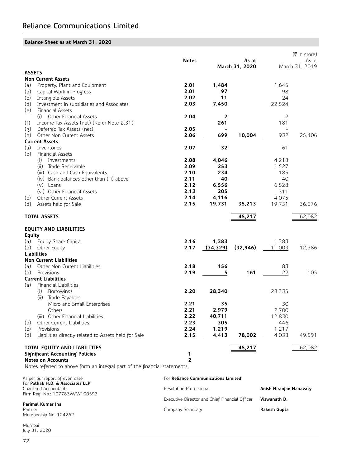# **Balance Sheet as at March 31, 2020**

|                                                         |                                                                            |                                                |                         | $(\bar{\bar{\mathbf{z}}}$ in crore)<br>As at<br>March 31, 2019 |                          |        |
|---------------------------------------------------------|----------------------------------------------------------------------------|------------------------------------------------|-------------------------|----------------------------------------------------------------|--------------------------|--------|
|                                                         |                                                                            | <b>Notes</b>                                   | As at<br>March 31, 2020 |                                                                |                          |        |
| <b>ASSETS</b>                                           |                                                                            |                                                |                         |                                                                |                          |        |
|                                                         | <b>Non Current Assets</b>                                                  |                                                |                         |                                                                |                          |        |
| (a)                                                     | Property, Plant and Equipment                                              | 2.01                                           | 1,484                   |                                                                | 1,645                    |        |
| (b)                                                     | Capital Work in Progress                                                   | 2.01                                           | 97                      |                                                                | 98                       |        |
| (c)                                                     | Intangible Assets                                                          | 2.02                                           | 11                      |                                                                | 24                       |        |
| (d)                                                     | Investment in subsidiaries and Associates                                  | 2.03                                           | 7,450                   |                                                                | 22,524                   |        |
| (e)                                                     | Financial Assets                                                           |                                                |                         |                                                                |                          |        |
|                                                         | (i) Other Financial Assets                                                 | 2.04                                           | 2                       |                                                                | 2                        |        |
| (f)                                                     | Income Tax Assets (net) (Refer Note 2.31)                                  |                                                | 261                     |                                                                | 181                      |        |
| (g)                                                     | Deferred Tax Assets (net)<br>Other Non Current Assets                      | 2.05                                           |                         |                                                                | $\overline{\phantom{a}}$ | 25.406 |
| (h)                                                     | <b>Current Assets</b>                                                      | 2.06                                           | 699                     | 10,004                                                         | 932                      |        |
| (a)                                                     | Inventories                                                                | 2.07                                           | 32                      |                                                                | 61                       |        |
| (b)                                                     | Financial Assets                                                           |                                                |                         |                                                                |                          |        |
|                                                         | (i)<br>Investments                                                         | 2.08                                           | 4,046                   |                                                                | 4,218                    |        |
|                                                         | (ii) Trade Receivable                                                      | 2.09                                           | 253                     |                                                                | 1,527                    |        |
|                                                         | (iii) Cash and Cash Equivalents                                            | 2.10                                           | 234                     |                                                                | 185                      |        |
|                                                         | (iv) Bank balances other than (iii) above                                  | 2.11                                           | 40                      |                                                                | 40                       |        |
|                                                         | $(v)$ Loans                                                                | 2.12                                           | 6,556                   |                                                                | 6,528                    |        |
|                                                         | (vi) Other Financial Assets                                                | 2.13                                           | 205                     |                                                                | 311                      |        |
| (c)                                                     | Other Current Assets                                                       | 2.14                                           | 4,116                   |                                                                | 4,075                    |        |
| (d)                                                     | Assets held for Sale                                                       | 2.15                                           | 19,731                  | 35,213                                                         | 19,731                   | 36,676 |
|                                                         |                                                                            |                                                |                         |                                                                |                          |        |
|                                                         | <b>TOTAL ASSETS</b>                                                        |                                                |                         | <u>45,217</u>                                                  |                          | 62,082 |
|                                                         | <b>EQUITY AND LIABILITIES</b>                                              |                                                |                         |                                                                |                          |        |
| <b>Equity</b>                                           |                                                                            |                                                |                         |                                                                |                          |        |
| (a)                                                     | Equity Share Capital                                                       | 2.16                                           | 1,383                   |                                                                | 1,383                    |        |
| (b)                                                     | Other Equity                                                               | 2.17                                           | (34, 329)               | (32, 946)                                                      | 11,003                   | 12,386 |
|                                                         | Liabilities                                                                |                                                |                         |                                                                |                          |        |
|                                                         | <b>Non Current Liabilities</b>                                             |                                                |                         |                                                                |                          |        |
| (a)                                                     | Other Non Current Liabilities                                              | 2.18                                           | 156                     |                                                                | 83                       |        |
| (b)                                                     | Provisions                                                                 | 2.19                                           | 5                       | 161                                                            | 22                       | 105    |
|                                                         | <b>Current Liabilities</b>                                                 |                                                |                         |                                                                |                          |        |
| (a)                                                     | Financial Liabilities                                                      |                                                |                         |                                                                |                          |        |
|                                                         | Borrowings<br>(i)                                                          | 2.20                                           | 28,340                  |                                                                | 28,335                   |        |
|                                                         | Trade Payables<br>(ii)                                                     |                                                |                         |                                                                |                          |        |
|                                                         | Micro and Small Enterprises                                                | 2.21                                           | 35                      |                                                                | 30                       |        |
|                                                         | Others                                                                     | 2.21                                           | 2,979                   |                                                                | 2,700                    |        |
|                                                         | (iii) Other Financial Liabilities                                          | 2.22                                           | 40,711                  |                                                                | 12,830                   |        |
| (b)                                                     | Other Current Liabilities                                                  | 2.23<br>2.24                                   | 305<br>1,219            |                                                                | 446                      |        |
| (c)                                                     | Provisions                                                                 | 2.15                                           |                         |                                                                | 1,217                    |        |
| (d)                                                     | Liabilities directly related to Assets held for Sale                       |                                                | 4,413                   | 78,002                                                         | 4,033                    | 49,591 |
|                                                         | TOTAL EQUITY AND LIABILITIES                                               |                                                |                         | 45,217                                                         |                          | 62,082 |
|                                                         | <b>Significant Accounting Policies</b>                                     | 1                                              |                         |                                                                |                          |        |
|                                                         | <b>Notes on Accounts</b>                                                   | $\overline{2}$                                 |                         |                                                                |                          |        |
|                                                         | Notes referred to above form an integral part of the financial statements. |                                                |                         |                                                                |                          |        |
| As per our report of even date                          |                                                                            | For Reliance Communications Limited            |                         |                                                                |                          |        |
| For Pathak H.D. & Associates LLP                        |                                                                            |                                                |                         |                                                                |                          |        |
| Chartered Accountants<br>Firm Reg. No.: 107783W/W100593 |                                                                            | Resolution Professional                        |                         | Anish Niranjan Nanavaty                                        |                          |        |
| Parimal Kumar Jha                                       |                                                                            | Executive Director and Chief Financial Officer |                         | Viswanath D.                                                   |                          |        |
| Partner                                                 |                                                                            | Company Secretary                              |                         | Rakesh Gupta                                                   |                          |        |
|                                                         | Membership No: 124262                                                      |                                                |                         |                                                                |                          |        |
|                                                         |                                                                            |                                                |                         |                                                                |                          |        |

Mumbai July 31, 2020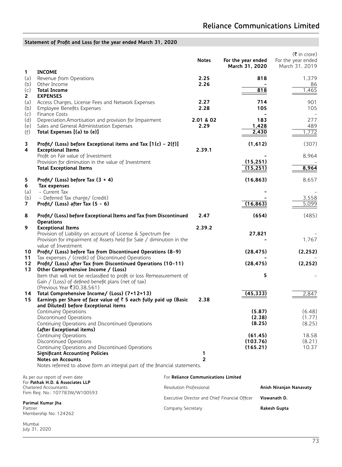# **Statement of Profit and Loss for the year ended March 31, 2020**

|                     |                                                                                                                                                                                                                                                           |                                     | <b>Notes</b>        | For the year ended<br>March 31, 2020           |                            | $(\bar{\bar{\mathbf{z}}}$ in crore)<br>For the year ended<br>March 31, 2019 |
|---------------------|-----------------------------------------------------------------------------------------------------------------------------------------------------------------------------------------------------------------------------------------------------------|-------------------------------------|---------------------|------------------------------------------------|----------------------------|-----------------------------------------------------------------------------|
| 1<br>(a)<br>(b)     | <b>INCOME</b><br>Revenue from Operations<br>Other Income                                                                                                                                                                                                  |                                     | 2.25<br>2.26        |                                                | 818                        | 1,379<br>86                                                                 |
| (c)<br>$\mathbf{2}$ | <b>Total Income</b><br><b>EXPENSES</b>                                                                                                                                                                                                                    |                                     |                     |                                                | 818                        | 1,465                                                                       |
| (a)<br>(b)<br>(c)   | Access Charges, License Fees and Network Expenses<br>Employee Benefits Expenses<br>Finance Costs                                                                                                                                                          |                                     | 2.27<br>2.28        |                                                | 714<br>105                 | 901<br>105                                                                  |
| (d)<br>(e)<br>(f)   | Depreciation, Amortisation and provision for Impairment<br>Sales and General Administration Expenses<br>Total Expenses [(a) to (e)]                                                                                                                       |                                     | 2.01 & 02<br>2.29   |                                                | 183<br>1,428<br>2,430      | 277<br>489<br>1,772                                                         |
| 3<br>4              | Profit/ (Loss) before Exceptional items and Tax [1(c) - 2(f)]<br><b>Exceptional Items</b>                                                                                                                                                                 |                                     | 2.39.1              | (1,612)                                        |                            | (307)                                                                       |
|                     | Profit on Fair value of Investment                                                                                                                                                                                                                        |                                     |                     | (15, 251)                                      |                            | 8,964                                                                       |
|                     | Provision for diminution in the value of Investment<br><b>Total Exceptional Items</b>                                                                                                                                                                     |                                     |                     | (15, 251)                                      |                            | 8,964                                                                       |
| 5<br>6              | Profit/ (Loss) before Tax $(3 + 4)$<br>Tax expenses                                                                                                                                                                                                       |                                     |                     | (16, 863)                                      |                            | 8,657                                                                       |
| (a)<br>(b)          | - Current Tax<br>- Deferred Tax charge/ (credit)                                                                                                                                                                                                          |                                     |                     |                                                |                            | 3,558                                                                       |
| 7                   | Profit/ (Loss) after Tax (5 - 6)                                                                                                                                                                                                                          |                                     |                     | (16, 863)                                      |                            | 5,099                                                                       |
| 8                   | Profit/ (Loss) before Exceptional Items and Tax from Discontinued<br><b>Operations</b>                                                                                                                                                                    |                                     | 2.47                |                                                | (654)                      | (485)                                                                       |
| 9                   | <b>Exceptional Items</b><br>Provision of Liability on account of License & Spectrum fee<br>Provision for impairment of Assets held for Sale / diminution in the                                                                                           |                                     | 2.39.2              | 27,821                                         |                            | 1,767                                                                       |
| 10                  | value of Investment<br>Profit/ (Loss) before Tax from Discontinued Operations (8-9)                                                                                                                                                                       |                                     |                     | (28, 475)                                      |                            | (2, 252)                                                                    |
| 11<br>12            | Tax expenses / (credit) of Discontinued Operations<br>Profit/ (Loss) after Tax from Discontinued Operations (10-11)                                                                                                                                       |                                     |                     | (28, 475)                                      |                            | (2, 252)                                                                    |
| 13                  | Other Comprehensive Income / (Loss)<br>Item that will not be reclassified to profit or loss Remeasurement of<br>Gain / (Loss) of defined benefit plans (net of tax)<br>(Previous Year ₹30,38,561)                                                         |                                     |                     |                                                | 5                          |                                                                             |
| 14<br>15            | Total Comprehensive Income/ (Loss) (7+12+13)<br>Earnings per Share of face value of $\bar{z}$ 5 each fully paid up (Basic<br>and Diluted) before Exceptional items                                                                                        |                                     | 2.38                | (45, 333)                                      |                            | 2,847                                                                       |
|                     | Continuing Operations<br>Discontinued Operations<br>Continuing Operations and Discontinued Operations<br>(after Exceptional items)                                                                                                                        |                                     |                     |                                                | (5.87)<br>(2.38)<br>(8.25) | (6.48)<br>(1.77)<br>(8.25)                                                  |
|                     | Continuing Operations<br>Discontinued Operations<br>Continuing Operations and Discontinued Operations<br><b>Significant Accounting Policies</b><br><b>Notes on Accounts</b><br>Notes referred to above form an integral part of the financial statements. |                                     | 1<br>$\overline{2}$ | (61.45)<br>(103.76)<br>(165.21)                |                            | 18.58<br>(8.21)<br>10.37                                                    |
|                     | As per our report of even date                                                                                                                                                                                                                            | For Reliance Communications Limited |                     |                                                |                            |                                                                             |
|                     | For Pathak H.D. & Associates LLP<br>Chartered Accountants                                                                                                                                                                                                 | Resolution Professional             |                     |                                                |                            | Anish Niranjan Nanavaty                                                     |
|                     | Firm Reg. No.: 107783W/W100593                                                                                                                                                                                                                            |                                     |                     | Executive Director and Chief Financial Officer |                            | Viswanath D.                                                                |
| Partner             | Parimal Kumar Jha<br>Membership No: 124262                                                                                                                                                                                                                | Company Secretary                   |                     |                                                |                            | Rakesh Gupta                                                                |

Mumbai July 31, 2020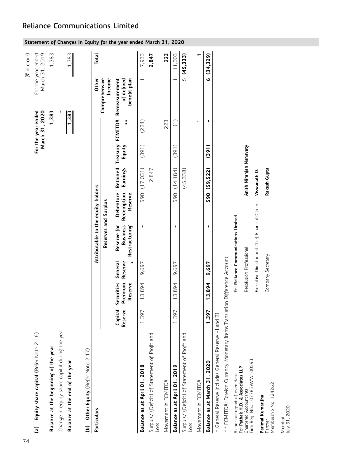|                 |                                              |                                      |                                                |                                |                                                 |                                    |                         | Statement of Changes in Equity for the year ended March |                              |                                                                   | 31,                 | 2020                                   |                                                       |                          |                              |                                                                                                      |                                                                    |                                                         |                                                |                                                       |                         |  |
|-----------------|----------------------------------------------|--------------------------------------|------------------------------------------------|--------------------------------|-------------------------------------------------|------------------------------------|-------------------------|---------------------------------------------------------|------------------------------|-------------------------------------------------------------------|---------------------|----------------------------------------|-------------------------------------------------------|--------------------------|------------------------------|------------------------------------------------------------------------------------------------------|--------------------------------------------------------------------|---------------------------------------------------------|------------------------------------------------|-------------------------------------------------------|-------------------------|--|
| $(3)$ in crore) | For the year ended<br>March 31, 2019         | 1,383                                |                                                | 1,383                          |                                                 | <b>Total</b>                       |                         |                                                         | 7,933                        | 2,847                                                             | 223                 | 11,003                                 | 5(45, 333)                                            |                          | (34, 329)                    |                                                                                                      |                                                                    |                                                         |                                                |                                                       |                         |  |
|                 |                                              |                                      |                                                |                                |                                                 | Other                              | Income<br>Comprehensive | of defined<br>Remeasurement<br>benefit plan             | $\overline{ }$               |                                                                   |                     | $\overline{ }$                         |                                                       |                          | O                            |                                                                                                      |                                                                    |                                                         |                                                |                                                       |                         |  |
|                 | For the year ended<br>March 31, 2020         | 1,383                                |                                                | 1,383                          |                                                 |                                    |                         | FCMITDA<br>$\ddot{\ast}$                                | (224)                        |                                                                   | 223                 | $\begin{pmatrix} 1 \\ 1 \end{pmatrix}$ |                                                       | $\overline{\phantom{0}}$ | J.                           |                                                                                                      |                                                                    |                                                         |                                                |                                                       |                         |  |
|                 |                                              |                                      |                                                |                                |                                                 |                                    |                         | Treasury<br>Equity                                      | (391)                        |                                                                   |                     | (391)                                  |                                                       |                          | (391)                        |                                                                                                      |                                                                    |                                                         |                                                |                                                       |                         |  |
|                 |                                              |                                      |                                                |                                |                                                 |                                    |                         | Retained<br>Earnings                                    | (17,031)                     | 2,847                                                             |                     | 590 (14,184)                           | (45, 338)                                             |                          | (59, 522)                    |                                                                                                      |                                                                    | Anish Niranjan Nanavaty                                 | Viswanath D.                                   | Rakesh Gupta                                          |                         |  |
|                 |                                              |                                      |                                                |                                |                                                 |                                    |                         | Redemption<br>Debenture<br>Reserve                      | 590                          |                                                                   |                     |                                        |                                                       |                          | 590                          |                                                                                                      |                                                                    |                                                         |                                                |                                                       |                         |  |
|                 |                                              |                                      |                                                |                                |                                                 | Attributable to the equity holders | Reserves and Surplus    | <b>Business</b><br>Reserve for<br>Restructuring         | I                            |                                                                   |                     | $\overline{\phantom{a}}$               |                                                       |                          | J.                           |                                                                                                      | For Reliance Communications Limited                                |                                                         | Executive Director and Chief Financial Officer |                                                       |                         |  |
|                 |                                              |                                      |                                                |                                |                                                 |                                    |                         | $\star$<br>General<br>Reserve                           | 9,697                        |                                                                   |                     | 9,697                                  |                                                       |                          | 9,697                        |                                                                                                      |                                                                    | Resolution Professional                                 |                                                | Company Secretary                                     |                         |  |
|                 |                                              |                                      |                                                |                                |                                                 |                                    |                         | Premium<br>Securities<br>Reserve                        | 13,894                       |                                                                   |                     | 13,894                                 |                                                       |                          | 13,894                       | Translation Difference Account                                                                       |                                                                    |                                                         |                                                |                                                       |                         |  |
|                 |                                              |                                      |                                                |                                |                                                 |                                    |                         | Capital<br>Reserve                                      | 1,397                        |                                                                   |                     | 1,397                                  |                                                       |                          | 1,397                        |                                                                                                      |                                                                    |                                                         |                                                |                                                       |                         |  |
|                 | Equity share capital (Refer Note 2.16)<br>G) | Balance at the beginning of the year | Change in equity share capital during the year | Balance at the end of the year | Other Equity (Refer Note 2.17)<br>$\widehat{e}$ | Particulars                        |                         |                                                         | Balance as at April 01, 2018 | Surplus/ (Deficit) of Statement of Profit and<br>L <sub>OSS</sub> | Movement in FCMITDA | Balance as at April 01, 2019           | Surplus/ (Deficit) of Statement of Profit and<br>Loss | Movement in FCMITDA      | Balance as at March 31, 2020 | * General Reserve includes General Reserve -I and III<br>** FCMITDA: Foreign Currency Monetary Items | For Pathak H.D. & Associates LLP<br>As per our report of even date | Firm Reg. No.: 107783W/W100593<br>Chartered Accountants |                                                | Membership No: 124262<br>Parimal Kumar Jha<br>Partner | July 31, 2020<br>Mumbai |  |

# **Reliance Communications Limited**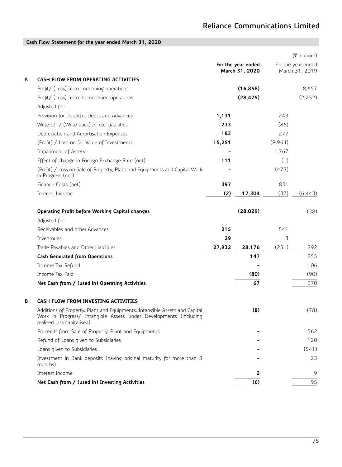# **Cash Flow Statement for the year ended March 31, 2020**

|   |                                                                                                                                                                               |        |                                      |         | $(5 \times 1)$ crore)                |
|---|-------------------------------------------------------------------------------------------------------------------------------------------------------------------------------|--------|--------------------------------------|---------|--------------------------------------|
|   |                                                                                                                                                                               |        | For the year ended<br>March 31, 2020 |         | For the year ended<br>March 31, 2019 |
| А | CASH FLOW FROM OPERATING ACTIVITIES                                                                                                                                           |        |                                      |         |                                      |
|   | Profit/ (Loss) from continuing operations                                                                                                                                     |        | (16, 858)                            |         | 8,657                                |
|   | Profit/ (Loss) from discontinued operations                                                                                                                                   |        | (28, 475)                            |         | (2,252)                              |
|   | Adjusted for:                                                                                                                                                                 |        |                                      |         |                                      |
|   | Provision for Doubtful Debts and Advances                                                                                                                                     | 1,131  |                                      | 243     |                                      |
|   | Write off / (Write back) of old Liabilities                                                                                                                                   | 233    |                                      | (86)    |                                      |
|   | Depreciation and Amortisation Expenses                                                                                                                                        | 183    |                                      | 277     |                                      |
|   | (Profit) / Loss on fair Value of Investments                                                                                                                                  | 15,251 |                                      | (8,964) |                                      |
|   | Impairment of Assets                                                                                                                                                          |        |                                      | 1,767   |                                      |
|   | Effect of change in Foreign Exchange Rate (net)                                                                                                                               | 111    |                                      | (1)     |                                      |
|   | (Profit) / Loss on Sale of Property, Plant and Equipments and Capital Work<br>in Progress (net)                                                                               |        |                                      | (473)   |                                      |
|   | Finance Costs (net)                                                                                                                                                           | 397    |                                      | 831     |                                      |
|   | Interest Income                                                                                                                                                               | (2)    | 17,304                               | (37)    | (6, 443)                             |
|   | Operating Profit before Working Capital changes                                                                                                                               |        | (28, 029)                            |         | (38)                                 |
|   | Adjusted for:                                                                                                                                                                 |        |                                      |         |                                      |
|   | Receivables and other Advances                                                                                                                                                | 215    |                                      | 541     |                                      |
|   | Inventories                                                                                                                                                                   | 29     |                                      | 3       |                                      |
|   | Trade Payables and Other Liabilities                                                                                                                                          | 27,932 | 28,176                               | (251)   | 292                                  |
|   | <b>Cash Generated from Operations</b>                                                                                                                                         |        | 147                                  |         | 255                                  |
|   | Income Tax Refund                                                                                                                                                             |        |                                      |         | 106                                  |
|   | Income Tax Paid                                                                                                                                                               |        | (80)                                 |         | (90)                                 |
|   | Net Cash from / (used in) Operating Activities                                                                                                                                |        | 67                                   |         | 270                                  |
| В | CASH FLOW FROM INVESTING ACTIVITIES                                                                                                                                           |        |                                      |         |                                      |
|   | Additions of Property, Plant and Equipments, Intangible Assets and Capital<br>Work in Progress/ Intangible Assets under Developments (including<br>realised loss capitalised) |        | (8)                                  |         | (78)                                 |
|   | Proceeds from Sale of Property, Plant and Equipments                                                                                                                          |        |                                      |         | 562                                  |
|   | Refund of Loans given to Subsidiaries                                                                                                                                         |        |                                      |         | 120                                  |
|   | Loans given to Subsidiaries                                                                                                                                                   |        |                                      |         | (541)                                |
|   | Investment in Bank deposits (having original maturity for more than 3<br>months)                                                                                              |        |                                      |         | 23                                   |
|   | Interest Income                                                                                                                                                               |        | 2                                    |         | 9                                    |
|   | Net Cash from / (used in) Investing Activities                                                                                                                                |        | (6)                                  |         | 95                                   |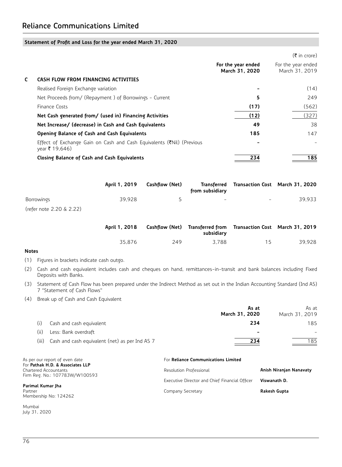# **Statement of Profit and Loss for the year ended March 31, 2020**

|                                                                                                       |                                      | $(\bar{\tau}$ in crore)              |
|-------------------------------------------------------------------------------------------------------|--------------------------------------|--------------------------------------|
|                                                                                                       | For the year ended<br>March 31, 2020 | For the year ended<br>March 31, 2019 |
| C<br>CASH FLOW FROM FINANCING ACTIVITIES                                                              |                                      |                                      |
| Realised Foreign Exchange variation                                                                   |                                      | (14)                                 |
| Net Proceeds from/ (Repayment) of Borrowings - Current                                                | 5                                    | 249                                  |
| Finance Costs                                                                                         | (17)                                 | (562)                                |
| Net Cash generated from/ (used in) Financing Activities                                               | (12)                                 | (327)                                |
| Net Increase/ (decrease) in Cash and Cash Equivalents                                                 | 49                                   | 38                                   |
| Opening Balance of Cash and Cash Equivalents                                                          | 185                                  | 147                                  |
| Effect of Exchange Gain on Cash and Cash Equivalents ( $\bar{\xi}$ Nil) (Previous<br>$year$ ₹ 19,646) |                                      |                                      |
| Closing Balance of Cash and Cash Equivalents                                                          | 234                                  | 185                                  |

|                          | April 1, 2019 | Cashflow (Net) | from subsidiary | Transferred Transaction Cost March 31, 2020 |        |
|--------------------------|---------------|----------------|-----------------|---------------------------------------------|--------|
| Borrowings               | 39.928        |                | $\sim$          | $\sim$ $-$                                  | 39.933 |
| (refer note 2.20 & 2.22) |               |                |                 |                                             |        |

| April 1, 2018 |     | subsidiarv | Cashflow (Net) Transferred from Transaction Cost March 31, 2019 |        |
|---------------|-----|------------|-----------------------------------------------------------------|--------|
| 35.876        | 249 | 3.788      | 15                                                              | 39.928 |

### **Notes**

(1) Figures in brackets indicate cash outgo.

- (2) Cash and cash equivalent includes cash and cheques on hand, remittances-in-transit and bank balances including Fixed Deposits with Banks.
- (3) Statement of Cash Flow has been prepared under the Indirect Method as set out in the Indian Accounting Standard (Ind AS) 7 "Statement of Cash Flows"
- (4) Break up of Cash and Cash Equivalent

|       |                                                | As at          | As at          |
|-------|------------------------------------------------|----------------|----------------|
|       |                                                | March 31, 2020 | March 31, 2019 |
| (i)   | Cash and cash equivalent                       | 234            | 185            |
| (ii)  | Less: Bank overdraft                           |                |                |
| (iii) | Cash and cash equivalent (net) as per Ind AS 7 | 234            | 185            |

| As per our report of even date                                                              | For Reliance Communications Limited            |                         |
|---------------------------------------------------------------------------------------------|------------------------------------------------|-------------------------|
| For Pathak H.D. & Associates LLP<br>Chartered Accountants<br>Firm Reg. No.: 107783W/W100593 | Resolution Professional                        | Anish Niranjan Nanavaty |
|                                                                                             | Executive Director and Chief Financial Officer | Viswanath D.            |
| Parimal Kumar Jha<br>Partner<br>Membership No: 124262                                       | Company Secretary                              | Rakesh Gupta            |

Mumbai July 31, 2020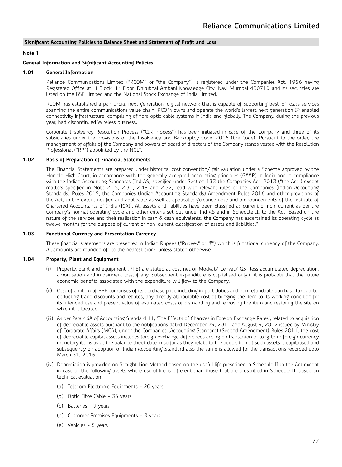### **Note 1**

### **General Information and Significant Accounting Policies**

### **1.01 General Information**

 Reliance Communications Limited ("RCOM" or "the Company") is registered under the Companies Act, 1956 having Registered Office at H Block, 1<sup>st</sup> Floor, Dhirubhai Ambani Knowledge City, Navi Mumbai 400710 and its securities are listed on the BSE Limited and the National Stock Exchange of India Limited.

 RCOM has established a pan-India, next generation, digital network that is capable of supporting best-of-class services spanning the entire communications value chain. RCOM owns and operate the world's largest next generation IP enabled connectivity infrastructure, comprising of fibre optic cable systems in India and globally. The Company, during the previous year, had discontinued Wireless business.

 Corporate Insolvency Resolution Process ("CIR Process") has been initiated in case of the Company and three of its subsidiaries under the Provisions of the Insolvency and Bankruptcy Code, 2016 (the Code). Pursuant to the order, the management of affairs of the Company and powers of board of directors of the Company stands vested with the Resolution Professional ("RP") appointed by the NCLT.

### **1.02 Basis of Preparation of Financial Statements**

The Financial Statements are prepared under historical cost convention/ fair valuation under a Scheme approved by the Hon'ble High Court, in accordance with the generally accepted accounting principles (GAAP) in India and in compliance with the Indian Accounting Standards (Ind AS) specified under Section 133 the Companies Act, 2013 ("the Act") except matters specified in Note 2.15, 2.31, 2.48 and 2.52, read with relevant rules of the Companies (Indian Accounting Standards) Rules 2015, the Companies (Indian Accounting Standards) Amendment Rules 2016 and other provisions of the Act, to the extent notified and applicable as well as applicable guidance note and pronouncements of the Institute of Chartered Accountants of India (ICAI). All assets and liabilities have been classified as current or non-current as per the Company's normal operating cycle and other criteria set out under Ind AS and in Schedule III to the Act. Based on the nature of the services and their realisation in cash & cash equivalents, the Company has ascertained its operating cycle as twelve months for the purpose of current or non-current classification of assets and liabilities."

### **1.03 Functional Currency and Presentation Currency**

These financial statements are presented in Indian Rupees ("Rupees" or "`") which is functional currency of the Company. All amounts are rounded off to the nearest crore, unless stated otherwise.

## **1.04 Property, Plant and Equipment**

- (i) Property, plant and equipment (PPE) are stated at cost net of Modvat/ Cenvat/ GST less accumulated depreciation, amortisation and impairment loss, if any. Subsequent expenditure is capitalised only if it is probable that the future economic benefits associated with the expenditure will flow to the Company.
- (ii) Cost of an item of PPE comprises of its purchase price including import duties and non refundable purchase taxes after deducting trade discounts and rebates, any directly attributable cost of bringing the item to its working condition for its intended use and present value of estimated costs of dismantling and removing the item and restoring the site on which it is located.
- (iii) As per Para 46A of Accounting Standard 11, 'The Effects of Changes in Foreign Exchange Rates', related to acquisition of depreciable assets pursuant to the notifications dated December 29, 2011 and August 9, 2012 issued by Ministry of Corporate Affairs (MCA), under the Companies (Accounting Standard) (Second Amendment) Rules 2011, the cost of depreciable capital assets includes foreign exchange differences arising on translation of long term foreign currency monetary items as at the balance sheet date in so far as they relate to the acquisition of such assets is capitalised and subsequently on adoption of Indian Accounting Standard also the same is allowed for the transactions recorded upto March 31, 2016.
- (iv) Depreciation is provided on Straight Line Method based on the useful life prescribed in Schedule II to the Act except in case of the following assets where useful life is different than those that are prescribed in Schedule II, based on technical evaluation.
	- (a) Telecom Electronic Equipments 20 years
	- (b) Optic Fibre Cable 35 years
	- (c) Batteries 9 years
	- (d) Customer Premises Equipments 3 years
	- (e) Vehicles 5 years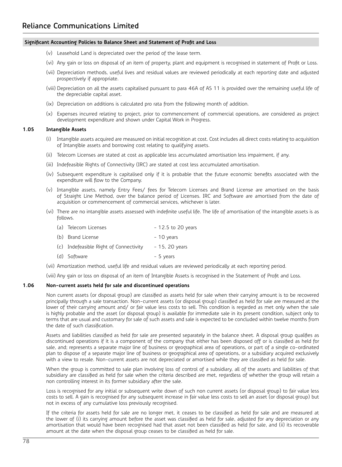- (v) Leasehold Land is depreciated over the period of the lease term.
- (vi) Any gain or loss on disposal of an item of property, plant and equipment is recognised in statement of Profit or Loss.
- (vii) Depreciation methods, useful lives and residual values are reviewed periodically at each reporting date and adjusted prospectively if appropriate.
- (viii) Depreciation on all the assets capitalised pursuant to para 46A of AS 11 is provided over the remaining useful life of the depreciable capital asset.
- (ix) Depreciation on additions is calculated pro rata from the following month of addition.
- (x) Expenses incurred relating to project, prior to commencement of commercial operations, are considered as project development expenditure and shown under Capital Work in Progress.

### **1.05 Intangible Assets**

- Intangible assets acquired are measured on initial recognition at cost. Cost includes all direct costs relating to acquisition of Intangible assets and borrowing cost relating to qualifying assets.
- (ii) Telecom Licenses are stated at cost as applicable less accumulated amortisation less impairment, if any.
- (iii) Indefeasible Rights of Connectivity (IRC) are stated at cost less accumulated amortisation.
- (iv) Subsequent expenditure is capitalised only if it is probable that the future economic benefits associated with the expenditure will flow to the Company.
- (v) Intangible assets, namely Entry Fees/ fees for Telecom Licenses and Brand License are amortised on the basis of Straight Line Method, over the balance period of Licenses. IRC and Software are amortised from the date of acquisition or commencement of commercial services, whichever is later.
- (vi) There are no intangible assets assessed with indefinite useful life. The life of amortisation of the intangible assets is as follows.

| (a) Telecom Licenses                   | $-12.5$ to 20 years |
|----------------------------------------|---------------------|
| (b) Brand License                      | - 10 years          |
| (c) Indefeasible Right of Connectivity | - 15, 20 years      |
| (d) Software                           | - 5 years           |

- (vii) Amortization method, useful life and residual values are reviewed periodically at each reporting period.
- (viii) Any gain or loss on disposal of an item of Intangible Assets is recognised in the Statement of Profit and Loss.

### **1.06 Non-current assets held for sale and discontinued operations**

 Non current assets (or disposal group) are classified as assets held for sale when their carrying amount is to be recovered principally through a sale transaction. Non-current assets (or disposal group) classified as held for sale are measured at the lower of their carrying amount and/ or fair value less costs to sell. This condition is regarded as met only when the sale is highly probable and the asset (or disposal group) is available for immediate sale in its present condition, subject only to terms that are usual and customary for sale of such assets and sale is expected to be concluded within twelve months from the date of such classification.

 Assets and liabilities classified as held for sale are presented separately in the balance sheet. A disposal group qualifies as discontinued operations if it is a component of the company that either has been disposed off or is classified as held for sale, and; represents a separate major line of business or geographical area of operations, or part of a single co-ordinated plan to dispose of a separate major line of business or geographical area of operations, or a subsidiary acquired exclusively with a view to resale. Non-current assets are not depreciated or amortised while they are classified as held for sale.

 When the group is committed to sale plan involving loss of control of a subsidiary, all of the assets and liabilities of that subsidiary are classified as held for sale when the criteria described are met, regardless of whether the group will retain a non controlling interest in its former subsidiary after the sale.

 Loss is recognised for any initial or subsequent write down of such non current assets (or disposal group) to fair value less costs to sell. A gain is recognised for any subsequent increase in fair value less costs to sell an asset (or disposal group) but not in excess of any cumulative loss previously recognised.

 If the criteria for assets held for sale are no longer met, it ceases to be classified as held for sale and are measured at the lower of (i) its carrying amount before the asset was classified as held for sale, adjusted for any depreciation or any amortisation that would have been recognised had that asset not been classified as held for sale, and (ii) its recoverable amount at the date when the disposal group ceases to be classified as held for sale.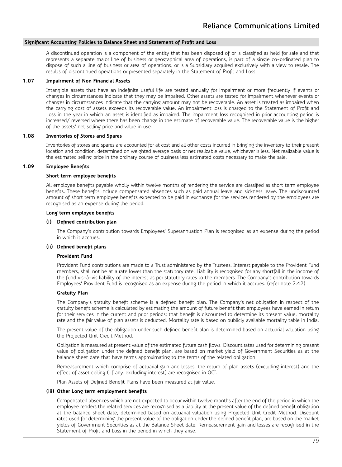A discontinued operation is a component of the entity that has been disposed of or is classified as held for sale and that represents a separate major line of business or geographical area of operations, is part of a single co-ordinated plan to dispose of such a line of business or area of operations, or is a Subsidiary acquired exclusively with a view to resale. The results of discontinued operations or presented separately in the Statement of Profit and Loss.

## **1.07 Impairment of Non Financial Assets**

 Intangible assets that have an indefinite useful life are tested annually for impairment or more frequently if events or changes in circumstances indicate that they may be impaired. Other assets are tested for impairment whenever events or changes in circumstances indicate that the carrying amount may not be recoverable. An asset is treated as impaired when the carrying cost of assets exceeds its recoverable value. An impairment loss is charged to the Statement of Profit and Loss in the year in which an asset is identified as impaired. The impairment loss recognised in prior accounting period is increased/ reversed where there has been change in the estimate of recoverable value. The recoverable value is the higher of the assets' net selling price and value in use.

## **1.08 Inventories of Stores and Spares**

Inventories of stores and spares are accounted for at cost and all other costs incurred in bringing the inventory to their present location and condition, determined on weighted average basis or net realizable value, whichever is less. Net realizable value is the estimated selling price in the ordinary course of business less estimated costs necessary to make the sale.

### **1.09 Employee Benefits**

### **Short term employee benefits**

All employee benefits payable wholly within twelve months of rendering the service are classified as short term employee benefits. These benefits include compensated absences such as paid annual leave and sickness leave. The undiscounted amount of short term employee benefits expected to be paid in exchange for the services rendered by the employees are recognised as an expense during the period.

### **Long term employee benefits**

### **(i) Defined contribution plan**

The Company's contribution towards Employees' Superannuation Plan is recognised as an expense during the period in which it accrues.

### **(ii) Defined benefit plans**

## **Provident Fund**

Provident Fund contributions are made to a Trust administered by the Trustees. Interest payable to the Provident Fund members, shall not be at a rate lower than the statutory rate. Liability is recognised for any shortfall in the income of the fund vis-à-vis liability of the interest as per statutory rates to the members. The Company's contribution towards Employees' Provident Fund is recognised as an expense during the period in which it accrues. (refer note 2.42)

### **Gratuity Plan**

The Company's gratuity benefit scheme is a defined benefit plan. The Company's net obligation in respect of the gratuity benefit scheme is calculated by estimating the amount of future benefit that employees have earned in return for their services in the current and prior periods; that benefit is discounted to determine its present value, mortality rate and the fair value of plan assets is deducted. Mortality rate is based on publicly available mortality table in India.

 The present value of the obligation under such defined benefit plan is determined based on actuarial valuation using the Projected Unit Credit Method.

 Obligation is measured at present value of the estimated future cash flows. Discount rates used for determining present value of obligation under the defined benefit plan, are based on market yield of Government Securities as at the balance sheet date that have terms approximating to the terms of the related obligation.

 Remeasurement which comprise of actuarial gain and losses, the return of plan assets (excluding interest) and the effect of asset ceiling ( if any, excluding interest) are recognised in OCI.

Plan Assets of Defined Benefit Plans have been measured at fair value.

### **(iii) Other Long term employment benefits**

 Compensated absences which are not expected to occur within twelve months after the end of the period in which the employee renders the related services are recognised as a liability at the present value of the defined benefit obligation at the balance sheet date, determined based on actuarial valuation using Projected Unit Credit Method. Discount rates used for determining the present value of the obligation under the defined benefit plan, are based on the market yields of Government Securities as at the Balance Sheet date. Remeasurement gain and losses are recognised in the Statement of Profit and Loss in the period in which they arise.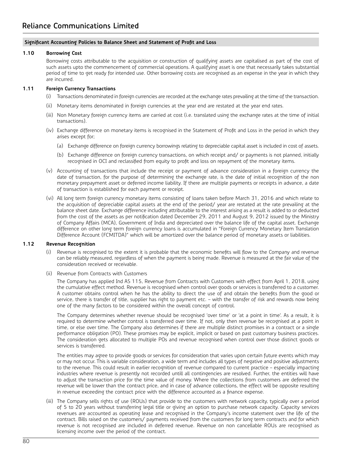## **1.10 Borrowing Cost**

 Borrowing costs attributable to the acquisition or construction of qualifying assets are capitalised as part of the cost of such assets upto the commencement of commercial operations. A qualifying asset is one that necessarily takes substantial period of time to get ready for intended use. Other borrowing costs are recognised as an expense in the year in which they are incurred.

### **1.11 Foreign Currency Transactions**

- (i) Transactions denominated in foreign currencies are recorded at the exchange rates prevailing at the time of the transaction.
- (ii) Monetary items denominated in foreign currencies at the year end are restated at the year end rates.
- (iii) Non Monetary foreign currency items are carried at cost (i.e. translated using the exchange rates at the time of initial transactions).
- (iv) Exchange difference on monetary items is recognised in the Statement of Profit and Loss in the period in which they arises except for;
	- (a) Exchange difference on foreign currency borrowings relating to depreciable capital asset is included in cost of assets.
	- (b) Exchange difference on foreign currency transactions, on which receipt and/ or payments is not planned, initially recognised in OCI and reclassified from equity to profit and loss on repayment of the monetary items.
- (v) Accounting of transactions that include the receipt or payment of advance consideration in a foreign currency the date of transaction, for the purpose of determining the exchange rate, is the date of initial recognition of the non monetary prepayment asset or deferred income liability. If there are multiple payments or receipts in advance, a date of transaction is established for each payment or receipt.
- (vi) All long term foreign currency monetary items consisting of loans taken before March 31, 2016 and which relate to the acquisition of depreciable capital assets at the end of the period/ year are restated at the rate prevailing at the balance sheet date. Exchange difference including attributable to the interest arising as a result is added to or deducted from the cost of the assets as per notification dated December 29, 2011 and August 9, 2012 issued by the Ministry of Company Affairs (MCA), Government of India and depreciated over the balance life of the capital asset. Exchange difference on other long term foreign currency loans is accumulated in "Foreign Currency Monetary Item Translation Difference Account (FCMITDA)" which will be amortized over the balance period of monetary assets or liabilities.

### **1.12 Revenue Recognition**

- (i) Revenue is recognised to the extent it is probable that the economic benefits will flow to the Company and revenue can be reliably measured, regardless of when the payment is being made. Revenue is measured at the fair value of the consideration received or receivable.
- (ii) Revenue from Contracts with Customers

 The Company has applied Ind AS 115, Revenue from Contracts with Customers with effect from April 1, 2018, using the cumulative effect method. Revenue is recognised when control over goods or services is transferred to a customer. A customer obtains control when he has the ability to direct the use of and obtain the benefits from the good or service, there is transfer of title, supplier has right to payment etc. – with the transfer of risk and rewards now being one of the many factors to be considered within the overall concept of control.

 The Company determines whether revenue should be recognised 'over time' or 'at a point in time'. As a result, it is required to determine whether control is transferred over time. If not, only then revenue be recognised at a point in time, or else over time. The Company also determines if there are multiple distinct promises in a contract or a single performance obligation (PO). These promises may be explicit, implicit or based on past customary business practices. The consideration gets allocated to multiple POs and revenue recognised when control over those distinct goods or services is transferred.

 The entities may agree to provide goods or services for consideration that varies upon certain future events which may or may not occur. This is variable consideration, a wide term and includes all types of negative and positive adjustments to the revenue. This could result in earlier recognition of revenue compared to current practice – especially impacting industries where revenue is presently not recorded untill all contingencies are resolved. Further, the entities will have to adjust the transaction price for the time value of money. Where the collections from customers are deferred the revenue will be lower than the contract price, and in case of advance collections, the effect will be opposite resulting in revenue exceeding the contract price with the difference accounted as a finance expense.

 (iii) The Company sells rights of use (ROUs) that provide to the customers with network capacity, typically over a period of 5 to 20 years without transferring legal title or giving an option to purchase network capacity. Capacity services revenues are accounted as operating lease and recognised in the Company's income statement over the life of the contract. Bills raised on the customers/ payments received from the customers for long term contracts and for which revenue is not recognised are included in deferred revenue. Revenue on non cancellable ROUs are recognised as licensing income over the period of the contract.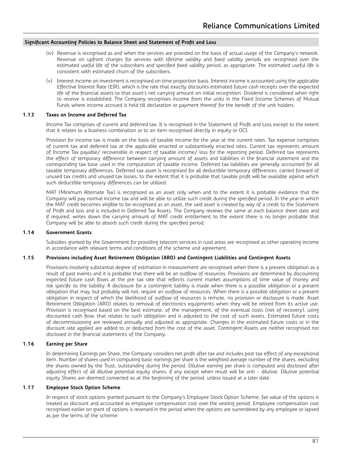- (iv) Revenue is recognised as and when the services are provided on the basis of actual usage of the Company's network. Revenue on upfront charges for services with lifetime validity and fixed validity periods are recognised over the estimated useful life of the subscribers and specified fixed validity period, as appropriate. The estimated useful life is consistent with estimated churn of the subscribers.
- (v) Interest income on investment is recognised on time proportion basis. Interest income is accounted using the applicable Effective Interest Rate (EIR), which is the rate that exactly discounts estimated future cash receipts over the expected life of the financial assets to that asset's net carrying amount on initial recognition. Dividend is considered when right to receive is established. The Company recognises income from the units in the Fixed Income Schemes of Mutual Funds where income accrued is held till declaration or payment thereof for the benefit of the unit holders.

### **1.13 Taxes on Income and Deferred Tax**

 Income Tax comprises of current and deferred tax. It is recognised in the Statement of Profit and Loss except to the extent that it relates to a business combination or to an item recognised directly in equity or OCI.

 Provision for income tax is made on the basis of taxable income for the year at the current rates. Tax expense comprises of current tax and deferred tax at the applicable enacted or substantively enacted rates. Current tax represents amount of Income Tax payable/ recoverable in respect of taxable income/ loss for the reporting period. Deferred tax represents the effect of temporary difference between carrying amount of assets and liabilities in the financial statement and the corresponding tax base used in the computation of taxable income. Deferred tax liabilities are generally accounted for all taxable temporary differences. Deferred tax asset is recognised for all deductible temporary differences, carried forward of unused tax credits and unused tax losses, to the extent that it is probable that taxable profit will be available against which such deductible temporary differences can be utilised.

 MAT (Minimum Alternate Tax) is recognized as an asset only when and to the extent it is probable evidence that the Company will pay normal income tax and will be able to utilize such credit during the specified period. In the year in which the MAT credit becomes eligible to be recognized as an asset, the said asset is created by way of a credit to the Statement of Profit and loss and is included in Deferred Tax Assets. The Company reviews the same at each balance sheet date and if required, writes down the carrying amount of MAT credit entitlement to the extent there is no longer probable that Company will be able to absorb such credit during the specified period.

### **1.14 Government Grants**

Subsidies granted by the Government for providing telecom services in rural areas are recognised as other operating income in accordance with relevant terms and conditions of the scheme and agreement.

### **1.15 Provisions including Asset Retirement Obligation (ARO) and Contingent Liabilities and Contingent Assets**

Provisions involving substantial degree of estimation in measurement are recognised when there is a present obligation as a result of past events and it is probable that there will be an outflow of resources. Provisions are determined by discounting expected future cash flows at the pre tax rate that reflects current market assumptions of time value of money and risk specific to the liability. A disclosure for a contingent liability is made when there is a possible obligation or a present obligation that may, but probably will not, require an outflow of resources. When there is a possible obligation or a present obligation in respect of which the likelihood of outflow of resources is remote, no provision or disclosure is made. Asset Retirement Obligation (ARO) relates to removal of electronics equipments when they will be retired from its active use. Provision is recognised based on the best estimate, of the management, of the eventual costs (net of recovery), using discounted cash flow, that relates to such obligation and is adjusted to the cost of such assets. Estimated future costs of decommissioning are reviewed annually and adjusted as appropriate. Changes in the estimated future costs or in the discount rate applied are added to or deducted from the cost of the asset. Contingent Assets are neither recognised nor disclosed in the financial statements of the Company.

## **1.16 Earning per Share**

In determining Earnings per Share, the Company considers net profit after tax and includes post tax effect of any exceptional item. Number of shares used in computing basic earnings per share is the weighted average number of the shares, excluding the shares owned by the Trust, outstanding during the period. Dilutive earning per share is computed and disclosed after adjusting effect of all dilutive potential equity shares, if any except when result will be anti - dilutive. Dilutive potential equity Shares are deemed converted as at the beginning of the period, unless issued at a later date.

### **1.17 Employee Stock Option Scheme**

In respect of stock options granted pursuant to the Company's Employee Stock Option Scheme, fair value of the options is treated as discount and accounted as employee compensation cost over the vesting period. Employee compensation cost recognised earlier on grant of options is reversed in the period when the options are surrendered by any employee or lapsed as per the terms of the scheme.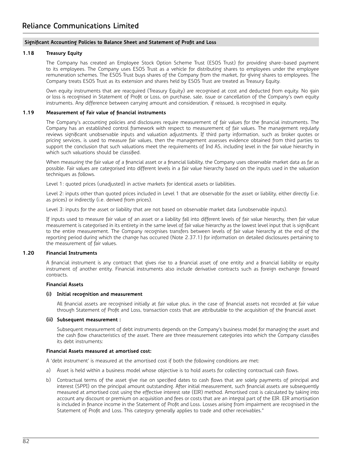### **1.18 Treasury Equity**

The Company has created an Employee Stock Option Scheme Trust (ESOS Trust) for providing share-based payment to its employees. The Company uses ESOS Trust as a vehicle for distributing shares to employees under the employee remuneration schemes. The ESOS Trust buys shares of the Company from the market, for giving shares to employees. The Company treats ESOS Trust as its extension and shares held by ESOS Trust are treated as Treasury Equity.

 Own equity instruments that are reacquired (Treasury Equity) are recognised at cost and deducted from equity. No gain or loss is recognised in Statement of Profit or Loss, on purchase, sale, issue or cancellation of the Company's own equity instruments. Any difference between carrying amount and consideration, if reissued, is recognised in equity.

## **1.19 Measurement of Fair value of financial instruments**

The Company's accounting policies and disclosures require measurement of fair values for the financial instruments. The Company has an established control framework with respect to measurement of fair values. The management regularly reviews significant unobservable inputs and valuation adjustments. If third party information, such as broker quotes or pricing services, is used to measure fair values, then the management assesses evidence obtained from third parties to support the conclusion that such valuations meet the requirements of Ind AS, including level in the fair value hierarchy in which such valuations should be classified.

 When measuring the fair value of a financial asset or a financial liability, the Company uses observable market data as far as possible. Fair values are categorised into different levels in a fair value hierarchy based on the inputs used in the valuation techniques as follows.

Level 1: quoted prices (unadjusted) in active markets for identical assets or liabilities.

 Level 2: inputs other than quoted prices included in Level 1 that are observable for the asset or liability, either directly (i.e. as prices) or indirectly (i.e. derived from prices).

Level 3: inputs for the asset or liability that are not based on observable market data (unobservable inputs).

 If inputs used to measure fair value of an asset or a liability fall into different levels of fair value hierarchy, then fair value measurement is categorised in its entirety in the same level of fair value hierarchy as the lowest level input that is significant to the entire measurement. The Company recognises transfers between levels of fair value hierarchy at the end of the reporting period during which the change has occurred (Note 2.37.1) for information on detailed disclosures pertaining to the measurement of fair values.

### **1.20 Financial Instruments**

A financial instrument is any contract that gives rise to a financial asset of one entity and a financial liability or equity instrument of another entity. Financial instruments also include derivative contracts such as foreign exchange forward contracts.

### **Financial Assets**

### **(i) Initial recognition and measurement**

All financial assets are recognised initially at fair value plus, in the case of financial assets not recorded at fair value through Statement of Profit and Loss, transaction costs that are attributable to the acquisition of the financial asset

### **(ii) Subsequent measurement :**

Subsequent measurement of debt instruments depends on the Company's business model for managing the asset and the cash flow characteristics of the asset. There are three measurement categories into which the Company classifies its debt instruments:

### **Financial Assets measured at amortised cost:**

A 'debt instrument' is measured at the amortised cost if both the following conditions are met:

- a) Asset is held within a business model whose objective is to hold assets for collecting contractual cash flows.
- b) Contractual terms of the asset give rise on specified dates to cash flows that are solely payments of principal and interest (SPPI) on the principal amount outstanding. After initial measurement, such financial assets are subsequently measured at amortised cost using the effective interest rate (EIR) method. Amortised cost is calculated by taking into account any discount or premium on acquisition and fees or costs that are an integral part of the EIR. EIR amortisation is included in finance income in the Statement of Profit and Loss. Losses arising from impairment are recognised in the Statement of Profit and Loss. This category generally applies to trade and other receivables."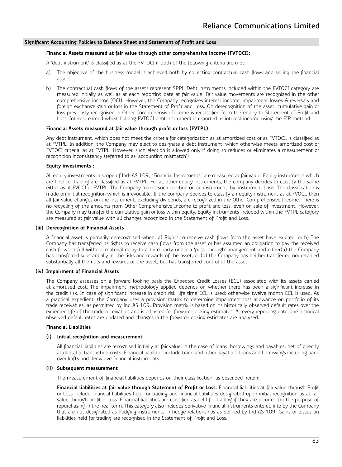### **Financial Assets measured at fair value through other comprehensive income (FVTOCI):**

A 'debt instrument' is classified as at the FVTOCI if both of the following criteria are met:

- a) The objective of the business model is achieved both by collecting contractual cash flows and selling the financial assets.
- b) The contractual cash flows of the assets represent SPPI: Debt instruments included within the FVTOCI category are measured initially as well as at each reporting date at fair value. Fair value movements are recognized in the other comprehensive income (OCI). However, the Company recognizes interest income, impairment losses & reversals and foreign exchange gain or loss in the Statement of Profit and Loss. On derecognition of the asset, cumulative gain or loss previously recognised in Other Comprehensive Income is reclassified from the equity to Statement of Profit and Loss. Interest earned whilst holding FVTOCI debt instrument is reported as interest income using the EIR method

## **Financial Assets measured at fair value through profit or loss (FVTPL):**

Any debt instrument, which does not meet the criteria for categorization as at amortized cost or as FVTOCI, is classified as at FVTPL. In addition, the Company may elect to designate a debt instrument, which otherwise meets amortized cost or FVTOCI criteria, as at FVTPL. However, such election is allowed only if doing so reduces or eliminates a measurement or recognition inconsistency (referred to as 'accounting mismatch')

### **Equity investments :**

All equity investments in scope of Ind-AS 109, "Financial Instruments" are measured at fair value. Equity instruments which are held for trading are classified as at FVTPL. For all other equity instruments, the company decides to classify the same either as at FVOCI or FVTPL. The Company makes such election on an instrument-by-instrument basis. The classification is made on initial recognition which is irrevocable. If the company decides to classify an equity instrument as at FVOCI, then all fair value changes on the instrument, excluding dividends, are recognized in the Other Comprehensive Income. There is no recycling of the amounts from Other Comprehensive Income to profit and loss, even on sale of investment. However, the Company may transfer the cumulative gain or loss within equity. Equity instruments included within the FVTPL category are measured at fair value with all changes recognized in the Statement of Profit and Loss.

### **(iii) Derecognition of Financial Assets**

A financial asset is primarily derecognised when: a) Rights to receive cash flows from the asset have expired, or b) The Company has transferred its rights to receive cash flows from the asset or has assumed an obligation to pay the received cash flows in full without material delay to a third party under a 'pass-through' arrangement and either(a) the Company has transferred substantially all the risks and rewards of the asset, or (b) the Company has neither transferred nor retained substantially all the risks and rewards of the asset, but has transferred control of the asset.

### **(iv) Impairment of Financial Assets**

The Company assesses on a forward looking basis the Expected Credit Losses (ECL) associated with its assets carried at amortised cost. The impairment methodology applied depends on whether there has been a significant increase in the credit risk. In case of significant increase in credit risk, life time ECL is used; otherwise twelve month ECL is used. As a practical expedient, the Company uses a provision matrix to determine impairment loss allowance on portfolio of its trade receivables, as permitted by Ind AS 109. Provision matrix is based on its historically observed default rates over the expected life of the trade receivables and is adjusted for forward-looking estimates. At every reporting date, the historical observed default rates are updated and changes in the forward-looking estimates are analysed.

### **Financial Liabilities**

### **(i) Initial recognition and measurement**

All financial liabilities are recognised initially at fair value, in the case of loans, borrowings and payables, net of directly attributable transaction costs. Financial liabilities include trade and other payables, loans and borrowings including bank overdrafts and derivative financial instruments.

### **(ii) Subsequent measurement**

The measurement of financial liabilities depends on their classification, as described herein:

 **Financial liabilities at fair value through Statement of Profit or Loss:** Financial liabilities at fair value through Profit or Loss include financial liabilities held for trading and financial liabilities designated upon initial recognition as at fair value through profit or loss. Financial liabilities are classified as held for trading if they are incurred for the purpose of repurchasing in the near term. This category also includes derivative financial instruments entered into by the Company that are not designated as hedging instruments in hedge relationships as defined by Ind AS 109. Gains or losses on liabilities held for trading are recognised in the Statement of Profit and Loss.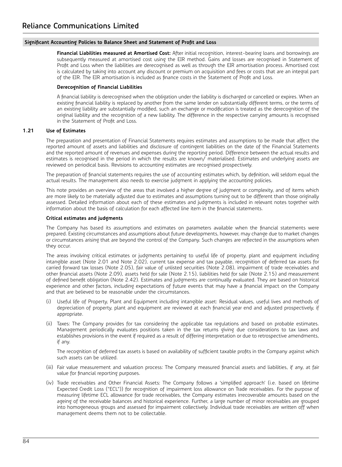**Financial Liabilities measured at Amortised Cost:** After initial recognition, interest-bearing loans and borrowings are subsequently measured at amortised cost using the EIR method. Gains and losses are recognised in Statement of Profit and Loss when the liabilities are derecognised as well as through the EIR amortisation process. Amortised cost is calculated by taking into account any discount or premium on acquisition and fees or costs that are an integral part of the EIR. The EIR amortisation is included as finance costs in the Statement of Profit and Loss.

### **Derecognition of Financial Liabilities**

A financial liability is derecognised when the obligation under the liability is discharged or cancelled or expires. When an existing financial liability is replaced by another from the same lender on substantially different terms, or the terms of an existing liability are substantially modified, such an exchange or modification is treated as the derecognition of the original liability and the recognition of a new liability. The difference in the respective carrying amounts is recognised in the Statement of Profit and Loss.

## **1.21 Use of Estimates**

The preparation and presentation of Financial Statements requires estimates and assumptions to be made that affect the reported amount of assets and liabilities and disclosure of contingent liabilities on the date of the Financial Statements and the reported amount of revenues and expenses during the reporting period. Difference between the actual results and estimates is recognised in the period in which the results are known/ materialised. Estimates and underlying assets are reviewed on periodical basis. Revisions to accounting estimates are recognised prospectively.

 The preparation of financial statements requires the use of accounting estimates which, by definition, will seldom equal the actual results. The management also needs to exercise judgment in applying the accounting policies.

 This note provides an overview of the areas that involved a higher degree of judgment or complexity, and of items which are more likely to be materially adjusted due to estimates and assumptions turning out to be different than those originally assessed. Detailed information about each of these estimates and judgments is included in relevant notes together with information about the basis of calculation for each affected line item in the financial statements.

### **Critical estimates and judgments**

The Company has based its assumptions and estimates on parameters available when the financial statements were prepared. Existing circumstances and assumptions about future developments, however, may change due to market changes or circumstances arising that are beyond the control of the Company. Such changes are reflected in the assumptions when they occur.

 The areas involving critical estimates or judgments pertaining to useful life of property, plant and equipment including intangible asset (Note 2.01 and Note 2.02), current tax expense and tax payable, recognition of deferred tax assets for carried forward tax losses (Note 2.05), fair value of unlisted securities (Note 2.08), impairment of trade receivables and other financial assets (Note 2.09), assets held for sale (Note 2.15), liabilities held for sale (Note 2.15) and measurement of defined benefit obligation (Note 2.42). Estimates and judgments are continually evaluated. They are based on historical experience and other factors, including expectations of future events that may have a financial impact on the Company and that are believed to be reasonable under the circumstances.

- Useful life of Property, Plant and Equipment including intangible asset: Residual values, useful lives and methods of depreciation of property, plant and equipment are reviewed at each financial year end and adjusted prospectively, if appropriate.
- (ii) Taxes: The Company provides for tax considering the applicable tax regulations and based on probable estimates. Management periodically evaluates positions taken in the tax returns giving due considerations to tax laws and establishes provisions in the event if required as a result of differing interpretation or due to retrospective amendments, if any.

 The recognition of deferred tax assets is based on availability of sufficient taxable profits in the Company against which such assets can be utilized.

- (iii) Fair value measurement and valuation process: The Company measured financial assets and liabilities, if any, at fair value for financial reporting purposes.
- (iv) Trade receivables and Other Financial Assets: The Company follows a 'simplified approach' (i.e. based on lifetime Expected Credit Loss ("ECL")) for recognition of impairment loss allowance on Trade receivables. For the purpose of measuring lifetime ECL allowance for trade receivables, the Company estimates irrecoverable amounts based on the ageing of the receivable balances and historical experience. Further, a large number of minor receivables are grouped into homogeneous groups and assessed for impairment collectively. Individual trade receivables are written off when management deems them not to be collectable.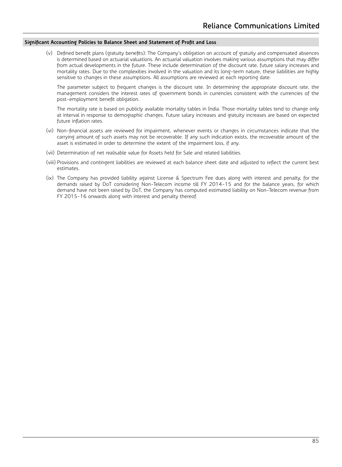(v) Defined benefit plans (gratuity benefits): The Company's obligation on account of gratuity and compensated absences is determined based on actuarial valuations. An actuarial valuation involves making various assumptions that may differ from actual developments in the future. These include determination of the discount rate, future salary increases and mortality rates. Due to the complexities involved in the valuation and its long-term nature, these liabilities are highly sensitive to changes in these assumptions. All assumptions are reviewed at each reporting date.

 The parameter subject to frequent changes is the discount rate. In determining the appropriate discount rate, the management considers the interest rates of government bonds in currencies consistent with the currencies of the post-employment benefit obligation.

 The mortality rate is based on publicly available mortality tables in India. Those mortality tables tend to change only at interval in response to demographic changes. Future salary increases and gratuity increases are based on expected future inflation rates.

- (vi) Non-financial assets are reviewed for impairment, whenever events or changes in circumstances indicate that the carrying amount of such assets may not be recoverable. If any such indication exists, the recoverable amount of the asset is estimated in order to determine the extent of the impairment loss, if any.
- (vii) Determination of net realisable value for Assets held for Sale and related liabilities.
- (viii) Provisions and contingent liabilities are reviewed at each balance sheet date and adjusted to reflect the current best estimates.
- (ix) The Company has provided liability against License & Spectrum Fee dues along with interest and penalty, for the demands raised by DoT considering Non-Telecom income till FY 2014-15 and for the balance years, for which demand have not been raised by DoT, the Company has computed estimated liability on Non-Telecom revenue from FY 2015-16 onwards along with interest and penalty thereof.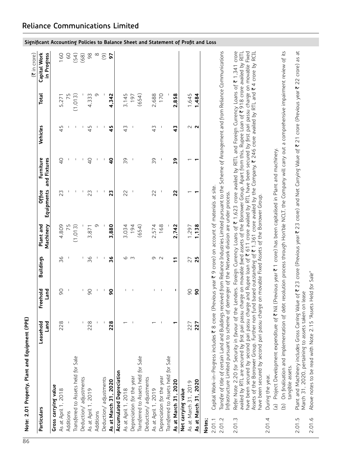|             | Note: 2.01 Property, Plant and Equipment                                                                                                                                                                                                                                                                                                                                                                                                                                                                                                                                                                                                                                                                                                                | (PPE)            |                          |                  |                        |                                                                    |                                                                                                                           |               |              | $(3)$ in crore)             |
|-------------|---------------------------------------------------------------------------------------------------------------------------------------------------------------------------------------------------------------------------------------------------------------------------------------------------------------------------------------------------------------------------------------------------------------------------------------------------------------------------------------------------------------------------------------------------------------------------------------------------------------------------------------------------------------------------------------------------------------------------------------------------------|------------------|--------------------------|------------------|------------------------|--------------------------------------------------------------------|---------------------------------------------------------------------------------------------------------------------------|---------------|--------------|-----------------------------|
| Particulars |                                                                                                                                                                                                                                                                                                                                                                                                                                                                                                                                                                                                                                                                                                                                                         | Leasehold<br>្តូ | Freehold<br>Land         | <b>Buildings</b> | Plant and<br>Machinery | Equipments<br><b>Office</b>                                        | Furniture<br>and Fixtures                                                                                                 | Vehicles      | <b>Total</b> | Capital Work<br>in Progress |
|             | Gross carrying value                                                                                                                                                                                                                                                                                                                                                                                                                                                                                                                                                                                                                                                                                                                                    |                  |                          |                  |                        |                                                                    |                                                                                                                           |               |              |                             |
|             | As at April 1, 2018                                                                                                                                                                                                                                                                                                                                                                                                                                                                                                                                                                                                                                                                                                                                     | 228              | 90                       | 36               | 4,809                  | 23                                                                 | $\overline{Q}$                                                                                                            | 45            | 5,271        | <b>091</b>                  |
| Additions   |                                                                                                                                                                                                                                                                                                                                                                                                                                                                                                                                                                                                                                                                                                                                                         |                  | J.                       |                  | 75                     |                                                                    |                                                                                                                           |               |              | SO                          |
|             | Transferred to Assets held for Sale                                                                                                                                                                                                                                                                                                                                                                                                                                                                                                                                                                                                                                                                                                                     |                  |                          |                  | (1, 013)               | т                                                                  |                                                                                                                           |               | (1,013)      | (54)                        |
|             | Deduction/adjustments                                                                                                                                                                                                                                                                                                                                                                                                                                                                                                                                                                                                                                                                                                                                   |                  |                          |                  |                        |                                                                    |                                                                                                                           |               |              | (68)                        |
|             | As at April 1, 2019                                                                                                                                                                                                                                                                                                                                                                                                                                                                                                                                                                                                                                                                                                                                     | 228              | 90                       | 36               | 3,871                  | 23                                                                 | $\overline{Q}$                                                                                                            | 45            | 4,333        | 8 <sup>o</sup>              |
| Additions   |                                                                                                                                                                                                                                                                                                                                                                                                                                                                                                                                                                                                                                                                                                                                                         |                  | $\overline{\phantom{a}}$ |                  | σ                      |                                                                    | $\overline{1}$                                                                                                            | J.            |              | $\infty$                    |
|             | Deduction/adjustments                                                                                                                                                                                                                                                                                                                                                                                                                                                                                                                                                                                                                                                                                                                                   |                  | $\mathbf{I}$             |                  |                        |                                                                    |                                                                                                                           |               |              | $\odot$                     |
|             | As at March 31, 2020                                                                                                                                                                                                                                                                                                                                                                                                                                                                                                                                                                                                                                                                                                                                    | 228              | g                        | 8                | 3,880                  | 23                                                                 | $\frac{1}{2}$                                                                                                             | 45            | 4,342        | 57                          |
|             | <b>Accumulated Depreciation</b>                                                                                                                                                                                                                                                                                                                                                                                                                                                                                                                                                                                                                                                                                                                         |                  |                          |                  |                        |                                                                    |                                                                                                                           |               |              |                             |
|             | As at April 1, 2018                                                                                                                                                                                                                                                                                                                                                                                                                                                                                                                                                                                                                                                                                                                                     |                  |                          |                  | 3,034                  | 22                                                                 | 59                                                                                                                        | $\frac{1}{4}$ | 3,145        |                             |
|             | Depreciation for the year                                                                                                                                                                                                                                                                                                                                                                                                                                                                                                                                                                                                                                                                                                                               |                  |                          | 6 m              | 194                    |                                                                    |                                                                                                                           |               | 197          |                             |
|             | Transferred to Assets held for Sale                                                                                                                                                                                                                                                                                                                                                                                                                                                                                                                                                                                                                                                                                                                     |                  |                          |                  | (654)                  |                                                                    |                                                                                                                           |               | (654)        |                             |
|             | Deduction/adjustments                                                                                                                                                                                                                                                                                                                                                                                                                                                                                                                                                                                                                                                                                                                                   |                  |                          |                  |                        |                                                                    |                                                                                                                           |               |              |                             |
|             | As at April 1, 2019                                                                                                                                                                                                                                                                                                                                                                                                                                                                                                                                                                                                                                                                                                                                     |                  |                          | Ō                | 2,574                  | 22                                                                 | 39                                                                                                                        | $\frac{1}{4}$ | 2,688        |                             |
|             | Depreciation for the year                                                                                                                                                                                                                                                                                                                                                                                                                                                                                                                                                                                                                                                                                                                               |                  | $\mathsf I$              | $\sim$           | 168                    |                                                                    |                                                                                                                           |               | 170          |                             |
|             | Transferred to Assets held for Sale                                                                                                                                                                                                                                                                                                                                                                                                                                                                                                                                                                                                                                                                                                                     |                  |                          |                  |                        |                                                                    |                                                                                                                           |               |              |                             |
|             | As at March 31, 2020                                                                                                                                                                                                                                                                                                                                                                                                                                                                                                                                                                                                                                                                                                                                    |                  | J.                       | $\overline{1}$   | 2,742                  | 22                                                                 | 59                                                                                                                        | $\frac{1}{4}$ | 2,858        |                             |
|             | Net carrying value                                                                                                                                                                                                                                                                                                                                                                                                                                                                                                                                                                                                                                                                                                                                      |                  |                          |                  |                        |                                                                    |                                                                                                                           |               |              |                             |
|             | As at March 31, 2019                                                                                                                                                                                                                                                                                                                                                                                                                                                                                                                                                                                                                                                                                                                                    | 227              | 90                       | 27               | 1,297                  |                                                                    |                                                                                                                           | $\sim$ $\sim$ | 1,645        |                             |
|             | As at March 31, 2020                                                                                                                                                                                                                                                                                                                                                                                                                                                                                                                                                                                                                                                                                                                                    | 227              | 90                       | 25               | 1,138                  |                                                                    |                                                                                                                           |               | 1,484        |                             |
| Notes;      |                                                                                                                                                                                                                                                                                                                                                                                                                                                                                                                                                                                                                                                                                                                                                         |                  |                          |                  |                        |                                                                    |                                                                                                                           |               |              |                             |
| 2.01.1      | Capital Work-in-Progress includes ₹                                                                                                                                                                                                                                                                                                                                                                                                                                                                                                                                                                                                                                                                                                                     |                  |                          |                  |                        | 8 crore (Previous year ₹ 9 crore) on account of materials at site. |                                                                                                                           |               |              |                             |
| 2.01.2      | Transfer of title of certain Land and Buildings received from Reliance Industries Limited pursuant to the Scheme of Arrangement and from Reliance Communications                                                                                                                                                                                                                                                                                                                                                                                                                                                                                                                                                                                        |                  |                          |                  |                        |                                                                    |                                                                                                                           |               |              |                             |
|             | Infrastructure Limited pursuant to scheme of demerger of the Network division are under process.                                                                                                                                                                                                                                                                                                                                                                                                                                                                                                                                                                                                                                                        |                  |                          |                  |                        |                                                                    |                                                                                                                           |               |              |                             |
| 2.01.3      | have been secured by second pari passu charge and Rupee loan of ₹ 611 crore availed by RTL have been secured by first pari passu charge on movable Fixed<br>Refer Note 2.20 for Security in favour of the Lenders. Foreign Currency Loans of ₹ 1.623 crore availed by RITL and Foreign Currency Loans of ₹ 1.341 crore<br>availed by RTL are secured by first pari passu charge on movable fixed assets of the Borrower Group. Apart from this, Rupee Loan of ₹ 918 crore availed by RITL<br>Assets of the Borrower Group. Further non fund based outstanding of ₹ 1,361 crore availed by the Company, ₹ 246 crore availed by RTL and ₹ 4 crore by RCIL<br>have been secured by second pari passu charge on movable Fixed Assets of the Borrower Group. |                  |                          |                  |                        |                                                                    |                                                                                                                           |               |              |                             |
| 2.01.4      | During the year,                                                                                                                                                                                                                                                                                                                                                                                                                                                                                                                                                                                                                                                                                                                                        |                  |                          |                  |                        |                                                                    |                                                                                                                           |               |              |                             |
|             | (a) Project Development expenditure of ₹ Nil (Previous year ₹ 1 crore) has been capitalised in Plant and machinery.                                                                                                                                                                                                                                                                                                                                                                                                                                                                                                                                                                                                                                     |                  |                          |                  |                        |                                                                    |                                                                                                                           |               |              |                             |
|             | On finalisation and implementation of debt resolution process through Hon'ble NCLT, the Company will carry out a comprehensive impairment review of its<br>tangible assets.<br>$\overline{E}$                                                                                                                                                                                                                                                                                                                                                                                                                                                                                                                                                           |                  |                          |                  |                        |                                                                    |                                                                                                                           |               |              |                             |
| 2.01.5      | Plant and Machinery includes Gross<br>March 31, 2020, pertaining to asse                                                                                                                                                                                                                                                                                                                                                                                                                                                                                                                                                                                                                                                                                |                  | ts taken on lease        |                  |                        |                                                                    | Carring Value of ₹ 23 crore (Previous year ₹ 23 crore) and Net Carrying Value of ₹ 21 crore (Previous year ₹ 22 crore) as |               |              | đ                           |
| 2.01.6      | Above notes to be read with Note 2.15 "Assets Held for Sale"                                                                                                                                                                                                                                                                                                                                                                                                                                                                                                                                                                                                                                                                                            |                  |                          |                  |                        |                                                                    |                                                                                                                           |               |              |                             |

# **Reliance Communications Limited**

**Significant Accounting Policies to Balance Sheet and Statement of Profit and Loss**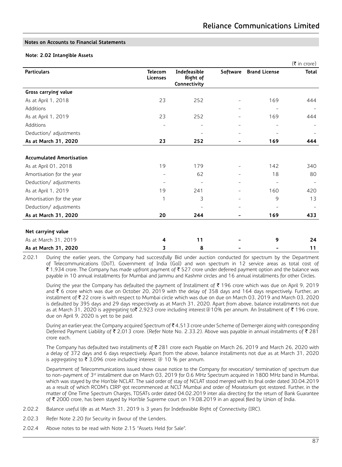### **Note: 2.02 Intangible Assets**

|                                 |                            |                                          |          |                      | $(\bar{\bar{\mathbf{z}}}$ in crore) |
|---------------------------------|----------------------------|------------------------------------------|----------|----------------------|-------------------------------------|
| <b>Particulars</b>              | <b>Telecom</b><br>Licenses | Indefeasible<br>Right of<br>Connectivity | Software | <b>Brand License</b> | Total                               |
| Gross carrying value            |                            |                                          |          |                      |                                     |
| As at April 1, 2018             | 23                         | 252                                      |          | 169                  | 444                                 |
| Additions                       |                            |                                          |          |                      |                                     |
| As at April 1, 2019             | 23                         | 252                                      |          | 169                  | 444                                 |
| Additions                       |                            |                                          |          |                      |                                     |
| Deduction/ adjustments          |                            |                                          |          |                      |                                     |
| As at March 31, 2020            | 23                         | 252                                      |          | 169                  | 444                                 |
|                                 |                            |                                          |          |                      |                                     |
| <b>Accumulated Amortisation</b> |                            |                                          |          |                      |                                     |
| As at April 01, 2018            | 19                         | 179                                      |          | 142                  | 340                                 |
| Amortisation for the year       | $\qquad \qquad -$          | 62                                       |          | 18                   | 80                                  |
| Deduction/ adjustments          |                            |                                          |          |                      |                                     |
| As at April 1, 2019             | 19                         | 241                                      |          | 160                  | 420                                 |
| Amortisation for the year       | 1                          | 3                                        |          | 9                    | 13                                  |
| Deduction/ adjustments          |                            |                                          |          |                      |                                     |
| As at March 31, 2020            | 20                         | 244                                      |          | 169                  | 433                                 |
| Net carrying value              |                            |                                          |          |                      |                                     |
| As at March 31, 2019            | 4                          | 11                                       |          | 9                    | 24                                  |
| As at March 31, 2020            | 3                          | 8                                        |          |                      | 11                                  |

2.02.1 During the earlier years, the Company had successfully Bid under auction conducted for spectrum by the Department of Telecommunications (DoT), Government of India (GoI) and won spectrum in 12 service areas as total cost of ` 1,934 crore. The Company has made upfront payment of ` 527 crore under deferred payment option and the balance was payable in 10 annual installments for Mumbai and Jammu and Kashmir circles and 16 annual installments for other Circles.

 During the year the Company has defaulted the payment of Installment of ` 196 crore which was due on April 9, 2019 and  $\bar{\tau}$  6 crore which was due on October 20, 2019 with the delay of 358 days and 164 days respectively. Further, an installment of ` 22 crore is with respect to Mumbai circle which was due on due on March 03, 2019 and March 03, 2020 is defaulted by 395 days and 29 days respectively as at March 31, 2020. Apart from above, balance installments not due as at March 31, 2020 is aggregating to₹ 2,923 crore including interest@10% per annum. An Installment of ₹196 crore, due on April 9, 2020 is yet to be paid.

During an earlier year, the Company acquired Spectrum of ₹4,513 crore under Scheme of Demerger along with corresponding Deferred Payment Liability of  $\bar{\bar{\xi}}$  2,013 crore. (Refer Note No. 2.33.2). Above was payable in annual installments of  $\bar{\bar{\xi}}$  281 crore each.

The Company has defaulted two installments of  $\bar{\tau}$  281 crore each Payable on March 26, 2019 and March 26, 2020 with a delay of 372 days and 6 days respectively. Apart from the above, balance installments not due as at March 31, 2020 is aggregating to  $\bar{\tau}$  3,096 crore including interest @ 10 % per annum.

 Department of Telecommunications issued show cause notice to the Company for revocation/ termination of spectrum due to non-payment of 3<sup>rd</sup> installment due on March 03, 2019 for 0.6 MHz Spectrum acquired in 1800 MHz band in Mumbai, which was stayed by the Hon'ble NCLAT. The said order of stay of NCLAT stood merged with its final order dated 30.04.2019 as a result of which RCOM's CIRP got recommenced at NCLT Mumbai and order of Moratorium got restored. Further, in the matter of One Time Spectrum Charges, TDSATs order dated 04.02.2019 inter alia directing for the return of Bank Guarantee of ` 2000 crore, has been stayed by Hon'ble Supreme court on 19.08.2019 in an appeal filed by Union of India.

- 2.02.2 Balance useful life as at March 31, 2019 is 3 years for Indefeasible Right of Connectivity (IRC).
- 2.02.3 Refer Note 2.20 for Security in favour of the Lenders.
- 2.02.4 Above notes to be read with Note 2.15 "Assets Held for Sale".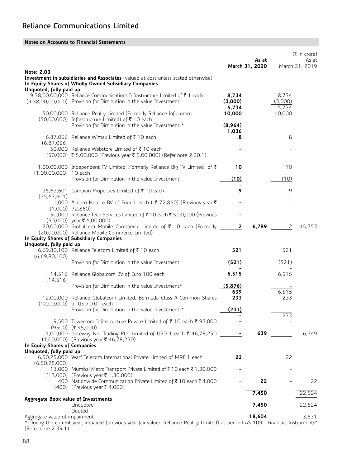|                                       |                                                                                                                                                                        |                           |                         |                           | $(\bar{\tau}$ in crore) |
|---------------------------------------|------------------------------------------------------------------------------------------------------------------------------------------------------------------------|---------------------------|-------------------------|---------------------------|-------------------------|
|                                       |                                                                                                                                                                        |                           | As at<br>March 31, 2020 |                           | As at<br>March 31, 2019 |
| Note: 2.03<br>Unquoted, fully paid up | Investment in subsidiaries and Associates (valued at cost unless stated otherwise)<br>In Equity Shares of Wholly Owned Subsidiary Companies                            |                           |                         |                           |                         |
|                                       | 9,38,00,00,000 Reliance Communications Infrastructure Limited of ₹ 1 each<br>(9,38,00,00,000) Provision for Diminution in the value Investment                         | 8,734<br>(3,000)<br>5,734 |                         | 8,734<br>(3,000)<br>5,734 |                         |
|                                       | 50,00,000 Reliance Realty Limited (Formerly Reliance Infocomm<br>(50,00,000) Infrastructure Limited) of ₹10 each<br>Provision for Diminution in the value Investment * | 10,000<br>(8,964)         |                         | 10,000                    |                         |
|                                       | 6,87,066 Reliance Wimax Limited of ₹10 each                                                                                                                            | 1,036<br>8                |                         | 8                         |                         |
| (6,87,066)                            | 50,000 Reliance Webstore Limited of ₹10 each<br>(50,000) ₹ 5,00,000 (Previous year ₹ 5,00,000) (Refer note 2.20.1)                                                     |                           |                         |                           |                         |
| (1,00,00,000) 10 each                 | 1,00,00,000 Independent TV Limited (Formerly Reliance Big TV Limited) of ₹                                                                                             | 10                        |                         | 10                        |                         |
|                                       | Provision for Diminution in the value Investment                                                                                                                       | (10)                      |                         | (10)                      |                         |
| (35,63,601)                           | 35,63,601 Campion Properties Limited of ₹10 each                                                                                                                       | 9                         |                         | 9                         |                         |
|                                       | 1,000 Aircom Holdco BV of Euro 1 each (₹72,860) (Previous year ₹<br>$(1,000)$ 72,860)                                                                                  |                           |                         |                           |                         |
|                                       | 50,000 Reliance Tech Services Limited of ₹10 each ₹5,00,000 (Previous<br>$(50,000)$ year ₹ 5,00,000)                                                                   |                           |                         |                           |                         |
|                                       | 20,00,000 Globalcom Mobile Commerce Limited of ₹ 10 each (Formerly ____<br>(20,00,000) Reliance Mobile Commerce Limited)                                               | $\mathbf{2}$              | 6.789                   | 2                         | 15,753                  |
| Unquoted, fully paid up               | In Equity Shares of Subsidiary Companies                                                                                                                               |                           |                         |                           |                         |
| (6,69,80,100)                         | 6,69,80,100 Reliance Telecom Limited of ₹10 each                                                                                                                       | 521                       |                         | 521                       |                         |
|                                       | Provision for Diminution in the value Investment                                                                                                                       | (521)                     |                         | (521)                     |                         |
| (14, 516)                             | 14,516 Reliance Globalcom BV of Euro 100 each                                                                                                                          | 6,515                     |                         | 6,515                     |                         |
|                                       | Provision for Diminution in the value Investment*                                                                                                                      | (5,876)<br>639            |                         | 6,515                     |                         |
|                                       | 12,00,000 Reliance Globalcom Limited, Bermuda Class A Common Shares<br>(12,00,000) of USD 0.01 each                                                                    | 233                       |                         | 233                       |                         |
|                                       | Provision for Diminution in the value Investment *                                                                                                                     | (233)                     |                         | 233                       |                         |
|                                       | 9,500 Towercom Infrastructure Private Limited of ₹10 each ₹95,000<br>$(9500)$ (₹ 95,000)                                                                               |                           |                         |                           |                         |
| In Equity Shares of Companies         | 1,00,000 Gateway Net Trading Pte. Limited of USD 1 each ₹ 46,78,250<br>(1,00,000) (Previous year ₹ 46,78,250)                                                          |                           |                         |                           | 6,749                   |
| Unquoted, fully paid up               |                                                                                                                                                                        |                           |                         |                           |                         |
| (6,50,25,000)                         | 6,50,25,000 Warf Telecom International Private Limited of MRF 1 each                                                                                                   | 22                        |                         | 22                        |                         |
|                                       | 13,000 Mumbai Metro Transport Private Limited of ₹10 each ₹1,30,000<br>(13,000) (Previous year ₹ 1,30,000)                                                             |                           |                         |                           |                         |
|                                       | 400 Nationwide Communication Private Limited of ₹10 each ₹4,000<br>$(400)$ (Previous year ₹ 4,000)                                                                     |                           | 22                      |                           | 22                      |
| Aggregate Book value of Investments   |                                                                                                                                                                        |                           | 7,450                   |                           | 22,524                  |
|                                       | Unquoted                                                                                                                                                               |                           | 7,450                   |                           | 22,524                  |
| Aggregate value of impairment         | Quoted                                                                                                                                                                 |                           | 18,604                  |                           | 3,531                   |
|                                       | * During the current year, impaired (previous year fair valued Reliance Reality Limited) as per Ind AS 109, "Financial Instruments"                                    |                           |                         |                           |                         |

<sup>(</sup>Refer note 2.39.1)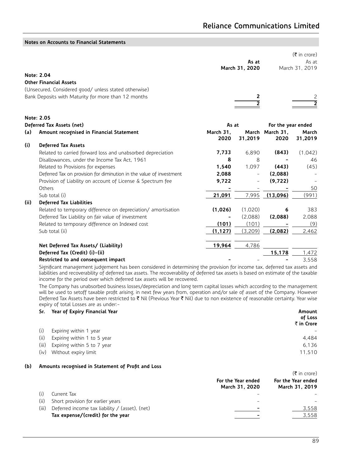|      |                                                                     |                   |                          |                         | $(\bar{\tau}$ in crore) |
|------|---------------------------------------------------------------------|-------------------|--------------------------|-------------------------|-------------------------|
|      |                                                                     |                   | As at                    |                         | As at                   |
|      |                                                                     |                   | March 31, 2020           |                         | March 31, 2019          |
|      | Note: 2.04                                                          |                   |                          |                         |                         |
|      | <b>Other Financial Assets</b>                                       |                   |                          |                         |                         |
|      | (Unsecured, Considered good/ unless stated otherwise)               |                   |                          |                         |                         |
|      | Bank Deposits with Maturity for more than 12 months                 |                   | 2                        |                         | 2                       |
|      |                                                                     |                   | 2                        |                         | $\overline{2}$          |
|      | Note: 2.05                                                          |                   |                          |                         |                         |
|      | Deferred Tax Assets (net)                                           | As at             |                          | For the year ended      |                         |
| (a)  | Amount recognised in Financial Statement                            | March 31.<br>2020 | 31,2019                  | March March 31.<br>2020 | March<br>31,2019        |
| (i)  | <b>Deferred Tax Assets</b>                                          |                   |                          |                         |                         |
|      | Related to carried forward loss and unabsorbed depreciation         | 7,733             | 6,890                    | (843)                   | (1,042)                 |
|      | Disallowances, under the Income Tax Act, 1961                       | 8                 | 8                        |                         | 46                      |
|      | Related to Provisions for expenses                                  | 1.540             | 1.097                    | (443)                   | (45)                    |
|      | Deferred Tax on provision for diminution in the value of investment | 2,088             | $\overline{\phantom{0}}$ | (2,088)                 |                         |
|      | Provision of Liability on account of License & Spectrum fee         | 9,722             |                          | (9, 722)                |                         |
|      | Others                                                              |                   |                          |                         | 50                      |
|      | Sub total (i)                                                       | 21,091            | 7,995                    | (13,096)                | (991)                   |
| (ii) | <b>Deferred Tax Liabilities</b>                                     |                   |                          |                         |                         |
|      | Related to temporary difference on depreciation/ amortisation       | (1,026)           | (1.020)                  | 6                       | 383                     |
|      | Deferred Tax Liability on fair value of investment                  |                   | (2,088)                  | (2,088)                 | 2,088                   |
|      | Related to temporary difference on Indexed cost                     | (101)             | (101)                    |                         | (9)                     |
|      | Sub total (ii)                                                      | (1, 127)          | (3,209)                  | (2,082)                 | 2,462                   |
|      | Net Deferred Tax Assets/ (Liability)                                | 19,964            | 4,786                    |                         |                         |
|      | Deferred Tax (Credit) (i)-(ii)                                      |                   |                          | 15,178                  | 1,472                   |
|      | Restricted to and consequent impact                                 |                   |                          |                         | 3,558                   |

Significant management judgement has been considered in determining the provision for income tax, deferred tax assets and liabilities and recoverability of deferred tax assets. The recoverability of deferred tax assets is based on estimate of the taxable income for the period over which deferred tax assets will be recovered.

The Company has unabsorbed business losses/depreciation and long term capital losses which according to the management will be used to setoff taxable profit arising, in next few years from, operation and/or sale of asset of the Company. However Deferred Tax Assets have been restricted to ₹ Nil (Previous Year ₹ Nil) due to non existence of reasonable certainty. Year wise expiry of total Losses are as under:-

|                             | Amount<br>of Loss<br>₹ in Crore   |
|-----------------------------|-----------------------------------|
| Expiring within 1 year      |                                   |
| Expiring within 1 to 5 year | 4.484                             |
| Expiring within 5 to 7 year | 6.136                             |
| Without expiry limit        | 11.510                            |
|                             | Sr. Year of Expiry Financial Year |

## **(b) Amounts recognised in Statement of Profit and Loss**

|       |                                                     |                                      | $(\bar{\tau}$ in crore)              |
|-------|-----------------------------------------------------|--------------------------------------|--------------------------------------|
|       |                                                     | For the Year ended<br>March 31, 2020 | For the Year ended<br>March 31, 2019 |
|       | Current Tax                                         |                                      |                                      |
| (ii)  | Short provision for earlier years                   | -                                    |                                      |
| (iii) | Deferred income tax liability $\ell$ (asset), (net) |                                      | 3,558                                |
|       | Tax expense/(credit) for the year                   |                                      | 3.558                                |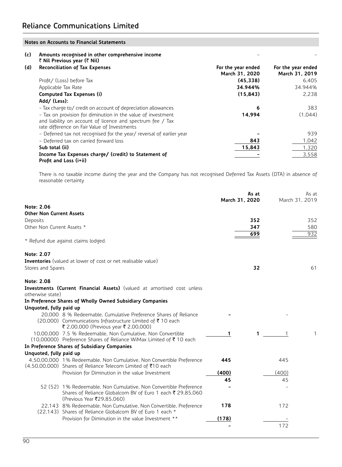| Amounts recognised in other comprehensive income                                                                                                                           |                                      |                                      |
|----------------------------------------------------------------------------------------------------------------------------------------------------------------------------|--------------------------------------|--------------------------------------|
| ₹ Nil Previous year (₹ Nil)                                                                                                                                                |                                      |                                      |
| <b>Reconciliation of Tax Expenses</b>                                                                                                                                      | For the year ended<br>March 31, 2020 | For the year ended<br>March 31, 2019 |
| Profit/ (Loss) before Tax                                                                                                                                                  | (45, 338)                            | 6.405                                |
| Applicable Tax Rate                                                                                                                                                        | 34.944%                              | 34.944%                              |
| Computed Tax Expenses (i)                                                                                                                                                  | (15, 843)                            | 2.238                                |
| Add/ (Less):                                                                                                                                                               |                                      |                                      |
| - Tax charge to/ credit on account of depreciation allowances                                                                                                              | 6                                    | 383                                  |
| - Tax on provision for diminution in the value of investment<br>and liability on account of licence and spectrum fee / Tax<br>rate difference on Fair Value of Investments | 14,994                               | (1.044)                              |
| - Deferred tax not recognised for the year/ reversal of earlier year                                                                                                       |                                      | 939                                  |
| - Deferred tax on carried forward loss                                                                                                                                     | 843                                  | 1,042                                |
| Sub total (ii)                                                                                                                                                             | 15,843                               | 1,320                                |
| Income Tax Expenses charge/ (credit) to Statement of<br>Profit and Loss (i+ii)                                                                                             |                                      | 3,558                                |

There is no taxable income during the year and the Company has not recognised Deferred Tax Assets (DTA) in absence of reasonable certainty

|                                 |                                                                                                                                                                        | March 31, 2020 | As at  | As at<br>March 31, 2019 |
|---------------------------------|------------------------------------------------------------------------------------------------------------------------------------------------------------------------|----------------|--------|-------------------------|
| Note: 2.06                      |                                                                                                                                                                        |                |        |                         |
| <b>Other Non Current Assets</b> |                                                                                                                                                                        |                |        |                         |
| Deposits                        |                                                                                                                                                                        |                | 352    | 352                     |
| Other Non Current Assets *      |                                                                                                                                                                        |                | 347    | 580                     |
|                                 | * Refund due against claims lodged.                                                                                                                                    |                | 699    | 932                     |
| Note: 2.07                      |                                                                                                                                                                        |                |        |                         |
|                                 | <b>Inventories</b> (valued at lower of cost or net realisable value)                                                                                                   |                |        |                         |
| Stores and Spares               |                                                                                                                                                                        |                | 32     | 61                      |
| Note: 2.08                      |                                                                                                                                                                        |                |        |                         |
| otherwise state)                | Investments (Current Financial Assets) (valued at amortised cost unless                                                                                                |                |        |                         |
|                                 | In Preference Shares of Wholly Owned Subsidiary Companies                                                                                                              |                |        |                         |
| Unquoted, fully paid up         |                                                                                                                                                                        |                |        |                         |
|                                 | 20,000 8 % Redeemable, Cumulative Preference Shares of Reliance<br>(20,000) Communications Infrastructure Limited of ₹10 each<br>₹ 2,00,000 (Previous year ₹ 2,00,000) |                |        |                         |
|                                 | 10,00,000 7.5 % Redeemable, Non Cumulative, Non Convertible<br>(10,00000) Preference Shares of Reliance WiMax Limited of ₹10 each                                      | 1              | 1<br>1 | 1                       |
|                                 | In Preference Shares of Subsidiary Companies                                                                                                                           |                |        |                         |
| Unquoted, fully paid up         |                                                                                                                                                                        |                |        |                         |
|                                 | 4,50,00,000 1% Redeemable, Non Cumulative, Non Convertible Preference<br>(4,50,00,000) Shares of Reliance Telecom Limited of ₹10 each                                  | 445            | 445    |                         |
|                                 | Provision for Diminution in the value Investment                                                                                                                       | (400)          | (400)  |                         |
|                                 |                                                                                                                                                                        | 45             | 45     |                         |
|                                 | 52 (52) 1% Redeemable, Non Cumulative, Non Convertible Preference<br>Shares of Reliance Globalcom BV of Euro 1 each ₹ 29,85,060<br>(Previous Year ₹29,85,060)          |                |        |                         |
|                                 | 22,143 8% Redeemable, Non Cumulative, Non Convertible, Preference<br>(22,143) Shares of Reliance Globalcom BV of Euro 1 each *                                         | 178            | 172    |                         |
|                                 | Provision for Diminution in the value Investment **                                                                                                                    | (178)          |        |                         |
|                                 |                                                                                                                                                                        |                | 172    |                         |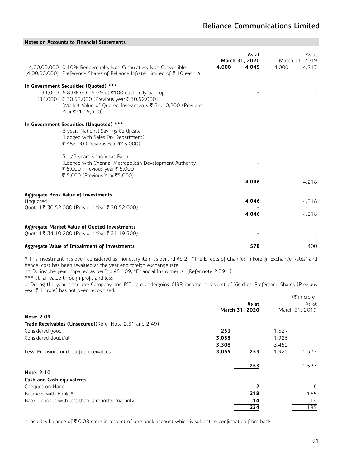|          | Notes on Accounts to Financial Statements                                                                                                                                                                                      |                                           |                                           |
|----------|--------------------------------------------------------------------------------------------------------------------------------------------------------------------------------------------------------------------------------|-------------------------------------------|-------------------------------------------|
|          | 4,00,00,000 0.10% Redeemable, Non Cumulative, Non Convertible<br>$(4,00,00,000)$ Preference Shares of Reliance Infratel Limited of ₹10 each #                                                                                  | As at<br>March 31, 2020<br>4,000<br>4.045 | As at<br>March 31, 2019<br>4.000<br>4,217 |
|          | In Government Securities (Quoted) ***<br>34,000 6.83% GOI 2039 of ₹100 each fully paid up<br>(34,000) ₹ 30,52,000 (Previous year ₹ 30,52,000)<br>(Market Value of Quoted Investments ₹ 34,10,200 (Previous<br>Year ₹31,19,500) |                                           |                                           |
|          | In Government Securities (Unquoted) ***<br>6 years National Savings Certificate<br>(Lodged with Sales Tax Department)<br>₹ 45,000 (Previous Year ₹45,000)                                                                      |                                           |                                           |
|          | 5 1/2 years Kisan Vikas Patra<br>(Lodged with Chennai Metropolitan Development Authority)<br>₹ 5,000 (Previous year ₹ 5,000)<br>₹ 5,000 (Previous Year ₹5,000)                                                                 | 4,046                                     | 4,218                                     |
| Unguoted | Aggregate Book Value of Investments<br>Ouoted ₹ 30,52,000 (Previous Year ₹ 30,52,000)                                                                                                                                          | 4,046<br>4,046                            | 4,218<br>4,218                            |
|          | Aggregate Market Value of Quoted Investments<br>Ouoted ₹ 34,10,200 (Previous Year ₹ 31,19,500)                                                                                                                                 |                                           |                                           |
|          | Aggregate Value of Impairment of Investments                                                                                                                                                                                   | 578                                       | 400                                       |

\* This investment has been considered as monetary item as per Ind AS 21 "The Effects of Changes in Foreign Exchange Rates" and hence, cost has been revalued at the year end foreign exchange rate.

\*\* During the year, impaired as per Ind AS 109, "Financial Instruments" (Refer note 2.39.1)

\*\*\* at fair value through profit and loss

# During the year, since the Company and RITL are undergoing CIRP, income in respect of Yield on Preference Shares (Previous year  $\overline{\tau}$  4 crore) has not been recognised.

|                                                          |                |       |       | $(\bar{\tau}$ in crore) |
|----------------------------------------------------------|----------------|-------|-------|-------------------------|
|                                                          |                | As at |       | As at                   |
|                                                          | March 31, 2020 |       |       | March 31, 2019          |
| Note: 2.09                                               |                |       |       |                         |
| Trade Receivables (Unsecured) (Refer Note 2.31 and 2.49) |                |       |       |                         |
| Considered good                                          | 253            |       | 1,527 |                         |
| Considered doubtful                                      | 3,055          |       | 1,925 |                         |
|                                                          | 3,308          |       | 3,452 |                         |
| Less: Provision for doubtful receivables                 | 3,055          | 253   | 1,925 | 1,527                   |
|                                                          |                | 253   |       | 1,527                   |
| Note: 2.10                                               |                |       |       |                         |
| Cash and Cash equivalents                                |                |       |       |                         |
| Cheques on Hand                                          |                | 2     |       | 6                       |
| Balances with Banks*                                     |                | 218   |       | 165                     |
| Bank Deposits with less than 3 months' maturity          |                | 14    |       | 14                      |
|                                                          |                | 234   |       | 185                     |
|                                                          |                |       |       |                         |

\* includes balance of  $\bar{\tau}$  0.08 crore in respect of one bank account which is subject to confirmation from bank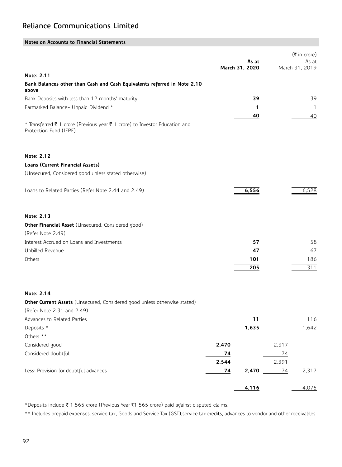|                                                                                                       |       | As at<br>March 31, 2020 |       | $(\bar{\bar{\mathbf{z}}}$ in crore)<br>As at<br>March 31, 2019 |
|-------------------------------------------------------------------------------------------------------|-------|-------------------------|-------|----------------------------------------------------------------|
| Note: 2.11                                                                                            |       |                         |       |                                                                |
| Bank Balances other than Cash and Cash Equivalents referred in Note 2.10<br>above                     |       |                         |       |                                                                |
| Bank Deposits with less than 12 months' maturity                                                      |       | 39                      |       | 39                                                             |
| Earmarked Balance- Unpaid Dividend *                                                                  |       | 1                       |       | 1                                                              |
|                                                                                                       |       | 40                      |       | 40                                                             |
| * Transferred ₹ 1 crore (Previous year ₹ 1 crore) to Investor Education and<br>Protection Fund (IEPF) |       |                         |       |                                                                |
| Note: 2.12                                                                                            |       |                         |       |                                                                |
| Loans (Current Financial Assets)                                                                      |       |                         |       |                                                                |
| (Unsecured, Considered good unless stated otherwise)                                                  |       |                         |       |                                                                |
| Loans to Related Parties (Refer Note 2.44 and 2.49)                                                   |       | 6,556                   |       | 6,528                                                          |
| Note: 2.13<br>Other Financial Asset (Unsecured, Considered good)                                      |       |                         |       |                                                                |
| (Refer Note 2.49)                                                                                     |       |                         |       |                                                                |
| Interest Accrued on Loans and Investments                                                             |       | 57                      |       | 58                                                             |
| Unbilled Revenue                                                                                      |       | 47                      |       | 67                                                             |
| Others                                                                                                |       | 101                     |       | 186                                                            |
|                                                                                                       |       | 205                     |       | 311                                                            |
| Note: 2.14                                                                                            |       |                         |       |                                                                |
| Other Current Assets (Unsecured, Considered good unless otherwise stated)                             |       |                         |       |                                                                |
| (Refer Note 2.31 and 2.49)                                                                            |       |                         |       |                                                                |
| Advances to Related Parties                                                                           |       | 11                      |       | 116                                                            |
| Deposits *                                                                                            |       | 1,635                   |       | 1,642                                                          |
| Others **                                                                                             |       |                         |       |                                                                |
| Considered good                                                                                       | 2,470 |                         | 2,317 |                                                                |
| Considered doubtful                                                                                   | 74    |                         | 74    |                                                                |
|                                                                                                       | 2,544 |                         | 2,391 |                                                                |
| Less: Provision for doubtful advances                                                                 | 74    | 2,470                   | 74    | 2,317                                                          |
|                                                                                                       |       | 4,116                   |       | 4,075                                                          |

\*Deposits include  $\bar{\tau}$  1,565 crore (Previous Year  $\bar{\tau}$ 1,565 crore) paid against disputed claims.

\*\* Includes prepaid expenses, service tax, Goods and Service Tax (GST),service tax credits, advances to vendor and other receivables.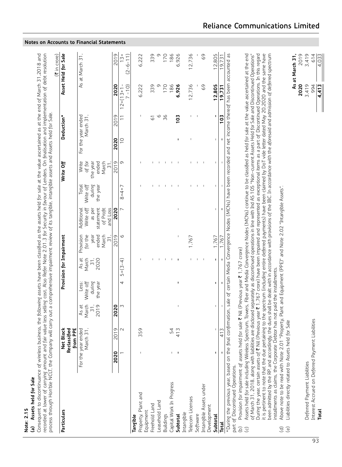|                     | ţ |
|---------------------|---|
|                     |   |
|                     | ï |
|                     |   |
| n                   |   |
| ۳<br>$\sim$         | ı |
| .,<br>ቆ             |   |
| $\ddot{\mathbf{c}}$ |   |
| z                   | L |

| 25 21 21 21 21<br>;<br>,<br>,<br>,<br>d of March 3<br>en classified as the assets held for sale at the value ascertained as at the end of | ć<br>ty in favour of Lenders. On finalisation and implementation of debt resol<br>;<br>;<br>;<br>;<br>;<br>;<br>ううこうし うぅ                           | Sale.<br>D_ District Corp. 12-2-2-2-1<br>irment review of its tangible, intangible assets and Asset                                                      |
|-------------------------------------------------------------------------------------------------------------------------------------------|----------------------------------------------------------------------------------------------------------------------------------------------------|----------------------------------------------------------------------------------------------------------------------------------------------------------|
| תי הרבים ב<br>j<br>)<br>)<br>)<br>י<br>נוס<br>]<br>]                                                                                      | value less selling cost. Also Refer Note 2.01.3 for Security in fav<br>hair<br>C<br>ء<br>ت<br>غ<br>م<br>CONNECT TO THE TOWN CONTRACT<br>)<br> <br> | ---->> >>>> ^-->> ::<br>Į<br>l<br>]<br>]<br>]<br>ֺ֦֧֦֧֦֧֦֧֦֧ׅ֧֦֧ׅ֧֦֧֖֖֧֧֦֧ׅ֖֖֧֧֧֧֧֧֧֦֧֚֚֚֚֚֚֚֚֚֚֚֚֚֚֚֕֜֓֝֬֜֓֝֬֝֝֬֝֝֓֜֓֝֓֝֬֝֬֝֬֜֜<br>そくこくろよ しくく<br>)<br>] |

| Net Block<br>Reclassified<br>from PPE<br>For the year ended<br>March 31<br>Particulars                                                                                                                                                                                         |                                         |                                          |                                          |                                                      |                                                                         |                                          |                                                     |                    |               |                           | $(3)$ in crore)                       |
|--------------------------------------------------------------------------------------------------------------------------------------------------------------------------------------------------------------------------------------------------------------------------------|-----------------------------------------|------------------------------------------|------------------------------------------|------------------------------------------------------|-------------------------------------------------------------------------|------------------------------------------|-----------------------------------------------------|--------------------|---------------|---------------------------|---------------------------------------|
|                                                                                                                                                                                                                                                                                |                                         |                                          | Provision for Impairment                 |                                                      |                                                                         |                                          | Write Off                                           |                    | Deduction*    |                           | Asset Held for Sale                   |
|                                                                                                                                                                                                                                                                                | March<br>2019<br>As at<br>$\frac{1}{2}$ | Write off<br>during<br>the year<br>Less  | As at<br>March<br>2020<br>$\overline{5}$ | for the<br>ended<br>March<br>Provision<br>year<br>51 | Write off<br>and Loss<br>as per<br>statement<br>Additional<br>of Profit | Write off<br>during<br>the year<br>Total | of for<br>the year<br>March<br>Write<br>ended<br>51 | For the year ended | March 31,     |                           | As at March 31.                       |
| <b>PO2</b><br><b>2020</b>                                                                                                                                                                                                                                                      | 2020<br>Ó                               |                                          |                                          | 2019                                                 | <b>2020</b>                                                             |                                          | 2019                                                | <b>2020</b>        | 2019          | 2020                      | 2019                                  |
| $\sim$                                                                                                                                                                                                                                                                         | W                                       | 4                                        | $5 = (3-4)$                              | 9                                                    |                                                                         | $8 = 4 + 7$                              | Ō                                                   | $\frac{0}{1}$      |               | $-10$<br>$12 = (13 + 1 -$ | $-6 - 11$<br>$13 =$<br>$\overline{C}$ |
| σ<br>35<br>Property, Plant and<br>Tangible                                                                                                                                                                                                                                     |                                         |                                          |                                          |                                                      |                                                                         |                                          |                                                     |                    | ı             | 6,222                     | 6,222                                 |
| Equipment                                                                                                                                                                                                                                                                      |                                         |                                          |                                          |                                                      |                                                                         |                                          |                                                     |                    |               |                           |                                       |
| Freehold Land                                                                                                                                                                                                                                                                  |                                         |                                          |                                          |                                                      |                                                                         |                                          |                                                     |                    | 5             | 339                       | 339                                   |
| Leasehold Land                                                                                                                                                                                                                                                                 |                                         |                                          |                                          |                                                      |                                                                         |                                          |                                                     |                    | $\circ$       | Ō                         | $\circ$                               |
| <b>Buildings</b>                                                                                                                                                                                                                                                               |                                         |                                          |                                          |                                                      |                                                                         |                                          | J.                                                  |                    | 36            | 170                       | 170                                   |
| 4<br>5<br>Capital Work In Progress                                                                                                                                                                                                                                             |                                         |                                          | $\mathbf{I}$                             |                                                      |                                                                         |                                          | $\mathbf{I}$                                        |                    |               | 186                       | 186                                   |
| Z<br>$\overline{4}$<br>Subtotal                                                                                                                                                                                                                                                |                                         |                                          | п                                        |                                                      |                                                                         |                                          |                                                     |                    | $\frac{2}{3}$ | 6,926                     | 6,926                                 |
| Telecom Licenses<br>Intangible                                                                                                                                                                                                                                                 |                                         |                                          | $\mathbf{I}$                             | 1,767                                                |                                                                         |                                          |                                                     |                    |               | 12,736                    | 12,736                                |
| Software                                                                                                                                                                                                                                                                       |                                         |                                          | $\blacksquare$                           |                                                      |                                                                         | $\mathbf{I}$                             |                                                     |                    |               |                           |                                       |
| Intangible Assets under                                                                                                                                                                                                                                                        |                                         |                                          | $\overline{\phantom{a}}$                 |                                                      |                                                                         | $\overline{1}$                           |                                                     |                    |               | 69                        | 69                                    |
| Development                                                                                                                                                                                                                                                                    |                                         |                                          |                                          |                                                      |                                                                         |                                          |                                                     |                    |               |                           |                                       |
| Subtotal                                                                                                                                                                                                                                                                       |                                         |                                          | I.                                       | 1,767                                                |                                                                         |                                          |                                                     |                    |               | 12,805                    | 12,805                                |
| 41<br>Total                                                                                                                                                                                                                                                                    |                                         |                                          |                                          | 1,767                                                |                                                                         |                                          |                                                     |                    | 103           | 19,731                    | 9,731                                 |
| *During the previous year, based on the final confirmation, sale of certain Media Convergence Nodes (MCNs) have been recorded and net income thereof has been accounted as<br>Provision for impairment of assets held for<br>part of Discontinued Operations.<br>$\widehat{E}$ |                                         | sale ₹ Nil (Previous year ₹ 1,767 crore) |                                          |                                                      |                                                                         |                                          |                                                     |                    |               |                           |                                       |

# **Reliance Communications Limited**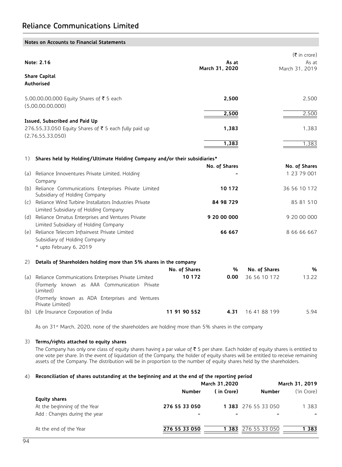|     | Note: 2.16                                                                                                         |               | As at<br>March 31, 2020 |               | $(\bar{\bar{\mathbf{z}}}$ in crore)<br>As at<br>March 31, 2019 |
|-----|--------------------------------------------------------------------------------------------------------------------|---------------|-------------------------|---------------|----------------------------------------------------------------|
|     | <b>Share Capital</b><br><b>Authorised</b>                                                                          |               |                         |               |                                                                |
|     | 5,00,00,00,000 Equity Shares of ₹ 5 each<br>(5,00,00,00,000)                                                       |               | 2,500                   |               | 2.500                                                          |
|     | Issued, Subscribed and Paid Up                                                                                     |               | 2,500                   |               | 2,500                                                          |
|     | 276,55,33,050 Equity Shares of ₹ 5 each fully paid up<br>(2,76,55,33,050)                                          |               | 1,383<br>1,383          |               | 1.383<br>1,383                                                 |
| 1)  | Shares held by Holding/Ultimate Holding Company and/or their subsidiaries*                                         |               |                         |               |                                                                |
|     |                                                                                                                    |               | No. of Shares           |               | No. of Shares                                                  |
|     | (a) Reliance Innoventures Private Limited, Holding<br>Company                                                      |               |                         |               | 1 23 79 001                                                    |
|     | (b) Reliance Communications Enterprises Private Limited<br>Subsidiary of Holding Company                           |               | 10 172                  |               | 36 56 10 172                                                   |
|     | (c) Reliance Wind Turbine Installators Industries Private<br>Limited Subsidiary of Holding Company                 |               | 84 98 729               |               | 85 81 510                                                      |
|     | (d) Reliance Ornatus Enterprises and Ventures Private<br>Limited Subsidiary of Holding Company                     |               | 9 20 00 000             |               | 9 20 00 000                                                    |
|     | (e) Reliance Telecom Infrainvest Private Limited<br>Subsidiary of Holding Company<br>* upto February 6, 2019       |               | 66 667                  |               | 8 66 66 667                                                    |
| 2)  | Details of Shareholders holding more than 5% shares in the company                                                 |               |                         |               |                                                                |
|     |                                                                                                                    | No. of Shares | %                       | No. of Shares | %                                                              |
| (a) | Reliance Communications Enterprises Private Limited<br>known as AAA Communication Private<br>(Formerly<br>Limited) | 10 172        | 0.00                    | 36 56 10 172  | 13.22                                                          |
|     | (Formerly known as ADA Enterprises and Ventures<br>Private Limited)                                                |               |                         |               |                                                                |
|     | (b) Life Insurance Corporation of India                                                                            | 11 91 90 552  | 4.31                    | 16 41 88 199  | 5.94                                                           |

As on 31<sup>st</sup> March, 2020, none of the shareholders are holding more than 5% shares in the company

### 3) **Terms/rights attached to equity shares**

The Company has only one class of equity shares having a par value of  $\bar{\tau}$  5 per share. Each holder of equity shares is entitled to one vote per share. In the event of liquidation of the Company, the holder of equity shares will be entitled to receive remaining assets of the Company. The distribution will be in proportion to the number of equity shares held by the shareholders.

### 4) **Reconciliation of shares outstanding at the beginning and at the end of the reporting period**

|                                                              |               | March 31,2020 |                                                 |             |
|--------------------------------------------------------------|---------------|---------------|-------------------------------------------------|-------------|
| <b>Equity shares</b>                                         | Number        | ( in Crore)   | <b>Number</b>                                   | ('in Crore) |
| At the beginning of the Year<br>Add: Changes during the year | 276 55 33 050 |               | 1 383 276 55 33 050<br>$\overline{\phantom{a}}$ | 1 383       |
| At the end of the Year                                       | 276 55 33 050 |               | 383 276 55 33 050                               | 383         |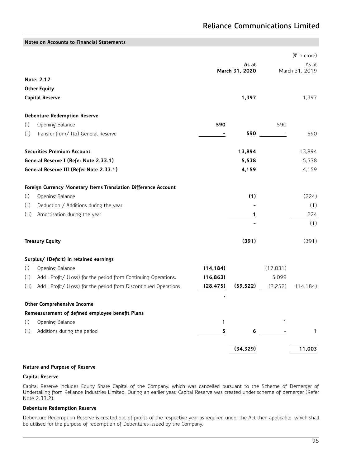# **Reliance Communications Limited**

| Notes on Accounts to Financial Statements                                 |           |                |                          |                                     |
|---------------------------------------------------------------------------|-----------|----------------|--------------------------|-------------------------------------|
|                                                                           |           |                |                          | $(\bar{\bar{\mathbf{z}}}$ in crore) |
|                                                                           |           | As at          |                          | As at                               |
|                                                                           |           | March 31, 2020 |                          | March 31, 2019                      |
| Note: 2.17                                                                |           |                |                          |                                     |
| <b>Other Equity</b>                                                       |           |                |                          |                                     |
| <b>Capital Reserve</b>                                                    |           | 1,397          |                          | 1,397                               |
| <b>Debenture Redemption Reserve</b>                                       |           |                |                          |                                     |
| Opening Balance<br>(i)                                                    | 590       |                | 590                      |                                     |
| Transfer from/ (to) General Reserve<br>(ii)                               |           | 590            | <b>Contract Contract</b> | 590                                 |
| <b>Securities Premium Account</b>                                         |           | 13,894         |                          | 13,894                              |
| General Reserve I (Refer Note 2.33.1)                                     |           | 5,538          |                          | 5,538                               |
| General Reserve III (Refer Note 2.33.1)                                   |           | 4,159          |                          | 4,159                               |
| Foreign Currency Monetary Items Translation Difference Account            |           |                |                          |                                     |
| (i)<br>Opening Balance                                                    |           | (1)            |                          | (224)                               |
| (ii)<br>Deduction / Additions during the year                             |           |                |                          | (1)                                 |
| Amortisation during the year<br>(iii)                                     |           | 1              |                          | 224                                 |
|                                                                           |           |                |                          | (1)                                 |
| <b>Treasury Equity</b>                                                    |           | (391)          |                          | (391)                               |
| Surplus/ (Deficit) in retained earnings                                   |           |                |                          |                                     |
| Opening Balance<br>(i)                                                    | (14, 184) |                | (17, 031)                |                                     |
| Add : Profit/ (Loss) for the period from Continuing Operations.<br>(ii)   | (16, 863) |                | 5,099                    |                                     |
| Add : Profit/ (Loss) for the period from Discontinued Operations<br>(iii) | (28, 475) |                | $(59,522)$ $(2,252)$     | (14, 184)                           |
| <b>Other Comprehensive Income</b>                                         |           |                |                          |                                     |
| Remeasurement of defined employee benefit Plans                           |           |                |                          |                                     |
| Opening Balance<br>(i)                                                    | 1         |                | 1                        |                                     |
| Additions during the period<br>(ii)                                       | 5         | 6              |                          | 1                                   |
|                                                                           |           | (34, 329)      |                          | 11,003                              |

## **Nature and Purpose of Reserve**

### **Capital Reserve**

Capital Reserve includes Equity Share Capital of the Company, which was cancelled pursuant to the Scheme of Demerger of Undertaking from Reliance Industries Limited. During an earlier year, Capital Reserve was created under scheme of demerger (Refer Note 2.33.2).

## **Debenture Redemption Reserve**

Debenture Redemption Reserve is created out of profits of the respective year as required under the Act then applicable, which shall be utilised for the purpose of redemption of Debentures issued by the Company.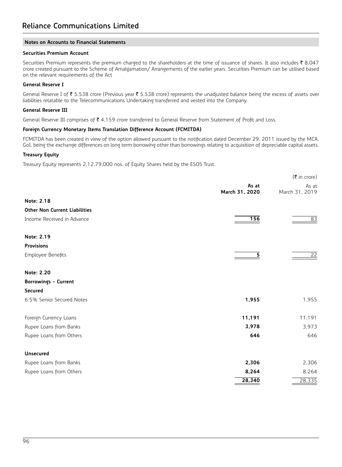## **Securities Premium Account**

Securities Premium represents the premium charged to the shareholders at the time of issuance of shares. It also includes  $\bar{\tau}$  8,047 crore created pursuant to the Scheme of Amalgamation/ Arrangements of the earlier years. Securities Premium can be utilised based on the relevant requirements of the Act

### **General Reserve I**

General Reserve I of ₹ 5,538 crore (Previous year ₹ 5,538 crore) represents the unadjusted balance being the excess of assets over liabilities relatable to the Telecommunications Undertaking transferred and vested into the Company.

### **General Reserve III**

General Reserve III comprises of ` 4,159 crore transferred to General Reserve from Statement of Profit and Loss.

### **Foreign Currency Monetary Items Translation Difference Account (FCMITDA)**

FCMITDA has been created in view of the option allowed pursuant to the notification dated December 29, 2011 issued by the MCA, GoI, being the exchange differences on long term borrowing other than borrowings relating to acquisition of depreciable capital assets.

## **Treasury Equity**

Treasury Equity represents 2,12,79,000 nos. of Equity Shares held by the ESOS Trust.

|                                      |                         | $(\bar{\bar{\tau}}$ in crore) |
|--------------------------------------|-------------------------|-------------------------------|
|                                      | As at<br>March 31, 2020 | As at<br>March 31, 2019       |
| Note: 2.18                           |                         |                               |
| <b>Other Non Current Liabilities</b> |                         |                               |
| Income Received in Advance           | 156                     | $\overline{83}$               |
| Note: 2.19                           |                         |                               |
| <b>Provisions</b>                    |                         |                               |
| Employee Benefits                    | 5                       | $\overline{22}$               |
| Note: 2.20                           |                         |                               |
| Borrowings - Current                 |                         |                               |
| Secured                              |                         |                               |
| 6.5% Senior Secured Notes            | 1,955                   | 1,955                         |
| Foreign Currency Loans               | 11,191                  | 11,191                        |
| Rupee Loans from Banks               | 3,978                   | 3,973                         |
| Rupee Loans from Others              | 646                     | 646                           |
| <b>Unsecured</b>                     |                         |                               |
| Rupee Loans from Banks               | 2,306                   | 2,306                         |
| Rupee Loans from Others              | 8,264                   | 8,264                         |
|                                      | 28,340                  | 28,335                        |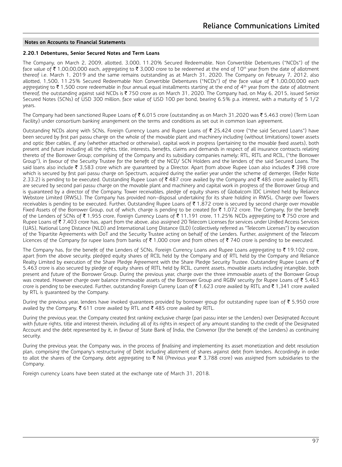## **2.20.1 Debentures, Senior Secured Notes and Term Loans**

The Company, on March 2, 2009, allotted, 3,000, 11.20% Secured Redeemable, Non Convertible Debentures ("NCDs") of the face value of  $\bar{\tau}$  1,00,00,000 each, aggregating to  $\bar{\tau}$  3,000 crore to be redeemed at the end of 10<sup>th</sup> year from the date of allotment thereof i.e. March 1, 2019 and the same remains outstanding as at March 31, 2020. The Company on February 7, 2012, also allotted, 1,500, 11.25% Secured Redeemable Non Convertible Debentures ("NCDs") of the face value of  $\bar{\tau}$  1,00,00,000 each aggregating to  $\bar{\xi}$  1,500 crore redeemable in four annual equal installments starting at the end of 4<sup>th</sup> year from the date of allotment thereof, the outstanding against said NCDs is ₹750 crore as on March 31, 2020. The Company had, on May 6, 2015, issued Senior Secured Notes (SCNs) of USD 300 million, face value of USD 100 per bond, bearing 6.5% p.a. interest, with a maturity of 5 1/2 years.

The Company had been sanctioned Rupee Loans of  $\bar{\xi}$  6,015 crore (outstanding as on March 31,2020 was  $\bar{\xi}$  5,463 crore) (Term Loan Facility) under consortium banking arrangement on the terms and conditions as set out in common loan agreement.

Outstanding NCDs along with SCNs, Foreign Currency Loans and Rupee Loans of ₹ 25,424 crore ("the said Secured Loans") have been secured by first pari passu charge on the whole of the movable plant and machinery including (without limitations) tower assets and optic fiber cables, if any (whether attached or otherwise), capital work in progress (pertaining to the movable fixed assets), both present and future including all the rights, title, interests, benefits, claims and demands in respect of all insurance contracts relating thereto of the Borrower Group; comprising of the Company and its subsidiary companies namely; RTL, RITL and RCIL, ("the Borrower Group"), in favour of the Security Trustee for the benefit of the NCD/ SCN Holders and the lenders of the said Secured Loans. The said loans also include  $\bar{\tau}$  3,583 crore which are guaranteed by a Director. Apart from above Rupee Loan also includes  $\bar{\tau}$  398 crore which is secured by first pari passu charge on Spectrum, acquired during the earlier year under the scheme of demerger, (Refer Note 2.33.2) is pending to be executed. Outstanding Rupee Loan of ₹ 487 crore availed by the Company and ₹ 485 crore availed by RITL are secured by second pari passu charge on the movable plant and machinery and capital work in progress of the Borrower Group and is guaranteed by a director of the Company, Tower receivables, pledge of equity shares of Globalcom IDC Limited held by Reliance Webstore Limited (RWSL). The Company has provided non-disposal undertaking for its share holding in RWSL. Charge over Towers receivables is pending to be executed. Further, Outstanding Rupee Loans of  $\bar{\tau}$  1,872 crore is secured by second charge over movable Fixed Assets of the Borrower Group, out of which, charge is pending to be created for  $\bar{\tau}$  1,072 crore. The Company, for the benefit of the Lenders of SCNs of ₹1,955 crore, Foreign Currency Loans of ₹11,191 crore, 11.25% NCDs aggregating to ₹750 crore and Rupee Loans of  $\bar{\tau}$  7,403 crore has, apart from the above, also assigned 20 Telecom Licenses for services under Unified Access Services (UAS), National Long Distance (NLD) and International Long Distance (ILD) (collectively referred as "Telecom Licenses") by execution of the Tripartite Agreements with DoT and the Security Trustee acting on behalf of the Lenders. Further, assignment of the Telecom Licences of the Company for rupee loans from banks of  $\bar{\tau}$  1,000 crore and from others of  $\bar{\tau}$  740 crore is pending to be executed.

The Company has, for the benefit of the Lenders of SCNs, Foreign Currency Loans and Rupee Loans aggregating to  $\bar{\tau}$  19,102 crore, apart from the above security, pledged equity shares of RCIL held by the Company and of RTL held by the Company and Reliance Realty Limited by execution of the Share Pledge Agreement with the Share Pledge Security Trustee. Outstanding Rupee Loans of  $\bar{\tau}$ 5,463 crore is also secured by pledge of equity shares of RITL held by RCIL, current assets, movable assets including intangible, both present and future of the Borrower Group. During the previous year, charge over the three immovable assets of the Borrower Group was created. However charge over balance immovable assets of the Borrower Group and RGBV security for Rupee Loans of  $\bar{\tau}$  5,463 crore is pending to be executed. Further, outstanding Foreign Curreny Loan of  $\bar{\tau}$  1,623 crore availed by RITL and  $\bar{\tau}$  1,341 crore availed by RTL is guaranteed by the Company.

During the previous year, lenders have invoked guarantees provided by borrower group for outstanding rupee loan of  $\bar{\tau}$  5,950 crore availed by the Company,  $\overline{\xi}$  611 crore availed by RTL and  $\overline{\xi}$  485 crore availed by RITL.

During the previous year, the Company created first ranking exclusive charge (pari passu inter se the Lenders) over Designated Account with future rights, title and interest therein, including all of its rights in respect of any amount standing to the credit of the Designated Account and the debt represented by it, in favour of State Bank of India, the Convenor (for the benefit of the Lenders) as continuing security.

During the previous year, the Company was, in the process of finalising and implementing its asset monetization and debt resolution plan, comprising the Company's restructuring of Debt including allotment of shares against debt from lenders. Accordingly in order to allot the shares of the Company, debt aggregating to  $\bar{\tau}$  Nil (Previous year  $\bar{\tau}$  3,788 crore) was assigned from subsidiaries to the Company.

Foreign currency Loans have been stated at the exchange rate of March 31, 2018.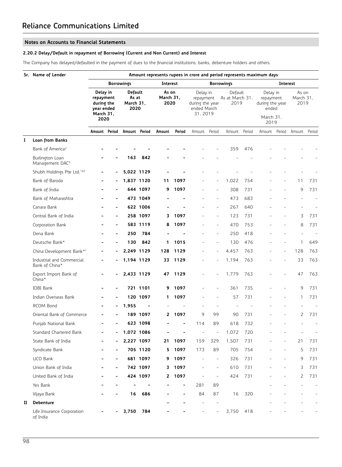## **2.20.2 Delay/Default in repayment of Borrowing (Current and Non Current) and Interest**

The Company has delayed/defaulted in the payment of dues to the financial institutions, banks, debenture holders and others.

|   | Sr. Name of Lender                             | Amount represents rupees in crore and period represents maximum days   |                          |                                       |            |                            |        |                                                        |                          |                                              |        |                                                                |          |                            |                          |  |
|---|------------------------------------------------|------------------------------------------------------------------------|--------------------------|---------------------------------------|------------|----------------------------|--------|--------------------------------------------------------|--------------------------|----------------------------------------------|--------|----------------------------------------------------------------|----------|----------------------------|--------------------------|--|
|   |                                                | <b>Borrowings</b>                                                      |                          | Interest                              |            | <b>Borrowings</b>          |        |                                                        | Interest                 |                                              |        |                                                                |          |                            |                          |  |
|   |                                                | Delay in<br>repayment<br>during the<br>year ended<br>March 31,<br>2020 |                          | Default<br>As at<br>March 31,<br>2020 |            | As on<br>March 31,<br>2020 |        | Delay in<br>during the year<br>ended March<br>31, 2019 |                          | Default<br>repayment As at March 31,<br>2019 |        | Delay in<br>repayment<br>during the year<br>ended<br>March 31, |          | As on<br>March 31,<br>2019 |                          |  |
|   |                                                |                                                                        |                          |                                       |            |                            |        |                                                        |                          |                                              |        | 2019                                                           |          |                            |                          |  |
| I | Loan from Banks                                | Amount Period                                                          |                          | Amount Period                         |            | Amount                     | Period | Amount                                                 | Period                   | Amount                                       | Period | Amount                                                         | Period   | Amount                     | Period                   |  |
|   | Bank of America <sup>2</sup>                   |                                                                        |                          |                                       |            |                            |        |                                                        |                          | 359                                          | 476    |                                                                |          |                            |                          |  |
|   | Burlington Loan<br>Management DAC <sup>2</sup> |                                                                        |                          | 163                                   | 842        |                            |        |                                                        |                          |                                              |        |                                                                |          |                            |                          |  |
|   | Shubh Holdings Pte Ltd. <sup>1&amp;2</sup>     | -                                                                      |                          | 5,022 1129                            |            |                            |        |                                                        |                          |                                              |        |                                                                |          |                            |                          |  |
|   | Bank of Baroda                                 |                                                                        |                          | 1,837 1120                            |            | 11                         | 1097   |                                                        |                          | 1,022                                        | 754    |                                                                |          | 11                         | 731                      |  |
|   | Bank of India                                  | -                                                                      |                          |                                       | 644 1097   | 9                          | 1097   |                                                        |                          | 308                                          | 731    |                                                                |          | 9                          | 731                      |  |
|   | Bank of Maharashtra                            | -                                                                      |                          |                                       | 473 1049   |                            |        |                                                        |                          | 473                                          | 683    |                                                                |          |                            | Ē,                       |  |
|   | Canara Bank                                    |                                                                        |                          |                                       | 622 1006   |                            |        |                                                        |                          | 267                                          | 640    |                                                                |          |                            |                          |  |
|   | Central Bank of India                          | $\overline{a}$                                                         | $\overline{\phantom{0}}$ |                                       | 258 1097   | 3                          | 1097   |                                                        | -                        | 123                                          | 731    |                                                                |          | 3                          | 731                      |  |
|   | Corporation Bank                               |                                                                        | -                        |                                       | 583 1119   | 8                          | 1097   |                                                        |                          | 470                                          | 753    |                                                                |          | 8                          | 731                      |  |
|   | Dena Bank                                      | ۰                                                                      |                          | 250                                   | 784        |                            |        |                                                        | $\equiv$                 | 250                                          | 418    |                                                                |          | $\overline{\phantom{a}}$   |                          |  |
|   | Deutsche Bank*                                 | -                                                                      |                          | 130                                   | 842        | 1                          | 1015   |                                                        |                          | 130                                          | 476    |                                                                |          | 1                          | 649                      |  |
|   | China Development Bank*1                       | $\overline{\phantom{0}}$                                               |                          | 2,249 1129                            |            | 128                        | 1129   |                                                        |                          | 4,457                                        | 763    |                                                                | $\equiv$ | 128                        | 763                      |  |
|   | Industrial and Commercial<br>Bank of China*    |                                                                        |                          | 1,194 1129                            |            | 33                         | 1129   |                                                        |                          | 1,194                                        | 763    |                                                                |          | 33                         | 763                      |  |
|   | Export Import Bank of<br>China*                |                                                                        |                          | 2,433 1129                            |            | 47                         | 1129   |                                                        |                          | 1,779                                        | 763    |                                                                |          | 47                         | 763                      |  |
|   | <b>IDBI Bank</b>                               | -                                                                      |                          |                                       | 721 1101   | 9                          | 1097   |                                                        |                          | 361                                          | 735    |                                                                |          | 9                          | 731                      |  |
|   | Indian Overseas Bank                           | ۰                                                                      |                          |                                       | 120 1097   | 1                          | 1097   |                                                        |                          | 57                                           | 731    |                                                                |          | 1                          | 731                      |  |
|   | RCOM Bond                                      |                                                                        | ۰                        | 1,955                                 |            |                            |        |                                                        |                          |                                              |        |                                                                |          |                            |                          |  |
|   | Oriental Bank of Commerce                      | $\overline{a}$                                                         |                          |                                       | 189 1097   | 2                          | 1097   | 9                                                      | 99                       | 90                                           | 731    |                                                                |          | 2                          | 731                      |  |
|   | Punjab National Bank                           | $\overline{\phantom{0}}$                                               |                          |                                       | 623 1098   |                            |        | 114                                                    | 89                       | 618                                          | 732    |                                                                |          |                            | $\overline{a}$           |  |
|   | Standard Chartered Bank                        |                                                                        |                          | 1,072 1086                            |            |                            |        | L,                                                     | $\overline{\phantom{a}}$ | 1,072                                        | 720    |                                                                |          |                            |                          |  |
|   | State Bank of India                            | ۰                                                                      |                          |                                       | 2,227 1097 | 21                         | 1097   | 159                                                    | 329                      | 1,507                                        | 731    |                                                                |          | 21                         | 731                      |  |
|   | Syndicate Bank                                 | ۰                                                                      |                          |                                       | 705 1120   | 5                          | 1097   | 173                                                    | 89                       | 705                                          | 754    |                                                                |          | 5                          | 731                      |  |
|   | UCO Bank                                       |                                                                        |                          |                                       | 681 1097   | 9                          | 1097   |                                                        |                          | 326                                          | 731    |                                                                |          | 9                          | 731                      |  |
|   | Union Bank of India                            |                                                                        |                          |                                       | 742 1097   | 3                          | 1097   |                                                        |                          | 610                                          | 731    |                                                                |          | 3                          | 731                      |  |
|   | United Bank of India                           |                                                                        |                          |                                       | 424 1097   | 2                          | 1097   |                                                        | $\overline{\phantom{a}}$ | 424                                          | 731    |                                                                |          | $\overline{c}$             | 731                      |  |
|   | Yes Bank                                       |                                                                        |                          | $\overline{\phantom{0}}$              |            |                            | -      | 281                                                    | 89                       |                                              |        |                                                                |          |                            | $\overline{\phantom{a}}$ |  |
|   | Vijaya Bank                                    |                                                                        |                          | 16                                    | 686        |                            | -      | 84                                                     | 87                       | 16                                           | 320    |                                                                |          |                            | $\qquad \qquad -$        |  |
| п | Debenture                                      |                                                                        |                          |                                       |            |                            |        | ÷,                                                     | $\overline{\phantom{a}}$ |                                              |        |                                                                |          |                            | $\overline{\phantom{a}}$ |  |
|   | Life Insurance Corporation<br>of India         |                                                                        | $-$                      | 3,750                                 | 784        |                            |        |                                                        | $\overline{\phantom{a}}$ | 3,750                                        | 418    |                                                                |          |                            | $\overline{\phantom{a}}$ |  |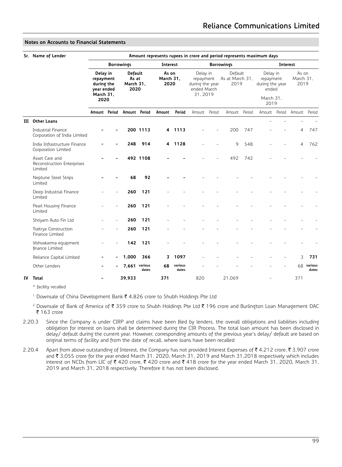|  | Sr. Name of Lender                                                                                              | Amount represents rupees in crore and period represents maximum days |                            |               |                                                         |                   |                                    |        |                                                   |        |                            |        |        |        |                     |
|--|-----------------------------------------------------------------------------------------------------------------|----------------------------------------------------------------------|----------------------------|---------------|---------------------------------------------------------|-------------------|------------------------------------|--------|---------------------------------------------------|--------|----------------------------|--------|--------|--------|---------------------|
|  |                                                                                                                 | <b>Borrowings</b>                                                    |                            | Interest      |                                                         | <b>Borrowings</b> |                                    |        |                                                   |        | Interest                   |        |        |        |                     |
|  | Delay in<br>Default<br>As at<br>repayment<br>during the<br>March 31.<br>2020<br>year ended<br>March 31,<br>2020 |                                                                      | As on<br>March 31,<br>2020 |               | Delay in<br>repayment<br>during the year<br>ended March |                   | Default<br>As at March 31,<br>2019 |        | Delay in<br>repayment<br>during the year<br>ended |        | As on<br>March 31,<br>2019 |        |        |        |                     |
|  |                                                                                                                 |                                                                      |                            |               |                                                         |                   | 31, 2019                           |        |                                                   |        | March 31.<br>2019          |        |        |        |                     |
|  |                                                                                                                 | Amount Period                                                        |                            | Amount Period |                                                         | Amount            | Period                             | Amount | Period                                            | Amount | Period                     | Amount | Period | Amount | Period              |
|  | <b>III</b> Other Loans                                                                                          |                                                                      |                            |               |                                                         |                   |                                    |        |                                                   |        |                            |        |        |        |                     |
|  | Industrial Finance<br>Corporation of India Limited                                                              |                                                                      |                            |               | 200 1113                                                | 4                 | 1113                               |        |                                                   | 200    | 747                        |        |        | 4      | 747                 |
|  | India Infrastructure Finance<br>Corporation Limited                                                             |                                                                      |                            | 248           | 914                                                     | 4                 | 1128                               |        |                                                   | 9      | 548                        |        |        | 4      | 762                 |
|  | Asset Care and<br>Reconstruction Enterprises<br>Limited                                                         |                                                                      |                            |               | 492 1108                                                |                   |                                    |        |                                                   | 492    | 742                        |        |        |        |                     |
|  | Neptune Steel Strips<br>Limited                                                                                 |                                                                      |                            | 68            | 92                                                      |                   |                                    |        |                                                   |        |                            |        |        |        |                     |
|  | Deep Industrial Finance<br>Limited                                                                              |                                                                      |                            | 260           | 121                                                     |                   |                                    |        |                                                   |        |                            |        |        |        |                     |
|  | Pearl Housing Finance<br>Limited                                                                                |                                                                      |                            | 260           | 121                                                     |                   |                                    |        |                                                   |        |                            |        |        |        |                     |
|  | Shriyam Auto Fin Ltd                                                                                            |                                                                      |                            | 260           | 121                                                     |                   |                                    |        |                                                   |        |                            |        |        |        |                     |
|  | Traitrya Construction<br>Finance Limited                                                                        |                                                                      |                            | 260           | 121                                                     |                   |                                    |        |                                                   |        |                            |        |        |        |                     |
|  | Vishvakarma equipment<br>finance Limited                                                                        |                                                                      |                            | 142           | 121                                                     |                   |                                    |        |                                                   |        |                            |        |        |        |                     |
|  | Reliance Capital Limited                                                                                        | $\overline{\phantom{0}}$                                             |                            | 1,000         | 366                                                     | 3                 | 1097                               |        |                                                   |        |                            |        |        | 3      | 731                 |
|  | Other Lenders                                                                                                   | -                                                                    |                            | 7.661 various | dates                                                   | 68                | various<br>dates                   |        |                                                   |        |                            |        |        |        | 68 various<br>dates |
|  | <b>IV</b> Total                                                                                                 | $\overline{a}$                                                       |                            | 39,933        |                                                         | 371               |                                    | 820    |                                                   | 21.069 |                            |        |        | 371    |                     |

\* facility recalled

<sup>1.</sup> Downsale of China Development Bank  $\bar{\tau}$  4,826 crore to Shubh Holdings Pte Ltd

<sup>2.</sup> Downsale of Bank of America of  $\bar{z}$  359 crore to Shubh Holdings Pte Ltd  $\bar{z}$  196 crore and Burlington Loan Management DAC ₹ 163 crore

- 2.20.3 Since the Company is under CIRP and claims have been filed by lenders, the overall obligations and liabilities including obligation for interest on loans shall be determined during the CIR Process. The total loan amount has been disclosed in delay/ default during the current year. However, corresponding amounts of the previous year's delay/ default are based on original terms of facility and from the date of recall, where loans have been recalled
- 2.20.4 Apart from above outstanding of Interest, the Company has not provided Interest Expenses of  $\bar{z}$  4,212 crore,  $\bar{z}$  3,907 crore and ` 3,055 crore for the year ended March 31, 2020, March 31, 2019 and March 31,2018 respectively which includes interest on NCDs from LIC of  $\bar{\tau}$  420 crore,  $\bar{\tau}$  420 crore and  $\bar{\tau}$  418 crore for the year ended March 31, 2020, March 31, 2019 and March 31, 2018 respectively. Therefore it has not been disclosed.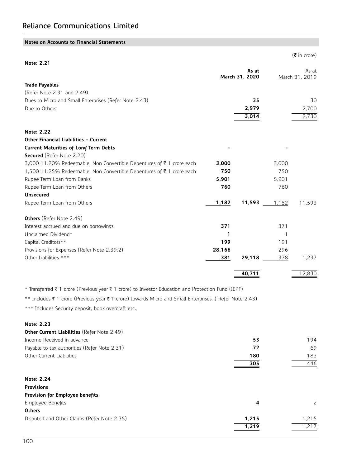# **Note: 2.21**

| <b>Trade Payables</b><br>(Refer Note 2.31 and 2.49)<br>Dues to Micro and Small Enterprises (Refer Note 2.43)<br>35<br>2,979<br>Due to Others<br>3,014<br>Note: 2.22<br>Other Financial Liabilities - Current<br><b>Current Maturities of Long Term Debts</b><br>Secured (Refer Note 2.20)<br>3,000 11.20% Redeemable, Non Convertible Debentures of ₹ 1 crore each<br>3,000<br>3,000<br>750<br>1,500 11.25% Redeemable, Non Convertible Debentures of ₹1 crore each<br>750<br>5,901<br>Rupee Term Loan from Banks<br>5,901<br>Rupee Term Loan from Others<br>760<br>760<br><b>Unsecured</b><br>1,182<br>Rupee Term Loan from Others<br>11,593<br>1,182<br><b>Others</b> (Refer Note 2.49)<br>371<br>371<br>Interest accrued and due on borrowings<br>Unclaimed Dividend*<br>1<br>$\mathbf 1$ |                     |     | As at<br>March 31, 2020 |     | As at<br>March 31, 2019 |
|----------------------------------------------------------------------------------------------------------------------------------------------------------------------------------------------------------------------------------------------------------------------------------------------------------------------------------------------------------------------------------------------------------------------------------------------------------------------------------------------------------------------------------------------------------------------------------------------------------------------------------------------------------------------------------------------------------------------------------------------------------------------------------------------|---------------------|-----|-------------------------|-----|-------------------------|
|                                                                                                                                                                                                                                                                                                                                                                                                                                                                                                                                                                                                                                                                                                                                                                                              |                     |     |                         |     |                         |
|                                                                                                                                                                                                                                                                                                                                                                                                                                                                                                                                                                                                                                                                                                                                                                                              |                     |     |                         |     |                         |
|                                                                                                                                                                                                                                                                                                                                                                                                                                                                                                                                                                                                                                                                                                                                                                                              |                     |     |                         |     | 30                      |
|                                                                                                                                                                                                                                                                                                                                                                                                                                                                                                                                                                                                                                                                                                                                                                                              |                     |     |                         |     | 2,700                   |
|                                                                                                                                                                                                                                                                                                                                                                                                                                                                                                                                                                                                                                                                                                                                                                                              |                     |     |                         |     | 2,730                   |
|                                                                                                                                                                                                                                                                                                                                                                                                                                                                                                                                                                                                                                                                                                                                                                                              |                     |     |                         |     |                         |
|                                                                                                                                                                                                                                                                                                                                                                                                                                                                                                                                                                                                                                                                                                                                                                                              |                     |     |                         |     |                         |
|                                                                                                                                                                                                                                                                                                                                                                                                                                                                                                                                                                                                                                                                                                                                                                                              |                     |     |                         |     |                         |
|                                                                                                                                                                                                                                                                                                                                                                                                                                                                                                                                                                                                                                                                                                                                                                                              |                     |     |                         |     |                         |
|                                                                                                                                                                                                                                                                                                                                                                                                                                                                                                                                                                                                                                                                                                                                                                                              |                     |     |                         |     |                         |
|                                                                                                                                                                                                                                                                                                                                                                                                                                                                                                                                                                                                                                                                                                                                                                                              |                     |     |                         |     |                         |
|                                                                                                                                                                                                                                                                                                                                                                                                                                                                                                                                                                                                                                                                                                                                                                                              |                     |     |                         |     |                         |
|                                                                                                                                                                                                                                                                                                                                                                                                                                                                                                                                                                                                                                                                                                                                                                                              |                     |     |                         |     |                         |
|                                                                                                                                                                                                                                                                                                                                                                                                                                                                                                                                                                                                                                                                                                                                                                                              |                     |     |                         |     |                         |
|                                                                                                                                                                                                                                                                                                                                                                                                                                                                                                                                                                                                                                                                                                                                                                                              |                     |     |                         |     | 11,593                  |
|                                                                                                                                                                                                                                                                                                                                                                                                                                                                                                                                                                                                                                                                                                                                                                                              |                     |     |                         |     |                         |
|                                                                                                                                                                                                                                                                                                                                                                                                                                                                                                                                                                                                                                                                                                                                                                                              |                     |     |                         |     |                         |
|                                                                                                                                                                                                                                                                                                                                                                                                                                                                                                                                                                                                                                                                                                                                                                                              |                     |     |                         |     |                         |
|                                                                                                                                                                                                                                                                                                                                                                                                                                                                                                                                                                                                                                                                                                                                                                                              | Capital Creditors** | 199 |                         | 191 |                         |
| 28,166<br>Provisions for Expenses (Refer Note 2.39.2)<br>296                                                                                                                                                                                                                                                                                                                                                                                                                                                                                                                                                                                                                                                                                                                                 |                     |     |                         |     |                         |
| Other Liabilities ***<br>29,118<br>378<br>381                                                                                                                                                                                                                                                                                                                                                                                                                                                                                                                                                                                                                                                                                                                                                |                     |     |                         |     | 1,237                   |

 $(\bar{\bar{\mathbf{z}}}$  in crore)

**40,711** 12,830

\* Transferred ₹ 1 crore (Previous year ₹ 1 crore) to Investor Education and Protection Fund (IEPF)

\*\* Includes ₹ 1 crore (Previous year ₹ 1 crore) towards Micro and Small Enterprises. ( Refer Note 2.43)

\*\*\* Includes Security deposit, book overdraft etc.,

## **Note: 2.23**

| <b>Other Current Liabilities</b> (Refer Note 2.49) |     |     |
|----------------------------------------------------|-----|-----|
| Income Received in advance                         | 53  | 194 |
| Payable to tax authorities (Refer Note 2.31)       | 72  | 69  |
| Other Current Liabilities                          | 180 | 183 |
|                                                    | 305 | 446 |

# **Note: 2.24 Provisions Provision for Employee benefits Othe**

| Employee Benefits                           |       |       |
|---------------------------------------------|-------|-------|
| Others                                      |       |       |
| Disputed and Other Claims (Refer Note 2.35) | 1.215 | 1.215 |
|                                             | 1,219 | ,217  |
|                                             |       |       |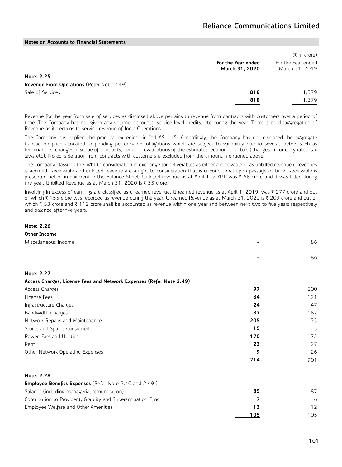|                                                  |                                      | $(\bar{\bar{\tau}}$ in crore)        |
|--------------------------------------------------|--------------------------------------|--------------------------------------|
|                                                  | For the Year ended<br>March 31, 2020 | For the Year ended<br>March 31, 2019 |
| Note: 2.25                                       |                                      |                                      |
| <b>Revenue From Operations</b> (Refer Note 2.49) |                                      |                                      |
| Sale of Services                                 | 818                                  | 1.379                                |
|                                                  | 818                                  | 1,379                                |

Revenue for the year from sale of services as disclosed above pertains to revenue from contracts with customers over a period of time. The Company has not given any volume discounts, service level credits, etc during the year. There is no disaggregation of Revenue as it pertains to service revenue of India Operations

The Company has applied the practical expedient in Ind AS 115. Accordingly, the Company has not disclosed the aggregate transaction price allocated to pending performance obligations which are subject to variability due to several factors such as terminations, changes in scope of contracts, periodic revalidations of the estimates, economic factors (changes in currency rates, tax laws etc). No consideration from contracts with customers is excluded from the amount mentioned above.

The Company classifies the right to consideration in exchange for deliverables as either a receivable or as unbilled revenue if revenues is accrued. Receivable and unbilled revenue are a right to consideration that is unconditional upon passage of time. Receivable is presented net of impairment in the Balance Sheet. Unbilled revenue as at April 1, 2019, was ₹ 66 crore and it was billed during the year. Unbilled Revenue as at March 31, 2020 is  $\bar{\tau}$  33 crore.

Invoicing in excess of earnings are classified as unearned revenue. Unearned revenue as at April 1, 2019, was  $\bar{\tau}$  277 crore and out of which ₹155 crore was recorded as revenue during the year. Unearned Revenue as at March 31, 2020 is ₹209 crore and out of which  $\bar{\tau}$  53 crore and  $\bar{\tau}$  112 crore shall be accounted as revenue within one year and between next two to five years respectively and balance after five years.

# **Note: 2.26**

## **Other Income**

| Miscellaneous Income                                                |     | 86  |
|---------------------------------------------------------------------|-----|-----|
|                                                                     |     | 86  |
| Note: 2.27                                                          |     |     |
| Access Charges, License Fees and Network Expenses (Refer Note 2.49) |     |     |
| Access Charges                                                      | 97  | 200 |
| License Fees                                                        | 84  | 121 |
| Infrastructure Charges                                              | 24  | 47  |
| Bandwidth Charges                                                   | 87  | 167 |
| Network Repairs and Maintenance                                     | 205 | 133 |
| Stores and Spares Consumed                                          | 15  | 5   |
| Power, Fuel and Utilities                                           | 170 | 175 |
| Rent                                                                | 23  | 27  |
| Other Network Operating Expenses                                    | 9   | 26  |
|                                                                     | 714 | 901 |
| Note: 2.28                                                          |     |     |
| <b>Employee Benefits Expenses</b> (Refer Note 2.40 and 2.49)        |     |     |
| Salaries (including managerial remuneration)                        | 85  | 87  |
| Contribution to Provident, Gratuity and Superannuation Fund         | 7   | 6   |
| Employee Welfare and Other Amenities                                | 13  | 12  |
|                                                                     | 105 | 105 |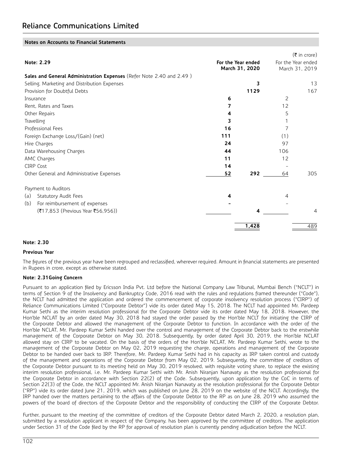|                                                                      |     |                                      |                    | $(\bar{\bar{\mathbf{z}}}$ in crore) |
|----------------------------------------------------------------------|-----|--------------------------------------|--------------------|-------------------------------------|
| Note: 2.29                                                           |     | For the Year ended<br>March 31, 2020 | For the Year ended | March 31, 2019                      |
| Sales and General Administration Expenses (Refer Note 2.40 and 2.49) |     |                                      |                    |                                     |
| Selling, Marketing and Distribution Expenses                         |     | 3                                    |                    | 13                                  |
| Provision for Doubtful Debts                                         |     | 1129                                 |                    | 167                                 |
| Insurance                                                            | 6   |                                      | 2                  |                                     |
| Rent. Rates and Taxes                                                | 7   |                                      | 12                 |                                     |
| Other Repairs                                                        | 4   |                                      | 5                  |                                     |
| Travelling                                                           | 3   |                                      |                    |                                     |
| Professional Fees                                                    | 16  |                                      | 7                  |                                     |
| Foreign Exchange Loss/(Gain) (net)                                   | 111 |                                      | (1)                |                                     |
| Hire Charges                                                         | 24  |                                      | 97                 |                                     |
| Data Warehousing Charges                                             | 44  |                                      | 106                |                                     |
| AMC Charges                                                          | 11  |                                      | 12                 |                                     |
| <b>CIRP Cost</b>                                                     | 14  |                                      |                    |                                     |
| Other General and Administrative Expenses                            | 52  | 292                                  | 64                 | 305                                 |
| Payment to Auditors                                                  |     |                                      |                    |                                     |
| Statutory Audit Fees<br>(a)                                          | 4   |                                      | 4                  |                                     |
| (b)<br>For reimbursement of expenses                                 |     |                                      |                    |                                     |
| (₹17,853 (Previous Year ₹56,956))                                    |     | 4                                    |                    | 4                                   |
|                                                                      |     | 1,428                                |                    | 489                                 |

## **Note: 2.30**

### **Previous Year**

The figures of the previous year have been regrouped and reclassified, wherever required. Amount in financial statements are presented in Rupees in crore, except as otherwise stated.

### **Note: 2.31Going Concern**

Pursuant to an application filed by Ericsson India Pvt. Ltd before the National Company Law Tribunal, Mumbai Bench ("NCLT") in terms of Section 9 of the Insolvency and Bankruptcy Code, 2016 read with the rules and regulations framed thereunder ("Code"), the NCLT had admitted the application and ordered the commencement of corporate insolvency resolution process ("CIRP") of Reliance Communications Limited ("Corporate Debtor") vide its order dated May 15, 2018. The NCLT had appointed Mr. Pardeep Kumar Sethi as the interim resolution professional for the Corporate Debtor vide its order dated May 18, 2018. However, the Hon'ble NCLAT by an order dated May 30, 2018 had stayed the order passed by the Hon'ble NCLT for initiating the CIRP of the Corporate Debtor and allowed the management of the Corporate Debtor to function. In accordance with the order of the Hon'ble NCLAT, Mr. Pardeep Kumar Sethi handed over the control and management of the Corporate Debtor back to the erstwhile management of the Corporate Debtor on May 30, 2018. Subsequently, by order dated April 30, 2019, the Hon'ble NCLAT allowed stay on CIRP to be vacated. On the basis of the orders of the Hon'ble NCLAT, Mr. Pardeep Kumar Sethi, wrote to the management of the Corporate Debtor on May 02, 2019 requesting the charge, operations and management of the Corporate Debtor to be handed over back to IRP. Therefore, Mr. Pardeep Kumar Sethi had in his capacity as IRP taken control and custody of the management and operations of the Corporate Debtor from May 02, 2019. Subsequently, the committee of creditors of the Corporate Debtor pursuant to its meeting held on May 30, 2019 resolved, with requisite voting share, to replace the existing interim resolution professional, i.e. Mr. Pardeep Kumar Sethi with Mr. Anish Niranjan Nanavaty as the resolution professional for the Corporate Debtor in accordance with Section 22(2) of the Code. Subsequently, upon application by the CoC in terms of Section 22(3) of the Code, the NCLT appointed Mr. Anish Niranjan Nanavaty as the resolution professional for the Corporate Debtor ("RP") vide its order dated June 21, 2019, which was published on June 28, 2019 on the website of the NCLT. Accordingly, the IRP handed over the matters pertaining to the affairs of the Corporate Debtor to the RP as on June 28, 2019 who assumed the powers of the board of directors of the Corporate Debtor and the responsibility of conducting the CIRP of the Corporate Debtor.

Further, pursuant to the meeting of the committee of creditors of the Corporate Debtor dated March 2, 2020, a resolution plan, submitted by a resolution applicant in respect of the Company, has been approved by the committee of creditors. The application under Section 31 of the Code filed by the RP for approval of resolution plan is currently pending adjudication before the NCLT.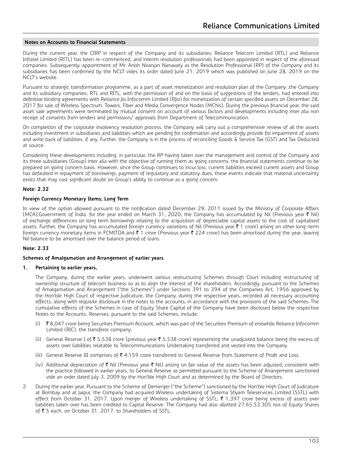During the current year, the CIRP in respect of the Company and its subsidiaries; Reliance Telecom Limited (RTL) and Reliance Infratel Limited (RITL) has been re-commenced, and interim resolution professionals had been appointed in respect of the aforesaid companies. Subsequently, appointment of Mr. Anish Niranjan Nanavaty as the Resolution Professional (RP) of the Company and its subsidiaries has been confirmed by the NCLT vides its order dated June 21, 2019 which was published on June 28, 2019 on the NCLT's website.

Pursuant to strategic transformation programme, as a part of asset monetization and resolution plan of the Company ,the Company and its subsidiary companies; RTL and RITL, with the permission of and on the basis of suggestions of the lenders, had entered into definitive binding agreements with Reliance Jio Infocomm Limited (RJio) for monetization of certain specified assets on December 28, 2017 for sale of Wireless Spectrum, Towers, Fiber and Media Convergence Nodes (MCNs). During the previous financial year, the said asset sale agreements were terminated by mutual consent on account of various factors and developments including inter alia non receipt of consents from lenders and permission/ approvals from Department of Telecommunication.

On completion of the corporate insolvency resolution process, the Company will carry out a comprehensive review of all the assets including investment in subsidiaries and liabilities which are pending for confirmation and accordingly provide for impairment of assets and write back of liabilities, if any. Further, the Company is in the process of reconciling Goods & Service Tax (GST) and Tax Deducted at source.

Considering these developments including, in particular, the RP having taken over the management and control of the Company and its three subsidiaries (Group) inter alia with the objective of running them as going concerns, the financial statements continue to be prepared on going concern basis. However, since the Group continues to incur loss, current liabilities exceed current assets and Group has defaulted in repayment of borrowings, payment of regulatory and statutory dues, these events indicate that material uncertainty exists that may cast significant doubt on Group's ability to continue as a going concern.

## **Note: 2.32**

### **Foreign Currency Monetary Items; Long Term**

In view of the option allowed pursuant to the notification dated December 29, 2011 issued by the Ministry of Corporate Affairs (MCA), Government of India, for the year ended on March 31, 2020, the Company has accumulated by Nil (Previous year  $\bar{\tau}$  Nil) of exchange differences on long term borrowings relating to the acquisition of depreciable capital assets to the cost of capitalised assets. Further, the Company has accumulated foreign currency variations of Nil (Previous year ₹ 1 crore) arising on other long-term foreign currency monetary items in FCMITDA and  $\bar{z}$  1 crore (Previous year  $\bar{z}$  224 crore) has been amortised during the year, leaving Nil balance to be amortised over the balance period of loans.

### **Note: 2.33**

### **Schemes of Amalgamation and Arrangement of earlier years**

### **1. Pertaining to earlier years,**

The Company, during the earlier years, underwent various restructuring Schemes through Court including restructuring of ownership structure of telecom business so as to align the interest of the shareholders. Accordingly, pursuant to the Schemes of Amalgamation and Arrangement ("the Schemes") under Sections 391 to 394 of the Companies Act, 1956 approved by the Hon'ble High Court of respective Judicature, the Company, during the respective years, recorded all necessary accounting effects, along with requisite disclosure in the notes to the accounts, in accordance with the provisions of the said Schemes. The cumulative effects of the Schemes in case of Equity Share Capital of the Company have been disclosed below the respective Notes to the Accounts. Reserves, pursuant to the said Schemes, include:

- (i)  $\bar{\tau}$  8,047 crore being Securities Premium Account, which was part of the Securities Premium of erstwhile Reliance Infocomm Limited (RIC), the transferor company.
- (ii) General Reserve I of  $\xi$  5,538 crore (previous year  $\xi$  5,538 crore) representing the unadjusted balance being the excess of assets over liabilities relatable to Telecommunications Undertaking transferred and vested into the Company.
- (iii) General Reserve III comprises of  $\bar{\bar{\epsilon}}$  4,159 crore transferred to General Reserve from Statement of Profit and Loss.
- (iv) Additional depreciation of  $\bar{\tau}$  Nil (Previous year  $\bar{\tau}$  Nil) arising on fair value of the assets has been adjusted, consistent with the practice followed in earlier years, to General Reserve as permitted pursuant to the Scheme of Arrangement sanctioned vide an order dated July 3, 2009 by the Hon'ble High Court and as determined by the Board of Directors.
- 2 During the earlier year, Pursuant to the Scheme of Demerger ("the Scheme") sanctioned by the Hon'ble High Court of Judicature at Bombay and at Jaipur, the Company had acquired Wireless undertaking of Sistema Shyam Teleservices Limited (SSTL) with effect from October 31, 2017. Upon merger of Wireless undertaking of SSTL,  $\bar{\tau}$  1,397 crore being excess of assets over liabilities taken over has been credited to Capital Reserve. The Company had also allotted 27,65,53,305 nos of Equity Shares of ` 5 each, on October 31, 2017, to Shareholders of SSTL.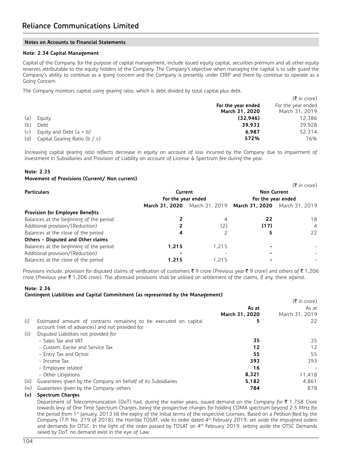### **Note: 2.34 Capital Management**

Capital of the Company, for the purpose of capital management, include issued equity capital, securities premium and all other equity reserves attributable to the equity holders of the Company. The Company's objective when managing the capital is to safe guard the Company's ability to continue as a going concern and the Company is presently under CIRP and there by continue to operate as a Going Concern.

The Company monitors capital using gearing ratio, which is debt divided by total capital plus debt.

|     |                               |                    | $(\bar{\tau}$ in crore) |
|-----|-------------------------------|--------------------|-------------------------|
|     |                               | For the year ended | For the year ended      |
|     |                               | March 31, 2020     | March 31, 2019          |
| (a) | Equity                        | (32.946)           | 12.386                  |
| (b) | Debt                          | 39.933             | 39.928                  |
| (c) | Equity and Debt $(a + b)$     | 6.987              | 52,314                  |
| (d) | Capital Gearing Ratio (b / c) | 572%               | 76%                     |

Increasing capital gearing ratio reflects decrease in equity on account of loss incurred by the Company due to impairment of investment in Subsidiaries and Provision of Liability on account of License & Spectrum fee during the year.

## **Note: 2.35**

### **Movement of Provisions (Current/ Non current)**

|                                         |                    |                                                             |                    | $(\bar{\bar{\tau}}$ in crore) |  |
|-----------------------------------------|--------------------|-------------------------------------------------------------|--------------------|-------------------------------|--|
| <b>Particulars</b>                      | Current            |                                                             | <b>Non Current</b> |                               |  |
|                                         | For the year ended |                                                             | For the year ended |                               |  |
|                                         |                    | March 31, 2020 March 31, 2019 March 31, 2020 March 31, 2019 |                    |                               |  |
| <b>Provision for Employee Benefits</b>  |                    |                                                             |                    |                               |  |
| Balances at the beginning of the period |                    |                                                             | 22                 | 18                            |  |
| Additional provision/(Reduction)        |                    | (2)                                                         | (17)               | $\overline{4}$                |  |
| Balances at the close of the period     | 4                  |                                                             | 5                  | 22                            |  |
| Others - Disputed and Other claims      |                    |                                                             |                    |                               |  |
| Balances at the beginning of the period | 1.215              | 1.215                                                       |                    |                               |  |
| Additional provision/(Reduction)        |                    |                                                             |                    |                               |  |
| Balances at the close of the period     | 1.215              | 1.215                                                       |                    |                               |  |

Provisions include, provision for disputed claims of verification of customers  $\bar{\xi}$  9 crore (Previous year  $\bar{\xi}$  9 crore) and others of  $\bar{\xi}$  1,206 crore (Previous year  $\bar{\tau}$  1,206 crore). The aforesaid provisions shall be utilised on settlement of the claims, if any, there against.

### **Note: 2.36**

## **Contingent Liabilities and Capital Commitment (as represented by the Management)**

|       |                                                                                                                     |                | $(\bar{\bar{\tau}}$ in crore) |
|-------|---------------------------------------------------------------------------------------------------------------------|----------------|-------------------------------|
|       |                                                                                                                     | As at          | As at                         |
|       |                                                                                                                     | March 31, 2020 | March 31, 2019                |
| (i)   | Estimated amount of contracts remaining to be executed on capital<br>account (net of advances) and not provided for | 5              | 22                            |
| (ii)  | Disputed Liabilities not provided for                                                                               |                |                               |
|       | - Sales Tax and VAT                                                                                                 | 35             | 35                            |
|       | - Custom, Excise and Service Tax                                                                                    | 12             | 12                            |
|       | - Entry Tax and Octroi                                                                                              | 55             | 55                            |
|       | - Income Tax                                                                                                        | 393            | 393                           |
|       | - Employee related                                                                                                  | 16             |                               |
|       | - Other Litigations                                                                                                 | 8,321          | 11,418                        |
| (iii) | Guarantees given by the Company on behalf of its Subsidiaries                                                       | 5.182          | 4.861                         |
| (iv)  | Guarantees given by the Company-others                                                                              | 784            | 878                           |

### **(v) Spectrum Charges**

Department of Telecommunication (DoT) had, during the earlier years, issued demand on the Company for  $\bar{\tau}$  1,758 Crore towards levy of One Time Spectrum Charges, being the prospective charges for holding CDMA spectrum beyond 2.5 MHz for the period from 1<sup>st</sup> January, 2013 till the expiry of the initial terms of the respective Licenses. Based on a Petition filed by the Company (T.P. No. 219 of 2018), the Hon'ble TDSAT, vide its order dated 4th February 2019, set aside the impugned orders and demands for OTSC. In the light of the order passed by TDSAT on 4<sup>th</sup> February 2019, setting aside the OTSC Demands raised by DoT, no demand exist in the eye of Law.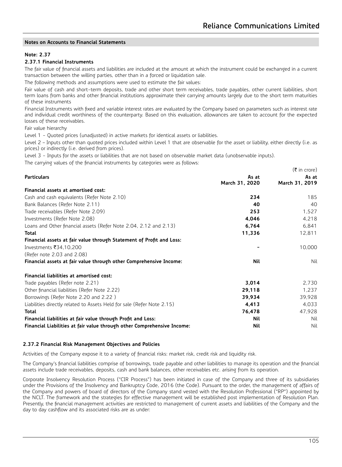## **Note: 2.37**

## **2.37.1 Financial Instruments**

The fair value of financial assets and liabilities are included at the amount at which the instrument could be exchanged in a current transaction between the willing parties, other than in a forced or liquidation sale.

The following methods and assumptions were used to estimate the fair values:

Fair value of cash and short-term deposits, trade and other short term receivables, trade payables, other current liabilities, short term loans from banks and other financial institutions approximate their carrying amounts largely due to the short term maturities of these instruments

Financial Instruments with fixed and variable interest rates are evaluated by the Company based on parameters such as interest rate and individual credit worthiness of the counterparty. Based on this evaluation, allowances are taken to account for the expected losses of these receivables.

Fair value hierarchy

Level 1 - Quoted prices (unadjusted) in active markets for identical assets or liabilities.

Level 2 – Inputs other than quoted prices included within Level 1 that are observable for the asset or liability, either directly (i.e. as prices) or indirectly (i.e. derived from prices).

Level 3 - Inputs for the assets or liabilities that are not based on observable market data (unobservable inputs).

The carrying values of the financial instruments by categories were as follows:

|                                                                         |                | $(\bar{\bar{\mathbf{z}}}$ in crore) |
|-------------------------------------------------------------------------|----------------|-------------------------------------|
| <b>Particulars</b>                                                      | As at          | As at                               |
|                                                                         | March 31, 2020 | March 31, 2019                      |
| Financial assets at amortised cost:                                     |                |                                     |
| Cash and cash equivalents (Refer Note 2.10)                             | 234            | 185                                 |
| Bank Balances (Refer Note 2.11)                                         | 40             | 40                                  |
| Trade receivables (Refer Note 2.09)                                     | 253            | 1,527                               |
| Investments (Refer Note 2.08)                                           | 4,046          | 4,218                               |
| Loans and Other financial assets (Refer Note 2.04, 2.12 and 2.13)       | 6,764          | 6,841                               |
| <b>Total</b>                                                            | 11,336         | 12,811                              |
| Financial assets at fair value through Statement of Profit and Loss:    |                |                                     |
| Investments ₹34,10,200                                                  |                | 10,000                              |
| (Refer note 2.03 and 2.08)                                              |                |                                     |
| Financial assets at fair value through other Comprehensive Income:      | <b>Nil</b>     | Nil                                 |
| Financial liabilities at amortised cost:                                |                |                                     |
| Trade payables (Refer note 2.21)                                        | 3,014          | 2,730                               |
| Other financial liabilities (Refer Note 2.22)                           | 29,118         | 1.237                               |
| Borrowings (Refer Note 2.20 and 2.22)                                   | 39,934         | 39,928                              |
| Liabilities directly related to Assets Held for sale (Refer Note 2.15)  | 4,413          | 4,033                               |
| <b>Total</b>                                                            | 76,478         | 47,928                              |
| Financial liabilities at fair value through Profit and Loss:            | Nil            | Nil                                 |
| Financial Liabilities at fair value through other Comprehensive Income: | Nil            | Nil                                 |

### **2.37.2 Financial Risk Management Objectives and Policies**

Activities of the Company expose it to a variety of financial risks: market risk, credit risk and liquidity risk.

The Company's financial liabilities comprise of borrowings, trade payable and other liabilities to manage its operation and the financial assets include trade receivables, deposits, cash and bank balances, other receivables etc. arising from its operation.

Corporate Insolvency Resolution Process ("CIR Process") has been initiated in case of the Company and three of its subsidiaries under the Provisions of the Insolvency and Bankruptcy Code, 2016 (the Code). Pursuant to the order, the management of affairs of the Company and powers of board of directors of the Company stand vested with the Resolution Professional ("RP") appointed by the NCLT. The framework and the strategies for effective management will be established post implementation of Resolution Plan. Presently, the financial management activities are restricted to management of current assets and liabilities of the Company and the day to day cashflow and its associated risks are as under: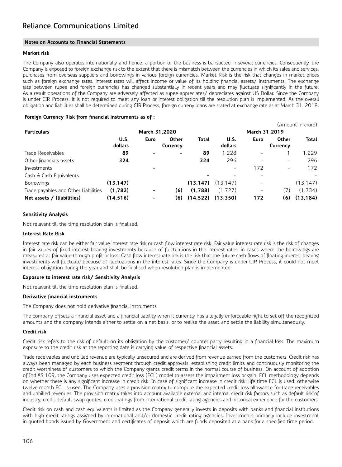## **Market risk**

The Company also operates internationally and hence, a portion of the business is transacted in several currencies. Consequently, the Company is exposed to foreign exchange risk to the extent that there is mismatch between the currencies in which its sales and services, purchases from overseas suppliers and borrowings in various foreign currencies. Market Risk is the risk that changes in market prices such as foreign exchange rates, interest rates will affect income or value of its holding financial assets/ instruments. The exchange rate between rupee and foreign currencies has changed substantially in recent years and may fluctuate significantly in the future. As a result operations of the Company are adversely affected as rupee appreciates/ depreciates against US Dollar. Since the Company is under CIR Process, it is not required to meet any loan or interest obligation till the resolution plan is implemented. As the overall obligation and liabilities shall be determined during CIR Process, foreign curreny loans are stated at exchange rate as at March 31, 2018.

## **Foreign Currency Risk from financial instruments as of :**

|                                      |                        |                          |                          |           |                        |                          |                          | (Amount in crore) |
|--------------------------------------|------------------------|--------------------------|--------------------------|-----------|------------------------|--------------------------|--------------------------|-------------------|
| <b>Particulars</b>                   |                        | March 31,2020            |                          |           |                        | March 31,2019            |                          |                   |
|                                      | <b>U.S.</b><br>dollars | Euro                     | <b>Other</b><br>Currency | Total     | <b>U.S.</b><br>dollars | Euro                     | <b>Other</b><br>Currency | Total             |
| Trade Receivables                    | 89                     |                          |                          | 89        | 1,228                  | -                        |                          | 1.229             |
| Other financials assets              | 324                    |                          |                          | 324       | 296                    |                          | -                        | 296               |
| Investments                          |                        |                          |                          |           | $\qquad \qquad =$      | 172                      | $\overline{\phantom{0}}$ | 172               |
| Cash & Cash Equivalents              |                        |                          |                          |           | -                      | -                        |                          |                   |
| <b>Borrowings</b>                    | (13, 147)              |                          |                          | (13, 147) | (13, 147)              | $\overline{\phantom{0}}$ |                          | (13.147)          |
| Trade payables and Other Liabilities | (1,782)                | $\overline{\phantom{a}}$ | (6)                      | (1,788)   | (1.727)                | $\overline{\phantom{m}}$ | (7)                      | (1.734)           |
| Net assets / (liabilities)           | (14, 516)              | $\qquad \qquad$          | (6)                      | (14, 522) | (13,350)               | 172                      | (6)                      | (13, 184)         |

## **Sensitivity Analysis**

Not relavant till the time resolution plan is finalised.

### **Interest Rate Risk**

Interest rate risk can be either fair value interest rate risk or cash flow interest rate risk. Fair value interest rate risk is the risk of changes in fair values of fixed interest bearing investments because of fluctuations in the interest rates, in cases where the borrowings are measured at fair value through profit or loss. Cash flow interest rate risk is the risk that the future cash flows of floating interest bearing investments will fluctuate because of fluctuations in the interest rates. Since the Company is under CIR Process, it could not meet interest obligation during the year and shall be finalised when resolution plan is implemented.

### **Exposure to interest rate risk/ Sensitivity Analysis**

Not relavant till the time resolution plan is finalised.

### **Derivative financial instruments**

The Company does not hold derivative financial instruments

The company offsets a financial asset and a financial liability when it currently has a legally enforceable right to set off the recognized amounts and the company intends either to settle on a net basis, or to realise the asset and settle the liability simultaneously.

### **Credit risk**

Credit risk refers to the risk of default on its obligation by the customer/ counter party resulting in a financial loss. The maximum exposure to the credit risk at the reporting date is carrying value of respective financial assets.

Trade receivables and unbilled revenue are typically unsecured and are derived from revenue earned from the customers. Credit risk has always been managed by each business segment through credit approvals, establishing credit limits and continuously monitoring the credit worthiness of customers to which the Company grants credit terms in the normal course of business. On account of adoption of Ind AS 109, the Company uses expected credit loss (ECL) model to assess the impairment loss or gain. ECL methodology depends on whether there is any significant increase in credit risk. In case of significant increase in credit risk, life time ECL is used; otherwise twelve month ECL is used. The Company uses a provision matrix to compute the expected credit loss allowance for trade receivables and unbilled revenues. The provision matrix takes into account available external and internal credit risk factors such as default risk of industry, credit default swap quotes, credit ratings from international credit rating agencies and historical experience for the customers.

Credit risk on cash and cash equivalents is limited as the Company generally invests in deposits with banks and financial institutions with high credit ratings assigned by international and/or domestic credit rating agencies. Investments primarily include investment in quoted bonds issued by Government and certificates of deposit which are funds deposited at a bank for a specified time period.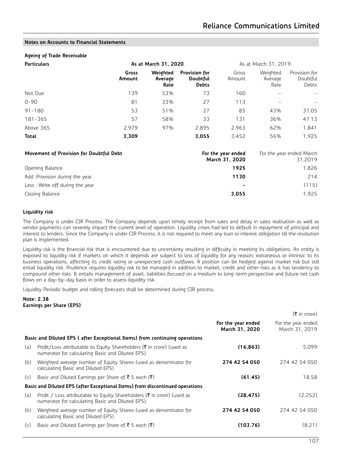### **Ageing of Trade Receivable**

| <b>Particulars</b> |                 | As at March 31, 2020        |                                                  |                 | As at March 31, 2019        |                                    |  |
|--------------------|-----------------|-----------------------------|--------------------------------------------------|-----------------|-----------------------------|------------------------------------|--|
|                    | Gross<br>Amount | Weighted<br>Average<br>Rate | Provision for<br><b>Doubtful</b><br><b>Debts</b> | Gross<br>Amount | Weighted<br>Average<br>Rate | Provision for<br>Doubtful<br>Debts |  |
| Not Due            | 139             | 53%                         | 73                                               | 160             |                             |                                    |  |
| $0 - 90$           | 81              | 33%                         | 27                                               | 113             |                             |                                    |  |
| $91 - 180$         | 53              | 51%                         | 27                                               | 85              | 43%                         | 37.05                              |  |
| 181-365            | 57              | 58%                         | 33                                               | 131             | 36%                         | 47.13                              |  |
| Above 365          | 2.979           | 97%                         | 2.895                                            | 2.963           | 62%                         | 1,841                              |  |
| Total              | 3,309           |                             | 3,055                                            | 3,452           | 56%                         | 1.925                              |  |

| Movement of Provision for Doubtful Debt | For the year ended<br>March 31, 2020 | For the year ended March<br>31.2019 |
|-----------------------------------------|--------------------------------------|-------------------------------------|
| Opening Balance                         | 1925                                 | 1.826                               |
| Add :Provision during the year          | 1130                                 | 214                                 |
| Less: Write off during the year         |                                      | (115)                               |
| Closing Balance                         | 3,055                                | 1.925                               |

### **Liquidity risk**

The Company is under CIR Process. The Company depends upon timely receipt from sales and delay in sales realisation as well as vendor payments can severely impact the current level of operation. Liquidity crises had led to default in repayment of principal and interest to lenders. Since the Company is under CIR Process, it is not required to meet any loan or interest obligation till the resolution plan is implemented.

Liquidity risk is the financial risk that is encountered due to uncertainty resulting in difficulty in meeting its obligations. An entity is exposed to liquidity risk if markets on which it depends are subject to loss of liquidity for any reason; extraneous or intrinsic to its business operations, affecting its credit rating or unexpected cash outflows. A position can be hedged against market risk but still entail liquidity risk. Prudence requires liquidity risk to be managed in addition to market, credit and other risks as it has tendency to compound other risks. It entails management of asset, liabilities focused on a medium to long-term perspective and future net cash flows on a day-by-day basis in order to assess liquidity risk.

Liquidity Periodic budget and rolling forecasts shall be determined during CIR process.

### **Note: 2.38 Earnings per Share (EPS)**

|     |                                                                                                                             |                                      | $(\bar{\bar{\mathbf{z}}}$ in crore)  |
|-----|-----------------------------------------------------------------------------------------------------------------------------|--------------------------------------|--------------------------------------|
|     |                                                                                                                             | For the year ended<br>March 31, 2020 | For the year ended<br>March 31, 2019 |
|     | Basic and Diluted EPS (after Exceptional Items) from continuing operations                                                  |                                      |                                      |
| (a) | Profit/Loss attributable to Equity Shareholders (₹ in crore) (used as<br>numerator for calculating Basic and Diluted EPS)   | (16.863)                             | 5.099                                |
| (b) | Weighted average number of Equity Shares (used as denominator for<br>calculating Basic and Diluted EPS)                     | 274 42 54 050                        | 274 42 54 050                        |
| (c) | Basic and Diluted Earnings per Share of ₹ 5 each (₹)                                                                        | (61.45)                              | 18.58                                |
|     | Basic and Diluted EPS (after Exceptional Items) from discontinued operations                                                |                                      |                                      |
| (a) | Profit / Loss attributable to Equity Shareholders (₹ in crore) (used as<br>numerator for calculating Basic and Diluted EPS) | (28.475)                             | (2.252)                              |
| (b) | Weighted average number of Equity Shares (used as denominator for<br>calculating Basic and Diluted EPS)                     | 274 42 54 050                        | 274 42 54 050                        |
| (c) | Basic and Diluted Earnings per Share of ₹ 5 each (₹)                                                                        | (103.76)                             | (8.21)                               |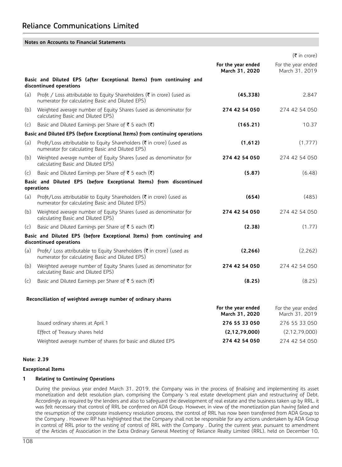|     |                                                                                                                                        |                                      | $(\bar{\bar{\mathbf{z}}}$ in crore)  |
|-----|----------------------------------------------------------------------------------------------------------------------------------------|--------------------------------------|--------------------------------------|
|     |                                                                                                                                        | For the year ended<br>March 31, 2020 | For the year ended<br>March 31, 2019 |
|     | Basic and Diluted EPS (after Exceptional Items) from continuing and<br>discontinued operations                                         |                                      |                                      |
| (a) | Profit / Loss attributable to Equity Shareholders (₹ in crore) (used as<br>numerator for calculating Basic and Diluted EPS)            | (45, 338)                            | 2,847                                |
| (b) | Weighted average number of Equity Shares (used as denominator for<br>calculating Basic and Diluted EPS)                                | 274 42 54 050                        | 274 42 54 050                        |
| (c) | Basic and Diluted Earnings per Share of ₹ 5 each (₹)                                                                                   | (165.21)                             | 10.37                                |
|     | Basic and Diluted EPS (before Exceptional Items) from continuing operations                                                            |                                      |                                      |
| (a) | Profit/Loss attributable to Equity Shareholders ( $\bar{\tau}$ in crore) (used as<br>numerator for calculating Basic and Diluted EPS)  | (1,612)                              | (1,777)                              |
| (b) | Weighted average number of Equity Shares (used as denominator for<br>calculating Basic and Diluted EPS)                                | 274 42 54 050                        | 274 42 54 050                        |
| (c) | Basic and Diluted Earnings per Share of ₹ 5 each (₹)                                                                                   | (5.87)                               | (6.48)                               |
|     | Basic and Diluted EPS (before Exceptional Items) from discontinued<br>operations                                                       |                                      |                                      |
| (a) | Profit/Loss attributable to Equity Shareholders ( $\bar{\tau}$ in crore) (used as<br>numerator for calculating Basic and Diluted EPS)  | (654)                                | (485)                                |
| (b) | Weighted average number of Equity Shares (used as denominator for<br>calculating Basic and Diluted EPS)                                | 274 42 54 050                        | 274 42 54 050                        |
| (c) | Basic and Diluted Earnings per Share of ₹ 5 each (₹)                                                                                   | (2.38)                               | (1.77)                               |
|     | Basic and Diluted EPS (before Exceptional Items) from continuing and<br>discontinued operations                                        |                                      |                                      |
| (a) | Profit/ Loss attributable to Equity Shareholders ( $\bar{\tau}$ in crore) (used as<br>numerator for calculating Basic and Diluted EPS) | (2, 266)                             | (2,262)                              |
| (b) | Weighted average number of Equity Shares (used as denominator for<br>calculating Basic and Diluted EPS)                                | 274 42 54 050                        | 274 42 54 050                        |
| (c) | Basic and Diluted Earnings per Share of ₹ 5 each (₹)                                                                                   | (8.25)                               | (8.25)                               |
|     | Reconciliation of weighted average number of ordinary shares                                                                           |                                      |                                      |
|     |                                                                                                                                        | For the year ended<br>March 31, 2020 | For the year ended<br>March 31, 2019 |
|     | Issued ordinary shares at April 1                                                                                                      | 276 55 33 050                        | 276 55 33 050                        |

**Note: 2.39**

### **Exceptional Items**

## **1 Relating to Continuing Operations**

During the previous year ended March 31, 2019, the Company was in the process of finalising and implementing its asset monetization and debt resolution plan, comprising the Company 's real estate development plan and restructuring of Debt. Accordingly as required by the lenders and also to safeguard the development of real estate and the business taken up by RRL, it was felt necessary that control of RRL be conferred on ADA Group. However, in view of the monetization plan having failed and the resumption of the corporate insolvency resolution process, the control of RRL has now been transferred from ADA Group to the Company . However RP has highlighted that the Company shall not be responsible for any actions undertaken by ADA Group in control of RRL prior to the vesting of control of RRL with the Company . During the current year, pursuant to amendment of the Articles of Association in the Extra Ordinary General Meeting of Reliance Realty Limited (RRL), held on December 10,

Effect of Treasury shares held **(2,12,79,000)** (2,12,79,000) Weighted average number of shares for basic and diluted EPS **274 42 54 050** 274 42 54 050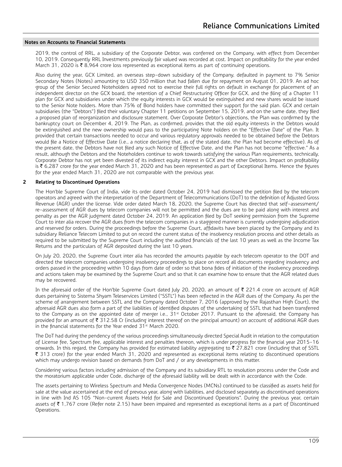2019, the control of RRL, a subsidiary of the Corporate Debtor, was conferred on the Company, with effect from December 10, 2019. Consequently RRL Investments previously fair valued was recorded at cost. Impact on profitability for the year ended March 31, 2020 is  $\bar{\tau}$  8,964 crore loss represented as exceptional items as part of continuing operations.

Also during the year, GCX Limited, an overseas step-down subsidiary of the Company, defaulted in payment to 7% Senior Secondary Notes (Notes) amounting to USD 350 million that had fallen due for repayment on August 01, 2019. An ad hoc group of the Senior Secured Noteholders agreed not to exercise their full rights on default in exchange for placement of an independent director on the GCX board, the retention of a Chief Restructuring Officer for GCX, and the filing of a Chapter 11 plan for GCX and subsidiaries under which the equity interests in GCX would be extinguished and new shares would be issued to the Senior Note holders. More than 75% of Bond holders have committed their support for the said plan. GCX and certain subsidiaries (the "Debtors") filed their voluntary Chapter 11 petitions on September 15, 2019, and on the same date, they filed a proposed plan of reorganization and disclosure statement. Over Corporate Debtor's objections, the Plan was confirmed by the bankruptcy court on December 4, 2019. The Plan, as confirmed, provides that the old equity interests in the Debtors would be extinguished and the new ownership would pass to the participating Note holders on the "Effective Date" of the Plan. It provided that certain transactions needed to occur and various regulatory approvals needed to be obtained before the Debtors would file a Notice of Effective Date (i.e., a notice declaring that, as of the stated date, the Plan had become effective). As of the present date, the Debtors have not filed any such Notice of Effective Date, and the Plan has not become "effective." As a result, although the Debtors and the Noteholders continue to work towards satisfying the various Plan requirements, technically, Corporate Debtor has not yet been divested of its indirect equity interest in GCX and the other Debtors. Impact on profitability is  $\bar{\tau}$  6,287 crore for the year ended March 31, 2020 and has been represented as part of Exceptional Items. Hence the figures for the year ended March 31, 2020 are not comparable with the previous year.

### **2 Relating to Discontinued Operations**

The Hon'ble Supreme Court of India, vide its order dated October 24, 2019 had dismissed the petition filed by the telecom operators and agreed with the interpretation of the Department of Telecommunications (DoT) to the definition of Adjusted Gross Revenue (AGR) under the license. Vide order dated March 18, 2020, the Supreme Court has directed that self-assessment/ re-assessment of AGR dues by telecom companies will not be permitted and the dues are to be paid along with interest and penalty as per the AGR judgment dated October 24, 2019. An application filed by DoT seeking permission from the Supreme Court to inter alia recover the AGR dues from the telecom companies in a staggered manner is currently undergoing adjudication and reserved for orders. During the proceedings before the Supreme Court, affidavits have been placed by the Company and its subsidiary Reliance Telecom Limited to put on record the current status of the insolvency resolution process and other details as required to be submitted by the Supreme Court including the audited financials of the last 10 years as well as the Income Tax Returns and the particulars of AGR deposited during the last 10 years.

On July 20, 2020, the Supreme Court inter alia has recorded the amounts payable by each telecom operator to the DOT and directed the telecom companies undergoing insolvency proceedings to place on record all documents regarding insolvency and orders passed in the proceeding within 10 days from date of order so that bona fides of initiation of the insolvency proceedings and actions taken may be examined by the Supreme Court and so that it can examine how to ensure that the AGR related dues may be recovered.

In the aforesaid order of the Hon'ble Supreme Court dated July 20, 2020, an amount of ₹ 221.4 crore on account of AGR dues pertaining to Sistema Shyam Teleservices Limited ("SSTL") has been reflected in the AGR dues of the Company. As per the scheme of arrangement between SSTL and the Company dated October 7, 2016 (approved by the Rajasthan High Court), the aforesaid AGR dues also form a part of the liabilities of identified disputes of the undertaking of SSTL that had been transferred to the Company as on the appointed date of merger i.e.,  $31<sup>st</sup>$  October 2017. Pursuant to the aforesaid, the Company has provided for an amount of  $\bar{z}$  312.58 Cr (including interest thereof on the principal amount) on account of additional AGR dues in the financial statements for the Year ended 31<sup>st</sup> March 2020.

The DoT had during the pendency of the various proceedings simultaneously directed Special Audit in relation to the computation of License fee, Spectrum fee, applicable interest and penalties thereon, which is under progress for the financial year 2015-16 onwards. In this regard, the Company has provided for estimated liability aggregating to  $\bar{\tau}$  27,821 crore (including that of SSTL ` 313 crore) for the year ended March 31, 2020 and represented as exceptional items relating to discontinued operations which may undergo revision based on demands from DoT and / or any developments in this matter.

Considering various factors including admission of the Company and its subsidiary RTL to resolution process under the Code and the moratorium applicable under Code, discharge of the aforesaid liability will be dealt with in accordance with the Code.

The assets pertaining to Wireless Spectrum and Media Convergence Nodes (MCNs) continued to be classified as assets held for sale at the value ascertained at the end of prevous year, along with liabilities, and disclosed separately as discontinued operations in line with Ind AS 105 "Non-current Assets Held for Sale and Discontinued Operations". During the previous year, certain assets of  $\bar{\tau}$  1,767 crore (Refer note 2.15) have been impaired and represented as exceptional items as a part of Discontinued Operations.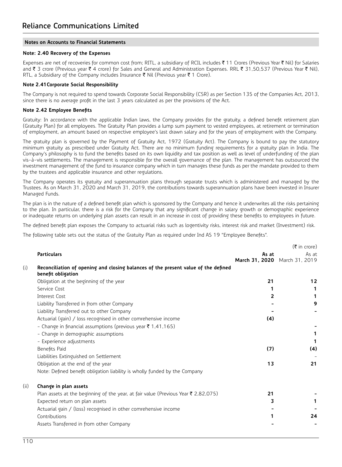### **Note: 2.40 Recovery of the Expenses**

Expenses are net of recoveries for common cost from; RITL, a subsidiary of RCIL includes ₹11 Crores (Previous Year ₹ Nil) for Salaries and ₹ 3 crore (Previous year ₹ 4 crore) for Sales and General and Administration Expenses. RRL ₹ 31,50,537 (Previous Year ₹ Nil), RTL, a Subsidiary of the Company includes Insurance  $\bar{\tau}$  Nil (Previous year  $\bar{\tau}$  1 Crore).

### **Note 2.41Corporate Social Responsibility**

The Company is not required to spend towards Corporate Social Responsibility (CSR) as per Section 135 of the Companies Act, 2013, since there is no average profit in the last 3 years calculated as per the provisions of the Act.

### **Note 2.42 Employee Benefits**

Gratuity: In accordance with the applicable Indian laws, the Company provides for the gratuity, a defined benefit retirement plan (Gratuity Plan) for all employees. The Gratuity Plan provides a lump sum payment to vested employees, at retirement or termination of employment, an amount based on respective employee's last drawn salary and for the years of employment with the Company.

The gratuity plan is governed by the Payment of Gratuity Act, 1972 (Gratuity Act). The Company is bound to pay the statutory minimum gratuity as prescribed under Gratuity Act. There are no minimum funding requirements for a gratuity plan in India. The Company's philosophy is to fund the benefits based on its own liquidity and tax position as well as level of underfunding of the plan vis-à-vis settlements. The management is responsible for the overall governance of the plan. The management has outsourced the investment management of the fund to insurance company which in turn manages these funds as per the mandate provided to them by the trustees and applicable insurance and other regulations.

The Company operates its gratuity and superannuation plans through separate trusts which is administered and managed by the Trustees. As on March 31, 2020 and March 31, 2019, the contributions towards superannuation plans have been invested in Insurer Managed Funds.

The plan is in the nature of a defined benefit plan which is sponsored by the Company and hence it underwrites all the risks pertaining to the plan. In particular, there is a risk for the Company that any significant change in salary growth or demographic experience or inadequate returns on underlying plan assets can result in an increase in cost of providing these benefits to employees in future.

The defined benefit plan exposes the Company to actuarial risks such as logentivity risks, interest risk and market (Investment) risk.

The following table sets out the status of the Gratuity Plan as required under Ind AS 19 "Employee Benefits".

|      |                                                                                                          |                | $(\bar{\bar{\mathbf{z}}}$ in crore) |
|------|----------------------------------------------------------------------------------------------------------|----------------|-------------------------------------|
|      | <b>Particulars</b>                                                                                       | As at          | As at                               |
|      |                                                                                                          |                | March 31, 2020 March 31, 2019       |
| (i)  | Reconciliation of opening and closing balances of the present value of the defined<br>benefit obligation |                |                                     |
|      | Obligation at the beginning of the year                                                                  | 21             | 12                                  |
|      | Service Cost                                                                                             | 1              | 1                                   |
|      | Interest Cost                                                                                            | $\overline{2}$ | 1                                   |
|      | Liability Transferred in from other Company                                                              |                | 9                                   |
|      | Liability Transferred out to other Company                                                               |                |                                     |
|      | Actuarial (gain) / loss recognised in other comrehensive income                                          | (4)            |                                     |
|      | - Change in financial assumptions (previous year ₹ 1,41,165)                                             |                |                                     |
|      | - Change in demographic assumptions                                                                      |                | 1                                   |
|      | - Experience adjustments                                                                                 |                |                                     |
|      | Benefits Paid                                                                                            | (7)            | (4)                                 |
|      | Liabilities Extinguished on Settlement                                                                   |                |                                     |
|      | Obligation at the end of the year                                                                        | 13             | 21                                  |
|      | Note: Defined benefit obligation liability is wholly funded by the Company                               |                |                                     |
| (ii) | Change in plan assets                                                                                    |                |                                     |
|      | Plan assets at the beginning of the year, at fair value (Previous Year ₹ 2,82,075)                       | 21             |                                     |
|      | Expected return on plan assets                                                                           | 3              | 1                                   |
|      | Actuarial gain / (loss) recognised in other comrehensive income                                          |                |                                     |
|      | Contributions                                                                                            |                | 24                                  |
|      | Assets Transferred in from other Company                                                                 |                |                                     |
|      |                                                                                                          |                |                                     |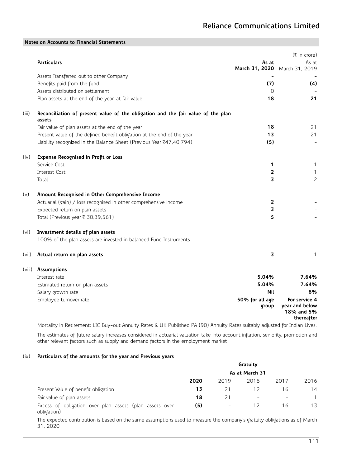# **Reliance Communications Limited**

|        |                                                                                            |                 | $(\bar{\bar{\mathbf{z}}}$ in crore)        |
|--------|--------------------------------------------------------------------------------------------|-----------------|--------------------------------------------|
|        | <b>Particulars</b>                                                                         | As at           | As at<br>March 31, 2020 March 31, 2019     |
|        | Assets Transferred out to other Company                                                    |                 |                                            |
|        | Benefits paid from the fund                                                                | (7)             | (4)                                        |
|        | Assets distributed on settlement                                                           | $\Omega$        |                                            |
|        | Plan assets at the end of the year, at fair value                                          | 18              | 21                                         |
| (iii)  | Reconciliation of present value of the obligation and the fair value of the plan<br>assets |                 |                                            |
|        | Fair value of plan assets at the end of the year                                           | 18              | 21                                         |
|        | Present value of the defined benefit obligation at the end of the year                     | 13              | 21                                         |
|        | Liability recognized in the Balance Sheet (Previous Year ₹47,40,794)                       | (5)             |                                            |
| (iv)   | Expense Recognised in Profit or Loss                                                       |                 |                                            |
|        | Service Cost                                                                               | 1               | 1                                          |
|        | Interest Cost                                                                              | $\overline{2}$  | 1                                          |
|        | Total                                                                                      | 3               | $\overline{c}$                             |
| (v)    | Amount Recognised in Other Comprehensive Income                                            |                 |                                            |
|        | Actuarial (gain) / loss recognised in other comprehensive income                           | $\overline{2}$  |                                            |
|        | Expected return on plan assets                                                             | 3               |                                            |
|        | Total (Previous year ₹ 30,39,561)                                                          | 5               |                                            |
| (vi)   | Investment details of plan assets                                                          |                 |                                            |
|        | 100% of the plan assets are invested in balanced Fund Instruments                          |                 |                                            |
| (vii)  | Actual return on plan assets                                                               | 3               | 1                                          |
| (viii) | <b>Assumptions</b>                                                                         |                 |                                            |
|        | Interest rate                                                                              | 5.04%           | 7.64%                                      |
|        | Estimated return on plan assets                                                            | 5.04%           | 7.64%                                      |
|        | Salary growth rate                                                                         | Nil             | 8%                                         |
|        | Employee turnover rate                                                                     | 50% for all age | For service 4                              |
|        |                                                                                            | group           | year and below<br>18% and 5%<br>thereafter |

Mortality in Retirement: LIC Buy-out Annuity Rates & UK Published PA (90) Annuity Rates suitably adjusted for Indian Lives.

The estimates of future salary increases considered in actuarial valuation take into account inflation, seniority, promotion and other relevant factors such as supply and demand factors in the employment market

# (ix) **Particulars of the amounts for the year and Previous years**

**Notes on Accounts to Financial Statements**

|                                                                        |      |      | Gratuity                 |                 |      |
|------------------------------------------------------------------------|------|------|--------------------------|-----------------|------|
|                                                                        |      |      | As at March 31           |                 |      |
|                                                                        | 2020 | 2019 | 2018                     | 2017            | 2016 |
| Present Value of benefit obligation                                    | 13   |      | 12                       | 16              | 14   |
| Fair value of plan assets                                              | 18   | 21   | $\overline{\phantom{0}}$ | $\qquad \qquad$ |      |
| Excess of obligation over plan assets (plan assets over<br>obligation) | (5)  | -    | 12                       | 16              |      |

The expected contribution is based on the same assumptions used to measure the company's gratuity obligations as of March 31, 2020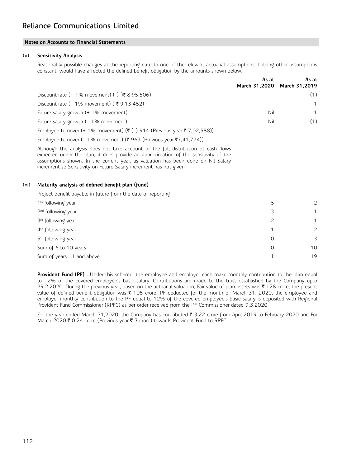### (x) **Sensitivity Analysis**

Reasonably possible changes at the reporting date to one of the relevant actuarial assumptions, holding other assumptions constant, would have affected the defined benefit obligation by the amounts shown below.

|                                                                                                 | As at | As at<br>March 31,2020 March 31,2019 |
|-------------------------------------------------------------------------------------------------|-------|--------------------------------------|
| Discount rate $(+1\%$ movement) $($ $(-)$ ₹ 8,95,506)                                           |       | (1)                                  |
| Discount rate (- 1% movement) (₹9.13,452)                                                       |       | 1                                    |
| Future salary growth (+ 1% movement)                                                            | Nil   | 1                                    |
| Future salary growth (- 1% movement)                                                            | Nil   | (1)                                  |
| Employee turnover (+ 1% movement) ( $\bar{\tau}$ (-) 914 (Previous year $\bar{\tau}$ 7,02,588)) |       |                                      |
| Employee turnover (- 1% movement) (₹ 963 (Previous year ₹7,41,774))                             |       |                                      |

Although the analysis does not take account of the full distribution of cash flows expected under the plan, it does provide an approximation of the sensitivity of the assumptions shown. In the current year, as valuation has been done on Nil Salary increment so Sensitivity on Future Salary increment has not given

# (xi) **Maturity analysis of defined benefit plan (fund)**

Project benefit payable in future from the date of reporting

| 1 <sup>st</sup> following year |   | 2            |
|--------------------------------|---|--------------|
| 2 <sup>nd</sup> following year |   | $\mathbf{1}$ |
| 3rd following year             |   | 1            |
| 4 <sup>th</sup> following year |   | 2            |
| 5 <sup>th</sup> following year | 0 | 3            |
| Sum of 6 to 10 years           | 0 | 10           |
| Sum of years 11 and above      |   | 19           |

**Provident Fund (PF)** : Under this scheme, the employee and employer each make monthly contribution to the plan equal to 12% of the covered employee's basic salary. Contributions are made to the trust established by the Company upto 29.2.2020. During the previous year, based on the actuarial valuation, Fair value of plan assets was ₹ 128 crore, the present value of defined benefit obligation was  $\bar{\tau}$  105 crore. PF deducted for the month of March 31, 2020, the employee and employer monthly contribution to the PF equal to 12% of the covered employee's basic salary is deposited with Regional Provident Fund Commissioner (RPFC) as per order received from the PF Commissioner dated 9.3.2020.

For the year ended March 31,2020, the Company has contributed ₹ 3.22 crore from April 2019 to February 2020 and For March 2020  $\bar{\tau}$  0.24 crore (Previous year  $\bar{\tau}$  3 crore) towards Provident Fund to RPFC.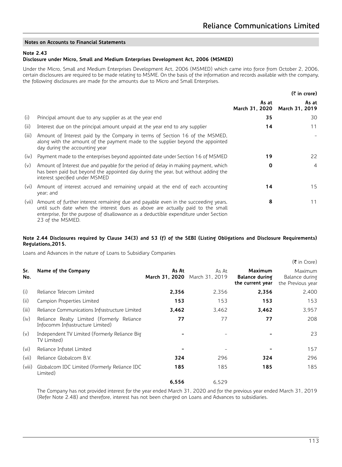# **Note 2.43**

# **Disclosure under Micro, Small and Medium Enterprises Development Act, 2006 (MSMED)**

Under the Micro, Small and Medium Enterprises Development Act, 2006 (MSMED) which came into force from October 2, 2006, certain disclosures are required to be made relating to MSME. On the basis of the information and records available with the company, the following disclosures are made for the amounts due to Micro and Small Enterprises.

|       |                                                                                                                                                                                                                                                                                   |       | (₹ in crore)                           |
|-------|-----------------------------------------------------------------------------------------------------------------------------------------------------------------------------------------------------------------------------------------------------------------------------------|-------|----------------------------------------|
|       |                                                                                                                                                                                                                                                                                   | As at | As at<br>March 31, 2020 March 31, 2019 |
| (i)   | Principal amount due to any supplier as at the year end                                                                                                                                                                                                                           | 35    | 30                                     |
| (ii)  | Interest due on the principal amount unpaid at the year end to any supplier                                                                                                                                                                                                       | 14    | 11                                     |
| (iii) | Amount of Interest paid by the Company in terms of Section 16 of the MSMED,<br>along with the amount of the payment made to the supplier beyond the appointed<br>day during the accounting year                                                                                   |       |                                        |
| (iv)  | Payment made to the enterprises beyond appointed date under Section 16 of MSMED                                                                                                                                                                                                   | 19    | 22                                     |
| (v)   | Amount of Interest due and payable for the period of delay in making payment, which<br>has been paid but beyond the appointed day during the year, but without adding the<br>interest specified under MSMED                                                                       | 0     | $\overline{4}$                         |
| (vi)  | Amount of interest accrued and remaining unpaid at the end of each accounting<br>year; and                                                                                                                                                                                        | 14    | 15                                     |
| (vii) | Amount of further interest remaining due and payable even in the succeeding years,<br>until such date when the interest dues as above are actually paid to the small<br>enterprise, for the purpose of disallowance as a deductible expenditure under Section<br>23 of the MSMED. | 8     | 11                                     |

### **Note 2.44 Disclosures required by Clause 34(3) and 53 (f) of the SEBI (Listing Obligations and Disclosure Requirements) Regulations,2015.**

Loans and Advances in the nature of Loans to Subsidiary Companies

|            |                                                                                |                         |                         |                                                      | $(\bar{\bar{\mathbf{z}}}$ in Crore)            |
|------------|--------------------------------------------------------------------------------|-------------------------|-------------------------|------------------------------------------------------|------------------------------------------------|
| Sr.<br>No. | Name of the Company                                                            | As At<br>March 31, 2020 | As At<br>March 31, 2019 | Maximum<br><b>Balance during</b><br>the current year | Maximum<br>Balance during<br>the Previous year |
| (i)        | Reliance Telecom Limited                                                       | 2,356                   | 2,356                   | 2,356                                                | 2,400                                          |
| (ii)       | Campion Properties Limited                                                     | 153                     | 153                     | 153                                                  | 153                                            |
| (iii)      | Reliance Communications Infrastructure Limited                                 | 3,462                   | 3.462                   | 3,462                                                | 3,957                                          |
| (iv)       | Reliance Realty Limited (Formerly Reliance<br>Infocomm Infrastructure Limited) | 77                      | 77                      | 77                                                   | 208                                            |
| (v)        | Independent TV Limited (Formerly Reliance Big<br>TV Limited)                   |                         |                         |                                                      | 23                                             |
| (vi)       | Reliance Infratel Limited                                                      |                         |                         |                                                      | 157                                            |
| (vii)      | Reliance Globalcom B.V.                                                        | 324                     | 296                     | 324                                                  | 296                                            |
| (viii)     | Globalcom IDC Limited (Formerly Reliance IDC<br>Limited)                       | 185                     | 185                     | 185                                                  | 185                                            |
|            |                                                                                | 6,556                   | 6,529                   |                                                      |                                                |

The Company has not provided interest for the year ended March 31, 2020 and for the previous year ended March 31, 2019 (Refer Note 2.48) and therefore, interest has not been charged on Loans and Advances to subsidiaries.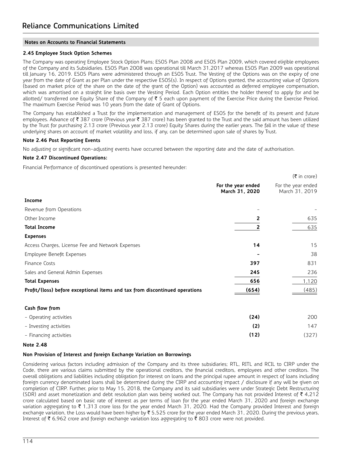# **2.45 Employee Stock Option Schemes**

The Company was operating Employee Stock Option Plans; ESOS Plan 2008 and ESOS Plan 2009, which covered eligible employees of the Company and its Subsidiaries. ESOS Plan 2008 was operational till March 31,2017 whereas ESOS Plan 2009 was operational till January 16, 2019. ESOS Plans were administered through an ESOS Trust. The Vesting of the Options was on the expiry of one year from the date of Grant as per Plan under the respective ESOS(s). In respect of Options granted, the accounting value of Options (based on market price of the share on the date of the grant of the Option) was accounted as deferred employee compensation, which was amortised on a straight line basis over the Vesting Period. Each Option entitles the holder thereof to apply for and be allotted/ transferred one Equity Share of the Company of  $\bar{\tau}$  5 each upon payment of the Exercise Price during the Exercise Period. The maximum Exercise Period was 10 years from the date of Grant of Options.

The Company has established a Trust for the implementation and management of ESOS for the benefit of its present and future employees. Advance of ₹ 387 crore (Previous year ₹ 387 crore) has been granted to the Trust and the said amount has been utilized by the Trust for purchasing 2.13 crore (Previous year 2.13 crore) Equity Shares during the earlier years. The fall in the value of these underlying shares on account of market volatility and loss, if any, can be determined upon sale of shares by Trust.

 $(F : \mathbb{R} \cup \mathbb{R})$ 

# **Note 2.46 Post Reporting Events**

No adjusting or significant non-adjusting events have occurred between the reporting date and the date of authorisation.

### **Note 2.47 Discontinued Operations:**

Financial Performance of discontinued operations is presented hereunder:

|                                                                             |                                      | $(1)$ $\cup$ $\cup$ $\cup$ $\cup$ $\cup$ |
|-----------------------------------------------------------------------------|--------------------------------------|------------------------------------------|
|                                                                             | For the year ended<br>March 31, 2020 | For the year ended<br>March 31, 2019     |
| Income                                                                      |                                      |                                          |
| Revenue from Operations                                                     |                                      |                                          |
| Other Income                                                                | 2                                    | 635                                      |
| <b>Total Income</b>                                                         |                                      | 635                                      |
| <b>Expenses</b>                                                             |                                      |                                          |
| Access Charges, License Fee and Network Expenses                            | 14                                   | 15                                       |
| Employee Benefit Expenses                                                   |                                      | 38                                       |
| Finance Costs                                                               | 397                                  | 831                                      |
| Sales and General Admin Expenses                                            | 245                                  | 236                                      |
| <b>Total Expenses</b>                                                       | 656                                  | 1,120                                    |
| Profit/(loss) before exceptional items and tax from discontinued operations | (654)                                | (485)                                    |
| Cash flow from                                                              |                                      |                                          |
| - Operating activities                                                      | (24)                                 | 200                                      |
| - Investing activities                                                      | (2)                                  | 147                                      |
| - Financing activities                                                      | (12)                                 | (327)                                    |

# **Note 2.48**

### **Non Provision of Interest and foreign Exchange Variation on Borrowings**

Considering various factors including admission of the Company and its three subsidiaries; RTL, RITL and RCIL to CIRP under the Code, there are various claims submitted by the operational creditors, the financial creditors, employees and other creditors. The overall obligations and liabilities including obligation for interest on loans and the principal rupee amount in respect of loans including foreign currency denominated loans shall be determined during the CIRP and accounting impact / disclosure if any will be given on completion of CIRP. Further, prior to May 15, 2018, the Company and its said subsidiaries were under Strategic Debt Restructuring (SDR) and asset monetization and debt resolution plan was being worked out. The Company has not provided Interest of  $\bar{\tau}$  4,212 crore calculated based on basic rate of interest as per terms of loan for the year ended March 31, 2020 and foreign exchange variation aggregating to ₹1,313 crore loss for the year ended March 31, 2020. Had the Company provided Interest and foreign exchange variation, the Loss would have been higher by  $\bar{\xi}$  5,525 crore for the year ended March 31, 2020. During the previous years, Interest of ₹ 6,962 crore and foreign exchange variation loss aggregating to ₹ 803 crore were not provided.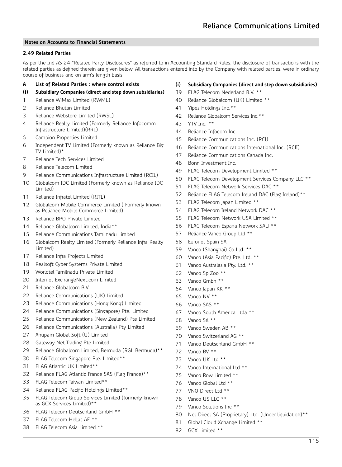# **2.49 Related Parties**

As per the Ind AS 24 "Related Party Disclosures" as referred to in Accounting Standard Rules, the disclosure of transactions with the related parties as defined therein are given below. All transactions entered into by the Company with related parties, were in ordinary course of business and on arm's length basis.

# **A List of Related Parties : where control exists**

- **(i) Subsidiary Companies (direct and step down subsidiaries)**
- Reliance WiMax Limited (RWML)
- Reliance Bhutan Limited
- Reliance Webstore Limited (RWSL)
- Reliance Realty Limited (Formerly Reliance Infocomm Infrastructure Limited)(RRL)
- Campion Properties Limited
- Independent TV Limited (Formerly known as Reliance Big TV Limited)\*
- Reliance Tech Services Limited
- Reliance Telecom Limited
- Reliance Communications Infrastructure Limited (RCIL)
- Globalcom IDC Limited (Formerly known as Reliance IDC Limited)
- Reliance Infratel Limited (RITL)
- Globalcom Mobile Commerce Limited ( Formerly known as Reliance Mobile Commerce Limited)
- Reliance BPO Private Limited
- 14 Reliance Globalcom Limited, India\*\*
- Reliance Communications Tamilnadu Limited
- Globalcom Realty Limited (Formerly Reliance Infra Realty Limited)
- Reliance Infra Projects Limited
- Realsoft Cyber Systems Private Limited
- Worldtel Tamilnadu Private Limited
- Internet ExchangeNext.com Limited
- Reliance Globalcom B.V.
- Reliance Communications (UK) Limited
- Reliance Communications (Hong Kong) Limited
- Reliance Communications (Singapore) Pte. Limited
- Reliance Communications (New Zealand) Pte Limited
- Reliance Communications (Australia) Pty Limited
- Anupam Global Soft (U) Limited
- Gateway Net Trading Pte Limited
- 29 Reliance Globalcom Limited, Bermuda (RGL Bermuda)\*\*
- FLAG Telecom Singapore Pte. Limited\*\*
- FLAG Atlantic UK Limited\*\*
- Reliance FLAG Atlantic France SAS (Flag France)\*\*
- FLAG Telecom Taiwan Limited\*\*
- 34 Reliance FLAG Pacific Holdings Limited\*\*
- FLAG Telecom Group Services Limited (formerly known as GCX Services Limited)\*\*
- FLAG Telecom Deutschland GmbH \*\*
- FLAG Telecom Hellas AE \*\*
- FLAG Telecom Asia Limited \*\*

# **(i) Subsidiary Companies (direct and step down subsidiaries)**

- FLAG Telecom Nederland B.V. \*\*
- Reliance Globalcom (UK) Limited \*\*
- Yipes Holdings Inc.\*\*
- 42 Reliance Globalcom Services Inc.\*\*
- YTV Inc. \*\*
- Reliance Infocom Inc.
- Reliance Communications Inc. (RCI)
- Reliance Communications International Inc. (RCII)
- Reliance Communications Canada Inc.
- Bonn Investment Inc.
- FLAG Telecom Development Limited \*\*
- FLAG Telecom Development Services Company LLC \*\*
- FLAG Telecom Network Services DAC \*\*
- Reliance FLAG Telecom Ireland DAC (Flag Ireland)\*\*
- FLAG Telecom Japan Limited \*\*
- 54 FLAG Telecom Ireland Network DAC \*\*
- FLAG Telecom Network USA Limited \*\*
- FLAG Telecom Espana Network SAU \*\*
- Reliance Vanco Group Ltd \*\*
- Euronet Spain SA
- Vanco (Shanghai) Co Ltd. \*\*
- Vanco (Asia Pacific) Pte. Ltd. \*\*
- Vanco Australasia Pty. Ltd. \*\*
- Vanco Sp Zoo \*\*
- Vanco Gmbh \*\*
- Vanco Japan KK \*\*
- Vanco NV \*\*
- Vanco SAS \*\*
- Vanco South America Ltda \*\*
- Vanco Srl \*\*
- Vanco Sweden AB \*\*
- Vanco Switzerland AG \*\*
- Vanco Deutschland GmbH \*\*
- Vanco BV \*\*
- 73 Vanco UK Ltd \*\*
- 74 Vanco International Ltd \*\*
- Vanco Row Limited \*\*
- Vanco Global Ltd \*\*
- VNO Direct Ltd \*\*
- 78 Vanco US LLC \*\*
- Vanco Solutions Inc \*\*
- 80 Net Direct SA (Proprietary) Ltd. (Under liquidation)\*\*
- 81 Global Cloud Xchange Limited \*\*
- GCX Limited \*\*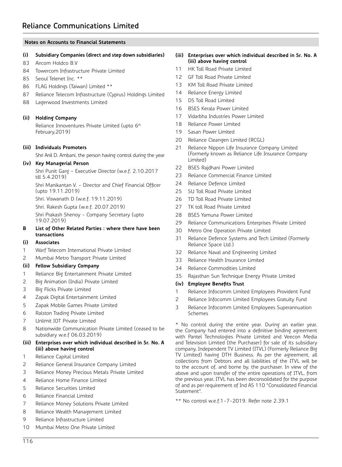# **(i) Subsidiary Companies (direct and step down subsidiaries)**

- 83 Aircom Holdco B.V
- 84 Towercom Infrastructure Private Limited
- 85 Seoul Telenet Inc. \*\*
- 86 FLAG Holdings (Taiwan) Limited \*\*
- 87 Reliance Telecom Infrastructure (Cyprus) Holdings Limited
- 88 Lagerwood Investments Limited

# **(ii) Holding Company**

Reliance Innoventures Private Limited (upto 6th February,2019)

# **(iii) Individuals Promoters**

Shri Anil D. Ambani, the person having control during the year

### **(iv) Key Managerial Person**

Shri Punit Garg - Executive Director (w.e.f. 2.10.2017 till 5.4.2019)

Shri Manikantan V. - Director and Chief Financial Officer (upto 19.11.2019)

Shri. Viswanath D (w.e.f. 19.11.2019)

Shri. Rakesh Gupta (w.e.f. 20.07.2019)

Shri Prakash Shenoy - Company Secretary (upto 19.07.2019)

**B List of Other Related Parties : where there have been transactions**

### **(i) Associates**

- 1 Warf Telecom International Private Limited
- 2 Mumbai Metro Transport Private Limited

### **(ii) Fellow Subsidiary Company**

- 1 Reliance Big Entertainment Private Limited
- 2 Big Animation (India) Private Limited
- 3 Big Flicks Private Limited
- 4 Zapak Digital Entertainment Limited
- 5 Zapak Mobile Games Private Limited
- 6 Ralston Trading Private Limited
- 7 Unlimit IOT Private Limited
- 8 Nationwide Communication Private Limited (ceased to be subsidiary w.e.f 06.03.2019)

# **(iii) Enterprises over which individual described in Sr. No. A (iii) above having control**

- 1 Reliance Capital Limited
- 2 Reliance General Insurance Company Limited
- 3 Reliance Money Precious Metals Private Limited
- 4 Reliance Home Finance Limited
- 5 Reliance Securities Limited
- 6 Reliance Financial Limited
- 7 Reliance Money Solutions Private Limited
- 8 Reliance Wealth Management Limited
- 9 Reliance Infrastructure Limited
- 10 Mumbai Metro One Private Limited
- **(iii) Enterprises over which individual described in Sr. No. A (iii) above having control**
- 11 HK Toll Road Private Limited
- 12 GF Toll Road Private Limited
- 13 KM Toll Road Private Limited
- 14 Reliance Energy Limited
- 15 DS Toll Road Limited
- 16 BSES Kerala Power Limited
- 17 Vidarbha Industries Power Limited
- 18 Reliance Power Limited
- 19 Sasan Power Limited
- 20 Reliance Cleangen Limited (RCGL)
- 21 Reliance Nippon Life Insurance Company Limited (Formerly known as Reliance Life Insurance Company Limited)
- 22 BSES Rajdhani Power Limited
- 23 Reliance Commercial Finance Limited
- 24 Reliance Defence Limited
- 25 SU Toll Road Private Limited
- 26 TD Toll Road Private Limited
- 27 TK toll Road Private Limited
- 28 BSES Yamuna Power Limited
- 29 Reliance Communications Enterprises Private Limited
- 30 Metro One Operation Private Limited
- 31 Reliance Defence Systems and Tech Limited (Formerly Reliance Space Ltd.)
- 32 Reliance Naval and Engineering Limited
- 33 Reliance Health Insurance Limited
- 34 Reliance Commodities Limited
- 35 Rajasthan Sun Technique Energy Private Limited

# **(iv) Employee Benefits Trust**

- 1 Reliance Infocomm Limited Employees Provident Fund
- 2 Reliance Infocomm Limited Employees Gratuity Fund
- 3 Reliance Infocomm Limited Employees Superannuation Schemes

\* No control during the entire year. During an earlier year, the Company had entered into a definitive binding agreement with Pantel Technologies Private Limited and Veecon Media and Television Limited (the Purchaser) for sale of its subsidiary company, Independent TV Limited (ITVL) (Formerly Reliance Big TV Limited) having DTH Business. As per the agreement, all collections from Debtors and all liabilities of the ITVL will be to the account of, and borne by, the purchaser. In view of the above and upon transfer of the entire operations of ITVL, from the previous year, ITVL has been deconsolidated for the purpose of and as per requirement of Ind AS 110 "Consolidated Financial Statement".

\*\* No control w.e.f.1-7-2019. Refer note 2.39.1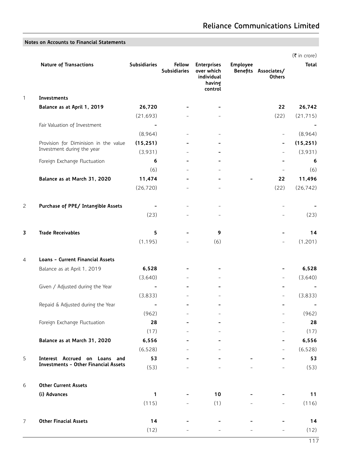|                |                                             |                          |                               |                                                                     |                                                   | $(\bar{\bar{\mathbf{z}}}$ in crore) |
|----------------|---------------------------------------------|--------------------------|-------------------------------|---------------------------------------------------------------------|---------------------------------------------------|-------------------------------------|
|                | <b>Nature of Transactions</b>               | <b>Subsidiaries</b>      | Fellow<br><b>Subsidiaries</b> | <b>Enterprises</b><br>over which<br>individual<br>having<br>control | Employee<br>Benefits Associates/<br><b>Others</b> | <b>Total</b>                        |
| 1              | Investments                                 |                          |                               |                                                                     |                                                   |                                     |
|                | Balance as at April 1, 2019                 | 26,720                   |                               |                                                                     | 22                                                | 26,742                              |
|                |                                             | (21, 693)                |                               |                                                                     | (22)                                              | (21, 715)                           |
|                | Fair Valuation of Investment                |                          |                               |                                                                     |                                                   |                                     |
|                |                                             | (8,964)                  |                               |                                                                     | $\overline{\phantom{0}}$                          | (8,964)                             |
|                | Provision for Diminision in the value       | (15, 251)                |                               |                                                                     |                                                   | (15, 251)                           |
|                | Investment during the year                  | (3,931)                  |                               |                                                                     |                                                   | (3,931)                             |
|                | Foreign Exchange Fluctuation                | 6                        |                               |                                                                     |                                                   | 6                                   |
|                |                                             | (6)                      |                               |                                                                     |                                                   | (6)                                 |
|                | Balance as at March 31, 2020                | 11,474                   |                               |                                                                     | 22                                                | 11,496                              |
|                |                                             | (26, 720)                |                               |                                                                     | (22)                                              | (26, 742)                           |
| 2              | Purchase of PPE/ Intangible Assets          |                          |                               |                                                                     |                                                   |                                     |
|                |                                             | (23)                     |                               |                                                                     |                                                   | (23)                                |
| 3              | <b>Trade Receivables</b>                    | 5                        |                               | 9                                                                   |                                                   | 14                                  |
|                |                                             | (1, 195)                 |                               | (6)                                                                 | ÷                                                 | (1, 201)                            |
| 4              | Loans - Current Financial Assets            |                          |                               |                                                                     |                                                   |                                     |
|                | Balance as at April 1, 2019                 | 6,528                    |                               |                                                                     |                                                   | 6,528                               |
|                |                                             | (3,640)                  |                               |                                                                     |                                                   | (3,640)                             |
|                | Given / Adjusted during the Year            | $\blacksquare$           |                               |                                                                     | $\overline{a}$                                    |                                     |
|                |                                             | (3,833)                  |                               |                                                                     | $\overline{\phantom{0}}$                          | (3,833)                             |
|                | Repaid & Adjusted during the Year           | $\overline{\phantom{0}}$ |                               |                                                                     | $\overline{a}$                                    |                                     |
|                |                                             | (962)                    |                               |                                                                     |                                                   | (962)                               |
|                | Foreign Exchange Fluctuation                | 28                       |                               |                                                                     |                                                   | 28                                  |
|                |                                             | (17)                     |                               |                                                                     |                                                   | (17)                                |
|                | Balance as at March 31, 2020                | 6,556                    |                               |                                                                     |                                                   | 6,556                               |
|                |                                             | (6,528)                  |                               |                                                                     |                                                   | (6, 528)                            |
| 5              | Interest Accrued on Loans and               | 53                       |                               |                                                                     |                                                   | 53                                  |
|                | <b>Investments - Other Financial Assets</b> | (53)                     |                               |                                                                     |                                                   | (53)                                |
| 6              | <b>Other Current Assets</b>                 |                          |                               |                                                                     |                                                   |                                     |
|                | (i) Advances                                | $\mathbf{1}$             |                               | 10                                                                  |                                                   | 11                                  |
|                |                                             | (115)                    |                               | (1)                                                                 |                                                   | (116)                               |
| $\overline{7}$ | <b>Other Finacial Assets</b>                | 14                       |                               |                                                                     |                                                   | 14                                  |
|                |                                             | (12)                     |                               |                                                                     |                                                   | (12)                                |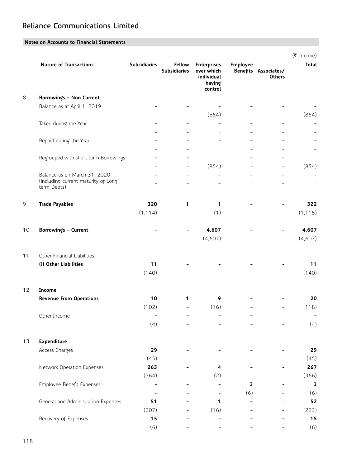|    |                                                                     |                                |                               |                                                                     |          |                                       | $(\bar{\bar{\mathbf{z}}}$ in crore) |
|----|---------------------------------------------------------------------|--------------------------------|-------------------------------|---------------------------------------------------------------------|----------|---------------------------------------|-------------------------------------|
|    | <b>Nature of Transactions</b>                                       | <b>Subsidiaries</b>            | Fellow<br><b>Subsidiaries</b> | <b>Enterprises</b><br>over which<br>individual<br>having<br>control | Employee | Benefits Associates/<br><b>Others</b> | <b>Total</b>                        |
| 8  | Borrowings - Non Current                                            |                                |                               |                                                                     |          |                                       |                                     |
|    | Balance as at April 1, 2019                                         |                                |                               |                                                                     |          |                                       |                                     |
|    |                                                                     |                                | $\overline{\phantom{0}}$      | (854)                                                               |          | ÷                                     | (854)                               |
|    | Taken during the Year                                               |                                |                               |                                                                     |          |                                       |                                     |
|    |                                                                     |                                |                               |                                                                     |          |                                       |                                     |
|    | Repaid during the Year                                              |                                |                               |                                                                     |          |                                       |                                     |
|    |                                                                     |                                |                               |                                                                     |          |                                       |                                     |
|    | Regrouped with short term Borrowings                                |                                |                               |                                                                     |          |                                       |                                     |
|    |                                                                     |                                | $\overline{\phantom{0}}$      | (854)                                                               |          |                                       | (854)                               |
|    | Balance as on March 31, 2020<br>(including current maturity of Long |                                |                               |                                                                     |          |                                       |                                     |
|    | term Debts)                                                         |                                |                               |                                                                     |          |                                       |                                     |
| 9  | <b>Trade Payables</b>                                               | 320                            | $\mathbf{1}$                  | 1                                                                   |          |                                       | 322                                 |
|    |                                                                     | (1, 114)                       |                               | (1)                                                                 |          | $\overline{\phantom{0}}$              | (1, 115)                            |
| 10 | Borrowings - Current                                                |                                |                               | 4,607                                                               |          | -                                     | 4,607                               |
|    |                                                                     |                                | $\overline{\phantom{0}}$      | (4,607)                                                             |          | $\overline{\phantom{0}}$              | (4,607)                             |
| 11 | Other Financial Liabilities                                         |                                |                               |                                                                     |          |                                       |                                     |
|    | (i) Other Liabilities                                               | 11                             |                               |                                                                     |          |                                       | 11                                  |
|    |                                                                     | (140)                          |                               |                                                                     |          | $\overline{\phantom{0}}$              | (140)                               |
| 12 | Income                                                              |                                |                               |                                                                     |          |                                       |                                     |
|    | <b>Revenue From Operations</b>                                      | 10                             | $\mathbf{1}$                  | 9                                                                   |          |                                       | 20                                  |
|    |                                                                     | (102)                          | $\overline{\phantom{a}}$      | (16)                                                                |          | ÷                                     | (118)                               |
|    | Other Income                                                        |                                |                               | $\overline{\phantom{0}}$                                            |          |                                       |                                     |
|    |                                                                     | (4)                            |                               |                                                                     |          | L,                                    | (4)                                 |
| 13 | Expenditure                                                         |                                |                               |                                                                     |          |                                       |                                     |
|    | Access Charges                                                      | 29                             |                               |                                                                     |          |                                       | 29                                  |
|    |                                                                     | (45)                           |                               |                                                                     |          |                                       | (45)                                |
|    | Network Operation Expenses                                          | 263                            |                               | 4                                                                   |          |                                       | 267                                 |
|    |                                                                     | (364)                          |                               | (2)                                                                 |          |                                       | (366)                               |
|    | Employee Benefit Expenses                                           |                                |                               |                                                                     | 3        |                                       | $\mathbf 3$                         |
|    |                                                                     | $\overline{\phantom{a}}$<br>51 |                               | 1                                                                   | (6)      |                                       | (6)<br>52                           |
|    | General and Administration Expenses                                 | (207)                          |                               | (16)                                                                |          |                                       | (223)                               |
|    | Recovery of Expenses                                                | 15                             |                               |                                                                     |          |                                       | 15                                  |
|    |                                                                     | (6)                            |                               |                                                                     |          |                                       | (6)                                 |
|    |                                                                     |                                |                               |                                                                     |          |                                       |                                     |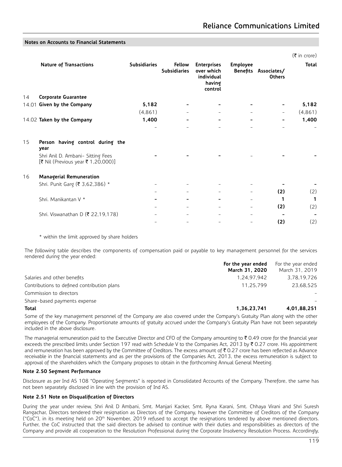|    |                                                                         |                     |                                      |                                                                     |                 |                                       | $(\bar{\bar{\mathbf{z}}}$ in crore) |
|----|-------------------------------------------------------------------------|---------------------|--------------------------------------|---------------------------------------------------------------------|-----------------|---------------------------------------|-------------------------------------|
|    | <b>Nature of Transactions</b>                                           | <b>Subsidiaries</b> | <b>Fellow</b><br><b>Subsidiaries</b> | <b>Enterprises</b><br>over which<br>individual<br>having<br>control | <b>Employee</b> | Benefits Associates/<br><b>Others</b> | <b>Total</b>                        |
| 14 | <b>Corporate Guarantee</b>                                              |                     |                                      |                                                                     |                 |                                       |                                     |
|    | 14.01 Given by the Company                                              | 5,182               |                                      |                                                                     |                 |                                       | 5,182                               |
|    |                                                                         | (4,861)             |                                      |                                                                     |                 |                                       | (4,861)                             |
|    | 14.02 Taken by the Company                                              | 1,400               |                                      |                                                                     |                 |                                       | 1,400                               |
|    |                                                                         |                     |                                      |                                                                     |                 |                                       |                                     |
| 15 | Person having control during the<br>year                                |                     |                                      |                                                                     |                 |                                       |                                     |
|    | Shri Anil D. Ambani- Sitting Fees<br>[₹ Nil (Previous year ₹ 1,20,000)] |                     |                                      |                                                                     |                 |                                       |                                     |
| 16 | Managerial Remuneration                                                 |                     |                                      |                                                                     |                 |                                       |                                     |
|    | Shri. Punit Garg (₹ 3,62,386) *                                         |                     |                                      |                                                                     |                 |                                       |                                     |
|    |                                                                         |                     |                                      |                                                                     |                 | (2)                                   | (2)                                 |
|    | Shri. Manikantan V *                                                    |                     |                                      |                                                                     |                 | 1                                     | 1                                   |
|    |                                                                         |                     |                                      |                                                                     |                 | (2)                                   | (2)                                 |
|    | Shri. Viswanathan D (₹ 22,19,178)                                       |                     |                                      |                                                                     |                 |                                       | $\overline{\phantom{0}}$            |
|    |                                                                         |                     |                                      |                                                                     |                 | (2)                                   | (2)                                 |

\* within the limit approved by share holders

The following table describes the components of compensation paid or payable to key management personnel for the services rendered during the year ended:

|                                             | For the year ended | For the year ended |
|---------------------------------------------|--------------------|--------------------|
|                                             | March 31, 2020     | March 31, 2019     |
| Salaries and other benefits                 | 1.24.97.942        | 3.78.19.726        |
| Contributions to defined contribution plans | 11.25.799          | 23.68.525          |
| Commission to directors                     |                    |                    |
| Share-based payments expense                |                    |                    |
| Total                                       | 1,36,23,741        | 4,01,88,251        |

Some of the key management personnel of the Company are also covered under the Company's Gratuity Plan along with the other employees of the Company. Proportionate amounts of gratuity accrued under the Company's Gratuity Plan have not been separately included in the above disclosure.

The managerial remuneration paid to the Executive Director and CFO of the Company amounting to  $\bar{\tau}$  0.49 crore for the financial year exceeds the prescribed limits under Section 197 read with Schedule V to the Companies Act, 2013 by ₹ 0.27 crore. His appointment and remuneration has been approved by the Committee of Creditors. The excess amount of  $\bar{\tau}$  0.27 crore has been reflected as Advance receivable in the financial statements and as per the provisions of the Companies Act, 2013, the excess remuneration is subject to approval of the shareholders which the Company proposes to obtain in the forthcoming Annual General Meeting.

### **Note 2.50 Segment Performance**

Disclosure as per Ind AS 108 "Operating Segments" is reported in Consolidated Accounts of the Company. Therefore, the same has not been separately disclosed in line with the provision of Ind AS.

### **Note 2.51 Note on Disqualification of Directors**

During the year under review, Shri Anil D Ambani, Smt. Manjari Kacker, Smt. Ryna Karani, Smt. Chhaya Virani and Shri Suresh Rangachar, Directors tendered their resignation as Directors of the Company, however the Committee of Creditors of the Company ("CoC"), in its meeting held on 20<sup>th</sup> November, 2019 refused to accept the resignations tendered by above mentioned directors. Further, the CoC instructed that the said directors be advised to continue with their duties and responsibilities as directors of the Company and provide all cooperation to the Resolution Professional during the Corporate Insolvency Resolution Process. Accordingly,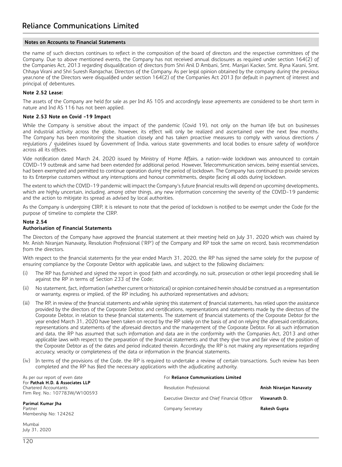the name of such directors continues to reflect in the composition of the board of directors and the respective committees of the Company. Due to above mentioned events, the Company has not received annual disclosures as required under section 164(2) of the Companies Act, 2013 regarding disqualification of directors from Shri Anil D Ambani, Smt. Manjari Kacker, Smt. Ryna Karani, Smt. Chhaya Virani and Shri Suresh Rangachar, Directors of the Company. As per legal opinion obtained by the company during the previous year,none of the Directors were disqualified under section 164(2) of the Companies Act 2013 for default in payment of interest and principal of debentures.

### **Note 2.52 Lease:**

The assets of the Company are held for sale as per Ind AS 105 and accordingly lease agreements are considered to be short term in nature and Ind AS 116 has not been applied.

### **Note 2.53 Note on Covid -19 Impact**

While the Company is sensitive about the impact of the pandemic (Covid 19), not only on the human life but on businesses and industrial activity across the globe, however, its effect will only be realized and ascertained over the next few months. The Company has been monitoring the situation closely and has taken proactive measures to comply with various directions / regulations / guidelines issued by Government of India, various state governments and local bodies to ensure safety of workforce across all its offices.

Vide notification dated March 24, 2020 issued by Ministry of Home Affairs, a nation-wide lockdown was announced to contain COVID-19 outbreak and same had been extended for additional period. However, Telecommunication services, being essential services, had been exempted and permitted to continue operation during the period of lockdown. The Company has continued to provide services to its Enterprise customers without any interruptions and honour commitments, despite facing all odds during lockdown.

The extent to which the COVID-19 pandemic will impact the Company's future financial results will depend on upcoming developments, which are highly uncertain, including, among other things, any new information concerning the severity of the COVID-19 pandemic and the action to mitigate its spread as advised by local authorities.

As the Company is undergoing CIRP, it is relevant to note that the period of lockdown is notified to be exempt under the Code for the purpose of timeline to complete the CIRP.

### **Note 2.54**

### **Authorisation of Financial Statements**

The Directors of the Company have approved the financial statement at their meeting held on July 31, 2020 which was chaired by Mr. Anish Niranjan Nanavaty, Resolution Professional ('RP') of the Company and RP took the same on record, basis recommendation from the directors.

With respect to the financial statements for the year ended March 31, 2020, the RP has signed the same solely for the purpose of ensuring compliance by the Corporate Debtor with applicable laws, and subject to the following disclaimers:

- (i) The RP has furnished and signed the report in good faith and accordingly, no suit, prosecution or other legal proceeding shall lie against the RP in terms of Section 233 of the Code;
- (ii) No statement, fact, information (whether current or historical) or opinion contained herein should be construed as a representation or warranty, express or implied, of the RP including, his authorized representatives and advisors;
- (iii) The RP, in review of the financial statements and while signing this statement of financial statements, has relied upon the assistance provided by the directors of the Corporate Debtor, and certifications, representations and statements made by the directors of the Corporate Debtor, in relation to these financial statements. The statement of financial statements of the Corporate Debtor for the year ended March 31, 2020 have been taken on record by the RP solely on the basis of and on relying the aforesaid certifications, representations and statements of the aforesaid directors and the management of the Corporate Debtor. For all such information and data, the RP has assumed that such information and data are in the conformity with the Companies Act, 2013 and other applicable laws with respect to the preparation of the financial statements and that they give true and fair view of the position of the Corporate Debtor as of the dates and period indicated therein. Accordingly, the RP is not making any representations regarding accuracy, veracity or completeness of the data or information in the financial statements.
- (iv) In terms of the provisions of the Code, the RP is required to undertake a review of certain transactions. Such review has been completed and the RP has filed the necessary applications with the adjudicating authority.

| As per our report of even date<br>For Pathak H.D. & Associates LLP | For Reliance Communications Limited            |                         |
|--------------------------------------------------------------------|------------------------------------------------|-------------------------|
| Chartered Accountants                                              | Resolution Professional                        | Anish Niranjan Nanavaty |
| Firm Reg. No.: 107783W/W100593                                     | Executive Director and Chief Financial Officer | Viswanath D.            |
| Parimal Kumar Jha<br>Partner<br>Membership No: 124262              | Company Secretary                              | Rakesh Gupta            |
| Mumbai                                                             |                                                |                         |

July 31, 2020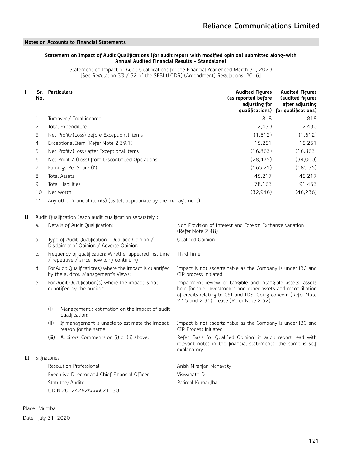# **Statement on Impact of Audit Qualifications (for audit report with modified opinion) submitted along-with Annual Audited Financial Results - Standalone)**

Statement on Impact of Audit Qualifications for the Financial Year ended March 31, 2020 [See Regulation 33 / 52 of the SEBI (LODR) (Amendment) Regulations, 2016]

| I.<br>Sr. I<br>No. | <b>Particulars</b>                                                  | <b>Audited Figures</b><br>(as reported before<br>adjusting for | <b>Audited Figures</b><br>(audited figures<br>after adjusting<br>qualifications) for qualifications) |
|--------------------|---------------------------------------------------------------------|----------------------------------------------------------------|------------------------------------------------------------------------------------------------------|
|                    | Turnover / Total income                                             | 818                                                            | 818                                                                                                  |
| 2                  | Total Expenditure                                                   | 2.430                                                          | 2.430                                                                                                |
| 3                  | Net Profit/(Loss) before Exceptional items                          | (1.612)                                                        | (1,612)                                                                                              |
| 4                  | Exceptional Item (Refer Note 2.39.1)                                | 15.251                                                         | 15.251                                                                                               |
| 5                  | Net Profit/(Loss) after Exceptional items                           | (16.863)                                                       | (16, 863)                                                                                            |
| 6                  | Net Profit / (Loss) from Discontinued Operations                    | (28.475)                                                       | (34,000)                                                                                             |
| 7                  | Earnings Per Share $(\bar{\tau})$                                   | (165.21)                                                       | (185.35)                                                                                             |
| 8                  | <b>Total Assets</b>                                                 | 45,217                                                         | 45.217                                                                                               |
| 9                  | Total Liabilities                                                   | 78.163                                                         | 91,453                                                                                               |
| 10                 | Net worth                                                           | (32,946)                                                       | (46, 236)                                                                                            |
| 11                 | Any other financial item(s) (as felt appropriate by the management) |                                                                |                                                                                                      |

**II** Audit Qualification (each audit qualification separately):

| a. |              | Details of Audit Qualification:                                                                     | Non Provision of Interest and Foreign Exchange variation<br>(Refer Note 2.48)                                                                                                                                                             |
|----|--------------|-----------------------------------------------------------------------------------------------------|-------------------------------------------------------------------------------------------------------------------------------------------------------------------------------------------------------------------------------------------|
| b. |              | Type of Audit Qualification: Qualified Opinion /<br>Disclaimer of Opinion / Adverse Opinion         | Qualified Opinion                                                                                                                                                                                                                         |
| C. |              | Frequency of qualification: Whether appeared first time<br>/ repetitive / since how long continuing | Third Time                                                                                                                                                                                                                                |
| d. |              | For Audit Qualification(s) where the impact is quantified<br>by the auditor, Management's Views:    | Impact is not ascertainable as the Company is under IBC and<br>CIR process initiated                                                                                                                                                      |
| е. |              | For Audit Qualification(s) where the impact is not<br>quantified by the auditor:                    | Impairment review of tangible and intangible assets, assets<br>held for sale, investments and other assets and reconciliation<br>of credits relating to GST and TDS, Going concern (Refer Note<br>2.15 and 2.31), Lease (Refer Note 2.52) |
|    | (i)          | Management's estimation on the impact of audit<br>qualification:                                    |                                                                                                                                                                                                                                           |
|    | (ii)         | If management is unable to estimate the impact,<br>reason for the same:                             | Impact is not ascertainable as the Company is under IBC and<br><b>CIR Process initiated</b>                                                                                                                                               |
|    | (iii)        | Auditors' Comments on (i) or (ii) above:                                                            | Refer 'Basis for Qualified Opinion' in audit report read with<br>relevant notes in the financial statements, the same is self<br>explanatory.                                                                                             |
|    | Signatories: |                                                                                                     |                                                                                                                                                                                                                                           |
|    |              | Resolution Professional                                                                             | Anish Niranjan Nanavaty                                                                                                                                                                                                                   |
|    |              | Executive Director and Chief Financial Officer                                                      | Viswanath D                                                                                                                                                                                                                               |
|    |              | Statutory Auditor                                                                                   | Parimal Kumar Jha                                                                                                                                                                                                                         |
|    |              | UDIN:20124262AAAACZ1130                                                                             |                                                                                                                                                                                                                                           |

Place: Mumbai

 $\rm III$ 

Date : July 31, 2020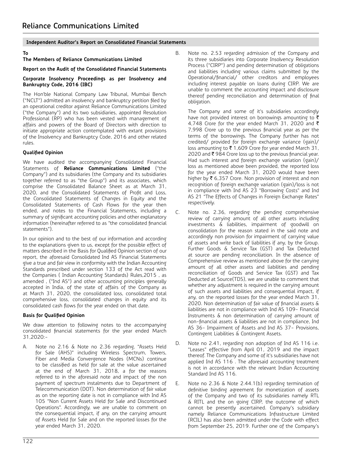### **To**

# **The Members of Reliance Communications Limited**

### **Report on the Audit of the Consolidated Financial Statements**

### **Corporate Insolvency Proceedings as per Insolvency and Bankruptcy Code, 2016 (IBC)**

The Hon'ble National Company Law Tribunal, Mumbai Bench ("NCLT") admitted an insolvency and bankruptcy petition filed by an operational creditor against Reliance Communications Limited ("the Company") and its two subsidiaries, appointed Resolution Professional (RP) who has been vested with management of affairs and powers of the Board of Directors with direction to initiate appropriate action contemplated with extant provisions of the Insolvency and Bankruptcy Code, 2016 and other related rules.

# **Qualified Opinion**

We have audited the accompanying Consolidated Financial Statements of **Reliance Communications Limited** ("the Company") and its subsidiaries (the Company and its subsidiaries together referred to as "the Group") and its associates, which comprise the Consolidated Balance Sheet as at March 31, 2020, and the Consolidated Statements of Profit and Loss, the Consolidated Statements of Changes in Equity and the Consolidated Statements of Cash Flows for the year then ended, and notes to the Financial Statements, including a summary of significant accounting policies and other explanatory information (hereinafter referred to as "the consolidated financial statements").

In our opinion and to the best of our information and according to the explanations given to us, except for the possible effect of matters described in the Basis for Qualified Opinion section of our report, the aforesaid Consolidated Ind AS Financial Statements give a true and fair view in conformity with the Indian Accounting Standards prescribed under section 133 of the Act read with the Companies ( Indian Accounting Standards) Rules,2015 , as amended , ("Ind AS") and other accounting principles generally accepted in India, of the state of affairs of the Company as at March 31, 2020, the consolidated loss, consolidated total comprehensive loss, consolidated changes in equity and its consolidated cash flows for the year ended on that date.

# **Basis for Qualified Opinion**

We draw attention to following notes to the accompanying consolidated financial statements for the year ended March 31,2020:-

A. Note no 2.16 & Note no 2.36 regarding, "Assets Held for Sale (AHS)" including Wireless Spectrum, Towers, Fiber and Media Convergence Nodes (MCNs) continue to be classified as held for sale at the value ascertained at the end of March 31, 2018, a for the reasons referred to in the aforesaid note and impact of the non payment of spectrum instalments due to Department of Telecommunication (DOT). Non determination of fair value as on the reporting date is not in compliance with Ind AS 105 "Non Current Assets Held for Sale and Discontinued Operations". Accordingly, we are unable to comment on the consequential impact, if any, on the carrying amount of Assets Held for Sale and on the reported losses for the year ended March 31, 2020.

B. Note no. 2.53 regarding admission of the Company and its three subsidiaries into Corporate Insolvency Resolution Process ("CIRP") and pending determination of obligations and liabilities including various claims submitted by the Operational/financial/ other creditors and employees including interest payable on loans during CIRP. We are unable to comment the accounting impact and disclosure thereof pending reconciliation and determination of final obligation.

The Company and some of it's subsidiaries accordingly have not provided interest on borrowings amounting to  $\bar{\tau}$ 4,748 Crore for the year ended March 31, 2020 and  $\bar{\tau}$ 7,998 Crore up to the previous financial year as per the terms of the borrowings. The Company further has not credited/ provided for foreign exchange variance (gain)/ loss amounting to  $\bar{\tau}$  1,609 Crore for year ended March 31, 2020 and ₹984 Crore loss up to the previous financial year. Had such interest and foreign exchange variation (gain)/ loss as mentioned above been provided, the reported loss for the year ended March 31, 2020 would have been higher by  $\bar{\tau}$  6,357 Crore. Non provision of interest and non recognition of foreign exchange variation (gain)/loss is not in compliance with Ind AS 23 "Borrowing Costs" and Ind AS 21 "The Effects of Changes in Foreign Exchange Rates" respectively.

- C. Note no. 2.36, regarding the pending comprehensive review of carrying amount of all other assets including investments & liabilities, impairment of goodwill on consolidation for the reason stated in the said note and accordingly non provision for impairment of carrying value of assets and write back of liabilities if any, by the Group. Further Goods & Service Tax (GST) and Tax Deducted at source are pending reconciliation. In the absence of Comprehensive review as mentioned above for the carrying amount of all other assets and liabilities and pending reconciliation of Goods and Service Tax (GST) and Tax Deducted at Source(TDS), we are unable to comment that whether any adjustment is required in the carrying amount of such assets and liabilities and consequential impact, if any, on the reported losses for the year ended March 31, 2020. Non determination of fair value of financial assets & liabilities are not in compliance with Ind AS 109- Financial Instruments & non determination of carrying amount of non-financial assets & liabilities are not in compliance, Ind AS 36- Impairment of Assets and Ind AS 37- Provisions, Contingent Liabilities & Contingent Assets.
- D. Note no 2.41, regarding non adoption of Ind AS 116 i.e. "Leases" effective from April 01, 2019 and the impact thereof. The Company and some of it's subsidiaries have not applied Ind AS 116 . The aforesaid accounting treatment is not in accordance with the relevant Indian Accounting Standard Ind AS 116.
- E. Note no 2.36 & Note 2.44.1(b) regarding termination of definitive binding agreement for monetization of assets of the Company and two of its subsidiaries namely RTL & RITL and the on going CIRP, the outcome of which cannot be presently ascertained. Company's subsidiary namely Reliance Communications Infrastructure Limited (RCIL) has also been admitted under the Code with effect from September 25, 2019. Further one of the Company's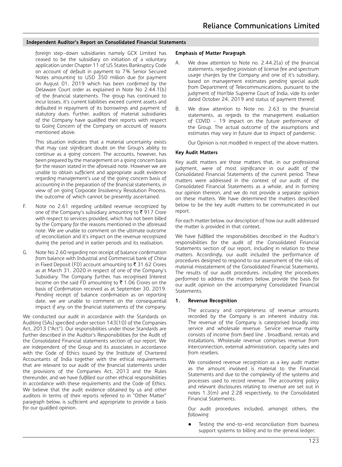foreign step-down subsidiaries namely GCX Limited has ceased to be the subsidiary on initiation of a voluntary application under Chapter 11 of US States Bankruptcy Code on account of default in payment to 7% Senior Secured Notes amounting to USD 350 million due for payment on August 01, 2019 which has been confirmed by the Delaware Court order as explained in Note No 2.44.1(b) of the financial statements. The group has continued to incur losses, it's current liabilities exceed current assets and defaulted in repayment of its borrowings and payment of statutory dues. Further, auditors of material subsidiaries of the Company have qualified their reports with respect to Going Concern of the Company on account of reasons mentioned above.

This situation indicates that a material uncertainty exists that may cast significant doubt on the Group's ability to continue as a going concern. The accounts, however, has been prepared by the management on a going concern basis for the reason stated in the aforesaid note. However we are unable to obtain sufficient and appropriate audit evidence regarding management's use of the going concern basis of accounting in the preparation of the financial statements, in view of on going Corporate Insolvency Resolution Process, the outcome of which cannot be presently ascertained.

- F. Note no 2.61 regarding unbilled revenue recognized by one of the Company's subsidiary amounting to  $\overline{\mathfrak{k}}$  917 Crore with respect to services provided, which has not been billed by the Company for the reasons mentioned in the aforesaid note. We are unable to comment on the ultimate outcome of reconciliation and it's impact on the revenue recognized during the period and in earlier periods and its realisation.
- G. Note No 2.60 regarding non receipt of balance confirmation from balance with Industrial and Commercial bank of China in Fixed Deposit (FD) account amounting to  $\bar{\tau}$  31.62 Crores as at March 31, 2020 in respect of one of the Company's Subsidiary. The Company further, has recognised Interest income on the said FD amounting to  $\bar{\tau}$  1.06 Crores on the basis of Confirmation received as at September 30, 2019. Pending receipt of balance confirmation as on reporting date, we are unable to comment on the consequential impact if any, on the financial statements of the company.

We conducted our audit in accordance with the Standards on Auditing (SAs) specified under section 143(10) of the Companies Act, 2013 ("Act"). Our responsibilities under those Standards are further described in the Auditor's Responsibilities for the Audit of the Consolidated Financial statements section of our report. We are independent of the Group and its associates in accordance with the Code of Ethics issued by the Institute of Chartered Accountants of India together with the ethical requirements that are relevant to our audit of the financial statements under the provisions of the Companies Act, 2013 and the Rules thereunder, and we have fulfilled our other ethical responsibilities in accordance with these requirements and the Code of Ethics. We believe that the audit evidence obtained by us and other auditors in terms of their reports referred to in "Other Matter" paragraph below, is sufficient and appropriate to provide a basis for our qualified opinion.

#### **Emphasis of Matter Paragraph**

- A. We draw attention to Note no. 2.44.2(a) of the financial statements, regarding provision of license fee and spectrum usage charges by the Company and one of it's subsidiary, based on management estimates pending special audit from Department of Telecommunications, pursuant to the judgment of Hon'ble Supreme Court of India, vide its order dated October 24, 2019 and status of payment thereof.
- B. We draw attention to Note no. 2.63 to the financial statements, as regards to the management evaluation of COVID - 19 impact on the future performance of the Group. The actual outcome of the assumptions and estimates may vary in future due to impact of pandemic.

Our Opinion is not modified in respect of the above matters.

#### **Key Audit Matters**

Key audit matters are those matters that, in our professional judgment, were of most significance in our audit of the Consolidated Financial Statements of the current period. These matters were addressed in the context of our audit of the Consolidated Financial Statements as a whole, and in forming our opinion thereon, and we do not provide a separate opinion on these matters. We have determined the matters described below to be the key audit matters to be communicated in our report.

For each matter below, our description of how our audit addressed the matter is provided in that context.

We have fulfilled the responsibilities described in the Auditor's responsibilities for the audit of the Consolidated Financial Statements section of our report, including in relation to these matters. Accordingly, our audit included the performance of procedures designed to respond to our assessment of the risks of material misstatement of the Consolidated Financial Statements. The results of our audit procedures, including the procedures performed to address the matters below, provide the basis for our audit opinion on the accompanying Consolidated Financial Statements.

#### **1. Revenue Recognition**

The accuracy and completeness of revenue amounts recorded by the Company is an inherent industry risk. The revenue of the Company is categorised broadly into service and wholesale revenue. Service revenue mainly consists of income from fixed line , broadband, rentals and installations. Wholesale revenue comprises revenue from interconnection, external administration, capacity sales and from resellers.

We considered revenue recognition as a key audit matter as the amount involved is material to the Financial Statements and due to the complexity of the systems and processes used to record revenue. The accounting policy and relevant disclosures relating to revenue are set out in notes 1.3(m) and 2.28 respectively, to the Consolidated Financial Statements.

Our audit procedures included, amongst others, the following:

Testing the end-to-end reconciliation from business support systems to billing and to the general ledger;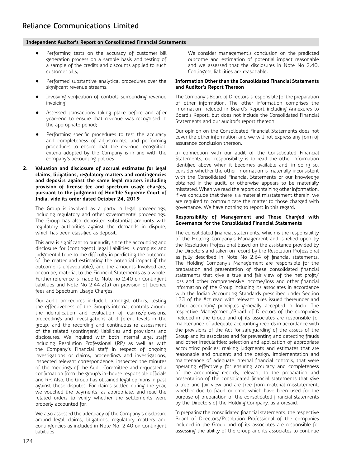- Performing tests on the accuracy of customer bill generation process on a sample basis and testing of a sample of the credits and discounts applied to such customer bills;
- Performed substantive analytical procedures over the significant revenue streams.
- Involving verification of controls surrounding revenue invoicing;
- Assessed transactions taking place before and after year-end to ensure that revenue was recognised in the appropriate period;
- Performing specific procedures to test the accuracy and completeness of adjustments, and performing procedures to ensure that the revenue recognition criteria adopted by the Company is in line with the company's accounting policies.
- **2. Valuation and disclosure of accrual estimates for legal claims, litigations, regulatory matters and contingencies and deposits against the same legal matters including provision of license fee and spectrum usage charges, pursuant to the judgment of Hon'ble Supreme Court of India, vide its order dated October 24, 2019**

The Group is involved as a party in legal proceedings, including regulatory and other governmental proceedings. The Group has also deposited substantial amounts with regulatory authorities against the demands in dispute, which has been classified as deposit.

This area is significant to our audit, since the accounting and disclosure for (contingent) legal liabilities is complex and judgmental (due to the difficulty in predicting the outcome of the matter and estimating the potential impact if the outcome is unfavourable), and the amounts Involved are, or can be, material to the Financial Statements as a whole. Further reference is made to Note no 2.40 on Contingent liabilities and Note No 2.44.2(a) on provision of Licence fees and Spectrum Usage Charges.

Our audit procedures included, amongst others, testing the effectiveness of the Group's internal controls around the identification and evaluation of claims/provisions, proceedings and investigations at different levels in the group, and the recording and continuous re-assessment of the related (contingent) liabilities and provisions and disclosures. We inquired with both internal legal staff including Resolution Professional (RP) as well as with the Company's Financial staff in respect of ongoing investigations or claims, proceedings and investigations, inspected relevant correspondence, inspected the minutes of the meetings of the Audit Committee and requested a confirmation from the group's in-house responsible officials and RP. Also, the Group has obtained legal opinions in past against these disputes. For claims settled during the year, we vouched the payments, as appropriate, and read the related orders to verify whether the settlements were properly accounted for.

We also assessed the adequacy of the Company's disclosure around legal claims, litigations, regulatory matters and contingencies as included in Note No. 2.40 on Contingent liabilities.

We consider management's conclusion on the predicted outcome and estimation of potential impact reasonable and we assessed that the disclosures in Note No 2.40, Contingent liabilities are reasonable.

### **Information Other than the Consolidated Financial Statements and Auditor's Report Thereon**

The Company's Board of Directors is responsible for the preparation of other information. The other information comprises the information included in Board's Report including Annexures to Board's Report, but does not include the Consolidated Financial Statements and our auditor's report thereon.

Our opinion on the Consolidated Financial Statements does not cover the other information and we will not express any form of assurance conclusion thereon.

In connection with our audit of the Consolidated Financial Statements, our responsibility is to read the other information identified above when it becomes available and, in doing so, consider whether the other information is materially inconsistent with the Consolidated Financial Statements or our knowledge obtained in the audit, or otherwise appears to be materially misstated. When we read the report containing other information, if we conclude that there is a material misstatement therein, we are required to communicate the matter to those charged with governance. We have nothing to report in this regard.

### **Responsibility of Management and Those Charged with Governance for the Consolidated Financial Statements**

The consolidated financial statements, which is the responsibility of the Holding Company's Management and is relied upon by the Resolution Professional based on the assistance provided by the Directors and taken on record by the Resolution Professional as fully described in Note No 2.64 of financial statements. The Holding Company's Management are responsible for the preparation and presentation of these consolidated financial statements that give a true and fair view of the net profit/ loss and other comprehensive income/loss and other financial information of the Group including its associates in accordance with the Indian Accounting Standards prescribed under Section 133 of the Act read with relevant rules issued thereunder and other accounting principles generally accepted in India. The respective Management/Board of Directors of the companies included in the Group and of its associates are responsible for maintenance of adequate accounting records in accordance with the provisions of the Act for safeguarding of the assets of the Group and its associates and for preventing and detecting frauds and other irregularities; selection and application of appropriate accounting policies; making judgments and estimates that are reasonable and prudent; and the design, implementation and maintenance of adequate internal financial controls, that were operating effectively for ensuring accuracy and completeness of the accounting records, relevant to the preparation and presentation of the consolidated financial statements that give a true and fair view and are free from material misstatement, whether due to fraud or error, which have been used for the purpose of preparation of the consolidated financial statements by the Directors of the Holding Company, as aforesaid.

In preparing the consolidated financial statements, the respective Board of Directors/Resolution Professional of the companies included in the Group and of its associates are responsible for assessing the ability of the Group and its associates to continue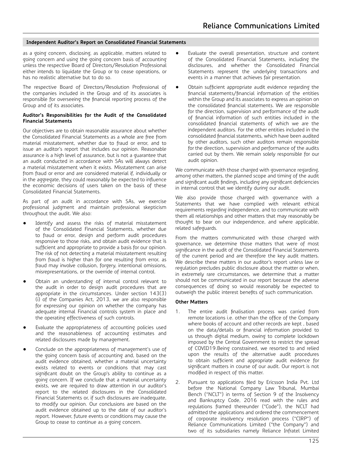as a going concern, disclosing, as applicable, matters related to going concern and using the going concern basis of accounting unless the respective Board of Directors/Resolution Professional either intends to liquidate the Group or to cease operations, or has no realistic alternative but to do so.

The respective Board of Directors/Resolution Professional of the companies included in the Group and of its associates is responsible for overseeing the financial reporting process of the Group and of its associates.

### **Auditor's Responsibilities for the Audit of the Consolidated Financial Statements**

Our objectives are to obtain reasonable assurance about whether the Consolidated Financial Statements as a whole are free from material misstatement, whether due to fraud or error, and to issue an auditor's report that includes our opinion. Reasonable assurance is a high level of assurance, but is not a guarantee that an audit conducted in accordance with SAs will always detect a material misstatement when it exists. Misstatement can arise from fraud or error and are considered material if, individually or in the aggregate, they could reasonably be expected to influence the economic decisions of users taken on the basis of these Consolidated Financial Statements.

As part of an audit in accordance with SAs, we exercise professional judgment and maintain professional skepticism throughout the audit. We also:

- Identify and assess the risks of material misstatement of the Consolidated Financial Statements, whether due to fraud or error, design and perform audit procedures responsive to those risks, and obtain audit evidence that is sufficient and appropriate to provide a basis for our opinion. The risk of not detecting a material misstatement resulting from fraud is higher than for one resulting from error, as fraud may involve collusion, forgery, intentional omissions, misrepresentations, or the override of internal control.
- Obtain an understanding of internal control relevant to the audit in order to design audit procedures that are appropriate in the circumstances. Under section 143(3) (i) of the Companies Act, 2013, we are also responsible for expressing our opinion on whether the company has adequate internal Financial controls system in place and the operating effectiveness of such controls.
- Evaluate the appropriateness of accounting policies used and the reasonableness of accounting estimates and related disclosures made by management.
- Conclude on the appropriateness of management's use of the going concern basis of accounting and, based on the audit evidence obtained, whether a material uncertainty exists related to events or conditions that may cast significant doubt on the Group's ability to continue as a going concern. If we conclude that a material uncertainty exists, we are required to draw attention in our auditor's report to the related disclosures in the Consolidated Financial Statements or, if such disclosures are inadequate, to modify our opinion. Our conclusions are based on the audit evidence obtained up to the date of our auditor's report. However, future events or conditions may cause the Group to cease to continue as a going concern.
- Evaluate the overall presentation, structure and content of the Consolidated Financial Statements, including the disclosures, and whether the Consolidated Financial Statements represent the underlying transactions and events in a manner that achieves fair presentation.
- Obtain sufficient appropriate audit evidence regarding the financial statements/financial information of the entities within the Group and its associates to express an opinion on the consolidated financial statements. We are responsible for the direction, supervision and performance of the audit of financial information of such entities included in the consolidated financial statements of which we are the independent auditors. For the other entities included in the consolidated financial statements, which have been audited by other auditors, such other auditors remain responsible for the direction, supervision and performance of the audits carried out by them. We remain solely responsible for our audit opinion.

We communicate with those charged with governance regarding, among other matters, the planned scope and timing of the audit and significant audit findings, including any significant deficiencies in internal control that we identify during our audit.

We also provide those charged with governance with a Statements that we have complied with relevant ethical requirements regarding independence, and to communicate with them all relationships and other matters that may reasonably be thought to bear on our independence, and where applicable, related safeguards.

From the matters communicated with those charged with governance, we determine those matters that were of most significance in the audit of the Consolidated Financial Statements of the current period and are therefore the key audit matters. We describe these matters in our auditor's report unless law or regulation precludes public disclosure about the matter or when, in extremely rare circumstances, we determine that a matter should not be communicated in our report because the adverse consequences of doing so would reasonably be expected to outweigh the public interest benefits of such communication.

### **Other Matters**

- 1. The entire audit finalisation process was carried from remote locations i.e. other than the office of the Company where books of account and other records are kept , based on the data/details or financial information provided to us through digital medium, owing to complete lockdown imposed by the Central Government to restrict the spread of COVID19.Being constrained, we resorted to and relied upon the results of the alternative audit procedures to obtain sufficient and appropriate audit evidence for significant matters in course of our audit. Our report is not modified in respect of this matter.
- 2. Pursuant to applications filed by Ericsson India Pvt. Ltd before the National Company Law Tribunal, Mumbai Bench ("NCLT") in terms of Section 9 of the Insolvency and Bankruptcy Code, 2016 read with the rules and regulations framed thereunder ("Code"), the NCLT had admitted the applications and ordered the commencement of corporate insolvency resolution process ("CIRP") of Reliance Communications Limited ("the Company") and two of its subsidiaries namely Reliance Infratel Limited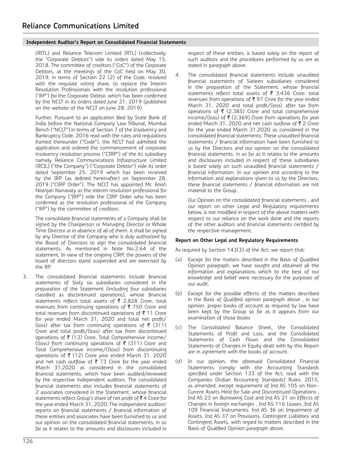(RITL) and Reliance Telecom Limited (RTL) (collectively, the "Corporate Debtors") vide its orders dated May 15, 2018. The committee of creditors ("CoC") of the Corporate Debtors, at the meetings of the CoC held on May 30, 2019, in terms of Section 22 (2) of the Code, resolved with the requisite voting share, to replace the Interim Resolution Professionals with the resolution professional ("RP") for the Corporate Debtor, which has been confirmed by the NCLT in its orders dated June 21, 2019 (published on the website of the NCLT on June 28, 2019).

Further, Pursuant to an application filed by State Bank of India before the National Company Law Tribunal, Mumbai Bench ("NCLT") in terms of Section 7 of the Insolvency and Bankruptcy Code, 2016 read with the rules and regulations framed thereunder ("Code"), the NCLT had admitted the application and ordered the commencement of corporate insolvency resolution process ("CIRP") of the its subsidiary namely Reliance Communications Infrastructure Limited (RCIL) ("the Company") ("Corporate Debtor") vide its order dated September 25, 2019 which has been received by the IRP (as defined hereinafter) on September 28, 2019 ("CIRP Order"). The NCLT has appointed Mr. Anish Niranjan Nanavaty as the interim resolution professional for the Company ("IRP") vide the CIRP Order who has been confirmed as the resolution professional of the Company ("RP") by the committee of creditors.

The consolidate financial statements of a Company shall be signed by the Chairperson or Managing Director or Whole Time Director or in absence of all of them, it shall be signed by any Director of the Company who is duly authorized by the Board of Directors to sign the consolidated financial statements. As mentioned in Note No.2.64 of the statement, In view of the ongoing CIRP, the powers of the board of directors stand suspended and are exercised by the RP.

3. The consolidated financial statements include financial statements of Sixty six subsidiaries considered in the preparation of the Statement (including four subsidiaries classified as discontinued operations), whose financial statements reflect total assets of  $\bar{\tau}$  2,828 Crore, total revenues from continuing operations of  $\bar{\tau}$  750 Crore and total revenues from discontinued operations of  $\bar{\tau}$  11 Crore for year ended March 31, 2020 and total net profit/ (loss) after tax from continuing operations of  $\bar{\tau}$  (311) Crore and total profit/(loss) after tax from discontinued operations of  $\bar{\tau}$  (13) Crore, Total Comprehensive income/ ((loss) from continuing operations of  $\bar{\tau}$  (311) Crore and Total Comprehensive income/((loss) from discontinuing operations of  $\bar{\tau}$  (12) Crore year ended March 31, 2020 and net cash outflow of  $\overline{\tau}$  73 Crore for the year ended March 31,2020 as considered in the consolidated financial statements, which have been audited/reviewed by the respective independent auditors. The consolidated financial statements also includes financial statements of 2 associates considered in the Statement, whose financial statements reflect Group's share of net profit of ₹4 Crore for the year ended March 31, 2020. The independent auditors' reports on financial statements / financial information of these entities and associates have been furnished to us and our opinion on the consolidated financial statements, in so far as it relates to the amounts and disclosures included in

respect of these entities, is based solely on the report of such auditors and the procedures performed by us are as stated in paragraph above.

4. The consolidated financial statements include unaudited financial statements of Sixteen subsidiaries considered in the preparation of the Statement, whose financial statements reflect total assets of  $\bar{\tau}$  3,436 Crore, total revenues from operations of  $\bar{\tau}$  97 Crore for the year ended March 31, 2020 and total profit/(loss) after tax from operations of  $\bar{\tau}$  (2,385) Crore and total comprehensive income/(loss) of  $\bar{\tau}$  (2,369) Crore from operations for year ended March 31, 2020 and net cash outflow of  $\bar{\tau}$  2 Crore for the year ended March 31,2020 as considered in the consolidated financial statements. These unaudited financial statements / financial information have been furnished to us by the Directors and our opinion on the consolidated financial statements, in so far as it relates to the amounts and disclosures included in respect of these subsidiaries is based solely on such unaudited financial statements / financial information. In our opinion and according to the information and explanations given to us by the Directors, these financial statements / financial information are not material to the Group.

Our Opinion on the consolidated financial statements , and our report on other Legal and Regulatory requirements below, is not modified in respect of the above matters with respect to our reliance on the work done and the reports of the other auditors and financial statements certified by the respective management.

### **Report on Other Legal and Regulatory Requirements**

As required by Section 143(3) of the Act, we report that:

- Except for the matters described in the Basis of Qualified Opinion paragraph, we have sought and obtained all the information and explanations which to the best of our knowledge and belief were necessary for the purposes of our audit.
- (b) Except for the possible effects of the matters described in the Basis of Qualified opinion paragraph above , in our opinion, proper books of account as required by law have been kept by the Group so far as it appears from our examination of those books
- (c) The Consolidated Balance Sheet, the Consolidated Statements of Profit and Loss, and the Consolidated Statements of Cash Flows and the Consolidated Statements of Changes in Equity dealt with by this Report are in agreement with the books of account.
- (d) In our opinion, the aforesaid Consolidated Financial Statements comply with the Accounting Standards specified under Section 133 of the Act, read with the Companies (Indian Accounting Standards) Rules, 2015, as amended, except requirement of Ind AS 105 on Non-Current Assets Held for Sale and Discontinued Operations , Ind AS 23 on Borrowing Cost and Ind AS 21 on Effects of Changes in foreign exchanges , Ind AS 116 Leases ,Ind AS 109 Financial Instruments, Ind AS 36 on Impairment of Assets, Ind AS 37 on Provisions, Contingent Liabilities and Contingent Assets, with regard to matters described in the Basis of Qualified Opinion paragraph above.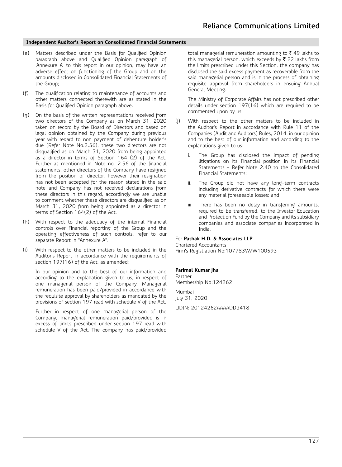- (e) Matters described under the Basis for Qualified Opinion paragraph above and Qualified Opinion paragraph of 'Annexure A' to this report in our opinion, may have an adverse effect on functioning of the Group and on the amounts disclosed in Consolidated Financial Statements of the Group;
- (f) The qualification relating to maintenance of accounts and other matters connected therewith are as stated in the Basis for Qualified Opinion paragraph above.
- (g) On the basis of the written representations received from two directors of the Company as on March 31, 2020 taken on record by the Board of Directors and based on legal opinion obtained by the Company during previous year with regard to non payment of debenture holder's due (Refer Note No.2.56), these two directors are not disqualified as on March 31, 2020 from being appointed as a director in terms of Section 164 (2) of the Act. Further as mentioned in Note no. 2.56 of the financial statements, other directors of the Company have resigned from the position of director, however their resignation has not been accepted for the reason stated in the said note and Company has not received declarations from these directors in this regard, accordingly we are unable to comment whether these directors are disqualified as on March 31, 2020 from being appointed as a director in terms of Section 164(2) of the Act.
- (h) With respect to the adequacy of the internal Financial controls over Financial reporting of the Group and the operating effectiveness of such controls, refer to our separate Report in "Annexure A".
- (i) With respect to the other matters to be included in the Auditor's Report in accordance with the requirements of section 197(16) of the Act, as amended:

In our opinion and to the best of our information and according to the explanation given to us, in respect of one managerial person of the Company, Managerial remuneration has been paid/provided in accordance with the requisite approval by shareholders as mandated by the provisions of section 197 read with schedule V of the Act.

Further in respect of one managerial person of the Company, managerial remuneration paid/provided is in excess of limits prescribed under section 197 read with schedule V of the Act. The company has paid/provided

total managerial remuneration amounting to  $\bar{\tau}$  49 lakhs to this managerial person, which exceeds by  $\bar{\tau}$  22 lakhs from the limits prescribed under this Section, the company has disclosed the said excess payment as recoverable from the said managerial person and is in the process of obtaining requisite approval from shareholders in ensuing Annual General Meeting.

The Ministry of Corporate Affairs has not prescribed other details under section 197(16) which are required to be commented upon by us.

- (j) With respect to the other matters to be included in the Auditor's Report in accordance with Rule 11 of the Companies (Audit and Auditors) Rules, 2014, in our opinion and to the best of our information and according to the explanations given to us:
	- i. The Group has disclosed the impact of pending litigations on its Financial position in its Financial Statements – Refer Note 2.40 to the Consolidated Financial Statements;
	- ii. The Group did not have any long-term contracts including derivative contracts for which there were any material foreseeable losses; and
	- iii There has been no delay in transferring amounts, required to be transferred, to the Investor Education and Protection Fund by the Company and its subsidiary companies and associate companies incorporated in India.

# For **Pathak H.D. & Associates LLP**

Chartered Accountants Firm's Registration No:107783W/W100593

### **Parimal Kumar Jha**

Partner Membership No:124262

Mumbai July 31, 2020

UDIN: 20124262AAAADD3418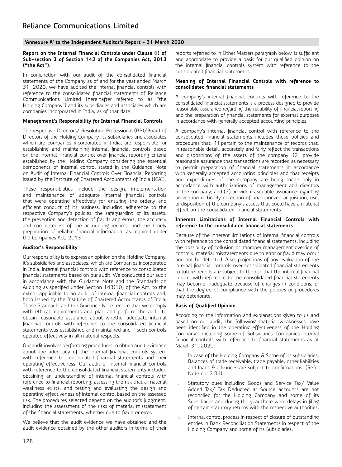# **'Annexure A' to the Independent Auditor's Report - 31 March 2020**

### **Report on the Internal Financial Controls under Clause (i) of Sub-section 3 of Section 143 of the Companies Act, 2013 ("the Act").**

In conjunction with our audit of the consolidated financial statements of the Company as of and for the year ended March 31, 2020, we have audited the internal financial controls with reference to the consolidated financial statements of Reliance Communications Limited (hereinafter referred to as "the Holding Company") and its subsidiaries and associates which are companies incorporated in India, as of that date.

### **Management's Responsibility for Internal Financial Controls**

The respective Directors/ Resolution Professional (RP)/Board of Directors of the Holding Company, its subsidiaries and associates which are companies incorporated in India, are responsible for establishing and maintaining internal financial controls based on the internal financial control over financial reporting criteria established by the Holding Company considering the essential components of internal control stated in the Guidance Note on Audit of Internal Financial Controls Over Financial Reporting issued by the Institute of Chartered Accountants of India (ICAI).

These responsibilities include the design, implementation and maintenance of adequate internal financial controls that were operating effectively for ensuring the orderly and efficient conduct of its business, including adherence to the respective Company's policies, the safeguarding of its assets, the prevention and detection of frauds and errors, the accuracy and completeness of the accounting records, and the timely preparation of reliable financial information, as required under the Companies Act, 2013.

### **Auditor's Responsibility**

Our responsibility is to express an opinion on the Holding Company, it's subsidiaries and associates, which are Companies incorporated in India, internal financial controls with reference to consolidated financial statements based on our audit. We conducted our audit in accordance with the Guidance Note and the Standards on Auditing as specified under Section 143(10) of the Act, to the extent applicable to an audit of internal financial controls and, both issued by the Institute of Chartered Accountants of India. Those Standards and the Guidance Note require that we comply with ethical requirements and plan and perform the audit to obtain reasonable assurance about whether adequate internal financial controls with reference to the consolidated financial statements was established and maintained and if such controls operated effectively in all material respects.

Our audit involves performing procedures to obtain audit evidence about the adequacy of the internal financial controls system with reference to consolidated financial statements and their operating effectiveness. Our audit of internal financial controls with reference to the consolidated financial statements included obtaining an understanding of internal financial controls with reference to financial reporting, assessing the risk that a material weakness exists, and testing and evaluating the design and operating effectiveness of internal control based on the assessed risk. The procedures selected depend on the auditor's judgment, including the assessment of the risks of material misstatement of the financial statements, whether due to fraud or error.

We believe that the audit evidence we have obtained and the audit evidence obtained by the other auditors in terms of their

reports referred to in Other Matters paragraph below, is sufficient and appropriate to provide a basis for our qualified opinion on the internal financial controls system with reference to the consolidated financial statements.

### **Meaning of Internal Financial Controls with reference to consolidated financial statements**

A company's internal financial controls with reference to the consolidated financial statements is a process designed to provide reasonable assurance regarding the reliability of financial reporting and the preparation of financial statements for external purposes in accordance with generally accepted accounting principles.

A company's internal financial control with reference to the consolidated financial statements includes those policies and procedures that (1) pertain to the maintenance of records that, in reasonable detail, accurately and fairly reflect the transactions and dispositions of the assets of the company; (2) provide reasonable assurance that transactions are recorded as necessary to permit preparation of financial statements in accordance with generally accepted accounting principles and that receipts and expenditures of the company are being made only in accordance with authorizations of management and directors of the company; and (3) provide reasonable assurance regarding prevention or timely detection of unauthorized acquisition, use, or disposition of the company's assets that could have a material effect on the consolidated financial statements.

### **Inherent Limitations of Internal Financial Controls with reference to the consolidated financial statements**

Because of the inherent limitations of internal financial controls with reference to the consolidated financial statements, including the possibility of collusion or improper management override of controls, material misstatements due to error or fraud may occur and not be detected. Also, projections of any evaluation of the internal financial controls over consolidated financial statements to future periods are subject to the risk that the internal financial control with reference to the consolidated financial statements may become inadequate because of changes in conditions, or that the degree of compliance with the policies or procedures may deteriorate.

### **Basis of Qualified Opinion**

According to the information and explanations given to us and based on our audit, the following material weaknesses have been identified in the operating effectiveness of the Holding Company's including some of Subsidiaries Companies internal financial controls with reference to financial statements as at March 31, 2020:

- i. In case of the Holding Company & Some of its subsidiaries, Balances of trade receivable, trade payable, other liabilities and loans & advances are subject to confirmations. (Refer Note no. 2.36).
- ii. Statutory dues including Goods and Service Tax/ Value Added Tax/ Tax Deducted at Source accounts are not reconciled for the Holding Company and some of its Subsidiaries and during the year there were delays in filing of certain statutory returns with the respective authorities.
- iii. Internal control process in respect of closure of outstanding entries in Bank Reconciliation Statements in respect of the Holding Company and some of its Subsidiaries.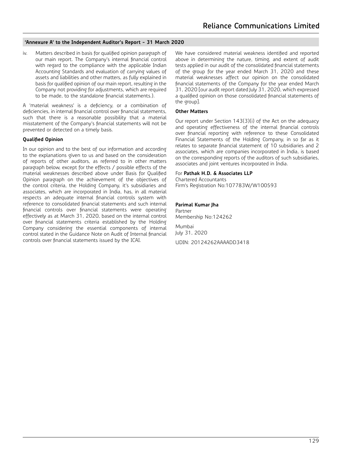# **'Annexure A' to the Independent Auditor's Report - 31 March 2020**

iv. Matters described in basis for qualified opinion paragraph of our main report. The Company's internal financial control with regard to the compliance with the applicable Indian Accounting Standards and evaluation of carrying values of assets and liabilities and other matters, as fully explained in basis for qualified opinion of our main report, resulting in the Company not providing for adjustments, which are required to be made, to the standalone financial statements.).

A 'material weakness' is a deficiency, or a combination of deficiencies, in internal financial control over financial statements, such that there is a reasonable possibility that a material misstatement of the Company's financial statements will not be prevented or detected on a timely basis.

### **Qualified Opinion**

In our opinion and to the best of our information and according to the explanations given to us and based on the consideration of reports of other auditors, as referred to in other matters paragraph below, except for the effects / possible effects of the material weaknesses described above under Basis for Qualified Opinion paragraph on the achievement of the objectives of the control criteria, the Holding Company, it's subsidiaries and associates, which are incorporated in India, has, in all material respects an adequate internal financial controls system with reference to consolidated financial statements and such internal financial controls over financial statements were operating effectively as at March 31, 2020, based on the internal control over financial statements criteria established by the Holding Company considering the essential components of internal control stated in the Guidance Note on Audit of Internal financial controls over financial statements issued by the ICAI.

We have considered material weakness identified and reported above in determining the nature, timing, and extent of audit tests applied in our audit of the consolidated financial statements of the group for the year ended March 31, 2020 and these material weaknesses affect our opinion on the consolidated financial statements of the Company for the year ended March 31, 2020 [our audit report dated July 31, 2020, which expressed a qualified opinion on those consolidated financial statements of the group].

### **Other Matters**

Our report under Section 143(3)(i) of the Act on the adequacy and operating effectiveness of the internal financial controls over financial reporting with reference to these Consolidated Financial Statements of the Holding Company, in so far as it relates to separate financial statement of 10 subsidiaries and 2 associates, which are companies incorporated in India, is based on the corresponding reports of the auditors of such subsidiaries, associates and joint ventures incorporated in India.

### For **Pathak H.D. & Associates LLP**

Chartered Accountants Firm's Registration No:107783W/W100593

# **Parimal Kumar Jha**

Partner Membership No:124262

Mumbai July 31, 2020 UDIN: 20124262AAAADD3418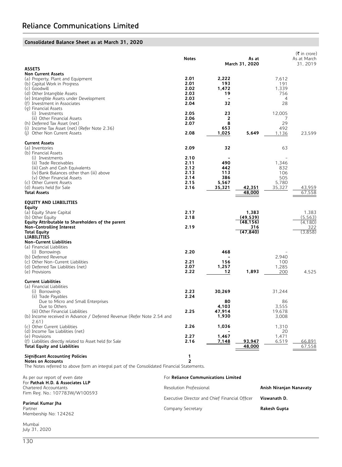# **Consolidated Balance Sheet as at March 31, 2020**

| <b>ASSETS</b>                                                                                                                                                                                                                                                                                                                                                                                                      | Notes                                                                                                                                 |                                                                                               | As at<br>March 31, 2020                             |                                                                              | $(\bar{\tau}$ in crore)<br>As at March<br>31, 2019 |
|--------------------------------------------------------------------------------------------------------------------------------------------------------------------------------------------------------------------------------------------------------------------------------------------------------------------------------------------------------------------------------------------------------------------|---------------------------------------------------------------------------------------------------------------------------------------|-----------------------------------------------------------------------------------------------|-----------------------------------------------------|------------------------------------------------------------------------------|----------------------------------------------------|
| <b>Non Current Assets</b><br>(a) Property, Plant and Equipment<br>(b) Capital Work in Progress<br>(c) Goodwill<br>(d) Other Intangible Assets<br>(e) Intangible Assets under Development<br>(f) Investment in Associates<br>(g) Financial Assets<br>(i) Investments<br>(ii) Other Financial Assets<br>(h) Deferred Tax Asset (net)<br>(i) Income Tax Asset (net) (Refer Note 2.36)<br>(i) Other Non Current Assets | 2.01<br>2.01<br>2.02<br>2.03<br>2.03<br>2.04<br>2.05<br>2.06<br>2.07<br>2.08                                                          | 2,222<br>193<br>1,472<br>19<br>$\overline{\phantom{0}}$<br>32<br>23<br>2<br>8<br>653<br>1,025 | 5,649                                               | 7,612<br>191<br>1,339<br>756<br>4<br>28<br>12,005<br>7<br>29<br>492<br>1,136 | 23,599                                             |
| <b>Current Assets</b><br>(a) Inventories<br>(b) Financial Assets<br>(i) Investments<br>(ii) Trade Receivables<br>(iii) Cash and Cash Equivalents<br>(iv) Bank Balances other than (iii) above<br>(v) Other Financial Assets<br>(c) Other Current Assets<br>(d) Assets held for Sale<br><b>Total Assets</b>                                                                                                         | 2.09<br>2.10<br>2.11<br>2.12<br>2.13<br>2.14<br>2.15<br>2.16                                                                          | 32<br>490<br>442<br>113<br>386<br>5,567<br>35,321                                             | 42,351<br>48,000                                    | 63<br>1,346<br>832<br>106<br>505<br>5,780<br>35,327                          | 43,959<br>67,558                                   |
| <b>EQUITY AND LIABILITIES</b><br>Equity<br>(a) Equity Share Capital<br>(b) Other Equity<br>Equity Attributable to Shareholders of the parent<br>Non-Controlling Interest<br><b>Total Equity</b><br><b>LIABILITIES</b><br>Non-Current Liabilities<br>(a) Financial Liabilities                                                                                                                                      | 2.17<br>2.18<br>2.19                                                                                                                  |                                                                                               | 1,383<br>(49, 539)<br>(48, 156)<br>316<br>(47, 840) |                                                                              | 1,383<br>(5,563)<br>(4.180)<br>322<br>(3,858)      |
| (i) Borrowings<br>(b) Deferred Revenue<br>(c) Other Non-Current Liabilities<br>(d) Deferred Tax Liabilities (net)<br>(e) Provisions                                                                                                                                                                                                                                                                                | 2.20<br>2.21<br>2.07<br>2.22                                                                                                          | 468<br>156<br>1,257<br>12                                                                     | 1,893                                               | 2,940<br>100<br>1,285<br>200                                                 | 4,525                                              |
| <b>Current Liabilities</b><br>(a) Financial Liabilities<br>(i) Borrowings<br>(ii) Trade Payables<br>Due to Micro and Small Enterprises<br>Due to Others<br>(iii) Other Financial Liabilities<br>(b) Income received in Advance / Deferred Revenue (Refer Note 2.54 and<br>2.61)<br>(c) Other Current Liabilities                                                                                                   | 2.23<br>2.24<br>2.25<br>2.26                                                                                                          | 30,269<br>80<br>4,103<br>47.914<br>1,930<br>1,036                                             |                                                     | 31,244<br>86<br>3,555<br>19,678<br>3,008<br>1,310                            |                                                    |
| (d) Income Tax Liabilities (net)<br>(e) Provisions<br>(f) Liabilities directly related to Asset held for Sale<br>Total Equity and Liabilities                                                                                                                                                                                                                                                                      | 2.27<br>2.16                                                                                                                          | 1,467<br>7,148                                                                                | <u>93,947</u><br>48,000                             | 20<br>1,471<br>6,519                                                         | <u>66,891</u><br>67,558                            |
| Significant Accounting Policies<br><b>Notes on Accounts</b><br>The Notes referred to above form an integral part of the Consolidated Financial Statements.                                                                                                                                                                                                                                                         | 1<br>2                                                                                                                                |                                                                                               |                                                     |                                                                              |                                                    |
| As per our report of even date<br>For <b>Pathak H.D. &amp; Associates LLP</b><br>Chartered Accountants<br>Firm Reg. No.: 107783W/W100593<br>Parimal Kumar Jha<br>Partner<br>Membership No: 124262<br>Mumbai                                                                                                                                                                                                        | For Reliance Communications Limited<br>Resolution Professional<br>Executive Director and Chief Financial Officer<br>Company Secretary |                                                                                               |                                                     | Anish Niranjan Nanavaty<br>Viswanath D.<br>Rakesh Gupta                      |                                                    |

July 31, 2020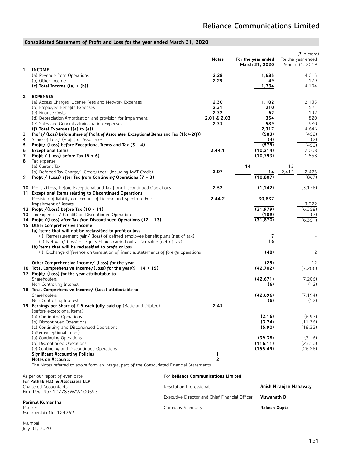# **Consolidated Statement of Profit and Loss for the year ended March 31, 2020**

|                                 |                                                                                                                                                                                                                                                                                                                                                                                                                                                                                                                                                                          |                                                                           | <b>Notes</b>                                          | For the year ended<br>March 31, 2020                                                         | (₹ in crore)<br>For the year ended<br>March 31, 2019                                  |
|---------------------------------|--------------------------------------------------------------------------------------------------------------------------------------------------------------------------------------------------------------------------------------------------------------------------------------------------------------------------------------------------------------------------------------------------------------------------------------------------------------------------------------------------------------------------------------------------------------------------|---------------------------------------------------------------------------|-------------------------------------------------------|----------------------------------------------------------------------------------------------|---------------------------------------------------------------------------------------|
| $\mathbf{1}$                    | <b>INCOME</b><br>(a) Revenue from Operations<br>(b) Other Income<br>(c) Total Income $((a) + (b))$                                                                                                                                                                                                                                                                                                                                                                                                                                                                       |                                                                           | 2.28<br>2.29                                          | 1,685<br>49<br>1,734                                                                         | 4,015<br>179<br>4,194                                                                 |
| 2<br>3<br>4<br>5<br>6<br>7<br>8 | <b>EXPENSES</b><br>(a) Access Charges, License Fees and Network Expenses<br>(b) Employee Benefits Expenses<br>(c) Finance Costs<br>(d) Depreciation, Amortisation and provision for Impairment<br>(e) Sales and General Administration Expenses<br>(f) Total Expenses ((a) to (e))<br>Profit/ (Loss) before share of Profit of Associates, Exceptional Items and Tax (1(c)-2(f))<br>Share of Loss/ (Profit) of Associates<br>Profit/ (Loss) before Exceptional Items and Tax (3 - 4)<br><b>Exceptional Items</b><br>Profit / (Loss) before Tax $(5 + 6)$<br>Tax expense: |                                                                           | 2.30<br>2.31<br>2.32<br>2.01 & 2.03<br>2.33<br>2.44.1 | 1,102<br>210<br>62<br>354<br>589<br>2,317<br>(583)<br>(4)<br>(579)<br>(10, 214)<br>(10, 793) | 2,133<br>521<br>192<br>820<br>980<br>4,646<br>(452)<br>(2)<br>(450)<br>2,008<br>1,558 |
| 9                               | (a) Current Tax<br>(b) Deferred Tax Charge/ (Credit) (net) (including MAT Credit)<br>Profit / (Loss) after Tax from Continuing Operations (7 - 8)                                                                                                                                                                                                                                                                                                                                                                                                                        |                                                                           | 2.07                                                  | 14<br>14<br>(10, 807)                                                                        | 13<br>2,412<br>2,425<br>(867)                                                         |
|                                 | 10 Profit / (Loss) before Exceptional and Tax from Discontinued Operations<br>11 Exceptional Items relating to Discontinued Operations                                                                                                                                                                                                                                                                                                                                                                                                                                   |                                                                           | 2.52                                                  | (1, 142)                                                                                     | (3, 136)                                                                              |
|                                 | Provision of liability on account of License and Spectrum Fee<br>Impairment of Assets                                                                                                                                                                                                                                                                                                                                                                                                                                                                                    |                                                                           | 2.44.2                                                | 30,837                                                                                       | 3,222                                                                                 |
|                                 | 12 Profit / (Loss) before Tax (10 - 11)<br>13 Tax Expenses / (Credit) on Discontinued Operations<br>14 Profit / (Loss) after Tax fron Discontinued Operations (12 - 13)<br>15 Other Comprehensive Income                                                                                                                                                                                                                                                                                                                                                                 |                                                                           |                                                       | (31, 979)<br>(109)<br>(31, 870)                                                              | (6,358)<br>(7)<br>(6, 351)                                                            |
|                                 | (a) Items that will not be reclassified to profit or loss<br>(i) Remeasurement gain/ (loss) of defined employee benefit plans (net of tax)<br>(ii) Net gain/ (loss) on Equity Shares carried out at fair value (net of tax)<br>(b) Items that will be reclassified to profit or loss                                                                                                                                                                                                                                                                                     |                                                                           |                                                       | 7<br>16                                                                                      |                                                                                       |
|                                 | (i) Exchange difference on translation of financial statements of foreign operations                                                                                                                                                                                                                                                                                                                                                                                                                                                                                     |                                                                           |                                                       | (48)                                                                                         | 12                                                                                    |
|                                 | Other Comprehensive Income/ (Loss) for the year<br>16 Total Comprehensive Income/(Loss) for the year(9+14 + 15)<br>17 Profit/ (Loss) for the year attributable to                                                                                                                                                                                                                                                                                                                                                                                                        |                                                                           |                                                       | (25)<br>(42,702)                                                                             | 12<br>(7,206)                                                                         |
|                                 | Shareholders<br>Non Controlling Interest                                                                                                                                                                                                                                                                                                                                                                                                                                                                                                                                 |                                                                           |                                                       | (42, 671)<br>(6)                                                                             | (7,206)<br>(12)                                                                       |
|                                 | 18 Total Comprehensive Income/ (Loss) attributable to<br>Shareholders<br>Non Controlling Interest                                                                                                                                                                                                                                                                                                                                                                                                                                                                        |                                                                           |                                                       | (42, 696)<br>(6)                                                                             | (7, 194)<br>(12)                                                                      |
|                                 | 19 Earnings per Share of $\bar{\tau}$ 5 each fully paid up (Basic and Diluted)<br>(before exceptional items)<br>(a) Continuing Operations<br>(b) Discontinued Operations<br>(c) Continuing and Discontinued Operations<br>(after exceptional items)<br>(a) Continuing Operations<br>(b) Discontinued Operations<br>(c) Continuing and Discontinued Operations<br><b>Significant Accounting Policies</b><br><b>Notes on Accounts</b>                                                                                                                                      |                                                                           | 2.43<br>1<br>$\mathbf{2}$                             | (2.16)<br>(3.74)<br>(5.90)<br>(39.38)<br>(116.11)<br>(155.49)                                | (6.97)<br>(11.36)<br>(18.33)<br>(3.16)<br>(23.10)<br>(26.26)                          |
|                                 | The Notes referred to above form an integral part of the Consolidated Financial Statements.                                                                                                                                                                                                                                                                                                                                                                                                                                                                              |                                                                           |                                                       |                                                                                              |                                                                                       |
|                                 | As per our report of even date<br>For Pathak H.D. & Associates LLP                                                                                                                                                                                                                                                                                                                                                                                                                                                                                                       | For Reliance Communications Limited                                       |                                                       |                                                                                              |                                                                                       |
|                                 | <b>Chartered Accountants</b><br>Firm Reg. No.: 107783W/W100593                                                                                                                                                                                                                                                                                                                                                                                                                                                                                                           | Resolution Professional<br>Executive Director and Chief Financial Officer |                                                       | Viswanath D.                                                                                 | Anish Niranjan Nanavaty                                                               |
| Partner                         | Parimal Kumar Jha<br>Membership No: 124262                                                                                                                                                                                                                                                                                                                                                                                                                                                                                                                               | Company Secretary                                                         |                                                       | Rakesh Gupta                                                                                 |                                                                                       |
|                                 | $M$ umbai                                                                                                                                                                                                                                                                                                                                                                                                                                                                                                                                                                |                                                                           |                                                       |                                                                                              |                                                                                       |

Mumbai July 31, 2020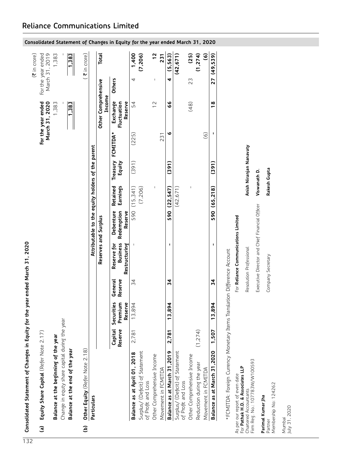# **Reliance Communications Limited**

 $\sim$ 

| <b>Others</b><br>J.<br>4<br>4<br>23<br>27<br>Other Comprehensive<br>Income<br>Exchange<br>Fluctuation<br>Reserve<br>$\frac{6}{6}$<br>1,383<br>1,383<br>54<br>$\frac{2}{3}$<br>$\frac{8}{1}$<br>(48)<br>ِي<br>FCMITDA*<br>$\odot$<br>(225)<br>231<br>Attributable to the equity holders of the parent<br>Treasury<br>(391)<br>Equity<br>(391)<br>(391)<br>(15, 341)<br>I,<br>Retained<br>Earnings<br>(7, 206)<br>(22, 547)<br>(42, 671)<br>(65, 218)<br>590<br>590<br>Debenture<br>Redemption<br>590<br>Reserve<br>Reserves and Surplus<br><b>Business</b><br>Restructuring<br>Reserve for<br>I.<br>п<br>General<br>Reserve<br>34<br>$\overline{3}$<br>$\frac{1}{4}$<br>Securities<br>Premium<br>Reserve<br>13,894<br>13,894<br>13,894<br>Change in equty share capital during the year<br>Reserve<br>Capital<br>(1, 274)<br>1,507<br>2,781<br>2,781<br>Balance at the beginning of the year<br>Balance at the end of the year<br>Other Equity (Refer Note 2.18)<br>Balance as at March 31,2020<br>Surplus/ (Deficit) of Statement<br>Balance as at March 31,2019<br>Surplus/ (Deficit) of Statement<br>Balance as at April 01, 2018<br>Other Comprehensive Income<br>Other Comprehensive Income<br>Reduction during the year<br>Movement in FCMITDA<br>Movement in FCMITDA<br>of Profit and Loss<br>of Profit and Loss<br>Particulars | $(3)$ in crore)<br>(42, 671)<br>(49, 539)<br>(1, 274)<br>231<br>Anish Niranjan Nanavaty<br>Rakesh Gupta<br>Viswanath D.<br>Executive Director and Chief Financial Officer<br>For Reliance Communications Limited<br>Resolution Professional<br>*FCMITDA: Foreign Currency Monetary Items Translation Difference Account<br>Company Secretary | Firm Reg. No.: 107783W/W100593<br>For Pathak H.D. & Associates LLP<br>As per our report of even date<br>Membership No: 124262<br>Chartered Accountants<br>Parimal Kumar Jha<br>July 31, 2020<br>Mumbai<br>Partner<br>ê | Equity Share Capital (Refer Note 2.17) |  |  |  |  | For the year ended<br>March 31, 2020 | For the year ended | March 31, 2019 |
|---------------------------------------------------------------------------------------------------------------------------------------------------------------------------------------------------------------------------------------------------------------------------------------------------------------------------------------------------------------------------------------------------------------------------------------------------------------------------------------------------------------------------------------------------------------------------------------------------------------------------------------------------------------------------------------------------------------------------------------------------------------------------------------------------------------------------------------------------------------------------------------------------------------------------------------------------------------------------------------------------------------------------------------------------------------------------------------------------------------------------------------------------------------------------------------------------------------------------------------------------------------------------------------------------------------------------------------|----------------------------------------------------------------------------------------------------------------------------------------------------------------------------------------------------------------------------------------------------------------------------------------------------------------------------------------------|------------------------------------------------------------------------------------------------------------------------------------------------------------------------------------------------------------------------|----------------------------------------|--|--|--|--|--------------------------------------|--------------------|----------------|
|                                                                                                                                                                                                                                                                                                                                                                                                                                                                                                                                                                                                                                                                                                                                                                                                                                                                                                                                                                                                                                                                                                                                                                                                                                                                                                                                       |                                                                                                                                                                                                                                                                                                                                              |                                                                                                                                                                                                                        |                                        |  |  |  |  |                                      |                    | 1,383          |
|                                                                                                                                                                                                                                                                                                                                                                                                                                                                                                                                                                                                                                                                                                                                                                                                                                                                                                                                                                                                                                                                                                                                                                                                                                                                                                                                       |                                                                                                                                                                                                                                                                                                                                              |                                                                                                                                                                                                                        |                                        |  |  |  |  |                                      |                    |                |
|                                                                                                                                                                                                                                                                                                                                                                                                                                                                                                                                                                                                                                                                                                                                                                                                                                                                                                                                                                                                                                                                                                                                                                                                                                                                                                                                       |                                                                                                                                                                                                                                                                                                                                              |                                                                                                                                                                                                                        |                                        |  |  |  |  |                                      |                    | 1,383          |
|                                                                                                                                                                                                                                                                                                                                                                                                                                                                                                                                                                                                                                                                                                                                                                                                                                                                                                                                                                                                                                                                                                                                                                                                                                                                                                                                       |                                                                                                                                                                                                                                                                                                                                              |                                                                                                                                                                                                                        |                                        |  |  |  |  |                                      |                    |                |
|                                                                                                                                                                                                                                                                                                                                                                                                                                                                                                                                                                                                                                                                                                                                                                                                                                                                                                                                                                                                                                                                                                                                                                                                                                                                                                                                       |                                                                                                                                                                                                                                                                                                                                              |                                                                                                                                                                                                                        |                                        |  |  |  |  |                                      |                    |                |
|                                                                                                                                                                                                                                                                                                                                                                                                                                                                                                                                                                                                                                                                                                                                                                                                                                                                                                                                                                                                                                                                                                                                                                                                                                                                                                                                       |                                                                                                                                                                                                                                                                                                                                              |                                                                                                                                                                                                                        |                                        |  |  |  |  |                                      |                    | <b>Total</b>   |
|                                                                                                                                                                                                                                                                                                                                                                                                                                                                                                                                                                                                                                                                                                                                                                                                                                                                                                                                                                                                                                                                                                                                                                                                                                                                                                                                       |                                                                                                                                                                                                                                                                                                                                              |                                                                                                                                                                                                                        |                                        |  |  |  |  |                                      |                    |                |
|                                                                                                                                                                                                                                                                                                                                                                                                                                                                                                                                                                                                                                                                                                                                                                                                                                                                                                                                                                                                                                                                                                                                                                                                                                                                                                                                       |                                                                                                                                                                                                                                                                                                                                              |                                                                                                                                                                                                                        |                                        |  |  |  |  |                                      |                    | 1,400          |
|                                                                                                                                                                                                                                                                                                                                                                                                                                                                                                                                                                                                                                                                                                                                                                                                                                                                                                                                                                                                                                                                                                                                                                                                                                                                                                                                       |                                                                                                                                                                                                                                                                                                                                              |                                                                                                                                                                                                                        |                                        |  |  |  |  |                                      |                    | (7, 206)       |
|                                                                                                                                                                                                                                                                                                                                                                                                                                                                                                                                                                                                                                                                                                                                                                                                                                                                                                                                                                                                                                                                                                                                                                                                                                                                                                                                       |                                                                                                                                                                                                                                                                                                                                              |                                                                                                                                                                                                                        |                                        |  |  |  |  |                                      |                    | $\frac{2}{1}$  |
|                                                                                                                                                                                                                                                                                                                                                                                                                                                                                                                                                                                                                                                                                                                                                                                                                                                                                                                                                                                                                                                                                                                                                                                                                                                                                                                                       |                                                                                                                                                                                                                                                                                                                                              |                                                                                                                                                                                                                        |                                        |  |  |  |  |                                      |                    |                |
|                                                                                                                                                                                                                                                                                                                                                                                                                                                                                                                                                                                                                                                                                                                                                                                                                                                                                                                                                                                                                                                                                                                                                                                                                                                                                                                                       |                                                                                                                                                                                                                                                                                                                                              |                                                                                                                                                                                                                        |                                        |  |  |  |  |                                      |                    | (5, 563)       |
|                                                                                                                                                                                                                                                                                                                                                                                                                                                                                                                                                                                                                                                                                                                                                                                                                                                                                                                                                                                                                                                                                                                                                                                                                                                                                                                                       |                                                                                                                                                                                                                                                                                                                                              |                                                                                                                                                                                                                        |                                        |  |  |  |  |                                      |                    |                |
|                                                                                                                                                                                                                                                                                                                                                                                                                                                                                                                                                                                                                                                                                                                                                                                                                                                                                                                                                                                                                                                                                                                                                                                                                                                                                                                                       |                                                                                                                                                                                                                                                                                                                                              |                                                                                                                                                                                                                        |                                        |  |  |  |  |                                      |                    | (25)           |
|                                                                                                                                                                                                                                                                                                                                                                                                                                                                                                                                                                                                                                                                                                                                                                                                                                                                                                                                                                                                                                                                                                                                                                                                                                                                                                                                       |                                                                                                                                                                                                                                                                                                                                              |                                                                                                                                                                                                                        |                                        |  |  |  |  |                                      |                    |                |
|                                                                                                                                                                                                                                                                                                                                                                                                                                                                                                                                                                                                                                                                                                                                                                                                                                                                                                                                                                                                                                                                                                                                                                                                                                                                                                                                       |                                                                                                                                                                                                                                                                                                                                              |                                                                                                                                                                                                                        |                                        |  |  |  |  |                                      |                    | $\odot$        |
|                                                                                                                                                                                                                                                                                                                                                                                                                                                                                                                                                                                                                                                                                                                                                                                                                                                                                                                                                                                                                                                                                                                                                                                                                                                                                                                                       |                                                                                                                                                                                                                                                                                                                                              |                                                                                                                                                                                                                        |                                        |  |  |  |  |                                      |                    |                |
|                                                                                                                                                                                                                                                                                                                                                                                                                                                                                                                                                                                                                                                                                                                                                                                                                                                                                                                                                                                                                                                                                                                                                                                                                                                                                                                                       |                                                                                                                                                                                                                                                                                                                                              |                                                                                                                                                                                                                        |                                        |  |  |  |  |                                      |                    |                |
|                                                                                                                                                                                                                                                                                                                                                                                                                                                                                                                                                                                                                                                                                                                                                                                                                                                                                                                                                                                                                                                                                                                                                                                                                                                                                                                                       |                                                                                                                                                                                                                                                                                                                                              |                                                                                                                                                                                                                        |                                        |  |  |  |  |                                      |                    |                |
|                                                                                                                                                                                                                                                                                                                                                                                                                                                                                                                                                                                                                                                                                                                                                                                                                                                                                                                                                                                                                                                                                                                                                                                                                                                                                                                                       |                                                                                                                                                                                                                                                                                                                                              |                                                                                                                                                                                                                        |                                        |  |  |  |  |                                      |                    |                |
|                                                                                                                                                                                                                                                                                                                                                                                                                                                                                                                                                                                                                                                                                                                                                                                                                                                                                                                                                                                                                                                                                                                                                                                                                                                                                                                                       |                                                                                                                                                                                                                                                                                                                                              |                                                                                                                                                                                                                        |                                        |  |  |  |  |                                      |                    |                |
|                                                                                                                                                                                                                                                                                                                                                                                                                                                                                                                                                                                                                                                                                                                                                                                                                                                                                                                                                                                                                                                                                                                                                                                                                                                                                                                                       |                                                                                                                                                                                                                                                                                                                                              |                                                                                                                                                                                                                        |                                        |  |  |  |  |                                      |                    |                |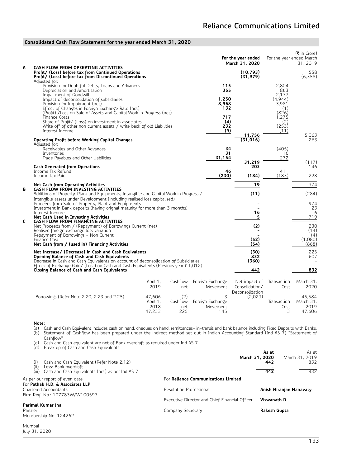#### **Consolidated Cash Flow Statement for the year ended March 31, 2020**  $(\bar{\tau}$  in Crore) **For the year ended March 31, 2020** For the year ended March 31, 2019 **A CASH FLOW FROM OPERATING ACTIVITIES Profit/ (Loss) before tax from Continued Operations (10,793)** 1,558 **Profit/ (Loss) before tax from Discontinued Operations (31,979)** (6,358) Adjusted for: Provision for Doubtful Debts, Loans and Advances **115** 2,804 Depreciation and Amortisation **355** 863 Impairment of Goodwill **and Science Cooperation** of the state of deconsolidation of subsidiaries **1,250** and 2,177<br>
Impact of deconsolidation of subsidiaries **1,250** and 2,944) Impact of deconsolidation of subsidiaries **1,250** (4,944) Provision for Impairment (net) **8,968** 3,981 Effect of Changes in Foreign Exchange Rate (net) **132** (1) (Profit) /Loss on Sale of Assets and Capital Work in Progress (net) **-** (826) Finance Costs **717** 1,275 Share of Profit/ (Loss) on investment in associates **(4)** (2) Share of Profit/ (Loss) on investment in associates (1998)<br>Write off of other non current assets / write back of old Liabilities (253)<br>Interest Income (11) (11) Interest Income **(9)** (11)  $\frac{11,756}{(31,016)}$   $\frac{5,063}{263}$ **Operating Profit before Working Capital Changes** Adjusted for: Receivables and Other Advances **34** (405) Inventories **31** 16 Trade Payables and Other Liabilities **31,154** 272  $\frac{31,219}{203}$  (117) **Cash Generated from Operations** 2013<br>
Income Tax Refund 2013<br>
203 11 Income Tax Refund **46** 411<br>
Income Tax Refund **46** 411<br>
Income Tax Refund **46** 413 Income Tax Paid **(230) (184)** (183) 228 **Net Cash from Operating Activities 19** 374 **B CASH FLOW FROM INVESTING ACTIVITIES** Additions of Property, Plant and Equipments, Intangible and Capital Work in Progress / Intangible assets under Development (including realised loss capitalised)  **(11)** (284) ncorresponds from Sale of Property, Plant and Equipments<br>Proceeds from Sale of Property, Plant and Equipments<br>Investment in Bank deposits (having orignal maturity for more than 3 months) **-** - - - - - - - - - - - - - - - -Investment in Bank deposits (having orignal maturity for more than 3 months)<br>Interest Income<br>**Net Cash Used in Investing Activities**<br>**Net Cash Used in Investing Activities** Interest Income **16** 6 **Net Cash Used in Investing Activities 5** 719 **C CASH FLOW FROM FINANCING ACTIVITIES** Net Proceeds from / (Repayment) of Borrowings Current (net) **(2)** 230 Realised foreign exchange loss variation **-** (14) Repayment of Borrowings - Non Current<br>
Repayment of Borrowings - Non Current<br>
Finance Cost (1,080) Finance Cost **(52)** (1,080) **Net Cash from / (used in) Financing Activities (868)** (868) (868) **Net Increase/ (Decrease) in Cash and Cash Equivalents (30)** 225 **Opening Balance of Cash and Cash Equivalents** 832<br>Decrease in Cash and Cash Equivalents on account of deconsolidation of Subsidiaries **832** (360) Decrease in Cash and Cash Equivalents on account of deconsolidation of Subsidiaries Effect of Exchange Gain/ (Loss) on Cash and Cash Equivalents (Previous year ` 1,012) **Closing Balance of Cash and Cash Equivalents 442 832** April 1, 2019 Cashflow net Foreign Exchange Movement Net impact of Consolidation/ Deconsolidation<br>(2,023) Transaction Cost March 31. 2020 Borrowings (Refer Note 2.20, 2.23 and 2.25) 47,606 (2) 3 (2,023) - 45,584

| ,              |  |
|----------------|--|
| $ -$<br>$\sim$ |  |

(a) Cash and Cash Equivalent includes cash on hand, cheques on hand, remittances- in-transit and bank balance including Fixed Deposits with Banks.<br>(b) Statement of Cashflow has been prepared under the indirect method set o Statement of Cashflow has been prepared under the indirect method set out in Indian Accounting Standard (Ind AS 7) "Statement of Cashflow"

Cashflow net<br>225  Foreign Exchange Movement<br>145

47,233 225 145 3 47,606

April 1, 2018<br>47.233

(c) Cash and Cash equivalent are net of Bank overdraft as required under Ind AS 7. Break up of Cash and Cash Equivalents

| Cash and Cash Equivalent (Refer Note 2.12)<br>(i)                                        | March 31, 2020                                 | As at<br>442 | As at<br>March 31, 2019<br>832 |
|------------------------------------------------------------------------------------------|------------------------------------------------|--------------|--------------------------------|
| (ii)<br>Less: Bank overdraft<br>(iii)<br>Cash and Cash Equivalents (net) as per Ind AS 7 |                                                | 442          | 832                            |
| As per our report of even date<br>For Pathak H.D. & Associates LLP                       | For Reliance Communications Limited            |              |                                |
| Chartered Accountants<br>Firm Reg. No.: 107783W/W100593                                  | Resolution Professional                        |              | Anish Niranjan Nanavaty        |
|                                                                                          | Executive Director and Chief Financial Officer | Viswanath D. |                                |
| Parimal Kumar Jha<br>Partner<br>Membership No: 124262                                    | Company Secretary                              | Rakesh Gupta |                                |

Mumbai July 31, 2020  Transaction Cost  March 31. 2019<br>47.606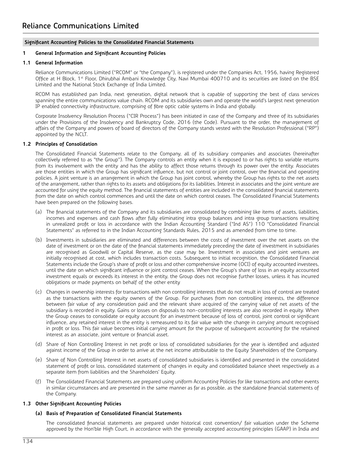# **1 General Information and Significant Accounting Policies**

### **1.1 General Information**

Reliance Communications Limited ("RCOM" or "the Company"), is registered under the Companies Act, 1956, having Registered Office at H Block, 1st Floor, Dhirubhai Ambani Knowledge City, Navi Mumbai 400710 and its securities are listed on the BSE Limited and the National Stock Exchange of India Limited.

RCOM has established pan India, next generation, digital network that is capable of supporting the best of class services spanning the entire communications value chain. RCOM and its subsidiaries own and operate the world's largest next generation IP enabled connectivity infrastructure, comprising of fibre optic cable systems in India and globally.

Corporate Insolvency Resolution Process ("CIR Process") has been initiated in case of the Company and three of its subsidiaries under the Provisions of the Insolvency and Bankruptcy Code, 2016 (the Code). Pursuant to the order, the management of affairs of the Company and powers of board of directors of the Company stands vested with the Resolution Professional ("RP") appointed by the NCLT.

# **1.2 Principles of Consolidation**

The Consolidated Financial Statements relate to the Company, all of its subsidiary companies and associates (hereinafter collectively referred to as "the Group"). The Company controls an entity when it is exposed to or has rights to variable returns from its involvement with the entity and has the ability to affect those returns through its power over the entity. Associates are those entities in which the Group has significant influence, but not control or joint control, over the financial and operating policies. A joint venture is an arrangement in which the Group has joint control, whereby the Group has rights to the net assets of the arrangement, rather than rights to its assets and obligations for its liabilities. Interest in associates and the joint venture are accounted for using the equity method. The financial statements of entities are included in the consolidated financial statements from the date on which control commences and until the date on which control ceases. The Consolidated Financial Statements have been prepared on the following bases.

- (a) The financial statements of the Company and its subsidiaries are consolidated by combining like items of assets, liabilities, incomes and expenses and cash flows after fully eliminating intra group balances and intra group transactions resulting in unrealized profit or loss in accordance with the Indian Accounting Standard ("Ind AS") 110 "Consolidated Financial Statements" as referred to in the Indian Accounting Standards Rules, 2015 and as amended from time to time.
- (b) Investments in subsidiaries are eliminated and differences between the costs of investment over the net assets on the date of investment or on the date of the financial statements immediately preceding the date of investment in subsidiaries are recognised as Goodwill or Capital Reserve, as the case may be. Investment in associates and joint ventures are initially recognised at cost, which includes transaction costs. Subsequent to initial recognition, the Consolidated Financial Statements include the Group's share of profit or loss and other comprehensive income (OCI) of equity accounted investees, until the date on which significant influence or joint control ceases. When the Group's share of loss in an equity accounted investment equals or exceeds its interest in the entity, the Group does not recognise further losses, unless it has incurred obligations or made payments on behalf of the other entity
- (c) Changes in ownership interests for transactions with non controlling interests that do not result in loss of control are treated as the transactions with the equity owners of the Group. For purchases from non controlling interests, the difference between fair value of any consideration paid and the relevant share acquired of the carrying value of net assets of the subsidiary is recorded in equity. Gains or losses on disposals to non-controlling interests are also recorded in equity. When the Group ceases to consolidate or equity account for an investment because of loss of control, joint control or significant influence, any retained interest in the entity is remeasured to its fair value with the change in carrying amount recognised in profit or loss. This fair value becomes initial carrying amount for the purpose of subsequent accounting for the retained interest as an associate, joint venture or financial asset.
- (d) Share of Non Controlling Interest in net profit or loss of consolidated subsidiaries for the year is identified and adjusted against income of the Group in order to arrive at the net income attributable to the Equity Shareholders of the Company.
- (e) Share of Non Controlling Interest in net assets of consolidated subsidiaries is identified and presented in the consolidated statement of profit or loss, consolidated statement of changes in equity and consolidated balance sheet respectively as a separate item from liabilities and the Shareholders' Equity.
- (f) The Consolidated Financial Statements are prepared using uniform Accounting Policies for like transactions and other events in similar circumstances and are presented in the same manner as far as possible, as the standalone financial statements of the Company.

### **1.3 Other Significant Accounting Policies**

### **(a) Basis of Preparation of Consolidated Financial Statements**

 The consolidated financial statements are prepared under historical cost convention/ fair valuation under the Scheme approved by the Hon'ble High Court, in accordance with the generally accepted accounting principles (GAAP) in India and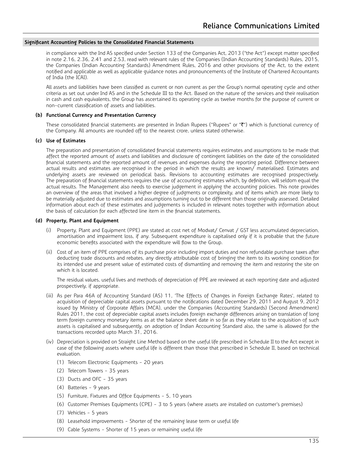in compliance with the Ind AS specified under Section 133 of the Companies Act, 2013 ("the Act") except matter specified in note 2.16, 2.36, 2.41 and 2.53, read with relevant rules of the Companies (Indian Accounting Standards) Rules, 2015, the Companies (Indian Accounting Standards) Amendment Rules, 2016 and other provisions of the Act, to the extent notified and applicable as well as applicable guidance notes and pronouncements of the Institute of Chartered Accountants of India (the ICAI).

 All assets and liabilities have been classified as current or non current as per the Group's normal operating cycle and other criteria as set out under Ind AS and in the Schedule III to the Act. Based on the nature of the services and their realisation in cash and cash equivalents, the Group has ascertained its operating cycle as twelve months for the purpose of current or non-current classification of assets and liabilities.

### **(b) Functional Currency and Presentation Currency**

These consolidated financial statements are presented in Indian Rupees ("Rupees" or "₹") which is functional currency of the Company. All amounts are rounded off to the nearest crore, unless stated otherwise.

### **(c) Use of Estimates**

 The preparation and presentation of consolidated financial statements requires estimates and assumptions to be made that affect the reported amount of assets and liabilities and disclosure of contingent liabilities on the date of the consolidated financial statements and the reported amount of revenues and expenses during the reporting period. Difference between actual results and estimates are recognised in the period in which the results are known/ materialised. Estimates and underlying assets are reviewed on periodical basis. Revisions to accounting estimates are recognised prospectively. The preparation of financial statements requires the use of accounting estimates which, by definition, will seldom equal the actual results. The Management also needs to exercise judgement in applying the accounting policies. This note provides an overview of the areas that involved a higher degree of judgments or complexity, and of items which are more likely to be materially adjusted due to estimates and assumptions turning out to be different than those originally assessed. Detailed information about each of these estimates and judgements is included in relevant notes together with information about the basis of calculation for each affected line item in the financial statements.

### **(d) Property, Plant and Equipment**

- (i) Property, Plant and Equipment (PPE) are stated at cost net of Modvat/ Cenvat / GST less accumulated depreciation, amortisation and impairment loss, if any. Subsequent expenditure is capitalised only if it is probable that the future economic benefits associated with the expenditure will flow to the Group.
- (ii) Cost of an item of PPE comprises of its purchase price including import duties and non refundable purchase taxes after deducting trade discounts and rebates, any directly attributable cost of bringing the item to its working condition for its intended use and present value of estimated costs of dismantling and removing the item and restoring the site on which it is located.

 The residual values, useful lives and methods of depreciation of PPE are reviewed at each reporting date and adjusted prospectively, if appropriate.

- (iii) As per Para 46A of Accounting Standard (AS) 11, 'The Effects of Changes in Foreign Exchange Rates', related to acquisition of depreciable capital assets pursuant to the notifications dated December 29, 2011 and August 9, 2012 issued by Ministry of Corporate Affairs (MCA), under the Companies (Accounting Standards) (Second Amendment) Rules 2011, the cost of depreciable capital assets includes foreign exchange differences arising on translation of long term foreign currency monetary items as at the balance sheet date in so far as they relate to the acquisition of such assets is capitalised and subsequently, on adoption of Indian Accounting Standard also, the same is allowed for the transactions recorded upto March 31, 2016.
- (iv) Depreciation is provided on Straight Line Method based on the useful life prescribed in Schedule II to the Act except in case of the following assets where useful life is different than those that prescribed in Schedule II, based on technical evaluation.
	- (1) Telecom Electronic Equipments 20 years
	- (2) Telecom Towers 35 years
	- (3) Ducts and OFC 35 years
	- (4) Batteries 9 years
	- (5) Furniture, Fixtures and Office Equipments 5, 10 years
	- (6) Customer Premises Equipments (CPE) 3 to 5 years (where assets are installed on customer's premises)
	- (7) Vehicles 5 years
	- (8) Leasehold improvements Shorter of the remaining lease term or useful life
	- (9) Cable Systems Shorter of 15 years or remaining useful life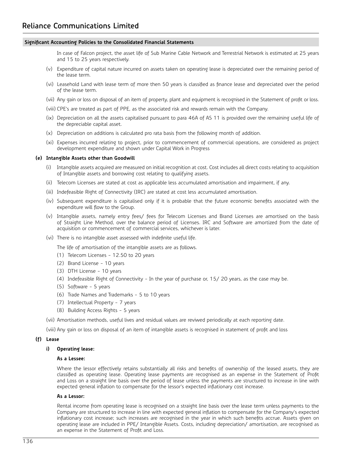In case of Falcon project, the asset life of Sub Marine Cable Network and Terrestrial Network is estimated at 25 years and 15 to 25 years respectively.

- (v) Expenditure of capital nature incurred on assets taken on operating lease is depreciated over the remaining period of the lease term.
- (vi) Leasehold Land with lease term of more then 50 years is classified as finance lease and depreciated over the period of the lease term.
- (vii) Any gain or loss on disposal of an item of property, plant and equipment is recognised in the Statement of profit or loss.
- (viii) CPE's are treated as part of PPE, as the associated risk and rewards remain with the Company.
- (ix) Depreciation on all the assets capitalised pursuant to para 46A of AS 11 is provided over the remaining useful life of the depreciable capital asset.
- (x) Depreciation on additions is calculated pro rata basis from the following month of addition.
- (xi) Expenses incurred relating to project, prior to commencement of commercial operations, are considered as project development expenditure and shown under Capital Work in Progress

### **(e) Intangible Assets other than Goodwill**

- (i) Intangible assets acquired are measured on initial recognition at cost. Cost includes all direct costs relating to acquisition of Intangible assets and borrowing cost relating to qualifying assets.
- (ii) Telecom Licenses are stated at cost as applicable less accumulated amortisation and impairment, if any.
- (iii) Indefeasible Right of Connectivity (IRC) are stated at cost less accumulated amortisation.
- (iv) Subsequent expenditure is capitalised only if it is probable that the future economic benefits associated with the expenditure will flow to the Group.
- (v) Intangible assets, namely entry fees/ fees for Telecom Licenses and Brand Licenses are amortised on the basis of Straight Line Method, over the balance period of Licenses. IRC and Software are amortized from the date of acquisition or commencement of commercial services, whichever is later.
- (vi) There is no intangible asset assessed with indefinite useful life.

The life of amortisation of the intangible assets are as follows.

- (1) Telecom Licenses 12.50 to 20 years
- (2) Brand License 10 years
- (3) DTH License 10 years
- (4) Indefeasible Right of Connectivity In the year of purchase or, 15/ 20 years, as the case may be.
- (5) Software 5 years
- (6) Trade Names and Trademarks 5 to 10 years
- (7) Intellectual Property 7 years
- (8) Building Access Rights 5 years
- (vii) Amortisation methods, useful lives and residual values are reviwed periodically at each reporting date.

(viii) Any gain or loss on disposal of an item of intangible assets is recognised in statement of profit and loss

### **(f) Lease**

# **i) Operating lease:**

### **As a Lessee:**

 Where the lessor effectively retains substantially all risks and benefits of ownership of the leased assets, they are classified as operating lease. Operating lease payments are recognised as an expense in the Statement of Profit and Loss on a straight line basis over the period of lease unless the payments are structured to increase in line with expected general inflation to compensate for the lessor's expected inflationary cost increase.

### **As a Lessor:**

 Rental income from operating lease is recognised on a straight line basis over the lease term unless payments to the Company are structured to increase in line with expected general inflation to compensate for the Company's expected inflationary cost increase; such increases are recognised in the year in which such benefits accrue. Assets given on operating lease are included in PPE/ Intangible Assets. Costs, including depreciation/ amortisation, are recognised as an expense in the Statement of Profit and Loss.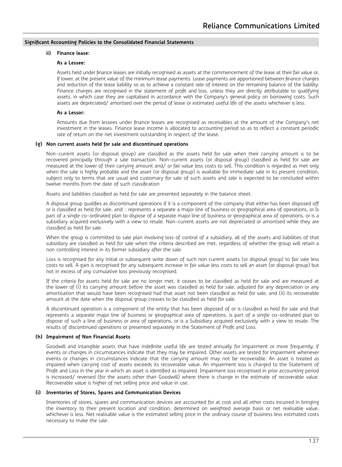### **ii) Finance lease:**

### **As a Lessee:**

 Assets held under finance leases are initially recognised as assets at the commencement of the lease at their fair value or, if lower, at the present value of the minimum lease payments. Lease payments are apportioned between finance charges and reduction of the lease liability so as to achieve a constant rate of interest on the remaining balance of the liability. Finance charges are recognised in the statement of profit and loss, unless they are directly attributable to qualifying assets, in which case they are capitalised in accordance with the Company's general policy on borrowing costs. Such assets are depreciated/ amortised over the period of lease or estimated useful life of the assets whichever is less.

### **As a Lessor:**

 Amounts due from lessees under finance leases are recognised as receivables at the amount of the Company's net investment in the leases. Finance lease income is allocated to accounting period so as to reflect a constant periodic rate of return on the net investment outstanding in respect of the lease.

#### **(g) Non current assets held for sale and discontinued operations**

 Non-current assets (or disposal group) are classified as the assets held for sale when their carrying amount is to be recovered principally through a sale transaction. Non-current assets (or disposal group) classified as held for sale are measured at the lower of their carrying amount and/ or fair value less costs to sell. This condition is regarded as met only when the sale is highly probable and the asset (or disposal group) is available for immediate sale in its present condition, subject only to terms that are usual and customary for sale of such assets and sale is expected to be concluded within twelve months from the date of such classification

Assets and liabilities classified as held for sale are presented separately in the balance sheet.

 A disposal group qualifies as discontinued operations if it is a component of the company that either has been disposed off or is classified as held for sale, and; : represents a separate a major line of business or geographical area of operations, or Is part of a single co-ordinated plan to dispose of a separate major line of business or geographical area of operations, or is a subsidiary acquired exclusively with a view to resale. Non-current assets are not depreciated or amortised while they are classified as held for sale.

 When the group is committed to sale plan involving loss of control of a subsidiary, all of the assets and liabilities of that subsidiary are classified as held for sale when the criteria described are met, regardless of whether the group will retain a non controlling interest in its former subsidiary after the sale.

 Loss is recognised for any initial or subsequent write down of such non current assets (or disposal group) to fair vale less costs to sell. A gain is recognised for any subsequent increase in fair value less costs to sell an asset (or disposal group) but not in excess of any cumulative loss previously recognised.

 If the criteria for assets held for sale are no longer met, it ceases to be classified as held for sale and are measured at the lower of (i) its carrying amount before the asset was classified as held for sale, adjusted for any depreciation or any amortisation that would have been recognised had that asset not been classified as held for sale, and (ii) its recoverable amount at the date when the disposal group creases to be classified as held for sale.

 A discontinued operation is a component of the entity that has been disposed of or is classified as held for sale and that represents a separate major line of business or geographical area of operations, is part of a single co-ordinated plan to dispose of such a line of business or area of operations, or is a Subsidiary acquired exclusively with a view to resale. The results of discontinued operations or presented separately in the Statement of Profit and Loss.

#### **(h) Impairment of Non Financial Assets**

 Goodwill and intangible assets that have indefinite useful life are tested annually for impairment or more frequently, if events or changes in circumstances indicate that they may be impaired. Other assets are tested for impairment whenever events or changes in circumstances indicate that the carrying amount may not be recoverable. An asset is treated as impaired when carrying cost of assets exceeds its recoverable value. An impairment loss is charged to the Statement of Profit and Loss in the year in which an asset is identified as impaired. Impairment loss recognised in prior accounting period is increased/ reversed (for the assets other than Goodwill) where there is change in the estimate of recoverable value. Recoverable value is higher of net selling price and value in use.

### **(i) Inventories of Stores, Spares and Communication Devices**

 Inventories of stores, spares and communication devices are accounted for at cost and all other costs incurred in bringing the inventory to their present location and condition, determined on weighted average basis or net realisable value, whichever is less. Net realisable value is the estimated selling price in the ordinary course of business less estimated costs necessary to make the sale.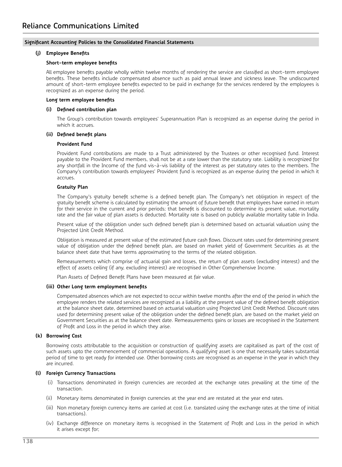### **(j) Employee Benefits**

### **Short-term employee benefits**

 All employee benefits payable wholly within twelve months of rendering the service are classified as short-term employee benefits. These benefits include compensated absence such as paid annual leave and sickness leave. The undiscounted amount of short-term employee benefits expected to be paid in exchange for the services rendered by the employees is recognized as an expense during the period.

### **Long term employee benefits**

### **(i) Defined contribution plan**

 The Group's contribution towards employees' Superannuation Plan is recognized as an expense during the period in which it accrues.

### **(ii) Defined benefit plans**

### **Provident Fund**

 Provident Fund contributions are made to a Trust administered by the Trustees or other recognised fund. Interest payable to the Provident Fund members, shall not be at a rate lower than the statutory rate. Liability is recognized for any shortfall in the Income of the fund vis-à-vis liability of the interest as per statutory rates to the members. The Company's contribution towards employees' Provident fund is recognized as an expense during the period in which it accrues.

### **Gratuity Plan**

 The Company's gratuity benefit scheme is a defined benefit plan. The Company's net obligation in respect of the gratuity benefit scheme is calculated by estimating the amount of future benefit that employees have earned in return for their service in the current and prior periods; that benefit is discounted to determine its present value, mortality rate and the fair value of plan assets is deducted. Mortality rate is based on publicly available mortality table in India.

 Present value of the obligation under such defined benefit plan is determined based on actuarial valuation using the Projected Unit Credit Method.

 Obligation is measured at present value of the estimated future cash flows. Discount rates used for determining present value of obligation under the defined benefit plan, are based on market yield of Government Securities as at the balance sheet date that have terms approximating to the terms of the related obligation.

 Remeasurements which comprise of actuarial gain and losses, the return of plan assets (excluding interest) and the effect of assets ceiling (if any, excluding interest) are recognised in Other Comprehensive Income.

Plan Assets of Defined Benefit Plans have been measured at fair value.

#### **(iii) Other Long term employment benefits**

 Compensated absences which are not expected to occur within twelve months after the end of the period in which the employee renders the related services are recognized as a liability at the present value of the defined benefit obligation at the balance sheet date, determined based on actuarial valuation using Projected Unit Credit Method. Discount rates used for determining present value of the obligation under the defined benefit plan, are based on the market yield on Government Securities as at the balance sheet date. Remeasurements gains or losses are recognised in the Statement of Profit and Loss in the period in which they arise.

### **(k) Borrowing Cost**

 Borrowing costs attributable to the acquisition or construction of qualifying assets are capitalised as part of the cost of such assets upto the commencement of commercial operations. A qualifying asset is one that necessarily takes substantial period of time to get ready for intended use. Other borrowing costs are recognised as an expense in the year in which they are incurred.

### **(l) Foreign Currency Transactions**

- (i) Transactions denominated in foreign currencies are recorded at the exchange rates prevailing at the time of the transaction.
- (ii) Monetary items denominated in foreign currencies at the year end are restated at the year end rates.
- (iii) Non monetary foreign currency items are carried at cost (i.e. translated using the exchange rates at the time of initial transactions).
- (iv) Exchange difference on monetary items is recognised in the Statement of Profit and Loss in the period in which it arises except for;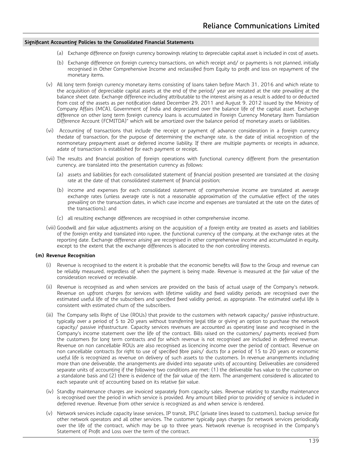- (a) Exchange difference on foreign currency borrowings relating to depreciable capital asset is included in cost of assets.
- (b) Exchange difference on foreign currency transactions, on which receipt and/ or payments is not planned, initially recognised in Other Comprehensive Income and reclassified from Equity to profit and loss on repayment of the monetary items.
- (v) All long term foreign currency monetary items consisting of loans taken before March 31, 2016 and which relate to the acquisition of depreciable capital assets at the end of the period/ year are restated at the rate prevailing at the balance sheet date. Exchange difference including attributable to the interest arising as a result is added to or deducted from cost of the assets as per notification dated December 29, 2011 and August 9, 2012 issued by the Ministry of Company Affairs (MCA), Government of India and depreciated over the balance life of the capital asset. Exchange difference on other long term foreign currency loans is accumulated in Foreign Currency Monetary Item Translation Difference Account (FCMITDA)" which will be amortized over the balance period of monetary assets or liabilities.
- (vi) Accounting of transactions that include the receipt or payment of advance consideration in a foreign currency thedate of transaction, for the purpose of determining the exchange rate, is the date of initial recognition of the nonmonetary prepayment asset or deferred income liability. If there are multiple payments or receipts in advance, adate of transaction is established for each payment or receipt.
- (vii) The results and financial position of foreign operations with functional currency different from the presentation currency, are translated into the presentation currency as follows:
	- (a) assets and liabilities for each consolidated statement of financial position presented are translated at the closing rate at the date of that consolidated statement of financial position;
	- (b) income and expenses for each consolidated statement of comprehensive income are translated at average exchange rates (unless average rate is not a reasonable approximation of the cumulative effect of the rates prevailing on the transaction dates, in which case income and expenses are translated at the rate on the dates of the transactions); and
	- (c) all resulting exchange differences are recognised in other comprehensive income.
- (viii) Goodwill and fair value adjustments arising on the acquisition of a foreign entity are treated as assets and liabilities of the foreign entity and translated into rupee, the functional currency of the company, at the exchange rates at the reporting date. Exchange difference arising are recognised in other comprehensive income and accumulated in equity, except to the extent that the exchange differences is allocated to the non controlling interests.

### **(m) Revenue Recognition**

- (i) Revenue is recognised to the extent it is probable that the economic benefits will flow to the Group and revenue can be reliably measured, regardless of when the payment is being made. Revenue is measured at the fair value of the consideration received or receivable.
- (ii) Revenue is recognised as and when services are provided on the basis of actual usage of the Company's network. Revenue on upfront charges for services with lifetime validity and fixed validity periods are recognised over the estimated useful life of the subscribers and specified fixed validity period, as appropriate. The estimated useful life is consistent with estimated churn of the subscribers.
- (iii) The Company sells Right of Use (ROUs) that provide to the customers with network capacity/ passive infrastructure, typically over a period of 5 to 20 years without transferring legal title or giving an option to purchase the network capacity/ passive infrastructure. Capacity services revenues are accounted as operating lease and recognised in the Company's income statement over the life of the contract. Bills raised on the customers/ payments received from the customers for long term contracts and for which revenue is not recognised are included in deferred revenue. Revenue on non cancellable ROUs are also recognised as licencing income over the period of contract. Revenue on non cancellable contracts for right to use of specified fibre pairs/ ducts for a period of 15 to 20 years or economic useful life is recognized as revenue on delivery of such assets to the customers. In revenue arrangements including more than one deliverable, the arrangements are divided into separate units of accounting. Deliverables are considered separate units of accounting if the following two conditions are met: (1) the deliverable has value to the customer on a standalone basis and (2) there is evidence of the fair value of the item. The arrangement considered is allocated to each separate unit of accounting based on its relative fair value.
- (iv) Standby maintenance charges are invoiced separately from capacity sales. Revenue relating to standby maintenance is recognised over the period in which service is provided. Any amount billed prior to providing of service is included in deferred revenue. Revenue from other service is recognized as and when service is rendered.
- (v) Network services include capacity lease services, IP transit, IPLC (private lines leased to customers), backup service for other network operators and all other services. The customer typically pays charges for network services periodically over the life of the contract, which may be up to three years. Network revenue is recognised in the Company's Statement of Profit and Loss over the term of the contract.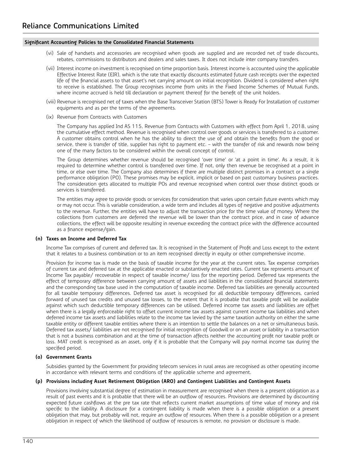- (vi) Sale of handsets and accessories are recognised when goods are supplied and are recorded net of trade discounts, rebates, commissions to distributors and dealers and sales taxes. It does not include inter company transfers.
- (vii) Interest income on investment is recognised on time proportion basis. Interest income is accounted using the applicable Effective Interest Rate (EIR), which is the rate that exactly discounts estimated future cash receipts over the expected life of the financial assets to that asset's net carrying amount on initial recognition. Dividend is considered when right to receive is established. The Group recognises income from units in the Fixed Income Schemes of Mutual Funds, where income accrued is held till declaration or payment thereof for the benefit of the unit holders.
- (viii) Revenue is recognised net of taxes when the Base Transceiver Station (BTS) Tower is Ready For Installation of customer equipments and as per the terms of the agreements.
- (ix) Revenue from Contracts with Customers

 The Company has applied Ind AS 115, Revenue from Contracts with Customers with effect from April 1, 2018, using the cumulative effect method. Revenue is recognised when control over goods or services is transferred to a customer. A customer obtains control when he has the ability to direct the use of and obtain the benefits from the good or service, there is transfer of title, supplier has right to payment etc. – with the transfer of risk and rewards now being one of the many factors to be considered within the overall concept of control.

 The Group determines whether revenue should be recognised 'over time' or 'at a point in time'. As a result, it is required to determine whether control is transferred over time. If not, only then revenue be recognised at a point in time, or else over time. The Company also determines if there are multiple distinct promises in a contract or a single performance obligation (PO). These promises may be explicit, implicit or based on past customary business practices. The consideration gets allocated to multiple POs and revenue recognised when control over those distinct goods or services is transferred.

 The entities may agree to provide goods or services for consideration that varies upon certain future events which may or may not occur. This is variable consideration, a wide term and includes all types of negative and positive adjustments to the revenue. Further, the entities will have to adjust the transaction price for the time value of money. Where the collections from customers are deferred the revenue will be lower than the contract price, and in case of advance collections, the effect will be opposite resulting in revenue exceeding the contract price with the difference accounted as a finance expense/gain.

# **(n) Taxes on Income and Deferred Tax**

 Income Tax comprises of current and deferred tax. It is recognised in the Statement of Profit and Loss except to the extent that it relates to a business combination or to an item recognised directly in equity or other comprehensive income.

 Provision for income tax is made on the basis of taxable income for the year at the current rates. Tax expense comprises of current tax and deferred tax at the applicable enacted or substantively enacted rates. Current tax represents amount of Income Tax payable/ recoverable in respect of taxable income/ loss for the reporting period. Deferred tax represents the effect of temporary difference between carrying amount of assets and liabilities in the consolidated financial statements and the corresponding tax base used in the computation of taxable income. Deferred tax liabilities are generally accounted for all taxable temporary differences. Deferred tax asset is recognised for all deductible temporary differences, carried forward of unused tax credits and unused tax losses, to the extent that it is probable that taxable profit will be available against which such deductible temporary differences can be utilised. Deferred income tax assets and liabilities are offset when there is a legally enforceable right to offset current income tax assets against current income tax liabilities and when deferred income tax assets and liabilities relate to the income tax levied by the same taxation authority on either the same taxable entity or different taxable entities where there is an intention to settle the balances on a net or simultaneous basis. Deferred tax assets/ liabilities are not recognised for initial recognition of Goodwill or on an asset or liability in a transaction that is not a business combination and at the time of transaction affects neither the accounting profit nor taxable profit or loss. MAT credit is recognised as an asset, only if it is probable that the Company will pay normal income tax during the specified period.

### **(o) Government Grants**

 Subsidies granted by the Government for providing telecom services in rural areas are recognised as other operating income in accordance with relevant terms and conditions of the applicable scheme and agreement.

### **(p) Provisions including Asset Retirement Obligation (ARO) and Contingent Liabilities and Contingent Assets**

 Provisions involving substantial degree of estimation in measurement are recognised when there is a present obligation as a result of past events and it is probable that there will be an outflow of resources. Provisions are determined by discounting expected future cashflows at the pre tax rate that reflects current market assumptions of time value of money and risk specific to the liability. A disclosure for a contingent liability is made when there is a possible obligation or a present obligation that may, but probably will not, require an outflow of resources. When there is a possible obligation or a present obligation in respect of which the likelihood of outflow of resources is remote, no provision or disclosure is made.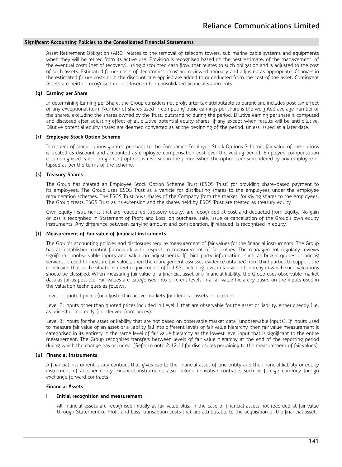Asset Retirement Obligation (ARO) relates to the removal of telecom towers, sub marine cable systems and equipments when they will be retired from its active use. Provision is recognised based on the best estimate, of the management, of the eventual costs (net of recovery), using discounted cash flow, that relates to such obligation and is adjusted to the cost of such assets. Estimated future costs of decommissioning are reviewed annually and adjusted as appropriate. Changes in the estimated future costs or in the discount rate applied are added to or deducted from the cost of the asset. Contingent Assets are neither recognised nor disclosed in the consolidated financial statements.

### **(q) Earning per Share**

 In determining Earning per Share, the Group considers net profit after tax attributable to parent and includes post tax effect of any exceptional item. Number of shares used in computing basic earnings per share is the weighted average number of the shares, excluding the shares owned by the Trust, outstanding during the period. Dilutive earning per share is computed and disclosed after adjusting effect of all dilutive potential equity shares, if any except when results will be anti dilutive. Dilutive potential equity shares are deemed converted as at the beginning of the period, unless issued at a later date.

### **(r) Employee Stock Option Scheme**

 In respect of stock options granted pursuant to the Company's Employee Stock Options Scheme, fair value of the options is treated as discount and accounted as employee compensation cost over the vesting period. Employee compensation cost recognised earlier on grant of options is reversed in the period when the options are surrendered by any employee or lapsed as per the terms of the scheme.

### **(s) Treasury Shares**

 The Group has created an Employee Stock Option Scheme Trust (ESOS Trust) for providing share-based payment to its employees. The Group uses ESOS Trust as a vehicle for distributing shares to the employees under the employee remuneration schemes. The ESOS Trust buys shares of the Company from the market, for giving shares to the employees. The Group treats ESOS Trust as its extension and the shares held by ESOS Trust are treated as treasury equity.

 Own equity instruments that are reacquired (treasury equity) are recognised at cost and deducted from equity. No gain or loss is recognised in Statement of Profit and Loss, on purchase, sale, issue or cancellation of the Group's own equity instruments. Any difference between carrying amount and consideration, if reissued, is recognised in equity."

### **(t) Measurement of Fair value of financial instruments**

 The Group's accounting policies and disclosures require measurement of fair values for the financial instruments. The Group has an established control framework with respect to measurement of fair values. The management regularly reviews significant unobservable inputs and valuation adjustments. If third party information, such as broker quotes or pricing services, is used to measure fair values, then the management assesses evidence obtained from third parties to support the conclusion that such valuations meet requirements of Ind AS, including level in fair value hierarchy in which such valuations should be classified. When measuring fair value of a financial asset or a financial liability, the Group uses observable market data as far as possible. Fair values are categorised into different levels in a fair value hierarchy based on the inputs used in the valuation techniques as follows.

Level 1: quoted prices (unadjusted) in active markets for identical assets or liabilities.

 Level 2: inputs other than quoted prices included in Level 1 that are observable for the asset or liability, either directly (i.e. as prices) or indirectly (i.e. derived from prices).

 Level 3: inputs for the asset or liability that are not based on observable market data (unobservable inputs). If inputs used to measure fair value of an asset or a liability fall into different levels of fair value hierarchy, then fair value measurement is categorised in its entirety in the same level of fair value hierarchy as the lowest level input that is significant to the entire measurement. The Group recognises transfers between levels of fair value hierarchy at the end of the reporting period during which the change has occurred. (Refer to note 2.42.1) for disclosures pertaining to the measurement of fair values).

### **(u) Financial Instruments**

 A financial instrument is any contract that gives rise to the financial asset of one entity and the financial liability or equity instrument of another entity. Financial instruments also include derivative contracts such as foreign currency foreign exchange forward contracts.

### **Financial Assets**

#### **i Initial recognition and measurement**

 All financial assets are recognised initially at fair value plus, in the case of financial assets not recorded at fair value through Statement of Profit and Loss, transaction costs that are attributable to the acquisition of the financial asset.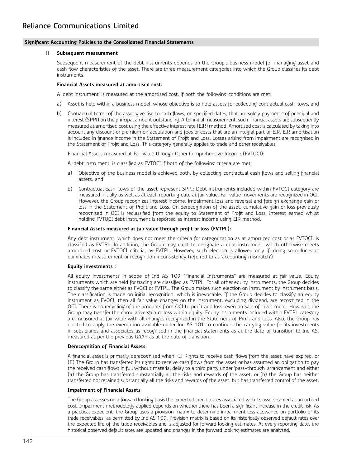### **ii Subsequent measurement**

 Subsequent measurement of the debt instruments depends on the Group's business model for managing asset and cash flow characteristics of the asset. There are three measurement categories into which the Group classifies its debt instruments.

### **Financial Assets measured at amortised cost:**

A 'debt instrument' is measured at the amortised cost, if both the following conditions are met:

- a) Asset is held within a business model, whose objective is to hold assets for collecting contractual cash flows, and
- b) Contractual terms of the asset give rise to cash flows, on specified dates, that are solely payments of principal and interest (SPPI) on the principal amount outstanding. After initial measurement, such financial assets are subsequently measured at amortised cost using the effective interest rate (EIR) method. Amortised cost is calculated by taking into account any discount or premium on acquisition and fees or costs that are an integral part of EIR. EIR amortisation is included in finance income in the Statement of Profit and Loss. Losses arising from impairment are recognised in the Statement of Profit and Loss. This category generally applies to trade and other receivables.

Financial Assets measured at Fair Value through Other Comprehensive Income (FVTOCI):

A 'debt instrument' is classified as FVTOCI if both of the following criteria are met:

- a) Objective of the business model is achieved both, by collecting contractual cash flows and selling financial assets, and
- b) Contractual cash flows of the asset represent SPPI: Debt instruments included within FVTOCI category are measured initially as well as at each reporting date at fair value. Fair value movements are recognized in OCI. However, the Group recognizes interest income, impairment loss and reversal and foreign exchange gain or loss in the Statement of Profit and Loss. On derecognition of the asset, cumulative gain or loss previously recognised in OCI is reclassified from the equity to Statement of Profit and Loss. Interest earned whilst holding FVTOCI debt instrument is reported as interest income using EIR method.

### **Financial Assets measured at fair value through profit or loss (FVTPL):**

 Any debt instrument, which does not meet the criteria for categorization as at amortized cost or as FVTOCI, is classified as FVTPL. In addition, the Group may elect to designate a debt instrument, which otherwise meets amortized cost or FVTOCI criteria, as FVTPL. However, such election is allowed only if, doing so reduces or eliminates measurement or recognition inconsistency (referred to as 'accounting mismatch').

### **Equity investments :**

 All equity investments in scope of Ind AS 109 "Financial Instruments" are measured at fair value. Equity instruments which are held for trading are classified as FVTPL. For all other equity instruments, the Group decides to classify the same either as FVOCI or FVTPL. The Group makes such election on instrument by instrument basis. The classification is made on initial recognition, which is irrevocable. If the Group decides to classify an equity instrument as FVOCI, then all fair value changes on the instrument, excluding dividend, are recognized in the OCI. There is no recycling of the amounts from OCI to profit and loss, even on sale of investment. However, the Group may transfer the cumulative gain or loss within equity. Equity instruments included within FVTPL category are measured at fair value with all changes recognized in the Statement of Profit and Loss. Also, the Group has elected to apply the exemption available under Ind AS 101 to continue the carrying value for its investments in subsidiaries and associates as recognised in the financial statements as at the date of transition to Ind AS, measured as per the previous GAAP as at the date of transition.

#### **Derecognition of Financial Assets**

 A financial asset is primarily derecognised when: (I) Rights to receive cash flows from the asset have expired, or (II) The Group has transferred its rights to receive cash flows from the asset or has assumed an obligation to pay the received cash flows in full without material delay to a third party under 'pass-through' arrangement and either (a) the Group has transferred substantially all the risks and rewards of the asset, or (b) the Group has neither transferred nor retained substantially all the risks and rewards of the asset, but has transferred control of the asset.

### **Impairment of Financial Assets**

 The Group assesses on a forward looking basis the expected credit losses associated with its assets carried at amortised cost. Impairment methodology applied depends on whether there has been a significant increase in the credit risk. As a practical expedient, the Group uses a provision matrix to determine impairment loss allowance on portfolio of its trade receivables, as permitted by Ind AS 109. Provision matrix is based on its historically observed default rates over the expected life of the trade receivables and is adjusted for forward looking estimates. At every reporting date, the historical observed default rates are updated and changes in the forward looking estimates are analysed.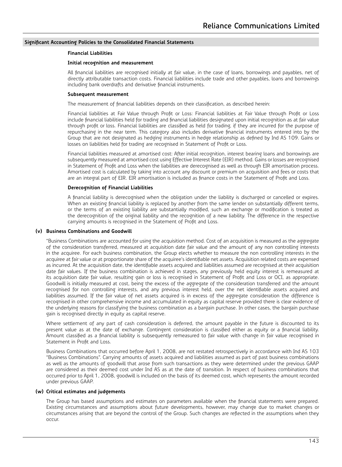#### **Financial Liabilities**

#### **Initial recognition and measurement**

 All financial liabilities are recognised initially at fair value, in the case of loans, borrowings and payables, net of directly attributable transaction costs. Financial liabilities include trade and other payables, loans and borrowings including bank overdrafts and derivative financial instruments.

#### **Subsequent measurement**

The measurement of financial liabilities depends on their classification, as described herein:

 Financial liabilities at Fair Value through Profit or Loss: Financial liabilities at Fair Value through Profit or Loss include financial liabilities held for trading and financial liabilities designated upon initial recognition as at fair value through profit or loss. Financial liabilities are classified as held for trading, if they are incurred for the purpose of repurchasing in the near term. This category also includes derivative financial instruments entered into by the Group that are not designated as hedging instruments in hedge relationship as defined by Ind AS 109. Gains or losses on liabilities held for trading are recognised in Statement of Profit or Loss.

 Financial liabilities measured at amortised cost: After initial recognition, interest bearing loans and borrowings are subsequently measured at amortised cost using Effective Interest Rate (EIR) method. Gains or losses are recognised in Statement of Profit and Loss when the liabilities are derecognised as well as through EIR amortisation process. Amortised cost is calculated by taking into account any discount or premium on acquisition and fees or costs that are an integral part of EIR. EIR amortisation is included as finance costs in the Statement of Profit and Loss.

#### **Derecognition of Financial Liabilities**

 A financial liability is derecognised when the obligation under the liability is discharged or cancelled or expires. When an existing financial liability is replaced by another from the same lender on substantially different terms, or the terms of an existing liability are substantially modified, such an exchange or modification is treated as the derecognition of the original liability and the recognition of a new liability. The difference in the respective carrying amounts is recognised in the Statement of Profit and Loss.

### **(v) Business Combinations and Goodwill**

 "Business Combinations are accounted for using the acquisition method. Cost of an acquisition is measured as the aggregate of the consideration transferred, measured at acquisition date fair value and the amount of any non controlling interests in the acquiree. For each business combination, the Group elects whether to measure the non controlling interests in the acquiree at fair value or at proportionate share of the acquiree's identifiable net assets. Acquisition related costs are expensed as incurred. At the acquisition date, the identifiable assets acquired and liabilities assumed are recognised at their acquisition date fair values. If the business combination is achieved in stages, any previously held equity interest is remeasured at its acquisition date fair value, resulting gain or loss is recognised in Statement of Profit and Loss or OCI, as appropriate. Goodwill is initially measured at cost, being the excess of the aggregate of the consideration transferred and the amount recognised for non controlling interests, and any previous interest held, over the net identifiable assets acquired and liabilities assumed. If the fair value of net assets acquired is in excess of the aggregate consideration the difference is recognised in other comprehensive income and accumulated in equity as capital reserve provided there is clear evidence of the underlying reasons for classifying the business combination as a bargain purchase. In other cases, the bargain purchase gain is recognised directly in equity as capital reserve.

 Where settlement of any part of cash consideration is deferred, the amount payable in the future is discounted to its present value as at the date of exchange. Contingent consideration is classified either as equity or a financial liability. Amount classified as a financial liability is subsequently remeasured to fair value with change in fair value recognised in Statement in Profit and Loss.

 Business Combinations that occurred before April 1, 2008, are not restated retrospectively in accordance with Ind AS 103 "Business Combinations". Carrying amounts of assets acquired and liabilities assumed as part of past business combinations as well as the amounts of goodwill that arose from such transactions as they were determined under the previous GAAP are considered as their deemed cost under Ind AS as at the date of transition. In respect of business combinations that occurred prior to April 1, 2008, goodwill is included on the basis of its deemed cost, which represents the amount recorded under previous GAAP.

# **(w) Critical estimates and judgements**

 The Group has based assumptions and estimates on parameters available when the financial statements were prepared. Existing circumstances and assumptions about future developments, however, may change due to market changes or circumstances arising that are beyond the control of the Group. Such changes are reflected in the assumptions when they occur.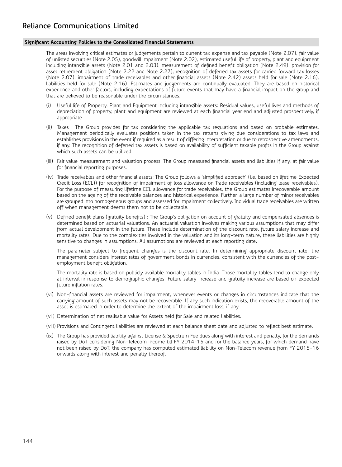The areas involving critical estimates or judgements pertain to current tax expense and tax payable (Note 2.07), fair value of unlisted securities (Note 2.05), goodwill impairment (Note 2.02), estimated useful life of property, plant and equipment including intangible assets (Note 2.01 and 2.03), measurement of defined benefit obligation (Note 2.49), provision for asset retirement obligation (Note 2.22 and Note 2.27), recognition of deferred tax assets for carried forward tax losses (Note 2.07), impairment of trade receivables and other financial assets (Note 2.42) assets held for sale (Note 2.16), liabilities held for sale (Note 2.16). Estimates and judgements are continually evaluated. They are based on historical experience and other factors, including expectations of future events that may have a financial impact on the group and that are believed to be reasonable under the circumstances.

- (i) Useful life of Property, Plant and Equipment including intangible assets: Residual values, useful lives and methods of depreciation of property, plant and equipment are reviewed at each financial year end and adjusted prospectively, if appropriate
- (ii) Taxes : The Group provides for tax considering the applicable tax regulations and based on probable estimates. Management periodically evaluates positions taken in the tax returns giving due considerations to tax laws and establishes provisions in the event if required as a result of differing interpretation or due to retrospective amendments, if any. The recognition of deferred tax assets is based on availability of sufficient taxable profits in the Group against which such assets can be utilized.
- (iii) Fair value measurement and valuation process: The Group measured financial assets and liabilities if any, at fair value for financial reporting purposes.
- (iv) Trade receivables and other financial assets: The Group follows a 'simplified approach' (i.e. based on lifetime Expected Credit Loss (ECL)) for recognition of impairment of loss allowance on Trade receivables (including lease receivables). For the purpose of measuring lifetime ECL allowance for trade receivables, the Group estimates irrecoverable amount based on the ageing of the receivable balances and historical experience. Further, a large number of minor receivables are grouped into homogeneous groups and assessed for impairment collectively. Individual trade receivables are written off when management deems them not to be collectable.
- (v) Defined benefit plans (gratuity benefits) : The Group's obligation on account of gratuity and compensated absences is determined based on actuarial valuations. An actuarial valuation involves making various assumptions that may differ from actual development in the future. These include determination of the discount rate, future salary increase and mortality rates. Due to the complexities involved in the valuation and its long-term nature, these liabilities are highly sensitive to changes in assumptions. All assumptions are reviewed at each reporting date.

 The parameter subject to frequent changes is the discount rate. In determining appropriate discount rate, the management considers interest rates of government bonds in currencies, consistent with the currencies of the postemployment benefit obligation.

 The mortality rate is based on publicly available mortality tables in India. Those mortality tables tend to change only at interval in response to demographic changes. Future salary increase and gratuity increase are based on expected future inflation rates.

- (vi) Non-financial assets are reviewed for impairment, whenever events or changes in circumstances indicate that the carrying amount of such assets may not be recoverable. If any such indication exists, the recoverable amount of the asset is estimated in order to determine the extent of the impairment loss, if any.
- (vii) Determination of net realisable value for Assets held for Sale and related liabilities.
- (viii) Provisions and Contingent liabilities are reviewed at each balance sheet date and adjusted to reflect best estimate.
- (ix) The Group has provided liability against License & Spectrum Fee dues along with interest and penalty, for the demands raised by DoT considering Non-Telecom income till FY 2014-15 and for the balance years, for which demand have not been raised by DoT, the company has computed estimated liability on Non-Telecom revenue from FY 2015-16 onwards along with interest and penalty thereof.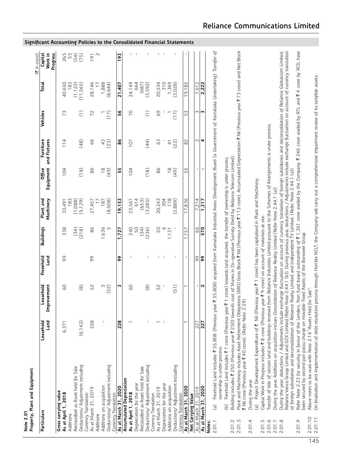|        | Ξ<br>ă      |
|--------|-------------|
|        | ទួ<br>Plant |
| š<br>ᄫ | Propert     |

| Property, Plant and Equipment<br>Note 2.01                                                                                                                                             |                |                          |                   |                  |                        |                                  |               |                 |                 | $(5)$ in crore)                |                                                                          |
|----------------------------------------------------------------------------------------------------------------------------------------------------------------------------------------|----------------|--------------------------|-------------------|------------------|------------------------|----------------------------------|---------------|-----------------|-----------------|--------------------------------|--------------------------------------------------------------------------|
| Particulars                                                                                                                                                                            | Leasehold<br>Š | Leasehold<br>Improvement | Freeehold<br>Land | <b>Buildings</b> | Machinery<br>Plant and | Equipment and Fixtures<br>Office | Furniture     | Vehicles        | Total           | Progress<br>Work in<br>Capital | Significant Accounting Policies to the Consolidated Financial Statements |
| Gross carrying value<br>As at April 1, 2018                                                                                                                                            | 6,371          | GO                       | 99                | 338              | 33,491                 | 104                              | 114           | 73              | 40,650          |                                |                                                                          |
| Reclassified as Asset held for Sale<br>Additions                                                                                                                                       |                |                          |                   | (34)             | 183<br>(1,088)         |                                  |               |                 | 183<br>(1, 122) | 265<br>55<br>(54)              |                                                                          |
| Deductions/ Adjustment including                                                                                                                                                       | (6, 143)       | $\circledR$              |                   | (218)            | (5, 129)               | (18)                             | (48)          | $\widehat{\Xi}$ | (11,565)        | (75)                           |                                                                          |
| As at March 31, 2019<br>Currency Translation                                                                                                                                           | 228            | 52                       | 99                | 86               | 27,457                 | 86                               | 66            | 72              | 28,146          | 191                            |                                                                          |
| Additions                                                                                                                                                                              |                |                          |                   |                  |                        |                                  |               |                 |                 | Z                              |                                                                          |
| Additions on acquisition                                                                                                                                                               |                | M                        |                   | 1,636            | 187                    | $\frac{8}{1}$                    | 43            |                 | 1,888           |                                |                                                                          |
| Deductions/ Adjustment including                                                                                                                                                       |                | (52)                     |                   | S                | 8.508)                 | (49)                             | (23)          | (17)            | (8, 644)        |                                |                                                                          |
| Currency Translation                                                                                                                                                                   |                |                          |                   |                  |                        |                                  |               |                 |                 |                                |                                                                          |
| As at March 31, 2020                                                                                                                                                                   | <b>228</b>     | m                        | o<br>0            | 1.727            | 9,153                  | 55                               | 86            | \$6             | 21,407          | 193                            |                                                                          |
| <b>Accumulated Depreciation</b>                                                                                                                                                        |                |                          |                   |                  |                        |                                  |               |                 |                 |                                |                                                                          |
| As at April 1, 2018                                                                                                                                                                    |                | C <sub>O</sub>           | I                 | 240              | 23,567                 | 104                              | 107           | 20              | 24,149          |                                |                                                                          |
| Depreciation for the year                                                                                                                                                              |                |                          |                   | 50               | 614                    |                                  |               |                 | 664             | f,                             |                                                                          |
| Reclassified as Asset held for Sale                                                                                                                                                    |                |                          |                   | $(34)$<br>(236)  | (653)                  |                                  |               |                 | (687)           |                                |                                                                          |
| Deductions/ Adjustment including                                                                                                                                                       |                | $\circledR$              |                   |                  | (3,285)                | (18)                             | (44)          | $\widehat{E}$   | (3, 592)        |                                |                                                                          |
| Currency Translation                                                                                                                                                                   |                |                          |                   |                  |                        |                                  |               |                 |                 |                                |                                                                          |
| As at March 31, 2019                                                                                                                                                                   |                | 52                       |                   | 20               | 20,243                 | 86                               | 63            | 69              | 20,534          |                                |                                                                          |
| Depreciation for the year                                                                                                                                                              |                | $\overline{\phantom{a}}$ |                   | $\circ$          | 304                    |                                  |               |                 | 310<br>1.369    |                                |                                                                          |
| Additions on acquisition                                                                                                                                                               |                |                          |                   | 1,131            | 178                    | $\frac{8}{1}$                    | $\frac{4}{1}$ |                 |                 |                                |                                                                          |
| Deductions/ Adjustment including                                                                                                                                                       |                | (51)                     | I                 |                  | (2,889)                | (49)                             | (22)          | (17)            | (3,028)         |                                |                                                                          |
| Currency Translation                                                                                                                                                                   |                |                          |                   |                  |                        |                                  |               |                 |                 |                                |                                                                          |
| As at March 31, 2020                                                                                                                                                                   |                |                          | $\mathbf I$       | 1,157            | 17,836                 | 55                               | 82            | 53              | 19,185          |                                |                                                                          |
| Net Carrying Value                                                                                                                                                                     |                |                          |                   |                  |                        |                                  |               |                 |                 |                                |                                                                          |
| As at March 31, 2019                                                                                                                                                                   | 227            | $\overline{1}$           | 99                | 66               | 7,214                  | $\overline{1}$                   | W             | W               | $\sim$<br>7,612 |                                |                                                                          |
| As at March 31, 2020                                                                                                                                                                   | 227            | $\sim$                   | 99                | 570              | 1.317                  | $\blacksquare$                   | 4             | m               | 2,222           |                                |                                                                          |
| Notes:                                                                                                                                                                                 |                |                          |                   |                  |                        |                                  |               |                 |                 |                                |                                                                          |
| (a) Freehold Land includes ₹ 55,808 (Previous year ₹ 55,808) acquired from Karnataka Industrial Areas Development Board (a Government of Karnataka Undertaking). Transfer of<br>2.01.1 |                |                          |                   |                  |                        |                                  |               |                 |                 |                                |                                                                          |
| ownership is under process.                                                                                                                                                            |                |                          |                   |                  |                        |                                  |               |                 |                 |                                |                                                                          |
| うちのうとう というこうごう こうはんそう しょうせん とうよう クライニ・ライン アカリー・アイ・ライン・ディー いちょうこう ファー ポート・ファー こうしょう アカリー・アプリエント こうしょう こうしょう こうしょう こうしょう しょうしょう アカリー・アクセス アカリー・アクセス<br>$\tilde{f}$                       |                |                          |                   |                  |                        |                                  |               |                 |                 |                                |                                                                          |

- (b) Freehold Land includes  $\bar{\tau}$  1 crore (Previous year  $\bar{\tau}$  1 crore) towards land acquired, the transfer of ownership is under process. Freehold Land Includes < 1 crore (Previous year < 1 crore) towards land acquired the transfer of ownership is under process. a)
	-
- Buliding includes ₹ 250 (Previous year ₹ 250) towards cost of Shares in Co-operative Society (held by Reliance Telecom Limited). 2.01.2 Buliding includes ₹ 250 (Previous year ₹ 250) towards cost of Shares in Co-operative Society (held by Reliance Telecom Limited). 2.01.2
- 2.01.3 Plant and Machinery includes Asset Retirement Obligations (ARO) Gross Block ₹ Nil (Previous depreciation ₹ Nil (Previous year ₹ 73 crore) and Net Block Plant and Machinery includes Asset Retirement Obligations (ARO) Gross Block ₹ Mil (Previous year ₹ 113 crore), Accumulated Depreciation ₹ Mil (Previous year ₹ 73 crore) and Net Block ₹ Nil crore (Previous year ₹ 40 crore). (Refer Note 2.39) ` Nil crore (Previous year ` 40 crore). (Refer Note 2.39) During the year 2.01.4 During the year 2.01.3 2.01.4
	-
	- (a) Project Development Expenditure of ₹ Nil (Previous year ₹ 1 crore) has been capitalised in Plant and Machinery. (a) Project Development Expenditure of ` Nil (Previous year ` 1 crore) has been capitalised in Plant and Machinery.
		- Capital Work in Progress includes ₹ 8 crore (Previous year ₹ 9 crore) on account of materials at site. 2.01.5 Capital Work in Progress includes  $\bar{\bar{\bf v}}$  8 crore (Previous year  $\bar{\bar{\bf v}}$  9 crore) on account of materials at site. 2.01.5
- Transfer of title of certain land and buildings received from Reliance Industries Limited pursuant to the Schemes of Arrangements is under process. 2.01.6 Transfer of title of certain land and buildings received from Reliance Industries Limited pursuant to the Schemes of Arrangements is under process.
	- During the year, Additions on acquisition inclues Consolidation of Reliance Reality Limited (Refer Note 2.44.1 (a)) 2.01.7 During the year, Additions on acquisition inclues Consolidation of Reliance Reality Limited (Refer Note 2.44.1 (a)) 2.01.7
- 2.01.8 During the year, deductions / Adjustments include exchange fluctuation on account of currency translation of foreign subsidiaries and deconsolidation of Reliance Globalcom Limited, Reliance Vanco Group Limted and GCX Limited (Refer Note 2.44.1 (b)). During previous year, deductions / Adjustments include exchange fluctuation on account of currency translation During the year, deductions / Adjustments include exchange fluctuation on account of currency translation of foreign subsidiaries and deconsolidation of Reliance Globalcom Limited,<br>Reliance Vanco Group Limted and GCX Limit foreign subsidiaries and deconsolidation of Reliance Realty Limited and Independent TV Limited. (Refer Note 2.44.1 (a)) of foreign subsidiaries and deconsolidation of Reliance Realty Limited and Independent TV Limited. (Refer Note 2.44.1 (a))  $\overline{\sigma}$ 2.01.8
	- 2.01.9 Refer Note 2.23 for security in favour of the Lenders. Non fund based outstanding of ₹ 1,361 crore availed by the Company, ₹ 246 crore availed by RTL and ₹ 4 crore by RCIL have Refer Note 2.23 for security in favour of the Lenders. Non fund based outstanding of ₹ 1.361 crore availed by the Company, ₹ 246 crore availed by RTL and ₹ 4 crore by RCIL have<br>been secured by second pari passu charge on m been secured by second pari passu charge on movable Fixed Assets of the Borrower Group. 2.01.9
		- Above notes to be read with Note 2.16 "Assets Held for Sale". 2.01.10 Above notes to be read with Note 2.16 "Assets Held for Sale". 2.01.10
- On finalisation and implementation of debt resolution process through Hon'ble NCLT, the Company will carry out a comprehensive impairment review of its tangible assets. 2.01.11 On finalisation and implementation of debt resolution process through Hon'ble NCLT, the Company will carry out a comprehensive impairment review of its tangible assets.2.01.11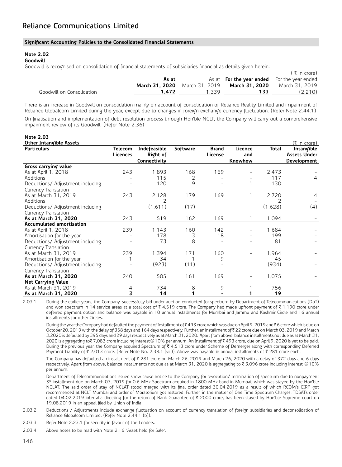### **Notes on Accounts to the Consolidated Financial Statements Significant Accounting Policies to the Consolidated Financial Statements**

# **Note 2.02**

# **Goodwill**

Goodwill is recognised on consolidation of financial statements of subsidiaries financial as details given herein:

|                           |       |       |                                                            | $(5 \nvert$ in crore) |
|---------------------------|-------|-------|------------------------------------------------------------|-----------------------|
|                           | As at |       | As at <b>For the year ended</b> For the year ended         |                       |
|                           |       |       | <b>March 31, 2020</b> March 31, 2019 <b>March 31, 2020</b> | March 31, 2019        |
| Goodwill on Consolidation | 1.472 | 1.339 | 133                                                        | (2,210)               |

There is an increase in Goodwill on consolidation mainly on account of consolidation of Reliance Reality Limited and impairment of Reliance Globalcom Limited during the year, except due to changes in foreign exchange currency fluctuation. (Refer Note 2.44.1) On finalisation and implementation of debt resolution process through Hon'ble NCLT, the Company will carry out a comprehensive

impairment review of its Goodwill. (Refer Note 2.36)

| <b>Note 2.03</b>                 |          |              |          |              |                   |              |                                     |
|----------------------------------|----------|--------------|----------|--------------|-------------------|--------------|-------------------------------------|
| Other Intangible Assets          |          |              |          |              |                   |              | $(\bar{\bar{\mathbf{z}}}$ in crore) |
| <b>Particulars</b>               | Telecom  | Indefeasible | Software | <b>Brand</b> | Licence           | <b>Total</b> | Intangible                          |
|                                  | Licences | Right of     |          | License      | and               |              | <b>Assets Under</b>                 |
|                                  |          | Connectivity |          |              | Knowhow           |              | Development                         |
| Gross carrying value             |          |              |          |              |                   |              |                                     |
| As at April 1, 2018              | 243      | 1,893        | 168      | 169          |                   | 2,473        |                                     |
| <b>Additions</b>                 |          | 115          | 2        |              |                   | 117          | $\overline{4}$                      |
| Deductions/ Adjustment including |          | 120          | 9        |              | 1                 | 130          |                                     |
| Currency Translation             |          |              |          |              |                   |              |                                     |
| As at March 31, 2019             | 243      | 2,128        | 179      | 169          | 1                 | 2,720        | 4                                   |
| Additions                        |          |              |          |              |                   |              |                                     |
| Deductions/ Adjustment including |          | (1,611)      | (17)     |              |                   | (1,628)      | (4)                                 |
| Currency Translation             |          |              |          |              |                   |              |                                     |
| As at March 31, 2020             | 243      | 519          | 162      | 169          |                   | 1,094        |                                     |
| Accumulated amortisation         |          |              |          |              |                   |              |                                     |
| As at April 1, 2018              | 239      | 1,143        | 160      | 142          |                   | 1,684        |                                     |
| Amortisation for the year        |          | 178          | 3        | 18           |                   | 199          |                                     |
| Deductions/ Adjustment including |          | 73           | 8        |              |                   | 81           |                                     |
| Currency Translation             |          |              |          |              |                   |              |                                     |
| As at March 31, 2019             | 239      | 1,394        | 171      | 160          | $\qquad \qquad -$ | 1,964        |                                     |
| Amortisation for the year        |          | 34           |          | 9            |                   | 45           |                                     |
| Deductions/ Adjustment including |          | (923)        | (11)     |              |                   | (934)        |                                     |
| Currency Translation             |          |              |          |              |                   |              |                                     |
| As at March 31, 2020             | 240      | 505          | 161      | 169          |                   | 1,075        |                                     |
| Net Carrying Value               |          |              |          |              |                   |              |                                     |
| As at March 31, 2019             | 4        | 734          | 8        | 9            |                   | 756          |                                     |
| As at March 31, 2020             | 3        | 14           |          |              |                   | 19           |                                     |

2.03.1 During the earlier years, the Company, successfully bid under auction conducted for spectrum by Department of Telecommunications (DoT) and won spectrum in 14 service areas at a total cost of  $\bar{\tau}$  4,519 crore. The Company had made upfront payment of  $\bar{\tau}$  1,190 crore under deferred payment option and balance was payable in 10 annual installments for Mumbai and Jammu and Kashmir Circle and 16 annual installments for other Circles.

During the year the Company had defaulted the payment of Installment of₹493 crore which was due on April 9, 2019 and₹6 crore which is due on October 20, 2019 with the delay of 358 days and 164 days respectively. Further, an installment of₹22 crore due on March 03, 2019 and March 3,2020 is defaulted by 395 days and 29 days respectively as at March 31, 2020. Apart from above, balance installments not due as at March 31, 2020 is aggregating to₹7,083 crore including interest@10% per annum. An Installment of ₹493 crore, due on April 9, 2020 is yet to be paid. During the previous year, the Company acquired Spectrum of ₹ 4,513 crore under Scheme of Demerger along with corresponding Deferred Payment Liability of ₹ 2,013 crore. (Refer Note No. 2.38.1 (viii)). Above was payable in annual installments of ₹ 281 crore each.

The Company has defaulted an installment of  $\bar{\tau}$  281 crore on March 26, 2019 and March 26, 2020 with a delay of 372 days and 6 days respectively. Apart from above, balance installments not due as at March 31, 2020 is aggregating to ₹ 3,096 crore including interest @10% per annum.

 Department of Telecommunications issued show cause notice to the Company for revocation/ termination of specturm due to nonpayment  $3<sup>rd</sup>$  installment due on March 03, 2019 for 0.6 MHz Spectrum acquired in 1800 MHz band in Mumbai, which was stayed by the Hon'ble NCLAT. The said order of stay of NCLAT stood merged with its final order dated 30.04.2019 as a result of which RCOM's CIRP got recommenced at NCLT Mumbai and order of Moratorium got restored. Further, in the matter of One Time Spectrum Charges, TDSATs order dated 04.02.2019 inter alia directing for the return of Bank Guarantee of ₹ 2000 crore, has been stayed by Hon'ble Supreme court on 19.08.2019 in an appeal filed by Union of India.

2.03.2 Deductions / Adjustments include exchange fluctuation on account of currency translation of foreign subsidiaries and deconsolidation of Reliance Globalcom Limited. (Refer Note 2.44.1 (b)).

2.03.3 Refer Note 2.23.1 for security in favour of the Lenders.

2.03.4 Above notes to be read with Note 2.16 "Asset held for Sale".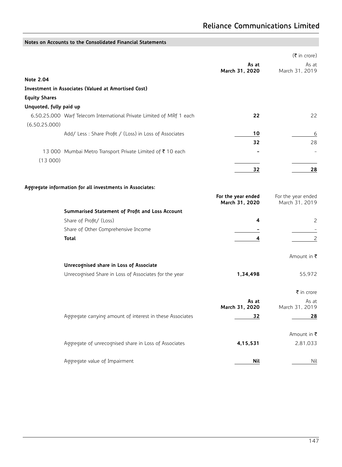|                         |                                                                      |                                      | $(\bar{\tau}$ in crore)              |
|-------------------------|----------------------------------------------------------------------|--------------------------------------|--------------------------------------|
|                         |                                                                      | As at<br>March 31, 2020              | As at<br>March 31, 2019              |
| Note 2.04               |                                                                      |                                      |                                      |
|                         | Investment in Associates (Valued at Amortised Cost)                  |                                      |                                      |
| <b>Equity Shares</b>    |                                                                      |                                      |                                      |
| Unquoted, fully paid up |                                                                      |                                      |                                      |
| (6,50,25,000)           | 6,50,25,000 Warf Telecom International Private Limited of MRf 1 each | 22                                   | 22                                   |
|                         | Add/ Less: Share Profit / (Loss) in Loss of Associates               | 10<br>32                             | 6                                    |
|                         | 13 000 Mumbai Metro Transport Private Limited of ₹10 each            |                                      | 28                                   |
| (13000)                 |                                                                      | 32                                   | 28                                   |
|                         | Aggregate information for all investments in Associates:             |                                      |                                      |
|                         |                                                                      | For the year ended<br>March 31, 2020 | For the year ended<br>March 31, 2019 |
|                         | Summarised Statement of Profit and Loss Account                      |                                      |                                      |
|                         | Share of Profit/ (Loss)                                              | 4                                    | 2                                    |
|                         | Share of Other Comprehensive Income                                  |                                      |                                      |
|                         | <b>Total</b>                                                         | 4                                    | $\overline{c}$                       |
|                         |                                                                      |                                      | Amount in ₹                          |
|                         | Unrecognised share in Loss of Associate                              |                                      |                                      |
|                         | Unrecognised Share in Loss of Associates for the year                | 1,34,498                             | 55,972                               |
|                         |                                                                      |                                      | ₹ in crore                           |
|                         |                                                                      | As at<br>March 31, 2020              | As at<br>March 31, 2019              |
|                         | Aggregate carrying amount of interest in these Associates            | 32                                   | 28                                   |
|                         |                                                                      |                                      | Amount in ₹                          |
|                         | Aggregate of unrecognised share in Loss of Associates                | 4,15,531                             | 2,81,033                             |
|                         | Aggregate value of Impairment                                        | Nil                                  | Nil                                  |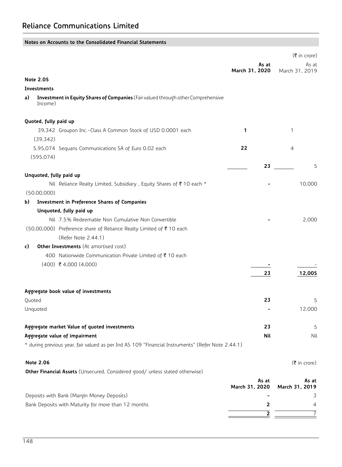| Notes on Accounts to the Consolidated Financial Statements                                             |                         |                                |
|--------------------------------------------------------------------------------------------------------|-------------------------|--------------------------------|
|                                                                                                        |                         | $(\bar{\bar{\tau}})$ in crore) |
|                                                                                                        | As at                   | As at                          |
|                                                                                                        | March 31, 2020          | March 31, 2019                 |
| <b>Note 2.05</b>                                                                                       |                         |                                |
| Investments<br>Investment in Equity Shares of Companies (Fair valued through other Comprehensive<br>a) |                         |                                |
| Income)                                                                                                |                         |                                |
| Quoted, fully paid up                                                                                  |                         |                                |
| 39,342 Groupon Inc.-Class A Common Stock of USD 0.0001 each                                            | 1                       | 1                              |
| (39, 342)                                                                                              |                         |                                |
| 5,95,074 Sequans Communications SA of Euro 0.02 each                                                   | 22                      | 4                              |
| (595, 074)                                                                                             |                         |                                |
|                                                                                                        | 23                      | 5                              |
| Unquoted, fully paid up                                                                                |                         |                                |
| Nil Reliance Realty Limited, Subsidiary, Equity Shares of ₹10 each *                                   |                         | 10,000                         |
| (50,00,000)                                                                                            |                         |                                |
| Investment in Preference Shares of Companies<br>b)                                                     |                         |                                |
| Unquoted, fully paid up                                                                                |                         |                                |
| Nil 7.5% Redeemable Non Cumulative Non Convertible                                                     |                         | 2.000                          |
| (50,00,000) Preference share of Reliance Realty Limited of ₹10 each<br>(Refer Note 2.44.1)             |                         |                                |
| <b>Other Investments</b> (At amortised cost)<br>c)                                                     |                         |                                |
| 400 Nationwide Communication Private Limited of ₹10 each                                               |                         |                                |
| $(400)$ ₹ 4,000 $(4,000)$                                                                              |                         |                                |
|                                                                                                        | 23                      | 12,005                         |
|                                                                                                        |                         |                                |
| Aggregate book value of investments                                                                    |                         |                                |
| Quoted                                                                                                 | 23                      | 5                              |
| Unquoted                                                                                               |                         | 12,000                         |
|                                                                                                        |                         |                                |
| Aggregate market Value of quoted investments                                                           | 23                      | $\mathsf S$                    |
| Aggregate value of impairment                                                                          | Nil                     | Nil                            |
| * during previous year, fair valued as per Ind AS 109 "Financial Instruments" (Refer Note 2.44.1)      |                         |                                |
| Note 2.06                                                                                              |                         | $(\bar{\bar{\tau}}$ in crore)  |
| Other Financial Assets (Unsecured, Considered good/ unless stated otherwise)                           |                         |                                |
|                                                                                                        | As at<br>March 31, 2020 | As at<br>March 31, 2019        |
| Deposits with Bank (Margin Money Deposits)                                                             |                         | 3                              |
| Bank Deposits with Maturity for more than 12 months                                                    | 2                       | 4                              |
|                                                                                                        | 2                       | 7                              |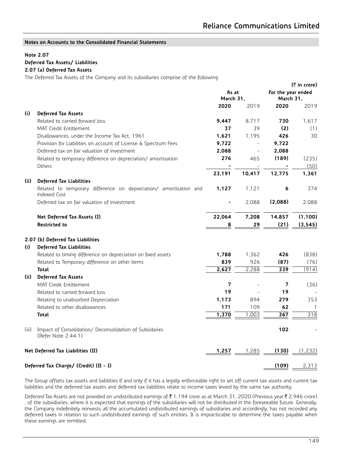# **Note 2.07**

## **Deferred Tax Assets/ Liabilities**

# **2.07 (a) Deferred Tax Assets**

The Deferred Tax Assets of the Company and its subsidiaries comprise of the following.

|       |                                                                                   |                    |           |                                 | $(5 \infty)$ |
|-------|-----------------------------------------------------------------------------------|--------------------|-----------|---------------------------------|--------------|
|       |                                                                                   | As at<br>March 31, |           | For the year ended<br>March 31, |              |
|       |                                                                                   | 2020               | 2019      | 2020                            | 2019         |
| (i)   | <b>Deferred Tax Assets</b>                                                        |                    |           |                                 |              |
|       | Related to carried forward loss                                                   | 9,447              | 8,717     | 730                             | 1,617        |
|       | <b>MAT Credit Entitlement</b>                                                     | 37                 | 39        | (2)                             | (1)          |
|       | Disallowances, under the Income Tax Act, 1961                                     | 1,621              | 1,195     | 426                             | 30           |
|       | Provision for Liabilities on account of License & Spectrum Fees                   | 9,722              | L,        | 9,722                           |              |
|       | Deferred tax on fair valuation of investment                                      | 2,088              | $\bar{ }$ | 2,088                           |              |
|       | Related to temporary difference on depreciation/ amortisation                     | 276                | 465       | (189)                           | (235)        |
|       | Others                                                                            |                    |           |                                 | (50)         |
|       |                                                                                   | 23,191             | 10.417    | 12,775                          | 1,361        |
| (ii)  | <b>Deferred Tax Liabilities</b>                                                   |                    |           |                                 |              |
|       | Related to temporary difference on depreciation/ amortisation and<br>indexed Cost | 1,127              | 1,121     | 6                               | 374          |
|       | Deferred tax on fair valuation of investment                                      |                    | 2,088     | (2,088)                         | 2,088        |
|       | Net Deferred Tax Assets (I)                                                       | 22,064             | 7,208     | 14,857                          | (1, 100)     |
|       | <b>Restricted to</b>                                                              | <u>8</u>           | 29        | (21)                            | (3, 545)     |
|       |                                                                                   |                    |           |                                 |              |
|       | 2.07 (b) Deferred Tax Liabilities                                                 |                    |           |                                 |              |
| (i)   | <b>Deferred Tax Liabilities</b>                                                   |                    |           |                                 |              |
|       | Related to timing difference on depreciation on fixed assets                      | 1,788              | 1.362     | 426                             | (838)        |
|       | Related to Temporary difference on other items                                    | 839                | 926       | (87)                            | (76)         |
|       | <b>Total</b>                                                                      | 2,627              | 2,288     | $\overline{339}$                | (914)        |
| (ii)  | <b>Deferred Tax Assets</b>                                                        |                    |           |                                 |              |
|       | <b>MAT Credit Entitlement</b>                                                     | 7                  |           | $\overline{ }$                  | (36)         |
|       | Related to carried forward loss                                                   | 19                 |           | 19                              |              |
|       | Relating to unabsorbed Depreciation                                               | 1,173              | 894       | 279                             | 353          |
|       | Related to other disallowances                                                    | 171                | 109       | 62                              | 1            |
|       | <b>Total</b>                                                                      | 1,370              | 1,003     | 367                             | 318          |
| (iii) | Impact of Consolidation/ Deconsolidation of Subsidaries<br>(Refer Note 2.44.1)    |                    |           | 102                             |              |
|       | Net Deferred Tax Liabilities (II)                                                 | 1,257              | 1,285     | (130)                           | (1,232)      |
|       | Deferred Tax Charge/ (Credit) (II - I)                                            |                    |           | (109)                           | 2,313        |

The Group offsets tax assets and liabilities if and only if it has a legally enforceable right to set off current tax assets and current tax liabilities and the deferred tax assets and deferred tax liabilities relate to income taxes levied by the same tax authority.

Deferred Tax Assets are not provided on undistributed earnings of ₹1,194 crore as at March 31, 2020 (Previous year ₹2,946 crore) , of the subsidiaries, where it is expected that earnings of the subsidiaries will not be distributed in the foreseeable future. Generally, the Company indefinitely reinvests all the accumulated undistributed earnings of subsidiaries and accordingly, has not recorded any deferred taxes in relation to such undistributed earnings of such entities. It is impracticable to determine the taxes payable when these earnings are remitted.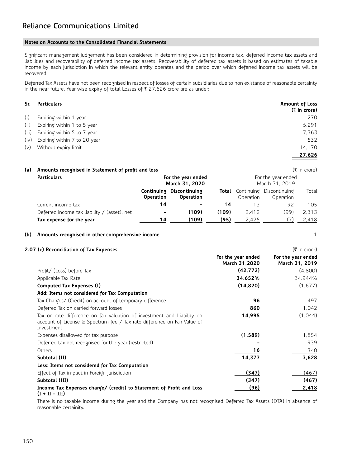Significant management judgement has been considered in determining provision for income tax, deferred income tax assets and liabilities and recoverability of deferred income tax assets. Recoverability of deferred tax assets is based on estimates of taxable income by each jurisdiction in which the relevant entity operates and the period over which deferred income tax assets will be recovered.

Deferred Tax Assets have not been recognised in respect of losses of certain subsidiaries due to non existance of reasonable certainty in the near future, Year wise expiry of total Losses of  $\bar{\tau}$  27,626 crore are as under:

|       | Sr. Particulars                   | <b>Amount of Loss</b><br>(₹ in crore) |
|-------|-----------------------------------|---------------------------------------|
| (i)   | Expiring within 1 year            | 270                                   |
| (ii)  | Expiring within 1 to 5 year       | 5.291                                 |
| (iii) | Expiring within 5 to 7 year       | 7.363                                 |
|       | (iv) Expiring within 7 to 20 year | 532                                   |
|       | (v) Without expiry limit          | 14.170                                |
|       |                                   | 27,626                                |

| (a) | Amounts recognised in Statement of profit and loss |                  |                                              |       | $(\bar{\bar{\mathbf{z}}}$ in crore)  |                                      |       |  |
|-----|----------------------------------------------------|------------------|----------------------------------------------|-------|--------------------------------------|--------------------------------------|-------|--|
|     | <b>Particulars</b>                                 |                  | For the year ended<br>March 31, 2020         |       |                                      | For the year ended<br>March 31, 2019 |       |  |
|     |                                                    | <b>Operation</b> | Continuing Discontinuing<br><b>Operation</b> |       | <b>Total</b> Continuing<br>Operation | Discontinuing<br>Operation           | Total |  |
|     | Current income tax                                 | 14               |                                              | 14    |                                      | 92                                   | 105   |  |
|     | Deferred income tax liability / (asset), net       |                  | (109)                                        | (109) | 2.412                                | (99)                                 | 2,313 |  |
|     | Tax expense for the year                           | 14               | (109)                                        | (95)  | 2.425                                | (7)                                  | 2.418 |  |

#### **(b) Amounts recognised in other comprehensive income** - 1

### **2.07 (c) Reconciliation of Tax Expenses** (₹ in crore)

**For the year ended March 31,2020 For the year ended March 31, 2019** Profit/ (Loss) before Tax **(42,772)** (4,800) Applicable Tax Rate **34.652%** 34.944% **Computed Tax Expenses (I) (14,820)** (1,677) **Add: Items not considered for Tax Computation** Tax Charges/ (Credit) on account of temporary difference **96** 497 Deferred Tax on carried forward losses **860** 1,042 Tax on rate difference on fair valuation of investment and Liability on account of License & Spectrum fee / Tax rate difference on Fair Value of Investment  **14,995** (1,044) Expenses disallowed for tax purpose **(1,589)** 1,854 Deferred tax not recognised for the year (restricted) **-** 939 Others **16** 340 **Subtotal (II) 14,377 3,628 Less: Items not considered for Tax Computation** Effect of Tax impact in Foreign jurisdiction **(347)** (467) **Subtotal (III) (347) (467) Income Tax Expenses charge/ (credit) to Statement of Profit and Loss (96) 2,418**

#### **(I + II - III)**

There is no taxable income during the year and the Company has not recognised Deferred Tax Assets (DTA) in absence of reasonable certainity.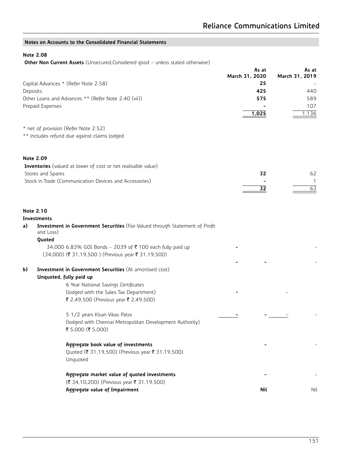# **Note 2.08**

**Other Non Current Assets** (Unsecured, Considered good - unless stated otherwise)

|                   |                                                                                     | As at<br>March 31, 2020 | As at<br>March 31, 2019 |
|-------------------|-------------------------------------------------------------------------------------|-------------------------|-------------------------|
|                   | Capital Advances * (Refer Note 2.58)                                                | 25                      |                         |
| Deposits          |                                                                                     | 425                     | 440                     |
|                   | Other Loans and Advances ** (Refer Note 2.40 (vii))                                 | 575                     | 589                     |
| Prepaid Expenses  |                                                                                     |                         | 107                     |
|                   |                                                                                     | 1,025                   | 1,136                   |
|                   | * net of provision (Refer Note 2.52)                                                |                         |                         |
|                   | ** includes refund due against claims lodged                                        |                         |                         |
| Note 2.09         |                                                                                     |                         |                         |
|                   | <b>Inventories</b> (valued at lower of cost or net realisable value)                |                         |                         |
| Stores and Spares |                                                                                     | 32                      | 62                      |
|                   | Stock in Trade (Communication Devices and Accessories)                              | 32                      | 1<br>63                 |
| Note 2.10         |                                                                                     |                         |                         |
| Investments       |                                                                                     |                         |                         |
| a)<br>and Loss)   | <b>Investment in Government Securities</b> (Fair Valued through Statement of Profit |                         |                         |
| <b>Quoted</b>     |                                                                                     |                         |                         |
|                   | 34,000 6.83% GOI Bonds - 2039 of ₹ 100 each fully paid up                           |                         |                         |
|                   | (34,000) (₹ 31,19,500) (Previous year ₹ 31,19,500)                                  |                         |                         |
| b)                | Investment in Government Securities (At amortised cost)                             |                         |                         |
|                   | Unquoted, fully paid up                                                             |                         |                         |
|                   | 6 Year National Savings Certificates                                                |                         |                         |
|                   | (lodged with the Sales Tax Department)                                              |                         |                         |
|                   | ₹ 2,49,500 (Previous year ₹ 2,49,500)                                               |                         |                         |
|                   | 5 1/2 years Kisan Vikas Patra                                                       |                         |                         |
|                   | (lodged with Chennai Metropolitan Development Authority)<br>₹ 5,000 (₹ 5,000)       |                         |                         |
|                   | Aggregate book value of investments                                                 |                         |                         |
|                   | Quoted (₹ 31,19,500) (Previous year ₹ 31,19,500)<br>Unquoted                        |                         |                         |
|                   | Aggregate market value of quoted investments                                        |                         |                         |
|                   | (₹ 34,10,200) (Previous year ₹ 31,19,500)                                           |                         |                         |
|                   | Aggregate value of Impairment                                                       | <b>Nil</b>              | Nil                     |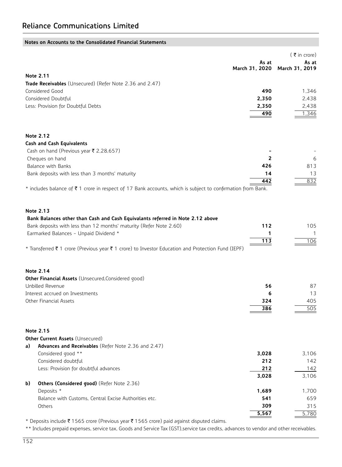|    |                                                                                                            |                | $($ ₹ in crore) |
|----|------------------------------------------------------------------------------------------------------------|----------------|-----------------|
|    |                                                                                                            | As at          | As at           |
|    |                                                                                                            | March 31, 2020 | March 31, 2019  |
|    | Note 2.11<br>Trade Receivables (Unsecured) (Refer Note 2.36 and 2.47)                                      |                |                 |
|    | Considered Good                                                                                            | 490            | 1,346           |
|    | Considered Doubtful                                                                                        | 2,350          | 2,438           |
|    | Less: Provision for Doubtful Debts                                                                         | 2,350          | 2,438           |
|    |                                                                                                            | 490            | 1,346           |
|    |                                                                                                            |                |                 |
|    | Note 2.12                                                                                                  |                |                 |
|    | Cash and Cash Equivalents                                                                                  |                |                 |
|    | Cash on hand (Previous year ₹ 2,28,657)                                                                    |                |                 |
|    | Cheques on hand                                                                                            | 2              | 6               |
|    | Balance with Banks                                                                                         | 426            | 813             |
|    | Bank deposits with less than 3 months' maturity                                                            | 14             | 13              |
|    |                                                                                                            | 442            | 832             |
|    | * includes balance of ₹1 crore in respect of 17 Bank accounts, which is subject to confirmation from Bank. |                |                 |
|    | Note 2.13                                                                                                  |                |                 |
|    | Bank Balances other than Cash and Cash Equivalants referred in Note 2.12 above                             |                |                 |
|    | Bank deposits with less than 12 months' maturity (Refer Note 2.60)                                         | 112            | 105             |
|    | Earmarked Balances - Unpaid Dividend *                                                                     | 1              | $\mathbf{1}$    |
|    | * Transferred ₹ 1 crore (Previous year ₹ 1 crore) to Investor Education and Protection Fund (IEPF)         | 113            | 106             |
|    | Note 2.14                                                                                                  |                |                 |
|    | Other Financial Assets (Unsecured, Considered good)                                                        |                |                 |
|    | Unbilled Revenue                                                                                           | 56             | 87              |
|    | Interest accrued on Investments                                                                            | 6              | 13              |
|    | Other Financial Assets                                                                                     | 324            | 405             |
|    |                                                                                                            | 386            | 505             |
|    | Note 2.15                                                                                                  |                |                 |
|    | Other Current Assets (Unsecured)                                                                           |                |                 |
| a) | Advances and Receivables (Refer Note 2.36 and 2.47)                                                        |                |                 |
|    | Considered good **                                                                                         | 3,028          | 3,106           |
|    | Considered doubtful                                                                                        | 212            | 142             |
|    | Less: Provision for doubtful advances                                                                      | 212            | 142             |
|    |                                                                                                            | 3,028          | 3,106           |
| b) | Others (Considered good) (Refer Note 2.36)                                                                 |                |                 |
|    | Deposits *                                                                                                 | 1,689          | 1,700           |
|    | Balance with Customs, Central Excise Authorities etc.                                                      | 541            | 659             |
|    | Others                                                                                                     | 309            | 315             |
|    |                                                                                                            | 5,567          | 5,780           |

\* Deposits include ₹ 1565 crore (Previous year ₹ 1565 crore) paid against disputed claims.

\*\* Includes prepaid expenses, service tax, Goods and Service Tax (GST),service tax credits, advances to vendor and other receivables.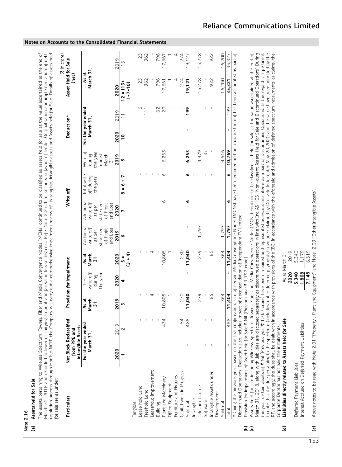| ä, |  |
|----|--|
| ۱  |  |
|    |  |
|    |  |

| ֖֖֖֖֧֖֪ׅ֖֧֚֚֚֚֚֚֚֚֚֚֚֚֚֚֚֚֚֚֚֚֚֚֚֚֚֚֚֚֬֝֝֝ |
|--------------------------------------------|
| f.                                         |
|                                            |
|                                            |
| Л<br>ï<br>ı                                |
| í                                          |
|                                            |
|                                            |

| Particulars                            | Net Block Reclassifie<br>intangible Assets<br>from PPE and | ত                  |                       | Provision for impairment                 |                                   |                                                                         |                                                                         | Write off                             |                                                                     | Deduction*                      |                          | Asset Held for Sale<br>(net) | $(5)$ in crore) |
|----------------------------------------|------------------------------------------------------------|--------------------|-----------------------|------------------------------------------|-----------------------------------|-------------------------------------------------------------------------|-------------------------------------------------------------------------|---------------------------------------|---------------------------------------------------------------------|---------------------------------|--------------------------|------------------------------|-----------------|
|                                        | March 31,                                                  | For the year ended | March,<br>As at<br>57 | write off<br>the year<br>during<br>Less: | March,<br>As at<br>$\overline{5}$ | Additional<br>statement<br>and Loss<br>write off<br>of Profit<br>as per | Additional<br>statement<br>and Loss<br>of Profit<br>write off<br>as per | Total write<br>off during<br>the year | the year<br>Write of<br>March<br>during<br>ended<br>$\overline{51}$ | For the year ended<br>March 31, |                          | March 31<br>As at            |                 |
|                                        | 2020                                                       | 2019               | 2019                  | 2020                                     | 2020                              | 2019                                                                    | 2020                                                                    |                                       | 2019                                                                | 2020                            | ത<br>$\overline{5}$      | 2020                         | 2019            |
|                                        |                                                            | $\sim$             | m                     | 4                                        | $\mathbf{f}$<br>н<br>un,<br>m     | ۰                                                                       | r                                                                       | r<br>÷<br>o<br>п<br>$\infty$          | ۰                                                                   | ő                               | Ξ                        | $12 = (13 +$<br>$1 - 7 - 10$ | $\frac{1}{2}$   |
| Tangible                               |                                                            |                    |                       |                                          |                                   |                                                                         |                                                                         |                                       |                                                                     |                                 |                          |                              |                 |
| Lease hold Land                        |                                                            |                    |                       |                                          |                                   |                                                                         |                                                                         |                                       |                                                                     |                                 | $\circ$                  | 23                           | 23              |
| Freehold Land                          |                                                            |                    |                       |                                          |                                   |                                                                         |                                                                         |                                       |                                                                     |                                 | $\frac{1}{11}$           | 362                          | 362             |
| Leasehold Improvement                  |                                                            |                    | 4                     |                                          | 4                                 |                                                                         |                                                                         |                                       |                                                                     |                                 |                          |                              |                 |
| Building                               |                                                            |                    |                       |                                          |                                   |                                                                         |                                                                         |                                       |                                                                     |                                 | 62                       | 796                          | 796             |
| Plant and Machinery                    |                                                            | 434                | 10,805                |                                          | 10,805                            |                                                                         | $\circ$                                                                 | $\circ$                               | 6,253                                                               |                                 | 20                       | 17,661                       | 17,667          |
| Office Equipment                       |                                                            |                    |                       |                                          |                                   |                                                                         |                                                                         |                                       |                                                                     |                                 |                          |                              |                 |
| Furniture and Fixtures                 |                                                            |                    |                       |                                          |                                   |                                                                         |                                                                         |                                       |                                                                     | $\overline{1}$                  |                          |                              |                 |
| Capital work in Progress               |                                                            | 54                 | 230                   |                                          | 230                               |                                                                         |                                                                         |                                       |                                                                     | $\blacksquare$                  |                          | 274                          | 274             |
| Subtotal                               |                                                            | 488                | 11,040                | Ţ                                        | 11,040                            | ı                                                                       | ۰o                                                                      | ۰                                     | 6,253                                                               | $\blacksquare$                  | <b>199</b>               | 19,121                       | 19,127          |
| Intangible                             |                                                            |                    |                       |                                          |                                   |                                                                         |                                                                         |                                       |                                                                     |                                 |                          |                              |                 |
| Telecom License                        |                                                            |                    | 279                   |                                          | 279                               | 1,797                                                                   |                                                                         |                                       | 4,479                                                               |                                 |                          | 15,278                       | 15,278          |
| Software                               |                                                            |                    |                       |                                          |                                   |                                                                         |                                                                         |                                       | 57                                                                  |                                 |                          |                              |                 |
| Intangible Assets under<br>Development |                                                            |                    | 85                    |                                          | 85                                |                                                                         |                                                                         |                                       |                                                                     |                                 | $\overline{\phantom{a}}$ | 922                          | 922             |
| Subtotal                               |                                                            | I.                 | 364                   |                                          | 364                               | 1.797                                                                   | ı                                                                       |                                       | 4,516                                                               |                                 |                          | 16,200                       | 16,200          |
| Total                                  |                                                            | 488                | 11,404                |                                          | 11,404                            | 1.797                                                                   | o                                                                       | o                                     | 10.769                                                              |                                 | 99                       | 35,321                       | 35.32.          |

**(d) Liabilities directly related to Assets held for Sale** As at March 31,

Liabilities directly related to Assets held for Sale

 $\widehat{\mathbf{c}}$ 

Deferred Payment Liabilities **5,340** 5,340 Interest Accrued on Deferred Payment Liabilities **1,808** 1,179

Interest Accrued on Deferred Payment Liabilities

Deferred Payment Liabilities

**2020** 2019

As at March 31,

2019<br>5,340 1,179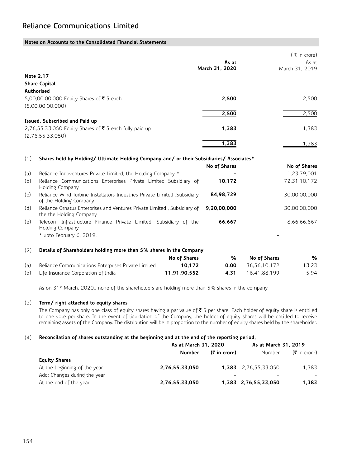|     |                                                                                                      |              |                |              | $(5 \nvert \bar{5})$ in crore) |
|-----|------------------------------------------------------------------------------------------------------|--------------|----------------|--------------|--------------------------------|
|     |                                                                                                      |              | As at          |              | As at                          |
|     |                                                                                                      |              | March 31, 2020 |              | March 31, 2019                 |
|     | Note 2.17                                                                                            |              |                |              |                                |
|     | <b>Share Capital</b>                                                                                 |              |                |              |                                |
|     | Authorised                                                                                           |              |                |              |                                |
|     | 5,00,00,00,000 Equity Shares of ₹ 5 each                                                             |              | 2,500          |              | 2,500                          |
|     | (5,00,00,00,000)                                                                                     |              |                |              |                                |
|     |                                                                                                      |              | 2,500          |              | 2,500                          |
|     | Issued, Subscribed and Paid up                                                                       |              |                |              |                                |
|     | 2,76,55,33,050 Equity Shares of ₹ 5 each fully paid up                                               |              | 1,383          |              | 1,383                          |
|     | (2,76,55,33,050)                                                                                     |              |                |              |                                |
|     |                                                                                                      |              | 1,383          |              | 1,383                          |
| (1) | Shares held by Holding/ Ultimate Holding Company and/ or their Subsidiaries/ Associates*             |              |                |              |                                |
|     |                                                                                                      |              | No of Shares   |              | No of Shares                   |
| (a) | Reliance Innoventures Private Limited, the Holding Company *                                         |              |                |              | 1,23,79,001                    |
| (b) | Reliance Communications Enterprises Private Limited Subsidiary of<br>Holding Company                 |              | 10,172         |              | 72,31,10,172                   |
| (c) | Reliance Wind Turbine Installators Industries Private Limited , Subsidiary<br>of the Holding Company |              | 84,98,729      |              | 30,00,00,000                   |
| (d) | Reliance Ornatus Enterprises and Ventures Private Limited, Subsidiary of<br>the the Holding Company  |              | 9,20,00,000    |              | 30,00,00,000                   |
| (e) | Telecom Infrastructure Finance Private Limited, Subsidiary of the<br>Holding Company                 |              | 66,667         |              | 8,66,66,667                    |
|     | * upto February 6, 2019.                                                                             |              |                |              |                                |
| (2) | Details of Shareholders holding more then 5% shares in the Company                                   |              |                |              |                                |
|     |                                                                                                      | No of Shares | %              | No of Shares | %                              |
| (a) | Reliance Communications Enterprises Private Limited                                                  | 10,172       | 0.00           | 36,56,10,172 | 13.23                          |
| (b) | Life Insurance Corporation of India                                                                  | 11,91,90,552 | 4.31           | 16,41,88,199 | 5.94                           |

As on 31<sup>st</sup> March, 2020,, none of the shareholders are holding more than 5% shares in the company

# (3) **Term/ right attached to equity shares**

The Company has only one class of equity shares having a par value of  $\bar{\tau}$  5 per share. Each holder of equity share is entitiled to one vote per share. In the event of liquidation of the Company, the holder of equity shares will be entitled to receive remaining assets of the Company. The distribution will be in proportion to the number of equity shares held by the shareholder.

### (4) **Reconcilation of shares outstanding at the beginning and at the end of the reporting period,**

|                              | As at March 31, 2020 |                | As at March 31, 2019        |                         |
|------------------------------|----------------------|----------------|-----------------------------|-------------------------|
|                              | <b>Number</b>        | $(5$ in crore) | Number                      | $(\bar{\tau}$ in crore) |
| <b>Equity Shares</b>         |                      |                |                             |                         |
| At the beginning of the year | 2,76,55,33,050       |                | <b>1,383</b> 2.76.55.33.050 | 1.383                   |
| Add: Changes during the year |                      |                |                             |                         |
| At the end of the year       | 2,76,55,33,050       |                | 1,383 2,76,55,33,050        | 1,383                   |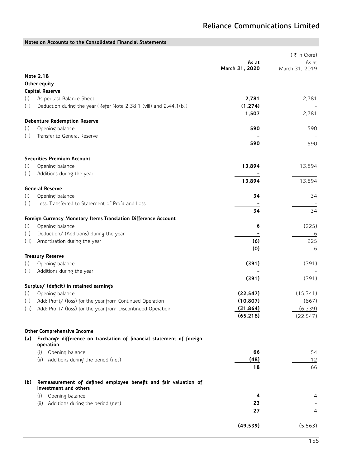|             |                                                                                                               | As at<br>March 31, 2020 | (₹in Crore)<br>As at<br>March 31, 2019 |
|-------------|---------------------------------------------------------------------------------------------------------------|-------------------------|----------------------------------------|
|             | Note 2.18                                                                                                     |                         |                                        |
|             | Other equity                                                                                                  |                         |                                        |
|             | <b>Capital Reserve</b>                                                                                        |                         |                                        |
| (i)         | As per last Balance Sheet                                                                                     | 2,781                   | 2,781                                  |
| (ii)        | Deduction during the year (Refer Note 2.38.1 (viii) and 2.44.1(b))                                            | (1, 274)                |                                        |
|             |                                                                                                               | 1,507                   | 2,781                                  |
|             | <b>Debenture Redemption Reserve</b>                                                                           |                         |                                        |
| (i)         | Opening balance                                                                                               | 590                     | 590                                    |
| (ii)        | Transfer to General Reserve                                                                                   |                         |                                        |
|             |                                                                                                               | 590                     | 590                                    |
|             | <b>Securities Premium Account</b>                                                                             |                         |                                        |
| (i)         | Opening balance                                                                                               | 13,894                  | 13,894                                 |
| (ii)        | Additions during the year                                                                                     |                         |                                        |
|             |                                                                                                               | 13,894                  | 13,894                                 |
|             | <b>General Reserve</b>                                                                                        |                         |                                        |
| (i)         | Opening balance                                                                                               | 34                      | 34                                     |
| (ii)        | Less: Transferred to Statement of Profit and Loss                                                             |                         |                                        |
|             |                                                                                                               | 34                      | 34                                     |
|             | Foreign Currency Monetary Items Translation Difference Account                                                |                         |                                        |
| (i)         | Opening balance                                                                                               | 6                       | (225)                                  |
| (ii)        | Deduction/ (Additions) during the year                                                                        |                         | 6                                      |
| (iii)       | Amortisation during the year                                                                                  | (6)                     | 225                                    |
|             |                                                                                                               | (0)                     | 6                                      |
|             | <b>Treasury Reserve</b>                                                                                       |                         |                                        |
| (i)<br>(ii) | Opening balance<br>Additions during the year                                                                  | (391)                   | (391)                                  |
|             |                                                                                                               | (391)                   | (391)                                  |
|             | Surplus/ (deficit) in retained earnings                                                                       |                         |                                        |
| (i)         | Opening balance                                                                                               | (22, 547)               | (15, 341)                              |
| (ii)        | Add: Profit/ (loss) for the year from Continued Operation                                                     | (10, 807)               | (867)                                  |
| (iii)       | Add: Profit/ (loss) for the year from Discontinued Operation                                                  | (31, 864)               | (6, 339)                               |
|             |                                                                                                               | (65, 218)               | (22, 547)                              |
|             |                                                                                                               |                         |                                        |
|             | <b>Other Comprehensive Income</b><br>(a) Exchange difference on translation of financial statement of foreign |                         |                                        |
|             | operation                                                                                                     |                         |                                        |
|             | (i)<br>Opening balance                                                                                        | 66                      | 54                                     |
|             | (ii) Additions during the period (net)                                                                        | (48)                    | 12                                     |
|             |                                                                                                               | 18                      | 66                                     |
| (b)         | Remeasurement of defined employee benefit and fair valuation of<br>investment and others                      |                         |                                        |
|             | Opening balance<br>(i)                                                                                        | 4                       | 4                                      |
|             | (ii) Additions during the period (net)                                                                        | 23                      |                                        |
|             |                                                                                                               | 27                      | $\overline{4}$                         |
|             |                                                                                                               | (49, 539)               | (5, 563)                               |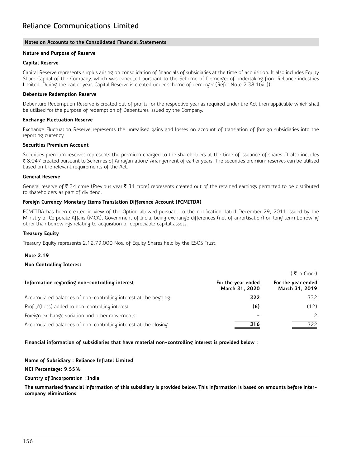### **Nature and Purpose of Reserve**

### **Capital Reserve**

Capital Reserve represents surplus arising on consolidation of financials of subsidiaries at the time of acquisition. It also includes Equity Share Capital of the Company, which was cancelled pursuant to the Scheme of Demerger of undertaking from Reliance industries Limited. During the earlier year, Capital Reserve is created under scheme of demerger (Refer Note 2.38.1(viii))

### **Debenture Redemption Reserve**

Debenture Redemption Reserve is created out of profits for the respective year as required under the Act then applicable which shall be utilised for the purpose of redemption of Debentures issued by the Company.

### **Exchange Fluctuation Reserve**

Exchange Fluctuation Reserve represents the unrealised gains and losses on account of translation of foreign subsidiaries into the reporting currency

### **Securities Premium Account**

Securities premium reserves represents the premium charged to the shareholders at the time of issuance of shares. It also includes ` 8,047 created pursuant to Schemes of Amagamation/ Arrangement of earlier years. The securities premium reserves can be utilised based on the relevant requirements of the Act.

### **General Reserve**

General reserve of  $\bar{\tau}$  34 crore (Previous year  $\bar{\tau}$  34 crore) represents created out of the retained earnings permitted to be distributed to shareholders as part of dividend.

### **Foreign Currency Monetary Items Translation Difference Account (FCMITDA)**

FCMITDA has been created in view of the Option allowed pursuant to the notification dated December 29, 2011 issued by the Ministry of Corporate Affairs (MCA), Government of India, being exchange differences (net of amortisation) on long term borrowing other than borrowings relating to acquisition of depreciable capital assets.

### **Treasury Equity**

Treasury Equity represents 2,12,79,000 Nos. of Equity Shares held by the ESOS Trust.

### **Note 2.19**

### **Non Controlling Interest**

|                                                                 |                                      | 〔₹ in Crore)                         |
|-----------------------------------------------------------------|--------------------------------------|--------------------------------------|
| Information regarding non-controlling interest                  | For the year ended<br>March 31, 2020 | For the year ended<br>March 31, 2019 |
| Accumulated balances of non-controlling interest at the begning | 322                                  | 332                                  |
| Profit/(Loss) added to non-controlling interest                 | (6)                                  | (12)                                 |
| Foreign exchange variation and other movements                  |                                      | $\mathcal{P}$                        |
| Accumulated balances of non-controlling interest at the closing | 316                                  | 322                                  |

**Financial information of subsidiaries that have material non-controlling interest is provided below :**

**Name of Subsidiary : Reliance Infratel Limited**

**NCI Percentage: 9.55%**

### **Country of Incorporation : India**

**The summarised financial information of this subsidiary is provided below. This information is based on amounts before intercompany eliminations**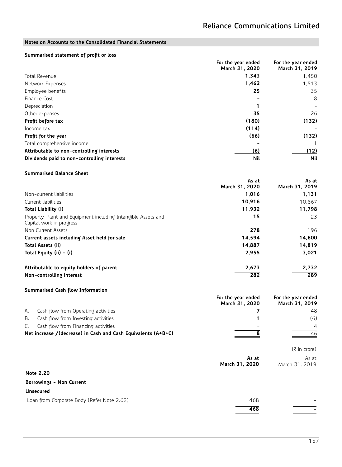# **Summarised statement of profit or loss**

|                                             | For the year ended<br>March 31, 2020 | For the year ended<br>March 31, 2019 |
|---------------------------------------------|--------------------------------------|--------------------------------------|
| Total Revenue                               | 1,343                                | 1.450                                |
| Network Expenses                            | 1,462                                | 1,513                                |
| Employee benefits                           | 25                                   | 35                                   |
| Finance Cost                                |                                      | 8                                    |
| Depreciation                                |                                      |                                      |
| Other expenses                              | 35                                   | 26                                   |
| Profit before tax                           | (180)                                | (132)                                |
| Income tax                                  | (114)                                |                                      |
| Profit for the year                         | (66)                                 | (132)                                |
| Total comprehensive income                  |                                      |                                      |
| Attributable to non-controlling interests   | (6)                                  | (12)                                 |
| Dividends paid to non-controlling interests | Nil                                  | <b>Nil</b>                           |

### **Summarised Balance Sheet**

|                                                                                           | As at          | As at          |
|-------------------------------------------------------------------------------------------|----------------|----------------|
|                                                                                           | March 31, 2020 | March 31, 2019 |
| Non-current liabilities<br>Total Equity (ii) - (i)                                        | 1,016          | 1,131          |
| Current liabilities                                                                       | 10.916         | 10,667         |
| Total Liability (i)                                                                       | 11.932         | 11.798         |
| Property, Plant and Equipment including Intangible Assets and<br>Capital work in progress | 15             | 23             |
| Non Current Assets                                                                        | 278            | 196            |
| Current assets including Asset held for sale                                              | 14,594         | 14,600         |
| Total Assets (ii)                                                                         | 14.887         | 14,819         |
|                                                                                           | 2,955          | 3,021          |
| Attributable to equity holders of parent                                                  | 2,673          | 2,732          |
| Non-controlling interest                                                                  | 282            | 289            |

# **Summarised Cash flow Information**

|    |                                                                | For the year ended<br>March 31, 2020 | For the year ended<br>March 31, 2019 |
|----|----------------------------------------------------------------|--------------------------------------|--------------------------------------|
|    | A. Cash flow from Operating activities                         |                                      | 48.                                  |
| B. | Cash flow from Investing activities                            |                                      | (6)                                  |
| C. | Cash flow from Financing activities                            |                                      | $\overline{4}$                       |
|    | Net increase / (decrease) in Cash and Cash Equivalents (A+B+C) |                                      | 46                                   |

|                                            |                         | $(\bar{\bar{\mathbf{z}}}$ in crore) |
|--------------------------------------------|-------------------------|-------------------------------------|
|                                            | As at<br>March 31, 2020 | As at<br>March 31, 2019             |
| Note 2.20                                  |                         |                                     |
| Borrowings - Non Current                   |                         |                                     |
| <b>Unsecured</b>                           |                         |                                     |
| Loan from Corporate Body (Refer Note 2.62) | 468                     | -                                   |
|                                            | 468                     | -                                   |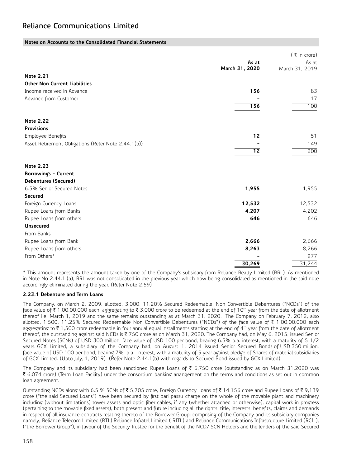|                                                     |                | $($ ₹ in crore) |
|-----------------------------------------------------|----------------|-----------------|
|                                                     | As at          | As at           |
|                                                     | March 31, 2020 | March 31, 2019  |
| <b>Note 2.21</b>                                    |                |                 |
| <b>Other Non Current Liabilities</b>                |                |                 |
| Income received in Advance                          | 156            | 83              |
| Advance from Customer                               |                | 17              |
|                                                     | 156            | 100             |
| <b>Note 2.22</b>                                    |                |                 |
| <b>Provisions</b>                                   |                |                 |
| Employee Benefits                                   | 12             | 51              |
| Asset Retirement Obligations (Refer Note 2.44.1(b)) |                | 149             |
|                                                     | 12             | 200             |
| Note 2.23                                           |                |                 |
| Borrowings - Current                                |                |                 |
| Debentures (Secured)                                |                |                 |
| 6.5% Senior Secured Notes                           | 1,955          | 1,955           |
| Secured                                             |                |                 |
| Foreign Currency Loans                              | 12,532         | 12,532          |
| Rupee Loans from Banks                              | 4,207          | 4,202           |
| Rupee Loans from others                             | 646            | 646             |
| <b>Unsecured</b>                                    |                |                 |
| From Banks                                          |                |                 |
| Rupee Loans from Bank                               | 2,666          | 2,666           |
| Rupee Loans from others                             | 8,263          | 8,266           |
| From Others*                                        |                | 977             |
|                                                     | 30,269         | 31.244          |

\* This amount represents the amount taken by one of the Company's subsidary from Reliance Realty Limited (RRL). As mentioned in Note No 2.44.1.(a), RRL was not consolidated in the previous year which now being consolidated as mentioned in the said note accordingly eliminated during the year. (Refer Note 2.59)

# **2.23.1 Debenture and Term Loans**

The Company, on March 2, 2009, allotted, 3,000, 11.20% Secured Redeemable, Non Convertible Debentures ("NCDs") of the face value of  $\bar{\tau}$  1,00,00,000 each, aggregating to  $\bar{\tau}$  3,000 crore to be redeemed at the end of 10<sup>th</sup> year from the date of allotment thereof i.e. March 1, 2019 and the same remains outstanding as at March 31, 2020. The Company on February 7, 2012, also allotted, 1,500, 11,25% Secured Redeemable Non Convertible Debentures ("NCDs") of the face value of  $\bar{\tau}$  1,00,00,000 each aggregating to  $\bar{\tau}$  1,500 crore redeemable in four annual equal installments starting at the end of 4<sup>th</sup> year from the date of allotment thereof, the outstanding against said NCDs is ₹ 750 crore as on March 31, 2020. The Company had, on May 6, 2015, issued Senior Secured Notes (SCNs) of USD 300 million, face value of USD 100 per bond, bearing 6.5% p.a. interest, with a maturity of 5 1/2 years. GCX Limited, a subsidiary of the Company had, on August 1, 2014 issued Senior Secured Bonds of USD 350 million, face value of USD 100 per bond, bearing 7% p.a. interest, with a maturity of 5 year against pledge of Shares of material subsidiaries of GCX Limited. (Upto July, 1, 2019) (Refer Note 2.44.1(b) with regards to Secured Bond issued by GCX Limited)

The Company and its subsidiary had been sanctioned Rupee Loans of  $\bar{\epsilon}$  6,750 crore (outstanding as on March 31,2020 was  $\bar{\epsilon}$  6,074 crore) (Term Loan Facility) under the consortium banking arrangement on the terms and conditions as set out in common loan agreement.

Outstanding NCDs along with 6.5 % SCNs of  $\xi$  5,705 crore, Foreign Currency Loans of  $\xi$  14,156 crore and Rupee Loans of  $\xi$  9,139 crore ("the said Secured Loans") have been secured by first pari passu charge on the whole of the movable plant and machinery including (without limitations) tower assets and optic fiber cables, if any (whether attached or otherwise), capital work in progress (pertaining to the movable fixed assets), both present and future including all the rights, title, interests, benefits, claims and demands in respect of all insurance contracts relating thereto of the Borrower Group; comprising of the Company and its subsidiary companies namely; Reliance Telecom Limited (RTL),Reliance Infratel Limited ( RITL) and Reliance Communications Infrastructure Limited (RCIL), ("the Borrower Group"), in favour of the Security Trustee for the benefit of the NCD/ SCN Holders and the lenders of the said Secured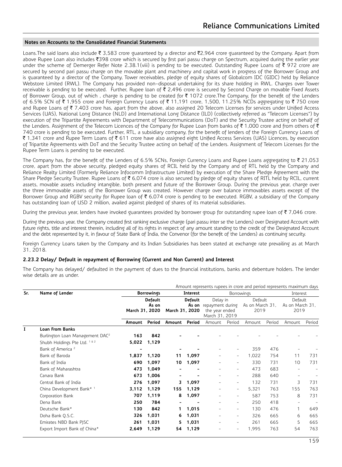Loans.The said loans also include  $\bar{\xi}$  3,583 crore guaranteed by a director and  $\bar{\xi}$ 2,964 crore guaranteed by the Company. Apart from above Rupee Loan also includes ₹398 crore which is secured by first pari passu charge on Spectrum, acquired during the earlier year under the scheme of Demerger Refer Note 2.38.1(viii) is pending to be executed. Outstanding Rupee Loans of  $\bar{z}$  972 crore are secured by second pari passu charge on the movable plant and machinery and capital work in progress of the Borrower Group and is guaranteed by a director of the Company, Tower receivables, pledge of equity shares of Globalcom IDC (GIDC) held by Reliance Webstore Limited (RWL). The Company has provided non-disposal undertaking for its share holding in RWL. Charges over Tower receivable is pending to be executed. Further, Rupee loan of  $\bar{\tau}$  2,496 crore is secured by Second Charge on movable Fixed Assets of Borrower Group, out of which, charge is pending to be created for  $\bar{\tau}$  1072 crore.The Company, for the benefit of the Lenders of 6.5% SCN of  $\bar{\tau}$  1,955 crore and Foreign Currency Loans of  $\bar{\tau}$  11,191 crore, 1,500, 11.25% NCDs aggregating to  $\bar{\tau}$  750 crore and Rupee Loans of  $\bar{\tau}$  7,403 crore has, apart from the above, also assigned 20 Telecom Licenses for services under Unified Access Services (UAS), National Long Distance (NLD) and International Long Distance (ILD) (collectively referred as "Telecom Licenses") by execution of the Tripartite Agreements with Department of Telecommunications (DoT) and the Security Trustee acting on behalf of the Lenders. Assignment of the Telecom Licences of the Company for Rupee Loan from banks of  $\bar{\tau}$  1,000 crore and from others of  $\bar{\tau}$ 740 crore is pending to be executed. Further, RTL, a subsidiary company, for the benefit of lenders of the Foreign Currency Loans of ` 1,341 crore and Rupee Term Loans of ` 611 crore have also assigned eight Unified Access Services (UAS) Licences, by execution of Tripartite Agreements with DoT and the Security Trustee acting on behalf of the Lenders. Assignment of Telecom Licenses for the Rupee Term Loans is pending to be executed.

The Company has, for the benefit of the Lenders of 6.5% SCNs, Foreign Currency Loans and Rupee Loans aggregating to  $\bar{\tau}$  21,053 crore, apart from the above security, pledged equity shares of RCIL held by the Company and of RTL held by the Company and Reliance Realty Limited (Formerly Reliance Infocomm Infrastructure Limited) by execution of the Share Pledge Agreement with the Share Pledge Security Trustee. Rupee Loans of ₹6,074 crore is also secured by pledge of equity shares of RITL held by RCIL, current assets, movable assets including intangible, both present and future of the Borrower Group. During the previous year, charge over the three immovable assets of the Borrower Group was created. However charge over balance immovables assets except of the Borrower Group and RGBV security for Rupee loan of  $\bar{\tau}$  6,074 crore is pending to be executed. RGBV, a subsidiary of the Company has outstanding loan of USD 2 million, availed against pledged of shares of its material subsidiaries.

During the previous year, lenders have invoked guarantees provided by borrower group for outstanding rupee loan of  $\bar{\tau}$  7,046 crore.

During the previous year, the Company created first ranking exclusive charge (pari passu inter se the Lenders) over Designated Account with future rights, title and interest therein, including all of its rights in respect of any amount standing to the credit of the Designated Account and the debt represented by it, in favour of State Bank of India, the Convenor (for the benefit of the Lenders) as continuing security.

Foreign Currency Loans taken by the Company and its Indian Subsidiaries has been stated at exchange rate prevailing as at March 31, 2018.

#### **2.23.2 Delay/ Default in repayment of Borrowing (Current and Non Current) and Interest**

The Company has delayed/ defaulted in the payment of dues to the financial institutions, banks and debenture holders. The lender wise details are as under.

Amount represents rupees in crore and period represents maximum days

| Sr. | Name of Lender                              |                | <b>Borrowings</b> |                | Interest |                                                                        | <b>Borrowings</b>        |                                    |        | Interest                           |                          |
|-----|---------------------------------------------|----------------|-------------------|----------------|----------|------------------------------------------------------------------------|--------------------------|------------------------------------|--------|------------------------------------|--------------------------|
|     |                                             | March 31, 2020 | Default<br>As on  | March 31, 2020 | Default  | Delay in<br>As on repayment during<br>the year ended<br>March 31, 2019 |                          | Default<br>As on March 31,<br>2019 |        | Default<br>As on March 31,<br>2019 |                          |
|     |                                             | Amount         | Period            | Amount         | Period   | Amount                                                                 | Period                   | Amount                             | Period | Amount                             | Period                   |
| I   | <b>Loan From Banks</b>                      |                |                   |                |          |                                                                        |                          |                                    |        |                                    |                          |
|     | Burlington Loan Management DAC <sup>2</sup> | 163            | 842               |                |          |                                                                        |                          |                                    |        |                                    |                          |
|     | Shubh Holdings Pte Ltd. 1 & 2               | 5,022          | 1,129             |                |          |                                                                        |                          |                                    |        |                                    |                          |
|     | Bank of America <sup>2</sup>                |                |                   |                |          |                                                                        | $\qquad \qquad -$        | 359                                | 476    |                                    |                          |
|     | Bank of Baroda                              | 1,837          | 1,120             | 11             | 1,097    |                                                                        | $\overline{\phantom{a}}$ | 1,022                              | 754    | 11                                 | 731                      |
|     | Bank of India                               | 690            | 1,097             | 10             | 1,097    |                                                                        | $\overline{\phantom{a}}$ | 330                                | 731    | 10                                 | 731                      |
|     | Bank of Maharashtra                         | 473            | 1,049             |                |          |                                                                        | $\overline{\phantom{0}}$ | 473                                | 683    |                                    | $\overline{\phantom{a}}$ |
|     | Canara Bank                                 | 673            | 1,006             |                |          |                                                                        | $\overline{\phantom{0}}$ | 288                                | 640    |                                    |                          |
|     | Central Bank of India                       | 276            | 1,097             | 3              | 1,097    |                                                                        | $\overline{\phantom{a}}$ | 132                                | 731    | 3                                  | 731                      |
|     | China Development Bank* 1                   | 3,112          | 1,129             | 155            | 1,129    |                                                                        | $\overline{\phantom{a}}$ | 5,321                              | 763    | 155                                | 763                      |
|     | Corporation Bank                            | 707            | 1,119             | 8              | 1,097    |                                                                        | $\overline{\phantom{0}}$ | 587                                | 753    | 8                                  | 731                      |
|     | Dena Bank                                   | 250            | 784               |                |          |                                                                        | $\overline{\phantom{0}}$ | 250                                | 418    |                                    |                          |
|     | Deutsche Bank*                              | 130            | 842               |                | 1,015    |                                                                        | $\overline{\phantom{a}}$ | 130                                | 476    |                                    | 649                      |
|     | Doha Bank Q.S.C.                            | 326            | 1,031             | 6              | 1,031    |                                                                        | $\overline{\phantom{0}}$ | 326                                | 665    | 6                                  | 665                      |
|     | Emirates NBD Bank PJSC                      | 261            | 1,031             | 5              | 1,031    |                                                                        | $\overline{\phantom{a}}$ | 261                                | 665    | 5                                  | 665                      |
|     | Export Import Bank of China*                | 2,649          | 1,129             | 54             | 1,129    |                                                                        | $\overline{\phantom{0}}$ | 1,995                              | 763    | 54                                 | 763                      |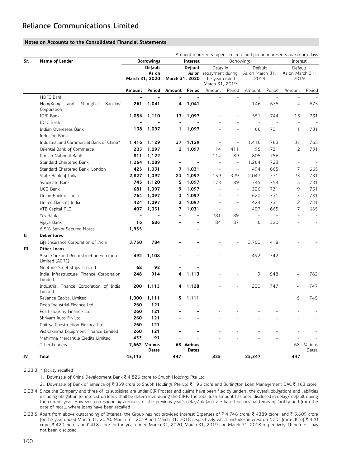|     |                                                             |                                    |                                             |                |                            | Amount represents rupees in crore and period represents maximum days   |                     |                                    |                |                                    |                          |
|-----|-------------------------------------------------------------|------------------------------------|---------------------------------------------|----------------|----------------------------|------------------------------------------------------------------------|---------------------|------------------------------------|----------------|------------------------------------|--------------------------|
| Sr. | Name of Lender                                              |                                    | <b>Borrowings</b><br>Interest<br>Borrowings |                |                            |                                                                        |                     |                                    | Interest       |                                    |                          |
|     |                                                             | Default<br>As on<br>March 31, 2020 |                                             |                | Default<br>March 31, 2020  | Delay in<br>As on repayment during<br>the year ended<br>March 31, 2019 |                     | Default<br>As on March 31,<br>2019 |                | Default<br>As on March 31,<br>2019 |                          |
|     |                                                             | Amount                             | Period                                      | Amount         | Period                     | Amount                                                                 | Period              | Amount                             | Period         | Amount                             | Period                   |
|     | <b>HDFC Bank</b>                                            |                                    |                                             |                | $\overline{a}$             |                                                                        |                     |                                    |                |                                    |                          |
|     | HongKong<br>and<br>Shanghai<br>Banking<br>Corporation       | 261                                | 1,041                                       | 4              | 1.041                      |                                                                        |                     | 146                                | 675            | $\overline{4}$                     | 675                      |
|     | <b>IDBI Bank</b>                                            | 1.056                              | 1,110                                       | 13             | 1.097                      |                                                                        |                     | 551                                | 744            | 13                                 | 731                      |
|     | <b>IDFC Bank</b>                                            |                                    |                                             |                |                            |                                                                        | L.                  | $\overline{a}$                     |                | $\bar{a}$                          |                          |
|     | Indian Overeseas Bank                                       | 138                                | 1,097                                       | 1              | 1,097                      |                                                                        |                     | 66                                 | 731            | $\mathbf{1}$                       | 731                      |
|     | IndusInd Bank                                               |                                    |                                             |                |                            |                                                                        | L,                  | $\overline{a}$                     | $\overline{a}$ | $\bar{\phantom{a}}$                |                          |
|     | Industrial and Commercial Bank of China*                    | 1,416                              | 1,129                                       | 37             | 1,129                      | $\overline{a}$                                                         | $\equiv$            | 1.416                              | 763            | 37                                 | 763                      |
|     | Oriental Bank of Commerce                                   | 203                                | 1,097                                       | 2              | 1,097                      | 14                                                                     | 411                 | 95                                 | 731            | $\overline{c}$                     | 731                      |
|     | Punjab National Bank                                        | 811                                | 1,122                                       |                | $\overline{a}$             | 114                                                                    | 89                  | 805                                | 756            | ÷,                                 |                          |
|     | Standard Chartered Bank                                     | 1.264                              | 1,089                                       |                |                            |                                                                        | $\equiv$            | 1.264                              | 723            |                                    |                          |
|     | Standard Chartered Bank, London                             | 425                                | 1,031                                       | $\overline{7}$ | 1,031                      | $\overline{a}$                                                         | $\overline{a}$      | 494                                | 665            | 7                                  | 665                      |
|     | State Bank of India                                         | 2,827                              | 1,097                                       | 23             | 1,097                      | 159                                                                    | 329                 | 2,047                              | 731            | 23                                 | 731                      |
|     | Syndicate Bank                                              | 745                                | 1,120                                       | 5              | 1,097                      | 173                                                                    | 89                  | 745                                | 754            | 5                                  | 731                      |
|     | <b>UCO Bank</b>                                             | 681                                | 1,097                                       | 9              | 1,097                      | $\equiv$                                                               | $\frac{1}{2}$       | 326                                | 731            | $\mathsf{Q}$                       | 731                      |
|     | Union Bank of India                                         | 764                                | 1,097                                       | 3              | 1,097                      |                                                                        | ۳                   | 620                                | 731            | 3                                  | 731                      |
|     | United Bank of India                                        | 424                                | 1,097                                       | 2              | 1,097                      | L,                                                                     | $\overline{a}$      | 424                                | 731            | $\overline{c}$                     | 731                      |
|     | VTB Capital PLC                                             | 407                                | 1,031                                       | 7              | 1,031                      | $\overline{a}$                                                         | $\bar{\phantom{a}}$ | 407                                | 665            | $\overline{7}$                     | 665                      |
|     | Yes Bank                                                    | $\overline{a}$                     |                                             |                | $\overline{a}$             | 281                                                                    | 89                  | $\sim$                             | $\overline{a}$ | $\overline{a}$                     | $\sim$                   |
|     | Vijaya Bank                                                 | 16                                 | 686                                         |                | $\overline{a}$             | 84                                                                     | 87                  | 16                                 | 320            | $\overline{\phantom{a}}$           | $\overline{\phantom{a}}$ |
|     | 6.5% Senior Secured Notes                                   | 1,955                              |                                             |                |                            |                                                                        |                     |                                    |                |                                    |                          |
| п   | <b>Debentures</b>                                           |                                    |                                             |                |                            |                                                                        |                     |                                    |                |                                    |                          |
|     | Life Insurance Corporation of India                         | 3,750                              | 784                                         |                |                            |                                                                        |                     | 3,750                              | 418            |                                    |                          |
| ш   | <b>Other Loans</b>                                          |                                    |                                             |                |                            |                                                                        |                     |                                    |                |                                    |                          |
|     | Asset Core and Reconstruction Enterprises<br>Limited (ACRE) | 492                                | 1,108                                       |                |                            |                                                                        |                     | 492                                | 742            |                                    |                          |
|     | Neptune Steel Strips Limited                                | 68                                 | 92                                          |                |                            |                                                                        |                     |                                    |                |                                    |                          |
|     | India Infrastructure Finance Corporation<br>Limited         | 248                                | 914                                         | 4              | 1,113                      |                                                                        |                     | 9                                  | 548            | 4                                  | 762                      |
|     | Industrial Finance Corporation of India<br>Limited          | 200                                | 1,113                                       | 4              | 1,128                      |                                                                        |                     | 200                                | 747            | $\overline{4}$                     | 747                      |
|     | Reliance Capital Limited                                    | 1,000                              | 1,111                                       | 5              | 1,111                      |                                                                        |                     |                                    |                | 5                                  | 745                      |
|     | Deep Industrial Finance Ltd                                 | 260                                | 121                                         |                |                            |                                                                        |                     |                                    |                | L,                                 |                          |
|     | Pearl Housing Finance Ltd                                   | 260                                | 121                                         |                |                            |                                                                        |                     |                                    |                |                                    |                          |
|     | Shriyam Auto Fin Ltd                                        | 260                                | 121                                         | $\overline{a}$ | $\overline{a}$             | $\overline{a}$                                                         |                     | $\overline{a}$                     | ÷              | $\overline{a}$                     | $\overline{a}$           |
|     | Traitrya Construction Finance Ltd.                          | 260                                | 121                                         |                |                            |                                                                        |                     |                                    |                |                                    |                          |
|     | Vishvakarma Equipment Finance Limited                       | 260                                | 121                                         |                |                            |                                                                        |                     |                                    |                |                                    |                          |
|     | Mahimna Mercantile Credits Limited                          | 433                                | 91                                          |                |                            |                                                                        |                     |                                    | $\overline{a}$ |                                    |                          |
|     | Other Lenders                                               |                                    | 7,662 Various<br>Dates                      |                | 68 Various<br><b>Dates</b> |                                                                        |                     |                                    |                | 68                                 | Various<br>Dates         |
| IV  | Total                                                       | 45,115                             |                                             | 447            |                            | 825                                                                    |                     | 25,347                             |                | 447                                |                          |

2.23.3 \* facility recalled

1. Downsale of China Development Bank ₹ 4,826 crore to Shubh Holdings Pte Ltd

2. Downsale of Bank of america of ₹ 359 crore to Shubh Holdings Pte Ltd ₹ 196 crore and Burlington Loan Management DAC ₹ 163 crore 2.23.4 Since the Company and three of its subsidires are under CIR Process and claims have been filed by lenders, the overall obligations and liabilities including obligation for interest on loans shall be determined during the CIRP. The total loan amount has been disclosed in delay/ default during the current year. However, corresponding amounts of the previous year's delay/ default are based on original terms of facility and from the date of recall, where loans have been recalled

2.23.5 Apart from above outstanding of Interest, the Group has not provided Interest Expenses of ₹ 4,748 crore, ₹ 4389 crore and ₹ 3,609 crore for the year ended March 31, 2020, March 31, 2019 and March 31, 2018 respectively which includes interest on NCDs from LIC of  $\bar{\mathfrak{c}}$  420 crore, ₹ 420 crore and ₹ 418 crore for the year ended March 31, 2020, March 31, 2019 and March 31, 2018 respectively. Therefore it has not been disclosed.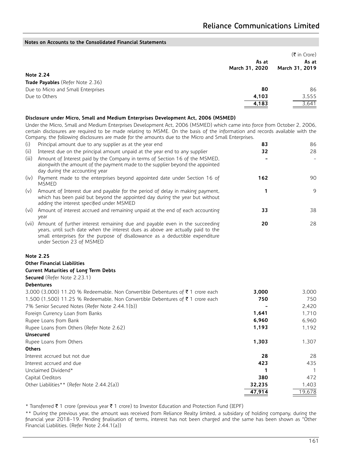| As at<br>March 31, 2020 | $(\bar{\bar{\tau}}$ in Crore)<br>As at<br>March 31, 2019 |
|-------------------------|----------------------------------------------------------|
|                         |                                                          |
|                         |                                                          |
| 80                      | 86                                                       |
| 4,103                   | 3,555                                                    |
| 4,183                   | <u>3,641</u>                                             |
|                         |                                                          |

# **Disclosure under Micro, Small and Medium Enterprises Development Act, 2006 (MSMED)**

Under the Micro, Small and Medium Enterprises Development Act, 2006 (MSMED) which came into force from October 2, 2006, certain disclosures are required to be made relating to MSME. On the basis of the information and records available with the Company, the following disclosures are made for the amounts due to the Micro and Small Enterprises.

| (i)   | Principal amount due to any supplier as at the year end                                                                                                                                                                                               | 83  | 86 |
|-------|-------------------------------------------------------------------------------------------------------------------------------------------------------------------------------------------------------------------------------------------------------|-----|----|
| (ii)  | Interest due on the principal amount unpaid at the year end to any supplier                                                                                                                                                                           | 32  | 28 |
| (iii) | Amount of Interest paid by the Company in terms of Section 16 of the MSMED,<br>alongwith the amount of the payment made to the supplier beyond the appointed<br>day during the accounting year                                                        |     |    |
|       | (iv) Payment made to the enterprises beyond appointed date under Section 16 of<br><b>MSMED</b>                                                                                                                                                        | 162 | 90 |
| (v)   | Amount of Interest due and payable for the period of delay in making payment,<br>which has been paid but beyond the appointed day during the year but without<br>adding the interest specified under MSMED                                            |     | 9  |
|       | (vi) Amount of interest accrued and remaining unpaid at the end of each accounting<br>year                                                                                                                                                            | 33  | 38 |
|       | (vii) Amount of further interest remaining due and payable even in the succeeding<br>years, until such date when the interest dues as above are actually paid to the<br>small enterprises for the purpose of disallowance as a deductible expenditure | 20  | 28 |

#### **Note 2.25**

### **Other Financial Liabilities**

#### **Current Maturities of Long Term Debts**

under Section 23 of MSMED

**Secured** (Refer Note 2.23.1)

#### **Debentures**

| 3,000 (3,000) 11.20 % Redeemable, Non Convertible Debentures of ₹1 crore each | 3,000  | 3.000  |
|-------------------------------------------------------------------------------|--------|--------|
| 1,500 (1,500) 11.25 % Redeemable, Non Convertible Debentures of ₹1 crore each | 750    | 750    |
| 7% Senior Secured Notes (Refer Note 2.44.1(b))                                |        | 2.420  |
| Foreign Currency Loan from Banks                                              | 1,641  | 1,710  |
| Rupee Loans from Bank                                                         | 6,960  | 6,960  |
| Rupee Loans from Others (Refer Note 2.62)                                     | 1,193  | 1.192  |
| <b>Unsecured</b>                                                              |        |        |
| Rupee Loans from Others                                                       | 1.303  | 1.307  |
| <b>Others</b>                                                                 |        |        |
| Interest accrued but not due                                                  | 28     | 28     |
| Interest accrued and due                                                      | 423    | 435    |
| Unclaimed Dividend*                                                           |        |        |
| Capital Creditors                                                             | 380    | 472    |
| Other Liabilities** (Refer Note 2.44.2(a))                                    | 32,235 | 1.403  |
|                                                                               | 47,914 | 19,678 |
|                                                                               |        |        |

\* Transferred ₹ 1 crore (previous year ₹ 1 crore) to Investor Education and Protection Fund (IEPF)

\*\* During the previous year, the amount was received from Reliance Realty limited, a subsidary of holding company, during the financial year 2018-19. Pending finalisation of terms, interest has not been charged and the same has been shown as "Other Financial Liabilities. (Refer Note 2.44.1(a))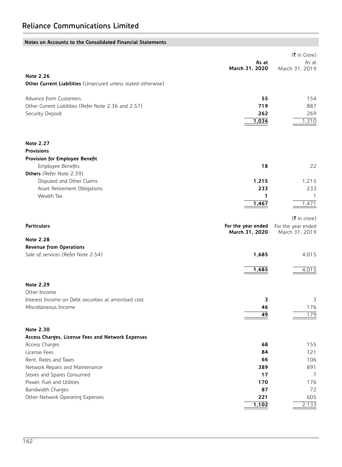|                                                                     |                         | $(5 \nvert$ in Crore)               |
|---------------------------------------------------------------------|-------------------------|-------------------------------------|
|                                                                     | As at<br>March 31, 2020 | As at<br>March 31, 2019             |
| Note 2.26                                                           |                         |                                     |
| Other Current Liabilities (Unsecured unless stated otherwise)       |                         |                                     |
| Advance from Customers                                              | 55                      | 154                                 |
| Other Current Liabilities (Refer Note 2.36 and 2.57)                | 719                     | 887                                 |
| Security Deposit                                                    | 262                     | 269                                 |
|                                                                     | 1,036                   | 1,310                               |
| Note 2.27                                                           |                         |                                     |
| <b>Provisions</b>                                                   |                         |                                     |
| Provision for Employee Benefit                                      |                         |                                     |
| Employee Benefits                                                   | 18                      | 22                                  |
| Others (Refer Note 2.39)                                            |                         |                                     |
| Disputed and Other Claims                                           | 1,215                   | 1,215                               |
| Asset Retirement Obligations                                        | 233                     | 233                                 |
| Wealth Tax                                                          | 1                       | 1                                   |
|                                                                     | 1,467                   | 1,471                               |
|                                                                     |                         | $(\bar{\bar{\mathbf{z}}}$ in crore) |
| <b>Particulars</b>                                                  | For the year ended      | For the year ended                  |
|                                                                     | March 31, 2020          | March 31, 2019                      |
| <b>Note 2.28</b>                                                    |                         |                                     |
| <b>Revenue from Operations</b>                                      |                         |                                     |
| Sale of services (Refer Note 2.54)                                  | 1,685                   | 4,015                               |
|                                                                     | 1,685                   | 4,015                               |
| <b>Note 2.29</b>                                                    |                         |                                     |
| Other Income                                                        |                         |                                     |
| Interest Income on Debt securities at amortised cost                | 3                       | 3                                   |
| Miscellaneous Income                                                | 46                      | 176                                 |
|                                                                     | 49                      | 179                                 |
|                                                                     |                         |                                     |
| Note 2.30                                                           |                         |                                     |
| Access Charges, License Fees and Network Expenses<br>Access Charges | 68                      | 155                                 |
| License Fees                                                        | 84                      | 121                                 |
| Rent, Rates and Taxes                                               | 66                      | 106                                 |
| Network Repairs and Maintenance                                     | 389                     | 891                                 |
| Stores and Spares Consumed                                          | 17                      | 7                                   |
| Power, Fuel and Utilities                                           | 170                     | 176                                 |
| Bandwidth Charges                                                   | 87                      | 72                                  |
| Other Network Operating Expenses                                    | 221                     | 605                                 |
|                                                                     | 1,102                   | 2,133                               |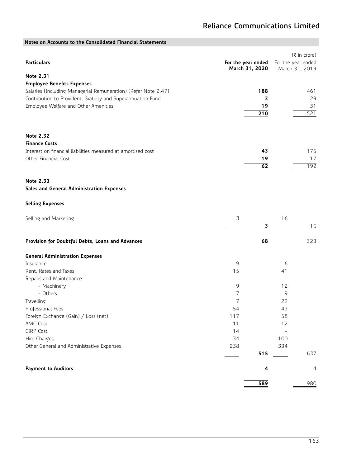| Notes on Accounts to the Consolidated Financial Statements |  |
|------------------------------------------------------------|--|
|------------------------------------------------------------|--|

| <b>Particulars</b><br>Note 2.31<br><b>Employee Benefits Expenses</b>                                                                                                  |           | For the year ended<br>March 31, 2020 |          | $(\bar{\bar{\mathbf{z}}}$ in crore)<br>For the year ended<br>March 31, 2019 |
|-----------------------------------------------------------------------------------------------------------------------------------------------------------------------|-----------|--------------------------------------|----------|-----------------------------------------------------------------------------|
| Salaries (Including Managerial Remuneration) (Refer Note 2.47)<br>Contribution to Provident, Gratuity and Superannuation Fund<br>Employee Welfare and Other Amenities |           | 188<br>3<br>19<br>210                |          | 461<br>29<br>31<br>521                                                      |
| Note 2.32<br><b>Finance Costs</b><br>Interest on financial liabilities measured at amortised cost<br>Other Financial Cost                                             |           | 43<br>19<br>62                       |          | 175<br>17<br>192                                                            |
| Note 2.33<br>Sales and General Administration Expenses                                                                                                                |           |                                      |          |                                                                             |
| <b>Selling Expenses</b>                                                                                                                                               |           |                                      |          |                                                                             |
| Selling and Marketing                                                                                                                                                 | 3         | 3                                    | 16       | 16                                                                          |
| Provision for Doubtful Debts, Loans and Advances                                                                                                                      |           | 68                                   |          | 323                                                                         |
| <b>General Administration Expenses</b>                                                                                                                                |           |                                      |          |                                                                             |
| Insurance                                                                                                                                                             | 9         |                                      | 6        |                                                                             |
| Rent, Rates and Taxes                                                                                                                                                 | 15        |                                      | 41       |                                                                             |
| Repairs and Maintenance                                                                                                                                               |           |                                      |          |                                                                             |
| - Machinery                                                                                                                                                           | 9         |                                      | 12       |                                                                             |
| - Others                                                                                                                                                              | 7         |                                      | 9        |                                                                             |
| Travelling                                                                                                                                                            | 7         |                                      | 22       |                                                                             |
| Professional Fees                                                                                                                                                     | 54        |                                      | 43<br>58 |                                                                             |
| Foreign Exchange (Gain) / Loss (net)<br>AMC Cost                                                                                                                      | 117<br>11 |                                      | 12       |                                                                             |
| CIRP Cost                                                                                                                                                             | 14        |                                      |          |                                                                             |
| Hire Charges                                                                                                                                                          | 34        |                                      | 100      |                                                                             |
| Other General and Administrative Expenses                                                                                                                             | 238       |                                      | 334      |                                                                             |
|                                                                                                                                                                       |           | 515                                  |          | 637                                                                         |
| <b>Payment to Auditors</b>                                                                                                                                            |           | 4                                    |          | 4                                                                           |
|                                                                                                                                                                       |           | $\overline{589}$                     |          | 980                                                                         |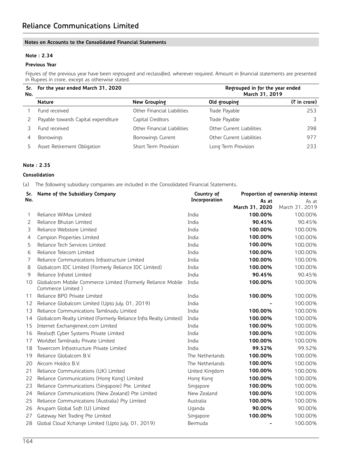# **Note : 2.34**

# **Previous Year**

Figures of the previous year have been regrouped and reclassified, wherever required. Amount in financial statements are presented in Rupees in crore, except as otherwise stated.

| No. | Sr. For the year ended March 31, 2020 |                             | Regrouped in for the year ended<br>March 31, 2019 |              |  |
|-----|---------------------------------------|-----------------------------|---------------------------------------------------|--------------|--|
|     | <b>Nature</b>                         | New Grouping                | Old grouping                                      | $(5 \infty)$ |  |
|     | Fund received                         | Other Financial Liabilities | Trade Payable                                     | 253          |  |
|     | Payable towards Capital expenditure   | Capital Creditors           | Trade Payable                                     |              |  |
|     | Fund received                         | Other Financial Liabilities | Other Current Liabilities                         | 398          |  |
|     | Borrowings                            | Borrowings Current          | Other Current Liabilities                         | 977          |  |
|     | Asset Retirement Obligation           | Short Term Provision        | Long Term Provision                               | 233          |  |

# **Note : 2.35**

# **Consolidation**

(a) The following subsidiary companies are included in the Consolidated Financial Statements.

| Sr. | Name of the Subsidiary Company                                                    | Country of      |                | Proportion of ownership interest |
|-----|-----------------------------------------------------------------------------------|-----------------|----------------|----------------------------------|
| No. |                                                                                   | Incorporation   | As at          | As at                            |
|     |                                                                                   |                 | March 31, 2020 | March 31, 2019                   |
| 1   | Reliance WiMax Limited                                                            | India           | 100.00%        | 100.00%                          |
| 2   | Reliance Bhutan Limited                                                           | India           | 90.45%         | 90.45%                           |
| 3   | Reliance Webstore Limited                                                         | India           | 100.00%        | 100.00%                          |
| 4   | Campion Properties Limited                                                        | India           | 100.00%        | 100.00%                          |
| 5   | Reliance Tech Services Limited                                                    | India           | 100.00%        | 100.00%                          |
| 6   | Reliance Telecom Limited                                                          | India           | 100.00%        | 100.00%                          |
| 7   | Reliance Communications Infrastructure Limited                                    | India           | 100.00%        | 100.00%                          |
| 8   | Globalcom IDC Limited (Formerly Reliance IDC Limited)                             | India           | 100.00%        | 100.00%                          |
| 9   | Reliance Infratel Limited                                                         | India           | 90.45%         | 90.45%                           |
| 10  | Globalcom Mobile Commerce Limited (Formerly Reliance Mobile<br>Commerce Limited ) | India           | 100.00%        | 100.00%                          |
| 11  | Reliance BPO Private Limited                                                      | India           | 100.00%        | 100.00%                          |
| 12  | Reliance Globalcom Limited (Upto July, 01, 2019)                                  | India           |                | 100.00%                          |
| 13  | Reliance Communications Tamilnadu Limited                                         | India           | 100.00%        | 100.00%                          |
| 14  | Globalcom Realty Limited (Formerly Reliance Infra Realty Limited)                 | India           | 100.00%        | 100.00%                          |
| 15  | Internet Exchangenext.com Limited                                                 | India           | 100.00%        | 100.00%                          |
| 16  | Realsoft Cyber Systems Private Limited                                            | India           | 100.00%        | 100.00%                          |
| 17  | Worldtel Tamilnadu Private Limited                                                | India           | 100.00%        | 100.00%                          |
| 18  | Towercom Infrastructure Private Limited                                           | India           | 99.52%         | 99.52%                           |
| 19  | Reliance Globalcom B.V.                                                           | The Netherlands | 100.00%        | 100.00%                          |
| 20  | Aircom Holdco B.V.                                                                | The Netherlands | 100.00%        | 100.00%                          |
| 21  | Reliance Communications (UK) Limited                                              | United Kingdom  | 100.00%        | 100.00%                          |
| 22  | Reliance Communications (Hong Kong) Limited                                       | Hong Kong       | 100.00%        | 100.00%                          |
| 23  | Reliance Communications (Singapore) Pte. Limited                                  | Singapore       | 100.00%        | 100.00%                          |
| 24  | Reliance Communications (New Zealand) Pte Limited                                 | New Zealand     | 100.00%        | 100.00%                          |
| 25  | Reliance Communications (Australia) Pty Limited                                   | Australia       | 100.00%        | 100.00%                          |
| 26  | Anupam Global Soft (U) Limited                                                    | Uganda          | 90.00%         | 90.00%                           |
| 27  | Gateway Net Trading Pte Limited                                                   | Singapore       | 100.00%        | 100.00%                          |
| 28  | Global Cloud Xchange Limited (Upto July, 01, 2019)                                | Bermuda         |                | 100.00%                          |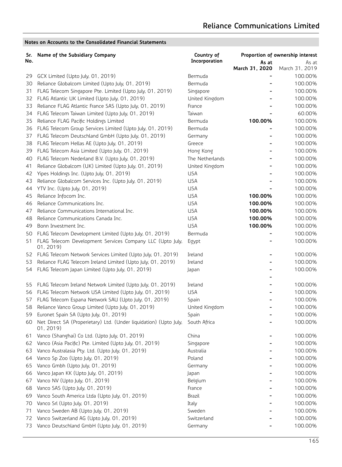| As at<br>As at<br>March 31, 2020<br>March 31, 2019<br>GCX Limited (Upto July, 01, 2019)<br>Bermuda<br>100.00%<br>29<br>Reliance Globalcom Limited (Upto July, 01, 2019)<br>Bermuda<br>100.00%<br>30<br>FLAG Telecom Singapore Pte. Limited (Upto July, 01, 2019)<br>Singapore<br>100.00%<br>31<br>FLAG Atlantic UK Limited (Upto July, 01, 2019)<br>United Kingdom<br>100.00%<br>32<br>Reliance FLAG Atlantic France SAS (Upto July, 01, 2019)<br>France<br>100.00%<br>33<br>FLAG Telecom Taiwan Limited (Upto July, 01, 2019)<br>Taiwan<br>60.00%<br>34<br>100.00%<br>Reliance FLAG Pacific Holdings Limited<br>Bermuda<br>100.00%<br>35<br>FLAG Telecom Group Services Limited (Upto July, 01, 2019)<br>Bermuda<br>100.00%<br>36<br>FLAG Telecom Deutschland GmbH (Upto July, 01, 2019)<br>100.00%<br>Germany<br>37<br>FLAG Telecom Hellas AE (Upto July, 01, 2019)<br>Greece<br>100.00%<br>38<br>FLAG Telecom Asia Limited (Upto July, 01, 2019)<br>39<br>Hong Kong<br>100.00%<br>FLAG Telecom Nederland B.V. (Upto July, 01, 2019)<br>The Netherlands<br>100.00%<br>40<br>Reliance Globalcom (UK) Limited (Upto July, 01, 2019)<br>United Kingdom<br>100.00%<br>41<br>Yipes Holdings Inc. (Upto July, 01, 2019)<br><b>USA</b><br>100.00%<br>42<br>Reliance Globalcom Services Inc. (Upto July, 01, 2019)<br>100.00%<br><b>USA</b><br>43<br>YTV Inc. (Upto July, 01, 2019)<br><b>USA</b><br>100.00%<br>44<br>Reliance Infocom Inc.<br>100.00%<br><b>USA</b><br>100.00%<br>45<br>Reliance Communications Inc.<br><b>USA</b><br>100.00%<br>100.00%<br>46<br>Reliance Communications International Inc.<br><b>USA</b><br>100.00%<br>100.00%<br>47<br>Reliance Communications Canada Inc.<br><b>USA</b><br>100.00%<br>100.00%<br>48<br><b>USA</b><br>100.00%<br>49<br>Bonn Investment Inc.<br>100.00%<br>FLAG Telecom Development Limited (Upto July, 01, 2019)<br>Bermuda<br>100.00%<br>50<br>FLAG Telecom Development Services Company LLC (Upto July,<br>100.00%<br>Egypt<br>51<br>01, 2019)<br>FLAG Telecom Network Services Limited (Upto July, 01, 2019)<br>Ireland<br>100.00%<br>52<br>Reliance FLAG Telecom Ireland Limited (Upto July, 01, 2019)<br>Ireland<br>100.00%<br>53<br>FLAG Telecom Japan Limited (Upto July, 01, 2019)<br>100.00%<br>54<br>Japan<br>FLAG Telecom Ireland Network Limited (Upto July, 01, 2019)<br>Ireland<br>100.00%<br>55<br>FLAG Telecom Network USA Limited (Upto July, 01, 2019)<br><b>USA</b><br>100.00%<br>56<br>FLAG Telecom Espana Network SAU (Upto July, 01, 2019)<br>100.00%<br>57<br>Spain<br>Reliance Vanco Group Limited (Upto July, 01, 2019)<br>United Kingdom<br>100.00%<br>58<br>Euronet Spain SA (Upto July, 01, 2019)<br>Spain<br>100.00%<br>59<br>Net Direct SA (Properietary) Ltd. (Under liquidation) (Upto July,<br>100.00%<br>South Africa<br>60<br>01, 2019)<br>Vanco (Shanghai) Co Ltd. (Upto July, 01, 2019)<br>61<br>China<br>100.00%<br>Vanco (Asia Pacific) Pte. Limited (Upto July, 01, 2019)<br>100.00%<br>62<br>Singapore<br>Vanco Australasia Pty. Ltd. (Upto July, 01, 2019)<br>Australia<br>100.00%<br>63<br>Vanco Sp Zoo (Upto July, 01, 2019)<br>Poland<br>100.00%<br>64<br>Vanco Gmbh (Upto July, 01, 2019)<br>Germany<br>100.00%<br>65<br>Vanco Japan KK (Upto July, 01, 2019)<br>100.00%<br>66<br>Japan<br>Vanco NV (Upto July, 01, 2019)<br>Belgium<br>100.00%<br>67<br>Vanco SAS (Upto July, 01, 2019)<br>France<br>100.00%<br>68<br>Vanco South America Ltda (Upto July, 01, 2019)<br><b>Brazil</b><br>100.00%<br>69<br>Vanco Srl (Upto July, 01, 2019)<br>Italy<br>100.00%<br>70<br>Vanco Sweden AB (Upto July, 01, 2019)<br>Sweden<br>100.00%<br>71<br>Vanco Switzerland AG (Upto July, 01, 2019)<br>Switzerland<br>100.00%<br>72<br>Vanco Deutschland GmbH (Upto July, 01, 2019)<br>Germany<br>100.00%<br>73 |     | Sr. Name of the Subsidiary Company | Country of    | Proportion of ownership interest |  |  |
|------------------------------------------------------------------------------------------------------------------------------------------------------------------------------------------------------------------------------------------------------------------------------------------------------------------------------------------------------------------------------------------------------------------------------------------------------------------------------------------------------------------------------------------------------------------------------------------------------------------------------------------------------------------------------------------------------------------------------------------------------------------------------------------------------------------------------------------------------------------------------------------------------------------------------------------------------------------------------------------------------------------------------------------------------------------------------------------------------------------------------------------------------------------------------------------------------------------------------------------------------------------------------------------------------------------------------------------------------------------------------------------------------------------------------------------------------------------------------------------------------------------------------------------------------------------------------------------------------------------------------------------------------------------------------------------------------------------------------------------------------------------------------------------------------------------------------------------------------------------------------------------------------------------------------------------------------------------------------------------------------------------------------------------------------------------------------------------------------------------------------------------------------------------------------------------------------------------------------------------------------------------------------------------------------------------------------------------------------------------------------------------------------------------------------------------------------------------------------------------------------------------------------------------------------------------------------------------------------------------------------------------------------------------------------------------------------------------------------------------------------------------------------------------------------------------------------------------------------------------------------------------------------------------------------------------------------------------------------------------------------------------------------------------------------------------------------------------------------------------------------------------------------------------------------------------------------------------------------------------------------------------------------------------------------------------------------------------------------------------------------------------------------------------------------------------------------------------------------------------------------------------------------------------------------------------------------------------------------------------------------------------------------------------------------------------------------------------------------------------------------------------------------------------------|-----|------------------------------------|---------------|----------------------------------|--|--|
|                                                                                                                                                                                                                                                                                                                                                                                                                                                                                                                                                                                                                                                                                                                                                                                                                                                                                                                                                                                                                                                                                                                                                                                                                                                                                                                                                                                                                                                                                                                                                                                                                                                                                                                                                                                                                                                                                                                                                                                                                                                                                                                                                                                                                                                                                                                                                                                                                                                                                                                                                                                                                                                                                                                                                                                                                                                                                                                                                                                                                                                                                                                                                                                                                                                                                                                                                                                                                                                                                                                                                                                                                                                                                                                                                                                                | No. |                                    | Incorporation |                                  |  |  |
|                                                                                                                                                                                                                                                                                                                                                                                                                                                                                                                                                                                                                                                                                                                                                                                                                                                                                                                                                                                                                                                                                                                                                                                                                                                                                                                                                                                                                                                                                                                                                                                                                                                                                                                                                                                                                                                                                                                                                                                                                                                                                                                                                                                                                                                                                                                                                                                                                                                                                                                                                                                                                                                                                                                                                                                                                                                                                                                                                                                                                                                                                                                                                                                                                                                                                                                                                                                                                                                                                                                                                                                                                                                                                                                                                                                                |     |                                    |               |                                  |  |  |
|                                                                                                                                                                                                                                                                                                                                                                                                                                                                                                                                                                                                                                                                                                                                                                                                                                                                                                                                                                                                                                                                                                                                                                                                                                                                                                                                                                                                                                                                                                                                                                                                                                                                                                                                                                                                                                                                                                                                                                                                                                                                                                                                                                                                                                                                                                                                                                                                                                                                                                                                                                                                                                                                                                                                                                                                                                                                                                                                                                                                                                                                                                                                                                                                                                                                                                                                                                                                                                                                                                                                                                                                                                                                                                                                                                                                |     |                                    |               |                                  |  |  |
|                                                                                                                                                                                                                                                                                                                                                                                                                                                                                                                                                                                                                                                                                                                                                                                                                                                                                                                                                                                                                                                                                                                                                                                                                                                                                                                                                                                                                                                                                                                                                                                                                                                                                                                                                                                                                                                                                                                                                                                                                                                                                                                                                                                                                                                                                                                                                                                                                                                                                                                                                                                                                                                                                                                                                                                                                                                                                                                                                                                                                                                                                                                                                                                                                                                                                                                                                                                                                                                                                                                                                                                                                                                                                                                                                                                                |     |                                    |               |                                  |  |  |
|                                                                                                                                                                                                                                                                                                                                                                                                                                                                                                                                                                                                                                                                                                                                                                                                                                                                                                                                                                                                                                                                                                                                                                                                                                                                                                                                                                                                                                                                                                                                                                                                                                                                                                                                                                                                                                                                                                                                                                                                                                                                                                                                                                                                                                                                                                                                                                                                                                                                                                                                                                                                                                                                                                                                                                                                                                                                                                                                                                                                                                                                                                                                                                                                                                                                                                                                                                                                                                                                                                                                                                                                                                                                                                                                                                                                |     |                                    |               |                                  |  |  |
|                                                                                                                                                                                                                                                                                                                                                                                                                                                                                                                                                                                                                                                                                                                                                                                                                                                                                                                                                                                                                                                                                                                                                                                                                                                                                                                                                                                                                                                                                                                                                                                                                                                                                                                                                                                                                                                                                                                                                                                                                                                                                                                                                                                                                                                                                                                                                                                                                                                                                                                                                                                                                                                                                                                                                                                                                                                                                                                                                                                                                                                                                                                                                                                                                                                                                                                                                                                                                                                                                                                                                                                                                                                                                                                                                                                                |     |                                    |               |                                  |  |  |
|                                                                                                                                                                                                                                                                                                                                                                                                                                                                                                                                                                                                                                                                                                                                                                                                                                                                                                                                                                                                                                                                                                                                                                                                                                                                                                                                                                                                                                                                                                                                                                                                                                                                                                                                                                                                                                                                                                                                                                                                                                                                                                                                                                                                                                                                                                                                                                                                                                                                                                                                                                                                                                                                                                                                                                                                                                                                                                                                                                                                                                                                                                                                                                                                                                                                                                                                                                                                                                                                                                                                                                                                                                                                                                                                                                                                |     |                                    |               |                                  |  |  |
|                                                                                                                                                                                                                                                                                                                                                                                                                                                                                                                                                                                                                                                                                                                                                                                                                                                                                                                                                                                                                                                                                                                                                                                                                                                                                                                                                                                                                                                                                                                                                                                                                                                                                                                                                                                                                                                                                                                                                                                                                                                                                                                                                                                                                                                                                                                                                                                                                                                                                                                                                                                                                                                                                                                                                                                                                                                                                                                                                                                                                                                                                                                                                                                                                                                                                                                                                                                                                                                                                                                                                                                                                                                                                                                                                                                                |     |                                    |               |                                  |  |  |
|                                                                                                                                                                                                                                                                                                                                                                                                                                                                                                                                                                                                                                                                                                                                                                                                                                                                                                                                                                                                                                                                                                                                                                                                                                                                                                                                                                                                                                                                                                                                                                                                                                                                                                                                                                                                                                                                                                                                                                                                                                                                                                                                                                                                                                                                                                                                                                                                                                                                                                                                                                                                                                                                                                                                                                                                                                                                                                                                                                                                                                                                                                                                                                                                                                                                                                                                                                                                                                                                                                                                                                                                                                                                                                                                                                                                |     |                                    |               |                                  |  |  |
|                                                                                                                                                                                                                                                                                                                                                                                                                                                                                                                                                                                                                                                                                                                                                                                                                                                                                                                                                                                                                                                                                                                                                                                                                                                                                                                                                                                                                                                                                                                                                                                                                                                                                                                                                                                                                                                                                                                                                                                                                                                                                                                                                                                                                                                                                                                                                                                                                                                                                                                                                                                                                                                                                                                                                                                                                                                                                                                                                                                                                                                                                                                                                                                                                                                                                                                                                                                                                                                                                                                                                                                                                                                                                                                                                                                                |     |                                    |               |                                  |  |  |
|                                                                                                                                                                                                                                                                                                                                                                                                                                                                                                                                                                                                                                                                                                                                                                                                                                                                                                                                                                                                                                                                                                                                                                                                                                                                                                                                                                                                                                                                                                                                                                                                                                                                                                                                                                                                                                                                                                                                                                                                                                                                                                                                                                                                                                                                                                                                                                                                                                                                                                                                                                                                                                                                                                                                                                                                                                                                                                                                                                                                                                                                                                                                                                                                                                                                                                                                                                                                                                                                                                                                                                                                                                                                                                                                                                                                |     |                                    |               |                                  |  |  |
|                                                                                                                                                                                                                                                                                                                                                                                                                                                                                                                                                                                                                                                                                                                                                                                                                                                                                                                                                                                                                                                                                                                                                                                                                                                                                                                                                                                                                                                                                                                                                                                                                                                                                                                                                                                                                                                                                                                                                                                                                                                                                                                                                                                                                                                                                                                                                                                                                                                                                                                                                                                                                                                                                                                                                                                                                                                                                                                                                                                                                                                                                                                                                                                                                                                                                                                                                                                                                                                                                                                                                                                                                                                                                                                                                                                                |     |                                    |               |                                  |  |  |
|                                                                                                                                                                                                                                                                                                                                                                                                                                                                                                                                                                                                                                                                                                                                                                                                                                                                                                                                                                                                                                                                                                                                                                                                                                                                                                                                                                                                                                                                                                                                                                                                                                                                                                                                                                                                                                                                                                                                                                                                                                                                                                                                                                                                                                                                                                                                                                                                                                                                                                                                                                                                                                                                                                                                                                                                                                                                                                                                                                                                                                                                                                                                                                                                                                                                                                                                                                                                                                                                                                                                                                                                                                                                                                                                                                                                |     |                                    |               |                                  |  |  |
|                                                                                                                                                                                                                                                                                                                                                                                                                                                                                                                                                                                                                                                                                                                                                                                                                                                                                                                                                                                                                                                                                                                                                                                                                                                                                                                                                                                                                                                                                                                                                                                                                                                                                                                                                                                                                                                                                                                                                                                                                                                                                                                                                                                                                                                                                                                                                                                                                                                                                                                                                                                                                                                                                                                                                                                                                                                                                                                                                                                                                                                                                                                                                                                                                                                                                                                                                                                                                                                                                                                                                                                                                                                                                                                                                                                                |     |                                    |               |                                  |  |  |
|                                                                                                                                                                                                                                                                                                                                                                                                                                                                                                                                                                                                                                                                                                                                                                                                                                                                                                                                                                                                                                                                                                                                                                                                                                                                                                                                                                                                                                                                                                                                                                                                                                                                                                                                                                                                                                                                                                                                                                                                                                                                                                                                                                                                                                                                                                                                                                                                                                                                                                                                                                                                                                                                                                                                                                                                                                                                                                                                                                                                                                                                                                                                                                                                                                                                                                                                                                                                                                                                                                                                                                                                                                                                                                                                                                                                |     |                                    |               |                                  |  |  |
|                                                                                                                                                                                                                                                                                                                                                                                                                                                                                                                                                                                                                                                                                                                                                                                                                                                                                                                                                                                                                                                                                                                                                                                                                                                                                                                                                                                                                                                                                                                                                                                                                                                                                                                                                                                                                                                                                                                                                                                                                                                                                                                                                                                                                                                                                                                                                                                                                                                                                                                                                                                                                                                                                                                                                                                                                                                                                                                                                                                                                                                                                                                                                                                                                                                                                                                                                                                                                                                                                                                                                                                                                                                                                                                                                                                                |     |                                    |               |                                  |  |  |
|                                                                                                                                                                                                                                                                                                                                                                                                                                                                                                                                                                                                                                                                                                                                                                                                                                                                                                                                                                                                                                                                                                                                                                                                                                                                                                                                                                                                                                                                                                                                                                                                                                                                                                                                                                                                                                                                                                                                                                                                                                                                                                                                                                                                                                                                                                                                                                                                                                                                                                                                                                                                                                                                                                                                                                                                                                                                                                                                                                                                                                                                                                                                                                                                                                                                                                                                                                                                                                                                                                                                                                                                                                                                                                                                                                                                |     |                                    |               |                                  |  |  |
|                                                                                                                                                                                                                                                                                                                                                                                                                                                                                                                                                                                                                                                                                                                                                                                                                                                                                                                                                                                                                                                                                                                                                                                                                                                                                                                                                                                                                                                                                                                                                                                                                                                                                                                                                                                                                                                                                                                                                                                                                                                                                                                                                                                                                                                                                                                                                                                                                                                                                                                                                                                                                                                                                                                                                                                                                                                                                                                                                                                                                                                                                                                                                                                                                                                                                                                                                                                                                                                                                                                                                                                                                                                                                                                                                                                                |     |                                    |               |                                  |  |  |
|                                                                                                                                                                                                                                                                                                                                                                                                                                                                                                                                                                                                                                                                                                                                                                                                                                                                                                                                                                                                                                                                                                                                                                                                                                                                                                                                                                                                                                                                                                                                                                                                                                                                                                                                                                                                                                                                                                                                                                                                                                                                                                                                                                                                                                                                                                                                                                                                                                                                                                                                                                                                                                                                                                                                                                                                                                                                                                                                                                                                                                                                                                                                                                                                                                                                                                                                                                                                                                                                                                                                                                                                                                                                                                                                                                                                |     |                                    |               |                                  |  |  |
|                                                                                                                                                                                                                                                                                                                                                                                                                                                                                                                                                                                                                                                                                                                                                                                                                                                                                                                                                                                                                                                                                                                                                                                                                                                                                                                                                                                                                                                                                                                                                                                                                                                                                                                                                                                                                                                                                                                                                                                                                                                                                                                                                                                                                                                                                                                                                                                                                                                                                                                                                                                                                                                                                                                                                                                                                                                                                                                                                                                                                                                                                                                                                                                                                                                                                                                                                                                                                                                                                                                                                                                                                                                                                                                                                                                                |     |                                    |               |                                  |  |  |
|                                                                                                                                                                                                                                                                                                                                                                                                                                                                                                                                                                                                                                                                                                                                                                                                                                                                                                                                                                                                                                                                                                                                                                                                                                                                                                                                                                                                                                                                                                                                                                                                                                                                                                                                                                                                                                                                                                                                                                                                                                                                                                                                                                                                                                                                                                                                                                                                                                                                                                                                                                                                                                                                                                                                                                                                                                                                                                                                                                                                                                                                                                                                                                                                                                                                                                                                                                                                                                                                                                                                                                                                                                                                                                                                                                                                |     |                                    |               |                                  |  |  |
|                                                                                                                                                                                                                                                                                                                                                                                                                                                                                                                                                                                                                                                                                                                                                                                                                                                                                                                                                                                                                                                                                                                                                                                                                                                                                                                                                                                                                                                                                                                                                                                                                                                                                                                                                                                                                                                                                                                                                                                                                                                                                                                                                                                                                                                                                                                                                                                                                                                                                                                                                                                                                                                                                                                                                                                                                                                                                                                                                                                                                                                                                                                                                                                                                                                                                                                                                                                                                                                                                                                                                                                                                                                                                                                                                                                                |     |                                    |               |                                  |  |  |
|                                                                                                                                                                                                                                                                                                                                                                                                                                                                                                                                                                                                                                                                                                                                                                                                                                                                                                                                                                                                                                                                                                                                                                                                                                                                                                                                                                                                                                                                                                                                                                                                                                                                                                                                                                                                                                                                                                                                                                                                                                                                                                                                                                                                                                                                                                                                                                                                                                                                                                                                                                                                                                                                                                                                                                                                                                                                                                                                                                                                                                                                                                                                                                                                                                                                                                                                                                                                                                                                                                                                                                                                                                                                                                                                                                                                |     |                                    |               |                                  |  |  |
|                                                                                                                                                                                                                                                                                                                                                                                                                                                                                                                                                                                                                                                                                                                                                                                                                                                                                                                                                                                                                                                                                                                                                                                                                                                                                                                                                                                                                                                                                                                                                                                                                                                                                                                                                                                                                                                                                                                                                                                                                                                                                                                                                                                                                                                                                                                                                                                                                                                                                                                                                                                                                                                                                                                                                                                                                                                                                                                                                                                                                                                                                                                                                                                                                                                                                                                                                                                                                                                                                                                                                                                                                                                                                                                                                                                                |     |                                    |               |                                  |  |  |
|                                                                                                                                                                                                                                                                                                                                                                                                                                                                                                                                                                                                                                                                                                                                                                                                                                                                                                                                                                                                                                                                                                                                                                                                                                                                                                                                                                                                                                                                                                                                                                                                                                                                                                                                                                                                                                                                                                                                                                                                                                                                                                                                                                                                                                                                                                                                                                                                                                                                                                                                                                                                                                                                                                                                                                                                                                                                                                                                                                                                                                                                                                                                                                                                                                                                                                                                                                                                                                                                                                                                                                                                                                                                                                                                                                                                |     |                                    |               |                                  |  |  |
|                                                                                                                                                                                                                                                                                                                                                                                                                                                                                                                                                                                                                                                                                                                                                                                                                                                                                                                                                                                                                                                                                                                                                                                                                                                                                                                                                                                                                                                                                                                                                                                                                                                                                                                                                                                                                                                                                                                                                                                                                                                                                                                                                                                                                                                                                                                                                                                                                                                                                                                                                                                                                                                                                                                                                                                                                                                                                                                                                                                                                                                                                                                                                                                                                                                                                                                                                                                                                                                                                                                                                                                                                                                                                                                                                                                                |     |                                    |               |                                  |  |  |
|                                                                                                                                                                                                                                                                                                                                                                                                                                                                                                                                                                                                                                                                                                                                                                                                                                                                                                                                                                                                                                                                                                                                                                                                                                                                                                                                                                                                                                                                                                                                                                                                                                                                                                                                                                                                                                                                                                                                                                                                                                                                                                                                                                                                                                                                                                                                                                                                                                                                                                                                                                                                                                                                                                                                                                                                                                                                                                                                                                                                                                                                                                                                                                                                                                                                                                                                                                                                                                                                                                                                                                                                                                                                                                                                                                                                |     |                                    |               |                                  |  |  |
|                                                                                                                                                                                                                                                                                                                                                                                                                                                                                                                                                                                                                                                                                                                                                                                                                                                                                                                                                                                                                                                                                                                                                                                                                                                                                                                                                                                                                                                                                                                                                                                                                                                                                                                                                                                                                                                                                                                                                                                                                                                                                                                                                                                                                                                                                                                                                                                                                                                                                                                                                                                                                                                                                                                                                                                                                                                                                                                                                                                                                                                                                                                                                                                                                                                                                                                                                                                                                                                                                                                                                                                                                                                                                                                                                                                                |     |                                    |               |                                  |  |  |
|                                                                                                                                                                                                                                                                                                                                                                                                                                                                                                                                                                                                                                                                                                                                                                                                                                                                                                                                                                                                                                                                                                                                                                                                                                                                                                                                                                                                                                                                                                                                                                                                                                                                                                                                                                                                                                                                                                                                                                                                                                                                                                                                                                                                                                                                                                                                                                                                                                                                                                                                                                                                                                                                                                                                                                                                                                                                                                                                                                                                                                                                                                                                                                                                                                                                                                                                                                                                                                                                                                                                                                                                                                                                                                                                                                                                |     |                                    |               |                                  |  |  |
|                                                                                                                                                                                                                                                                                                                                                                                                                                                                                                                                                                                                                                                                                                                                                                                                                                                                                                                                                                                                                                                                                                                                                                                                                                                                                                                                                                                                                                                                                                                                                                                                                                                                                                                                                                                                                                                                                                                                                                                                                                                                                                                                                                                                                                                                                                                                                                                                                                                                                                                                                                                                                                                                                                                                                                                                                                                                                                                                                                                                                                                                                                                                                                                                                                                                                                                                                                                                                                                                                                                                                                                                                                                                                                                                                                                                |     |                                    |               |                                  |  |  |
|                                                                                                                                                                                                                                                                                                                                                                                                                                                                                                                                                                                                                                                                                                                                                                                                                                                                                                                                                                                                                                                                                                                                                                                                                                                                                                                                                                                                                                                                                                                                                                                                                                                                                                                                                                                                                                                                                                                                                                                                                                                                                                                                                                                                                                                                                                                                                                                                                                                                                                                                                                                                                                                                                                                                                                                                                                                                                                                                                                                                                                                                                                                                                                                                                                                                                                                                                                                                                                                                                                                                                                                                                                                                                                                                                                                                |     |                                    |               |                                  |  |  |
|                                                                                                                                                                                                                                                                                                                                                                                                                                                                                                                                                                                                                                                                                                                                                                                                                                                                                                                                                                                                                                                                                                                                                                                                                                                                                                                                                                                                                                                                                                                                                                                                                                                                                                                                                                                                                                                                                                                                                                                                                                                                                                                                                                                                                                                                                                                                                                                                                                                                                                                                                                                                                                                                                                                                                                                                                                                                                                                                                                                                                                                                                                                                                                                                                                                                                                                                                                                                                                                                                                                                                                                                                                                                                                                                                                                                |     |                                    |               |                                  |  |  |
|                                                                                                                                                                                                                                                                                                                                                                                                                                                                                                                                                                                                                                                                                                                                                                                                                                                                                                                                                                                                                                                                                                                                                                                                                                                                                                                                                                                                                                                                                                                                                                                                                                                                                                                                                                                                                                                                                                                                                                                                                                                                                                                                                                                                                                                                                                                                                                                                                                                                                                                                                                                                                                                                                                                                                                                                                                                                                                                                                                                                                                                                                                                                                                                                                                                                                                                                                                                                                                                                                                                                                                                                                                                                                                                                                                                                |     |                                    |               |                                  |  |  |
|                                                                                                                                                                                                                                                                                                                                                                                                                                                                                                                                                                                                                                                                                                                                                                                                                                                                                                                                                                                                                                                                                                                                                                                                                                                                                                                                                                                                                                                                                                                                                                                                                                                                                                                                                                                                                                                                                                                                                                                                                                                                                                                                                                                                                                                                                                                                                                                                                                                                                                                                                                                                                                                                                                                                                                                                                                                                                                                                                                                                                                                                                                                                                                                                                                                                                                                                                                                                                                                                                                                                                                                                                                                                                                                                                                                                |     |                                    |               |                                  |  |  |
|                                                                                                                                                                                                                                                                                                                                                                                                                                                                                                                                                                                                                                                                                                                                                                                                                                                                                                                                                                                                                                                                                                                                                                                                                                                                                                                                                                                                                                                                                                                                                                                                                                                                                                                                                                                                                                                                                                                                                                                                                                                                                                                                                                                                                                                                                                                                                                                                                                                                                                                                                                                                                                                                                                                                                                                                                                                                                                                                                                                                                                                                                                                                                                                                                                                                                                                                                                                                                                                                                                                                                                                                                                                                                                                                                                                                |     |                                    |               |                                  |  |  |
|                                                                                                                                                                                                                                                                                                                                                                                                                                                                                                                                                                                                                                                                                                                                                                                                                                                                                                                                                                                                                                                                                                                                                                                                                                                                                                                                                                                                                                                                                                                                                                                                                                                                                                                                                                                                                                                                                                                                                                                                                                                                                                                                                                                                                                                                                                                                                                                                                                                                                                                                                                                                                                                                                                                                                                                                                                                                                                                                                                                                                                                                                                                                                                                                                                                                                                                                                                                                                                                                                                                                                                                                                                                                                                                                                                                                |     |                                    |               |                                  |  |  |
|                                                                                                                                                                                                                                                                                                                                                                                                                                                                                                                                                                                                                                                                                                                                                                                                                                                                                                                                                                                                                                                                                                                                                                                                                                                                                                                                                                                                                                                                                                                                                                                                                                                                                                                                                                                                                                                                                                                                                                                                                                                                                                                                                                                                                                                                                                                                                                                                                                                                                                                                                                                                                                                                                                                                                                                                                                                                                                                                                                                                                                                                                                                                                                                                                                                                                                                                                                                                                                                                                                                                                                                                                                                                                                                                                                                                |     |                                    |               |                                  |  |  |
|                                                                                                                                                                                                                                                                                                                                                                                                                                                                                                                                                                                                                                                                                                                                                                                                                                                                                                                                                                                                                                                                                                                                                                                                                                                                                                                                                                                                                                                                                                                                                                                                                                                                                                                                                                                                                                                                                                                                                                                                                                                                                                                                                                                                                                                                                                                                                                                                                                                                                                                                                                                                                                                                                                                                                                                                                                                                                                                                                                                                                                                                                                                                                                                                                                                                                                                                                                                                                                                                                                                                                                                                                                                                                                                                                                                                |     |                                    |               |                                  |  |  |
|                                                                                                                                                                                                                                                                                                                                                                                                                                                                                                                                                                                                                                                                                                                                                                                                                                                                                                                                                                                                                                                                                                                                                                                                                                                                                                                                                                                                                                                                                                                                                                                                                                                                                                                                                                                                                                                                                                                                                                                                                                                                                                                                                                                                                                                                                                                                                                                                                                                                                                                                                                                                                                                                                                                                                                                                                                                                                                                                                                                                                                                                                                                                                                                                                                                                                                                                                                                                                                                                                                                                                                                                                                                                                                                                                                                                |     |                                    |               |                                  |  |  |
|                                                                                                                                                                                                                                                                                                                                                                                                                                                                                                                                                                                                                                                                                                                                                                                                                                                                                                                                                                                                                                                                                                                                                                                                                                                                                                                                                                                                                                                                                                                                                                                                                                                                                                                                                                                                                                                                                                                                                                                                                                                                                                                                                                                                                                                                                                                                                                                                                                                                                                                                                                                                                                                                                                                                                                                                                                                                                                                                                                                                                                                                                                                                                                                                                                                                                                                                                                                                                                                                                                                                                                                                                                                                                                                                                                                                |     |                                    |               |                                  |  |  |
|                                                                                                                                                                                                                                                                                                                                                                                                                                                                                                                                                                                                                                                                                                                                                                                                                                                                                                                                                                                                                                                                                                                                                                                                                                                                                                                                                                                                                                                                                                                                                                                                                                                                                                                                                                                                                                                                                                                                                                                                                                                                                                                                                                                                                                                                                                                                                                                                                                                                                                                                                                                                                                                                                                                                                                                                                                                                                                                                                                                                                                                                                                                                                                                                                                                                                                                                                                                                                                                                                                                                                                                                                                                                                                                                                                                                |     |                                    |               |                                  |  |  |
|                                                                                                                                                                                                                                                                                                                                                                                                                                                                                                                                                                                                                                                                                                                                                                                                                                                                                                                                                                                                                                                                                                                                                                                                                                                                                                                                                                                                                                                                                                                                                                                                                                                                                                                                                                                                                                                                                                                                                                                                                                                                                                                                                                                                                                                                                                                                                                                                                                                                                                                                                                                                                                                                                                                                                                                                                                                                                                                                                                                                                                                                                                                                                                                                                                                                                                                                                                                                                                                                                                                                                                                                                                                                                                                                                                                                |     |                                    |               |                                  |  |  |
|                                                                                                                                                                                                                                                                                                                                                                                                                                                                                                                                                                                                                                                                                                                                                                                                                                                                                                                                                                                                                                                                                                                                                                                                                                                                                                                                                                                                                                                                                                                                                                                                                                                                                                                                                                                                                                                                                                                                                                                                                                                                                                                                                                                                                                                                                                                                                                                                                                                                                                                                                                                                                                                                                                                                                                                                                                                                                                                                                                                                                                                                                                                                                                                                                                                                                                                                                                                                                                                                                                                                                                                                                                                                                                                                                                                                |     |                                    |               |                                  |  |  |
|                                                                                                                                                                                                                                                                                                                                                                                                                                                                                                                                                                                                                                                                                                                                                                                                                                                                                                                                                                                                                                                                                                                                                                                                                                                                                                                                                                                                                                                                                                                                                                                                                                                                                                                                                                                                                                                                                                                                                                                                                                                                                                                                                                                                                                                                                                                                                                                                                                                                                                                                                                                                                                                                                                                                                                                                                                                                                                                                                                                                                                                                                                                                                                                                                                                                                                                                                                                                                                                                                                                                                                                                                                                                                                                                                                                                |     |                                    |               |                                  |  |  |
|                                                                                                                                                                                                                                                                                                                                                                                                                                                                                                                                                                                                                                                                                                                                                                                                                                                                                                                                                                                                                                                                                                                                                                                                                                                                                                                                                                                                                                                                                                                                                                                                                                                                                                                                                                                                                                                                                                                                                                                                                                                                                                                                                                                                                                                                                                                                                                                                                                                                                                                                                                                                                                                                                                                                                                                                                                                                                                                                                                                                                                                                                                                                                                                                                                                                                                                                                                                                                                                                                                                                                                                                                                                                                                                                                                                                |     |                                    |               |                                  |  |  |
|                                                                                                                                                                                                                                                                                                                                                                                                                                                                                                                                                                                                                                                                                                                                                                                                                                                                                                                                                                                                                                                                                                                                                                                                                                                                                                                                                                                                                                                                                                                                                                                                                                                                                                                                                                                                                                                                                                                                                                                                                                                                                                                                                                                                                                                                                                                                                                                                                                                                                                                                                                                                                                                                                                                                                                                                                                                                                                                                                                                                                                                                                                                                                                                                                                                                                                                                                                                                                                                                                                                                                                                                                                                                                                                                                                                                |     |                                    |               |                                  |  |  |
|                                                                                                                                                                                                                                                                                                                                                                                                                                                                                                                                                                                                                                                                                                                                                                                                                                                                                                                                                                                                                                                                                                                                                                                                                                                                                                                                                                                                                                                                                                                                                                                                                                                                                                                                                                                                                                                                                                                                                                                                                                                                                                                                                                                                                                                                                                                                                                                                                                                                                                                                                                                                                                                                                                                                                                                                                                                                                                                                                                                                                                                                                                                                                                                                                                                                                                                                                                                                                                                                                                                                                                                                                                                                                                                                                                                                |     |                                    |               |                                  |  |  |
|                                                                                                                                                                                                                                                                                                                                                                                                                                                                                                                                                                                                                                                                                                                                                                                                                                                                                                                                                                                                                                                                                                                                                                                                                                                                                                                                                                                                                                                                                                                                                                                                                                                                                                                                                                                                                                                                                                                                                                                                                                                                                                                                                                                                                                                                                                                                                                                                                                                                                                                                                                                                                                                                                                                                                                                                                                                                                                                                                                                                                                                                                                                                                                                                                                                                                                                                                                                                                                                                                                                                                                                                                                                                                                                                                                                                |     |                                    |               |                                  |  |  |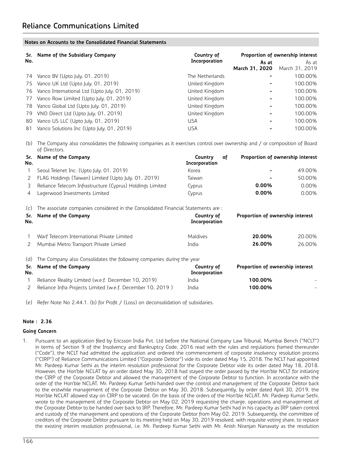|     | Sr. Name of the Subsidiary Company               | Country of      | Proportion of ownership interest |                |  |
|-----|--------------------------------------------------|-----------------|----------------------------------|----------------|--|
| No. |                                                  | Incorporation   | As at                            | As at          |  |
|     |                                                  |                 | March 31, 2020                   | March 31, 2019 |  |
|     | 74 Vanco BV (Upto July, 01, 2019)                | The Netherlands |                                  | 100.00%        |  |
|     | 75 Vanco UK Ltd (Upto July, 01, 2019)            | United Kingdom  |                                  | 100.00%        |  |
|     | 76 Vanco International Ltd (Upto July, 01, 2019) | United Kingdom  |                                  | 100.00%        |  |
|     | 77 Vanco Row Limited (Upto July, 01, 2019)       | United Kingdom  |                                  | 100.00%        |  |
|     | 78 Vanco Global Ltd (Upto July, 01, 2019)        | United Kingdom  |                                  | 100.00%        |  |
|     | 79 VNO Direct Ltd (Upto July, 01, 2019)          | United Kingdom  |                                  | 100.00%        |  |
| 80  | Vanco US LLC (Upto July, 01, 2019)               | <b>USA</b>      |                                  | 100.00%        |  |
|     | 81 Vanco Solutions Inc (Upto July, 01, 2019)     | <b>LISA</b>     |                                  | 100.00%        |  |

(b) The Company also consolidates the following companies as it exercises control over ownership and / or composition of Board of Directors.

| No. | Sr. Name of the Company                                   | Country<br>οf<br>Incorporation | Proportion of ownership interest |        |
|-----|-----------------------------------------------------------|--------------------------------|----------------------------------|--------|
|     | Seoul Telenet Inc. (Upto July, 01, 2019)                  | Korea                          |                                  | 49.00% |
|     | 2 FLAG Holdings (Taiwan) Limited (Upto July, 01, 2019)    | Taiwan                         | $\overline{\phantom{0}}$         | 50.00% |
| 3.  | Reliance Telecom Infrastructure (Cyprus) Holdings Limited | Cyprus                         | $0.00\%$                         | 0.00%  |
| 4   | Lagerwood Investments Limited                             | Cyprus                         | $0.00\%$                         | 0.00%  |

(c) The associate companies considered in the Consolidated Financial Statements are :

| No. | Sr. Name of the Company                    | Country of<br>Incorporation | Proportion of ownership interest |        |  |
|-----|--------------------------------------------|-----------------------------|----------------------------------|--------|--|
|     | Warf Telecom International Private Limited | <b>Maldives</b>             | 20.00%                           | 20.00% |  |
|     | Mumbai Metro Transport Private Limied      | India                       | 26.00%                           | 26.00% |  |

(d) The Company also Consolidates the following companies during the year

|     | Sr. Name of the Company                                    | Country of    | Proportion of ownership interest |                          |  |
|-----|------------------------------------------------------------|---------------|----------------------------------|--------------------------|--|
| No. |                                                            | Incorporation |                                  |                          |  |
|     | Reliance Reality Limited (w.e.f. December 10, 2019)        | India         | 100.00%                          | $\overline{\phantom{a}}$ |  |
|     | Reliance Infra Projects Limited (w.e.f. December 10, 2019) | India         | 100.00%                          | $\equiv$                 |  |

(e) Refer Note No 2.44.1. (b) for Profit / (Loss) on deconsolidation of subsidaries.

# **Note : 2.36**

### **Going Concern**

1. Pursuant to an application filed by Ericsson India Pvt. Ltd before the National Company Law Tribunal, Mumbai Bench ("NCLT") in terms of Section 9 of the Insolvency and Bankruptcy Code, 2016 read with the rules and regulations framed thereunder ("Code"), the NCLT had admitted the application and ordered the commencement of corporate insolvency resolution process ("CIRP") of Reliance Communications Limited ("Corporate Debtor") vide its order dated May 15, 2018. The NCLT had appointed Mr. Pardeep Kumar Sethi as the interim resolution professional for the Corporate Debtor vide its order dated May 18, 2018. However, the Hon'ble NCLAT by an order dated May 30, 2018 had stayed the order passed by the Hon'ble NCLT for initiating the CIRP of the Corporate Debtor and allowed the management of the Corporate Debtor to function. In accordance with the order of the Hon'ble NCLAT, Mr. Pardeep Kumar Sethi handed over the control and management of the Corporate Debtor back to the erstwhile management of the Corporate Debtor on May 30, 2018. Subsequently, by order dated April 30, 2019, the Hon'ble NCLAT allowed stay on CIRP to be vacated. On the basis of the orders of the Hon'ble NCLAT, Mr. Pardeep Kumar Sethi, wrote to the management of the Corporate Debtor on May 02, 2019 requesting the charge, operations and management of the Corporate Debtor to be handed over back to IRP. Therefore, Mr. Pardeep Kumar Sethi had in his capacity as IRP taken control and custody of the management and operations of the Corporate Debtor from May 02, 2019. Subsequently, the committee of creditors of the Corporate Debtor pursuant to its meeting held on May 30, 2019 resolved, with requisite voting share, to replace the existing interim resolution professional, i.e. Mr. Pardeep Kumar Sethi with Mr. Anish Niranjan Nanavaty as the resolution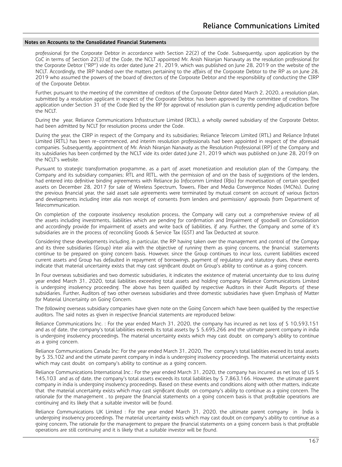professional for the Corporate Debtor in accordance with Section 22(2) of the Code. Subsequently, upon application by the CoC in terms of Section 22(3) of the Code, the NCLT appointed Mr. Anish Niranjan Nanavaty as the resolution professional for the Corporate Debtor ("RP") vide its order dated June 21, 2019, which was published on June 28, 2019 on the website of the NCLT. Accordingly, the IRP handed over the matters pertaining to the affairs of the Corporate Debtor to the RP as on June 28, 2019 who assumed the powers of the board of directors of the Corporate Debtor and the responsibility of conducting the CIRP of the Corporate Debtor.

Further, pursuant to the meeting of the committee of creditors of the Corporate Debtor dated March 2, 2020, a resolution plan, submitted by a resolution applicant in respect of the Corporate Debtor, has been approved by the committee of creditors. The application under Section 31 of the Code filed by the RP for approval of resolution plan is currently pending adjudication before the NCLT.

During the year, Reliance Communications Infrastructure Limited (RCIL), a wholly owned subsidiary of the Corporate Debtor, had been admitted by NCLT for resolution process under the Code.

During the year, the CIRP in respect of the Company and its subsidiaries; Reliance Telecom Limited (RTL) and Reliance Infratel Limited (RITL) has been re-commenced, and interim resolution professionals had been appointed in respect of the aforesaid companies. Subsequently, appointment of Mr. Anish Niranjan Nanavaty as the Resolution Professional (RP) of the Company and its subsidiaries has been confirmed by the NCLT vide its order dated June 21, 2019 which was published on June 28, 2019 on the NCLT's website.

Pursuant to strategic transformation programme, as a part of asset monetization and resolution plan of the Company, the Company and its subsidiary companies; RTL and RITL, with the permission of and on the basis of suggestions of the lenders, had entered into definitive binding agreements with Reliance Jio Infocomm Limited (RJio) for monetisation of certain specified assets on December 28, 2017 for sale of Wireless Spectrum, Towers, Fiber and Media Convergence Nodes (MCNs). During the previous financial year, the said asset sale agreements were terminated by mutual consent on account of various factors and developments including inter alia non receipt of consents from lenders and permission/ approvals from Department of Telecommunication.

On completion of the corporate insolvency resolution process, the Company will carry out a comprehensive review of all the assets including investments, liabilities which are pending for confirmation and Impairment of goodwill on Consolidation and accordingly provide for impairment of assets and write back of liabilities, if any. Further, the Company and some of it's subsidiaries are in the process of reconciling Goods & Service Tax (GST) and Tax Deducted at source.

Considering these developments including, in particular, the RP having taken over the management and control of the Compay and its three subsidiaries (Group) inter alia with the objective of running them as going concerns, the financial statements continue to be prepared on going concern basis. However, since the Group continues to incur loss, current liabilities exceed current assets and Group has defaulted in repayment of borrowings, payment of regulatory and statutory dues, these events indicate that material uncertainty exists that may cast significant doubt on Group's ability to continue as a going concern.

In Four overseas subsidiaries and two domestic subsidiaries, it indicates the existence of material uncertainty due to loss during year ended March 31, 2020, total liabilities exceeding total assets and holding company Reliance Communications Limited is undergoing insolvency proceeding. The above has been qualified by respective Auditors in their Audit Reports of these subsidiaries. Further, Auditors of two other overseas subsidiaries and three domestic subsidiaries have given Emphasis of Matter for Material Uncertainty on Going Concern.

The following overseas subsidiary companies have given note on the Going Concern which have been qualified by the respective auditors. The said notes as given in respective financial statements are reproduced below:

Reliance Communications Inc. : For the year ended March 31, 2020, the company has incurred as net loss of \$ 10,593,151 and as of date, the company's total labiliities exceeds its total assets by \$ 5,695,266 and the utimate parent company in india is undergoing insolvency proceedings. The material uncertainty exists which may cast doubt on company's ability to continue as a going concern.

Reliance Communications Canada Inc: For the year ended March 31, 2020, The company's total liablities exceed its total assets by \$ 35,102 and and the utimate parent company in india is undergoing insolvency proceedings. The material uncertainty exists which may cast doubt on company's ability to continue as a going concern.

Reliance Communications International Inc.: For the year ended March 31, 2020, the company has incurred as net loss of US \$ 145,103 and as of date, the company's total assets exceeds its total liabilities by \$ 7,863,166. However, the utimate parent company in india is undergoing insolvency proceedings. Based on these events and conditions along with other matters, indicate that the material uncertainty exists which may cast significant doubt on company's ability to continue as a going concern. The rationale for the management , to prepare the financial statements on a going concern basis is that profitable operations are continuing and its likely that a suitable investor will be found.

Reliance Communications UK Limited : For the year ended March 31, 2020, the ultimate parent company in India is undergoing insolvency proceedings. The material uncertainty exists which may cast doubt on company's ability to continue as a going concern, The rationale for the management to prepare the financial statements on a going concern basis is that profitable operations are still continuing and it is likely that a suitable investor will be found.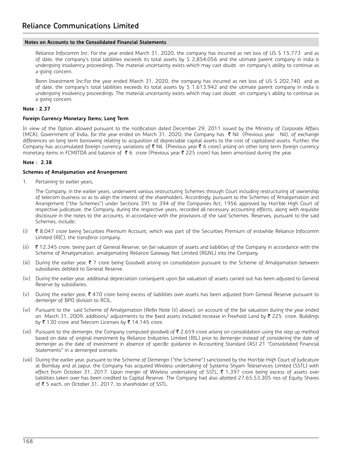Reliance Infocomm Inc: For the year ended March 31, 2020, the company has incurred as net loss of US \$ 15,773 and as of date, the company's total labiliities exceeds its total assets by \$ 2,854,056 and the utimate parent company in india is undergoing insolvency proceedings. The material uncertainty exists which may cast doubt on company's ability to continue as a going concern.

Bonn Investment Inc:For the year ended March 31, 2020, the company has incurred as net loss of US \$ 202,740 and as of date, the company's total labiliities exceeds its total assets by \$ 1,613,942 and the utimate parent company in india is undergoing insolvency proceedings. The material uncertainty exists which may cast doubt on company's ability to continue as a going concern.

### **Note : 2.37**

# **Foreign Currency Monetary Items; Long Term**

In view of the Option allowed pursuant to the notification dated December 29, 2011 issued by the Ministry of Corporate Affairs (MCA), Government of India, for the year ended on March 31, 2020, the Company has ₹ Nil (Previous year Nil), of exchange differences on long term borrowing relating to acquisition of depreciable capital assets to the cost of capitalised assets. Further, the Company has accumulated foreign currency variations of  $\bar{\tau}$  Nil (Previous year  $\bar{\tau}$  6 crore) arising on other long term foreign currency monetary items in FCMITDA and balance of  $\bar{\tau}$  6 crore (Previous year  $\bar{\tau}$  225 crore) has been amortised during the year.

### **Note : 2.38**

### **Schemes of Amalgamation and Arrangement**

1. Pertaining to earlier years,

The Company, in the earlier years, underwent various restructuring Schemes through Court including restructuring of ownership of telecom business so as to align the interest of the shareholders. Accordingly, pursuant to the Schemes of Amalgamation and Arrangement ("the Schemes") under Sections 391 to 394 of the Companies Act, 1956 approved by Hon'ble High Court of respective judicature, the Company, during the respective years, recorded all necessary accounting effects, along with requisite disclosure in the notes to the accounts, in accordance with the provisions of the said Schemes. Reserves, pursuant to the said Schemes, include;

- (i)  $\bar{\tau}$  8,047 crore being Securities Premium Account, which was part of the Securities Premium of erstwhile Reliance Infocomm Limited (RIC), the transferor company.
- (ii)  $\bar{\tau}$  12,345 crore, being part of General Reserve, on fair valuation of assets and liabilities of the Company in accordance with the Scheme of Amalgamation, amalgamating Reliance Gateway Net Limited (RGNL) into the Company.
- (iii) During the earlier year,  $\bar{\tau}$  7 crore being Goodwill arising on consolidation pursuant to the Scheme of Amalgamation between subsidiaries debited to General Reserve.
- (iv) During the earlier year, additional depreciation consequent upon fair valuation of assets carried out has been adjusted to General Reserve by subsidiaries.
- (v) During the earlier year,  $\bar{\tau}$  470 crore being excess of liabilities over assets has been adjusted from General Reserve pursuant to demerger of BPO division to RCIL.
- (vi) Pursuant to the said Scheme of Amalgamation (Refer Note (ii) above), on account of the fair valuation during the year ended on March 31, 2009, additions/ adjustments to the fixed assets included increase in Freehold Land by ₹ 225 crore, Buildings by  $\bar{\tau}$  130 crore and Telecom Licenses by  $\bar{\tau}$  14,145 crore.
- (vii) Pursuant to the demerger, the Company computed goodwill of  $\bar{z}$  2,659 crore arising on consolidation using the step up method based on date of original investment by Reliance Industries Limited (RIL) prior to demerger instead of considering the date of demerger as the date of investment in absence of specific guidance in Accounting Standard (AS) 21 "Consolidated Financial Statements" in a demerged scenario.
- (viii) During the earlier year, pursuant to the Scheme of Demerger ("the Scheme") sanctioned by the Hon'ble High Court of Judicature at Bombay and at Jaipur, the Company has acquired Wireless undertaking of Systema Shyam Teleservices Limited (SSTL) with effect from October 31, 2017. Upon merger of Wireless undertaking of SSTL, ₹ 1,397 crore being excess of assets over liabilities taken over has been credited to Capital Reserve. The Company had also allotted 27,65,53,305 nos of Equity Shares of ₹ 5 each, on October 31, 2017, to shareholder of SSTL.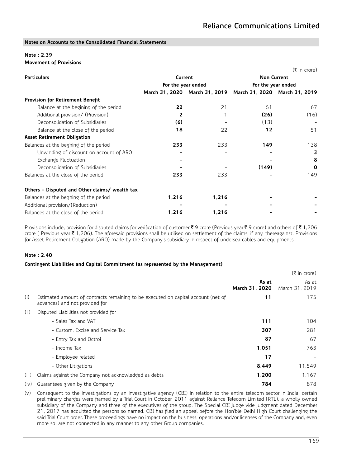# **Note : 2.39**

# **Movement of Provisions**

|                                                |         |                    |                                                             | $(\bar{\bar{\mathbf{z}}}$ in crore) |  |  |
|------------------------------------------------|---------|--------------------|-------------------------------------------------------------|-------------------------------------|--|--|
| <b>Particulars</b>                             | Current |                    |                                                             | <b>Non Current</b>                  |  |  |
|                                                |         | For the year ended | For the year ended                                          |                                     |  |  |
|                                                |         |                    | March 31, 2020 March 31, 2019 March 31, 2020 March 31, 2019 |                                     |  |  |
| <b>Provision for Retirement Benefit</b>        |         |                    |                                                             |                                     |  |  |
| Balance at the begining of the period          | 22      | 21                 | 51                                                          | 67                                  |  |  |
| Additional provision/ (Provision)              | 2       |                    | (26)                                                        | (16)                                |  |  |
| Deconsolidation of Subsidiaries                | (6)     |                    | (13)                                                        |                                     |  |  |
| Balance at the close of the period             | 18      | 22                 | 12                                                          | 51                                  |  |  |
| <b>Asset Retirement Obligation</b>             |         |                    |                                                             |                                     |  |  |
| Balances at the begning of the period          | 233     | 233                | 149                                                         | 138                                 |  |  |
| Unwinding of discount on account of ARO        |         |                    |                                                             | 3                                   |  |  |
| Exchange Fluctuation                           |         |                    |                                                             | 8                                   |  |  |
| Deconsolidation of Subsidiaries                |         |                    | (149)                                                       | 0                                   |  |  |
| Balances at the close of the period            | 233     | 233                |                                                             | 149                                 |  |  |
| Others - Disputed and Other claims/ wealth tax |         |                    |                                                             |                                     |  |  |
| Balances at the begning of the period          | 1,216   | 1,216              |                                                             |                                     |  |  |
| Additional provision/(Reduction)               |         |                    |                                                             |                                     |  |  |
| Balances at the close of the period            | 1,216   | 1,216              |                                                             |                                     |  |  |

Provisions include, provision for disputed claims for verification of customer  $\bar{\zeta}$  9 crore (Previous year  $\bar{\zeta}$  9 crore) and others of  $\bar{\zeta}$  1,206 crore (Previous year  $\bar{\tau}$  1,206). The aforesaid provisions shall be utilised on settlement of the claims, if any, thereagainst. Provisions for Asset Retirement Obligation (ARO) made by the Company's subsidiary in respect of undersea cables and equipments.

# **Note : 2.40**

### **Contingent Liabilities and Capital Commitment (as represented by the Management)**

|       |                                                                                                                     |                         | $(\bar{\bar{\mathbf{z}}}$ in crore) |
|-------|---------------------------------------------------------------------------------------------------------------------|-------------------------|-------------------------------------|
|       |                                                                                                                     | As at<br>March 31, 2020 | As at<br>March 31, 2019             |
| (i)   | Estimated amount of contracts remaining to be executed on capital account (net of<br>advances) and not provided for | 11                      | 175                                 |
| (ii)  | Disputed Liabilities not provided for                                                                               |                         |                                     |
|       | - Sales Tax and VAT                                                                                                 | 111                     | 104                                 |
|       | - Custom, Excise and Service Tax                                                                                    | 307                     | 281                                 |
|       | - Entry Tax and Octroi                                                                                              | 87                      | 67                                  |
|       | - Income Tax                                                                                                        | 1,051                   | 763                                 |
|       | - Employee related                                                                                                  | 17                      |                                     |
|       | - Other Litigations                                                                                                 | 8,449                   | 11,549                              |
| (iii) | Claims against the Company not acknowledged as debts                                                                | 1,200                   | 1,167                               |
| (iv)  | Guarantees given by the Company                                                                                     | 784                     | 878                                 |

(v) Consequent to the investigations by an investigative agency (CBI) in relation to the entire telecom sector in India, certain preliminary charges were framed by a Trial Court in October, 2011 against Reliance Telecom Limited (RTL), a wholly owned subsidiary of the Company and three of the executives of the group. The Special CBI Judge vide judgment dated December 21, 2017 has acquitted the persons so named. CBI has filed an appeal before the Hon'ble Delhi High Court challenging the said Trial Court order. These proceedings have no impact on the business, operations and/or licenses of the Company and, even more so, are not connected in any manner to any other Group companies.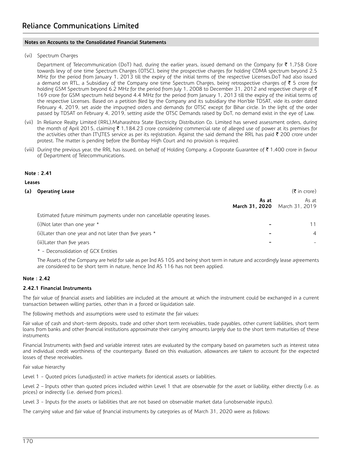(vi) Spectrum Charges

Department of Telecommunication (DoT) had, during the earlier years, issued demand on the Company for  $\bar{\tau}$  1,758 Crore towards levy of one time Spectrum Charges (OTSC), being the prospective charges for holding CDMA spectrum beyond 2.5 MHz for the period from January 1, 2013 till the expiry of the initial terms of the respective Licenses.DoT had also issued a demand on RTL, a Subsidiary of the Company one time Spectrum Charges, being retrospective charges of ₹ 5 crore for holding GSM Spectrum beyond 6.2 MHz for the period from July 1, 2008 to December 31, 2012 and respective charge of ₹ 169 crore for GSM spectrum held beyond 4.4 MHz for the period from January 1, 2013 till the expiry of the initial terms of the respective Licenses. Based on a petition filed by the Company and its subsidiary the Hon'ble TDSAT, vide its order dated February 4, 2019, set aside the impugned orders and demands for OTSC except for Bihar circle. In the light of the order passed by TDSAT on February 4, 2019, setting aside the OTSC Demands raised by DoT, no demand exist in the eye of Law.

- (vii) In Reliance Realty Limited (RRL),Maharashtra State Electricity Distribution Co. Limited has served assessment orders, during the month of April 2015, claiming  $\bar{z}$  1,184.23 crore considering commercial rate of alleged use of power at its premises for the activities other than IT\ITES service as per its registration. Against the said demand the RRL has paid  $\bar{\tau}$  200 crore under protest. The matter is pending before the Bombay High Court and no provision is required.
- (viii) During the previous year, the RRL has issued, on behalf of Holding Company, a Corporate Guarantee of  $\bar{\tau}$  1,400 crore in favour of Department of Telecommunications.

# **Note : 2.41**

### **Leases**

| (a) Operating Lease                                                       |                         | $(\bar{\bar{\mathbf{z}}}$ in crore) |
|---------------------------------------------------------------------------|-------------------------|-------------------------------------|
|                                                                           | As at<br>March 31, 2020 | As at<br>March 31, 2019             |
| Estimated future minimum payments under non cancellable operating leases. |                         |                                     |
| (i) Not later than one year *                                             |                         | 11                                  |
| (ii) Later than one year and not later than five years *                  |                         | $\overline{4}$                      |
| (iii) Later than five years                                               |                         |                                     |
|                                                                           |                         |                                     |

\* - Deconsolidation of GCX Entities

The Assets of the Company are held for sale as per Ind AS 105 and being short term in nature and accordingly lease agreements are considered to be short term in nature, hence Ind AS 116 has not been applied.

# **Note : 2.42**

# **2.42.1 Financial Instruments**

The fair value of financial assets and liabilities are included at the amount at which the instrument could be exchanged in a current transaction between willing parties, other than in a forced or liquidation sale.

The following methods and assumptions were used to estimate the fair values:

Fair value of cash and short-term deposits, trade and other short term receivables, trade payables, other current liabilities, short term loans from banks and other financial institutions approximate their carrying amounts largely due to the short term maturities of these instruments

Financial Instruments with fixed and variable interest rates are evaluated by the company based on parameters such as interest ratea and individual credit worthiness of the counterparty. Based on this evaluation, allowances are taken to account for the expected losses of these receivables.

Fair value hierarchy

Level 1 - Quoted prices (unadjusted) in active markets for identical assets or liabilities.

Level 2 – Inputs other than quoted prices included within Level 1 that are observable for the asset or liability, either directly (i.e. as prices) or indirectly (i.e. derived from prices).

Level 3 - Inputs for the assets or liabilities that are not based on observable market data (unobservable inputs).

The carrying value and fair value of financial instruments by categories as of March 31, 2020 were as follows: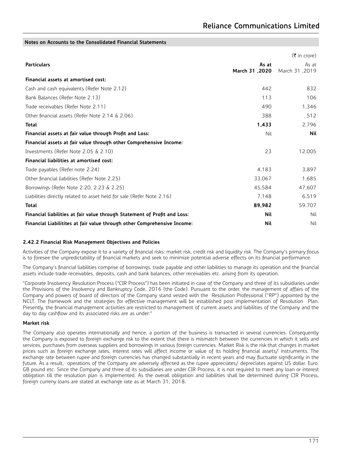|                                                                           |                         | $(\bar{\bar{\mathbf{z}}}$ in crore) |
|---------------------------------------------------------------------------|-------------------------|-------------------------------------|
| <b>Particulars</b>                                                        | As at<br>March 31, 2020 | As at<br>March 31, 2019             |
| Financial assets at amortised cost:                                       |                         |                                     |
| Cash and cash equivalents (Refer Note 2.12)                               | 442                     | 832                                 |
| Bank Balances (Refer Note 2.13)                                           | 113                     | 106                                 |
| Trade receivables (Refer Note 2.11)                                       | 490                     | 1,346                               |
| Other financial assets (Refer Note 2.14 & 2.06)                           | 388                     | 512                                 |
| <b>Total</b>                                                              | 1,433                   | 2,796                               |
| Financial assets at fair value through Profit and Loss:                   | Nil                     | <b>Nil</b>                          |
| Financial assets at fair value through other Comprehensive Income:        |                         |                                     |
| Investments (Refer Note 2.05 & 2.10)                                      | 23                      | 12,005                              |
| Financial liabilities at amortised cost:                                  |                         |                                     |
| Trade payables (Refer note 2.24)                                          | 4,183                   | 3,897                               |
| Other financial liabilities (Refer Note 2.25)                             | 33,067                  | 1,685                               |
| Borrowings (Refer Note 2.20, 2.23 & 2.25)                                 | 45,584                  | 47,607                              |
| Liabilities directly related to asset held for sale (Refer Note 2.16)     | 7.148                   | 6,519                               |
| <b>Total</b>                                                              | 89,982                  | 59,707                              |
| Financial liabilities at fair value through Statement of Profit and Loss: | Nil                     | Nil                                 |
| Financial Liabilitites at fair value through other Comprehensive Income:  | Nil                     | Nil                                 |

### **2.42.2 Financial Risk Management Objectives and Policies**

Activities of the Company expose it to a variety of financial risks: market risk, credit risk and liquidity risk. The Company's primary focus is to foresee the unpredictability of financial markets and seek to minimize potential adverse effects on its financial performance.

The Company's financial liabilities comprise of borrowings, trade payable and other liabilities to manage its operation and the financial assets include trade receivables, deposits, cash and bank balances, other receivables etc. arising from its operation.

"Corporate Insolvency Resolution Process ("CIR Process") has been initiated in case of the Company and three of its subsidiaries under the Provisions of the Insolvency and Bankruptcy Code, 2016 (the Code). Pursuant to the order, the management of affairs of the Company and powers of board of directors of the Company stand vested with the Resolution Professional ("RP") appointed by the NCLT. The framework and the strategies for effective management will be established post implementation of Resolution Plan. Presently, the financial management activities are restricted to management of current assets and liabilities of the Company and the day to day cashflow and its associated risks are as under:"

### **Market risk**

The Company also operates internationally and hence, a portion of the business is transacted in several currencies. Consequently the Company is exposed to foreign exchange risk to the extent that there is mismatch between the currencies in which it sells and services, purchases from overseas suppliers and borrowings in various foreign currencies. Market Risk is the risk that changes in market prices such as foreign exchange rates, interest rates will affect income or value of its holding financial assets/ instruments. The exchange rate between rupee and foreign currencies has changed substantially in recent years and may fluctuate significantly in the future. As a result, operations of the Company are adversely affected as the rupee appreciates/ depreciates against US dollar. Euro. GB pound etc. Since the Company and three of its subsidiaries are under CIR Process, it is not required to meet any loan or interest obligation till the resolution plan is implemented. As the overall obligation and liabilities shall be determined during CIR Process, foreign curreny loans are stated at exchange rate as at March 31, 2018.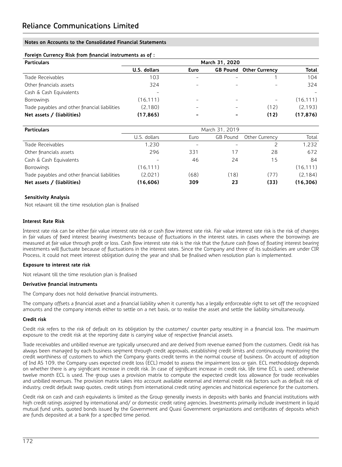# **Foreign Currency Risk from financial instruments as of :**

| <b>Particulars</b>                             | March 31, 2020 |      |  |                                |           |  |
|------------------------------------------------|----------------|------|--|--------------------------------|-----------|--|
|                                                | U.S. dollars   | Euro |  | <b>GB Pound Other Currency</b> | Total     |  |
| Trade Receivables                              | 103            |      |  |                                | 104       |  |
| Other financials assets                        | 324            |      |  |                                | 324       |  |
| Cash & Cash Equivalents                        |                |      |  |                                |           |  |
| <b>Borrowings</b>                              | (16.111)       |      |  | -                              | (16, 111) |  |
| Trade payables and other financial liabilities | (2,180)        |      |  | (12)                           | (2.193)   |  |
| Net assets / (liabilities)                     | (17, 865)      |      |  | (12)                           | (17, 876) |  |

| <b>Particulars</b>                             | March 31, 2019 |      |                 |                |           |  |
|------------------------------------------------|----------------|------|-----------------|----------------|-----------|--|
|                                                | U.S. dollars   | Euro | <b>GB</b> Pound | Other Currency | Total     |  |
| Trade Receivables                              | 1.230          |      |                 |                | 1.232     |  |
| Other financials assets                        | 296            | 331  | 17              | 28             | 672       |  |
| Cash & Cash Equivalents                        |                | 46   | 24              | 15             | 84        |  |
| <b>Borrowings</b>                              | (16.111)       |      |                 |                | (16, 111) |  |
| Trade payables and other financial liabilities | (2,021)        | (68) | (18)            | (77)           | (2.184)   |  |
| Net assets / (liabilities)                     | (16, 606)      | 309  | 23              | (33)           | (16, 306) |  |

# **Sensitivity Analysis**

Not relavant till the time resolution plan is finalised

# **Interest Rate Risk**

Interest rate risk can be either fair value interest rate risk or cash flow interest rate risk. Fair value interest rate risk is the risk of changes in fair values of fixed interest bearing investments because of fluctuations in the interest rates, in cases where the borrowings are measured at fair value through profit or loss. Cash flow interest rate risk is the risk that the future cash flows of floating interest bearing investments will fluctuate because of fluctuations in the interest rates. Since the Company and three of its subsidiaries are under CIR Process, it could not meet interest obligation during the year and shall be finalised when resolution plan is implemented.

### **Exposure to interest rate risk**

Not relavant till the time resolution plan is finalised

### **Derivative financial instruments**

The Company does not hold derivative financial instruments.

The company offsets a financial asset and a financial liability when it currently has a legally enforceable right to set off the recognized amounts and the company intends either to settle on a net basis, or to realise the asset and settle the liability simultaneously.

### **Credit risk**

Credit risk refers to the risk of default on its obligation by the customer/ counter party resulting in a financial loss. The maximum exposure to the credit risk at the reporting date is carrying value of respective financial assets.

Trade receivables and unbilled revenue are typically unsecured and are derived from revenue earned from the customers. Credit risk has always been managed by each business segment through credit approvals, establishing credit limits and continuously monitoring the credit worthiness of customers to which the Company grants credit terms in the normal course of business. On account of adoption of Ind AS 109, the Company uses expected credit loss (ECL) model to assess the impairment loss or gain. ECL methodology depends on whether there is any significant increase in credit risk. In case of significant increase in credit risk, life time ECL is used; otherwise twelve month ECL is used. The group uses a provision matrix to compute the expected credit loss allowance for trade receivables and unbilled revenues. The provision matrix takes into account available external and internal credit risk factors such as default risk of industry, credit default swap quotes, credit ratings from international credit rating agencies and historical experience for the customers.

Credit risk on cash and cash equivalents is limited as the Group generally invests in deposits with banks and financial institutions with high credit ratings assigned by international and/ or domestic credit rating agencies. Investments primarily include investment in liquid mutual fund units, quoted bonds issued by the Government and Quasi Government organizations and certificates of deposits which are funds deposited at a bank for a specified time period.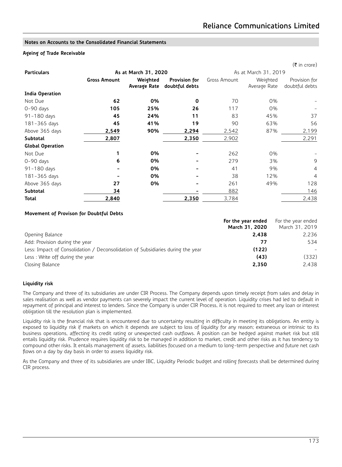# **Ageing of Trade Receivable**

|                         |                     |                          |                                 |              |                          | $(\bar{\bar{\mathbf{z}}}$ in crore) |  |  |
|-------------------------|---------------------|--------------------------|---------------------------------|--------------|--------------------------|-------------------------------------|--|--|
| <b>Particulars</b>      |                     | As at March 31, 2020     |                                 |              | As at March 31, 2019     |                                     |  |  |
|                         | <b>Gross Amount</b> | Weighted<br>Average Rate | Provision for<br>doubtful debts | Gross Amount | Weighted<br>Average Rate | Provision for<br>doubtful debts     |  |  |
| India Operation         |                     |                          |                                 |              |                          |                                     |  |  |
| Not Due                 | 62                  | 0%                       | 0                               | 70           | 0%                       |                                     |  |  |
| $0-90$ days             | 105                 | 25%                      | 26                              | 117          | 0%                       |                                     |  |  |
| 91-180 days             | 45                  | 24%                      | 11                              | 83           | 45%                      | 37                                  |  |  |
| 181-365 days            | 45                  | 41%                      | 19                              | 90           | 63%                      | 56                                  |  |  |
| Above 365 days          | 2,549               | 90%                      | 2,294                           | 2,542        | 87%                      | 2,199                               |  |  |
| Subtotal                | 2,807               |                          | 2,350                           | 2,902        |                          | 2,291                               |  |  |
| <b>Global Operation</b> |                     |                          |                                 |              |                          |                                     |  |  |
| Not Due                 |                     | 0%                       |                                 | 262          | 0%                       |                                     |  |  |
| $0-90$ days             | 6                   | 0%                       |                                 | 279          | 3%                       | 9                                   |  |  |
| 91-180 days             |                     | 0%                       |                                 | 41           | 9%                       | $\overline{4}$                      |  |  |
| 181-365 days            |                     | 0%                       |                                 | 38           | 12%                      | 4                                   |  |  |
| Above 365 days          | 27                  | 0%                       |                                 | 261          | 49%                      | 128                                 |  |  |
| Subtotal                | 34                  |                          |                                 | 882          |                          | 146                                 |  |  |
| Total                   | 2,840               |                          | 2,350                           | 3,784        |                          | 2,438                               |  |  |

# **Movement of Provison for Doubtful Debts**

|                                                                                 | For the year ended | For the year ended       |
|---------------------------------------------------------------------------------|--------------------|--------------------------|
|                                                                                 | March 31, 2020     | March 31, 2019           |
| Opening Balance                                                                 | 2.438              | 2,236                    |
| Add: Provision during the year                                                  | 77                 | 534                      |
| Less: Impact of Consolidation / Deconsolidation of Subsidiaries during the year | (122)              | $\overline{\phantom{0}}$ |
| Less: Write off during the year                                                 | (43)               | (332)                    |
| Closing Balance                                                                 | 2.350              | 2,438                    |

### **Liquidity risk**

The Company and three of its subsidiaries are under CIR Process. The Company depends upon timely receipt from sales and delay in sales realisation as well as vendor payments can severely impact the current level of operation. Liquidity crises had led to default in repayment of principal and interest to lenders. Since the Company is under CIR Process, it is not required to meet any loan or interest obligation till the resolution plan is implemented.

Liquidity risk is the financial risk that is encountered due to uncertainty resulting in difficulty in meeting its obligations. An entity is exposed to liquidity risk if markets on which it depends are subject to loss of liquidity for any reason; extraneous or intrinsic to its business operations, affecting its credit rating or unexpected cash outflows. A position can be hedged against market risk but still entails liquidity risk. Prudence requires liquidity risk to be managed in addition to market, credit and other risks as it has tendency to compound other risks. It entails management of assets, liabilities focused on a medium to long-term perspective and future net cash flows on a day by day basis in order to assess liquidity risk.

As the Company and three of its subsidiaries are under IBC, Liquidity Periodic budget and rolling forecasts shall be determined during CIR process.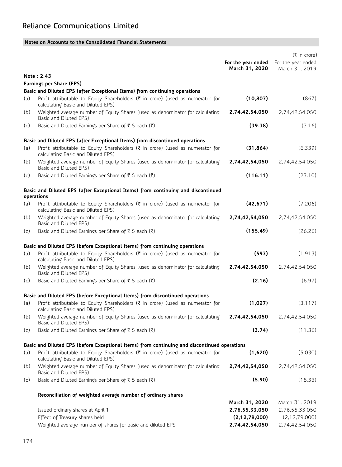|     |                                                                                                                                                                          |                                      | $(\bar{\bar{\mathbf{z}}}$ in crore)  |
|-----|--------------------------------------------------------------------------------------------------------------------------------------------------------------------------|--------------------------------------|--------------------------------------|
|     |                                                                                                                                                                          | For the year ended<br>March 31, 2020 | For the year ended<br>March 31, 2019 |
|     | Note: 2.43                                                                                                                                                               |                                      |                                      |
|     | Earnings per Share (EPS)                                                                                                                                                 |                                      |                                      |
| (a) | Basic and Diluted EPS (after Exceptional Items) from continuing operations<br>Profit attributable to Equity Shareholders ( $\bar{\tau}$ in crore) (used as numerator for | (10, 807)                            | (867)                                |
|     | calculating Basic and Diluted EPS)                                                                                                                                       |                                      |                                      |
| (b) | Weighted average number of Equity Shares (used as denominator for calculating<br>Basic and Diluted EPS)                                                                  | 2,74,42,54,050                       | 2,74,42,54,050                       |
| (c) | Basic and Diluted Earnings per Share of ₹ 5 each (₹)                                                                                                                     | (39.38)                              | (3.16)                               |
|     | Basic and Diluted EPS (after Exceptional Items) from discontinued operations                                                                                             |                                      |                                      |
| (a) | Profit attributable to Equity Shareholders ( $\bar{\tau}$ in crore) (used as numerator for<br>calculating Basic and Diluted EPS)                                         | (31, 864)                            | (6,339)                              |
| (b) | Weighted average number of Equity Shares (used as denominator for calculating<br>Basic and Diluted EPS)                                                                  | 2,74,42,54,050                       | 2,74,42,54,050                       |
| (c) | Basic and Diluted Earnings per Share of ₹ 5 each (₹)                                                                                                                     | (116.11)                             | (23.10)                              |
|     | Basic and Diluted EPS (after Exceptional Items) from continuing and discontinued                                                                                         |                                      |                                      |
|     | operations                                                                                                                                                               |                                      |                                      |
| (a) | Profit attributable to Equity Shareholders ( $\bar{\tau}$ in crore) (used as numerator for<br>calculating Basic and Diluted EPS)                                         | (42, 671)                            | (7,206)                              |
| (b) | Weighted average number of Equity Shares (used as denominator for calculating<br>Basic and Diluted EPS)                                                                  | 2,74,42,54,050                       | 2,74,42,54,050                       |
| (c) | Basic and Diluted Earnings per Share of ₹ 5 each (₹)                                                                                                                     | (155.49)                             | (26.26)                              |
|     | Basic and Diluted EPS (before Exceptional Items) from continuing operations                                                                                              |                                      |                                      |
| (a) | Profit attributable to Equity Shareholders ( $\bar{\tau}$ in crore) (used as numerator for<br>calculating Basic and Diluted EPS)                                         | (593)                                | (1, 913)                             |
| (b) | Weighted average number of Equity Shares (used as denominator for calculating<br>Basic and Diluted EPS)                                                                  | 2,74,42,54,050                       | 2,74,42,54,050                       |
| (c) | Basic and Diluted Earnings per Share of ₹ 5 each (₹)                                                                                                                     | (2.16)                               | (6.97)                               |
|     | Basic and Diluted EPS (before Exceptional Items) from discontinued operations                                                                                            |                                      |                                      |
| (a) | Profit attributable to Equity Shareholders ( $\bar{\tau}$ in crore) (used as numerator for<br>calculating Basic and Diluted EPS)                                         | (1,027)                              | (3, 117)                             |
| (b) | Weighted average number of Equity Shares (used as denominator for calculating<br>Basic and Diluted EPS)                                                                  | 2,74,42,54,050                       | 2,74,42,54,050                       |
| (c) | Basic and Diluted Earnings per Share of ₹ 5 each (₹)                                                                                                                     | (3.74)                               | (11.36)                              |
|     | Basic and Diluted EPS (before Exceptional Items) from continuing and discontinued operations                                                                             |                                      |                                      |
| (a) | Profit attributable to Equity Shareholders ( $\bar{\tau}$ in crore) (used as numerator for                                                                               | (1,620)                              | (5,030)                              |
|     | calculating Basic and Diluted EPS)                                                                                                                                       |                                      |                                      |
| (b) | Weighted average number of Equity Shares (used as denominator for calculating<br>Basic and Diluted EPS)                                                                  | 2,74,42,54,050                       | 2,74,42,54,050                       |
| (c) | Basic and Diluted Earnings per Share of ₹ 5 each (₹)                                                                                                                     | (5.90)                               | (18.33)                              |
|     | Reconciliation of weighted average number of ordinary shares                                                                                                             |                                      |                                      |
|     |                                                                                                                                                                          | March 31, 2020                       | March 31, 2019                       |
|     | Issued ordinary shares at April 1                                                                                                                                        | 2,76,55,33,050                       | 2,76,55,33,050                       |
|     | Effect of Treasury shares held<br>Weighted average number of shares for basic and diluted EPS                                                                            | (2,12,79,000)<br>2,74,42,54,050      | (2,12,79,000)<br>2,74,42,54,050      |
|     |                                                                                                                                                                          |                                      |                                      |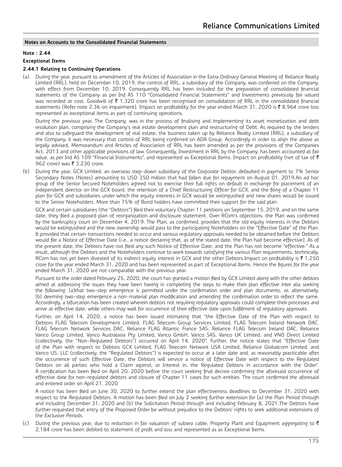### **Note : 2.44**

### **Exceptional Items**

### **2.44.1 Relating to Continuing Operations**

(a) During the year, pursuant to amendment of the Articles of Association in the Extra Ordinary General Meeting of Reliance Realty Limited (RRL), held on December 10, 2019, the control of RRL, a subsidiary of the Company, was conferred on the Company, with effect from December 10, 2019. Consequently RRL has been included for the preparation of consolidated financial statements of the Company as per Ind AS 110 "Consolidated Financial Statements" and Investments previously fair valued was recorded at cost. Goodwill of  $\bar{\tau}$  1,320 crore has been recognised on consolidation of RRL in the consolidated financial statements (Refer note 2.36 on impairment). Impact on profitability for the year ended March 31, 2020 is ₹8,964 crore loss represented as exceptional items as part of continuing operations.

During the previous year, The Company, was in the process of finalising and implementing its asset monetization and debt resolution plan, comprising the Company's real estate development plan and restructuring of Debt. As required by the lenders and also to safeguard the development of real estate, the business taken up by Reliance Realty Limited (RRL), a subsidiary of the Company, it was necessary that control of RRL being conferred on ADA Group. Accordingly in order to align the above as legally advised, Memorandum and Articles of Association of RRL has been amended as per the provisions of the Companies Act, 2013 and other applicable provisions of law. Consequently, Investment in RRL by the Company, has been accounted at fair value, as per Ind AS 109 "Financial Instruments", and represented as Exceptional Items. Impact on profitability (net of tax of ₹ 962 crore) was ₹ 3,230 crore.

(b) During the year, GCX Limited, an overseas step-down subsidiary of the Corporate Debtor, defaulted in payment to 7% Senior Secondary Notes (Notes) amounting to USD 350 million that had fallen due for repayment on August 01, 2019.An ad hoc group of the Senior Secured Noteholders agreed not to exercise their full rights on default in exchange for placement of an independent director on the GCX board, the retention of a Chief Restructuring Officer for GCX, and the filing of a Chapter 11 plan for GCX and subsidiaries under which the equity interests in GCX would be extinguished and new shares would be issued to the Senior Noteholders. More than 75% of Bond holders have committed their support for the said plan.

GCX and certain subsidiaries (the "Debtors") filed their voluntary Chapter 11 petitions on September 15, 2019, and on the same date, they filed a proposed plan of reorganization and disclosure statement. Over RCom's objections, the Plan was confirmed by the bankruptcy court on December 4, 2019. The Plan, as confirmed, provides that the old equity interests in the Debtors would be extinguished and the new ownership would pass to the participating Noteholders on the "Effective Date" of the Plan. It provided that certain transactions needed to occur and various regulatory approvals needed to be obtained before the Debtors would file a Notice of Effective Date (i.e., a notice declaring that, as of the stated date, the Plan had become effective). As of the present date, the Debtors have not filed any such Notice of Effective Date, and the Plan has not become "effective." As a result, although the Debtors and the Noteholders continue to work towards satisfying the various Plan requirements, technically, RCom has not yet been divested of its indirect equity interest in GCX and the other Debtors.Impact on profitability is  $\bar{\tau}$  1,250 crore for the year ended March 31, 2020 and has been represented as part of Exceptional Items. Hence the figures for the year ended March 31, 2020 are not comparable with the previous year.

Pursuant to the order dated February 25, 2020, the court has granted a motion filed by GCX Limited along with the other debtors aimed at addressing the issues they have been having in completing the steps to make their plan effective inter alia seeking the following: (a)that two-step emergence is permitted under the confirmation order and plan documents, or, alternatively, (b) deeming two-step emergence a non-material plan modification and amending the confirmation order to reflect the same. Accordingly, a bifurcation has been created wherein debtors not requiring regulatory approvals could complete their processes and arrive at effective date, while others may wait for occurrence of their effective date upon fulfillment of regulatory approvals.

Further, on April 14, 2020, a notice has been issued intimating that "the Effective Date of the Plan with respect to Debtors FLAG Telecom Development Limited, FLAG Telecom Group Services Limited, FLAG Telecom Ireland Network DAC, FLAG Telecom Network Services DAC, Reliance FLAG Atlantic France SAS, Reliance FLAG Telecom Ireland DAC, Reliance Vanco Group Limited, Vanco Australasia Pty Limited, Vanco GmbH, Vanco SAS, Vanco UK Limited, and VNO Direct Limited (collectively, the "Non-Regulated Debtors") occurred on April 14, 2020". Further, the notice states that "Effective Date of the Plan with respect to Debtors GCX Limited, FLAG Telecom Network USA Limited, Reliance Globalcom Limited, and Vanco US, LLC (collectively, the "Regulated Debtors") is expected to occur at a later date and, as reasonably practicable after the occurrence of such Effective Date, the Debtors will service a notice of Effective Date with respect to the Regulated Debtors on all parties who hold a Claim against, or Interest in, the Regulated Debtors in accordance with the Order". A certification has been filed on April 20, 2020 before the court seeking final decree confirming the aforesaid occurrence of effective date for non-regulated debtors and closure of Chapter 11 cases for such entities. The court confirmed the aforesaid and entered order on April 21, 2020

A notice has been filed on June 30, 2020 to further extend the plan effectiveness deadlines to December 31, 2020 with respect to the Regulated Debtors. A motion has been filed on July 2 seeking further extension for (a) the Plan Period through and including December 31, 2020 and (b) the Solicitation Period through and including February 8, 2021.The Debtors have further requested that entry of the Proposed Order be without prejudice to the Debtors' rights to seek additional extensions of the Exclusive Periods.

(c) During the previous year, due to reduction in fair valuation of subsea cable, Property Plant and Equipment aggregating to  $\bar{\tau}$ 2,184 crore has been debited to statement of profit and loss and represented as as Exceptional Items.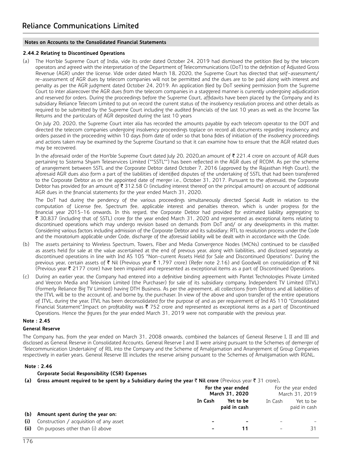### **2.44.2 Relating to Discontinued Operations**

(a) The Hon'ble Supreme Court of India, vide its order dated October 24, 2019 had dismissed the petition filed by the telecom operators and agreed with the interpretation of the Department of Telecommunications (DoT) to the definition of Adjusted Gross Revenue (AGR) under the license. Vide order dated March 18, 2020, the Supreme Court has directed that self-assessment/ re-assessment of AGR dues by telecom companies will not be permitted and the dues are to be paid along with interest and penalty as per the AGR judgment dated October 24, 2019. An application filed by DoT seeking permission from the Supreme Court to inter aliarecover the AGR dues from the telecom companies in a staggered manner is currently undergoing adjudication and reserved for orders. During the proceedings before the Supreme Court, affidavits have been placed by the Company and its subsidiary Reliance Telecom Limited to put on record the current status of the insolvency resolution process and other details as required to be submitted by the Supreme Court including the audited financials of the last 10 years as well as the Income Tax Returns and the particulars of AGR deposited during the last 10 years

On July 20, 2020, the Supreme Court inter alia has recorded the amounts payable by each telecom operator to the DOT and directed the telecom companies undergoing insolvency proceedings toplace on record all documents regarding insolvency and orders passed in the proceeding within 10 days from date of order so that bona fides of initiation of the insolvency proceedings and actions taken may be examined by the Supreme Courtand so that it can examine how to ensure that the AGR related dues may be recovered.

In the aforesaid order of the Hon'ble Supreme Court dated July 20, 2020,an amount of ₹221.4 crore on account of AGR dues pertaining to Sistema Shyam Teleservices Limited (""SSTL"") has been reflected in the AGR dues of RCOM. As per the scheme of arrangement between SSTL and the Corporate Debtor dated October 7, 2016 (approved by the Rajasthan High Court), the aforesaid AGR dues also form a part of the liabilities of identified disputes of the undertaking of SSTL that had been transferred to the Corporate Debtor as on the appointed date of merger i.e., October 31, 2017. Pursuant to the aforesaid, the Corporate Debtor has provided for an amount of  $\bar{\tau}$  312.58 Cr (including interest thereof on the principal amount) on account of additional AGR dues in the financial statements for the year ended March 31, 2020.

The DoT had during the pendency of the various proceedings simultaneously directed Special Audit in relation to the computation of License fee, Spectrum fee, applicable interest and penalties thereon, which is under progress for the financial year 2015-16 onwards. In this regard, the Corporate Debtor had provided for estimated liability aggregating to ₹ 30,837 (including that of SSTL) crore for the year ended March 31, 2020 and represented as exceptional items relating to discontinued operations which may undergo revision based on demands from DoT and/ or any developments in this matter. Considering various factors including admission of the Corporate Debtor and its subsidiary; RTL to resolution process under the Code and the moratorium applicable under Code, discharge of the aforesaid liability will be dealt with in accordance with the Code.

- (b) The assets pertaining to Wireless Spectrum, Towers, Fiber and Media Convergence Nodes (MCNs) continued to be classified as assets held for sale at the value ascertained at the end of prevous year, along with liabilities, and disclosed separately as discontinued operations in line with Ind AS 105 "Non-current Assets Held for Sale and Discontinued Operations". During the previous year, certain assets of  $\bar{\tau}$  Nil (Previous year  $\bar{\tau}$  1,797 crore) (Refer note 2.16) and Goodwill on consolidation of  $\bar{\tau}$  Nil (Previous year  $\bar{\tau}$  2177 crore) have been impaired and represented as exceptional items as a part of Discontinued Operations.
- (c) During an earlier year, the Company had entered into a definitive binding agreement with Pantel Technologies Private Limited and Veecon Media and Television Limited (the Purchaser) for sale of its subsidiary company, Independent TV Limited (ITVL) (Formerly Reliance Big TV Limited) having DTH Business. As per the agreement, all collections from Debtors and all liabilities of the ITVL will be to the account of, and borne by, the purchaser. In view of the above and upon transfer of the entire operations of ITVL, during the year, ITVL has been deconsolidated for the purpose of and as per requirement of Ind AS 110 "Consolidated Financial Statement".Impact on profitability was  $\bar{\tau}$  752 crore and represented as exceptional items as a part of Discontinued Operations. Hence the figures for the year ended March 31, 2019 were not comparable with the previous year.

# **Note : 2.45**

### **General Reserve**

The Company has, from the year ended on March 31, 2008 onwards, combined the balances of General Reserve I, II and III and disclosed as General Reserve in Consolidated Accounts. General Reserve I and II were arising pursuant to the Schemes of demerger of 'Telecommunication Undertaking' of RIL into the Company and the Scheme of Amalgamation and Arrangement of Group Companies respectively in earlier years. General Reserve III includes the reserve arising pursuant to the Schemes of Amalgamation with RGNL.

## **Note : 2.46**

# **Corporate Social Responsibility (CSR) Expenses**

**(a) Gross amount required to be spent by a Subsidiary during the year** ` **Nil crore** (Previous year ` 31 crore)**.**

|      |                                         |                 | For the year ended<br>March 31, 2020 |                          | For the year ended<br>March 31, 2019 |
|------|-----------------------------------------|-----------------|--------------------------------------|--------------------------|--------------------------------------|
| (b)  | Amount spent during the year on:        | In Cash         | Yet to be<br>paid in cash            | In Cash                  | Yet to be<br>paid in cash            |
| (i)  | Construction / acquisition of any asset |                 |                                      | -                        |                                      |
| (ii) | On purposes other than (i) above        | $\qquad \qquad$ | 11                                   | $\overline{\phantom{0}}$ | 31                                   |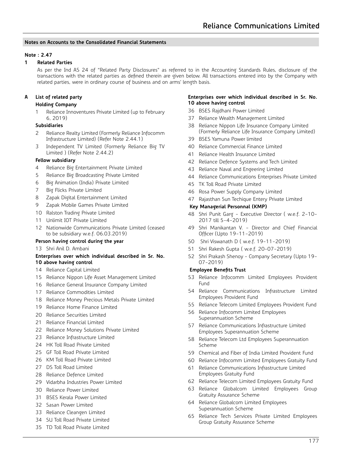# **Note : 2.47**

# **Related Parties**

As per the Ind AS 24 of "Related Party Disclosures" as referred to in the Accounting Standards Rules, disclosure of the transactions with the related parties as defined therein are given below. All transactions entered into by the Company with related parties, were in ordinary course of business and on arms' length basis.

# **A List of related party**

### **Holding Company**

Reliance Innoventures Private Limited (up to February 6, 2019)

# **Subsidiaries**

- Reliance Realty Limited (Formerly Reliance Infocomm Infrastructure Limited) (Refer Note 2.44.1)
- Independent TV Limited (Formerly Reliance Big TV Limited ) (Refer Note 2.44.2)

### **Fellow subsidiary**

- Reliance Big Entertainment Private Limited
- Reliance Big Broadcasting Private Limited
- Big Animation (India) Private Limited
- Big Flicks Private Limited
- Zapak Digital Entertainment Limited
- Zapak Mobile Games Private Limited
- Ralston Trading Private Limited
- Unlimit IOT Private Limited
- Nationwide Communications Private Limited (ceased to be subsidiary w.e.f. 06.03.2019)

# **Person having control during the year**

Shri Anil D. Ambani

### **Enterprises over which individual described in Sr. No. 10 above having control**

- Reliance Capital Limited
- Reliance Nippon Life Asset Management Limited
- Reliance General Insurance Company Limited
- Reliance Commodities Limited
- Reliance Money Precious Metals Private Limited
- Reliance Home Finance Limited
- Reliance Securities Limited
- Reliance Financial Limited
- Reliance Money Solutions Private Limited
- Reliance Infrastructure Limited
- 24 HK Toll Road Private Limited
- GF Toll Road Private Limited
- KM Toll Road Private Limited
- DS Toll Road Limited
- Reliance Defence Limited
- Vidarbha Industries Power Limited
- Reliance Power Limited
- BSES Kerala Power Limited
- Sasan Power Limited
- Reliance Cleangen Limited
- SU Toll Road Private Limited
- TD Toll Road Private Limited

### **Enterprises over which individual described in Sr. No. 10 above having control**

- BSES Rajdhani Power Limited
- Reliance Wealth Management Limited
- Reliance Nippon Life Insurance Company Limited (Formerly Reliance Life Insurance Company Limited)
- BSES Yamuna Power limited
- Reliance Commercial Finance Limited
- Reliance Health Insurance Limited
- Reliance Defence Systems and Tech Limited
- Reliance Naval and Engeering Limited
- Reliance Communications Enterprises Private Limited
- TK Toll Road Private Limited
- Rosa Power Supply Company Limited
- Rajasthan Sun Techique Entery Private Limited

# **Key Managerial Personnal (KMP)**

- Shri Punit Garg Executive Director ( w.e.f. 2-10- 2017 till 5-4-2019)
- 49 Shri Manikantan V. Director and Chief Financial Officer (Upto 19-11-2019)
- 50 Shri Viswanath D ( w.e.f. 19-11-2019)
- Shri Rakesh Gupta ( w.e.f. 20-07-2019)
- Shri Prakash Shenoy Company Secretary (Upto 19- 07-2019)

### **Employee Benefits Trust**

- Reliance Infocomm Limited Employees Provident Fund
- Reliance Communications Infrastructure Limited Employees Provident Fund
- Reliance Telecom Limited Employees Provident Fund
- Reliance Infocomm Limited Employees Superannuation Scheme
- Reliance Communications Infrastructure Limited Employees Superannuation Scheme
- Reliance Telecom Ltd Employees Superannuation Scheme
- Chemical and Fiber of India Limited Provident Fund
- Reliance Infocomm Limited Employees Gratuity Fund
- Reliance Communications Infrastructure Limited Employees Gratuity Fund
- Reliance Telecom Limited Employees Gratuity Fund
- Reliance Globalcom Limited Employees Group Gratuity Assurance Scheme
- Reliance Globalcom Limited Employees Superannuation Scheme
- Reliance Tech Services Private Limited Employees Group Gratuity Assurance Scheme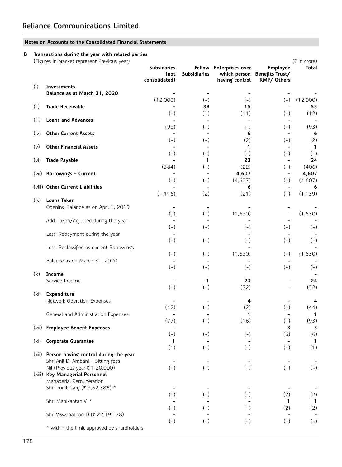#### **B Transactions during the year with related parties**

|                   | (Figures in bracket represent Previous year)                         |                          |                                   |                         |                                             | $(\bar{\bar{\mathbf{z}}}$ in crore) |
|-------------------|----------------------------------------------------------------------|--------------------------|-----------------------------------|-------------------------|---------------------------------------------|-------------------------------------|
|                   |                                                                      | <b>Subsidaries</b>       |                                   | Fellow Enterprises over | <b>Employee</b>                             | Total                               |
|                   |                                                                      | (not<br>consolidated)    | <b>Subsidiaries</b>               | having control          | which person Benefits Trust/<br>KMP/ Others |                                     |
| (i)               | Investments                                                          |                          |                                   |                         |                                             |                                     |
|                   | Balance as at March 31, 2020                                         |                          | $\overline{\phantom{a}}$          |                         |                                             |                                     |
|                   |                                                                      | (12,000)                 | $(-)$                             | $(-)$                   | $(-)$                                       | (12,000)                            |
| (ii)              | <b>Trade Receivable</b>                                              |                          | 39                                | 15                      | $\overline{\phantom{m}}$                    | 53                                  |
|                   |                                                                      | $(-)$                    | (1)                               | (11)                    | $(-)$                                       | (12)                                |
| (iii)             | <b>Loans and Advances</b>                                            |                          | $\overline{\phantom{0}}$          |                         | $\overline{\phantom{0}}$                    | $\overline{\phantom{0}}$            |
|                   |                                                                      | (93)                     | $(-)$                             | $(-)$                   | $(-)$                                       | (93)                                |
| (iv)              | <b>Other Current Assets</b>                                          |                          | $\overline{\phantom{a}}$          | 6                       | $\overline{\phantom{0}}$                    | 6                                   |
|                   | <b>Other Financial Assets</b>                                        | $(-)$                    | $(-)$<br>$\overline{\phantom{0}}$ | (2)<br>1                | $(-)$<br>$\overline{\phantom{a}}$           | (2)<br>$\mathbf{1}$                 |
| (v)               |                                                                      | $(-)$                    | $(-)$                             | $(-)$                   | $(-)$                                       | $(-)$                               |
| (v <sub>i</sub> ) | <b>Trade Payable</b>                                                 | $\overline{\phantom{a}}$ | 1                                 | 23                      | $\overline{\phantom{a}}$                    | 24                                  |
|                   |                                                                      | (384)                    | $(-)$                             | (22)                    | $(-)$                                       | (406)                               |
|                   | (vii) Borrowings - Current                                           | $\overline{\phantom{0}}$ | $\overline{\phantom{a}}$          | 4,607                   | $\overline{\phantom{a}}$                    | 4,607                               |
|                   |                                                                      | $(-)$                    | $(-)$                             | (4,607)                 | $(-)$                                       | (4,607)                             |
|                   | (viii) Other Current Liabilities                                     |                          | $\overline{\phantom{a}}$          | 6                       | $\overline{\phantom{a}}$                    | 6                                   |
|                   |                                                                      | (1, 116)                 | (2)                               | (21)                    | $(-)$                                       | (1, 139)                            |
| (ix)              | <b>Loans Taken</b>                                                   |                          |                                   |                         |                                             |                                     |
|                   | Opening Balance as on April 1, 2019                                  |                          | $\qquad \qquad \blacksquare$      |                         |                                             |                                     |
|                   |                                                                      | $(-)$                    | $(-)$                             | (1,630)                 |                                             | (1,630)                             |
|                   | Add: Taken/Adjusted during the year                                  | $\overline{\phantom{a}}$ |                                   |                         | $\overline{\phantom{0}}$                    |                                     |
|                   |                                                                      | $(-)$                    | $(-)$                             | $(-)$                   | $(-)$                                       | $(-)$                               |
|                   | Less: Repayment during the year                                      |                          |                                   |                         |                                             |                                     |
|                   |                                                                      | $(-)$                    | $(-)$                             | $(-)$                   | $(-)$                                       | $(-)$                               |
|                   | Less: Reclassified as current Borrowings                             |                          |                                   |                         |                                             |                                     |
|                   |                                                                      | $(-)$                    | $(-)$                             | (1,630)                 | $(-)$                                       | (1,630)                             |
|                   | Balance as on March 31, 2020                                         | $\left( \, - \, \right)$ | $(-)$                             | $(-)$                   | $(-)$                                       |                                     |
| (x)               | Income                                                               |                          |                                   |                         |                                             | $(-)$                               |
|                   | Service Income                                                       |                          | 1                                 | 23                      | $\overline{\phantom{0}}$                    | 24                                  |
|                   |                                                                      | $(-)$                    | $(-)$                             | (32)                    | $\overline{\phantom{a}}$                    | (32)                                |
| (x <sub>i</sub> ) | <b>Expenditure</b>                                                   |                          |                                   |                         |                                             |                                     |
|                   | Network Operation Expenses                                           |                          |                                   | 4                       | $\overline{\phantom{0}}$                    | 4                                   |
|                   |                                                                      | (42)                     | $(-)$                             | (2)                     | $(-)$                                       | (44)                                |
|                   | General and Administration Expenses                                  |                          |                                   | 1                       | $\overline{\phantom{a}}$                    | 1                                   |
|                   |                                                                      | (77)                     | $(-)$                             | (16)                    | $(-)$                                       | (93)                                |
|                   | (xii) Employee Benefit Expenses                                      |                          | $\qquad \qquad \blacksquare$      |                         | 3                                           | 3                                   |
|                   |                                                                      | $(-)$                    | $(-)$                             | $(-)$                   | (6)                                         | (6)                                 |
| (xi)              | <b>Corporate Guarantee</b>                                           | 1                        |                                   |                         |                                             | 1                                   |
|                   |                                                                      | (1)                      | $(-)$                             | $(-)$                   | $(-)$                                       | (1)                                 |
|                   | (xii) Person having control during the year                          |                          |                                   |                         |                                             |                                     |
|                   | Shri Anil D. Ambani - Sitting fees<br>Nil (Previous year ₹ 1,20,000) | $(-)$                    | $(-)$                             | $(-)$                   | $(-)$                                       | $(-)$                               |
|                   | (xiii) Key Managerial Personnel                                      |                          |                                   |                         |                                             |                                     |
|                   | Managerial Remuneration                                              |                          |                                   |                         |                                             |                                     |
|                   | Shri Punit Garg (₹ 3,62,386) *                                       |                          |                                   |                         |                                             |                                     |
|                   |                                                                      | $(-)$                    | $(-)$                             | $(-)$                   | (2)                                         | (2)                                 |
|                   | Shri Manikantan V. *                                                 |                          |                                   |                         | 1                                           | $\mathbf{1}$                        |
|                   |                                                                      | $(-)$                    | $(-)$                             | $(-)$                   | (2)                                         | (2)                                 |
|                   | Shri Viswanathan D (₹ 22,19,178)                                     |                          |                                   |                         | $\overline{\phantom{a}}$                    |                                     |
|                   |                                                                      | $(-)$                    | $\left( \, - \, \right)$          | $(-)$                   | $(-)$                                       | $(-)$                               |
|                   | * within the limit approved by shareholders.                         |                          |                                   |                         |                                             |                                     |
|                   |                                                                      |                          |                                   |                         |                                             |                                     |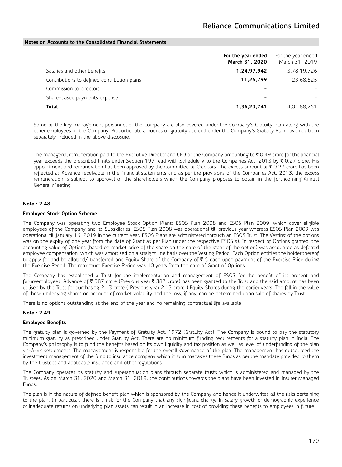|                                             | For the year ended<br>March 31, 2020 | For the year ended<br>March 31, 2019 |
|---------------------------------------------|--------------------------------------|--------------------------------------|
| Salaries and other benefits                 | 1,24,97,942                          | 3,78,19,726                          |
| Contributions to defined contribution plans | 11,25,799                            | 23.68.525                            |
| Commission to directors                     |                                      |                                      |
| Share-based payments expense                | $\overline{\phantom{a}}$             |                                      |
| <b>Total</b>                                | 1,36,23,741                          | 4.01.88.251                          |

Some of the key management personnel of the Company are also covered under the Company's Gratuity Plan along with the other employees of the Company. Proportionate amounts of gratuity accrued under the Company's Gratuity Plan have not been separately included in the above disclosure.

The managerial remuneration paid to the Executive Director and CFO of the Company amounting to  $\bar{\tau}$  0.49 crore for the financial year exceeds the prescribed limits under Section 197 read with Schedule V to the Companies Act, 2013 by  $\bar{\tau}$  0.27 crore. His appointment and remuneration has been approved by the Committee of Creditors. The excess amount of  $\bar{\tau}$  0.27 crore has been reflected as Advance receivable in the financial statements and as per the provisions of the Companies Act, 2013, the excess remuneration is subject to approval of the shareholders which the Company proposes to obtain in the forthcoming Annual General Meeting.

### **Note : 2.48**

### **Employee Stock Option Scheme**

The Company was operating two Employee Stock Option Plans; ESOS Plan 2008 and ESOS Plan 2009, which cover eligible employees of the Company and its Subsidiaries. ESOS Plan 2008 was operational till previous year whereas ESOS Plan 2009 was operational till January 16, 2019 in the current year. ESOS Plans are administered through an ESOS Trust. The Vesting of the options was on the expiry of one year from the date of Grant as per Plan under the respective ESOS(s). In respect of Options granted, the accounting value of Options (based on market price of the share on the date of the grant of the option) was accounted as deferred employee compensation, which was amortised on a straight line basis over the Vesting Period. Each Option entitles the holder thereof to apply for and be allotted/ transferred one Equity Share of the Company of  $\bar{\tau}$  5 each upon payment of the Exercise Price during the Exercise Period. The maximum Exercise Period was 10 years from the date of Grant of Options.

The Company has established a Trust for the implementation and management of ESOS for the benefit of its present and futureemployees. Advance of  $\bar{\tau}$  387 crore (Previous year  $\bar{\tau}$  387 crore) has been granted to the Trust and the said amount has been utilised by the Trust for purchasing 2.13 crore ( Previous year 2.13 crore ) Equity Shares during the earlier years. The fall in the value of these underlying shares on account of market volatility and the loss, if any, can be determined upon sale of shares by Trust.

There is no options outstanding at the end of the year and no remaining contractual life available

#### **Note : 2.49**

#### **Employee Benefits**

The gratuity plan is governed by the Payment of Gratuity Act, 1972 (Gratuity Act). The Company is bound to pay the statutory minimum gratuity as prescribed under Gratuity Act. There are no minimum funding requirements for a gratuity plan in India. The Company's philosophy is to fund the benefits based on its own liquidity and tax position as well as level of underfunding of the plan vis-à-vis settlements. The management is responsible for the overall governance of the plan. The management has outsourced the investment management of the fund to insurance company which in turn manages these funds as per the mandate provided to them by the trustees and applicable insurance and other regulations.

The Company operates its gratuity and superannuation plans through separate trusts which is administered and managed by the Trustees. As on March 31, 2020 and March 31, 2019, the contributions towards the plans have been invested in Insurer Managed Funds.

The plan is in the nature of defined benefit plan which is sponsored by the Company and hence it underwrites all the risks pertaining to the plan. In particular, there is a risk for the Company that any significant change in salary growth or demographic experience or inadequate returns on underlying plan assets can result in an increase in cost of providing these benefits to employees in future.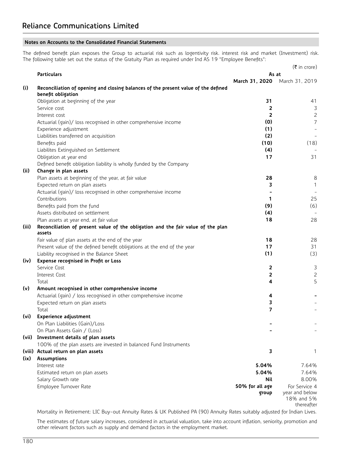The defined benefit plan exposes the Group to actuarial risk such as logentivity risk. interest risk and market (Investment) risk. The following table set out the status of the Gratuity Plan as required under Ind AS 19 "Employee Benefits":

|       |                                                                                            |                 | $(\bar{\bar{\mathbf{z}}}$ in crore) |
|-------|--------------------------------------------------------------------------------------------|-----------------|-------------------------------------|
|       | <b>Particulars</b>                                                                         | As at           |                                     |
|       |                                                                                            | March 31, 2020  | March 31, 2019                      |
| (i)   | Reconciliation of opening and closing balances of the present value of the defined         |                 |                                     |
|       | benefit obligation                                                                         |                 |                                     |
|       | Obligation at beginning of the year                                                        | 31              | 41                                  |
|       | Service cost                                                                               | $\overline{2}$  | $\mathsf 3$                         |
|       | Interest cost                                                                              | $\overline{2}$  | $\overline{c}$                      |
|       | Actuarial (gain)/ loss recognised in other comprehensive income                            | (0)             | $\overline{7}$                      |
|       | Experience adjustment                                                                      | (1)             | $\overline{\phantom{a}}$            |
|       | Liabilities transferred on acquisition                                                     | (2)             |                                     |
|       | Benefits paid                                                                              | (10)            | (18)                                |
|       | Liabilites Extinguished on Settlement                                                      | (4)             |                                     |
|       | Obligation at year end                                                                     | 17              | 31                                  |
|       | Defined benefit obligation liability is wholly funded by the Company                       |                 |                                     |
| (ii)  | Change in plan assets                                                                      |                 |                                     |
|       | Plan assets at beginning of the year, at fair value                                        | 28              | 8                                   |
|       | Expected return on plan assets                                                             | 3               | $\mathbf{1}$                        |
|       | Actuarial (gain)/ loss recognised in other comprehensive income                            |                 |                                     |
|       | Contributions                                                                              | 1               | 25                                  |
|       | Benefits paid from the fund                                                                | (9)             | (6)                                 |
|       | Assets distributed on settlement                                                           | (4)             |                                     |
|       | Plan assets at year end, at fair value                                                     | 18              | 28                                  |
| (iii) | Reconciliation of present value of the obligation and the fair value of the plan<br>assets |                 |                                     |
|       | Fair value of plan assets at the end of the year                                           | 18              | 28                                  |
|       | Present value of the defined benefit obligations at the end of the year                    | 17              | 31                                  |
|       |                                                                                            | (1)             | (3)                                 |
|       | Liability recognised in the Balance Sheet                                                  |                 |                                     |
| (iv)  | Expense recognised in Profit or Loss                                                       |                 |                                     |
|       | Service Cost                                                                               | 2               | 3                                   |
|       | Interest Cost                                                                              | 2               | $\overline{c}$                      |
|       | Total                                                                                      | 4               | 5                                   |
| (v)   | Amount recognised in other comprehensive income                                            |                 |                                     |
|       | Actuarial (gain) / loss recognised in other comprehensive income                           | 4               |                                     |
|       | Expected return on plan assets                                                             | 3               |                                     |
|       | Total                                                                                      | 7               |                                     |
| (vi)  | Experience adjustment                                                                      |                 |                                     |
|       | On Plan Liabilities (Gain)/Loss                                                            |                 |                                     |
|       | On Plan Assets Gain / (Loss)                                                               |                 |                                     |
|       | (vii) Investment details of plan assets                                                    |                 |                                     |
|       | 100% of the plan assets are invested in balanced Fund Instruments                          |                 |                                     |
|       | (viii) Actual return on plan assets                                                        | 3               | 1                                   |
| (ix)  | <b>Assumptions</b>                                                                         |                 |                                     |
|       | Interest rate                                                                              | 5.04%           | 7.64%                               |
|       | Estimated return on plan assets                                                            | 5.04%           | 7.64%                               |
|       | Salary Growth rate                                                                         | Nil             | 8.00%                               |
|       | Employee Turnover Rate                                                                     | 50% for all age | For Service 4                       |
|       |                                                                                            | group           | vear and below<br>18% and 5%        |
|       |                                                                                            |                 | thereafter                          |

Mortality in Retirement: LIC Buy-out Annuity Rates & UK Published PA (90) Annuity Rates suitably adjusted for Indian Lives.

The estimates of future salary increases, considered in actuarial valuation, take into account inflation, seniority, promotion and other relevant factors such as supply and demand factors in the employment market.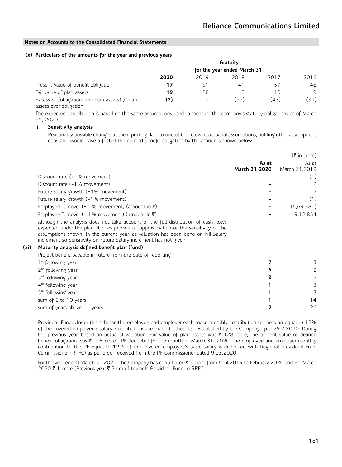#### **(x) Particulars of the amounts for the year and previous years**

|                                                                          |      |      | Gratuity                     |      |      |
|--------------------------------------------------------------------------|------|------|------------------------------|------|------|
|                                                                          |      |      | for the year ended March 31, |      |      |
|                                                                          | 2020 | 2019 | 2018                         | 2017 | 2016 |
| Present Value of benefit obligation                                      | 17   |      | 41                           | 57   | 48   |
| Fair value of plan assets                                                | 19   | 28   | 8                            | 10   | 9    |
| Excess of (obligation over plan assets) / plan<br>assets over obligation | (2)  |      | 〔33〕                         | (47) | (39) |

The expected contribution is based on the same assumptions used to measure the company's gratuity obligations as of March 31, 2020.

#### **ii. Sensitivity analysis**

Reasonably possible changes at the reporting date to one of the relevant actuarial assumptions, holding other assumptions constant, would have affected the defined benefit obligation by the amounts shown below.

|      |                                                                                                                                                                                                                                                                                                                                    |               | (₹ in crore)  |
|------|------------------------------------------------------------------------------------------------------------------------------------------------------------------------------------------------------------------------------------------------------------------------------------------------------------------------------------|---------------|---------------|
|      |                                                                                                                                                                                                                                                                                                                                    | As at         | As at         |
|      |                                                                                                                                                                                                                                                                                                                                    | March 31,2020 | March 31,2019 |
|      | Discount rate (+1% movement)                                                                                                                                                                                                                                                                                                       |               | (1)           |
|      | Discount rate (-1% movement)                                                                                                                                                                                                                                                                                                       |               | 2             |
|      | Future salary growth (+1% movement)                                                                                                                                                                                                                                                                                                |               | 2             |
|      | Future salary growth (-1% movement)                                                                                                                                                                                                                                                                                                |               | (1)           |
|      | Employee Turnover (+ 1% movement) (amount in ₹)                                                                                                                                                                                                                                                                                    |               | (6,69,381)    |
|      | Employee Turnover (- 1% movement) (amount in ₹)                                                                                                                                                                                                                                                                                    |               | 9,12,854      |
|      | Although the analysis does not take account of the full distribution of cash flows<br>expected under the plan, it does provide an approximation of the sensitivity of the<br>assumptions shown. In the current year, as valuation has been done on Nil Salary<br>increment so Sensitivity on Future Salary increment has not given |               |               |
| (xi) | Maturity analysis defined benefit plan (fund)                                                                                                                                                                                                                                                                                      |               |               |
|      | Project benefit payable in future from the date of reporting                                                                                                                                                                                                                                                                       |               |               |
|      | 1 <sup>st</sup> following year                                                                                                                                                                                                                                                                                                     |               | 3             |
|      | 2 <sup>nd</sup> following year                                                                                                                                                                                                                                                                                                     |               | 2             |
|      | 3 <sup>rd</sup> following year                                                                                                                                                                                                                                                                                                     |               | 2             |
|      | 4 <sup>th</sup> following year                                                                                                                                                                                                                                                                                                     |               |               |
|      | 5 <sup>th</sup> following year                                                                                                                                                                                                                                                                                                     |               |               |
|      | sum of 6 to 10 years                                                                                                                                                                                                                                                                                                               |               | 14            |
|      | sum of years above 11 years                                                                                                                                                                                                                                                                                                        |               | 26            |

Provident Fund: Under this scheme,the employee and employer each make monthly contribution to the plan equal to 12% of the covered employee's salary. Contributions are made to the trust established by the Company upto 29.2.2020. During the previous year, based on actuarial valuation, Fair value of plan assets was  $\bar{\tau}$  128 crore, the present value of defined benefit obligation was  $\bar{\tau}$  105 crore. PF deducted for the month of March 31, 2020, the employee and employer monthly contribution to the PF equal to 12% of the covered employee's basic salary is deposited with Regional Providend Fund Commissioner (RPFC) as per order received from the PF Commissioner dated 9.03.2020.

For the year ended March 31,2020, the Company has contributed ₹ 3 crore from April 2019 to February 2020 and For March 2020 ₹ 1 crore (Previous year ₹ 3 crore) towards Provident Fund to RPFC.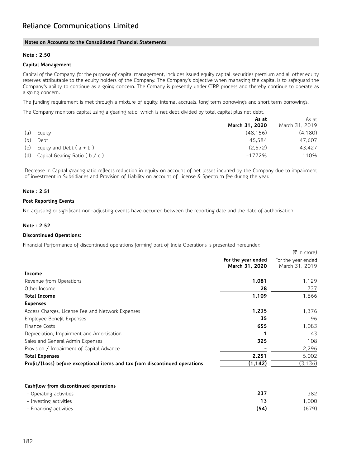#### **Note : 2.50**

#### **Capital Management**

Capital of the Company, for the purpose of capital management, includes issued equity capital, securities premium and all other equity reserves attributable to the equity holders of the Company. The Company's objective when managing the capital is to safeguard the Company's ability to continue as a going concern. The Comany is presently under CIRP process and thereby continue to operate as a going concern.

The funding requirement is met through a mixture of equity, internal accruals, long term borrowings and short term borrowings.

The Company monitors capital using a gearing ratio, which is net debt divided by total capital plus net debt.

|     |                                     | As at<br>March 31, 2020 | As at<br>March 31, 2019 |
|-----|-------------------------------------|-------------------------|-------------------------|
| (a) | Eguity                              | (48.156)                | (4, 180)                |
| (b) | Debt                                | 45.584                  | 47.607                  |
|     | (c) Equity and Debt $(a + b)$       | (2.572)                 | 43.427                  |
|     | (d) Capital Gearing Ratio $(b / c)$ | $-1772%$                | 110%                    |

Decrease in Capital gearing ratio reflects reduction in equity on account of net losses incurred by the Company due to impairment of investment in Subsidiaries and Provision of Liability on account of License & Spectrum fee during the year.

#### **Note : 2.51**

#### **Post Reporting Events**

No adjusting or significant non-adjusting events have occurred between the reporting date and the date of authorisation.

#### **Note : 2.52**

#### **Discontinued Operations:**

Financial Performance of discontinued operations forming part of India Operations is presented hereunder:

|                                                                             |                                      | $(\bar{\bar{\mathbf{z}}}$ in crore)  |
|-----------------------------------------------------------------------------|--------------------------------------|--------------------------------------|
|                                                                             | For the year ended<br>March 31, 2020 | For the year ended<br>March 31, 2019 |
| Income                                                                      |                                      |                                      |
| Revenue from Operations                                                     | 1,081                                | 1,129                                |
| Other Income                                                                | 28                                   | 737                                  |
| <b>Total Income</b>                                                         | 1,109                                | 1,866                                |
| <b>Expenses</b>                                                             |                                      |                                      |
| Access Charges, License Fee and Network Expenses                            | 1,235                                | 1.376                                |
| Employee Benefit Expenses                                                   | 35                                   | 96                                   |
| Finance Costs                                                               | 655                                  | 1,083                                |
| Depreciation, Impairment and Amortisation                                   |                                      | 43                                   |
| Sales and General Admin Expenses                                            | 325                                  | 108                                  |
| Provision / Impairment of Capital Advance                                   |                                      | 2,296                                |
| <b>Total Expenses</b>                                                       | 2,251                                | 5,002                                |
| Profit/(Loss) before exceptional items and tax from discontinued operations | (1, 142)                             | (3, 136)                             |
|                                                                             |                                      |                                      |

| Cashflow from discontinued operations |      |        |
|---------------------------------------|------|--------|
| – Operating activities                | 237  | 382    |
| – Investing activities                |      | 000. ا |
| - Financing activities                | (54) | (679)  |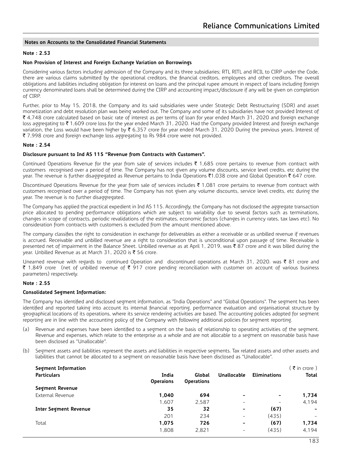#### **Note : 2.53**

#### **Non Provision of Interest and Foreign Exchange Variation on Borrowings**

Considering various factors including admission of the Company and its three subsidiaries; RTL RITL and RCIL to CIRP under the Code, there are various claims submitted by the operational creditors, the financial creditors, employees and other creditors. The overall obligations and liabilities including obligation for interest on loans and the principal rupee amount in respect of loans including foreign currency denominated loans shall be determined during the CIRP and accounting impact/disclosure if any will be given on completion of CIRP.

Further, prior to May 15, 2018, the Company and its said subsidiaries were under Strategic Debt Restructuring (SDR) and asset monetization and debt resolution plan was being worked out. The Company and some of its subsidiaries have not provided Interest of ` 4,748 crore calculated based on basic rate of interest as per terms of loan for year ended March 31, 2020 and foreign exchange loss aggregating to ₹1,609 crore loss for the year ended March 31, 2020. Had the Company provided Interest and foreign exchange variation, the Loss would have been higher by  $\bar{\tau}$  6,357 crore for year ended March 31, 2020 During the previous years, Interest of ₹ 7,998 crore and foreign exchange loss aggregating to Rs 984 crore were not provided.

#### **Note : 2.54**

#### **Disclosure pursuant to Ind AS 115 "Revenue from Contracts with Customers".**

Continued Operations Revenue for the year from sale of services includes  $\bar{\tau}$  1,685 crore pertains to revenue from contract with customers recognised over a period of time. The Company has not given any volume discounts, service level credits, etc during the year. The revenue is further disaggregated as Revenue pertains to India Operations ₹1,038 crore and Global Operation ₹ 647 crore.

Discontinued Operations Revenue for the year from sale of services includes  $\bar{\tau}$  1,081 crore pertains to revenue from contract with customers recognised over a period of time. The Company has not given any volume discounts, service level credits, etc during the year. The revenue is no further disaggregated.

The Company has applied the practical expedient in Ind AS 115. Accordingly, the Company has not disclosed the aggregate transaction price allocated to pending performance obligations which are subject to variability due to several factors such as terminations, changes in scope of contracts, periodic revalidations of the estimates, economic factors (changes in currency rates, tax laws etc). No consideration from contracts with customers is excluded from the amount mentioned above.

The company classifies the right to consideration in exchange for deliverables as either a receivable or as unbilled revenue if revenues is accrued. Receivable and unbilled revenue are a right to consideration that is unconditional upon passage of time. Receivable is presented net of impairment in the Balance Sheet. Unbilled revenue as at April 1, 2019, was ₹87 crore and it was billed during the year. Unbilled Revenue as at March 31, 2020 is  $\bar{\tau}$  56 crore.

Unearned revenue with regards to continued Operation and discontinued operations at March 31, 2020. was ₹ 81 crore and ₹ 1,849 crore (net of unbilled revenue of ₹ 917 crore pending reconciliation with customer on account of various business parameters) respectively.

#### **Note : 2.55**

#### **Consolidated Segment Information:**

The Company has identified and disclosed segment information, as "India Operations" and "Global Operations". The segment has been identified and reported taking into account its internal financial reporting, performance evaluation and organisational structure by geographical locations of its operations, where its service rendering activities are based. The accounting policies adopted for segment reporting are in line with the accounting policy of the Company with following additional policies for segment reporting.

- (a) Revenue and expenses have been identified to a segment on the basis of relationship to operating activities of the segment. Revenue and expenses, which relate to the enterprise as a whole and are not allocable to a segment on reasonable basis have been disclosed as "Unallocable".
- (b) Segment assets and liabilities represent the assets and liabilities in respective segments. Tax related assets and other assets and liabilities that cannot be allocated to a segment on reasonable basis have been disclosed as "Unallocable".

| Segment Information          |                           |                             |                          |                          | (₹ in crore ) |
|------------------------------|---------------------------|-----------------------------|--------------------------|--------------------------|---------------|
| <b>Particulars</b>           | India<br><b>Operaions</b> | Global<br><b>Operations</b> | Unallocable              | <b>Eliminations</b>      | <b>Total</b>  |
| Segment Revenue              |                           |                             |                          |                          |               |
| External Revenue             | 1.040                     | 694                         | $\,$                     | $\overline{\phantom{a}}$ | 1,734         |
|                              | 1,607                     | 2,587                       | $\overline{\phantom{a}}$ | -                        | 4,194         |
| <b>Inter Segment Revenue</b> | 35                        | 32                          | $\overline{\phantom{0}}$ | (67)                     |               |
|                              | 201                       | 234                         | $\overline{\phantom{0}}$ | (435)                    |               |
| Total                        | 1,075                     | 726                         | $\overline{\phantom{a}}$ | (67)                     | 1,734         |
|                              | 1.808                     | 2.821                       | -                        | (435)                    | 4.194         |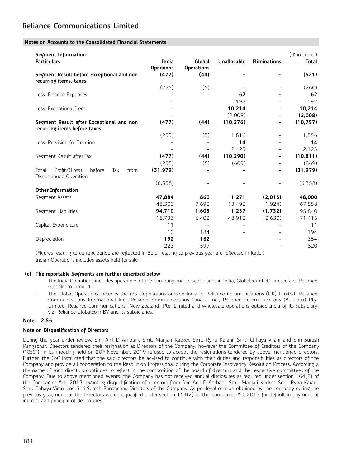| Segment Information<br><b>Particulars</b>                                 | India<br><b>Operaions</b> | Global<br><b>Operations</b> | Unallocable | <b>Eliminations</b> | $(5 \nvert \cdot \cdot \cdot \cdot)$<br><b>Total</b> |
|---------------------------------------------------------------------------|---------------------------|-----------------------------|-------------|---------------------|------------------------------------------------------|
| Segment Result before Exceptional and non<br>recurring items, taxes       | (477)                     | (44)                        |             |                     | (521)                                                |
|                                                                           | (255)                     | (5)                         |             |                     | (260)                                                |
| Less: Finance Expenses                                                    |                           |                             | 62          |                     | 62                                                   |
|                                                                           |                           |                             | 192         |                     | 192                                                  |
| Less: Exceptional Item                                                    |                           |                             | 10,214      |                     | 10,214                                               |
|                                                                           |                           |                             | (2,008)     |                     | (2,008)                                              |
| Segment Result after Exceptional and non<br>recurring items before taxes  | (477)                     | (44)                        | (10, 276)   |                     | (10, 797)                                            |
|                                                                           | (255)                     | (5)                         | 1,816       |                     | 1,556                                                |
| Less: Provision for Taxation                                              |                           |                             | 14          |                     | 14                                                   |
|                                                                           |                           |                             | 2.425       |                     | 2.425                                                |
| Segment Result after Tax                                                  | (477)                     | (44)                        | (10, 290)   |                     | (10, 811)                                            |
|                                                                           | (255)                     | (5)                         | (609)       |                     | (869)                                                |
| Profit/(Loss)<br>Total<br>before<br>from<br>Tax<br>Discontinued Operation | (31, 979)                 |                             |             |                     | (31, 979)                                            |
|                                                                           | (6,358)                   |                             |             |                     | (6,358)                                              |
| Other Information                                                         |                           |                             |             |                     |                                                      |
| Segment Assets                                                            | 47.884                    | 860                         | 1,271       | (2,015)             | 48,000                                               |
|                                                                           | 48,300                    | 7.690                       | 13,492      | (1,924)             | 67,558                                               |
| Segment Liabilities                                                       | 94,710                    | 1,605                       | 1,257       | (1,732)             | 95,840                                               |
|                                                                           | 18,733                    | 6,402                       | 48,912      | (2,630)             | 71,416                                               |
| Capital Expenditure                                                       | 11                        | $\overline{\phantom{0}}$    |             |                     | 11                                                   |
|                                                                           | 10                        | 184                         |             |                     | 194                                                  |
| Depreciation                                                              | 192                       | 162                         |             |                     | 354                                                  |
|                                                                           | 223                       | 597                         |             |                     | 820                                                  |

(Figures relating to current period are reflected in Bold, relating to previous year are reflected in italic.) Indian Operations includes assets held for sale

#### **(c) The reportable Segments are further described below:**

- The India Operations includes operations of the Company and its subsidiaries in India, Globalcom IDC Limited and Reliance Globalcom Limited
- The Global Operations includes the retail operations outside India of Reliance Communications (UK) Limited, Reliance Communications International Inc., Reliance Communications Canada Inc., Reliance Communications (Australia) Pty. Limited, Reliance Communications (New Zealand) Pte. Limited and wholesale operations outside India of its subsidiary viz. Reliance Globalcom BV and its subsidiaries.

#### **Note : 2.56**

#### **Note on Disqualification of Directors**

During the year under review, Shri Anil D Ambani, Smt. Manjari Kacker, Smt. Ryna Karani, Smt. Chhaya Virani and Shri Suresh Rangachar, Directors tendered their resignation as Directors of the Company, however the Committee of Creditors of the Company ("CoC"), in its meeting held on 20<sup>th</sup> November, 2019 refused to accept the resignations tendered by above mentioned directors. Further, the CoC instructed that the said directors be advised to continue with their duties and responsibilities as directors of the Company and provide all cooperation to the Resolution Professional during the Corporate Insolvency Resolution Process. Accordingly, the name of such directors continues to reflect in the composition of the board of directors and the respective committees of the Company. Due to above mentioned events, the Company has not received annual disclosures as required under section 164(2) of the Companies Act, 2013 regarding disqualification of directors from Shri Anil D Ambani, Smt. Manjari Kacker, Smt. Ryna Karani, Smt. Chhaya Virani and Shri Suresh Rangachar, Directors of the Company. As per legal opinion obtained by the company during the previous year, none of the Directors were disqualified under section 164(2) of the Companies Act 2013 for default in payment of interest and principal of debentures.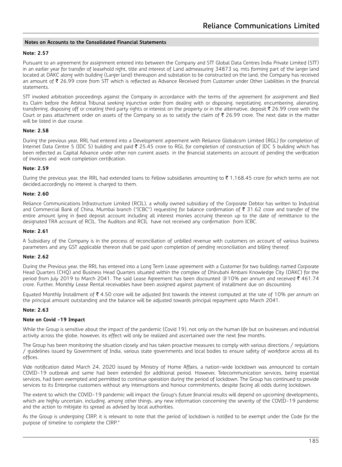#### **Note: 2.57**

Pursuant to an agreement for assignment entered into between the Company and STT Global Data Centres India Private Limited (STT) in an earlier year for transfer of leasehold right, title and interest of Land admeasuring 34873 sq. mts forming part of the larger land located at DAKC along with building (Larger land) thereupon and substation to be constructed on the land, the Company has received an amount of  $\bar{\tau}$  26.99 crore from STT which is reflected as Advance Received from Customer under Other Liabilities in the financial statements.

STT invoked arbitration proceedings against the Company in accordance with the terms of the agreement for assignment and filed its Claim before the Arbitral Tribunal seeking injunctive order from dealing with or disposing, negotiating, encumbering, alienating, transferring, disposing off or creating third party rights or interest on the property or in the alternative, deposit ₹ 26.99 crore with the Court or pass attachment order on assets of the Company so as to satisfy the claim of  $\bar{\mathcal{L}}$  26.99 crore. The next date in the matter will be listed in due course.

#### **Note: 2.58**

During the previous year, RRL had entered into a Development agreement with Reliance Globalcom Limited (RGL) for completion of Internet Data Centre 5 (IDC 5) building and paid ` 25.45 crore to RGL for completion of construction of IDC 5 building which has been reflected as Capital Advance under other non current assets in the financial statements on account of pending the verification of invoices and work completion certification.

#### **Note: 2.59**

During the previous year, the RRL had extended loans to Fellow subsidiaries amounting to  $\bar{\tau}$  1,168.45 crore for which terms are not decided,accordingly no interest is charged to them.

#### **Note: 2.60**

Reliance Communications Infrastructure Limited (RCIL), a wholly owned subsidiary of the Corporate Debtor has written to Industrial and Commercial Bank of China, Mumbai branch ("ICBC") requesting for balance confirmation of  $\bar{\tau}$  31.62 crore and transfer of the entire amount lying in fixed deposit account including all interest monies accruing thereon up to the date of remittance to the designated TRA account of RCIL. The Auditors and RCIL have not received any confirmation from ICBC.

#### **Note: 2.61**

A Subsidiary of the Company is in the process of reconciliation of unbilled revenue with customers on account of various business parameters and any GST applicable thereon shall be paid upon completion of pending reconciliation and billing thereof.

#### **Note: 2.62**

During the Previous year, the RRL has entered into a Long Term Lease agreement with a Customer for two buildings named Corporate Head Quarters (CHQ) and Business Head Quarters situated within the complex of Dhirubahi Ambani Knowledge City (DAKC) for the period from July 2019 to March 2041. The said Lease Agreement has been discounted @10% per annum and received  $\bar{\tau}$  461.74 crore. Further, Monthly Lease Rental receivables have been assigned against payment of installment due on discounting.

Equated Monthly Installment of  $\bar{\tau}$  4.50 crore will be adjusted first towards the interest computed at the rate of 10% per annum on the principal amount outstanding and the balance will be adjusted towards principal repayment upto March 2041.

#### **Note: 2.63**

#### **Note on Covid -19 Impact**

While the Group is sensitive about the impact of the pandemic (Covid 19), not only on the human life but on businesses and industrial activity across the globe, however, its effect will only be realized and ascertained over the next few months.

The Group has been monitoring the situation closely and has taken proactive measures to comply with various directions / regulations / guidelines issued by Government of India, various state governments and local bodies to ensure safety of workforce across all its offices.

Vide notification dated March 24, 2020 issued by Ministry of Home Affairs, a nation-wide lockdown was announced to contain COVID-19 outbreak and same had been extended for additional period. However, Telecommunication services, being essential services, had been exempted and permitted to continue operation during the period of lockdown. The Group has continued to provide services to its Enterprise customers without any interruptions and honour commitments, despite facing all odds during lockdown.

The extent to which the COVID-19 pandemic will impact the Group's future financial results will depend on upcoming developments, which are highly uncertain, including, among other things, any new information concerning the severity of the COVID-19 pandemic and the action to mitigate its spread as advised by local authorities.

As the Group is undergoing CIRP, it is relevant to note that the period of lockdown is notified to be exempt under the Code for the purpose of timeline to complete the CIRP."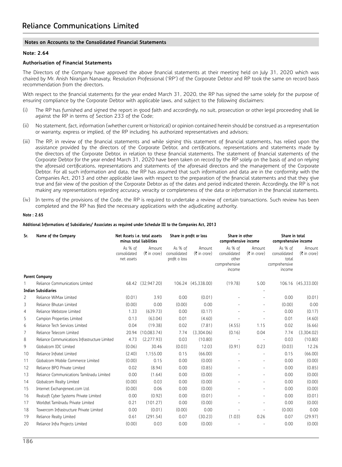#### **Note: 2.64**

#### **Authorisation of Financial Statements**

The Directors of the Company have approved the above financial statements at their meeting held on July 31, 2020 which was chaired by Mr. Anish Niranjan Nanavaty, Resolution Professional ('RP') of the Corporate Debtor and RP took the same on record basis recommendation from the directors.

With respect to the financial statements for the year ended March 31, 2020, the RP has signed the same solely for the purpose of ensuring compliance by the Corporate Debtor with applicable laws, and subject to the following disclaimers:

- (i) The RP has furnished and signed the report in good faith and accordingly, no suit, prosecution or other legal proceeding shall lie against the RP in terms of Section 233 of the Code;
- (ii) No statement, fact, information (whether current or historical) or opinion contained herein should be construed as a representation or warranty, express or implied, of the RP including, his authorized representatives and advisors;
- (iii) The RP, in review of the financial statements and while signing this statement of financial statements, has relied upon the assistance provided by the directors of the Corporate Debtor, and certifications, representations and statements made by the directors of the Corporate Debtor, in relation to these financial statements. The statement of financial statements of the Corporate Debtor for the year ended March 31, 2020 have been taken on record by the RP solely on the basis of and on relying the aforesaid certifications, representations and statements of the aforesaid directors and the management of the Corporate Debtor. For all such information and data, the RP has assumed that such information and data are in the conformity with the Companies Act, 2013 and other applicable laws with respect to the preparation of the financial statements and that they give true and fair view of the position of the Corporate Debtor as of the dates and period indicated therein. Accordingly, the RP is not making any representations regarding accuracy, veracity or completeness of the data or information in the financial statements.
- (iv) In terms of the provisions of the Code, the RP is required to undertake a review of certain transactions. Such review has been completed and the RP has filed the necessary applications with the adjudicating authority.

#### **Note : 2.65**

#### **Additional Informations of Subsidiaries/ Associates as required under Schedule III to the Companies Act, 2013**

| Sr. | Name of the Company                            |                                       | Net Assets i.e. total assets<br>minus total liabilities |                                          | Share in profit or loss         | Share in other<br>comprehensive income                      |                          | Share in total<br>comprehensive income                      |                                               |
|-----|------------------------------------------------|---------------------------------------|---------------------------------------------------------|------------------------------------------|---------------------------------|-------------------------------------------------------------|--------------------------|-------------------------------------------------------------|-----------------------------------------------|
|     |                                                | As % of<br>consolidated<br>net assets | Amount<br>$(5 \infty)$                                  | As % of<br>consolidated<br>profit o loss | Amount<br>$(5 \nvert n \nvert)$ | As % of<br>consolidated<br>other<br>comprehensive<br>income | Amount<br>$(5 \infty)$   | As % of<br>consolidated<br>total<br>comprehensive<br>income | Amount<br>$(\bar{\bar{\mathbf{z}}}$ in crore) |
|     | Parent Company                                 |                                       |                                                         |                                          |                                 |                                                             |                          |                                                             |                                               |
|     | Reliance Communications Limited                |                                       | 68.42 (32.947.20)                                       |                                          | 106.24 (45,338.00)              | (19.78)                                                     | 5.00                     |                                                             | 106.16 (45,333.00)                            |
|     | <b>Indian Subsidiaries</b>                     |                                       |                                                         |                                          |                                 |                                                             |                          |                                                             |                                               |
| 2   | Reliance WiMax Limited                         | (0.01)                                | 3.93                                                    | 0.00                                     | (0.01)                          |                                                             |                          | 0.00                                                        | (0.01)                                        |
| 3   | Reliance Bhutan Limited                        | (0.00)                                | 0.00                                                    | (0.00)                                   | 0.00                            |                                                             | ÷,                       | (0.00)                                                      | 0.00                                          |
| 4   | Reliance Webstore Limited                      | 1.33                                  | (639.73)                                                | 0.00                                     | (0.17)                          |                                                             |                          | 0.00                                                        | (0.17)                                        |
| 5   | Campion Properties Limited                     | 0.13                                  | (63.04)                                                 | 0.01                                     | (4.60)                          |                                                             | $\overline{a}$           | 0.01                                                        | (4.60)                                        |
| 6   | Reliance Tech Services Limited                 | 0.04                                  | (19.38)                                                 | 0.02                                     | (7.81)                          | (4.55)                                                      | 1.15                     | 0.02                                                        | (6.66)                                        |
| 7   | Reliance Telecom Limited                       | 20.94                                 | (10,083.74)                                             | 7.74                                     | (3,304.06)                      | (0.16)                                                      | 0.04                     | 7.74                                                        | (3,304.02)                                    |
| 8   | Reliance Communications Infrastructure Limited | 4.73                                  | (2,277.93)                                              | 0.03                                     | (10.80)                         |                                                             |                          | 0.03                                                        | (10.80)                                       |
| 9   | Globalcom IDC Limited                          | (0.06)                                | 30.46                                                   | (0.03)                                   | 12.03                           | (0.91)                                                      | 0.23                     | (0.03)                                                      | 12.26                                         |
| 10  | Reliance Infratel Limited                      | (2.40)                                | 1,155.00                                                | 0.15                                     | (66.00)                         | $\equiv$                                                    | $\overline{a}$           | 0.15                                                        | (66.00)                                       |
| 11  | Globalcom Mobile Commerce Limited              | (0.00)                                | 0.15                                                    | 0.00                                     | (0.00)                          |                                                             | $\equiv$                 | 0.00                                                        | (0.00)                                        |
| 12  | Reliance BPO Private Limited                   | 0.02                                  | (8.94)                                                  | 0.00                                     | (0.85)                          |                                                             | $\overline{a}$           | 0.00                                                        | (0.85)                                        |
| 13  | Reliance Communications Tamilnadu Limited      | 0.00                                  | (1.64)                                                  | 0.00                                     | (0.00)                          |                                                             |                          | 0.00                                                        | (0.00)                                        |
| 14  | Globalcom Realty Limited                       | (0.00)                                | 0.03                                                    | 0.00                                     | (0.00)                          |                                                             | $\overline{\phantom{0}}$ | 0.00                                                        | (0.00)                                        |
| 15  | Internet Exchangenext.com Ltd.                 | (0.00)                                | 0.06                                                    | 0.00                                     | (0.00)                          |                                                             |                          | 0.00                                                        | (0.00)                                        |
| 16  | Realsoft Cyber Systems Private Limited         | 0.00                                  | (0.92)                                                  | 0.00                                     | (0.01)                          |                                                             | ٠                        | 0.00                                                        | (0.01)                                        |
| 17  | Worldtel Tamilnadu Private Limited             | 0.21                                  | (101.27)                                                | 0.00                                     | (0.00)                          | ÷,                                                          | $\overline{\phantom{a}}$ | 0.00                                                        | (0.00)                                        |
| 18  | Towercom Infrastructure Private Limited        | 0.00                                  | (0.01)                                                  | (0.00)                                   | 0.00                            |                                                             | $\overline{a}$           | (0.00)                                                      | 0.00                                          |
| 19  | Reliance Realty Limited                        | 0.61                                  | (291.54)                                                | 0.07                                     | (30.23)                         | (1.03)                                                      | 0.26                     | 0.07                                                        | (29.97)                                       |
| 20  | Reliance Infra Projects Limited                | (0.00)                                | 0.03                                                    | 0.00                                     | (0.00)                          |                                                             |                          | 0.00                                                        | (0.00)                                        |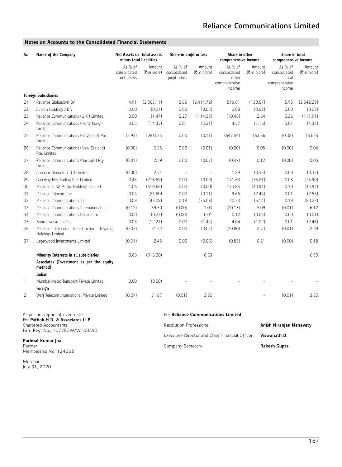| Sr.            | Name of the Company                                          | Net Assets i.e. total assets<br>minus total liabilities |                          | Share in profit or loss                  |                                 | Share in other<br>comprehensive income                      |                        | Share in total<br>comprehensive income                      |                        |
|----------------|--------------------------------------------------------------|---------------------------------------------------------|--------------------------|------------------------------------------|---------------------------------|-------------------------------------------------------------|------------------------|-------------------------------------------------------------|------------------------|
|                |                                                              | As % of<br>consolidated<br>net assets                   | Amount<br>$(5 \times 1)$ | As % of<br>consolidated<br>profit o loss | Amount<br>$(5 \nvert n \nvert)$ | As % of<br>consolidated<br>other<br>comprehensive<br>income | Amount<br>$(5 \infty)$ | As % of<br>consolidated<br>total<br>comprehensive<br>income | Amount<br>$(5 \infty)$ |
|                | <b>Foreign Subsidiaries</b>                                  |                                                         |                          |                                          |                                 |                                                             |                        |                                                             |                        |
| 21             | Reliance Globalcom BV                                        | 4.91                                                    | (2,365.11)               | 5.65                                     | (2.411.72)                      | 516.61                                                      | (130.57)               | 5.95                                                        | (2,542.29)             |
| 22             | Aircom Holdingco B.V                                         | 0.00                                                    | (0.21)                   | 0.00                                     | (0.05)                          | 0.08                                                        | (0.02)                 | 0.00                                                        | (0.07)                 |
| 23             | Reliance Communications (U.K.) Limited                       | 0.00                                                    | (1.47)                   | 0.27                                     | (114.55)                        | (10.45)                                                     | 2.64                   | 0.26                                                        | (111.91)               |
| 24             | Reliance Communications (Hong Kong)<br>Limited               | 0.03                                                    | (14.33)                  | 0.01                                     | (3.21)                          | 4.57                                                        | (1.16)                 | 0.01                                                        | (4.37)                 |
| 25             | Reliance Communications (Singapore) Pte.<br>Limited          | (3.95)                                                  | 1.902.75                 | 0.00                                     | (0.11)                          | (647.54)                                                    | 163.66                 | (0.38)                                                      | 163.55                 |
| 26             | Reliance Communications (New Zealand)<br>Pte. Limited        | (0.00)                                                  | 0.25                     | 0.00                                     | (0.01)                          | (0.20)                                                      | 0.05                   | (0.00)                                                      | 0.04                   |
| 27             | Reliance Communications (Australia) Pty.<br>Limited          | (0.01)                                                  | 2.59                     | 0.00                                     | (0.07)                          | (0.47)                                                      | 0.12                   | (0.00)                                                      | 0.05                   |
| 28             | Anupam Globalsoft (U) Limited                                | (0.00)                                                  | 2.34                     | $\overline{\phantom{a}}$                 | $\sim$                          | 1.29                                                        | (0.33)                 | 0.00                                                        | (0.33)                 |
| 29             | Gateway Net Trading Pte. Limited                             | 0.45                                                    | (218.69)                 | 0.00                                     | (0.09)                          | 141.68                                                      | (35.81)                | 0.08                                                        | (35.90)                |
| 30             | Reliance FLAG Pacific Holdings Limited                       | 1.06                                                    | (510.66)                 | 0.00                                     | (0.00)                          | 173.85                                                      | (43.94)                | 0.10                                                        | (43.94)                |
| 31             | Reliance Infocom Inc.                                        | 0.04                                                    | (21.60)                  | 0.00                                     | (0.11)                          | 9.66                                                        | (2.44)                 | 0.01                                                        | (2.55)                 |
| 32             | Reliance Communications Inc.                                 | 0.09                                                    | (43.09)                  | 0.18                                     | (75.08)                         | 20.33                                                       | (5.14)                 | 0.19                                                        | (80.22)                |
| 33             | Reliance Communications International Inc.                   | (0.12)                                                  | 59.50                    | (0.00)                                   | 1.03                            | (20.13)                                                     | 5.09                   | (0.01)                                                      | 6.12                   |
| 34             | Reliance Communications Canada Inc.                          | 0.00                                                    | (0.27)                   | (0.00)                                   | 0.01                            | 0.12                                                        | (0.03)                 | 0.00                                                        | (0.01)                 |
| 35             | Bonn Investment Inc.                                         | 0.03                                                    | (12.21)                  | 0.00                                     | (1.44)                          | 4.04                                                        | (1.02)                 | 0.01                                                        | (2.46)                 |
| 36             | Reliance Telecom Infrastructure (Cyprus)<br>Holdings Limited | (0.07)                                                  | 31.72                    | 0.00                                     | (0.04)                          | (10.80)                                                     | 2.73                   | (0.01)                                                      | 2.69                   |
| 37             | Lagerwood Investments Limited                                | (0.01)                                                  | 2.45                     | 0.00                                     | (0.03)                          | (0.83)                                                      | 0.21                   | (0.00)                                                      | 0.18                   |
|                | Minority Interests in all subsidiaries                       | 0.66                                                    | (316.00)                 |                                          | 6.33                            |                                                             |                        |                                                             | 6.33                   |
|                | Associates (Investment as per the equity<br>method)          |                                                         |                          |                                          |                                 |                                                             |                        |                                                             |                        |
|                | Indian                                                       |                                                         |                          |                                          |                                 |                                                             |                        |                                                             |                        |
| 1              | Mumbai Metro Transport Private Limited<br>Foreign            | 0.00                                                    | (0.00)                   |                                          |                                 |                                                             |                        |                                                             |                        |
| $\overline{c}$ | Warf Telecom International Private Limited                   | (0.07)                                                  | 31.87                    | (0.01)                                   | 3.80                            |                                                             |                        | (0.01)                                                      | 3.80                   |

| As per our report of even date                            | For Reliance Communications Limited            |                         |
|-----------------------------------------------------------|------------------------------------------------|-------------------------|
| For Pathak H.D. & Associates LLP<br>Chartered Accountants | Resolution Professional                        | Anish Niranjan Nanavaty |
| Firm Reg. No.: 107783W/W100593                            |                                                |                         |
| Parimal Kumar Jha                                         | Executive Director and Chief Financial Officer | Viswanath D.            |
| Partner<br>Membership No: 124262                          | Company Secretary                              | Rakesh Gupta            |

Mumbai July 31, 2020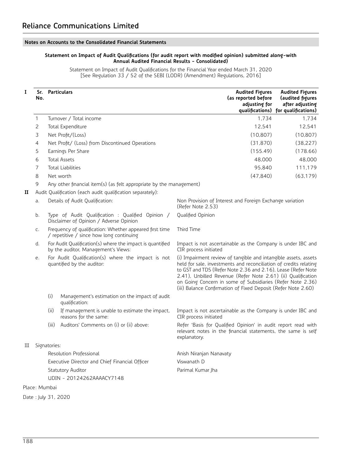#### **Statement on Impact of Audit Qualifications (for audit report with modified opinion) submitted along-with Annual Audited Financial Results - Consolidated)**

Statement on Impact of Audit Qualifications for the Financial Year ended March 31, 2020 [See Regulation 33 / 52 of the SEBI (LODR) (Amendment) Regulations, 2016]

| I | Sr.<br>No.          |              | <b>Particulars</b>                                                                                  | <b>Audited Figures</b><br>(as reported before<br>adjusting for                                                                                                                                                                                                                                                                                                                                      | <b>Audited Figures</b><br>(audited figures<br>after adjusting<br>qualifications) for qualifications) |
|---|---------------------|--------------|-----------------------------------------------------------------------------------------------------|-----------------------------------------------------------------------------------------------------------------------------------------------------------------------------------------------------------------------------------------------------------------------------------------------------------------------------------------------------------------------------------------------------|------------------------------------------------------------------------------------------------------|
|   | $\mathbf{1}$        |              | Turnover / Total income                                                                             | 1,734                                                                                                                                                                                                                                                                                                                                                                                               | 1,734                                                                                                |
|   | 2                   |              | Total Expenditure                                                                                   | 12,541                                                                                                                                                                                                                                                                                                                                                                                              | 12,541                                                                                               |
|   | 3                   |              | Net Profit/(Loss)                                                                                   | (10, 807)                                                                                                                                                                                                                                                                                                                                                                                           | (10, 807)                                                                                            |
|   | 4                   |              | Net Profit/ (Loss) from Discontinued Operations                                                     | (31, 870)                                                                                                                                                                                                                                                                                                                                                                                           | (38, 227)                                                                                            |
|   | 5                   |              | Earnings Per Share                                                                                  | (155.49)                                                                                                                                                                                                                                                                                                                                                                                            | (178.66)                                                                                             |
|   | 6                   |              | <b>Total Assets</b>                                                                                 | 48,000                                                                                                                                                                                                                                                                                                                                                                                              | 48,000                                                                                               |
|   | $\overline{7}$      |              | <b>Total Liabilities</b>                                                                            | 95,840                                                                                                                                                                                                                                                                                                                                                                                              | 111,179                                                                                              |
|   | 8                   |              | Net worth                                                                                           | (47, 840)                                                                                                                                                                                                                                                                                                                                                                                           | (63, 179)                                                                                            |
|   | 9                   |              | Any other financial item(s) (as felt appropriate by the management)                                 |                                                                                                                                                                                                                                                                                                                                                                                                     |                                                                                                      |
| п |                     |              | Audit Qualification (each audit qualification separately):                                          |                                                                                                                                                                                                                                                                                                                                                                                                     |                                                                                                      |
|   | a.                  |              | Details of Audit Qualification:                                                                     | Non Provision of Interest and Foreign Exchange variation<br>(Refer Note 2.53)                                                                                                                                                                                                                                                                                                                       |                                                                                                      |
|   | b.                  |              | Type of Audit Qualification : Qualified Opinion /<br>Disclaimer of Opinion / Adverse Opinion        | Qualified Opinion                                                                                                                                                                                                                                                                                                                                                                                   |                                                                                                      |
|   | C.                  |              | Frequency of qualification: Whether appeared first time<br>/ repetitive / since how long continuing | Third Time                                                                                                                                                                                                                                                                                                                                                                                          |                                                                                                      |
|   | d.                  |              | For Audit Qualification(s) where the impact is quantified<br>by the auditor, Management's Views:    | Impact is not ascertainable as the Company is under IBC and<br>CIR process initiated                                                                                                                                                                                                                                                                                                                |                                                                                                      |
|   | е.                  |              | For Audit Qualification(s) where the impact is not<br>quantified by the auditor:                    | (i) Impairment review of tangible and intangible assets, assets<br>held for sale, investments and reconciliation of credits relating<br>to GST and TDS (Refer Note 2.36 and 2.16), Lease (Refer Note<br>2.41), Unbilled Revenue (Refer Note 2.61) (ii) Qualification<br>on Going Concern in some of Subsidiaries (Refer Note 2.36)<br>(iii) Balance Confirmation of Fixed Deposit (Refer Note 2.60) |                                                                                                      |
|   |                     | (i)          | Management's estimation on the impact of audit<br>qualification:                                    |                                                                                                                                                                                                                                                                                                                                                                                                     |                                                                                                      |
|   |                     | (ii)         | If management is unable to estimate the impact,<br>reasons for the same:                            | Impact is not ascertainable as the Company is under IBC and<br>CIR process initiated                                                                                                                                                                                                                                                                                                                |                                                                                                      |
|   |                     | (iii)        | Auditors' Comments on (i) or (ii) above:                                                            | Refer 'Basis for Qualified Opinion' in audit report read with<br>relevant notes in the financial statements, the same is self<br>explanatory.                                                                                                                                                                                                                                                       |                                                                                                      |
| Ш |                     | Signatories: |                                                                                                     |                                                                                                                                                                                                                                                                                                                                                                                                     |                                                                                                      |
|   |                     |              | Resolution Professional                                                                             | Anish Niranjan Nanavaty                                                                                                                                                                                                                                                                                                                                                                             |                                                                                                      |
|   |                     |              | Executive Director and Chief Financial Officer                                                      | Viswanath D                                                                                                                                                                                                                                                                                                                                                                                         |                                                                                                      |
|   |                     |              | Statutory Auditor                                                                                   | Parimal Kumar Jha                                                                                                                                                                                                                                                                                                                                                                                   |                                                                                                      |
|   |                     |              | UDIN - 20124262AAAACY7148                                                                           |                                                                                                                                                                                                                                                                                                                                                                                                     |                                                                                                      |
|   | Place: Mumbai       |              |                                                                                                     |                                                                                                                                                                                                                                                                                                                                                                                                     |                                                                                                      |
|   | Date: July 31, 2020 |              |                                                                                                     |                                                                                                                                                                                                                                                                                                                                                                                                     |                                                                                                      |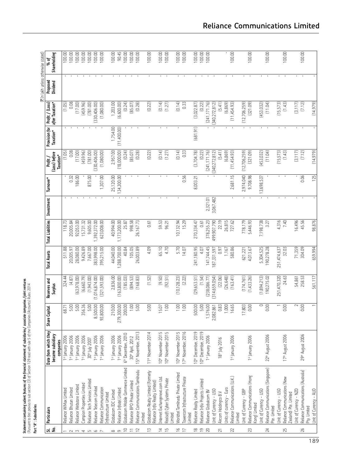|                                      | <b>Statement containing salient features of the financial statement of subsidiaires/ associate companies /joint ventures</b><br>(Pursuant to first proviso to sub section (3) of Section 129 read with rule 5 of the Companies (Accoun<br>Part "A" : Subsidiaries |                                                        |                   |                         |                     |                          |            |                       |                                      |                            |                                    | (₹ In lakh unless otherwise stated) |                      |
|--------------------------------------|-------------------------------------------------------------------------------------------------------------------------------------------------------------------------------------------------------------------------------------------------------------------|--------------------------------------------------------|-------------------|-------------------------|---------------------|--------------------------|------------|-----------------------|--------------------------------------|----------------------------|------------------------------------|-------------------------------------|----------------------|
| ವ ಶೆ                                 | Particulars                                                                                                                                                                                                                                                       | Date from which they<br>became subsidiary<br>companies | Share Capital     | Reserves and<br>Surplus | <b>Total Assets</b> | <b>Total Liabilities</b> | Investment | Turnover <sup>4</sup> | (Loss) before<br>Taxation*<br>Profit | Provision for<br>Taxation* | after Taxation*<br>Profit / (Loss) | Proposed<br>Dividend                | Shareholding<br>% of |
|                                      | Reliance WiMax Limited                                                                                                                                                                                                                                            | 1st January 2006                                       | 68.71             | 324.44                  | 511.88              | 118.73                   |            |                       | (1.05)                               |                            | (1.05)                             |                                     | 100.00               |
|                                      | Reliance Bhutan Limited                                                                                                                                                                                                                                           | 1st January 2006                                       | 5.00              | (4.87)                  | 20,005.97           | 20,005.84                |            | 0.32                  | 0.08                                 |                            | 0.08                               |                                     | 100.00               |
| $\sim$ m                             | Reliance Webstore Limited                                                                                                                                                                                                                                         | 1st January 2006                                       | 5.00              | (63,978.00)             | 28,080.00           | 92,053.00                |            | 186.00                | (17.00)                              |                            | (17.00)                            |                                     | 100.00               |
|                                      | Campion Properties Limited                                                                                                                                                                                                                                        | 1st January 2006                                       | 356.36            | (6,660.79)              | 9,426.89            | 15,731.32                |            |                       | (459.96)                             |                            | (459.96)                           |                                     | 100.00               |
|                                      | Reliance Tech Services Limited                                                                                                                                                                                                                                    | 30th July 2007                                         | 5.00              | (1,943.00)              | 7,667.00            | 9,605.00                 |            | 875.00                | (781.00)                             |                            | (781.00)                           |                                     | 00.00                |
| 4567                                 | Reliance Telecom Limited                                                                                                                                                                                                                                          | 1st January 2006                                       | 8,500.00          | (1,016,874.00)          | 383,998.00          | 1,392,372.00             |            |                       | (330, 406.00)                        |                            | (330,406.00)                       |                                     | 100.00               |
|                                      | Reliance Communication<br>Infrastructure Limited                                                                                                                                                                                                                  | 1st January 2006                                       | 93,800.00         | (321, 593.00)           | 395,215.00          | 623,008.00               |            | 1,307.00              | (1,080.00)                           |                            | (1,080,00)                         |                                     | 100.00               |
|                                      | Globalcom IDC Limited                                                                                                                                                                                                                                             | 1st January 2006                                       | 210.00            | 2,836.00                | 44,040.00           | 40,994.00                |            | 25,120.00             | 2,957.00                             | 1,754.00                   | 1,203.00                           |                                     | 100.00               |
| $\infty$ $\infty$                    | Reliance Infratel Limited                                                                                                                                                                                                                                         | 1st January 2006                                       | 279,300.00        | (163, 800.00)           | ,288,700.00         | 1,173,200.00             |            | 134,300.00            | (18,000.00)                          | (11,400.00)                | (6,600.00)                         |                                     | 90.45                |
| $\Xi$                                | Globalcom Mobile Commerce Limited                                                                                                                                                                                                                                 | 6 <sup>th</sup> December, 2010                         | 200.00            | (185.03)                | 40.84               | 25.87                    |            |                       | (0.24)                               |                            | (0.24)                             |                                     | 100.00               |
| $\overleftarrow{\phantom{a}}$        | Reliance BPO Private Limited                                                                                                                                                                                                                                      | 30 <sup>th</sup> April, 2012                           | 1.00              | (894.53)                | 105.05              | 998.58                   |            |                       | (85.07)                              |                            | (85.07)                            |                                     | 100.00               |
|                                      | Reliance Communications Tamilnadu<br>Limited                                                                                                                                                                                                                      | 15 <sup>th</sup> November, 2013                        | 5.00              | (168.83)                | 26,003.89           | 26,167.73                |            |                       | (0.28)                               |                            | (0.28)                             |                                     | 100.00               |
| $\tilde{=}$                          | Globalcom Realty Limited (Formerly<br>Reliance Infra Realty Limited)                                                                                                                                                                                              | 11 <sup>th</sup> November 2014                         | 5.00              | (1.52)                  | 4.09                | 0.61                     |            |                       | (0.22)                               |                            | (0.22)                             |                                     | 100.00               |
| $\overline{4}$                       | Internet Exchangenext.com Ltd.                                                                                                                                                                                                                                    | 10 <sup>th</sup> November 2015                         | 15.07             | (9.50)                  | 65.10               | 59.53                    |            |                       | (0.14)                               |                            | (0.14)                             |                                     | 100.00               |
| $\frac{5}{1}$                        | Realsoft Cyber Systems Private<br>Limited                                                                                                                                                                                                                         | 10 <sup>th</sup> November 2015                         | $\overline{1.00}$ | (92.51)                 | 4.70                | 96.21                    |            |                       | (1.27)                               |                            | (1.27)                             |                                     | 00.00                |
| $\frac{\infty}{\cdot}$               | Worldtel Tamilnadu Private Limited                                                                                                                                                                                                                                | 10 <sup>th</sup> November 2015                         | 1.00              | (10, 128.23)            | 5.70                | 10,132.94                |            |                       | (0.14)                               |                            | (0.14)                             |                                     | 100.00               |
| $\Box$                               | Towercom Infrastructure Private<br>Limited                                                                                                                                                                                                                        | 17 <sup>th</sup> November, 2016                        | 1,00              | (2.22)                  | 14.07               | 15.29                    |            | 0.56                  | 0.33                                 |                            | 0.33                               |                                     | 100.00               |
| $\overset{\infty}{\phantom{\alpha}}$ | Reliance Realty Limited                                                                                                                                                                                                                                           | 10th December, 2019                                    | 500.00            | (29,653.51)             | 241,180.95          | 270,334.47               |            | 8,003.21              | (3,704.78)                           | (681.91)                   | (3,022.87)                         |                                     | 100.00               |
| $\overline{9}$                       | Reliance Infra Projects Limited                                                                                                                                                                                                                                   | 10 <sup>th</sup> December, 2019                        | 5.00              | (1.54)                  | 4.07                | 50<br>0.61               |            |                       | (0.22)                               |                            | (0.22)                             |                                     | 100.00               |
| 20                                   | Reliance Globalcom BV                                                                                                                                                                                                                                             | 1st January 2006                                       | 1,576.00          | (238,086.77)            | 141,744.45          | 378,255.23               | 2,321.01   |                       | (241, 171.76)                        |                            | (241, 171.76)                      |                                     | 100.00               |
|                                      | Unit of Currency - USD                                                                                                                                                                                                                                            |                                                        | 2,082,861         | 314,659,054)            | 87,331,597          | 499,907,790              | 3,067,482  |                       | (340,272,812)                        |                            | (340,272,812)                      |                                     |                      |
| 21                                   | Aircom Holdingco B.V                                                                                                                                                                                                                                              | 8 <sup>th</sup> July 2016                              | 0.83              | (22.06)                 | 0.97                | 22.19                    |            |                       | (5.41)                               |                            | (5.41)                             |                                     |                      |
| 22                                   | Reliance Communications (U.K.)<br>Units of currency - Euro                                                                                                                                                                                                        | 1st January 2006                                       | 16.65<br>1,000    | (26, 648)<br>(163.41)   | 580.86<br>1,167     | 26,815<br>727.62         |            | 2,681.15              | (6, 869)<br>(11, 454.93)             |                            | (6, 869)<br>(11, 454.93)           |                                     | 100.00               |
|                                      | Limited                                                                                                                                                                                                                                                           |                                                        |                   |                         |                     |                          |            |                       |                                      |                            |                                    |                                     |                      |
|                                      | Unit of Currency - GBP                                                                                                                                                                                                                                            |                                                        | 17,803            | (174,761)               | 621,221             | 778,179                  |            | 2,974,040             | (12,706,259)                         |                            | (12,706,259)                       |                                     |                      |
| 23                                   | Reliance Communications (Hong<br>Kong) Limited                                                                                                                                                                                                                    | 1st January 2006                                       | 0.00              | (1, 433.26)             | 4,013.67            | 5,446.93                 |            | 9,708.98              | (321.09)                             |                            | (321.09)                           |                                     | 100.00               |
|                                      | Unit of Currency - USD                                                                                                                                                                                                                                            |                                                        | $\circ$           | (1,894,213)             | 5,304,525           | 7,198,738                |            | 13,698,537            | (453, 032)                           |                            | (453, 032)                         |                                     |                      |
| $^{24}$                              | Reliance Communications (Singapore)                                                                                                                                                                                                                               | 22 <sup>th</sup> August 2006                           | 0.00              | 190,275.02              | 190,278.28          | 3.27                     |            |                       | (11.04)                              |                            | (11.04)                            |                                     | 100.00               |
|                                      | Unit of Currency - USD<br>Pte. Limited                                                                                                                                                                                                                            |                                                        |                   | 251,470,320             | 251,474,637         | 4,316                    |            |                       | (15, 573)                            |                            | (15, 573)                          |                                     |                      |
| 25                                   | Reliance Communications (New                                                                                                                                                                                                                                      | 17 <sup>th</sup> August 2006                           | 0.00              | 24.63                   | 32.03               | 7.40                     |            |                       | (1.43)                               |                            | (1.43)                             |                                     | 100.00               |
|                                      | Zealand) Pte. Limited                                                                                                                                                                                                                                             |                                                        |                   |                         |                     |                          |            |                       |                                      |                            |                                    |                                     |                      |
| 26                                   | Reliance Communications (Australia)<br>Unit of Currency - NZD                                                                                                                                                                                                     | 29th August 2006                                       | 2<br>0.00         | 258.53<br>54,861        | 71,359<br>304.09    | 16,496<br>45.56          |            | 0.06                  | (3, 117)<br>(7.12)                   |                            | (3, 117)<br>(7.12)                 |                                     | 100.00               |
|                                      | Pry. Limited                                                                                                                                                                                                                                                      |                                                        |                   |                         |                     |                          |            |                       |                                      |                            |                                    |                                     |                      |
|                                      | Unit of Currency - AUD                                                                                                                                                                                                                                            |                                                        |                   | 561,117                 | 659,994             | 98,876                   |            | 125                   | (14, 979)                            |                            | (14, 979)                          |                                     |                      |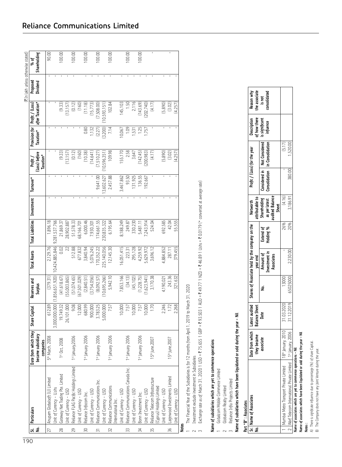| 1  |                 |                                                                |                                                        |                      |                               |                     |                                |           |                                        |                                            |                 | (₹ In lakh unless otherwise stated) |                      |
|----|-----------------|----------------------------------------------------------------|--------------------------------------------------------|----------------------|-------------------------------|---------------------|--------------------------------|-----------|----------------------------------------|--------------------------------------------|-----------------|-------------------------------------|----------------------|
| 90 | ġ               | St. Particulars                                                | Date from which they<br>became subsidiary<br>companies | <b>Share Capital</b> | Reserves and<br>Surplus       | <b>Total Assets</b> | Total Liabilities   Investment | Turnover* | (Loss) before<br>Taxation*<br>Profit / | Provision for Profit / (Loss)<br>Taxation* | after Taxation* | Proposed<br>Dividend                | Shareholding<br>% of |
|    | 27              | Anupam Globalsoft (U) Limited                                  | 5th March, 2008                                        | 612.89               | (379.31)                      | 2,129.76            | ,896.18                        |           |                                        |                                            |                 |                                     | 90.00                |
|    |                 | Jnit of Currency - U.shs                                       |                                                        |                      | 3,000,000,000 (1,856,651,920) | 0,424,885,846       | 9,281,537,766                  |           |                                        |                                            |                 |                                     |                      |
|    | 28              |                                                                | 1 <sup>st</sup> Oct, 2008                              | 19,749.32            | (41, 618.67)                  | 0.02                | 21,869.37                      |           | (9.33)                                 |                                            | (9.33)          |                                     | 00,00                |
|    |                 | Gateway Net Trading Pte. Limited<br>  Unit of Currency – USD   |                                                        | 26,101,000           | (55,003,865)                  | 22                  | 28,902,887                     |           | (13, 157)                              |                                            | (13, 157)       |                                     |                      |
|    | 29              | Reliance FLAG Pacific Holdings Limited                         | 1st January, 2006                                      | 9.08                 | (51, 074.65)                  | 512.88              | 51,578.33                      |           | (0.12)                                 |                                            | (0.12)          |                                     | 100.00               |
|    |                 | Unit of Currency - USD                                         |                                                        | 12,000               | 67,501,029)                   | 677,832             | 68,166,701                     |           | (160)                                  |                                            | (160)           |                                     |                      |
|    | $\overline{50}$ | Reliance Infocom Inc.                                          | 1st January 2006                                       | 680.99               | (2,840.51)                    | 3,840.94            | 6,000.46                       |           | (10.38)                                | 0.80                                       | (11.18)         |                                     | 100.00               |
|    |                 | Unit of Currency - USD                                         |                                                        | 900,000              | 3,754,056)                    | 5,076,245           | 7,930,301                      |           | (14, 641)                              | 1,132                                      | (15, 773)       |                                     |                      |
|    | $\overline{5}$  | Reliance Communications Inc.                                   | <sup>1st</sup> January 2006                            | 3,783.25             | (8,092.57)                    | 170,352.22          | 174,661.55                     | 9,641.00  | (7,510.27)                             | (2.27)                                     | (7,508.00)      |                                     | 100.00               |
|    |                 | Unit of Currency - USD                                         |                                                        | 5,000,000            | 10,695,266)                   | 225,140,056         | 230,835,322                    | 3,602,627 | 0,596,351                              | (3,200)                                    | 10,593,151,     |                                     |                      |
|    | 32              | Reliance Communications                                        | 1st January 2006                                       | 7.57                 | 5,942.10                      | 12,145.30           | 6,195.64                       | 2,457.88  | 109.98                                 | 7.14                                       | 102.84          |                                     | 100,00               |
|    |                 | International Inc.                                             |                                                        |                      |                               |                     |                                |           |                                        |                                            |                 |                                     |                      |
|    |                 | Unit of Currency - USD                                         |                                                        | 0,000                | 7,853,166                     | 6,051,415           | 8,188,249                      | 3,467,862 | 155,170                                | 0,067                                      | 45,103          |                                     |                      |
|    | 53              | Reliance Communications Canada Inc.                            | 1st January 2006                                       | 7.57                 | (34.13)                       | 223.31              | 249.87                         | 93.50     | 2.58                                   | 1.09                                       | 1.50            |                                     | 100.00               |
|    |                 | Unit of Currency - USD                                         |                                                        | 0,000                | (45, 102)                     | 295,128             | 330,230                        | 31,925    | 3,647                                  | 1,531                                      | 2,116           |                                     |                      |
|    | 34              | Bonn Investment Inc.                                           | 1st January 2006                                       | 7.57                 | (1,228.75)                    | 4,259.92            | 5,481.11                       | 136.55    | (142.45)                               | 1.25                                       | (143.69)        |                                     | 100.00               |
|    |                 | Unit of Currency - USD                                         |                                                        | 0.000                | 1,623,941)                    | 5,629,972           | 7,243,914                      | 192,667   | 200,983)                               | 1,757                                      | 202,740         |                                     |                      |
|    | 35              | Reliance Telecom Infrastructure<br>  (Cyprus) Holdings Limited | 15 <sup>th</sup> June, 2007                            | 1.70                 | 3,170.38                      | 3,696.12            | 524.04                         |           | (4.17)                                 |                                            | (4.17)          |                                     |                      |
|    |                 |                                                                |                                                        |                      |                               |                     |                                |           |                                        |                                            |                 |                                     |                      |
|    |                 | Unit of Currency - USD                                         |                                                        | 2,246                | 190,021                       | ,884,852            | 692,585                        |           | (5, 890)                               |                                            | (5, 890)        |                                     |                      |
|    | $\frac{56}{5}$  | Lagenvood Investments Limited                                  | 15 <sup>th</sup> June, 2007                            | 1.72                 | 243.36                        | 287.11              | 42.04                          |           | (3.02)                                 |                                            | (3.02)          |                                     |                      |
|    |                 | Unit of Currency - USD                                         |                                                        | 2,268                | 321,632                       | 379,455             | 55,555                         |           | (4, 257)                               |                                            | (4, 257)        |                                     |                      |

Unit of Currency - USD 2,268 321,632 379,455 55,555 - - (4,257) - (4,257) - Unit of Currency - USD **Notes**

The Financial Year of the Subsidiaries is for 12 months from April 1, 2019 to March 31, 2020 The Financial Year of the Subsidiaries is for 12 months from April 1, 2019 to March 31, 2020  $\overline{a}$ 

Investment exclude investment in Subsidiaries Investment exclude investment in Subsidiaries

Exchange rate as of March 31, 2020 1 USD = ₹ 75.655 1 GBP = ₹ 93.503 1 AUD = ₹ 49.77 1 NZD = ₹ 46.89 1 Ushs = ₹ 0.0179 (\* converted at average rate) Exchange rate as of March 31, 2020 1 USD = ` 75.655 1 GBP = ` 93.503 1 AUD = ` 49.77 1 NZD = ` 46.89 1 Ushs = ` 0.0179 (\* converted at average rate)  $\sim$   $\,$ 

## **Name of subsidiaries which are yet to commence operations** Name of subsidiaries which are yet to commence operations<br>1 Gobalcom Mobile Commerce limited

Gobalcom Mobile Commerce Limited

- Globalcom Realty Limited Globalcom Realty Limited  $\sim$
- 3 Reliance Infra Projects Limited Reliance Infra Projects Limited

# Name of subsidiaries which have been liquidated or sold during the year - Nil **Name of subsidiaries which have been liquidated or sold during the year - Nil**

### Part "B" : Associates **Part "B" : Associates**

| Name of Associates                         |                                | $\overline{\phantom{a}}$ ate from which $\overline{\phantom{a}}$ $\overline{\phantom{a}}$ atest audited $\overline{\phantom{a}}$ Shares of Associate held by the company on the |          |                                        |     | Networth                                                                                                                            |        | Profit / (Loss) for the year | Description<br>of how there | Reason why    |
|--------------------------------------------|--------------------------------|---------------------------------------------------------------------------------------------------------------------------------------------------------------------------------|----------|----------------------------------------|-----|-------------------------------------------------------------------------------------------------------------------------------------|--------|------------------------------|-----------------------------|---------------|
| ያ                                          | hey became                     | <b>Balance Sheet</b>                                                                                                                                                            |          |                                        |     |                                                                                                                                     |        |                              |                             | the associate |
|                                            | ssociate                       | <b>Date</b>                                                                                                                                                                     |          | year end<br>Amount of<br>Investment in |     | nunt of Extend of Shareholding Considered in Not Considered  <br>- Not   Holding %   as per latest   Considered in   Not Considered |        |                              | is significant<br>infuence  | is not        |
|                                            |                                |                                                                                                                                                                                 |          |                                        |     |                                                                                                                                     |        |                              |                             | onsolidated   |
|                                            |                                |                                                                                                                                                                                 |          | <b>Issociates</b>                      |     | <b>udited Balance</b>                                                                                                               |        |                              |                             |               |
|                                            |                                |                                                                                                                                                                                 |          |                                        |     | Sheet                                                                                                                               |        |                              |                             |               |
| Mumbai Metro Transport Private Limited     | 18 <sup>th</sup> January, 2010 | 31.03.2020                                                                                                                                                                      | 13000    |                                        | 26% | (4.16)                                                                                                                              |        | (5.17)                       |                             |               |
| Warf Telecom International Private Limited | $\sim$ 1900s, yishuary, 2006   | 31.12.2019                                                                                                                                                                      | 65025000 | 2,230.00                               | 20% | 3,186.91                                                                                                                            | 380.00 | ,520.00                      |                             |               |

Name of associates which are yet to commence operations - Nil **Name of associates which are yet to commence operations - Nil**

Name of associates which have been liquidated or sold during the year - Nil **Name of associates which have been liquidated or sold during the year - Nil**

**Notes :**

A) There is significate influence due to percentage (%) of share Capital.<br>B) The Company does not have any Joint Venture during the year. A) There is significate influence due to percentage (%) of share Capital. B) The Company does not have any Joint Venture during the year.

 $\log$ 

 $0.00$ 

**Shareholding**

 $\widehat{\mathbb{E}}$ 

 $\log$  $rac{1}{2}$  $\log$  $\log$  $\log$